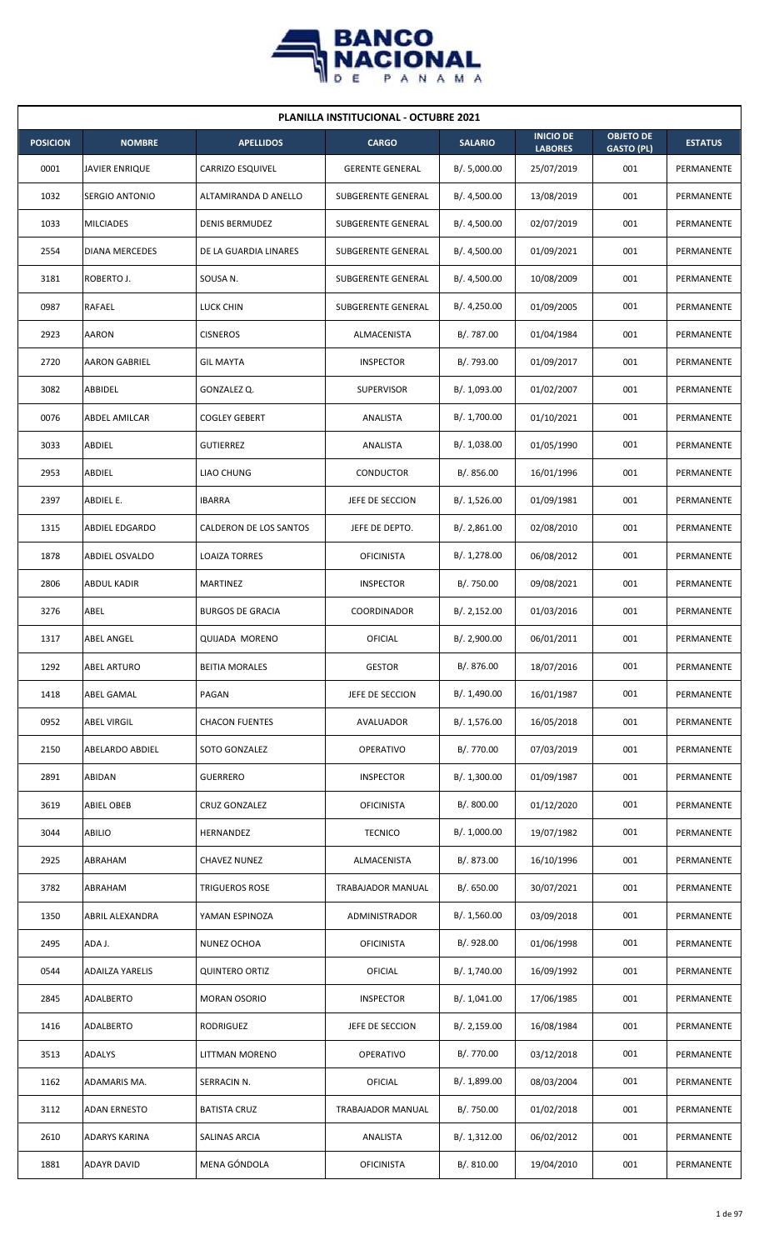

| <b>PLANILLA INSTITUCIONAL - OCTUBRE 2021</b> |                        |                         |                           |                |                                    |                                       |                |  |  |  |
|----------------------------------------------|------------------------|-------------------------|---------------------------|----------------|------------------------------------|---------------------------------------|----------------|--|--|--|
| <b>POSICION</b>                              | <b>NOMBRE</b>          | <b>APELLIDOS</b>        | <b>CARGO</b>              | <b>SALARIO</b> | <b>INICIO DE</b><br><b>LABORES</b> | <b>OBJETO DE</b><br><b>GASTO (PL)</b> | <b>ESTATUS</b> |  |  |  |
| 0001                                         | JAVIER ENRIQUE         | <b>CARRIZO ESQUIVEL</b> | <b>GERENTE GENERAL</b>    | B/. 5,000.00   | 25/07/2019                         | 001                                   | PERMANENTE     |  |  |  |
| 1032                                         | <b>SERGIO ANTONIO</b>  | ALTAMIRANDA D ANELLO    | SUBGERENTE GENERAL        | B/. 4,500.00   | 13/08/2019                         | 001                                   | PERMANENTE     |  |  |  |
| 1033                                         | <b>MILCIADES</b>       | <b>DENIS BERMUDEZ</b>   | SUBGERENTE GENERAL        | B/. 4,500.00   | 02/07/2019                         | 001                                   | PERMANENTE     |  |  |  |
| 2554                                         | <b>DIANA MERCEDES</b>  | DE LA GUARDIA LINARES   | <b>SUBGERENTE GENERAL</b> | B/. 4,500.00   | 01/09/2021                         | 001                                   | PERMANENTE     |  |  |  |
| 3181                                         | ROBERTO J.             | SOUSA N.                | SUBGERENTE GENERAL        | B/. 4,500.00   | 10/08/2009                         | 001                                   | PERMANENTE     |  |  |  |
| 0987                                         | RAFAEL                 | LUCK CHIN               | SUBGERENTE GENERAL        | B/.4,250.00    | 01/09/2005                         | 001                                   | PERMANENTE     |  |  |  |
| 2923                                         | AARON                  | <b>CISNEROS</b>         | ALMACENISTA               | B/. 787.00     | 01/04/1984                         | 001                                   | PERMANENTE     |  |  |  |
| 2720                                         | <b>AARON GABRIEL</b>   | <b>GIL MAYTA</b>        | <b>INSPECTOR</b>          | B/. 793.00     | 01/09/2017                         | 001                                   | PERMANENTE     |  |  |  |
| 3082                                         | ABBIDEL                | GONZALEZ Q.             | <b>SUPERVISOR</b>         | B/. 1,093.00   | 01/02/2007                         | 001                                   | PERMANENTE     |  |  |  |
| 0076                                         | ABDEL AMILCAR          | <b>COGLEY GEBERT</b>    | ANALISTA                  | B/. 1,700.00   | 01/10/2021                         | 001                                   | PERMANENTE     |  |  |  |
| 3033                                         | ABDIEL                 | <b>GUTIERREZ</b>        | ANALISTA                  | B/. 1,038.00   | 01/05/1990                         | 001                                   | PERMANENTE     |  |  |  |
| 2953                                         | ABDIEL                 | <b>LIAO CHUNG</b>       | <b>CONDUCTOR</b>          | B/.856.00      | 16/01/1996                         | 001                                   | PERMANENTE     |  |  |  |
| 2397                                         | ABDIEL E.              | <b>IBARRA</b>           | JEFE DE SECCION           | B/. 1,526.00   | 01/09/1981                         | 001                                   | PERMANENTE     |  |  |  |
| 1315                                         | ABDIEL EDGARDO         | CALDERON DE LOS SANTOS  | JEFE DE DEPTO.            | B/. 2,861.00   | 02/08/2010                         | 001                                   | PERMANENTE     |  |  |  |
| 1878                                         | ABDIEL OSVALDO         | <b>LOAIZA TORRES</b>    | <b>OFICINISTA</b>         | B/.1,278.00    | 06/08/2012                         | 001                                   | PERMANENTE     |  |  |  |
| 2806                                         | ABDUL KADIR            | MARTINEZ                | <b>INSPECTOR</b>          | B/. 750.00     | 09/08/2021                         | 001                                   | PERMANENTE     |  |  |  |
| 3276                                         | ABEL                   | <b>BURGOS DE GRACIA</b> | COORDINADOR               | B/.2,152.00    | 01/03/2016                         | 001                                   | PERMANENTE     |  |  |  |
| 1317                                         | <b>ABEL ANGEL</b>      | <b>QUIJADA MORENO</b>   | OFICIAL                   | B/. 2,900.00   | 06/01/2011                         | 001                                   | PERMANENTE     |  |  |  |
| 1292                                         | <b>ABEL ARTURO</b>     | <b>BEITIA MORALES</b>   | <b>GESTOR</b>             | B/. 876.00     | 18/07/2016                         | 001                                   | PERMANENTE     |  |  |  |
| 1418                                         | ABEL GAMAL             | PAGAN                   | JEFE DE SECCION           | B/. 1,490.00   | 16/01/1987                         | 001                                   | PERMANENTE     |  |  |  |
| 0952                                         | <b>ABEL VIRGIL</b>     | <b>CHACON FUENTES</b>   | AVALUADOR                 | B/. 1,576.00   | 16/05/2018                         | 001                                   | PERMANENTE     |  |  |  |
| 2150                                         | <b>ABELARDO ABDIEL</b> | SOTO GONZALEZ           | OPERATIVO                 | B/. 770.00     | 07/03/2019                         | 001                                   | PERMANENTE     |  |  |  |
| 2891                                         | ABIDAN                 | <b>GUERRERO</b>         | <b>INSPECTOR</b>          | B/. 1,300.00   | 01/09/1987                         | 001                                   | PERMANENTE     |  |  |  |
| 3619                                         | <b>ABIEL OBEB</b>      | <b>CRUZ GONZALEZ</b>    | <b>OFICINISTA</b>         | B/. 800.00     | 01/12/2020                         | 001                                   | PERMANENTE     |  |  |  |
| 3044                                         | <b>ABILIO</b>          | HERNANDEZ               | <b>TECNICO</b>            | B/. 1,000.00   | 19/07/1982                         | 001                                   | PERMANENTE     |  |  |  |
| 2925                                         | ABRAHAM                | <b>CHAVEZ NUNEZ</b>     | ALMACENISTA               | B/. 873.00     | 16/10/1996                         | 001                                   | PERMANENTE     |  |  |  |
| 3782                                         | ABRAHAM                | TRIGUEROS ROSE          | TRABAJADOR MANUAL         | B/. 650.00     | 30/07/2021                         | 001                                   | PERMANENTE     |  |  |  |
| 1350                                         | ABRIL ALEXANDRA        | YAMAN ESPINOZA          | ADMINISTRADOR             | B/.1,560.00    | 03/09/2018                         | 001                                   | PERMANENTE     |  |  |  |
| 2495                                         | ADA J.                 | NUNEZ OCHOA             | <b>OFICINISTA</b>         | B/. 928.00     | 01/06/1998                         | 001                                   | PERMANENTE     |  |  |  |
| 0544                                         | <b>ADAILZA YARELIS</b> | <b>QUINTERO ORTIZ</b>   | <b>OFICIAL</b>            | B/. 1,740.00   | 16/09/1992                         | 001                                   | PERMANENTE     |  |  |  |
| 2845                                         | ADALBERTO              | <b>MORAN OSORIO</b>     | <b>INSPECTOR</b>          | B/. 1,041.00   | 17/06/1985                         | 001                                   | PERMANENTE     |  |  |  |
| 1416                                         | ADALBERTO              | RODRIGUEZ               | JEFE DE SECCION           | B/.2,159.00    | 16/08/1984                         | 001                                   | PERMANENTE     |  |  |  |
| 3513                                         | <b>ADALYS</b>          | LITTMAN MORENO          | <b>OPERATIVO</b>          | B/. 770.00     | 03/12/2018                         | 001                                   | PERMANENTE     |  |  |  |
| 1162                                         | ADAMARIS MA.           | SERRACIN N.             | OFICIAL                   | B/. 1,899.00   | 08/03/2004                         | 001                                   | PERMANENTE     |  |  |  |
| 3112                                         | <b>ADAN ERNESTO</b>    | <b>BATISTA CRUZ</b>     | TRABAJADOR MANUAL         | B/. 750.00     | 01/02/2018                         | 001                                   | PERMANENTE     |  |  |  |
| 2610                                         | ADARYS KARINA          | SALINAS ARCIA           | ANALISTA                  | B/.1,312.00    | 06/02/2012                         | 001                                   | PERMANENTE     |  |  |  |
| 1881                                         | <b>ADAYR DAVID</b>     | MENA GÓNDOLA            | <b>OFICINISTA</b>         | B/. 810.00     | 19/04/2010                         | 001                                   | PERMANENTE     |  |  |  |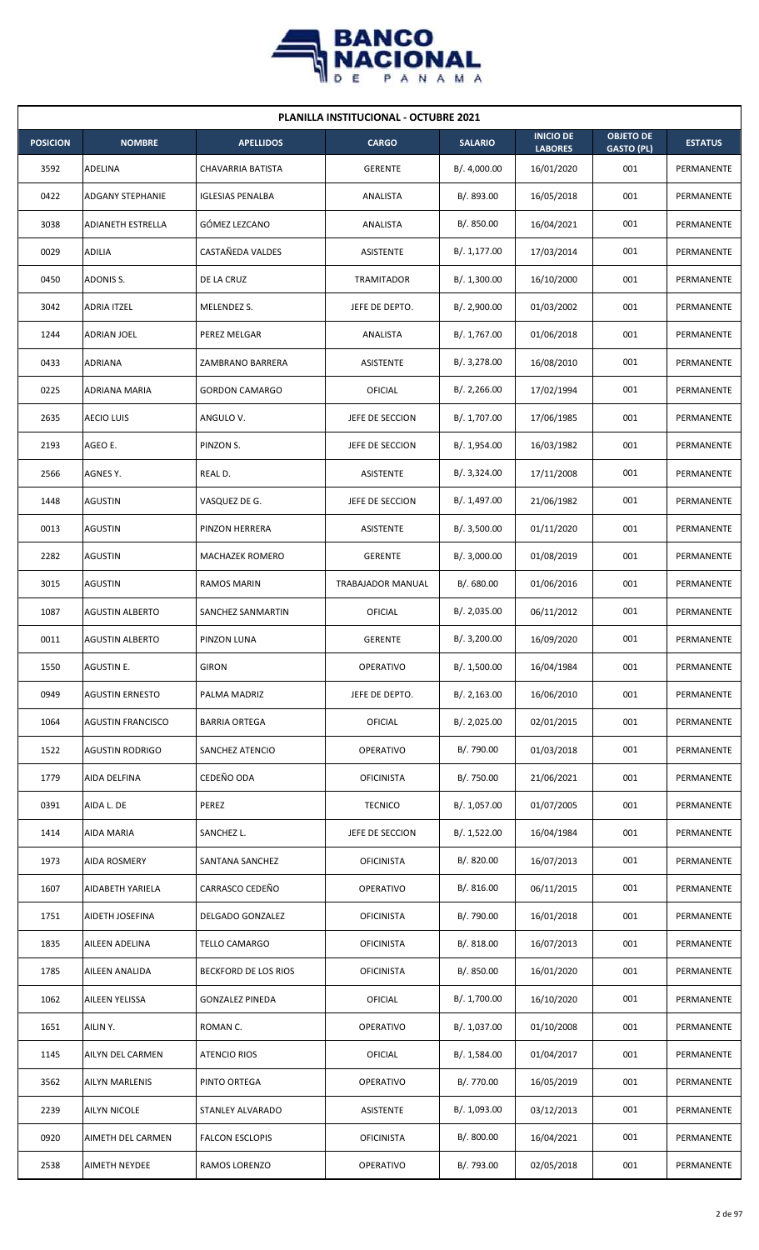

| <b>PLANILLA INSTITUCIONAL - OCTUBRE 2021</b> |                          |                          |                   |                |                                    |                                       |                   |  |  |  |
|----------------------------------------------|--------------------------|--------------------------|-------------------|----------------|------------------------------------|---------------------------------------|-------------------|--|--|--|
| <b>POSICION</b>                              | <b>NOMBRE</b>            | <b>APELLIDOS</b>         | <b>CARGO</b>      | <b>SALARIO</b> | <b>INICIO DE</b><br><b>LABORES</b> | <b>OBJETO DE</b><br><b>GASTO (PL)</b> | <b>ESTATUS</b>    |  |  |  |
| 3592                                         | ADELINA                  | <b>CHAVARRIA BATISTA</b> | <b>GERENTE</b>    | B/. 4,000.00   | 16/01/2020                         | 001                                   | PERMANENTE        |  |  |  |
| 0422                                         | <b>ADGANY STEPHANIE</b>  | <b>IGLESIAS PENALBA</b>  | ANALISTA          | B/. 893.00     | 16/05/2018                         | 001                                   | PERMANENTE        |  |  |  |
| 3038                                         | <b>ADIANETH ESTRELLA</b> | GÓMEZ LEZCANO            | ANALISTA          | B/. 850.00     | 16/04/2021                         | 001                                   | PERMANENTE        |  |  |  |
| 0029                                         | ADILIA                   | CASTAÑEDA VALDES         | ASISTENTE         | B/. 1,177.00   | 17/03/2014                         | 001                                   | <b>PERMANENTE</b> |  |  |  |
| 0450                                         | ADONIS S.                | DE LA CRUZ               | <b>TRAMITADOR</b> | B/.1,300.00    | 16/10/2000                         | 001                                   | PERMANENTE        |  |  |  |
| 3042                                         | <b>ADRIA ITZEL</b>       | MELENDEZ S.              | JEFE DE DEPTO.    | B/.2,900.00    | 01/03/2002                         | 001                                   | PERMANENTE        |  |  |  |
| 1244                                         | ADRIAN JOEL              | PEREZ MELGAR             | ANALISTA          | B/. 1,767.00   | 01/06/2018                         | 001                                   | PERMANENTE        |  |  |  |
| 0433                                         | ADRIANA                  | ZAMBRANO BARRERA         | ASISTENTE         | B/. 3,278.00   | 16/08/2010                         | 001                                   | PERMANENTE        |  |  |  |
| 0225                                         | <b>ADRIANA MARIA</b>     | <b>GORDON CAMARGO</b>    | OFICIAL           | B/.2,266.00    | 17/02/1994                         | 001                                   | PERMANENTE        |  |  |  |
| 2635                                         | <b>AECIO LUIS</b>        | ANGULO V.                | JEFE DE SECCION   | B/. 1,707.00   | 17/06/1985                         | 001                                   | PERMANENTE        |  |  |  |
| 2193                                         | AGEO E.                  | PINZON S.                | JEFE DE SECCION   | B/. 1,954.00   | 16/03/1982                         | 001                                   | PERMANENTE        |  |  |  |
| 2566                                         | AGNES Y.                 | REAL D.                  | <b>ASISTENTE</b>  | B/. 3,324.00   | 17/11/2008                         | 001                                   | PERMANENTE        |  |  |  |
| 1448                                         | AGUSTIN                  | VASQUEZ DE G.            | JEFE DE SECCION   | B/. 1,497.00   | 21/06/1982                         | 001                                   | PERMANENTE        |  |  |  |
| 0013                                         | AGUSTIN                  | PINZON HERRERA           | ASISTENTE         | B/.3,500.00    | 01/11/2020                         | 001                                   | PERMANENTE        |  |  |  |
| 2282                                         | <b>AGUSTIN</b>           | <b>MACHAZEK ROMERO</b>   | <b>GERENTE</b>    | B/.3,000.00    | 01/08/2019                         | 001                                   | PERMANENTE        |  |  |  |
| 3015                                         | AGUSTIN                  | RAMOS MARIN              | TRABAJADOR MANUAL | B/. 680.00     | 01/06/2016                         | 001                                   | PERMANENTE        |  |  |  |
| 1087                                         | <b>AGUSTIN ALBERTO</b>   | SANCHEZ SANMARTIN        | OFICIAL           | B/.2,035.00    | 06/11/2012                         | 001                                   | PERMANENTE        |  |  |  |
| 0011                                         | <b>AGUSTIN ALBERTO</b>   | PINZON LUNA              | <b>GERENTE</b>    | B/. 3,200.00   | 16/09/2020                         | 001                                   | PERMANENTE        |  |  |  |
| 1550                                         | AGUSTIN E.               | <b>GIRON</b>             | OPERATIVO         | B/. 1,500.00   | 16/04/1984                         | 001                                   | PERMANENTE        |  |  |  |
| 0949                                         | <b>AGUSTIN ERNESTO</b>   | PALMA MADRIZ             | JEFE DE DEPTO.    | B/.2,163.00    | 16/06/2010                         | 001                                   | PERMANENTE        |  |  |  |
| 1064                                         | <b>AGUSTIN FRANCISCO</b> | <b>BARRIA ORTEGA</b>     | <b>OFICIAL</b>    | B/. 2,025.00   | 02/01/2015                         | 001                                   | PERMANENTE        |  |  |  |
| 1522                                         | <b>AGUSTIN RODRIGO</b>   | SANCHEZ ATENCIO          | OPERATIVO         | B/. 790.00     | 01/03/2018                         | 001                                   | PERMANENTE        |  |  |  |
| 1779                                         | AIDA DELFINA             | CEDEÑO ODA               | <b>OFICINISTA</b> | B/. 750.00     | 21/06/2021                         | 001                                   | PERMANENTE        |  |  |  |
| 0391                                         | AIDA L. DE               | PEREZ                    | <b>TECNICO</b>    | B/. 1,057.00   | 01/07/2005                         | 001                                   | PERMANENTE        |  |  |  |
| 1414                                         | AIDA MARIA               | SANCHEZ L.               | JEFE DE SECCION   | B/. 1,522.00   | 16/04/1984                         | 001                                   | PERMANENTE        |  |  |  |
| 1973                                         | <b>AIDA ROSMERY</b>      | SANTANA SANCHEZ          | <b>OFICINISTA</b> | B/. 820.00     | 16/07/2013                         | 001                                   | PERMANENTE        |  |  |  |
| 1607                                         | AIDABETH YARIELA         | CARRASCO CEDEÑO          | OPERATIVO         | B/.816.00      | 06/11/2015                         | 001                                   | PERMANENTE        |  |  |  |
| 1751                                         | AIDETH JOSEFINA          | DELGADO GONZALEZ         | <b>OFICINISTA</b> | B/. 790.00     | 16/01/2018                         | 001                                   | PERMANENTE        |  |  |  |
| 1835                                         | AILEEN ADELINA           | TELLO CAMARGO            | <b>OFICINISTA</b> | B/. 818.00     | 16/07/2013                         | 001                                   | PERMANENTE        |  |  |  |
| 1785                                         | AILEEN ANALIDA           | BECKFORD DE LOS RIOS     | <b>OFICINISTA</b> | B/. 850.00     | 16/01/2020                         | 001                                   | PERMANENTE        |  |  |  |
| 1062                                         | AILEEN YELISSA           | <b>GONZALEZ PINEDA</b>   | <b>OFICIAL</b>    | B/. 1,700.00   | 16/10/2020                         | 001                                   | PERMANENTE        |  |  |  |
| 1651                                         | AILIN Y.                 | ROMAN C.                 | OPERATIVO         | B/. 1,037.00   | 01/10/2008                         | 001                                   | PERMANENTE        |  |  |  |
| 1145                                         | AILYN DEL CARMEN         | ATENCIO RIOS             | OFICIAL           | B/. 1,584.00   | 01/04/2017                         | 001                                   | PERMANENTE        |  |  |  |
| 3562                                         | AILYN MARLENIS           | PINTO ORTEGA             | OPERATIVO         | B/. 770.00     | 16/05/2019                         | 001                                   | PERMANENTE        |  |  |  |
| 2239                                         | AILYN NICOLE             | STANLEY ALVARADO         | ASISTENTE         | B/. 1,093.00   | 03/12/2013                         | 001                                   | PERMANENTE        |  |  |  |
| 0920                                         | AIMETH DEL CARMEN        | <b>FALCON ESCLOPIS</b>   | <b>OFICINISTA</b> | B/. 800.00     | 16/04/2021                         | 001                                   | PERMANENTE        |  |  |  |
| 2538                                         | AIMETH NEYDEE            | RAMOS LORENZO            | OPERATIVO         | B/. 793.00     | 02/05/2018                         | 001                                   | PERMANENTE        |  |  |  |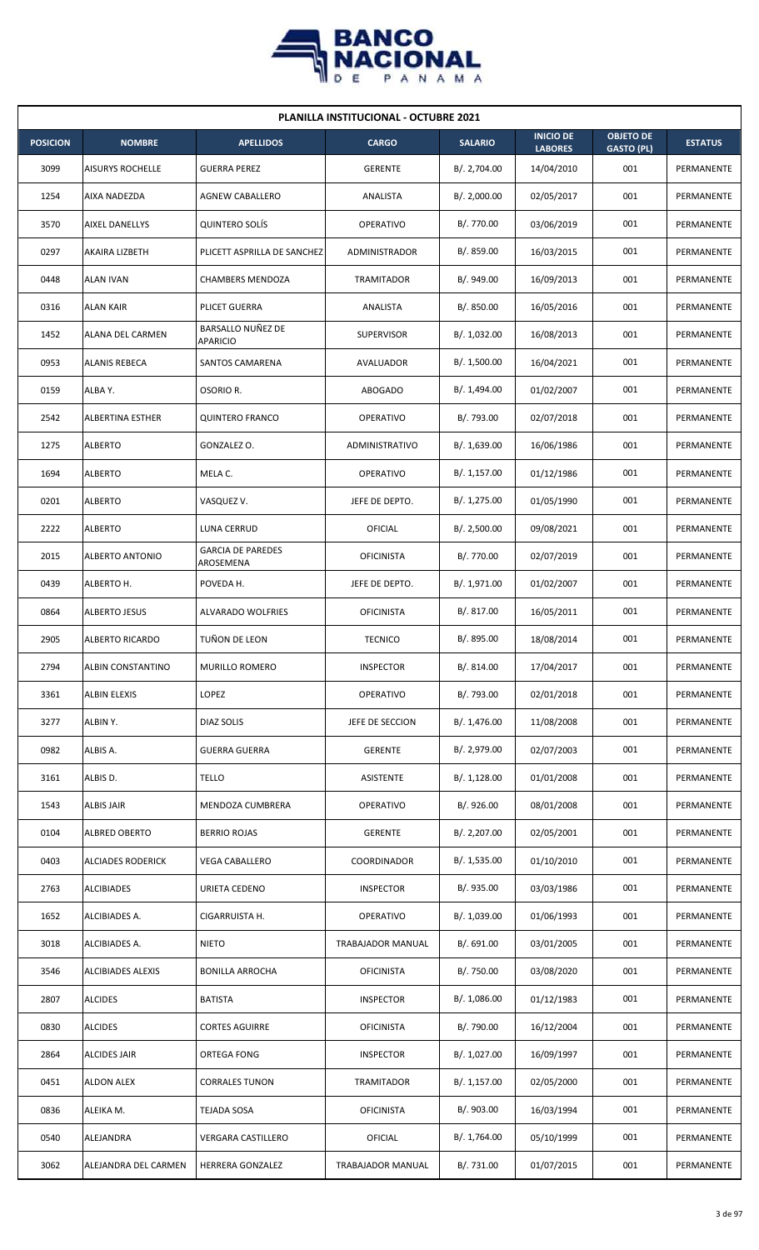

| <b>PLANILLA INSTITUCIONAL - OCTUBRE 2021</b> |                          |                                       |                       |                |                                    |                                       |                |  |  |  |
|----------------------------------------------|--------------------------|---------------------------------------|-----------------------|----------------|------------------------------------|---------------------------------------|----------------|--|--|--|
| <b>POSICION</b>                              | <b>NOMBRE</b>            | <b>APELLIDOS</b>                      | <b>CARGO</b>          | <b>SALARIO</b> | <b>INICIO DE</b><br><b>LABORES</b> | <b>OBJETO DE</b><br><b>GASTO (PL)</b> | <b>ESTATUS</b> |  |  |  |
| 3099                                         | <b>AISURYS ROCHELLE</b>  | <b>GUERRA PEREZ</b>                   | <b>GERENTE</b>        | B/. 2,704.00   | 14/04/2010                         | 001                                   | PERMANENTE     |  |  |  |
| 1254                                         | AIXA NADEZDA             | <b>AGNEW CABALLERO</b>                | ANALISTA              | B/. 2,000.00   | 02/05/2017                         | 001                                   | PERMANENTE     |  |  |  |
| 3570                                         | <b>AIXEL DANELLYS</b>    | <b>QUINTERO SOLÍS</b>                 | OPERATIVO             | B/. 770.00     | 03/06/2019                         | 001                                   | PERMANENTE     |  |  |  |
| 0297                                         | AKAIRA LIZBETH           | PLICETT ASPRILLA DE SANCHEZ           | ADMINISTRADOR         | B/. 859.00     | 16/03/2015                         | 001                                   | PERMANENTE     |  |  |  |
| 0448                                         | <b>ALAN IVAN</b>         | CHAMBERS MENDOZA                      | <b>TRAMITADOR</b>     | B/. 949.00     | 16/09/2013                         | 001                                   | PERMANENTE     |  |  |  |
| 0316                                         | <b>ALAN KAIR</b>         | PLICET GUERRA                         | ANALISTA              | B/. 850.00     | 16/05/2016                         | 001                                   | PERMANENTE     |  |  |  |
| 1452                                         | ALANA DEL CARMEN         | BARSALLO NUÑEZ DE<br>APARICIO         | <b>SUPERVISOR</b>     | B/. 1,032.00   | 16/08/2013                         | 001                                   | PERMANENTE     |  |  |  |
| 0953                                         | ALANIS REBECA            | SANTOS CAMARENA                       | AVALUADOR             | B/. 1,500.00   | 16/04/2021                         | 001                                   | PERMANENTE     |  |  |  |
| 0159                                         | ALBA Y.                  | OSORIO R.                             | <b>ABOGADO</b>        | B/. 1,494.00   | 01/02/2007                         | 001                                   | PERMANENTE     |  |  |  |
| 2542                                         | ALBERTINA ESTHER         | <b>QUINTERO FRANCO</b>                | <b>OPERATIVO</b>      | B/. 793.00     | 02/07/2018                         | 001                                   | PERMANENTE     |  |  |  |
| 1275                                         | <b>ALBERTO</b>           | GONZALEZ O.                           | <b>ADMINISTRATIVO</b> | B/.1,639.00    | 16/06/1986                         | 001                                   | PERMANENTE     |  |  |  |
| 1694                                         | <b>ALBERTO</b>           | MELA C.                               | OPERATIVO             | B/. 1,157.00   | 01/12/1986                         | 001                                   | PERMANENTE     |  |  |  |
| 0201                                         | <b>ALBERTO</b>           | VASQUEZ V.                            | JEFE DE DEPTO.        | B/. 1,275.00   | 01/05/1990                         | 001                                   | PERMANENTE     |  |  |  |
| 2222                                         | <b>ALBERTO</b>           | LUNA CERRUD                           | OFICIAL               | B/.2,500.00    | 09/08/2021                         | 001                                   | PERMANENTE     |  |  |  |
| 2015                                         | ALBERTO ANTONIO          | <b>GARCIA DE PAREDES</b><br>AROSEMENA | <b>OFICINISTA</b>     | B/. 770.00     | 02/07/2019                         | 001                                   | PERMANENTE     |  |  |  |
| 0439                                         | ALBERTO H.               | POVEDA H.                             | JEFE DE DEPTO.        | B/. 1,971.00   | 01/02/2007                         | 001                                   | PERMANENTE     |  |  |  |
| 0864                                         | <b>ALBERTO JESUS</b>     | ALVARADO WOLFRIES                     | <b>OFICINISTA</b>     | B/. 817.00     | 16/05/2011                         | 001                                   | PERMANENTE     |  |  |  |
| 2905                                         | <b>ALBERTO RICARDO</b>   | TUÑON DE LEON                         | <b>TECNICO</b>        | B/. 895.00     | 18/08/2014                         | 001                                   | PERMANENTE     |  |  |  |
| 2794                                         | ALBIN CONSTANTINO        | MURILLO ROMERO                        | <b>INSPECTOR</b>      | B/. 814.00     | 17/04/2017                         | 001                                   | PERMANENTE     |  |  |  |
| 3361                                         | ALBIN ELEXIS             | LOPEZ                                 | OPERATIVO             | B/. 793.00     | 02/01/2018                         | 001                                   | PERMANENTE     |  |  |  |
| 3277                                         | ALBIN Y.                 | DIAZ SOLIS                            | JEFE DE SECCION       | B/. 1,476.00   | 11/08/2008                         | 001                                   | PERMANENTE     |  |  |  |
| 0982                                         | ALBIS A.                 | <b>GUERRA GUERRA</b>                  | <b>GERENTE</b>        | B/. 2,979.00   | 02/07/2003                         | 001                                   | PERMANENTE     |  |  |  |
| 3161                                         | ALBIS D.                 | TELLO                                 | ASISTENTE             | B/. 1,128.00   | 01/01/2008                         | 001                                   | PERMANENTE     |  |  |  |
| 1543                                         | ALBIS JAIR               | MENDOZA CUMBRERA                      | <b>OPERATIVO</b>      | B/. 926.00     | 08/01/2008                         | 001                                   | PERMANENTE     |  |  |  |
| 0104                                         | ALBRED OBERTO            | <b>BERRIO ROJAS</b>                   | <b>GERENTE</b>        | B/. 2,207.00   | 02/05/2001                         | 001                                   | PERMANENTE     |  |  |  |
| 0403                                         | <b>ALCIADES RODERICK</b> | <b>VEGA CABALLERO</b>                 | COORDINADOR           | B/. 1,535.00   | 01/10/2010                         | 001                                   | PERMANENTE     |  |  |  |
| 2763                                         | <b>ALCIBIADES</b>        | URIETA CEDENO                         | <b>INSPECTOR</b>      | B/. 935.00     | 03/03/1986                         | 001                                   | PERMANENTE     |  |  |  |
| 1652                                         | ALCIBIADES A.            | CIGARRUISTA H.                        | OPERATIVO             | B/. 1,039.00   | 01/06/1993                         | 001                                   | PERMANENTE     |  |  |  |
| 3018                                         | ALCIBIADES A.            | <b>NIETO</b>                          | TRABAJADOR MANUAL     | B/. 691.00     | 03/01/2005                         | 001                                   | PERMANENTE     |  |  |  |
| 3546                                         | <b>ALCIBIADES ALEXIS</b> | <b>BONILLA ARROCHA</b>                | <b>OFICINISTA</b>     | B/. 750.00     | 03/08/2020                         | 001                                   | PERMANENTE     |  |  |  |
| 2807                                         | <b>ALCIDES</b>           | <b>BATISTA</b>                        | <b>INSPECTOR</b>      | B/. 1,086.00   | 01/12/1983                         | 001                                   | PERMANENTE     |  |  |  |
| 0830                                         | <b>ALCIDES</b>           | <b>CORTES AGUIRRE</b>                 | <b>OFICINISTA</b>     | B/. 790.00     | 16/12/2004                         | 001                                   | PERMANENTE     |  |  |  |
| 2864                                         | ALCIDES JAIR             | ORTEGA FONG                           | <b>INSPECTOR</b>      | B/. 1,027.00   | 16/09/1997                         | 001                                   | PERMANENTE     |  |  |  |
| 0451                                         | <b>ALDON ALEX</b>        | <b>CORRALES TUNON</b>                 | TRAMITADOR            | B/. 1,157.00   | 02/05/2000                         | 001                                   | PERMANENTE     |  |  |  |
| 0836                                         | ALEIKA M.                | TEJADA SOSA                           | <b>OFICINISTA</b>     | B/. 903.00     | 16/03/1994                         | 001                                   | PERMANENTE     |  |  |  |
| 0540                                         | ALEJANDRA                | <b>VERGARA CASTILLERO</b>             | <b>OFICIAL</b>        | B/. 1,764.00   | 05/10/1999                         | 001                                   | PERMANENTE     |  |  |  |
| 3062                                         | ALEJANDRA DEL CARMEN     | HERRERA GONZALEZ                      | TRABAJADOR MANUAL     | B/. 731.00     | 01/07/2015                         | 001                                   | PERMANENTE     |  |  |  |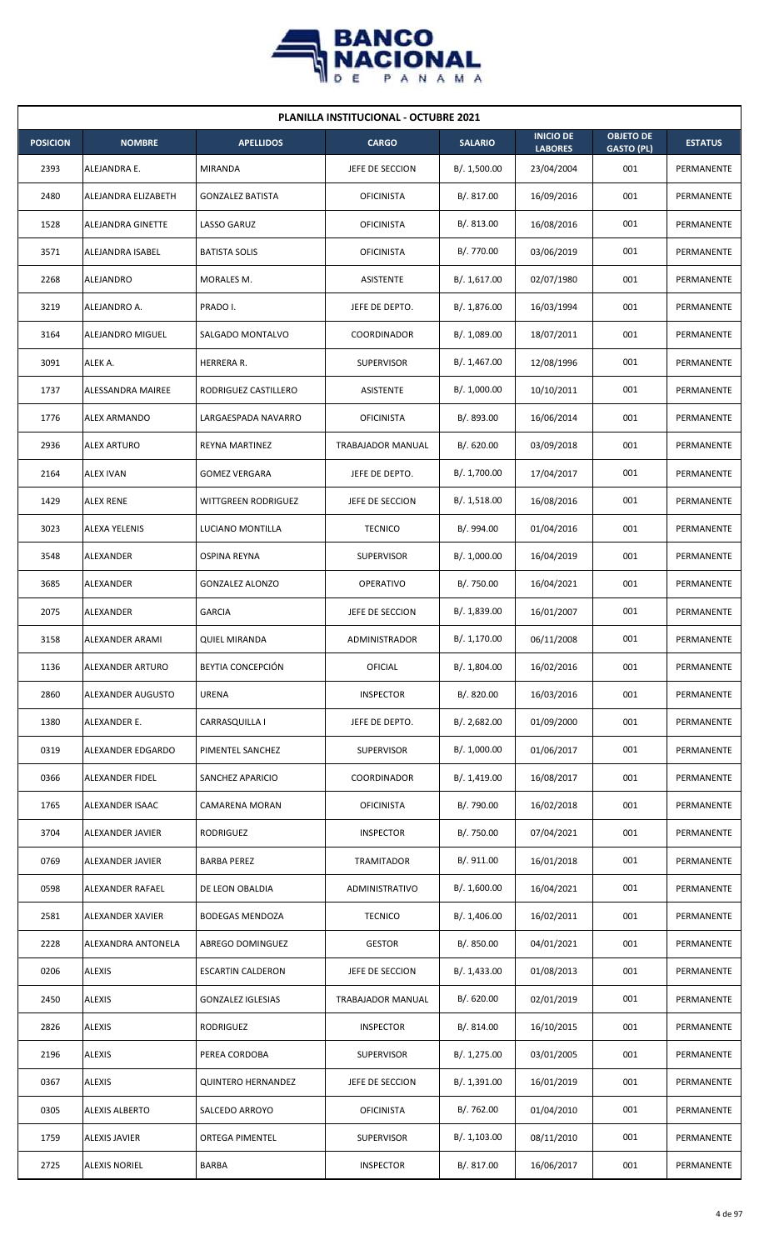

| <b>PLANILLA INSTITUCIONAL - OCTUBRE 2021</b> |                         |                           |                   |                |                                    |                                       |                   |  |  |
|----------------------------------------------|-------------------------|---------------------------|-------------------|----------------|------------------------------------|---------------------------------------|-------------------|--|--|
| <b>POSICION</b>                              | <b>NOMBRE</b>           | <b>APELLIDOS</b>          | <b>CARGO</b>      | <b>SALARIO</b> | <b>INICIO DE</b><br><b>LABORES</b> | <b>OBJETO DE</b><br><b>GASTO (PL)</b> | <b>ESTATUS</b>    |  |  |
| 2393                                         | ALEJANDRA E.            | <b>MIRANDA</b>            | JEFE DE SECCION   | B/. 1,500.00   | 23/04/2004                         | 001                                   | <b>PERMANENTE</b> |  |  |
| 2480                                         | ALEJANDRA ELIZABETH     | <b>GONZALEZ BATISTA</b>   | <b>OFICINISTA</b> | B/. 817.00     | 16/09/2016                         | 001                                   | PERMANENTE        |  |  |
| 1528                                         | ALEJANDRA GINETTE       | LASSO GARUZ               | <b>OFICINISTA</b> | B/. 813.00     | 16/08/2016                         | 001                                   | PERMANENTE        |  |  |
| 3571                                         | ALEJANDRA ISABEL        | <b>BATISTA SOLIS</b>      | <b>OFICINISTA</b> | B/. 770.00     | 03/06/2019                         | 001                                   | PERMANENTE        |  |  |
| 2268                                         | ALEJANDRO               | MORALES M.                | <b>ASISTENTE</b>  | B/. 1,617.00   | 02/07/1980                         | 001                                   | PERMANENTE        |  |  |
| 3219                                         | ALEJANDRO A.            | PRADO I.                  | JEFE DE DEPTO.    | B/. 1,876.00   | 16/03/1994                         | 001                                   | PERMANENTE        |  |  |
| 3164                                         | ALEJANDRO MIGUEL        | SALGADO MONTALVO          | COORDINADOR       | B/. 1,089.00   | 18/07/2011                         | 001                                   | PERMANENTE        |  |  |
| 3091                                         | ALEK A.                 | HERRERA R.                | <b>SUPERVISOR</b> | B/. 1,467.00   | 12/08/1996                         | 001                                   | PERMANENTE        |  |  |
| 1737                                         | ALESSANDRA MAIREE       | RODRIGUEZ CASTILLERO      | <b>ASISTENTE</b>  | B/. 1,000.00   | 10/10/2011                         | 001                                   | PERMANENTE        |  |  |
| 1776                                         | ALEX ARMANDO            | LARGAESPADA NAVARRO       | <b>OFICINISTA</b> | B/. 893.00     | 16/06/2014                         | 001                                   | PERMANENTE        |  |  |
| 2936                                         | <b>ALEX ARTURO</b>      | REYNA MARTINEZ            | TRABAJADOR MANUAL | B/. 620.00     | 03/09/2018                         | 001                                   | PERMANENTE        |  |  |
| 2164                                         | <b>ALEX IVAN</b>        | <b>GOMEZ VERGARA</b>      | JEFE DE DEPTO.    | B/. 1,700.00   | 17/04/2017                         | 001                                   | PERMANENTE        |  |  |
| 1429                                         | <b>ALEX RENE</b>        | WITTGREEN RODRIGUEZ       | JEFE DE SECCION   | B/. 1,518.00   | 16/08/2016                         | 001                                   | PERMANENTE        |  |  |
| 3023                                         | ALEXA YELENIS           | LUCIANO MONTILLA          | <b>TECNICO</b>    | B/. 994.00     | 01/04/2016                         | 001                                   | PERMANENTE        |  |  |
| 3548                                         | ALEXANDER               | OSPINA REYNA              | <b>SUPERVISOR</b> | B/. 1,000.00   | 16/04/2019                         | 001                                   | PERMANENTE        |  |  |
| 3685                                         | ALEXANDER               | <b>GONZALEZ ALONZO</b>    | <b>OPERATIVO</b>  | B/. 750.00     | 16/04/2021                         | 001                                   | PERMANENTE        |  |  |
| 2075                                         | ALEXANDER               | <b>GARCIA</b>             | JEFE DE SECCION   | B/. 1,839.00   | 16/01/2007                         | 001                                   | PERMANENTE        |  |  |
| 3158                                         | ALEXANDER ARAMI         | <b>QUIEL MIRANDA</b>      | ADMINISTRADOR     | B/. 1,170.00   | 06/11/2008                         | 001                                   | PERMANENTE        |  |  |
| 1136                                         | <b>ALEXANDER ARTURO</b> | BEYTIA CONCEPCIÓN         | OFICIAL           | B/. 1,804.00   | 16/02/2016                         | 001                                   | PERMANENTE        |  |  |
| 2860                                         | ALEXANDER AUGUSTO       | <b>URENA</b>              | <b>INSPECTOR</b>  | B/. 820.00     | 16/03/2016                         | 001                                   | PERMANENTE        |  |  |
| 1380                                         | ALEXANDER E.            | CARRASQUILLA I            | JEFE DE DEPTO.    | B/.2,682.00    | 01/09/2000                         | 001                                   | PERMANENTE        |  |  |
| 0319                                         | ALEXANDER EDGARDO       | PIMENTEL SANCHEZ          | SUPERVISOR        | B/. 1,000.00   | 01/06/2017                         | 001                                   | PERMANENTE        |  |  |
| 0366                                         | ALEXANDER FIDEL         | SANCHEZ APARICIO          | COORDINADOR       | B/. 1,419.00   | 16/08/2017                         | 001                                   | PERMANENTE        |  |  |
| 1765                                         | ALEXANDER ISAAC         | CAMARENA MORAN            | <b>OFICINISTA</b> | B/. 790.00     | 16/02/2018                         | 001                                   | PERMANENTE        |  |  |
| 3704                                         | ALEXANDER JAVIER        | RODRIGUEZ                 | <b>INSPECTOR</b>  | B/. 750.00     | 07/04/2021                         | 001                                   | PERMANENTE        |  |  |
| 0769                                         | ALEXANDER JAVIER        | <b>BARBA PEREZ</b>        | TRAMITADOR        | B/. 911.00     | 16/01/2018                         | 001                                   | PERMANENTE        |  |  |
| 0598                                         | ALEXANDER RAFAEL        | DE LEON OBALDIA           | ADMINISTRATIVO    | B/. 1,600.00   | 16/04/2021                         | 001                                   | PERMANENTE        |  |  |
| 2581                                         | ALEXANDER XAVIER        | <b>BODEGAS MENDOZA</b>    | <b>TECNICO</b>    | B/.1,406.00    | 16/02/2011                         | 001                                   | PERMANENTE        |  |  |
| 2228                                         | ALEXANDRA ANTONELA      | ABREGO DOMINGUEZ          | <b>GESTOR</b>     | B/. 850.00     | 04/01/2021                         | 001                                   | PERMANENTE        |  |  |
| 0206                                         | <b>ALEXIS</b>           | <b>ESCARTIN CALDERON</b>  | JEFE DE SECCION   | B/. 1,433.00   | 01/08/2013                         | 001                                   | PERMANENTE        |  |  |
| 2450                                         | <b>ALEXIS</b>           | <b>GONZALEZ IGLESIAS</b>  | TRABAJADOR MANUAL | B/0.620.00     | 02/01/2019                         | 001                                   | PERMANENTE        |  |  |
| 2826                                         | <b>ALEXIS</b>           | RODRIGUEZ                 | <b>INSPECTOR</b>  | B/. 814.00     | 16/10/2015                         | 001                                   | PERMANENTE        |  |  |
| 2196                                         | <b>ALEXIS</b>           | PEREA CORDOBA             | <b>SUPERVISOR</b> | B/. 1,275.00   | 03/01/2005                         | 001                                   | PERMANENTE        |  |  |
| 0367                                         | <b>ALEXIS</b>           | <b>QUINTERO HERNANDEZ</b> | JEFE DE SECCION   | B/. 1,391.00   | 16/01/2019                         | 001                                   | PERMANENTE        |  |  |
| 0305                                         | <b>ALEXIS ALBERTO</b>   | SALCEDO ARROYO            | <b>OFICINISTA</b> | B/. 762.00     | 01/04/2010                         | 001                                   | PERMANENTE        |  |  |
| 1759                                         | <b>ALEXIS JAVIER</b>    | <b>ORTEGA PIMENTEL</b>    | <b>SUPERVISOR</b> | B/. 1,103.00   | 08/11/2010                         | 001                                   | PERMANENTE        |  |  |
| 2725                                         | <b>ALEXIS NORIEL</b>    | <b>BARBA</b>              | <b>INSPECTOR</b>  | B/. 817.00     | 16/06/2017                         | 001                                   | PERMANENTE        |  |  |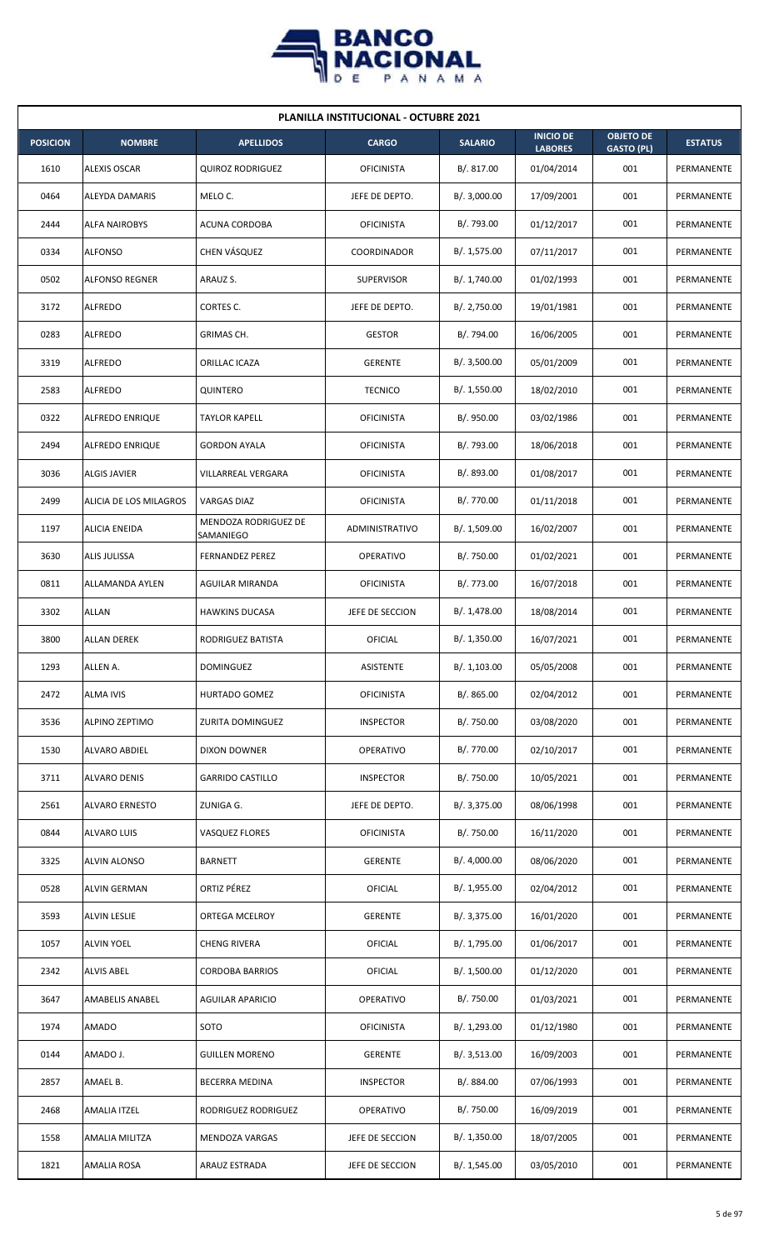

| <b>PLANILLA INSTITUCIONAL - OCTUBRE 2021</b> |                        |                                   |                    |                |                                    |                                       |                |  |  |  |
|----------------------------------------------|------------------------|-----------------------------------|--------------------|----------------|------------------------------------|---------------------------------------|----------------|--|--|--|
| <b>POSICION</b>                              | <b>NOMBRE</b>          | <b>APELLIDOS</b>                  | <b>CARGO</b>       | <b>SALARIO</b> | <b>INICIO DE</b><br><b>LABORES</b> | <b>OBJETO DE</b><br><b>GASTO (PL)</b> | <b>ESTATUS</b> |  |  |  |
| 1610                                         | <b>ALEXIS OSCAR</b>    | <b>QUIROZ RODRIGUEZ</b>           | <b>OFICINISTA</b>  | B/.817.00      | 01/04/2014                         | 001                                   | PERMANENTE     |  |  |  |
| 0464                                         | ALEYDA DAMARIS         | MELO C.                           | JEFE DE DEPTO.     | B/.3,000.00    | 17/09/2001                         | 001                                   | PERMANENTE     |  |  |  |
| 2444                                         | <b>ALFA NAIROBYS</b>   | ACUNA CORDOBA                     | <b>OFICINISTA</b>  | B/. 793.00     | 01/12/2017                         | 001                                   | PERMANENTE     |  |  |  |
| 0334                                         | <b>ALFONSO</b>         | CHEN VÁSQUEZ                      | <b>COORDINADOR</b> | B/. 1,575.00   | 07/11/2017                         | 001                                   | PERMANENTE     |  |  |  |
| 0502                                         | <b>ALFONSO REGNER</b>  | ARAUZ S.                          | <b>SUPERVISOR</b>  | B/. 1,740.00   | 01/02/1993                         | 001                                   | PERMANENTE     |  |  |  |
| 3172                                         | <b>ALFREDO</b>         | CORTES C.                         | JEFE DE DEPTO.     | B/. 2,750.00   | 19/01/1981                         | 001                                   | PERMANENTE     |  |  |  |
| 0283                                         | <b>ALFREDO</b>         | GRIMAS CH.                        | <b>GESTOR</b>      | B/. 794.00     | 16/06/2005                         | 001                                   | PERMANENTE     |  |  |  |
| 3319                                         | <b>ALFREDO</b>         | ORILLAC ICAZA                     | <b>GERENTE</b>     | B/.3,500.00    | 05/01/2009                         | 001                                   | PERMANENTE     |  |  |  |
| 2583                                         | <b>ALFREDO</b>         | <b>QUINTERO</b>                   | <b>TECNICO</b>     | B/. 1,550.00   | 18/02/2010                         | 001                                   | PERMANENTE     |  |  |  |
| 0322                                         | ALFREDO ENRIQUE        | <b>TAYLOR KAPELL</b>              | <b>OFICINISTA</b>  | B/. 950.00     | 03/02/1986                         | 001                                   | PERMANENTE     |  |  |  |
| 2494                                         | <b>ALFREDO ENRIQUE</b> | <b>GORDON AYALA</b>               | <b>OFICINISTA</b>  | B/. 793.00     | 18/06/2018                         | 001                                   | PERMANENTE     |  |  |  |
| 3036                                         | <b>ALGIS JAVIER</b>    | VILLARREAL VERGARA                | <b>OFICINISTA</b>  | B/. 893.00     | 01/08/2017                         | 001                                   | PERMANENTE     |  |  |  |
| 2499                                         | ALICIA DE LOS MILAGROS | <b>VARGAS DIAZ</b>                | <b>OFICINISTA</b>  | B/. 770.00     | 01/11/2018                         | 001                                   | PERMANENTE     |  |  |  |
| 1197                                         | ALICIA ENEIDA          | MENDOZA RODRIGUEZ DE<br>SAMANIEGO | ADMINISTRATIVO     | B/. 1,509.00   | 16/02/2007                         | 001                                   | PERMANENTE     |  |  |  |
| 3630                                         | ALIS JULISSA           | <b>FERNANDEZ PEREZ</b>            | <b>OPERATIVO</b>   | B/. 750.00     | 01/02/2021                         | 001                                   | PERMANENTE     |  |  |  |
| 0811                                         | ALLAMANDA AYLEN        | AGUILAR MIRANDA                   | <b>OFICINISTA</b>  | B/. 773.00     | 16/07/2018                         | 001                                   | PERMANENTE     |  |  |  |
| 3302                                         | <b>ALLAN</b>           | <b>HAWKINS DUCASA</b>             | JEFE DE SECCION    | B/. 1,478.00   | 18/08/2014                         | 001                                   | PERMANENTE     |  |  |  |
| 3800                                         | ALLAN DEREK            | RODRIGUEZ BATISTA                 | OFICIAL            | B/. 1,350.00   | 16/07/2021                         | 001                                   | PERMANENTE     |  |  |  |
| 1293                                         | ALLEN A.               | <b>DOMINGUEZ</b>                  | ASISTENTE          | B/. 1,103.00   | 05/05/2008                         | 001                                   | PERMANENTE     |  |  |  |
| 2472                                         | <b>ALMA IVIS</b>       | HURTADO GOMEZ                     | <b>OFICINISTA</b>  | B/. 865.00     | 02/04/2012                         | 001                                   | PERMANENTE     |  |  |  |
| 3536                                         | ALPINO ZEPTIMO         | ZURITA DOMINGUEZ                  | <b>INSPECTOR</b>   | B/. 750.00     | 03/08/2020                         | 001                                   | PERMANENTE     |  |  |  |
| 1530                                         | ALVARO ABDIEL          | <b>DIXON DOWNER</b>               | OPERATIVO          | B/. 770.00     | 02/10/2017                         | 001                                   | PERMANENTE     |  |  |  |
| 3711                                         | <b>ALVARO DENIS</b>    | <b>GARRIDO CASTILLO</b>           | <b>INSPECTOR</b>   | B/. 750.00     | 10/05/2021                         | 001                                   | PERMANENTE     |  |  |  |
| 2561                                         | <b>ALVARO ERNESTO</b>  | ZUNIGA G.                         | JEFE DE DEPTO.     | B/. 3,375.00   | 08/06/1998                         | 001                                   | PERMANENTE     |  |  |  |
| 0844                                         | ALVARO LUIS            | VASQUEZ FLORES                    | <b>OFICINISTA</b>  | B/. 750.00     | 16/11/2020                         | 001                                   | PERMANENTE     |  |  |  |
| 3325                                         | ALVIN ALONSO           | <b>BARNETT</b>                    | <b>GERENTE</b>     | B/. 4,000.00   | 08/06/2020                         | 001                                   | PERMANENTE     |  |  |  |
| 0528                                         | ALVIN GERMAN           | ORTIZ PÉREZ                       | OFICIAL            | B/. 1,955.00   | 02/04/2012                         | 001                                   | PERMANENTE     |  |  |  |
| 3593                                         | <b>ALVIN LESLIE</b>    | ORTEGA MCELROY                    | <b>GERENTE</b>     | B/. 3,375.00   | 16/01/2020                         | 001                                   | PERMANENTE     |  |  |  |
| 1057                                         | <b>ALVIN YOEL</b>      | <b>CHENG RIVERA</b>               | <b>OFICIAL</b>     | B/. 1,795.00   | 01/06/2017                         | 001                                   | PERMANENTE     |  |  |  |
| 2342                                         | <b>ALVIS ABEL</b>      | <b>CORDOBA BARRIOS</b>            | <b>OFICIAL</b>     | B/. 1,500.00   | 01/12/2020                         | 001                                   | PERMANENTE     |  |  |  |
| 3647                                         | AMABELIS ANABEL        | AGUILAR APARICIO                  | OPERATIVO          | B/. 750.00     | 01/03/2021                         | 001                                   | PERMANENTE     |  |  |  |
| 1974                                         | <b>AMADO</b>           | SOTO                              | <b>OFICINISTA</b>  | B/. 1,293.00   | 01/12/1980                         | 001                                   | PERMANENTE     |  |  |  |
| 0144                                         | AMADO J.               | <b>GUILLEN MORENO</b>             | <b>GERENTE</b>     | B/. 3,513.00   | 16/09/2003                         | 001                                   | PERMANENTE     |  |  |  |
| 2857                                         | AMAEL B.               | BECERRA MEDINA                    | <b>INSPECTOR</b>   | B/. 884.00     | 07/06/1993                         | 001                                   | PERMANENTE     |  |  |  |
| 2468                                         | AMALIA ITZEL           | RODRIGUEZ RODRIGUEZ               | OPERATIVO          | B/. 750.00     | 16/09/2019                         | 001                                   | PERMANENTE     |  |  |  |
| 1558                                         | AMALIA MILITZA         | MENDOZA VARGAS                    | JEFE DE SECCION    | B/.1,350.00    | 18/07/2005                         | 001                                   | PERMANENTE     |  |  |  |
| 1821                                         | <b>AMALIA ROSA</b>     | ARAUZ ESTRADA                     | JEFE DE SECCION    | B/.1,545.00    | 03/05/2010                         | 001                                   | PERMANENTE     |  |  |  |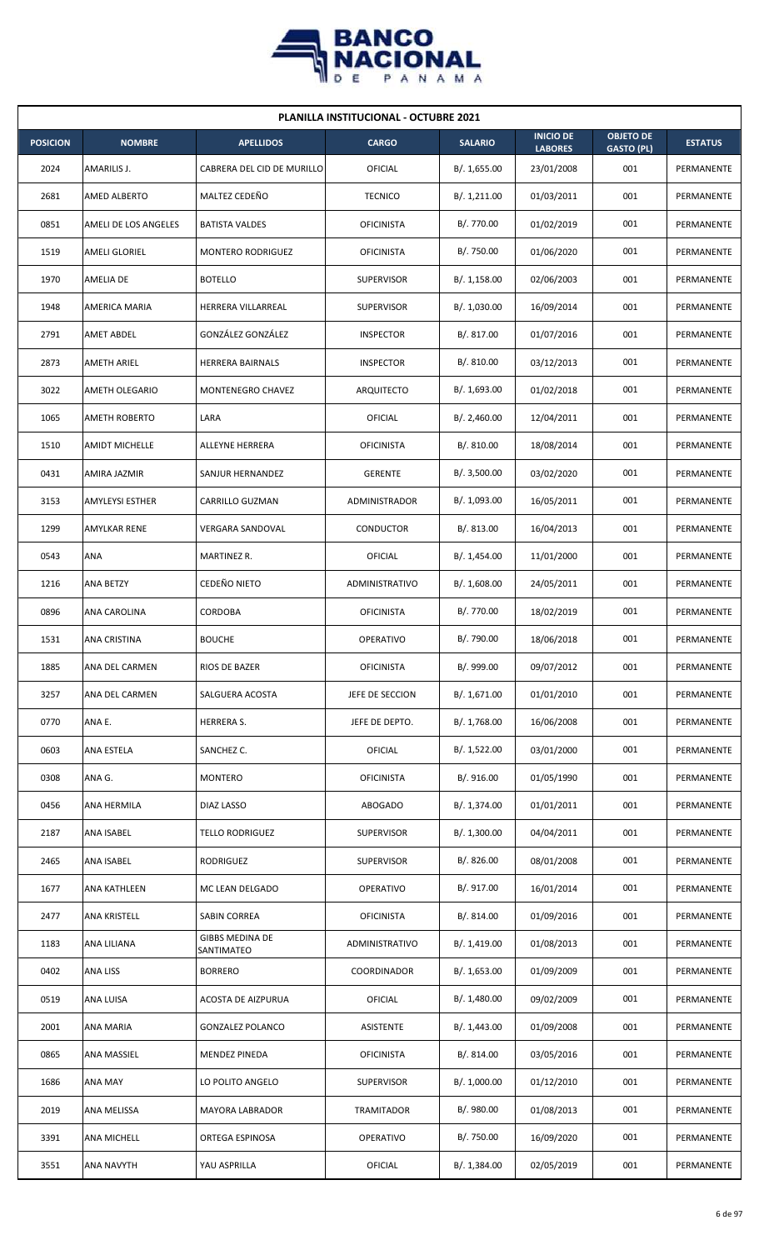

| <b>PLANILLA INSTITUCIONAL - OCTUBRE 2021</b> |                       |                                      |                   |                |                                    |                                       |                |  |  |
|----------------------------------------------|-----------------------|--------------------------------------|-------------------|----------------|------------------------------------|---------------------------------------|----------------|--|--|
| <b>POSICION</b>                              | <b>NOMBRE</b>         | <b>APELLIDOS</b>                     | <b>CARGO</b>      | <b>SALARIO</b> | <b>INICIO DE</b><br><b>LABORES</b> | <b>OBJETO DE</b><br><b>GASTO (PL)</b> | <b>ESTATUS</b> |  |  |
| 2024                                         | AMARILIS J.           | CABRERA DEL CID DE MURILLO           | OFICIAL           | B/. 1,655.00   | 23/01/2008                         | 001                                   | PERMANENTE     |  |  |
| 2681                                         | AMED ALBERTO          | MALTEZ CEDEÑO                        | <b>TECNICO</b>    | B/. 1,211.00   | 01/03/2011                         | 001                                   | PERMANENTE     |  |  |
| 0851                                         | AMELI DE LOS ANGELES  | <b>BATISTA VALDES</b>                | <b>OFICINISTA</b> | B/. 770.00     | 01/02/2019                         | 001                                   | PERMANENTE     |  |  |
| 1519                                         | <b>AMELI GLORIEL</b>  | <b>MONTERO RODRIGUEZ</b>             | <b>OFICINISTA</b> | B/. 750.00     | 01/06/2020                         | 001                                   | PERMANENTE     |  |  |
| 1970                                         | AMELIA DE             | <b>BOTELLO</b>                       | <b>SUPERVISOR</b> | B/. 1,158.00   | 02/06/2003                         | 001                                   | PERMANENTE     |  |  |
| 1948                                         | AMERICA MARIA         | HERRERA VILLARREAL                   | <b>SUPERVISOR</b> | B/. 1,030.00   | 16/09/2014                         | 001                                   | PERMANENTE     |  |  |
| 2791                                         | <b>AMET ABDEL</b>     | GONZÁLEZ GONZÁLEZ                    | <b>INSPECTOR</b>  | B/.817.00      | 01/07/2016                         | 001                                   | PERMANENTE     |  |  |
| 2873                                         | AMETH ARIEL           | HERRERA BAIRNALS                     | <b>INSPECTOR</b>  | B/.810.00      | 03/12/2013                         | 001                                   | PERMANENTE     |  |  |
| 3022                                         | <b>AMETH OLEGARIO</b> | MONTENEGRO CHAVEZ                    | ARQUITECTO        | B/. 1,693.00   | 01/02/2018                         | 001                                   | PERMANENTE     |  |  |
| 1065                                         | <b>AMETH ROBERTO</b>  | LARA                                 | OFICIAL           | B/. 2,460.00   | 12/04/2011                         | 001                                   | PERMANENTE     |  |  |
| 1510                                         | <b>AMIDT MICHELLE</b> | ALLEYNE HERRERA                      | <b>OFICINISTA</b> | B/. 810.00     | 18/08/2014                         | 001                                   | PERMANENTE     |  |  |
| 0431                                         | AMIRA JAZMIR          | SANJUR HERNANDEZ                     | <b>GERENTE</b>    | B/. 3,500.00   | 03/02/2020                         | 001                                   | PERMANENTE     |  |  |
| 3153                                         | AMYLEYSI ESTHER       | CARRILLO GUZMAN                      | ADMINISTRADOR     | B/. 1,093.00   | 16/05/2011                         | 001                                   | PERMANENTE     |  |  |
| 1299                                         | AMYLKAR RENE          | <b>VERGARA SANDOVAL</b>              | <b>CONDUCTOR</b>  | B/. 813.00     | 16/04/2013                         | 001                                   | PERMANENTE     |  |  |
| 0543                                         | ANA                   | MARTINEZ R.                          | OFICIAL           | B/. 1,454.00   | 11/01/2000                         | 001                                   | PERMANENTE     |  |  |
| 1216                                         | <b>ANA BETZY</b>      | CEDEÑO NIETO                         | ADMINISTRATIVO    | B/.1,608.00    | 24/05/2011                         | 001                                   | PERMANENTE     |  |  |
| 0896                                         | ANA CAROLINA          | <b>CORDOBA</b>                       | <b>OFICINISTA</b> | B/. 770.00     | 18/02/2019                         | 001                                   | PERMANENTE     |  |  |
| 1531                                         | ANA CRISTINA          | <b>BOUCHE</b>                        | <b>OPERATIVO</b>  | B/. 790.00     | 18/06/2018                         | 001                                   | PERMANENTE     |  |  |
| 1885                                         | ANA DEL CARMEN        | RIOS DE BAZER                        | <b>OFICINISTA</b> | B/. 999.00     | 09/07/2012                         | 001                                   | PERMANENTE     |  |  |
| 3257                                         | ANA DEL CARMEN        | SALGUERA ACOSTA                      | JEFE DE SECCION   | B/. 1,671.00   | 01/01/2010                         | 001                                   | PERMANENTE     |  |  |
| 0770                                         | ANA E.                | <b>HERRERA S.</b>                    | JEFE DE DEPTO.    | B/. 1,768.00   | 16/06/2008                         | 001                                   | PERMANENTE     |  |  |
| 0603                                         | ANA ESTELA            | SANCHEZ C.                           | OFICIAL           | B/. 1,522.00   | 03/01/2000                         | 001                                   | PERMANENTE     |  |  |
| 0308                                         | ANA G.                | <b>MONTERO</b>                       | <b>OFICINISTA</b> | B/. 916.00     | 01/05/1990                         | 001                                   | PERMANENTE     |  |  |
| 0456                                         | ANA HERMILA           | DIAZ LASSO                           | ABOGADO           | B/. 1,374.00   | 01/01/2011                         | 001                                   | PERMANENTE     |  |  |
| 2187                                         | ANA ISABEL            | <b>TELLO RODRIGUEZ</b>               | <b>SUPERVISOR</b> | B/.1,300.00    | 04/04/2011                         | 001                                   | PERMANENTE     |  |  |
| 2465                                         | ANA ISABEL            | RODRIGUEZ                            | <b>SUPERVISOR</b> | B/. 826.00     | 08/01/2008                         | 001                                   | PERMANENTE     |  |  |
| 1677                                         | ANA KATHLEEN          | MC LEAN DELGADO                      | OPERATIVO         | B/. 917.00     | 16/01/2014                         | 001                                   | PERMANENTE     |  |  |
| 2477                                         | ANA KRISTELL          | SABIN CORREA                         | <b>OFICINISTA</b> | B/. 814.00     | 01/09/2016                         | 001                                   | PERMANENTE     |  |  |
| 1183                                         | ANA LILIANA           | <b>GIBBS MEDINA DE</b><br>SANTIMATEO | ADMINISTRATIVO    | B/. 1,419.00   | 01/08/2013                         | 001                                   | PERMANENTE     |  |  |
| 0402                                         | ANA LISS              | <b>BORRERO</b>                       | COORDINADOR       | B/. 1,653.00   | 01/09/2009                         | 001                                   | PERMANENTE     |  |  |
| 0519                                         | ANA LUISA             | ACOSTA DE AIZPURUA                   | <b>OFICIAL</b>    | B/. 1,480.00   | 09/02/2009                         | 001                                   | PERMANENTE     |  |  |
| 2001                                         | ANA MARIA             | <b>GONZALEZ POLANCO</b>              | ASISTENTE         | B/.1,443.00    | 01/09/2008                         | 001                                   | PERMANENTE     |  |  |
| 0865                                         | ANA MASSIEL           | <b>MENDEZ PINEDA</b>                 | <b>OFICINISTA</b> | B/. 814.00     | 03/05/2016                         | 001                                   | PERMANENTE     |  |  |
| 1686                                         | ANA MAY               | LO POLITO ANGELO                     | <b>SUPERVISOR</b> | B/. 1,000.00   | 01/12/2010                         | 001                                   | PERMANENTE     |  |  |
| 2019                                         | ANA MELISSA           | MAYORA LABRADOR                      | <b>TRAMITADOR</b> | B/. 980.00     | 01/08/2013                         | 001                                   | PERMANENTE     |  |  |
| 3391                                         | ANA MICHELL           | ORTEGA ESPINOSA                      | OPERATIVO         | B/. 750.00     | 16/09/2020                         | 001                                   | PERMANENTE     |  |  |
| 3551                                         | ANA NAVYTH            | YAU ASPRILLA                         | <b>OFICIAL</b>    | B/.1,384.00    | 02/05/2019                         | 001                                   | PERMANENTE     |  |  |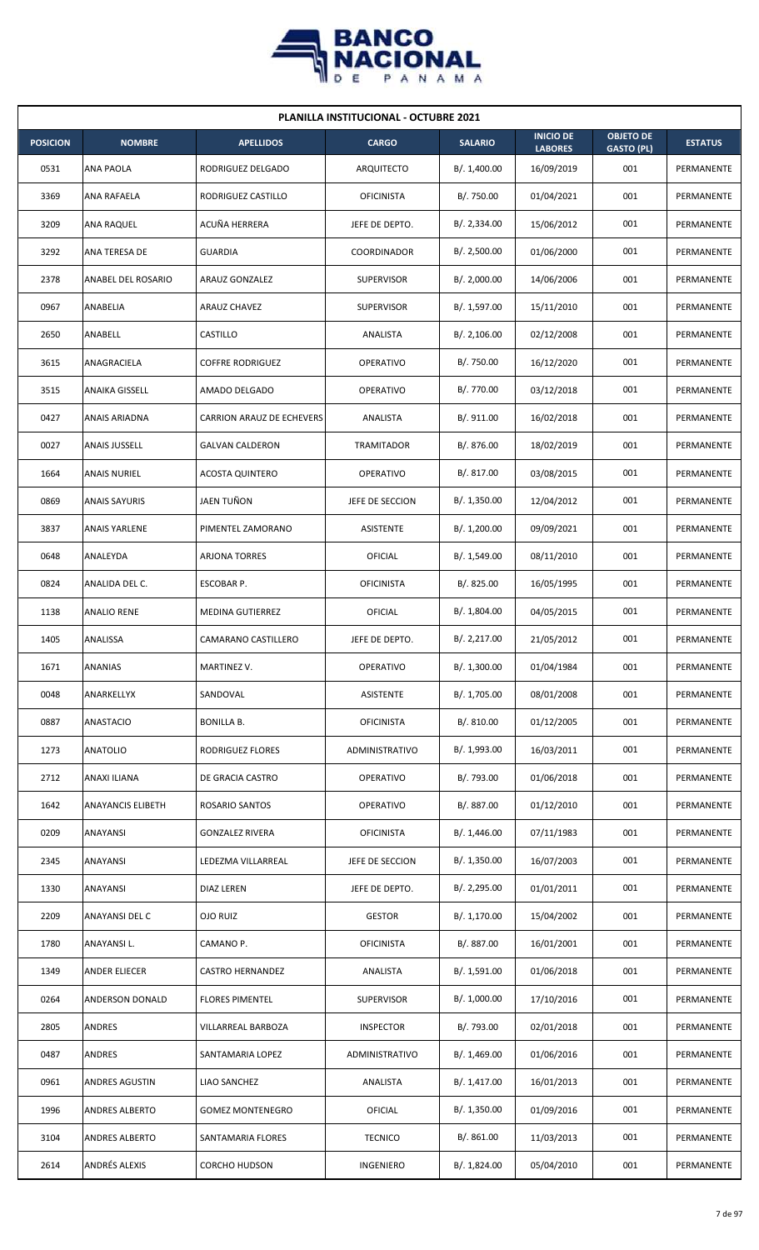

| <b>PLANILLA INSTITUCIONAL - OCTUBRE 2021</b> |                          |                           |                   |                |                                    |                                       |                |  |  |
|----------------------------------------------|--------------------------|---------------------------|-------------------|----------------|------------------------------------|---------------------------------------|----------------|--|--|
| <b>POSICION</b>                              | <b>NOMBRE</b>            | <b>APELLIDOS</b>          | <b>CARGO</b>      | <b>SALARIO</b> | <b>INICIO DE</b><br><b>LABORES</b> | <b>OBJETO DE</b><br><b>GASTO (PL)</b> | <b>ESTATUS</b> |  |  |
| 0531                                         | <b>ANA PAOLA</b>         | RODRIGUEZ DELGADO         | ARQUITECTO        | B/. 1,400.00   | 16/09/2019                         | 001                                   | PERMANENTE     |  |  |
| 3369                                         | ANA RAFAELA              | RODRIGUEZ CASTILLO        | <b>OFICINISTA</b> | B/. 750.00     | 01/04/2021                         | 001                                   | PERMANENTE     |  |  |
| 3209                                         | ANA RAQUEL               | ACUÑA HERRERA             | JEFE DE DEPTO.    | B/.2,334.00    | 15/06/2012                         | 001                                   | PERMANENTE     |  |  |
| 3292                                         | ANA TERESA DE            | <b>GUARDIA</b>            | COORDINADOR       | B/.2,500.00    | 01/06/2000                         | 001                                   | PERMANENTE     |  |  |
| 2378                                         | ANABEL DEL ROSARIO       | <b>ARAUZ GONZALEZ</b>     | <b>SUPERVISOR</b> | B/.2,000.00    | 14/06/2006                         | 001                                   | PERMANENTE     |  |  |
| 0967                                         | ANABELIA                 | <b>ARAUZ CHAVEZ</b>       | <b>SUPERVISOR</b> | B/. 1,597.00   | 15/11/2010                         | 001                                   | PERMANENTE     |  |  |
| 2650                                         | ANABELL                  | CASTILLO                  | ANALISTA          | B/.2,106.00    | 02/12/2008                         | 001                                   | PERMANENTE     |  |  |
| 3615                                         | ANAGRACIELA              | <b>COFFRE RODRIGUEZ</b>   | <b>OPERATIVO</b>  | B/. 750.00     | 16/12/2020                         | 001                                   | PERMANENTE     |  |  |
| 3515                                         | ANAIKA GISSELL           | AMADO DELGADO             | <b>OPERATIVO</b>  | B/. 770.00     | 03/12/2018                         | 001                                   | PERMANENTE     |  |  |
| 0427                                         | ANAIS ARIADNA            | CARRION ARAUZ DE ECHEVERS | ANALISTA          | B/. 911.00     | 16/02/2018                         | 001                                   | PERMANENTE     |  |  |
| 0027                                         | <b>ANAIS JUSSELL</b>     | <b>GALVAN CALDERON</b>    | TRAMITADOR        | B/. 876.00     | 18/02/2019                         | 001                                   | PERMANENTE     |  |  |
| 1664                                         | <b>ANAIS NURIEL</b>      | <b>ACOSTA QUINTERO</b>    | OPERATIVO         | B/. 817.00     | 03/08/2015                         | 001                                   | PERMANENTE     |  |  |
| 0869                                         | <b>ANAIS SAYURIS</b>     | JAEN TUÑON                | JEFE DE SECCION   | B/. 1,350.00   | 12/04/2012                         | 001                                   | PERMANENTE     |  |  |
| 3837                                         | ANAIS YARLENE            | PIMENTEL ZAMORANO         | ASISTENTE         | B/. 1,200.00   | 09/09/2021                         | 001                                   | PERMANENTE     |  |  |
| 0648                                         | ANALEYDA                 | <b>ARJONA TORRES</b>      | OFICIAL           | B/. 1,549.00   | 08/11/2010                         | 001                                   | PERMANENTE     |  |  |
| 0824                                         | ANALIDA DEL C.           | ESCOBAR P.                | <b>OFICINISTA</b> | B/. 825.00     | 16/05/1995                         | 001                                   | PERMANENTE     |  |  |
| 1138                                         | <b>ANALIO RENE</b>       | MEDINA GUTIERREZ          | OFICIAL           | B/. 1,804.00   | 04/05/2015                         | 001                                   | PERMANENTE     |  |  |
| 1405                                         | <b>ANALISSA</b>          | CAMARANO CASTILLERO       | JEFE DE DEPTO.    | B/.2,217.00    | 21/05/2012                         | 001                                   | PERMANENTE     |  |  |
| 1671                                         | ANANIAS                  | MARTINEZ V.               | OPERATIVO         | B/. 1,300.00   | 01/04/1984                         | 001                                   | PERMANENTE     |  |  |
| 0048                                         | ANARKELLYX               | SANDOVAL                  | ASISTENTE         | B/. 1,705.00   | 08/01/2008                         | 001                                   | PERMANENTE     |  |  |
| 0887                                         | ANASTACIO                | <b>BONILLA B.</b>         | <b>OFICINISTA</b> | B/. 810.00     | 01/12/2005                         | 001                                   | PERMANENTE     |  |  |
| 1273                                         | <b>ANATOLIO</b>          | RODRIGUEZ FLORES          | ADMINISTRATIVO    | B/. 1,993.00   | 16/03/2011                         | 001                                   | PERMANENTE     |  |  |
| 2712                                         | ANAXI ILIANA             | DE GRACIA CASTRO          | OPERATIVO         | B/. 793.00     | 01/06/2018                         | 001                                   | PERMANENTE     |  |  |
| 1642                                         | <b>ANAYANCIS ELIBETH</b> | ROSARIO SANTOS            | <b>OPERATIVO</b>  | B/. 887.00     | 01/12/2010                         | 001                                   | PERMANENTE     |  |  |
| 0209                                         | ANAYANSI                 | <b>GONZALEZ RIVERA</b>    | <b>OFICINISTA</b> | B/.1,446.00    | 07/11/1983                         | 001                                   | PERMANENTE     |  |  |
| 2345                                         | ANAYANSI                 | LEDEZMA VILLARREAL        | JEFE DE SECCION   | B/.1,350.00    | 16/07/2003                         | 001                                   | PERMANENTE     |  |  |
| 1330                                         | ANAYANSI                 | DIAZ LEREN                | JEFE DE DEPTO.    | B/.2,295.00    | 01/01/2011                         | 001                                   | PERMANENTE     |  |  |
| 2209                                         | ANAYANSI DEL C           | OJO RUIZ                  | <b>GESTOR</b>     | B/.1,170.00    | 15/04/2002                         | 001                                   | PERMANENTE     |  |  |
| 1780                                         | ANAYANSI L.              | CAMANO P.                 | <b>OFICINISTA</b> | B/. 887.00     | 16/01/2001                         | 001                                   | PERMANENTE     |  |  |
| 1349                                         | ANDER ELIECER            | <b>CASTRO HERNANDEZ</b>   | ANALISTA          | B/. 1,591.00   | 01/06/2018                         | 001                                   | PERMANENTE     |  |  |
| 0264                                         | ANDERSON DONALD          | <b>FLORES PIMENTEL</b>    | <b>SUPERVISOR</b> | B/. 1,000.00   | 17/10/2016                         | 001                                   | PERMANENTE     |  |  |
| 2805                                         | ANDRES                   | VILLARREAL BARBOZA        | <b>INSPECTOR</b>  | B/. 793.00     | 02/01/2018                         | 001                                   | PERMANENTE     |  |  |
| 0487                                         | ANDRES                   | SANTAMARIA LOPEZ          | ADMINISTRATIVO    | B/. 1,469.00   | 01/06/2016                         | 001                                   | PERMANENTE     |  |  |
| 0961                                         | ANDRES AGUSTIN           | LIAO SANCHEZ              | ANALISTA          | B/. 1,417.00   | 16/01/2013                         | 001                                   | PERMANENTE     |  |  |
| 1996                                         | ANDRES ALBERTO           | <b>GOMEZ MONTENEGRO</b>   | <b>OFICIAL</b>    | B/. 1,350.00   | 01/09/2016                         | 001                                   | PERMANENTE     |  |  |
| 3104                                         | <b>ANDRES ALBERTO</b>    | SANTAMARIA FLORES         | <b>TECNICO</b>    | B/. 861.00     | 11/03/2013                         | 001                                   | PERMANENTE     |  |  |
| 2614                                         | ANDRÉS ALEXIS            | <b>CORCHO HUDSON</b>      | INGENIERO         | B/. 1,824.00   | 05/04/2010                         | 001                                   | PERMANENTE     |  |  |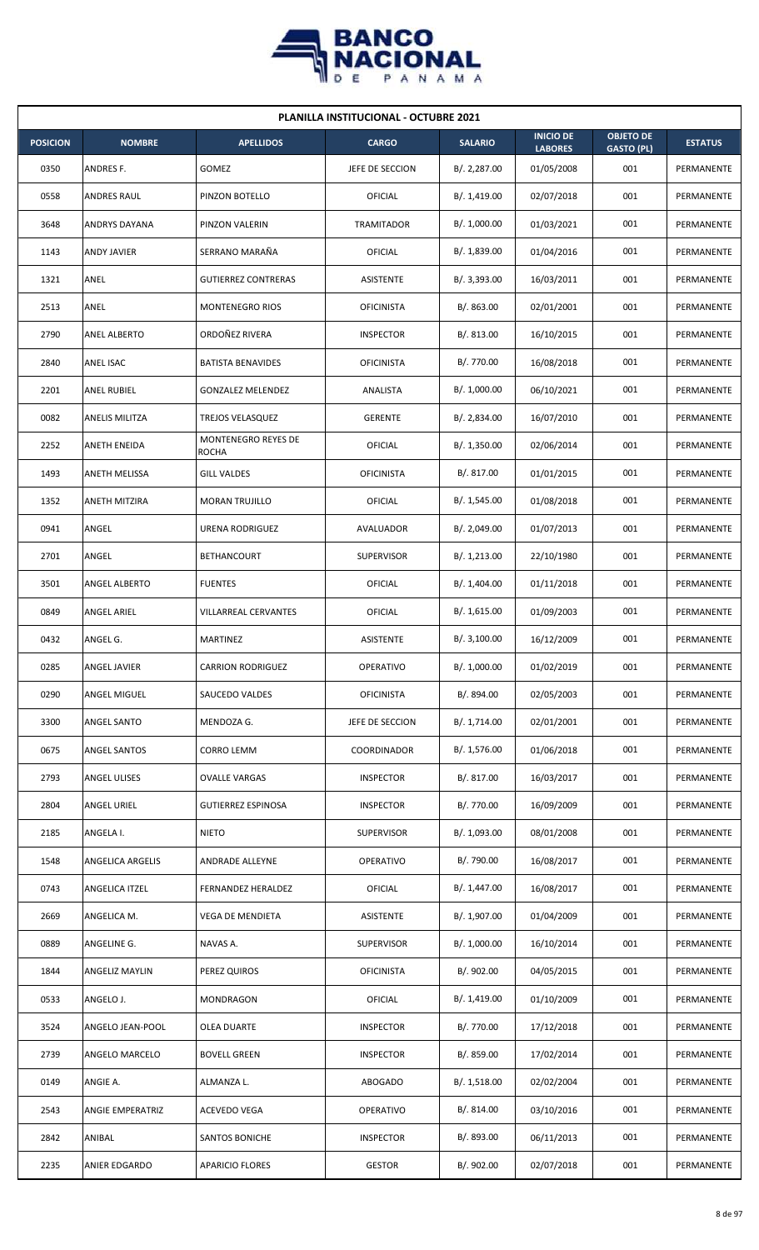

| <b>PLANILLA INSTITUCIONAL - OCTUBRE 2021</b> |                      |                                     |                   |                |                                    |                                       |                |  |  |  |
|----------------------------------------------|----------------------|-------------------------------------|-------------------|----------------|------------------------------------|---------------------------------------|----------------|--|--|--|
| <b>POSICION</b>                              | <b>NOMBRE</b>        | <b>APELLIDOS</b>                    | <b>CARGO</b>      | <b>SALARIO</b> | <b>INICIO DE</b><br><b>LABORES</b> | <b>OBJETO DE</b><br><b>GASTO (PL)</b> | <b>ESTATUS</b> |  |  |  |
| 0350                                         | ANDRES F.            | GOMEZ                               | JEFE DE SECCION   | B/. 2,287.00   | 01/05/2008                         | 001                                   | PERMANENTE     |  |  |  |
| 0558                                         | <b>ANDRES RAUL</b>   | PINZON BOTELLO                      | OFICIAL           | B/.1,419.00    | 02/07/2018                         | 001                                   | PERMANENTE     |  |  |  |
| 3648                                         | ANDRYS DAYANA        | PINZON VALERIN                      | TRAMITADOR        | B/. 1,000.00   | 01/03/2021                         | 001                                   | PERMANENTE     |  |  |  |
| 1143                                         | <b>ANDY JAVIER</b>   | SERRANO MARAÑA                      | OFICIAL           | B/. 1,839.00   | 01/04/2016                         | 001                                   | PERMANENTE     |  |  |  |
| 1321                                         | ANEL                 | <b>GUTIERREZ CONTRERAS</b>          | <b>ASISTENTE</b>  | B/. 3,393.00   | 16/03/2011                         | 001                                   | PERMANENTE     |  |  |  |
| 2513                                         | ANEL                 | <b>MONTENEGRO RIOS</b>              | <b>OFICINISTA</b> | B/. 863.00     | 02/01/2001                         | 001                                   | PERMANENTE     |  |  |  |
| 2790                                         | <b>ANEL ALBERTO</b>  | ORDOÑEZ RIVERA                      | <b>INSPECTOR</b>  | B/. 813.00     | 16/10/2015                         | 001                                   | PERMANENTE     |  |  |  |
| 2840                                         | <b>ANEL ISAC</b>     | <b>BATISTA BENAVIDES</b>            | <b>OFICINISTA</b> | B/. 770.00     | 16/08/2018                         | 001                                   | PERMANENTE     |  |  |  |
| 2201                                         | ANEL RUBIEL          | <b>GONZALEZ MELENDEZ</b>            | ANALISTA          | B/. 1,000.00   | 06/10/2021                         | 001                                   | PERMANENTE     |  |  |  |
| 0082                                         | ANELIS MILITZA       | <b>TREJOS VELASQUEZ</b>             | <b>GERENTE</b>    | B/. 2,834.00   | 16/07/2010                         | 001                                   | PERMANENTE     |  |  |  |
| 2252                                         | <b>ANETH ENEIDA</b>  | MONTENEGRO REYES DE<br><b>ROCHA</b> | OFICIAL           | B/. 1,350.00   | 02/06/2014                         | 001                                   | PERMANENTE     |  |  |  |
| 1493                                         | ANETH MELISSA        | <b>GILL VALDES</b>                  | <b>OFICINISTA</b> | B/. 817.00     | 01/01/2015                         | 001                                   | PERMANENTE     |  |  |  |
| 1352                                         | ANETH MITZIRA        | <b>MORAN TRUJILLO</b>               | OFICIAL           | B/. 1,545.00   | 01/08/2018                         | 001                                   | PERMANENTE     |  |  |  |
| 0941                                         | ANGEL                | URENA RODRIGUEZ                     | AVALUADOR         | B/. 2,049.00   | 01/07/2013                         | 001                                   | PERMANENTE     |  |  |  |
| 2701                                         | ANGEL                | <b>BETHANCOURT</b>                  | <b>SUPERVISOR</b> | B/. 1,213.00   | 22/10/1980                         | 001                                   | PERMANENTE     |  |  |  |
| 3501                                         | ANGEL ALBERTO        | <b>FUENTES</b>                      | OFICIAL           | B/. 1,404.00   | 01/11/2018                         | 001                                   | PERMANENTE     |  |  |  |
| 0849                                         | ANGEL ARIEL          | VILLARREAL CERVANTES                | OFICIAL           | B/. 1,615.00   | 01/09/2003                         | 001                                   | PERMANENTE     |  |  |  |
| 0432                                         | ANGEL G.             | <b>MARTINEZ</b>                     | ASISTENTE         | B/.3,100.00    | 16/12/2009                         | 001                                   | PERMANENTE     |  |  |  |
| 0285                                         | <b>ANGEL JAVIER</b>  | <b>CARRION RODRIGUEZ</b>            | OPERATIVO         | B/. 1,000.00   | 01/02/2019                         | 001                                   | PERMANENTE     |  |  |  |
| 0290                                         | ANGEL MIGUEL         | SAUCEDO VALDES                      | <b>OFICINISTA</b> | B/. 894.00     | 02/05/2003                         | 001                                   | PERMANENTE     |  |  |  |
| 3300                                         | ANGEL SANTO          | MENDOZA G.                          | JEFE DE SECCION   | B/. 1,714.00   | 02/01/2001                         | 001                                   | PERMANENTE     |  |  |  |
| 0675                                         | <b>ANGEL SANTOS</b>  | <b>CORRO LEMM</b>                   | COORDINADOR       | B/. 1,576.00   | 01/06/2018                         | 001                                   | PERMANENTE     |  |  |  |
| 2793                                         | ANGEL ULISES         | <b>OVALLE VARGAS</b>                | <b>INSPECTOR</b>  | B/. 817.00     | 16/03/2017                         | 001                                   | PERMANENTE     |  |  |  |
| 2804                                         | ANGEL URIEL          | <b>GUTIERREZ ESPINOSA</b>           | <b>INSPECTOR</b>  | B/. 770.00     | 16/09/2009                         | 001                                   | PERMANENTE     |  |  |  |
| 2185                                         | ANGELA I.            | <b>NIETO</b>                        | SUPERVISOR        | B/. 1,093.00   | 08/01/2008                         | 001                                   | PERMANENTE     |  |  |  |
| 1548                                         | ANGELICA ARGELIS     | <b>ANDRADE ALLEYNE</b>              | <b>OPERATIVO</b>  | B/. 790.00     | 16/08/2017                         | 001                                   | PERMANENTE     |  |  |  |
| 0743                                         | ANGELICA ITZEL       | FERNANDEZ HERALDEZ                  | OFICIAL           | B/. 1,447.00   | 16/08/2017                         | 001                                   | PERMANENTE     |  |  |  |
| 2669                                         | ANGELICA M.          | VEGA DE MENDIETA                    | ASISTENTE         | B/. 1,907.00   | 01/04/2009                         | 001                                   | PERMANENTE     |  |  |  |
| 0889                                         | ANGELINE G.          | NAVAS A.                            | SUPERVISOR        | B/. 1,000.00   | 16/10/2014                         | 001                                   | PERMANENTE     |  |  |  |
| 1844                                         | ANGELIZ MAYLIN       | PEREZ QUIROS                        | <b>OFICINISTA</b> | B/. 902.00     | 04/05/2015                         | 001                                   | PERMANENTE     |  |  |  |
| 0533                                         | ANGELO J.            | MONDRAGON                           | OFICIAL           | B/. 1,419.00   | 01/10/2009                         | 001                                   | PERMANENTE     |  |  |  |
| 3524                                         | ANGELO JEAN-POOL     | OLEA DUARTE                         | <b>INSPECTOR</b>  | B/. 770.00     | 17/12/2018                         | 001                                   | PERMANENTE     |  |  |  |
| 2739                                         | ANGELO MARCELO       | <b>BOVELL GREEN</b>                 | <b>INSPECTOR</b>  | B/. 859.00     | 17/02/2014                         | 001                                   | PERMANENTE     |  |  |  |
| 0149                                         | ANGIE A.             | ALMANZA L.                          | <b>ABOGADO</b>    | B/. 1,518.00   | 02/02/2004                         | 001                                   | PERMANENTE     |  |  |  |
| 2543                                         | ANGIE EMPERATRIZ     | ACEVEDO VEGA                        | <b>OPERATIVO</b>  | B/. 814.00     | 03/10/2016                         | 001                                   | PERMANENTE     |  |  |  |
| 2842                                         | ANIBAL               | SANTOS BONICHE                      | <b>INSPECTOR</b>  | B/. 893.00     | 06/11/2013                         | 001                                   | PERMANENTE     |  |  |  |
| 2235                                         | <b>ANIER EDGARDO</b> | <b>APARICIO FLORES</b>              | <b>GESTOR</b>     | B/. 902.00     | 02/07/2018                         | 001                                   | PERMANENTE     |  |  |  |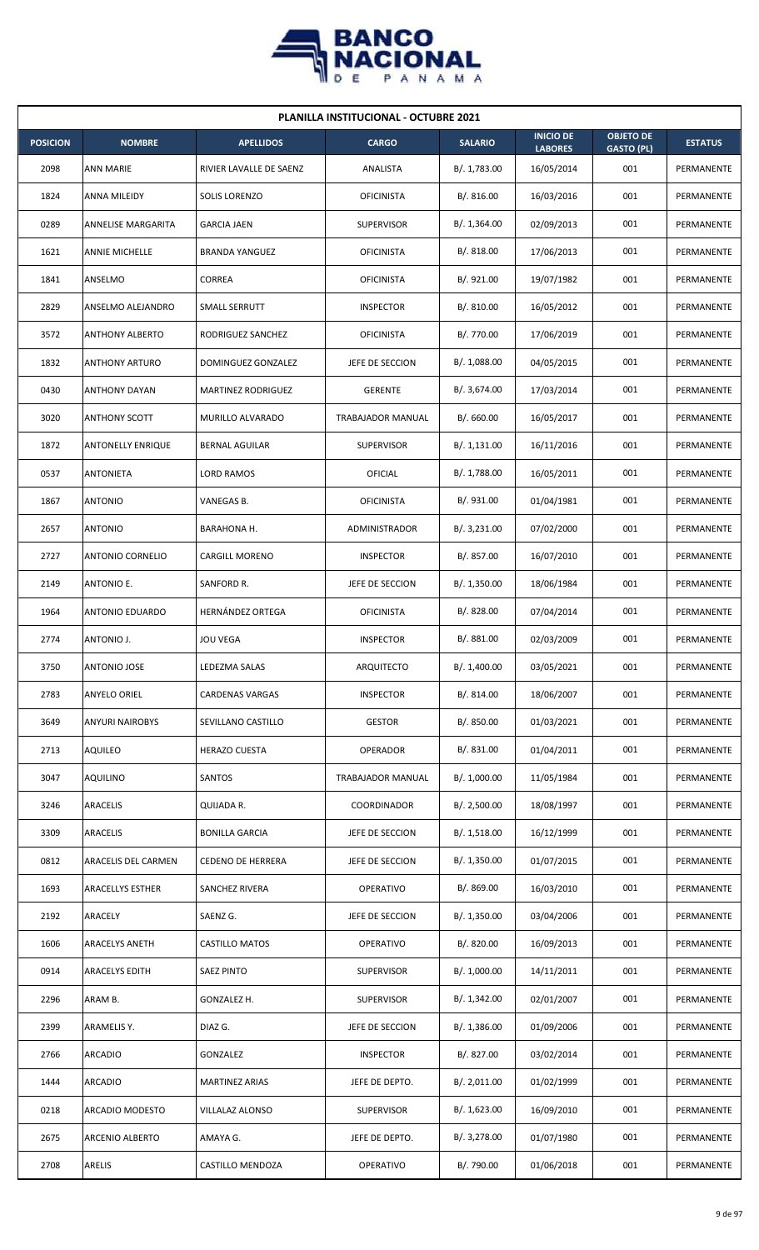

| <b>PLANILLA INSTITUCIONAL - OCTUBRE 2021</b> |                          |                          |                   |                |                                    |                                       |                |  |  |  |
|----------------------------------------------|--------------------------|--------------------------|-------------------|----------------|------------------------------------|---------------------------------------|----------------|--|--|--|
| <b>POSICION</b>                              | <b>NOMBRE</b>            | <b>APELLIDOS</b>         | <b>CARGO</b>      | <b>SALARIO</b> | <b>INICIO DE</b><br><b>LABORES</b> | <b>OBJETO DE</b><br><b>GASTO (PL)</b> | <b>ESTATUS</b> |  |  |  |
| 2098                                         | <b>ANN MARIE</b>         | RIVIER LAVALLE DE SAENZ  | ANALISTA          | B/. 1,783.00   | 16/05/2014                         | 001                                   | PERMANENTE     |  |  |  |
| 1824                                         | ANNA MILEIDY             | SOLIS LORENZO            | <b>OFICINISTA</b> | B/.816.00      | 16/03/2016                         | 001                                   | PERMANENTE     |  |  |  |
| 0289                                         | ANNELISE MARGARITA       | <b>GARCIA JAEN</b>       | <b>SUPERVISOR</b> | B/. 1,364.00   | 02/09/2013                         | 001                                   | PERMANENTE     |  |  |  |
| 1621                                         | <b>ANNIE MICHELLE</b>    | <b>BRANDA YANGUEZ</b>    | <b>OFICINISTA</b> | B/. 818.00     | 17/06/2013                         | 001                                   | PERMANENTE     |  |  |  |
| 1841                                         | ANSELMO                  | CORREA                   | <b>OFICINISTA</b> | B/. 921.00     | 19/07/1982                         | 001                                   | PERMANENTE     |  |  |  |
| 2829                                         | ANSELMO ALEJANDRO        | SMALL SERRUTT            | <b>INSPECTOR</b>  | B/.810.00      | 16/05/2012                         | 001                                   | PERMANENTE     |  |  |  |
| 3572                                         | <b>ANTHONY ALBERTO</b>   | RODRIGUEZ SANCHEZ        | <b>OFICINISTA</b> | B/. 770.00     | 17/06/2019                         | 001                                   | PERMANENTE     |  |  |  |
| 1832                                         | <b>ANTHONY ARTURO</b>    | DOMINGUEZ GONZALEZ       | JEFE DE SECCION   | B/.1,088.00    | 04/05/2015                         | 001                                   | PERMANENTE     |  |  |  |
| 0430                                         | <b>ANTHONY DAYAN</b>     | MARTINEZ RODRIGUEZ       | <b>GERENTE</b>    | B/. 3,674.00   | 17/03/2014                         | 001                                   | PERMANENTE     |  |  |  |
| 3020                                         | <b>ANTHONY SCOTT</b>     | MURILLO ALVARADO         | TRABAJADOR MANUAL | B/.660.00      | 16/05/2017                         | 001                                   | PERMANENTE     |  |  |  |
| 1872                                         | <b>ANTONELLY ENRIQUE</b> | <b>BERNAL AGUILAR</b>    | <b>SUPERVISOR</b> | B/.1,131.00    | 16/11/2016                         | 001                                   | PERMANENTE     |  |  |  |
| 0537                                         | <b>ANTONIETA</b>         | <b>LORD RAMOS</b>        | OFICIAL           | B/. 1,788.00   | 16/05/2011                         | 001                                   | PERMANENTE     |  |  |  |
| 1867                                         | ANTONIO                  | VANEGAS B.               | <b>OFICINISTA</b> | B/. 931.00     | 01/04/1981                         | 001                                   | PERMANENTE     |  |  |  |
| 2657                                         | <b>ANTONIO</b>           | BARAHONA H.              | ADMINISTRADOR     | B/.3,231.00    | 07/02/2000                         | 001                                   | PERMANENTE     |  |  |  |
| 2727                                         | <b>ANTONIO CORNELIO</b>  | <b>CARGILL MORENO</b>    | <b>INSPECTOR</b>  | B/. 857.00     | 16/07/2010                         | 001                                   | PERMANENTE     |  |  |  |
| 2149                                         | ANTONIO E.               | SANFORD R.               | JEFE DE SECCION   | B/. 1,350.00   | 18/06/1984                         | 001                                   | PERMANENTE     |  |  |  |
| 1964                                         | ANTONIO EDUARDO          | <b>HERNÁNDEZ ORTEGA</b>  | <b>OFICINISTA</b> | B/0.828.00     | 07/04/2014                         | 001                                   | PERMANENTE     |  |  |  |
| 2774                                         | ANTONIO J.               | <b>JOU VEGA</b>          | <b>INSPECTOR</b>  | B/. 881.00     | 02/03/2009                         | 001                                   | PERMANENTE     |  |  |  |
| 3750                                         | <b>ANTONIO JOSE</b>      | LEDEZMA SALAS            | ARQUITECTO        | B/. 1,400.00   | 03/05/2021                         | 001                                   | PERMANENTE     |  |  |  |
| 2783                                         | ANYELO ORIEL             | <b>CARDENAS VARGAS</b>   | <b>INSPECTOR</b>  | B/. 814.00     | 18/06/2007                         | 001                                   | PERMANENTE     |  |  |  |
| 3649                                         | <b>ANYURI NAIROBYS</b>   | SEVILLANO CASTILLO       | <b>GESTOR</b>     | B/. 850.00     | 01/03/2021                         | 001                                   | PERMANENTE     |  |  |  |
| 2713                                         | <b>AQUILEO</b>           | <b>HERAZO CUESTA</b>     | OPERADOR          | B/. 831.00     | 01/04/2011                         | 001                                   | PERMANENTE     |  |  |  |
| 3047                                         | <b>AQUILINO</b>          | SANTOS                   | TRABAJADOR MANUAL | B/. 1,000.00   | 11/05/1984                         | 001                                   | PERMANENTE     |  |  |  |
| 3246                                         | ARACELIS                 | QUIJADA R.               | COORDINADOR       | B/. 2,500.00   | 18/08/1997                         | 001                                   | PERMANENTE     |  |  |  |
| 3309                                         | ARACELIS                 | <b>BONILLA GARCIA</b>    | JEFE DE SECCION   | B/.1,518.00    | 16/12/1999                         | 001                                   | PERMANENTE     |  |  |  |
| 0812                                         | ARACELIS DEL CARMEN      | <b>CEDENO DE HERRERA</b> | JEFE DE SECCION   | B/.1,350.00    | 01/07/2015                         | 001                                   | PERMANENTE     |  |  |  |
| 1693                                         | ARACELLYS ESTHER         | SANCHEZ RIVERA           | <b>OPERATIVO</b>  | B/. 869.00     | 16/03/2010                         | 001                                   | PERMANENTE     |  |  |  |
| 2192                                         | ARACELY                  | SAENZ G.                 | JEFE DE SECCION   | B/.1,350.00    | 03/04/2006                         | 001                                   | PERMANENTE     |  |  |  |
| 1606                                         | ARACELYS ANETH           | <b>CASTILLO MATOS</b>    | OPERATIVO         | B/. 820.00     | 16/09/2013                         | 001                                   | PERMANENTE     |  |  |  |
| 0914                                         | ARACELYS EDITH           | <b>SAEZ PINTO</b>        | <b>SUPERVISOR</b> | B/. 1,000.00   | 14/11/2011                         | 001                                   | PERMANENTE     |  |  |  |
| 2296                                         | ARAM B.                  | GONZALEZ H.              | <b>SUPERVISOR</b> | B/. 1,342.00   | 02/01/2007                         | 001                                   | PERMANENTE     |  |  |  |
| 2399                                         | ARAMELIS Y.              | DIAZ G.                  | JEFE DE SECCION   | B/.1,386.00    | 01/09/2006                         | 001                                   | PERMANENTE     |  |  |  |
| 2766                                         | ARCADIO                  | GONZALEZ                 | <b>INSPECTOR</b>  | B/. 827.00     | 03/02/2014                         | 001                                   | PERMANENTE     |  |  |  |
| 1444                                         | <b>ARCADIO</b>           | <b>MARTINEZ ARIAS</b>    | JEFE DE DEPTO.    | B/.2,011.00    | 01/02/1999                         | 001                                   | PERMANENTE     |  |  |  |
| 0218                                         | ARCADIO MODESTO          | VILLALAZ ALONSO          | <b>SUPERVISOR</b> | B/. 1,623.00   | 16/09/2010                         | 001                                   | PERMANENTE     |  |  |  |
| 2675                                         | ARCENIO ALBERTO          | AMAYA G.                 | JEFE DE DEPTO.    | B/. 3,278.00   | 01/07/1980                         | 001                                   | PERMANENTE     |  |  |  |
| 2708                                         | ARELIS                   | CASTILLO MENDOZA         | OPERATIVO         | B/. 790.00     | 01/06/2018                         | 001                                   | PERMANENTE     |  |  |  |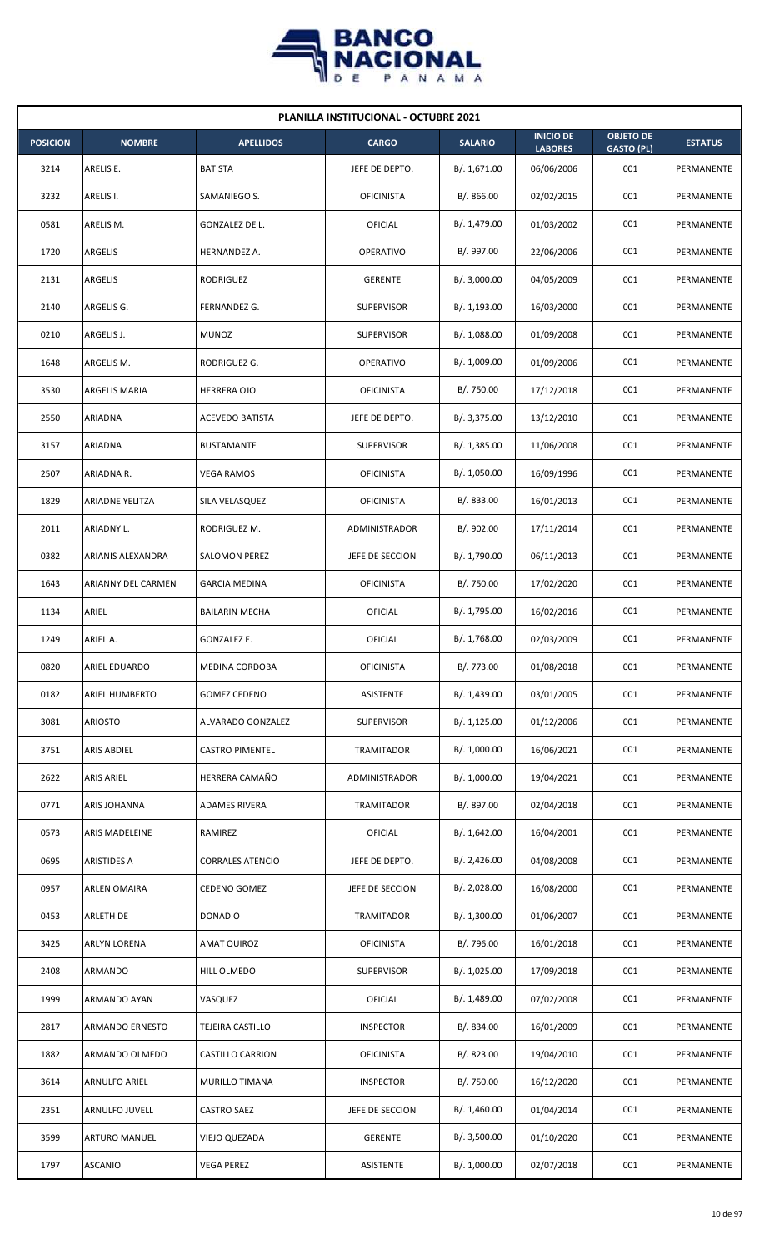

| <b>PLANILLA INSTITUCIONAL - OCTUBRE 2021</b> |                       |                         |                   |                |                                    |                                       |                |  |  |
|----------------------------------------------|-----------------------|-------------------------|-------------------|----------------|------------------------------------|---------------------------------------|----------------|--|--|
| <b>POSICION</b>                              | <b>NOMBRE</b>         | <b>APELLIDOS</b>        | <b>CARGO</b>      | <b>SALARIO</b> | <b>INICIO DE</b><br><b>LABORES</b> | <b>OBJETO DE</b><br><b>GASTO (PL)</b> | <b>ESTATUS</b> |  |  |
| 3214                                         | ARELIS E.             | <b>BATISTA</b>          | JEFE DE DEPTO.    | B/. 1,671.00   | 06/06/2006                         | 001                                   | PERMANENTE     |  |  |
| 3232                                         | ARELIS I.             | SAMANIEGO S.            | <b>OFICINISTA</b> | B/.866.00      | 02/02/2015                         | 001                                   | PERMANENTE     |  |  |
| 0581                                         | ARELIS M.             | GONZALEZ DE L.          | OFICIAL           | B/. 1,479.00   | 01/03/2002                         | 001                                   | PERMANENTE     |  |  |
| 1720                                         | <b>ARGELIS</b>        | HERNANDEZ A.            | OPERATIVO         | B/. 997.00     | 22/06/2006                         | 001                                   | PERMANENTE     |  |  |
| 2131                                         | <b>ARGELIS</b>        | <b>RODRIGUEZ</b>        | <b>GERENTE</b>    | B/. 3,000.00   | 04/05/2009                         | 001                                   | PERMANENTE     |  |  |
| 2140                                         | ARGELIS G.            | FERNANDEZ G.            | <b>SUPERVISOR</b> | B/. 1,193.00   | 16/03/2000                         | 001                                   | PERMANENTE     |  |  |
| 0210                                         | ARGELIS J.            | <b>MUNOZ</b>            | <b>SUPERVISOR</b> | B/. 1,088.00   | 01/09/2008                         | 001                                   | PERMANENTE     |  |  |
| 1648                                         | ARGELIS M.            | RODRIGUEZ G.            | <b>OPERATIVO</b>  | B/. 1,009.00   | 01/09/2006                         | 001                                   | PERMANENTE     |  |  |
| 3530                                         | ARGELIS MARIA         | <b>HERRERA OJO</b>      | <b>OFICINISTA</b> | B/. 750.00     | 17/12/2018                         | 001                                   | PERMANENTE     |  |  |
| 2550                                         | ARIADNA               | ACEVEDO BATISTA         | JEFE DE DEPTO.    | B/. 3,375.00   | 13/12/2010                         | 001                                   | PERMANENTE     |  |  |
| 3157                                         | ARIADNA               | <b>BUSTAMANTE</b>       | <b>SUPERVISOR</b> | B/. 1,385.00   | 11/06/2008                         | 001                                   | PERMANENTE     |  |  |
| 2507                                         | ARIADNA R.            | <b>VEGA RAMOS</b>       | <b>OFICINISTA</b> | B/. 1,050.00   | 16/09/1996                         | 001                                   | PERMANENTE     |  |  |
| 1829                                         | ARIADNE YELITZA       | SILA VELASQUEZ          | <b>OFICINISTA</b> | B/. 833.00     | 16/01/2013                         | 001                                   | PERMANENTE     |  |  |
| 2011                                         | ARIADNY L.            | RODRIGUEZ M.            | ADMINISTRADOR     | B/. 902.00     | 17/11/2014                         | 001                                   | PERMANENTE     |  |  |
| 0382                                         | ARIANIS ALEXANDRA     | <b>SALOMON PEREZ</b>    | JEFE DE SECCION   | B/. 1,790.00   | 06/11/2013                         | 001                                   | PERMANENTE     |  |  |
| 1643                                         | ARIANNY DEL CARMEN    | <b>GARCIA MEDINA</b>    | <b>OFICINISTA</b> | B/. 750.00     | 17/02/2020                         | 001                                   | PERMANENTE     |  |  |
| 1134                                         | ARIEL                 | <b>BAILARIN MECHA</b>   | OFICIAL           | B/. 1,795.00   | 16/02/2016                         | 001                                   | PERMANENTE     |  |  |
| 1249                                         | ARIEL A.              | GONZALEZ E.             | OFICIAL           | B/. 1,768.00   | 02/03/2009                         | 001                                   | PERMANENTE     |  |  |
| 0820                                         | <b>ARIEL EDUARDO</b>  | MEDINA CORDOBA          | <b>OFICINISTA</b> | B/. 773.00     | 01/08/2018                         | 001                                   | PERMANENTE     |  |  |
| 0182                                         | ARIEL HUMBERTO        | <b>GOMEZ CEDENO</b>     | ASISTENTE         | B/. 1,439.00   | 03/01/2005                         | 001                                   | PERMANENTE     |  |  |
| 3081                                         | <b>ARIOSTO</b>        | ALVARADO GONZALEZ       | <b>SUPERVISOR</b> | B/. 1,125.00   | 01/12/2006                         | 001                                   | PERMANENTE     |  |  |
| 3751                                         | ARIS ABDIEL           | <b>CASTRO PIMENTEL</b>  | <b>TRAMITADOR</b> | B/. 1,000.00   | 16/06/2021                         | 001                                   | PERMANENTE     |  |  |
| 2622                                         | <b>ARIS ARIEL</b>     | HERRERA CAMAÑO          | ADMINISTRADOR     | B/. 1,000.00   | 19/04/2021                         | 001                                   | PERMANENTE     |  |  |
| 0771                                         | ARIS JOHANNA          | <b>ADAMES RIVERA</b>    | TRAMITADOR        | B/. 897.00     | 02/04/2018                         | 001                                   | PERMANENTE     |  |  |
| 0573                                         | <b>ARIS MADELEINE</b> | RAMIREZ                 | OFICIAL           | B/. 1,642.00   | 16/04/2001                         | 001                                   | PERMANENTE     |  |  |
| 0695                                         | <b>ARISTIDES A</b>    | <b>CORRALES ATENCIO</b> | JEFE DE DEPTO.    | B/.2,426.00    | 04/08/2008                         | 001                                   | PERMANENTE     |  |  |
| 0957                                         | <b>ARLEN OMAIRA</b>   | CEDENO GOMEZ            | JEFE DE SECCION   | B/.2,028.00    | 16/08/2000                         | 001                                   | PERMANENTE     |  |  |
| 0453                                         | <b>ARLETH DE</b>      | <b>DONADIO</b>          | TRAMITADOR        | B/. 1,300.00   | 01/06/2007                         | 001                                   | PERMANENTE     |  |  |
| 3425                                         | ARLYN LORENA          | AMAT QUIROZ             | <b>OFICINISTA</b> | B/. 796.00     | 16/01/2018                         | 001                                   | PERMANENTE     |  |  |
| 2408                                         | ARMANDO               | HILL OLMEDO             | <b>SUPERVISOR</b> | B/. 1,025.00   | 17/09/2018                         | 001                                   | PERMANENTE     |  |  |
| 1999                                         | ARMANDO AYAN          | VASQUEZ                 | OFICIAL           | B/. 1,489.00   | 07/02/2008                         | 001                                   | PERMANENTE     |  |  |
| 2817                                         | ARMANDO ERNESTO       | TEJEIRA CASTILLO        | <b>INSPECTOR</b>  | B/. 834.00     | 16/01/2009                         | 001                                   | PERMANENTE     |  |  |
| 1882                                         | ARMANDO OLMEDO        | CASTILLO CARRION        | <b>OFICINISTA</b> | B/. 823.00     | 19/04/2010                         | 001                                   | PERMANENTE     |  |  |
| 3614                                         | ARNULFO ARIEL         | MURILLO TIMANA          | <b>INSPECTOR</b>  | B/. 750.00     | 16/12/2020                         | 001                                   | PERMANENTE     |  |  |
| 2351                                         | ARNULFO JUVELL        | CASTRO SAEZ             | JEFE DE SECCION   | B/.1,460.00    | 01/04/2014                         | 001                                   | PERMANENTE     |  |  |
| 3599                                         | <b>ARTURO MANUEL</b>  | VIEJO QUEZADA           | <b>GERENTE</b>    | B/.3,500.00    | 01/10/2020                         | 001                                   | PERMANENTE     |  |  |
| 1797                                         | <b>ASCANIO</b>        | VEGA PEREZ              | ASISTENTE         | B/. 1,000.00   | 02/07/2018                         | 001                                   | PERMANENTE     |  |  |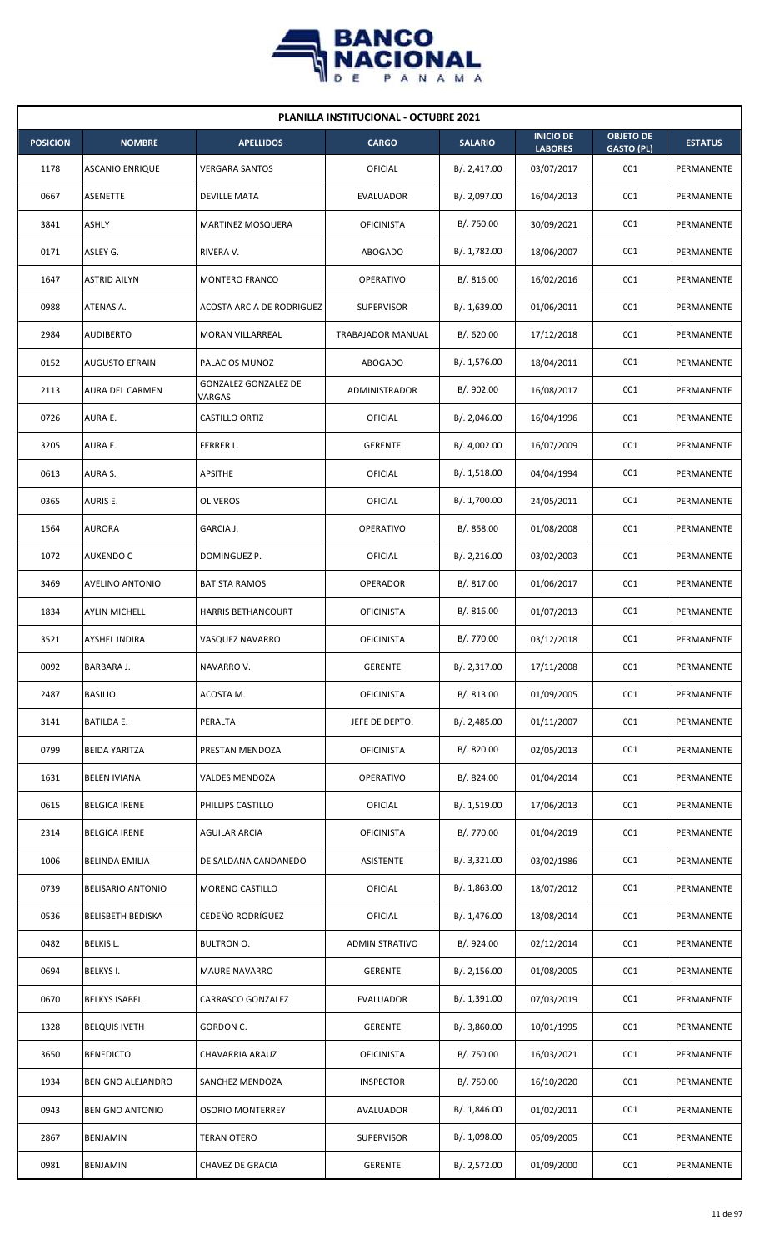

|                 | <b>PLANILLA INSTITUCIONAL - OCTUBRE 2021</b> |                                |                   |                |                                    |                                       |                |  |  |  |
|-----------------|----------------------------------------------|--------------------------------|-------------------|----------------|------------------------------------|---------------------------------------|----------------|--|--|--|
| <b>POSICION</b> | <b>NOMBRE</b>                                | <b>APELLIDOS</b>               | <b>CARGO</b>      | <b>SALARIO</b> | <b>INICIO DE</b><br><b>LABORES</b> | <b>OBJETO DE</b><br><b>GASTO (PL)</b> | <b>ESTATUS</b> |  |  |  |
| 1178            | <b>ASCANIO ENRIQUE</b>                       | <b>VERGARA SANTOS</b>          | OFICIAL           | B/. 2,417.00   | 03/07/2017                         | 001                                   | PERMANENTE     |  |  |  |
| 0667            | <b>ASENETTE</b>                              | <b>DEVILLE MATA</b>            | EVALUADOR         | B/. 2,097.00   | 16/04/2013                         | 001                                   | PERMANENTE     |  |  |  |
| 3841            | ASHLY                                        | <b>MARTINEZ MOSQUERA</b>       | <b>OFICINISTA</b> | B/. 750.00     | 30/09/2021                         | 001                                   | PERMANENTE     |  |  |  |
| 0171            | ASLEY G.                                     | RIVERA V.                      | <b>ABOGADO</b>    | B/. 1,782.00   | 18/06/2007                         | 001                                   | PERMANENTE     |  |  |  |
| 1647            | <b>ASTRID AILYN</b>                          | <b>MONTERO FRANCO</b>          | <b>OPERATIVO</b>  | B/.816.00      | 16/02/2016                         | 001                                   | PERMANENTE     |  |  |  |
| 0988            | ATENAS A.                                    | ACOSTA ARCIA DE RODRIGUEZ      | <b>SUPERVISOR</b> | B/. 1,639.00   | 01/06/2011                         | 001                                   | PERMANENTE     |  |  |  |
| 2984            | <b>AUDIBERTO</b>                             | MORAN VILLARREAL               | TRABAJADOR MANUAL | B/. 620.00     | 17/12/2018                         | 001                                   | PERMANENTE     |  |  |  |
| 0152            | <b>AUGUSTO EFRAIN</b>                        | PALACIOS MUNOZ                 | <b>ABOGADO</b>    | B/. 1,576.00   | 18/04/2011                         | 001                                   | PERMANENTE     |  |  |  |
| 2113            | <b>AURA DEL CARMEN</b>                       | GONZALEZ GONZALEZ DE<br>VARGAS | ADMINISTRADOR     | B/. 902.00     | 16/08/2017                         | 001                                   | PERMANENTE     |  |  |  |
| 0726            | AURA E.                                      | <b>CASTILLO ORTIZ</b>          | OFICIAL           | B/. 2,046.00   | 16/04/1996                         | 001                                   | PERMANENTE     |  |  |  |
| 3205            | AURA E.                                      | FERRER L.                      | <b>GERENTE</b>    | B/. 4,002.00   | 16/07/2009                         | 001                                   | PERMANENTE     |  |  |  |
| 0613            | AURA S.                                      | APSITHE                        | <b>OFICIAL</b>    | B/. 1,518.00   | 04/04/1994                         | 001                                   | PERMANENTE     |  |  |  |
| 0365            | AURIS E.                                     | <b>OLIVEROS</b>                | OFICIAL           | B/. 1,700.00   | 24/05/2011                         | 001                                   | PERMANENTE     |  |  |  |
| 1564            | AURORA                                       | GARCIA J.                      | <b>OPERATIVO</b>  | B/0.858.00     | 01/08/2008                         | 001                                   | PERMANENTE     |  |  |  |
| 1072            | <b>AUXENDO C</b>                             | DOMINGUEZ P.                   | OFICIAL           | B/. 2,216.00   | 03/02/2003                         | 001                                   | PERMANENTE     |  |  |  |
| 3469            | AVELINO ANTONIO                              | <b>BATISTA RAMOS</b>           | <b>OPERADOR</b>   | B/. 817.00     | 01/06/2017                         | 001                                   | PERMANENTE     |  |  |  |
| 1834            | <b>AYLIN MICHELL</b>                         | HARRIS BETHANCOURT             | <b>OFICINISTA</b> | B/.816.00      | 01/07/2013                         | 001                                   | PERMANENTE     |  |  |  |
| 3521            | <b>AYSHEL INDIRA</b>                         | VASQUEZ NAVARRO                | <b>OFICINISTA</b> | B/. 770.00     | 03/12/2018                         | 001                                   | PERMANENTE     |  |  |  |
| 0092            | BARBARA J.                                   | NAVARRO V.                     | <b>GERENTE</b>    | B/. 2,317.00   | 17/11/2008                         | 001                                   | PERMANENTE     |  |  |  |
| 2487            | <b>BASILIO</b>                               | ACOSTA M.                      | <b>OFICINISTA</b> | B/. 813.00     | 01/09/2005                         | 001                                   | PERMANENTE     |  |  |  |
| 3141            | BATILDA E.                                   | PERALTA                        | JEFE DE DEPTO.    | B/.2,485.00    | 01/11/2007                         | 001                                   | PERMANENTE     |  |  |  |
| 0799            | <b>BEIDA YARITZA</b>                         | PRESTAN MENDOZA                | <b>OFICINISTA</b> | B/. 820.00     | 02/05/2013                         | 001                                   | PERMANENTE     |  |  |  |
| 1631            | <b>BELEN IVIANA</b>                          | VALDES MENDOZA                 | <b>OPERATIVO</b>  | B/. 824.00     | 01/04/2014                         | 001                                   | PERMANENTE     |  |  |  |
| 0615            | <b>BELGICA IRENE</b>                         | PHILLIPS CASTILLO              | <b>OFICIAL</b>    | B/. 1,519.00   | 17/06/2013                         | 001                                   | PERMANENTE     |  |  |  |
| 2314            | <b>BELGICA IRENE</b>                         | AGUILAR ARCIA                  | <b>OFICINISTA</b> | B/. 770.00     | 01/04/2019                         | 001                                   | PERMANENTE     |  |  |  |
| 1006            | <b>BELINDA EMILIA</b>                        | DE SALDANA CANDANEDO           | <b>ASISTENTE</b>  | B/. 3,321.00   | 03/02/1986                         | 001                                   | PERMANENTE     |  |  |  |
| 0739            | <b>BELISARIO ANTONIO</b>                     | MORENO CASTILLO                | <b>OFICIAL</b>    | B/.1,863.00    | 18/07/2012                         | 001                                   | PERMANENTE     |  |  |  |
| 0536            | <b>BELISBETH BEDISKA</b>                     | CEDEÑO RODRÍGUEZ               | <b>OFICIAL</b>    | B/.1,476.00    | 18/08/2014                         | 001                                   | PERMANENTE     |  |  |  |
| 0482            | BELKIS L.                                    | <b>BULTRON O.</b>              | ADMINISTRATIVO    | B/. 924.00     | 02/12/2014                         | 001                                   | PERMANENTE     |  |  |  |
| 0694            | BELKYS I.                                    | <b>MAURE NAVARRO</b>           | <b>GERENTE</b>    | B/. 2,156.00   | 01/08/2005                         | 001                                   | PERMANENTE     |  |  |  |
| 0670            | <b>BELKYS ISABEL</b>                         | CARRASCO GONZALEZ              | EVALUADOR         | B/. 1,391.00   | 07/03/2019                         | 001                                   | PERMANENTE     |  |  |  |
| 1328            | <b>BELQUIS IVETH</b>                         | GORDON C.                      | <b>GERENTE</b>    | B/.3,860.00    | 10/01/1995                         | 001                                   | PERMANENTE     |  |  |  |
| 3650            | <b>BENEDICTO</b>                             | CHAVARRIA ARAUZ                | <b>OFICINISTA</b> | B/. 750.00     | 16/03/2021                         | 001                                   | PERMANENTE     |  |  |  |
| 1934            | BENIGNO ALEJANDRO                            | SANCHEZ MENDOZA                | <b>INSPECTOR</b>  | B/. 750.00     | 16/10/2020                         | 001                                   | PERMANENTE     |  |  |  |
| 0943            | <b>BENIGNO ANTONIO</b>                       | <b>OSORIO MONTERREY</b>        | AVALUADOR         | B/. 1,846.00   | 01/02/2011                         | 001                                   | PERMANENTE     |  |  |  |
| 2867            | BENJAMIN                                     | <b>TERAN OTERO</b>             | SUPERVISOR        | B/. 1,098.00   | 05/09/2005                         | 001                                   | PERMANENTE     |  |  |  |
| 0981            | <b>BENJAMIN</b>                              | CHAVEZ DE GRACIA               | GERENTE           | B/. 2,572.00   | 01/09/2000                         | 001                                   | PERMANENTE     |  |  |  |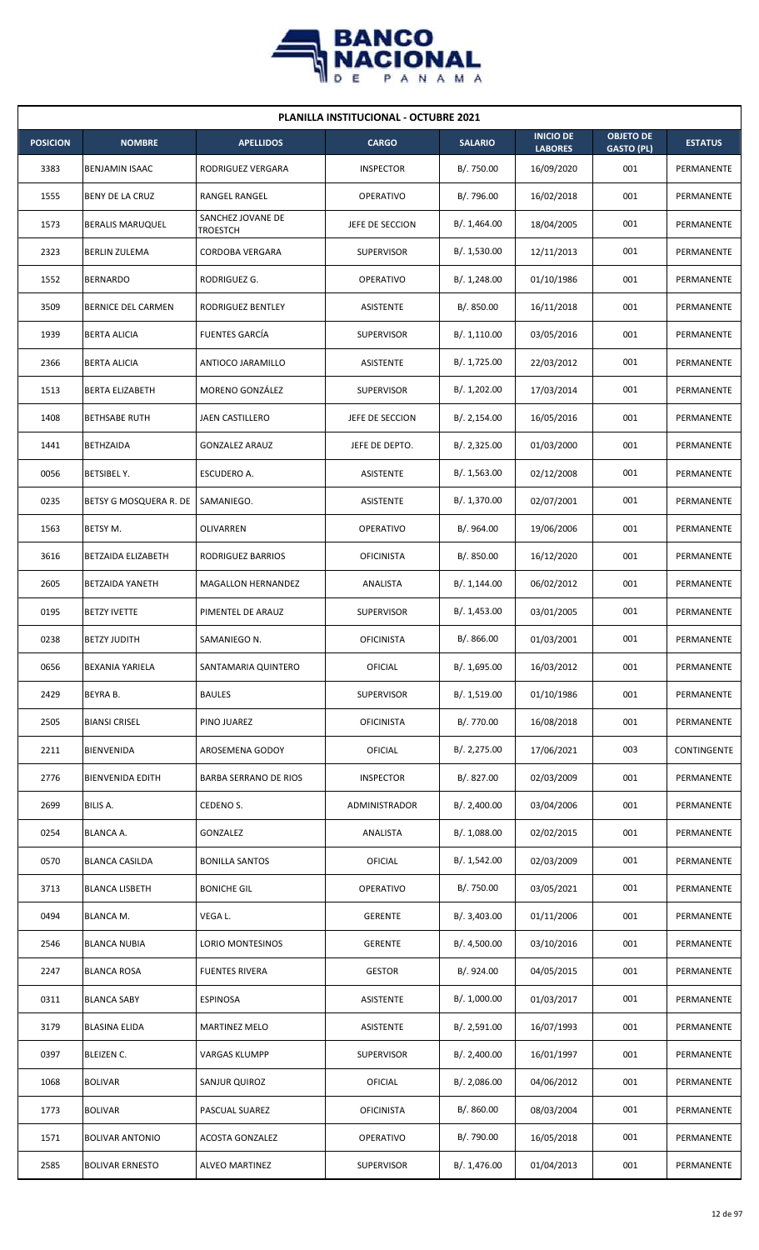

| <b>PLANILLA INSTITUCIONAL - OCTUBRE 2021</b> |                         |                               |                      |                |                                    |                                       |                |  |  |  |
|----------------------------------------------|-------------------------|-------------------------------|----------------------|----------------|------------------------------------|---------------------------------------|----------------|--|--|--|
| <b>POSICION</b>                              | <b>NOMBRE</b>           | <b>APELLIDOS</b>              | <b>CARGO</b>         | <b>SALARIO</b> | <b>INICIO DE</b><br><b>LABORES</b> | <b>OBJETO DE</b><br><b>GASTO (PL)</b> | <b>ESTATUS</b> |  |  |  |
| 3383                                         | BENJAMIN ISAAC          | RODRIGUEZ VERGARA             | <b>INSPECTOR</b>     | B/. 750.00     | 16/09/2020                         | 001                                   | PERMANENTE     |  |  |  |
| 1555                                         | BENY DE LA CRUZ         | RANGEL RANGEL                 | OPERATIVO            | B/. 796.00     | 16/02/2018                         | 001                                   | PERMANENTE     |  |  |  |
| 1573                                         | <b>BERALIS MARUQUEL</b> | SANCHEZ JOVANE DE<br>TROESTCH | JEFE DE SECCION      | B/. 1,464.00   | 18/04/2005                         | 001                                   | PERMANENTE     |  |  |  |
| 2323                                         | <b>BERLIN ZULEMA</b>    | <b>CORDOBA VERGARA</b>        | <b>SUPERVISOR</b>    | B/. 1,530.00   | 12/11/2013                         | 001                                   | PERMANENTE     |  |  |  |
| 1552                                         | <b>BERNARDO</b>         | RODRIGUEZ G.                  | <b>OPERATIVO</b>     | B/.1,248.00    | 01/10/1986                         | 001                                   | PERMANENTE     |  |  |  |
| 3509                                         | BERNICE DEL CARMEN      | RODRIGUEZ BENTLEY             | ASISTENTE            | B/0.850.00     | 16/11/2018                         | 001                                   | PERMANENTE     |  |  |  |
| 1939                                         | <b>BERTA ALICIA</b>     | <b>FUENTES GARCIA</b>         | <b>SUPERVISOR</b>    | B/.1,110.00    | 03/05/2016                         | 001                                   | PERMANENTE     |  |  |  |
| 2366                                         | <b>BERTA ALICIA</b>     | ANTIOCO JARAMILLO             | ASISTENTE            | B/.1,725.00    | 22/03/2012                         | 001                                   | PERMANENTE     |  |  |  |
| 1513                                         | BERTA ELIZABETH         | <b>MORENO GONZÁLEZ</b>        | <b>SUPERVISOR</b>    | B/. 1,202.00   | 17/03/2014                         | 001                                   | PERMANENTE     |  |  |  |
| 1408                                         | <b>BETHSABE RUTH</b>    | JAEN CASTILLERO               | JEFE DE SECCION      | B/.2,154.00    | 16/05/2016                         | 001                                   | PERMANENTE     |  |  |  |
| 1441                                         | <b>BETHZAIDA</b>        | <b>GONZALEZ ARAUZ</b>         | JEFE DE DEPTO.       | B/.2,325.00    | 01/03/2000                         | 001                                   | PERMANENTE     |  |  |  |
| 0056                                         | BETSIBEL Y.             | ESCUDERO A.                   | ASISTENTE            | B/.1,563.00    | 02/12/2008                         | 001                                   | PERMANENTE     |  |  |  |
| 0235                                         | BETSY G MOSQUERA R. DE  | SAMANIEGO.                    | ASISTENTE            | B/. 1,370.00   | 02/07/2001                         | 001                                   | PERMANENTE     |  |  |  |
| 1563                                         | BETSY M.                | OLIVARREN                     | <b>OPERATIVO</b>     | B/. 964.00     | 19/06/2006                         | 001                                   | PERMANENTE     |  |  |  |
| 3616                                         | BETZAIDA ELIZABETH      | RODRIGUEZ BARRIOS             | <b>OFICINISTA</b>    | B/. 850.00     | 16/12/2020                         | 001                                   | PERMANENTE     |  |  |  |
| 2605                                         | BETZAIDA YANETH         | MAGALLON HERNANDEZ            | ANALISTA             | B/. 1,144.00   | 06/02/2012                         | 001                                   | PERMANENTE     |  |  |  |
| 0195                                         | <b>BETZY IVETTE</b>     | PIMENTEL DE ARAUZ             | <b>SUPERVISOR</b>    | B/. 1,453.00   | 03/01/2005                         | 001                                   | PERMANENTE     |  |  |  |
| 0238                                         | <b>BETZY JUDITH</b>     | SAMANIEGO N.                  | <b>OFICINISTA</b>    | B/. 866.00     | 01/03/2001                         | 001                                   | PERMANENTE     |  |  |  |
| 0656                                         | BEXANIA YARIELA         | SANTAMARIA QUINTERO           | OFICIAL              | B/. 1,695.00   | 16/03/2012                         | 001                                   | PERMANENTE     |  |  |  |
| 2429                                         | BEYRA B.                | <b>BAULES</b>                 | SUPERVISOR           | B/.1,519.00    | 01/10/1986                         | 001                                   | PERMANENTE     |  |  |  |
| 2505                                         | <b>BIANSI CRISEL</b>    | PINO JUAREZ                   | <b>OFICINISTA</b>    | B/. 770.00     | 16/08/2018                         | 001                                   | PERMANENTE     |  |  |  |
| 2211                                         | BIENVENIDA              | AROSEMENA GODOY               | OFICIAL              | B/. 2,275.00   | 17/06/2021                         | 003                                   | CONTINGENTE    |  |  |  |
| 2776                                         | <b>BIENVENIDA EDITH</b> | <b>BARBA SERRANO DE RIOS</b>  | <b>INSPECTOR</b>     | B/. 827.00     | 02/03/2009                         | 001                                   | PERMANENTE     |  |  |  |
| 2699                                         | BILIS A.                | CEDENO S.                     | <b>ADMINISTRADOR</b> | B/.2,400.00    | 03/04/2006                         | 001                                   | PERMANENTE     |  |  |  |
| 0254                                         | <b>BLANCA A.</b>        | GONZALEZ                      | ANALISTA             | B/.1,088.00    | 02/02/2015                         | 001                                   | PERMANENTE     |  |  |  |
| 0570                                         | <b>BLANCA CASILDA</b>   | <b>BONILLA SANTOS</b>         | OFICIAL              | B/.1,542.00    | 02/03/2009                         | 001                                   | PERMANENTE     |  |  |  |
| 3713                                         | <b>BLANCA LISBETH</b>   | <b>BONICHE GIL</b>            | OPERATIVO            | B/. 750.00     | 03/05/2021                         | 001                                   | PERMANENTE     |  |  |  |
| 0494                                         | BLANCA M.               | VEGA L.                       | <b>GERENTE</b>       | B/. 3,403.00   | 01/11/2006                         | 001                                   | PERMANENTE     |  |  |  |
| 2546                                         | <b>BLANCA NUBIA</b>     | LORIO MONTESINOS              | <b>GERENTE</b>       | B/. 4,500.00   | 03/10/2016                         | 001                                   | PERMANENTE     |  |  |  |
| 2247                                         | <b>BLANCA ROSA</b>      | <b>FUENTES RIVERA</b>         | <b>GESTOR</b>        | B/. 924.00     | 04/05/2015                         | 001                                   | PERMANENTE     |  |  |  |
| 0311                                         | <b>BLANCA SABY</b>      | <b>ESPINOSA</b>               | ASISTENTE            | B/. 1,000.00   | 01/03/2017                         | 001                                   | PERMANENTE     |  |  |  |
| 3179                                         | <b>BLASINA ELIDA</b>    | <b>MARTINEZ MELO</b>          | ASISTENTE            | B/.2,591.00    | 16/07/1993                         | 001                                   | PERMANENTE     |  |  |  |
| 0397                                         | BLEIZEN C.              | VARGAS KLUMPP                 | <b>SUPERVISOR</b>    | B/.2,400.00    | 16/01/1997                         | 001                                   | PERMANENTE     |  |  |  |
| 1068                                         | <b>BOLIVAR</b>          | SANJUR QUIROZ                 | OFICIAL              | B/.2,086.00    | 04/06/2012                         | 001                                   | PERMANENTE     |  |  |  |
| 1773                                         | <b>BOLIVAR</b>          | PASCUAL SUAREZ                | <b>OFICINISTA</b>    | B/. 860.00     | 08/03/2004                         | 001                                   | PERMANENTE     |  |  |  |
| 1571                                         | <b>BOLIVAR ANTONIO</b>  | <b>ACOSTA GONZALEZ</b>        | OPERATIVO            | B/. 790.00     | 16/05/2018                         | 001                                   | PERMANENTE     |  |  |  |
| 2585                                         | <b>BOLIVAR ERNESTO</b>  | <b>ALVEO MARTINEZ</b>         | SUPERVISOR           | B/.1,476.00    | 01/04/2013                         | 001                                   | PERMANENTE     |  |  |  |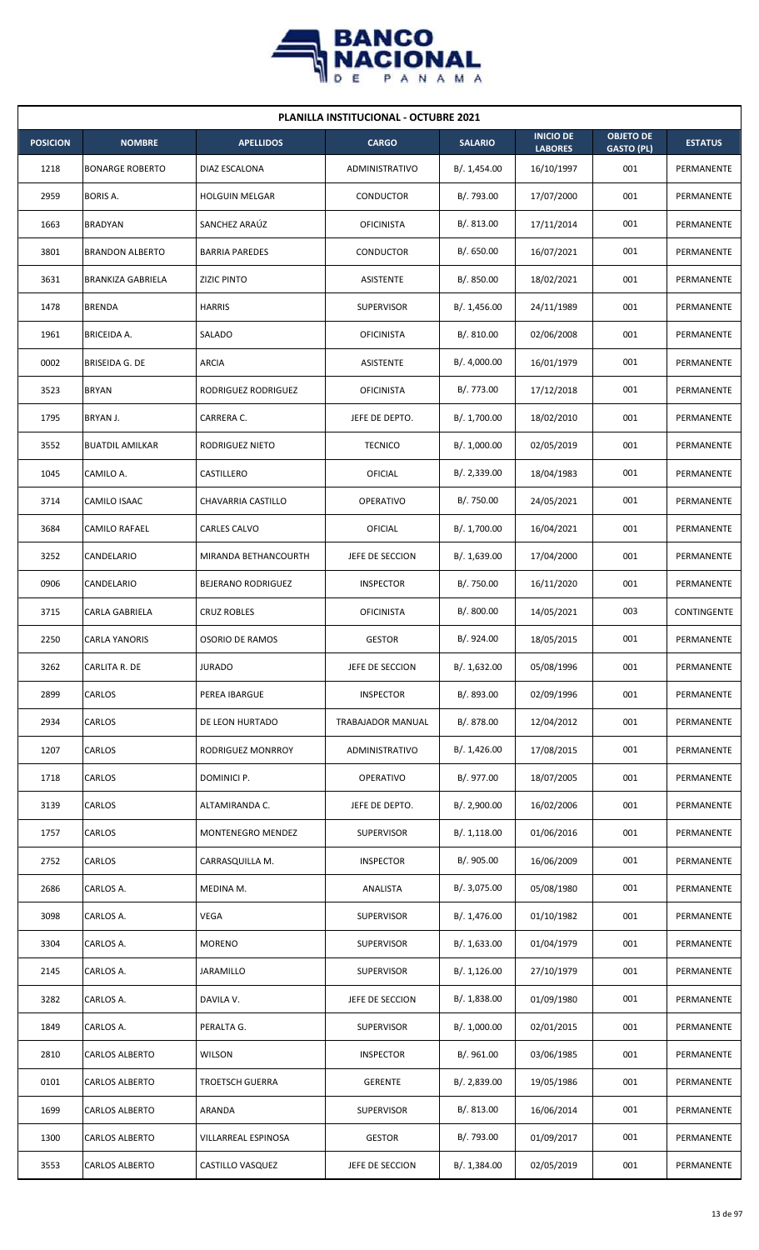

| <b>PLANILLA INSTITUCIONAL - OCTUBRE 2021</b> |                          |                        |                   |                |                                    |                                       |                |  |  |  |
|----------------------------------------------|--------------------------|------------------------|-------------------|----------------|------------------------------------|---------------------------------------|----------------|--|--|--|
| <b>POSICION</b>                              | <b>NOMBRE</b>            | <b>APELLIDOS</b>       | <b>CARGO</b>      | <b>SALARIO</b> | <b>INICIO DE</b><br><b>LABORES</b> | <b>OBJETO DE</b><br><b>GASTO (PL)</b> | <b>ESTATUS</b> |  |  |  |
| 1218                                         | <b>BONARGE ROBERTO</b>   | DIAZ ESCALONA          | ADMINISTRATIVO    | B/. 1,454.00   | 16/10/1997                         | 001                                   | PERMANENTE     |  |  |  |
| 2959                                         | <b>BORIS A.</b>          | <b>HOLGUIN MELGAR</b>  | CONDUCTOR         | B/. 793.00     | 17/07/2000                         | 001                                   | PERMANENTE     |  |  |  |
| 1663                                         | <b>BRADYAN</b>           | SANCHEZ ARAÚZ          | <b>OFICINISTA</b> | B/. 813.00     | 17/11/2014                         | 001                                   | PERMANENTE     |  |  |  |
| 3801                                         | <b>BRANDON ALBERTO</b>   | <b>BARRIA PAREDES</b>  | <b>CONDUCTOR</b>  | B/0.650.00     | 16/07/2021                         | 001                                   | PERMANENTE     |  |  |  |
| 3631                                         | <b>BRANKIZA GABRIELA</b> | <b>ZIZIC PINTO</b>     | ASISTENTE         | B/. 850.00     | 18/02/2021                         | 001                                   | PERMANENTE     |  |  |  |
| 1478                                         | <b>BRENDA</b>            | <b>HARRIS</b>          | <b>SUPERVISOR</b> | B/.1,456.00    | 24/11/1989                         | 001                                   | PERMANENTE     |  |  |  |
| 1961                                         | BRICEIDA A.              | SALADO                 | <b>OFICINISTA</b> | B/.810.00      | 02/06/2008                         | 001                                   | PERMANENTE     |  |  |  |
| 0002                                         | BRISEIDA G. DE           | <b>ARCIA</b>           | ASISTENTE         | B/. 4,000.00   | 16/01/1979                         | 001                                   | PERMANENTE     |  |  |  |
| 3523                                         | <b>BRYAN</b>             | RODRIGUEZ RODRIGUEZ    | <b>OFICINISTA</b> | B/. 773.00     | 17/12/2018                         | 001                                   | PERMANENTE     |  |  |  |
| 1795                                         | BRYAN J.                 | CARRERA C.             | JEFE DE DEPTO.    | B/. 1,700.00   | 18/02/2010                         | 001                                   | PERMANENTE     |  |  |  |
| 3552                                         | <b>BUATDIL AMILKAR</b>   | RODRIGUEZ NIETO        | <b>TECNICO</b>    | B/. 1,000.00   | 02/05/2019                         | 001                                   | PERMANENTE     |  |  |  |
| 1045                                         | CAMILO A.                | CASTILLERO             | OFICIAL           | B/.2,339.00    | 18/04/1983                         | 001                                   | PERMANENTE     |  |  |  |
| 3714                                         | CAMILO ISAAC             | CHAVARRIA CASTILLO     | <b>OPERATIVO</b>  | B/. 750.00     | 24/05/2021                         | 001                                   | PERMANENTE     |  |  |  |
| 3684                                         | CAMILO RAFAEL            | CARLES CALVO           | OFICIAL           | B/. 1,700.00   | 16/04/2021                         | 001                                   | PERMANENTE     |  |  |  |
| 3252                                         | CANDELARIO               | MIRANDA BETHANCOURTH   | JEFE DE SECCION   | B/. 1,639.00   | 17/04/2000                         | 001                                   | PERMANENTE     |  |  |  |
| 0906                                         | CANDELARIO               | BEJERANO RODRIGUEZ     | <b>INSPECTOR</b>  | B/. 750.00     | 16/11/2020                         | 001                                   | PERMANENTE     |  |  |  |
| 3715                                         | CARLA GABRIELA           | <b>CRUZ ROBLES</b>     | <b>OFICINISTA</b> | B/. 800.00     | 14/05/2021                         | 003                                   | CONTINGENTE    |  |  |  |
| 2250                                         | <b>CARLA YANORIS</b>     | <b>OSORIO DE RAMOS</b> | <b>GESTOR</b>     | B/. 924.00     | 18/05/2015                         | 001                                   | PERMANENTE     |  |  |  |
| 3262                                         | CARLITA R. DE            | <b>JURADO</b>          | JEFE DE SECCION   | B/. 1,632.00   | 05/08/1996                         | 001                                   | PERMANENTE     |  |  |  |
| 2899                                         | CARLOS                   | PEREA IBARGUE          | <b>INSPECTOR</b>  | B/. 893.00     | 02/09/1996                         | 001                                   | PERMANENTE     |  |  |  |
| 2934                                         | CARLOS                   | DE LEON HURTADO        | TRABAJADOR MANUAL | B/. 878.00     | 12/04/2012                         | 001                                   | PERMANENTE     |  |  |  |
| 1207                                         | CARLOS                   | RODRIGUEZ MONRROY      | ADMINISTRATIVO    | B/.1,426.00    | 17/08/2015                         | 001                                   | PERMANENTE     |  |  |  |
| 1718                                         | CARLOS                   | DOMINICI P.            | OPERATIVO         | B/. 977.00     | 18/07/2005                         | 001                                   | PERMANENTE     |  |  |  |
| 3139                                         | CARLOS                   | ALTAMIRANDA C.         | JEFE DE DEPTO.    | B/. 2,900.00   | 16/02/2006                         | 001                                   | PERMANENTE     |  |  |  |
| 1757                                         | CARLOS                   | MONTENEGRO MENDEZ      | <b>SUPERVISOR</b> | B/.1,118.00    | 01/06/2016                         | 001                                   | PERMANENTE     |  |  |  |
| 2752                                         | CARLOS                   | CARRASQUILLA M.        | <b>INSPECTOR</b>  | B/. 905.00     | 16/06/2009                         | 001                                   | PERMANENTE     |  |  |  |
| 2686                                         | CARLOS A.                | MEDINA M.              | ANALISTA          | B/. 3,075.00   | 05/08/1980                         | 001                                   | PERMANENTE     |  |  |  |
| 3098                                         | CARLOS A.                | <b>VEGA</b>            | SUPERVISOR        | B/.1,476.00    | 01/10/1982                         | 001                                   | PERMANENTE     |  |  |  |
| 3304                                         | CARLOS A.                | <b>MORENO</b>          | <b>SUPERVISOR</b> | B/. 1,633.00   | 01/04/1979                         | 001                                   | PERMANENTE     |  |  |  |
| 2145                                         | CARLOS A.                | JARAMILLO              | <b>SUPERVISOR</b> | B/. 1,126.00   | 27/10/1979                         | 001                                   | PERMANENTE     |  |  |  |
| 3282                                         | CARLOS A.                | DAVILA V.              | JEFE DE SECCION   | B/. 1,838.00   | 01/09/1980                         | 001                                   | PERMANENTE     |  |  |  |
| 1849                                         | CARLOS A.                | PERALTA G.             | <b>SUPERVISOR</b> | B/. 1,000.00   | 02/01/2015                         | 001                                   | PERMANENTE     |  |  |  |
| 2810                                         | <b>CARLOS ALBERTO</b>    | <b>WILSON</b>          | <b>INSPECTOR</b>  | B/. 961.00     | 03/06/1985                         | 001                                   | PERMANENTE     |  |  |  |
| 0101                                         | CARLOS ALBERTO           | <b>TROETSCH GUERRA</b> | <b>GERENTE</b>    | B/. 2,839.00   | 19/05/1986                         | 001                                   | PERMANENTE     |  |  |  |
| 1699                                         | CARLOS ALBERTO           | ARANDA                 | <b>SUPERVISOR</b> | B/. 813.00     | 16/06/2014                         | 001                                   | PERMANENTE     |  |  |  |
| 1300                                         | CARLOS ALBERTO           | VILLARREAL ESPINOSA    | <b>GESTOR</b>     | B/. 793.00     | 01/09/2017                         | 001                                   | PERMANENTE     |  |  |  |
| 3553                                         | <b>CARLOS ALBERTO</b>    | CASTILLO VASQUEZ       | JEFE DE SECCION   | B/. 1,384.00   | 02/05/2019                         | 001                                   | PERMANENTE     |  |  |  |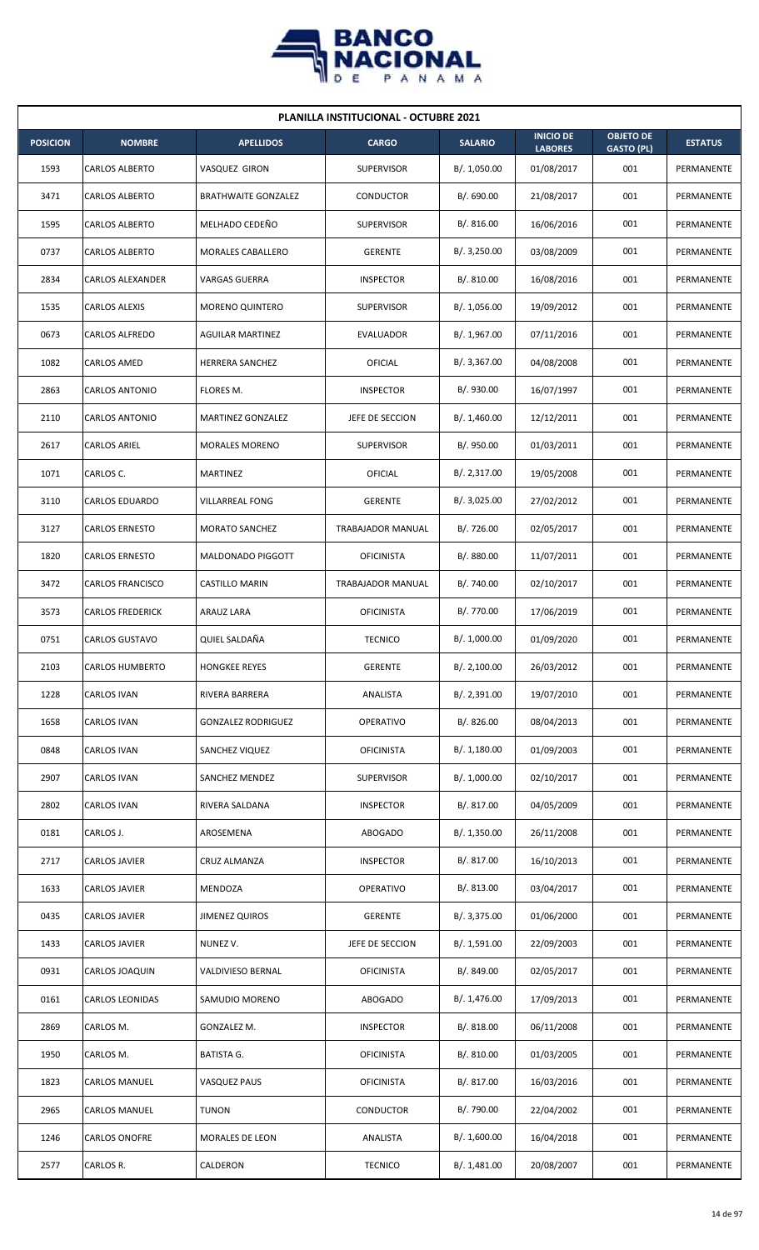

| <b>PLANILLA INSTITUCIONAL - OCTUBRE 2021</b> |                         |                            |                   |                |                                    |                                       |                   |  |  |  |
|----------------------------------------------|-------------------------|----------------------------|-------------------|----------------|------------------------------------|---------------------------------------|-------------------|--|--|--|
| <b>POSICION</b>                              | <b>NOMBRE</b>           | <b>APELLIDOS</b>           | <b>CARGO</b>      | <b>SALARIO</b> | <b>INICIO DE</b><br><b>LABORES</b> | <b>OBJETO DE</b><br><b>GASTO (PL)</b> | <b>ESTATUS</b>    |  |  |  |
| 1593                                         | <b>CARLOS ALBERTO</b>   | VASQUEZ GIRON              | <b>SUPERVISOR</b> | B/. 1,050.00   | 01/08/2017                         | 001                                   | PERMANENTE        |  |  |  |
| 3471                                         | <b>CARLOS ALBERTO</b>   | <b>BRATHWAITE GONZALEZ</b> | CONDUCTOR         | B/. 690.00     | 21/08/2017                         | 001                                   | PERMANENTE        |  |  |  |
| 1595                                         | <b>CARLOS ALBERTO</b>   | MELHADO CEDEÑO             | <b>SUPERVISOR</b> | B/. 816.00     | 16/06/2016                         | 001                                   | PERMANENTE        |  |  |  |
| 0737                                         | <b>CARLOS ALBERTO</b>   | <b>MORALES CABALLERO</b>   | <b>GERENTE</b>    | B/.3,250.00    | 03/08/2009                         | 001                                   | <b>PERMANENTE</b> |  |  |  |
| 2834                                         | CARLOS ALEXANDER        | VARGAS GUERRA              | <b>INSPECTOR</b>  | B/.810.00      | 16/08/2016                         | 001                                   | PERMANENTE        |  |  |  |
| 1535                                         | CARLOS ALEXIS           | <b>MORENO QUINTERO</b>     | <b>SUPERVISOR</b> | B/. 1,056.00   | 19/09/2012                         | 001                                   | PERMANENTE        |  |  |  |
| 0673                                         | CARLOS ALFREDO          | <b>AGUILAR MARTINEZ</b>    | <b>EVALUADOR</b>  | B/. 1,967.00   | 07/11/2016                         | 001                                   | PERMANENTE        |  |  |  |
| 1082                                         | CARLOS AMED             | <b>HERRERA SANCHEZ</b>     | OFICIAL           | B/. 3,367.00   | 04/08/2008                         | 001                                   | PERMANENTE        |  |  |  |
| 2863                                         | CARLOS ANTONIO          | FLORES M.                  | <b>INSPECTOR</b>  | B/. 930.00     | 16/07/1997                         | 001                                   | PERMANENTE        |  |  |  |
| 2110                                         | CARLOS ANTONIO          | MARTINEZ GONZALEZ          | JEFE DE SECCION   | B/. 1,460.00   | 12/12/2011                         | 001                                   | PERMANENTE        |  |  |  |
| 2617                                         | <b>CARLOS ARIEL</b>     | <b>MORALES MORENO</b>      | <b>SUPERVISOR</b> | B/. 950.00     | 01/03/2011                         | 001                                   | PERMANENTE        |  |  |  |
| 1071                                         | CARLOS C.               | MARTINEZ                   | OFICIAL           | B/.2,317.00    | 19/05/2008                         | 001                                   | PERMANENTE        |  |  |  |
| 3110                                         | <b>CARLOS EDUARDO</b>   | <b>VILLARREAL FONG</b>     | <b>GERENTE</b>    | B/.3,025.00    | 27/02/2012                         | 001                                   | PERMANENTE        |  |  |  |
| 3127                                         | <b>CARLOS ERNESTO</b>   | <b>MORATO SANCHEZ</b>      | TRABAJADOR MANUAL | B/. 726.00     | 02/05/2017                         | 001                                   | PERMANENTE        |  |  |  |
| 1820                                         | <b>CARLOS ERNESTO</b>   | MALDONADO PIGGOTT          | <b>OFICINISTA</b> | B/. 880.00     | 11/07/2011                         | 001                                   | PERMANENTE        |  |  |  |
| 3472                                         | <b>CARLOS FRANCISCO</b> | CASTILLO MARIN             | TRABAJADOR MANUAL | B/. 740.00     | 02/10/2017                         | 001                                   | PERMANENTE        |  |  |  |
| 3573                                         | <b>CARLOS FREDERICK</b> | ARAUZ LARA                 | <b>OFICINISTA</b> | B/. 770.00     | 17/06/2019                         | 001                                   | PERMANENTE        |  |  |  |
| 0751                                         | <b>CARLOS GUSTAVO</b>   | QUIEL SALDAÑA              | <b>TECNICO</b>    | B/. 1,000.00   | 01/09/2020                         | 001                                   | PERMANENTE        |  |  |  |
| 2103                                         | CARLOS HUMBERTO         | <b>HONGKEE REYES</b>       | GERENTE           | B/. 2,100.00   | 26/03/2012                         | 001                                   | PERMANENTE        |  |  |  |
| 1228                                         | CARLOS IVAN             | RIVERA BARRERA             | ANALISTA          | B/. 2,391.00   | 19/07/2010                         | 001                                   | PERMANENTE        |  |  |  |
| 1658                                         | <b>CARLOS IVAN</b>      | <b>GONZALEZ RODRIGUEZ</b>  | <b>OPERATIVO</b>  | B/. 826.00     | 08/04/2013                         | 001                                   | PERMANENTE        |  |  |  |
| 0848                                         | CARLOS IVAN             | SANCHEZ VIQUEZ             | <b>OFICINISTA</b> | B/.1,180.00    | 01/09/2003                         | 001                                   | PERMANENTE        |  |  |  |
| 2907                                         | CARLOS IVAN             | SANCHEZ MENDEZ             | <b>SUPERVISOR</b> | B/. 1,000.00   | 02/10/2017                         | 001                                   | PERMANENTE        |  |  |  |
| 2802                                         | <b>CARLOS IVAN</b>      | RIVERA SALDANA             | <b>INSPECTOR</b>  | B/. 817.00     | 04/05/2009                         | 001                                   | PERMANENTE        |  |  |  |
| 0181                                         | CARLOS J.               | AROSEMENA                  | <b>ABOGADO</b>    | B/. 1,350.00   | 26/11/2008                         | 001                                   | PERMANENTE        |  |  |  |
| 2717                                         | CARLOS JAVIER           | <b>CRUZ ALMANZA</b>        | <b>INSPECTOR</b>  | B/. 817.00     | 16/10/2013                         | 001                                   | PERMANENTE        |  |  |  |
| 1633                                         | CARLOS JAVIER           | MENDOZA                    | <b>OPERATIVO</b>  | B/. 813.00     | 03/04/2017                         | 001                                   | PERMANENTE        |  |  |  |
| 0435                                         | CARLOS JAVIER           | <b>JIMENEZ QUIROS</b>      | <b>GERENTE</b>    | B/. 3,375.00   | 01/06/2000                         | 001                                   | PERMANENTE        |  |  |  |
| 1433                                         | CARLOS JAVIER           | NUNEZ V.                   | JEFE DE SECCION   | B/. 1,591.00   | 22/09/2003                         | 001                                   | PERMANENTE        |  |  |  |
| 0931                                         | CARLOS JOAQUIN          | VALDIVIESO BERNAL          | <b>OFICINISTA</b> | B/. 849.00     | 02/05/2017                         | 001                                   | PERMANENTE        |  |  |  |
| 0161                                         | CARLOS LEONIDAS         | SAMUDIO MORENO             | <b>ABOGADO</b>    | B/. 1,476.00   | 17/09/2013                         | 001                                   | PERMANENTE        |  |  |  |
| 2869                                         | CARLOS M.               | GONZALEZ M.                | <b>INSPECTOR</b>  | B/0.818.00     | 06/11/2008                         | 001                                   | PERMANENTE        |  |  |  |
| 1950                                         | CARLOS M.               | BATISTA G.                 | <b>OFICINISTA</b> | B/.810.00      | 01/03/2005                         | 001                                   | PERMANENTE        |  |  |  |
| 1823                                         | CARLOS MANUEL           | <b>VASQUEZ PAUS</b>        | <b>OFICINISTA</b> | B/. 817.00     | 16/03/2016                         | 001                                   | PERMANENTE        |  |  |  |
| 2965                                         | CARLOS MANUEL           | <b>TUNON</b>               | CONDUCTOR         | B/. 790.00     | 22/04/2002                         | 001                                   | PERMANENTE        |  |  |  |
| 1246                                         | <b>CARLOS ONOFRE</b>    | <b>MORALES DE LEON</b>     | ANALISTA          | B/. 1,600.00   | 16/04/2018                         | 001                                   | PERMANENTE        |  |  |  |
| 2577                                         | CARLOS R.               | CALDERON                   | <b>TECNICO</b>    | B/. 1,481.00   | 20/08/2007                         | 001                                   | PERMANENTE        |  |  |  |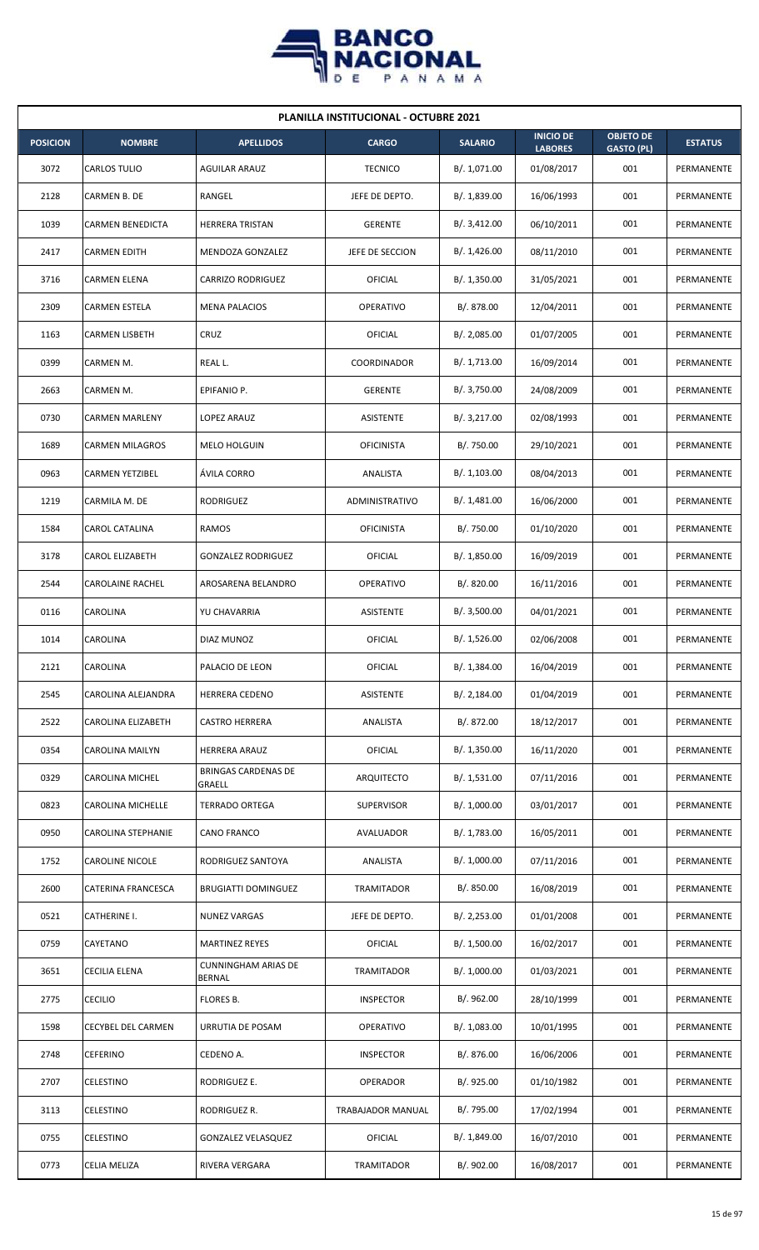

| <b>PLANILLA INSTITUCIONAL - OCTUBRE 2021</b> |                         |                                             |                   |                |                                    |                                       |                |  |  |  |
|----------------------------------------------|-------------------------|---------------------------------------------|-------------------|----------------|------------------------------------|---------------------------------------|----------------|--|--|--|
| <b>POSICION</b>                              | <b>NOMBRE</b>           | <b>APELLIDOS</b>                            | <b>CARGO</b>      | <b>SALARIO</b> | <b>INICIO DE</b><br><b>LABORES</b> | <b>OBJETO DE</b><br><b>GASTO (PL)</b> | <b>ESTATUS</b> |  |  |  |
| 3072                                         | CARLOS TULIO            | <b>AGUILAR ARAUZ</b>                        | <b>TECNICO</b>    | B/. 1,071.00   | 01/08/2017                         | 001                                   | PERMANENTE     |  |  |  |
| 2128                                         | CARMEN B. DE            | RANGEL                                      | JEFE DE DEPTO.    | B/. 1,839.00   | 16/06/1993                         | 001                                   | PERMANENTE     |  |  |  |
| 1039                                         | <b>CARMEN BENEDICTA</b> | <b>HERRERA TRISTAN</b>                      | <b>GERENTE</b>    | B/. 3,412.00   | 06/10/2011                         | 001                                   | PERMANENTE     |  |  |  |
| 2417                                         | <b>CARMEN EDITH</b>     | MENDOZA GONZALEZ                            | JEFE DE SECCION   | B/.1,426.00    | 08/11/2010                         | 001                                   | PERMANENTE     |  |  |  |
| 3716                                         | <b>CARMEN ELENA</b>     | <b>CARRIZO RODRIGUEZ</b>                    | OFICIAL           | B/.1,350.00    | 31/05/2021                         | 001                                   | PERMANENTE     |  |  |  |
| 2309                                         | CARMEN ESTELA           | <b>MENA PALACIOS</b>                        | <b>OPERATIVO</b>  | B/. 878.00     | 12/04/2011                         | 001                                   | PERMANENTE     |  |  |  |
| 1163                                         | <b>CARMEN LISBETH</b>   | CRUZ                                        | OFICIAL           | B/.2,085.00    | 01/07/2005                         | 001                                   | PERMANENTE     |  |  |  |
| 0399                                         | CARMEN M.               | REAL L.                                     | COORDINADOR       | B/. 1,713.00   | 16/09/2014                         | 001                                   | PERMANENTE     |  |  |  |
| 2663                                         | CARMEN M.               | EPIFANIO P.                                 | <b>GERENTE</b>    | B/. 3,750.00   | 24/08/2009                         | 001                                   | PERMANENTE     |  |  |  |
| 0730                                         | <b>CARMEN MARLENY</b>   | LOPEZ ARAUZ                                 | ASISTENTE         | B/. 3,217.00   | 02/08/1993                         | 001                                   | PERMANENTE     |  |  |  |
| 1689                                         | <b>CARMEN MILAGROS</b>  | <b>MELO HOLGUIN</b>                         | <b>OFICINISTA</b> | B/. 750.00     | 29/10/2021                         | 001                                   | PERMANENTE     |  |  |  |
| 0963                                         | <b>CARMEN YETZIBEL</b>  | ÁVILA CORRO                                 | ANALISTA          | B/. 1,103.00   | 08/04/2013                         | 001                                   | PERMANENTE     |  |  |  |
| 1219                                         | CARMILA M. DE           | RODRIGUEZ                                   | ADMINISTRATIVO    | B/.1,481.00    | 16/06/2000                         | 001                                   | PERMANENTE     |  |  |  |
| 1584                                         | CAROL CATALINA          | RAMOS                                       | <b>OFICINISTA</b> | B/. 750.00     | 01/10/2020                         | 001                                   | PERMANENTE     |  |  |  |
| 3178                                         | <b>CAROL ELIZABETH</b>  | <b>GONZALEZ RODRIGUEZ</b>                   | OFICIAL           | B/.1,850.00    | 16/09/2019                         | 001                                   | PERMANENTE     |  |  |  |
| 2544                                         | CAROLAINE RACHEL        | AROSARENA BELANDRO                          | <b>OPERATIVO</b>  | B/. 820.00     | 16/11/2016                         | 001                                   | PERMANENTE     |  |  |  |
| 0116                                         | CAROLINA                | YU CHAVARRIA                                | ASISTENTE         | B/. 3,500.00   | 04/01/2021                         | 001                                   | PERMANENTE     |  |  |  |
| 1014                                         | CAROLINA                | DIAZ MUNOZ                                  | OFICIAL           | B/. 1,526.00   | 02/06/2008                         | 001                                   | PERMANENTE     |  |  |  |
| 2121                                         | CAROLINA                | PALACIO DE LEON                             | <b>OFICIAL</b>    | B/. 1,384.00   | 16/04/2019                         | 001                                   | PERMANENTE     |  |  |  |
| 2545                                         | CAROLINA ALEJANDRA      | HERRERA CEDENO                              | ASISTENTE         | B/.2,184.00    | 01/04/2019                         | 001                                   | PERMANENTE     |  |  |  |
| 2522                                         | CAROLINA ELIZABETH      | <b>CASTRO HERRERA</b>                       | ANALISTA          | B/. 872.00     | 18/12/2017                         | 001                                   | PERMANENTE     |  |  |  |
| 0354                                         | <b>CAROLINA MAILYN</b>  | HERRERA ARAUZ                               | OFICIAL           | B/. 1,350.00   | 16/11/2020                         | 001                                   | PERMANENTE     |  |  |  |
| 0329                                         | CAROLINA MICHEL         | <b>BRINGAS CARDENAS DE</b><br>GRAELL        | ARQUITECTO        | B/. 1,531.00   | 07/11/2016                         | 001                                   | PERMANENTE     |  |  |  |
| 0823                                         | CAROLINA MICHELLE       | <b>TERRADO ORTEGA</b>                       | <b>SUPERVISOR</b> | B/. 1,000.00   | 03/01/2017                         | 001                                   | PERMANENTE     |  |  |  |
| 0950                                         | CAROLINA STEPHANIE      | CANO FRANCO                                 | AVALUADOR         | B/. 1,783.00   | 16/05/2011                         | 001                                   | PERMANENTE     |  |  |  |
| 1752                                         | <b>CAROLINE NICOLE</b>  | RODRIGUEZ SANTOYA                           | ANALISTA          | B/. 1,000.00   | 07/11/2016                         | 001                                   | PERMANENTE     |  |  |  |
| 2600                                         | CATERINA FRANCESCA      | <b>BRUGIATTI DOMINGUEZ</b>                  | <b>TRAMITADOR</b> | B/. 850.00     | 16/08/2019                         | 001                                   | PERMANENTE     |  |  |  |
| 0521                                         | CATHERINE I.            | <b>NUNEZ VARGAS</b>                         | JEFE DE DEPTO.    | B/.2,253.00    | 01/01/2008                         | 001                                   | PERMANENTE     |  |  |  |
| 0759                                         | CAYETANO                | <b>MARTINEZ REYES</b>                       | <b>OFICIAL</b>    | B/. 1,500.00   | 16/02/2017                         | 001                                   | PERMANENTE     |  |  |  |
| 3651                                         | CECILIA ELENA           | <b>CUNNINGHAM ARIAS DE</b><br><b>BERNAL</b> | <b>TRAMITADOR</b> | B/. 1,000.00   | 01/03/2021                         | 001                                   | PERMANENTE     |  |  |  |
| 2775                                         | <b>CECILIO</b>          | FLORES B.                                   | <b>INSPECTOR</b>  | B/. 962.00     | 28/10/1999                         | 001                                   | PERMANENTE     |  |  |  |
| 1598                                         | CECYBEL DEL CARMEN      | URRUTIA DE POSAM                            | OPERATIVO         | B/. 1,083.00   | 10/01/1995                         | 001                                   | PERMANENTE     |  |  |  |
| 2748                                         | CEFERINO                | CEDENO A.                                   | <b>INSPECTOR</b>  | B/. 876.00     | 16/06/2006                         | 001                                   | PERMANENTE     |  |  |  |
| 2707                                         | CELESTINO               | RODRIGUEZ E.                                | OPERADOR          | B/. 925.00     | 01/10/1982                         | 001                                   | PERMANENTE     |  |  |  |
| 3113                                         | CELESTINO               | RODRIGUEZ R.                                | TRABAJADOR MANUAL | B/. 795.00     | 17/02/1994                         | 001                                   | PERMANENTE     |  |  |  |
| 0755                                         | <b>CELESTINO</b>        | <b>GONZALEZ VELASQUEZ</b>                   | <b>OFICIAL</b>    | B/. 1,849.00   | 16/07/2010                         | 001                                   | PERMANENTE     |  |  |  |
| 0773                                         | CELIA MELIZA            | RIVERA VERGARA                              | TRAMITADOR        | B/. 902.00     | 16/08/2017                         | 001                                   | PERMANENTE     |  |  |  |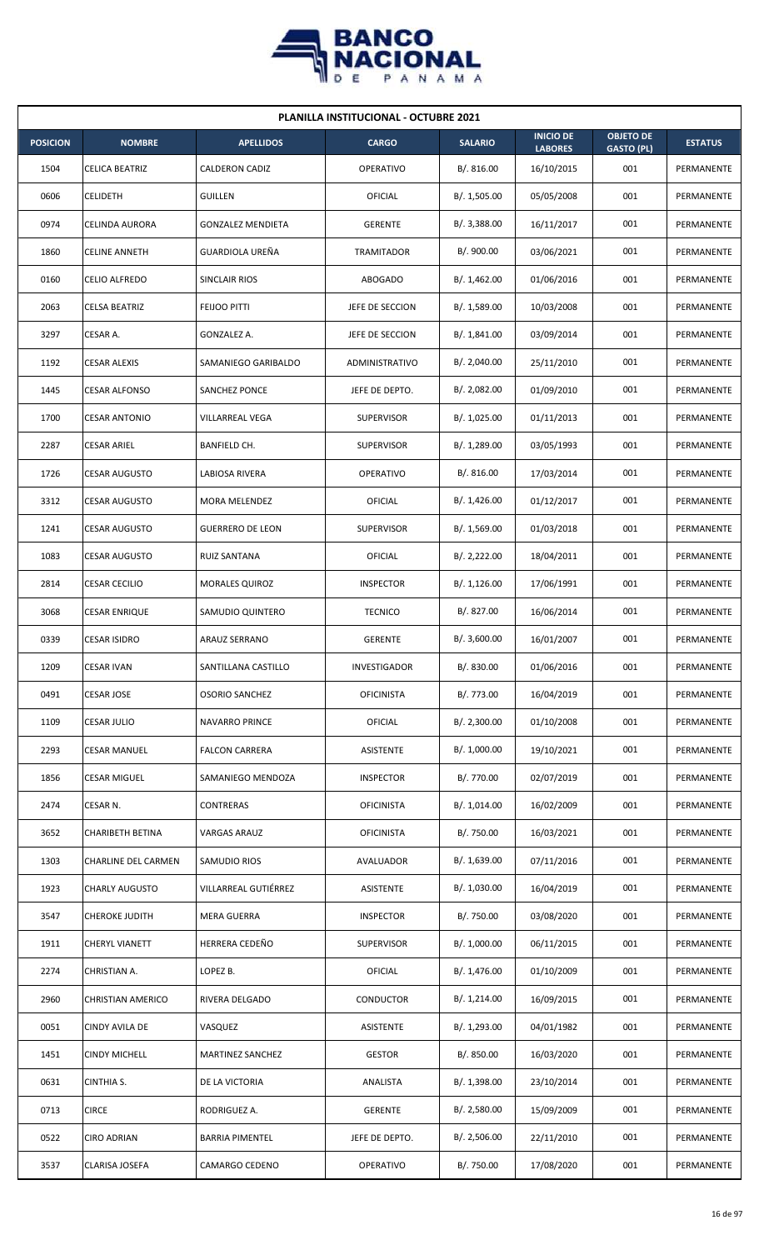

| <b>PLANILLA INSTITUCIONAL - OCTUBRE 2021</b> |                            |                          |                       |                |                                    |                                       |                |  |  |  |
|----------------------------------------------|----------------------------|--------------------------|-----------------------|----------------|------------------------------------|---------------------------------------|----------------|--|--|--|
| <b>POSICION</b>                              | <b>NOMBRE</b>              | <b>APELLIDOS</b>         | <b>CARGO</b>          | <b>SALARIO</b> | <b>INICIO DE</b><br><b>LABORES</b> | <b>OBJETO DE</b><br><b>GASTO (PL)</b> | <b>ESTATUS</b> |  |  |  |
| 1504                                         | <b>CELICA BEATRIZ</b>      | <b>CALDERON CADIZ</b>    | <b>OPERATIVO</b>      | B/. 816.00     | 16/10/2015                         | 001                                   | PERMANENTE     |  |  |  |
| 0606                                         | <b>CELIDETH</b>            | <b>GUILLEN</b>           | <b>OFICIAL</b>        | B/. 1,505.00   | 05/05/2008                         | 001                                   | PERMANENTE     |  |  |  |
| 0974                                         | CELINDA AURORA             | <b>GONZALEZ MENDIETA</b> | <b>GERENTE</b>        | B/. 3,388.00   | 16/11/2017                         | 001                                   | PERMANENTE     |  |  |  |
| 1860                                         | <b>CELINE ANNETH</b>       | GUARDIOLA UREÑA          | TRAMITADOR            | B/. 900.00     | 03/06/2021                         | 001                                   | PERMANENTE     |  |  |  |
| 0160                                         | CELIO ALFREDO              | SINCLAIR RIOS            | <b>ABOGADO</b>        | B/. 1,462.00   | 01/06/2016                         | 001                                   | PERMANENTE     |  |  |  |
| 2063                                         | CELSA BEATRIZ              | FEIJOO PITTI             | JEFE DE SECCION       | B/. 1,589.00   | 10/03/2008                         | 001                                   | PERMANENTE     |  |  |  |
| 3297                                         | CESAR A.                   | GONZALEZ A.              | JEFE DE SECCION       | B/.1,841.00    | 03/09/2014                         | 001                                   | PERMANENTE     |  |  |  |
| 1192                                         | CESAR ALEXIS               | SAMANIEGO GARIBALDO      | <b>ADMINISTRATIVO</b> | B/. 2,040.00   | 25/11/2010                         | 001                                   | PERMANENTE     |  |  |  |
| 1445                                         | <b>CESAR ALFONSO</b>       | SANCHEZ PONCE            | JEFE DE DEPTO.        | B/. 2,082.00   | 01/09/2010                         | 001                                   | PERMANENTE     |  |  |  |
| 1700                                         | <b>CESAR ANTONIO</b>       | VILLARREAL VEGA          | <b>SUPERVISOR</b>     | B/. 1,025.00   | 01/11/2013                         | 001                                   | PERMANENTE     |  |  |  |
| 2287                                         | <b>CESAR ARIEL</b>         | <b>BANFIELD CH.</b>      | <b>SUPERVISOR</b>     | B/. 1,289.00   | 03/05/1993                         | 001                                   | PERMANENTE     |  |  |  |
| 1726                                         | <b>CESAR AUGUSTO</b>       | LABIOSA RIVERA           | <b>OPERATIVO</b>      | B/. 816.00     | 17/03/2014                         | 001                                   | PERMANENTE     |  |  |  |
| 3312                                         | <b>CESAR AUGUSTO</b>       | MORA MELENDEZ            | OFICIAL               | B/. 1,426.00   | 01/12/2017                         | 001                                   | PERMANENTE     |  |  |  |
| 1241                                         | <b>CESAR AUGUSTO</b>       | <b>GUERRERO DE LEON</b>  | <b>SUPERVISOR</b>     | B/.1,569.00    | 01/03/2018                         | 001                                   | PERMANENTE     |  |  |  |
| 1083                                         | <b>CESAR AUGUSTO</b>       | RUIZ SANTANA             | OFICIAL               | B/.2,222.00    | 18/04/2011                         | 001                                   | PERMANENTE     |  |  |  |
| 2814                                         | CESAR CECILIO              | <b>MORALES QUIROZ</b>    | <b>INSPECTOR</b>      | B/.1,126.00    | 17/06/1991                         | 001                                   | PERMANENTE     |  |  |  |
| 3068                                         | CESAR ENRIQUE              | SAMUDIO QUINTERO         | <b>TECNICO</b>        | B/. 827.00     | 16/06/2014                         | 001                                   | PERMANENTE     |  |  |  |
| 0339                                         | <b>CESAR ISIDRO</b>        | ARAUZ SERRANO            | <b>GERENTE</b>        | B/. 3,600.00   | 16/01/2007                         | 001                                   | PERMANENTE     |  |  |  |
| 1209                                         | <b>CESAR IVAN</b>          | SANTILLANA CASTILLO      | INVESTIGADOR          | B/. 830.00     | 01/06/2016                         | 001                                   | PERMANENTE     |  |  |  |
| 0491                                         | CESAR JOSE                 | <b>OSORIO SANCHEZ</b>    | <b>OFICINISTA</b>     | B/. 773.00     | 16/04/2019                         | 001                                   | PERMANENTE     |  |  |  |
| 1109                                         | <b>CESAR JULIO</b>         | NAVARRO PRINCE           | <b>OFICIAL</b>        | B/. 2,300.00   | 01/10/2008                         | 001                                   | PERMANENTE     |  |  |  |
| 2293                                         | CESAR MANUEL               | <b>FALCON CARRERA</b>    | ASISTENTE             | B/. 1,000.00   | 19/10/2021                         | 001                                   | PERMANENTE     |  |  |  |
| 1856                                         | CESAR MIGUEL               | SAMANIEGO MENDOZA        | <b>INSPECTOR</b>      | B/. 770.00     | 02/07/2019                         | 001                                   | PERMANENTE     |  |  |  |
| 2474                                         | CESAR N.                   | <b>CONTRERAS</b>         | <b>OFICINISTA</b>     | B/. 1,014.00   | 16/02/2009                         | 001                                   | PERMANENTE     |  |  |  |
| 3652                                         | CHARIBETH BETINA           | <b>VARGAS ARAUZ</b>      | <b>OFICINISTA</b>     | B/. 750.00     | 16/03/2021                         | 001                                   | PERMANENTE     |  |  |  |
| 1303                                         | <b>CHARLINE DEL CARMEN</b> | SAMUDIO RIOS             | AVALUADOR             | B/. 1,639.00   | 07/11/2016                         | 001                                   | PERMANENTE     |  |  |  |
| 1923                                         | <b>CHARLY AUGUSTO</b>      | VILLARREAL GUTIÉRREZ     | ASISTENTE             | B/. 1,030.00   | 16/04/2019                         | 001                                   | PERMANENTE     |  |  |  |
| 3547                                         | <b>CHEROKE JUDITH</b>      | <b>MERA GUERRA</b>       | <b>INSPECTOR</b>      | B/. 750.00     | 03/08/2020                         | 001                                   | PERMANENTE     |  |  |  |
| 1911                                         | CHERYL VIANETT             | HERRERA CEDEÑO           | SUPERVISOR            | B/. 1,000.00   | 06/11/2015                         | 001                                   | PERMANENTE     |  |  |  |
| 2274                                         | CHRISTIAN A.               | LOPEZ B.                 | OFICIAL               | B/. 1,476.00   | 01/10/2009                         | 001                                   | PERMANENTE     |  |  |  |
| 2960                                         | <b>CHRISTIAN AMERICO</b>   | RIVERA DELGADO           | CONDUCTOR             | B/. 1,214.00   | 16/09/2015                         | 001                                   | PERMANENTE     |  |  |  |
| 0051                                         | CINDY AVILA DE             | VASQUEZ                  | ASISTENTE             | B/. 1,293.00   | 04/01/1982                         | 001                                   | PERMANENTE     |  |  |  |
| 1451                                         | <b>CINDY MICHELL</b>       | MARTINEZ SANCHEZ         | <b>GESTOR</b>         | B/. 850.00     | 16/03/2020                         | 001                                   | PERMANENTE     |  |  |  |
| 0631                                         | CINTHIA S.                 | DE LA VICTORIA           | ANALISTA              | B/. 1,398.00   | 23/10/2014                         | 001                                   | PERMANENTE     |  |  |  |
| 0713                                         | <b>CIRCE</b>               | RODRIGUEZ A.             | <b>GERENTE</b>        | B/. 2,580.00   | 15/09/2009                         | 001                                   | PERMANENTE     |  |  |  |
| 0522                                         | <b>CIRO ADRIAN</b>         | <b>BARRIA PIMENTEL</b>   | JEFE DE DEPTO.        | B/.2,506.00    | 22/11/2010                         | 001                                   | PERMANENTE     |  |  |  |
| 3537                                         | CLARISA JOSEFA             | CAMARGO CEDENO           | OPERATIVO             | B/. 750.00     | 17/08/2020                         | 001                                   | PERMANENTE     |  |  |  |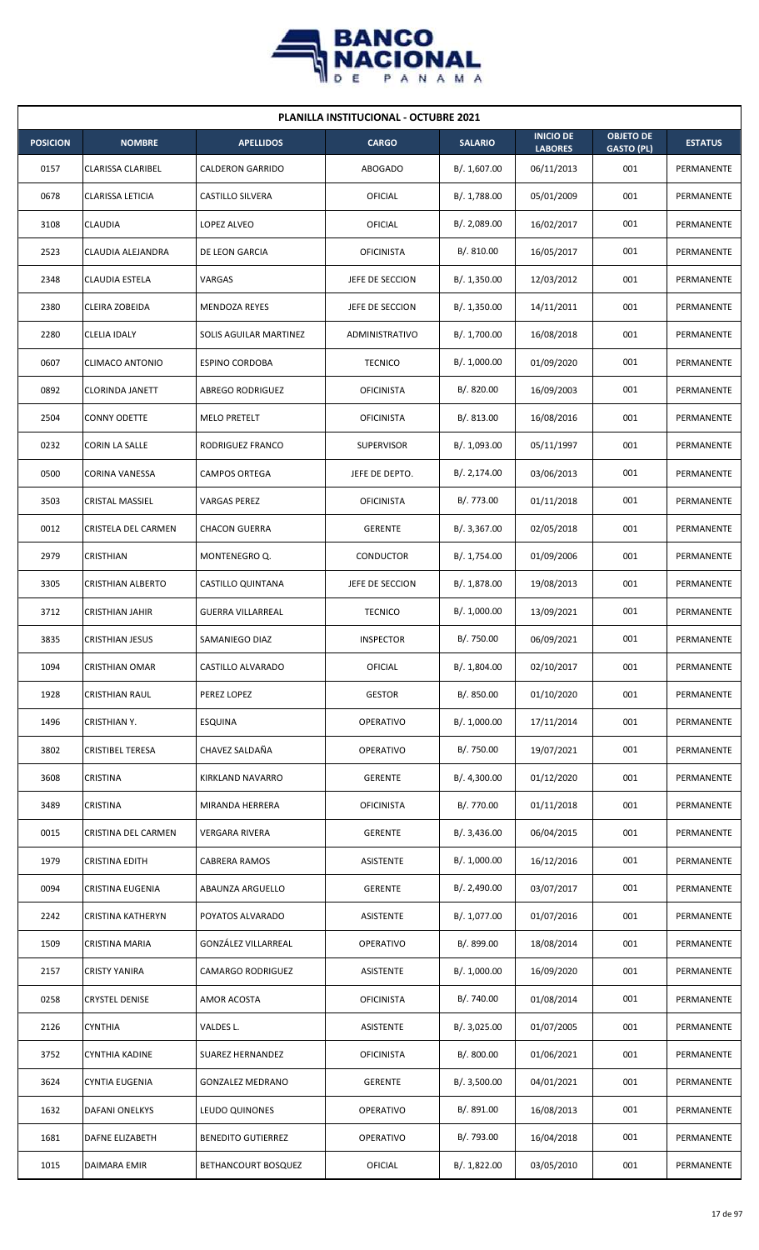

| <b>PLANILLA INSTITUCIONAL - OCTUBRE 2021</b> |                          |                           |                   |                |                                    |                                       |                |  |  |  |
|----------------------------------------------|--------------------------|---------------------------|-------------------|----------------|------------------------------------|---------------------------------------|----------------|--|--|--|
| <b>POSICION</b>                              | <b>NOMBRE</b>            | <b>APELLIDOS</b>          | <b>CARGO</b>      | <b>SALARIO</b> | <b>INICIO DE</b><br><b>LABORES</b> | <b>OBJETO DE</b><br><b>GASTO (PL)</b> | <b>ESTATUS</b> |  |  |  |
| 0157                                         | CLARISSA CLARIBEL        | <b>CALDERON GARRIDO</b>   | <b>ABOGADO</b>    | B/. 1,607.00   | 06/11/2013                         | 001                                   | PERMANENTE     |  |  |  |
| 0678                                         | <b>CLARISSA LETICIA</b>  | <b>CASTILLO SILVERA</b>   | OFICIAL           | B/.1,788.00    | 05/01/2009                         | 001                                   | PERMANENTE     |  |  |  |
| 3108                                         | CLAUDIA                  | LOPEZ ALVEO               | OFICIAL           | B/. 2,089.00   | 16/02/2017                         | 001                                   | PERMANENTE     |  |  |  |
| 2523                                         | CLAUDIA ALEJANDRA        | DE LEON GARCIA            | <b>OFICINISTA</b> | B/. 810.00     | 16/05/2017                         | 001                                   | PERMANENTE     |  |  |  |
| 2348                                         | <b>CLAUDIA ESTELA</b>    | VARGAS                    | JEFE DE SECCION   | B/. 1,350.00   | 12/03/2012                         | 001                                   | PERMANENTE     |  |  |  |
| 2380                                         | CLEIRA ZOBEIDA           | <b>MENDOZA REYES</b>      | JEFE DE SECCION   | B/. 1,350.00   | 14/11/2011                         | 001                                   | PERMANENTE     |  |  |  |
| 2280                                         | <b>CLELIA IDALY</b>      | SOLIS AGUILAR MARTINEZ    | ADMINISTRATIVO    | B/. 1,700.00   | 16/08/2018                         | 001                                   | PERMANENTE     |  |  |  |
| 0607                                         | CLIMACO ANTONIO          | <b>ESPINO CORDOBA</b>     | <b>TECNICO</b>    | B/. 1,000.00   | 01/09/2020                         | 001                                   | PERMANENTE     |  |  |  |
| 0892                                         | <b>CLORINDA JANETT</b>   | ABREGO RODRIGUEZ          | <b>OFICINISTA</b> | B/0.820.00     | 16/09/2003                         | 001                                   | PERMANENTE     |  |  |  |
| 2504                                         | <b>CONNY ODETTE</b>      | <b>MELO PRETELT</b>       | <b>OFICINISTA</b> | B/.813.00      | 16/08/2016                         | 001                                   | PERMANENTE     |  |  |  |
| 0232                                         | <b>CORIN LA SALLE</b>    | RODRIGUEZ FRANCO          | <b>SUPERVISOR</b> | B/. 1,093.00   | 05/11/1997                         | 001                                   | PERMANENTE     |  |  |  |
| 0500                                         | CORINA VANESSA           | <b>CAMPOS ORTEGA</b>      | JEFE DE DEPTO.    | B/. 2,174.00   | 03/06/2013                         | 001                                   | PERMANENTE     |  |  |  |
| 3503                                         | CRISTAL MASSIEL          | <b>VARGAS PEREZ</b>       | <b>OFICINISTA</b> | B/. 773.00     | 01/11/2018                         | 001                                   | PERMANENTE     |  |  |  |
| 0012                                         | CRISTELA DEL CARMEN      | <b>CHACON GUERRA</b>      | <b>GERENTE</b>    | B/. 3,367.00   | 02/05/2018                         | 001                                   | PERMANENTE     |  |  |  |
| 2979                                         | CRISTHIAN                | MONTENEGRO Q.             | <b>CONDUCTOR</b>  | B/. 1,754.00   | 01/09/2006                         | 001                                   | PERMANENTE     |  |  |  |
| 3305                                         | <b>CRISTHIAN ALBERTO</b> | CASTILLO QUINTANA         | JEFE DE SECCION   | B/. 1,878.00   | 19/08/2013                         | 001                                   | PERMANENTE     |  |  |  |
| 3712                                         | CRISTHIAN JAHIR          | <b>GUERRA VILLARREAL</b>  | <b>TECNICO</b>    | B/. 1,000.00   | 13/09/2021                         | 001                                   | PERMANENTE     |  |  |  |
| 3835                                         | <b>CRISTHIAN JESUS</b>   | SAMANIEGO DIAZ            | <b>INSPECTOR</b>  | B/. 750.00     | 06/09/2021                         | 001                                   | PERMANENTE     |  |  |  |
| 1094                                         | <b>CRISTHIAN OMAR</b>    | CASTILLO ALVARADO         | <b>OFICIAL</b>    | B/. 1,804.00   | 02/10/2017                         | 001                                   | PERMANENTE     |  |  |  |
| 1928                                         | CRISTHIAN RAUL           | PEREZ LOPEZ               | <b>GESTOR</b>     | B/. 850.00     | 01/10/2020                         | 001                                   | PERMANENTE     |  |  |  |
| 1496                                         | CRISTHIAN Y.             | <b>ESQUINA</b>            | OPERATIVO         | B/. 1,000.00   | 17/11/2014                         | 001                                   | PERMANENTE     |  |  |  |
| 3802                                         | <b>CRISTIBEL TERESA</b>  | CHAVEZ SALDAÑA            | <b>OPERATIVO</b>  | B/. 750.00     | 19/07/2021                         | 001                                   | PERMANENTE     |  |  |  |
| 3608                                         | CRISTINA                 | KIRKLAND NAVARRO          | <b>GERENTE</b>    | B/. 4,300.00   | 01/12/2020                         | 001                                   | PERMANENTE     |  |  |  |
| 3489                                         | CRISTINA                 | MIRANDA HERRERA           | <b>OFICINISTA</b> | B/. 770.00     | 01/11/2018                         | 001                                   | PERMANENTE     |  |  |  |
| 0015                                         | CRISTINA DEL CARMEN      | <b>VERGARA RIVERA</b>     | <b>GERENTE</b>    | B/. 3,436.00   | 06/04/2015                         | 001                                   | PERMANENTE     |  |  |  |
| 1979                                         | CRISTINA EDITH           | <b>CABRERA RAMOS</b>      | ASISTENTE         | B/. 1,000.00   | 16/12/2016                         | 001                                   | PERMANENTE     |  |  |  |
| 0094                                         | CRISTINA EUGENIA         | ABAUNZA ARGUELLO          | <b>GERENTE</b>    | B/. 2,490.00   | 03/07/2017                         | 001                                   | PERMANENTE     |  |  |  |
| 2242                                         | CRISTINA KATHERYN        | POYATOS ALVARADO          | ASISTENTE         | B/. 1,077.00   | 01/07/2016                         | 001                                   | PERMANENTE     |  |  |  |
| 1509                                         | CRISTINA MARIA           | GONZÁLEZ VILLARREAL       | OPERATIVO         | B/. 899.00     | 18/08/2014                         | 001                                   | PERMANENTE     |  |  |  |
| 2157                                         | CRISTY YANIRA            | CAMARGO RODRIGUEZ         | ASISTENTE         | B/. 1,000.00   | 16/09/2020                         | 001                                   | PERMANENTE     |  |  |  |
| 0258                                         | CRYSTEL DENISE           | AMOR ACOSTA               | <b>OFICINISTA</b> | B/. 740.00     | 01/08/2014                         | 001                                   | PERMANENTE     |  |  |  |
| 2126                                         | <b>CYNTHIA</b>           | VALDES L.                 | ASISTENTE         | B/. 3,025.00   | 01/07/2005                         | 001                                   | PERMANENTE     |  |  |  |
| 3752                                         | CYNTHIA KADINE           | SUAREZ HERNANDEZ          | <b>OFICINISTA</b> | B/. 800.00     | 01/06/2021                         | 001                                   | PERMANENTE     |  |  |  |
| 3624                                         | CYNTIA EUGENIA           | <b>GONZALEZ MEDRANO</b>   | <b>GERENTE</b>    | B/. 3,500.00   | 04/01/2021                         | 001                                   | PERMANENTE     |  |  |  |
| 1632                                         | DAFANI ONELKYS           | LEUDO QUINONES            | <b>OPERATIVO</b>  | B/. 891.00     | 16/08/2013                         | 001                                   | PERMANENTE     |  |  |  |
| 1681                                         | DAFNE ELIZABETH          | <b>BENEDITO GUTIERREZ</b> | OPERATIVO         | B/. 793.00     | 16/04/2018                         | 001                                   | PERMANENTE     |  |  |  |
| 1015                                         | DAIMARA EMIR             | BETHANCOURT BOSQUEZ       | OFICIAL           | B/. 1,822.00   | 03/05/2010                         | 001                                   | PERMANENTE     |  |  |  |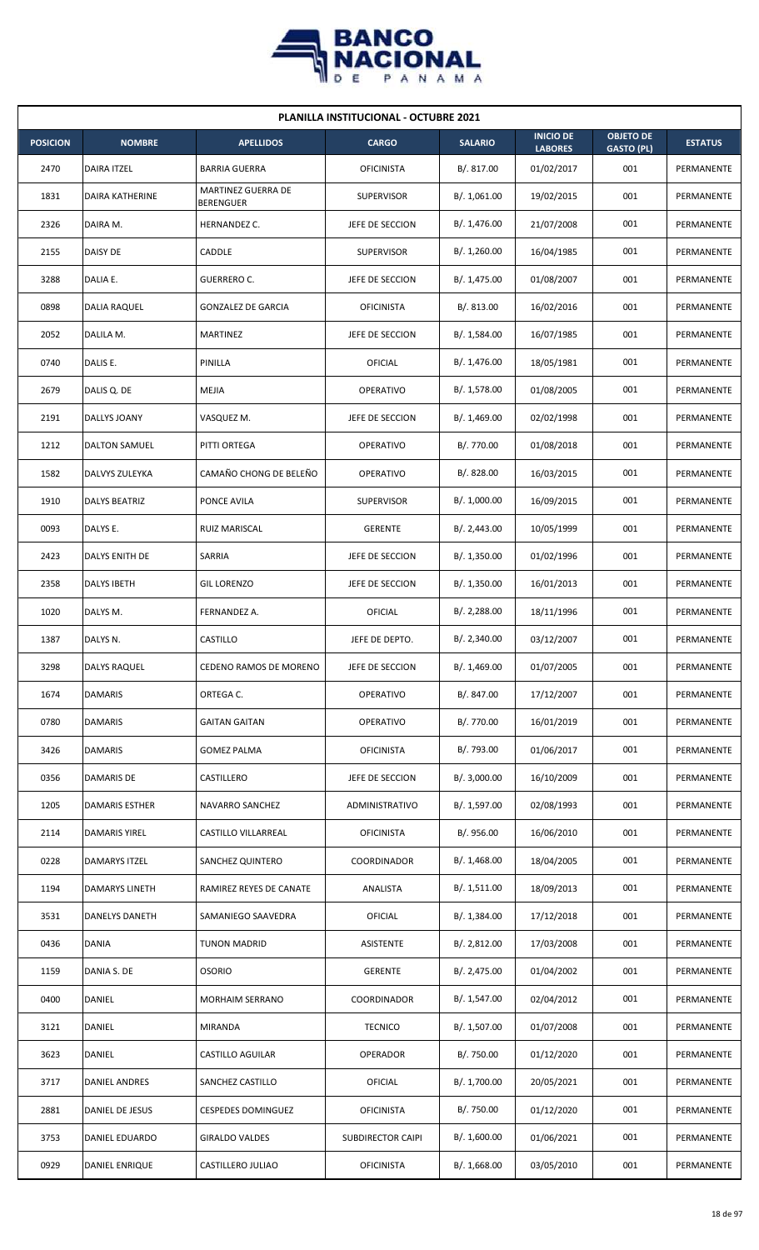

| <b>PLANILLA INSTITUCIONAL - OCTUBRE 2021</b> |                        |                                 |                   |                |                                    |                                       |                |  |  |  |
|----------------------------------------------|------------------------|---------------------------------|-------------------|----------------|------------------------------------|---------------------------------------|----------------|--|--|--|
| <b>POSICION</b>                              | <b>NOMBRE</b>          | <b>APELLIDOS</b>                | <b>CARGO</b>      | <b>SALARIO</b> | <b>INICIO DE</b><br><b>LABORES</b> | <b>OBJETO DE</b><br><b>GASTO (PL)</b> | <b>ESTATUS</b> |  |  |  |
| 2470                                         | <b>DAIRA ITZEL</b>     | <b>BARRIA GUERRA</b>            | <b>OFICINISTA</b> | B/. 817.00     | 01/02/2017                         | 001                                   | PERMANENTE     |  |  |  |
| 1831                                         | <b>DAIRA KATHERINE</b> | MARTINEZ GUERRA DE<br>BERENGUER | <b>SUPERVISOR</b> | B/. 1,061.00   | 19/02/2015                         | 001                                   | PERMANENTE     |  |  |  |
| 2326                                         | DAIRA M.               | HERNANDEZ C.                    | JEFE DE SECCION   | B/. 1,476.00   | 21/07/2008                         | 001                                   | PERMANENTE     |  |  |  |
| 2155                                         | DAISY DE               | CADDLE                          | <b>SUPERVISOR</b> | B/.1,260.00    | 16/04/1985                         | 001                                   | PERMANENTE     |  |  |  |
| 3288                                         | DALIA E.               | GUERRERO C.                     | JEFE DE SECCION   | B/. 1,475.00   | 01/08/2007                         | 001                                   | PERMANENTE     |  |  |  |
| 0898                                         | DALIA RAQUEL           | <b>GONZALEZ DE GARCIA</b>       | <b>OFICINISTA</b> | B/. 813.00     | 16/02/2016                         | 001                                   | PERMANENTE     |  |  |  |
| 2052                                         | DALILA M.              | <b>MARTINEZ</b>                 | JEFE DE SECCION   | B/. 1,584.00   | 16/07/1985                         | 001                                   | PERMANENTE     |  |  |  |
| 0740                                         | DALIS E.               | PINILLA                         | <b>OFICIAL</b>    | B/. 1,476.00   | 18/05/1981                         | 001                                   | PERMANENTE     |  |  |  |
| 2679                                         | DALIS Q. DE            | MEJIA                           | OPERATIVO         | B/. 1,578.00   | 01/08/2005                         | 001                                   | PERMANENTE     |  |  |  |
| 2191                                         | DALLYS JOANY           | VASQUEZ M.                      | JEFE DE SECCION   | B/. 1,469.00   | 02/02/1998                         | 001                                   | PERMANENTE     |  |  |  |
| 1212                                         | <b>DALTON SAMUEL</b>   | PITTI ORTEGA                    | OPERATIVO         | B/. 770.00     | 01/08/2018                         | 001                                   | PERMANENTE     |  |  |  |
| 1582                                         | DALVYS ZULEYKA         | CAMAÑO CHONG DE BELEÑO          | OPERATIVO         | B/.828.00      | 16/03/2015                         | 001                                   | PERMANENTE     |  |  |  |
| 1910                                         | DALYS BEATRIZ          | PONCE AVILA                     | <b>SUPERVISOR</b> | B/. 1,000.00   | 16/09/2015                         | 001                                   | PERMANENTE     |  |  |  |
| 0093                                         | DALYS E.               | RUIZ MARISCAL                   | <b>GERENTE</b>    | B/.2,443.00    | 10/05/1999                         | 001                                   | PERMANENTE     |  |  |  |
| 2423                                         | DALYS ENITH DE         | SARRIA                          | JEFE DE SECCION   | B/.1,350.00    | 01/02/1996                         | 001                                   | PERMANENTE     |  |  |  |
| 2358                                         | DALYS IBETH            | <b>GIL LORENZO</b>              | JEFE DE SECCION   | B/. 1,350.00   | 16/01/2013                         | 001                                   | PERMANENTE     |  |  |  |
| 1020                                         | DALYS M.               | FERNANDEZ A.                    | <b>OFICIAL</b>    | B/. 2,288.00   | 18/11/1996                         | 001                                   | PERMANENTE     |  |  |  |
| 1387                                         | DALYS N.               | CASTILLO                        | JEFE DE DEPTO.    | B/. 2,340.00   | 03/12/2007                         | 001                                   | PERMANENTE     |  |  |  |
| 3298                                         | <b>DALYS RAQUEL</b>    | CEDENO RAMOS DE MORENO          | JEFE DE SECCION   | B/. 1,469.00   | 01/07/2005                         | 001                                   | PERMANENTE     |  |  |  |
| 1674                                         | DAMARIS                | ORTEGA C.                       | OPERATIVO         | B/. 847.00     | 17/12/2007                         | 001                                   | PERMANENTE     |  |  |  |
| 0780                                         | <b>DAMARIS</b>         | <b>GAITAN GAITAN</b>            | OPERATIVO         | B/. 770.00     | 16/01/2019                         | 001                                   | PERMANENTE     |  |  |  |
| 3426                                         | DAMARIS                | <b>GOMEZ PALMA</b>              | <b>OFICINISTA</b> | B/. 793.00     | 01/06/2017                         | 001                                   | PERMANENTE     |  |  |  |
| 0356                                         | DAMARIS DE             | CASTILLERO                      | JEFE DE SECCION   | B/. 3,000.00   | 16/10/2009                         | 001                                   | PERMANENTE     |  |  |  |
| 1205                                         | DAMARIS ESTHER         | NAVARRO SANCHEZ                 | ADMINISTRATIVO    | B/. 1,597.00   | 02/08/1993                         | 001                                   | PERMANENTE     |  |  |  |
| 2114                                         | DAMARIS YIREL          | CASTILLO VILLARREAL             | <b>OFICINISTA</b> | B/. 956.00     | 16/06/2010                         | 001                                   | PERMANENTE     |  |  |  |
| 0228                                         | <b>DAMARYS ITZEL</b>   | SANCHEZ QUINTERO                | COORDINADOR       | B/.1,468.00    | 18/04/2005                         | 001                                   | PERMANENTE     |  |  |  |
| 1194                                         | DAMARYS LINETH         | RAMIREZ REYES DE CANATE         | ANALISTA          | B/.1,511.00    | 18/09/2013                         | 001                                   | PERMANENTE     |  |  |  |
| 3531                                         | <b>DANELYS DANETH</b>  | SAMANIEGO SAAVEDRA              | <b>OFICIAL</b>    | B/. 1,384.00   | 17/12/2018                         | 001                                   | PERMANENTE     |  |  |  |
| 0436                                         | DANIA                  | <b>TUNON MADRID</b>             | ASISTENTE         | B/.2,812.00    | 17/03/2008                         | 001                                   | PERMANENTE     |  |  |  |
| 1159                                         | DANIA S. DE            | <b>OSORIO</b>                   | <b>GERENTE</b>    | B/. 2,475.00   | 01/04/2002                         | 001                                   | PERMANENTE     |  |  |  |
| 0400                                         | DANIEL                 | MORHAIM SERRANO                 | COORDINADOR       | B/. 1,547.00   | 02/04/2012                         | 001                                   | PERMANENTE     |  |  |  |
| 3121                                         | DANIEL                 | MIRANDA                         | <b>TECNICO</b>    | B/. 1,507.00   | 01/07/2008                         | 001                                   | PERMANENTE     |  |  |  |
| 3623                                         | DANIEL                 | CASTILLO AGUILAR                | <b>OPERADOR</b>   | B/. 750.00     | 01/12/2020                         | 001                                   | PERMANENTE     |  |  |  |
| 3717                                         | DANIEL ANDRES          | SANCHEZ CASTILLO                | <b>OFICIAL</b>    | B/. 1,700.00   | 20/05/2021                         | 001                                   | PERMANENTE     |  |  |  |
| 2881                                         | DANIEL DE JESUS        | <b>CESPEDES DOMINGUEZ</b>       | <b>OFICINISTA</b> | B/. 750.00     | 01/12/2020                         | 001                                   | PERMANENTE     |  |  |  |
| 3753                                         | DANIEL EDUARDO         | <b>GIRALDO VALDES</b>           | SUBDIRECTOR CAIPI | B/. 1,600.00   | 01/06/2021                         | 001                                   | PERMANENTE     |  |  |  |
| 0929                                         | <b>DANIEL ENRIQUE</b>  | CASTILLERO JULIAO               | <b>OFICINISTA</b> | B/. 1,668.00   | 03/05/2010                         | 001                                   | PERMANENTE     |  |  |  |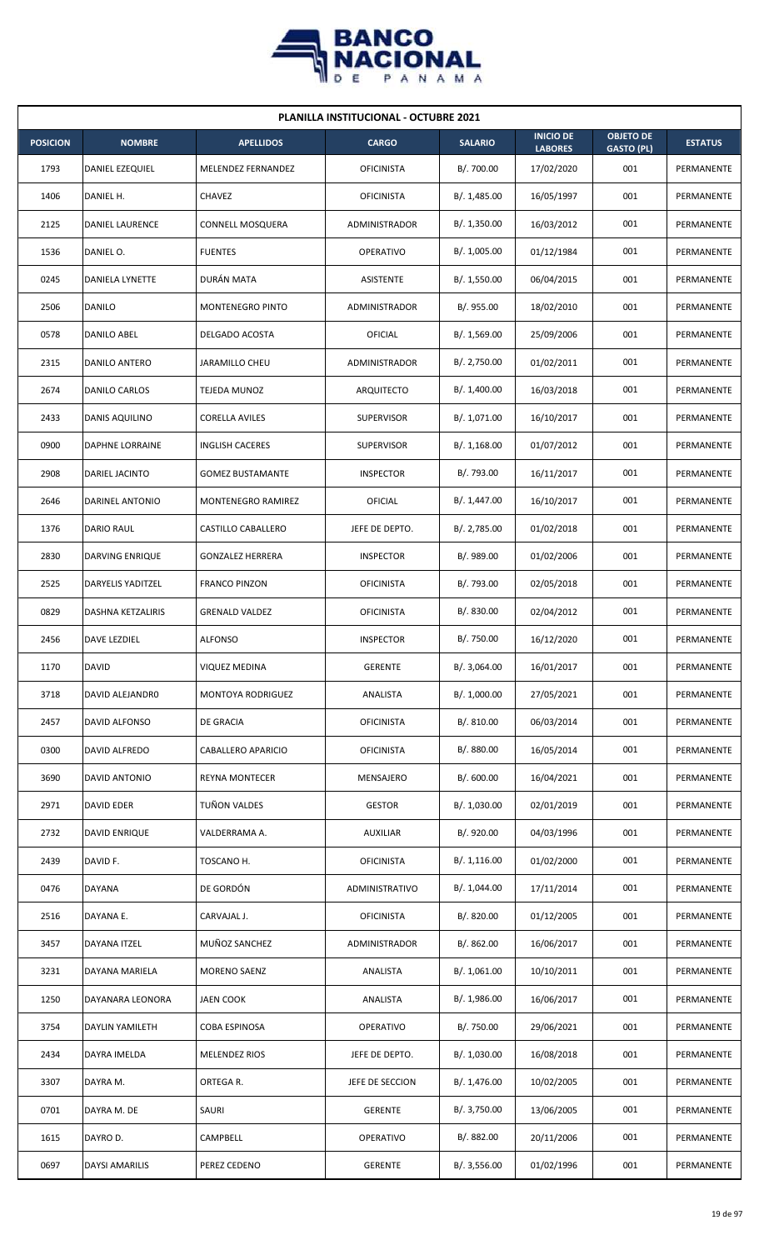

| <b>PLANILLA INSTITUCIONAL - OCTUBRE 2021</b> |                        |                         |                      |                |                                    |                                       |                |  |  |
|----------------------------------------------|------------------------|-------------------------|----------------------|----------------|------------------------------------|---------------------------------------|----------------|--|--|
| <b>POSICION</b>                              | <b>NOMBRE</b>          | <b>APELLIDOS</b>        | <b>CARGO</b>         | <b>SALARIO</b> | <b>INICIO DE</b><br><b>LABORES</b> | <b>OBJETO DE</b><br><b>GASTO (PL)</b> | <b>ESTATUS</b> |  |  |
| 1793                                         | <b>DANIEL EZEQUIEL</b> | MELENDEZ FERNANDEZ      | <b>OFICINISTA</b>    | B/. 700.00     | 17/02/2020                         | 001                                   | PERMANENTE     |  |  |
| 1406                                         | DANIEL H.              | <b>CHAVEZ</b>           | <b>OFICINISTA</b>    | B/. 1,485.00   | 16/05/1997                         | 001                                   | PERMANENTE     |  |  |
| 2125                                         | <b>DANIEL LAURENCE</b> | CONNELL MOSQUERA        | ADMINISTRADOR        | B/. 1,350.00   | 16/03/2012                         | 001                                   | PERMANENTE     |  |  |
| 1536                                         | DANIEL O.              | <b>FUENTES</b>          | <b>OPERATIVO</b>     | B/. 1,005.00   | 01/12/1984                         | 001                                   | PERMANENTE     |  |  |
| 0245                                         | DANIELA LYNETTE        | DURÁN MATA              | <b>ASISTENTE</b>     | B/. 1,550.00   | 06/04/2015                         | 001                                   | PERMANENTE     |  |  |
| 2506                                         | DANILO                 | MONTENEGRO PINTO        | ADMINISTRADOR        | B/.955.00      | 18/02/2010                         | 001                                   | PERMANENTE     |  |  |
| 0578                                         | DANILO ABEL            | DELGADO ACOSTA          | OFICIAL              | B/.1,569.00    | 25/09/2006                         | 001                                   | PERMANENTE     |  |  |
| 2315                                         | DANILO ANTERO          | <b>JARAMILLO CHEU</b>   | <b>ADMINISTRADOR</b> | B/. 2,750.00   | 01/02/2011                         | 001                                   | PERMANENTE     |  |  |
| 2674                                         | DANILO CARLOS          | TEJEDA MUNOZ            | ARQUITECTO           | B/.1,400.00    | 16/03/2018                         | 001                                   | PERMANENTE     |  |  |
| 2433                                         | DANIS AQUILINO         | <b>CORELLA AVILES</b>   | <b>SUPERVISOR</b>    | B/. 1,071.00   | 16/10/2017                         | 001                                   | PERMANENTE     |  |  |
| 0900                                         | <b>DAPHNE LORRAINE</b> | <b>INGLISH CACERES</b>  | <b>SUPERVISOR</b>    | B/.1,168.00    | 01/07/2012                         | 001                                   | PERMANENTE     |  |  |
| 2908                                         | DARIEL JACINTO         | <b>GOMEZ BUSTAMANTE</b> | <b>INSPECTOR</b>     | B/. 793.00     | 16/11/2017                         | 001                                   | PERMANENTE     |  |  |
| 2646                                         | DARINEL ANTONIO        | MONTENEGRO RAMIREZ      | OFICIAL              | B/. 1,447.00   | 16/10/2017                         | 001                                   | PERMANENTE     |  |  |
| 1376                                         | DARIO RAUL             | CASTILLO CABALLERO      | JEFE DE DEPTO.       | B/. 2,785.00   | 01/02/2018                         | 001                                   | PERMANENTE     |  |  |
| 2830                                         | DARVING ENRIQUE        | <b>GONZALEZ HERRERA</b> | <b>INSPECTOR</b>     | B/. 989.00     | 01/02/2006                         | 001                                   | PERMANENTE     |  |  |
| 2525                                         | DARYELIS YADITZEL      | <b>FRANCO PINZON</b>    | <b>OFICINISTA</b>    | B/. 793.00     | 02/05/2018                         | 001                                   | PERMANENTE     |  |  |
| 0829                                         | DASHNA KETZALIRIS      | <b>GRENALD VALDEZ</b>   | <b>OFICINISTA</b>    | B/0.830.00     | 02/04/2012                         | 001                                   | PERMANENTE     |  |  |
| 2456                                         | DAVE LEZDIEL           | <b>ALFONSO</b>          | <b>INSPECTOR</b>     | B/. 750.00     | 16/12/2020                         | 001                                   | PERMANENTE     |  |  |
| 1170                                         | <b>DAVID</b>           | <b>VIQUEZ MEDINA</b>    | GERENTE              | B/. 3,064.00   | 16/01/2017                         | 001                                   | PERMANENTE     |  |  |
| 3718                                         | DAVID ALEJANDRO        | MONTOYA RODRIGUEZ       | ANALISTA             | B/. 1,000.00   | 27/05/2021                         | 001                                   | PERMANENTE     |  |  |
| 2457                                         | DAVID ALFONSO          | DE GRACIA               | <b>OFICINISTA</b>    | B/. 810.00     | 06/03/2014                         | 001                                   | PERMANENTE     |  |  |
| 0300                                         | DAVID ALFREDO          | CABALLERO APARICIO      | <b>OFICINISTA</b>    | B/. 880.00     | 16/05/2014                         | 001                                   | PERMANENTE     |  |  |
| 3690                                         | DAVID ANTONIO          | REYNA MONTECER          | MENSAJERO            | B/. 600.00     | 16/04/2021                         | 001                                   | PERMANENTE     |  |  |
| 2971                                         | DAVID EDER             | TUÑON VALDES            | <b>GESTOR</b>        | B/. 1,030.00   | 02/01/2019                         | 001                                   | PERMANENTE     |  |  |
| 2732                                         | DAVID ENRIQUE          | VALDERRAMA A.           | <b>AUXILIAR</b>      | B/. 920.00     | 04/03/1996                         | 001                                   | PERMANENTE     |  |  |
| 2439                                         | DAVID F.               | TOSCANO H.              | <b>OFICINISTA</b>    | B/. 1,116.00   | 01/02/2000                         | 001                                   | PERMANENTE     |  |  |
| 0476                                         | DAYANA                 | DE GORDÓN               | ADMINISTRATIVO       | B/. 1,044.00   | 17/11/2014                         | 001                                   | PERMANENTE     |  |  |
| 2516                                         | DAYANA E.              | CARVAJAL J.             | <b>OFICINISTA</b>    | B/. 820.00     | 01/12/2005                         | 001                                   | PERMANENTE     |  |  |
| 3457                                         | DAYANA ITZEL           | MUÑOZ SANCHEZ           | ADMINISTRADOR        | B/. 862.00     | 16/06/2017                         | 001                                   | PERMANENTE     |  |  |
| 3231                                         | DAYANA MARIELA         | MORENO SAENZ            | ANALISTA             | B/. 1,061.00   | 10/10/2011                         | 001                                   | PERMANENTE     |  |  |
| 1250                                         | DAYANARA LEONORA       | JAEN COOK               | ANALISTA             | B/.1,986.00    | 16/06/2017                         | 001                                   | PERMANENTE     |  |  |
| 3754                                         | <b>DAYLIN YAMILETH</b> | COBA ESPINOSA           | OPERATIVO            | B/. 750.00     | 29/06/2021                         | 001                                   | PERMANENTE     |  |  |
| 2434                                         | DAYRA IMELDA           | MELENDEZ RIOS           | JEFE DE DEPTO.       | B/. 1,030.00   | 16/08/2018                         | 001                                   | PERMANENTE     |  |  |
| 3307                                         | DAYRA M.               | ORTEGA R.               | JEFE DE SECCION      | B/. 1,476.00   | 10/02/2005                         | 001                                   | PERMANENTE     |  |  |
| 0701                                         | DAYRA M. DE            | SAURI                   | <b>GERENTE</b>       | B/. 3,750.00   | 13/06/2005                         | 001                                   | PERMANENTE     |  |  |
| 1615                                         | DAYRO D.               | CAMPBELL                | OPERATIVO            | B/. 882.00     | 20/11/2006                         | 001                                   | PERMANENTE     |  |  |
| 0697                                         | <b>DAYSI AMARILIS</b>  | PEREZ CEDENO            | <b>GERENTE</b>       | B/. 3,556.00   | 01/02/1996                         | 001                                   | PERMANENTE     |  |  |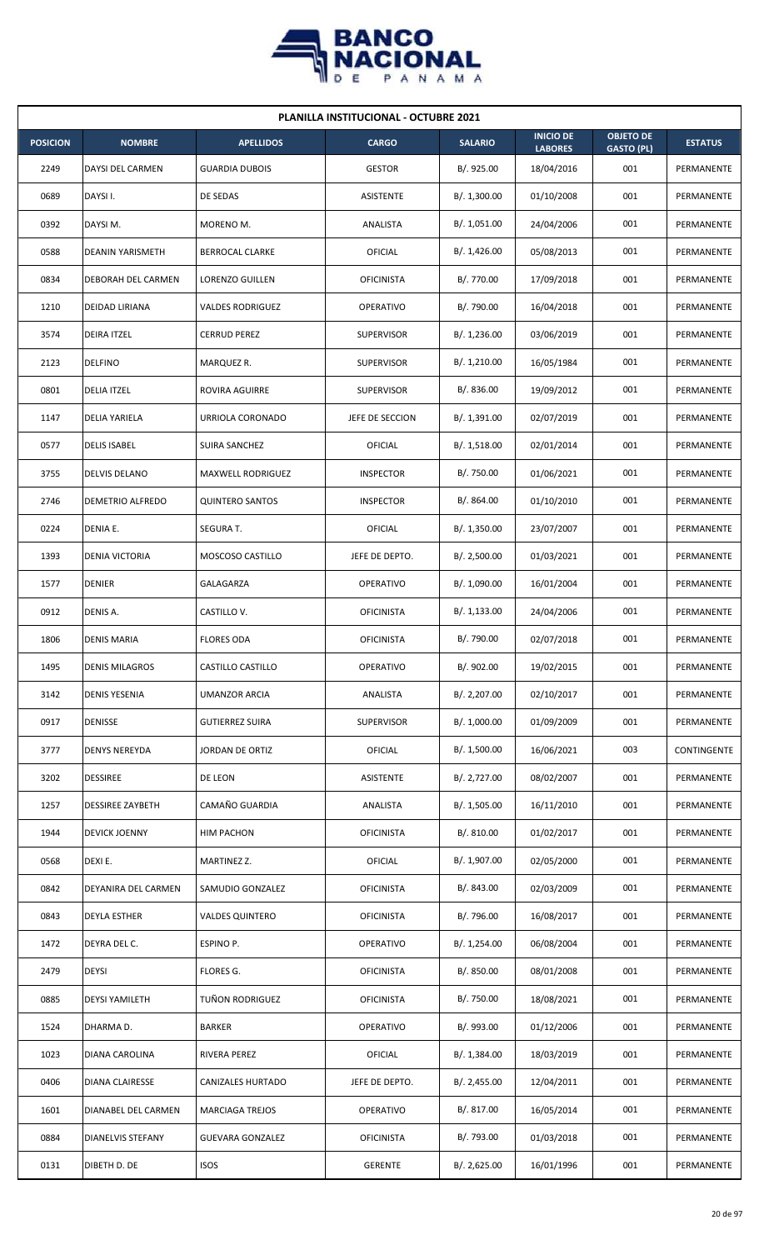

| <b>PLANILLA INSTITUCIONAL - OCTUBRE 2021</b> |                          |                          |                   |                |                                    |                                       |                |  |  |
|----------------------------------------------|--------------------------|--------------------------|-------------------|----------------|------------------------------------|---------------------------------------|----------------|--|--|
| <b>POSICION</b>                              | <b>NOMBRE</b>            | <b>APELLIDOS</b>         | <b>CARGO</b>      | <b>SALARIO</b> | <b>INICIO DE</b><br><b>LABORES</b> | <b>OBJETO DE</b><br><b>GASTO (PL)</b> | <b>ESTATUS</b> |  |  |
| 2249                                         | DAYSI DEL CARMEN         | <b>GUARDIA DUBOIS</b>    | <b>GESTOR</b>     | B/. 925.00     | 18/04/2016                         | 001                                   | PERMANENTE     |  |  |
| 0689                                         | DAYSI I.                 | DE SEDAS                 | ASISTENTE         | B/. 1,300.00   | 01/10/2008                         | 001                                   | PERMANENTE     |  |  |
| 0392                                         | DAYSI M.                 | MORENO M.                | ANALISTA          | B/. 1,051.00   | 24/04/2006                         | 001                                   | PERMANENTE     |  |  |
| 0588                                         | <b>DEANIN YARISMETH</b>  | <b>BERROCAL CLARKE</b>   | OFICIAL           | B/.1,426.00    | 05/08/2013                         | 001                                   | PERMANENTE     |  |  |
| 0834                                         | DEBORAH DEL CARMEN       | LORENZO GUILLEN          | <b>OFICINISTA</b> | B/. 770.00     | 17/09/2018                         | 001                                   | PERMANENTE     |  |  |
| 1210                                         | DEIDAD LIRIANA           | <b>VALDES RODRIGUEZ</b>  | OPERATIVO         | B/. 790.00     | 16/04/2018                         | 001                                   | PERMANENTE     |  |  |
| 3574                                         | <b>DEIRA ITZEL</b>       | <b>CERRUD PEREZ</b>      | <b>SUPERVISOR</b> | B/. 1,236.00   | 03/06/2019                         | 001                                   | PERMANENTE     |  |  |
| 2123                                         | DELFINO                  | MARQUEZ R.               | <b>SUPERVISOR</b> | B/. 1,210.00   | 16/05/1984                         | 001                                   | PERMANENTE     |  |  |
| 0801                                         | <b>DELIA ITZEL</b>       | ROVIRA AGUIRRE           | <b>SUPERVISOR</b> | B/0.836.00     | 19/09/2012                         | 001                                   | PERMANENTE     |  |  |
| 1147                                         | DELIA YARIELA            | URRIOLA CORONADO         | JEFE DE SECCION   | B/. 1,391.00   | 02/07/2019                         | 001                                   | PERMANENTE     |  |  |
| 0577                                         | <b>DELIS ISABEL</b>      | SUIRA SANCHEZ            | OFICIAL           | B/.1,518.00    | 02/01/2014                         | 001                                   | PERMANENTE     |  |  |
| 3755                                         | DELVIS DELANO            | <b>MAXWELL RODRIGUEZ</b> | <b>INSPECTOR</b>  | B/. 750.00     | 01/06/2021                         | 001                                   | PERMANENTE     |  |  |
| 2746                                         | DEMETRIO ALFREDO         | <b>QUINTERO SANTOS</b>   | <b>INSPECTOR</b>  | B/. 864.00     | 01/10/2010                         | 001                                   | PERMANENTE     |  |  |
| 0224                                         | DENIA E.                 | SEGURA T.                | <b>OFICIAL</b>    | B/. 1,350.00   | 23/07/2007                         | 001                                   | PERMANENTE     |  |  |
| 1393                                         | <b>DENIA VICTORIA</b>    | <b>MOSCOSO CASTILLO</b>  | JEFE DE DEPTO.    | B/.2,500.00    | 01/03/2021                         | 001                                   | PERMANENTE     |  |  |
| 1577                                         | <b>DENIER</b>            | GALAGARZA                | OPERATIVO         | B/. 1,090.00   | 16/01/2004                         | 001                                   | PERMANENTE     |  |  |
| 0912                                         | DENIS A.                 | CASTILLO V.              | <b>OFICINISTA</b> | B/. 1,133.00   | 24/04/2006                         | 001                                   | PERMANENTE     |  |  |
| 1806                                         | <b>DENIS MARIA</b>       | <b>FLORES ODA</b>        | <b>OFICINISTA</b> | B/. 790.00     | 02/07/2018                         | 001                                   | PERMANENTE     |  |  |
| 1495                                         | <b>DENIS MILAGROS</b>    | CASTILLO CASTILLO        | <b>OPERATIVO</b>  | B/. 902.00     | 19/02/2015                         | 001                                   | PERMANENTE     |  |  |
| 3142                                         | <b>DENIS YESENIA</b>     | UMANZOR ARCIA            | ANALISTA          | B/. 2,207.00   | 02/10/2017                         | 001                                   | PERMANENTE     |  |  |
| 0917                                         | DENISSE                  | <b>GUTIERREZ SUIRA</b>   | SUPERVISOR        | B/. 1,000.00   | 01/09/2009                         | 001                                   | PERMANENTE     |  |  |
| 3777                                         | <b>DENYS NEREYDA</b>     | <b>JORDAN DE ORTIZ</b>   | <b>OFICIAL</b>    | B/. 1,500.00   | 16/06/2021                         | 003                                   | CONTINGENTE    |  |  |
| 3202                                         | <b>DESSIREE</b>          | DE LEON                  | ASISTENTE         | B/. 2,727.00   | 08/02/2007                         | 001                                   | PERMANENTE     |  |  |
| 1257                                         | <b>DESSIREE ZAYBETH</b>  | CAMAÑO GUARDIA           | ANALISTA          | B/. 1,505.00   | 16/11/2010                         | 001                                   | PERMANENTE     |  |  |
| 1944                                         | <b>DEVICK JOENNY</b>     | HIM PACHON               | <b>OFICINISTA</b> | B/. 810.00     | 01/02/2017                         | 001                                   | PERMANENTE     |  |  |
| 0568                                         | DEXI E.                  | MARTINEZ Z.              | <b>OFICIAL</b>    | B/. 1,907.00   | 02/05/2000                         | 001                                   | PERMANENTE     |  |  |
| 0842                                         | DEYANIRA DEL CARMEN      | SAMUDIO GONZALEZ         | <b>OFICINISTA</b> | B/. 843.00     | 02/03/2009                         | 001                                   | PERMANENTE     |  |  |
| 0843                                         | <b>DEYLA ESTHER</b>      | <b>VALDES QUINTERO</b>   | <b>OFICINISTA</b> | B/. 796.00     | 16/08/2017                         | 001                                   | PERMANENTE     |  |  |
| 1472                                         | DEYRA DEL C.             | ESPINO P.                | OPERATIVO         | B/. 1,254.00   | 06/08/2004                         | 001                                   | PERMANENTE     |  |  |
| 2479                                         | <b>DEYSI</b>             | FLORES G.                | <b>OFICINISTA</b> | B/. 850.00     | 08/01/2008                         | 001                                   | PERMANENTE     |  |  |
| 0885                                         | <b>DEYSI YAMILETH</b>    | TUÑON RODRIGUEZ          | <b>OFICINISTA</b> | B/. 750.00     | 18/08/2021                         | 001                                   | PERMANENTE     |  |  |
| 1524                                         | DHARMA D.                | <b>BARKER</b>            | OPERATIVO         | B/. 993.00     | 01/12/2006                         | 001                                   | PERMANENTE     |  |  |
| 1023                                         | DIANA CAROLINA           | RIVERA PEREZ             | OFICIAL           | B/. 1,384.00   | 18/03/2019                         | 001                                   | PERMANENTE     |  |  |
| 0406                                         | <b>DIANA CLAIRESSE</b>   | CANIZALES HURTADO        | JEFE DE DEPTO.    | B/.2,455.00    | 12/04/2011                         | 001                                   | PERMANENTE     |  |  |
| 1601                                         | DIANABEL DEL CARMEN      | <b>MARCIAGA TREJOS</b>   | OPERATIVO         | B/. 817.00     | 16/05/2014                         | 001                                   | PERMANENTE     |  |  |
| 0884                                         | <b>DIANELVIS STEFANY</b> | <b>GUEVARA GONZALEZ</b>  | <b>OFICINISTA</b> | B/. 793.00     | 01/03/2018                         | 001                                   | PERMANENTE     |  |  |
| 0131                                         | DIBETH D. DE             | <b>ISOS</b>              | <b>GERENTE</b>    | B/. 2,625.00   | 16/01/1996                         | 001                                   | PERMANENTE     |  |  |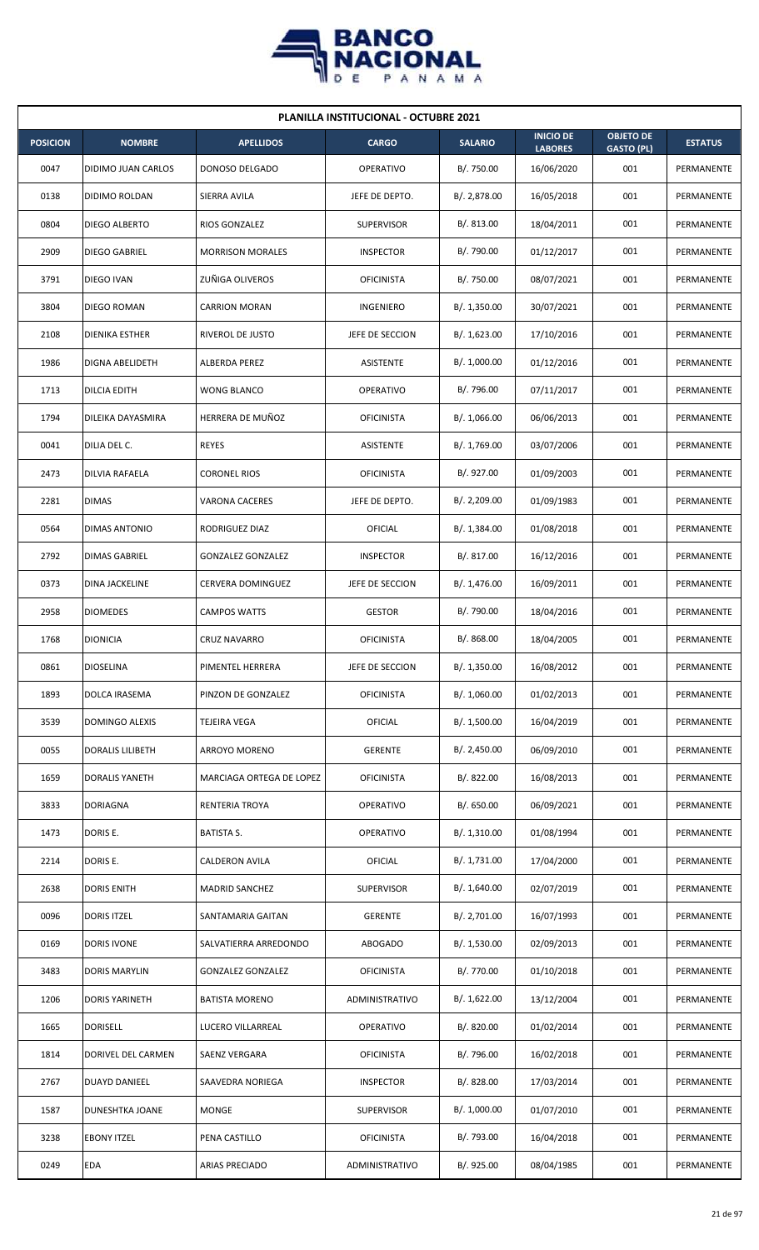

| <b>PLANILLA INSTITUCIONAL - OCTUBRE 2021</b> |                         |                          |                   |                |                                    |                                       |                |  |  |  |
|----------------------------------------------|-------------------------|--------------------------|-------------------|----------------|------------------------------------|---------------------------------------|----------------|--|--|--|
| <b>POSICION</b>                              | <b>NOMBRE</b>           | <b>APELLIDOS</b>         | <b>CARGO</b>      | <b>SALARIO</b> | <b>INICIO DE</b><br><b>LABORES</b> | <b>OBJETO DE</b><br><b>GASTO (PL)</b> | <b>ESTATUS</b> |  |  |  |
| 0047                                         | DIDIMO JUAN CARLOS      | DONOSO DELGADO           | <b>OPERATIVO</b>  | B/. 750.00     | 16/06/2020                         | 001                                   | PERMANENTE     |  |  |  |
| 0138                                         | DIDIMO ROLDAN           | SIERRA AVILA             | JEFE DE DEPTO.    | B/. 2,878.00   | 16/05/2018                         | 001                                   | PERMANENTE     |  |  |  |
| 0804                                         | DIEGO ALBERTO           | RIOS GONZALEZ            | <b>SUPERVISOR</b> | B/. 813.00     | 18/04/2011                         | 001                                   | PERMANENTE     |  |  |  |
| 2909                                         | <b>DIEGO GABRIEL</b>    | <b>MORRISON MORALES</b>  | <b>INSPECTOR</b>  | B/. 790.00     | 01/12/2017                         | 001                                   | PERMANENTE     |  |  |  |
| 3791                                         | DIEGO IVAN              | ZUÑIGA OLIVEROS          | <b>OFICINISTA</b> | B/. 750.00     | 08/07/2021                         | 001                                   | PERMANENTE     |  |  |  |
| 3804                                         | DIEGO ROMAN             | <b>CARRION MORAN</b>     | <b>INGENIERO</b>  | B/. 1,350.00   | 30/07/2021                         | 001                                   | PERMANENTE     |  |  |  |
| 2108                                         | DIENIKA ESTHER          | RIVEROL DE JUSTO         | JEFE DE SECCION   | B/. 1,623.00   | 17/10/2016                         | 001                                   | PERMANENTE     |  |  |  |
| 1986                                         | DIGNA ABELIDETH         | <b>ALBERDA PEREZ</b>     | ASISTENTE         | B/. 1,000.00   | 01/12/2016                         | 001                                   | PERMANENTE     |  |  |  |
| 1713                                         | DILCIA EDITH            | <b>WONG BLANCO</b>       | <b>OPERATIVO</b>  | B/. 796.00     | 07/11/2017                         | 001                                   | PERMANENTE     |  |  |  |
| 1794                                         | DILEIKA DAYASMIRA       | HERRERA DE MUÑOZ         | <b>OFICINISTA</b> | B/.1,066.00    | 06/06/2013                         | 001                                   | PERMANENTE     |  |  |  |
| 0041                                         | DILIA DEL C.            | <b>REYES</b>             | ASISTENTE         | B/. 1,769.00   | 03/07/2006                         | 001                                   | PERMANENTE     |  |  |  |
| 2473                                         | DILVIA RAFAELA          | <b>CORONEL RIOS</b>      | <b>OFICINISTA</b> | B/. 927.00     | 01/09/2003                         | 001                                   | PERMANENTE     |  |  |  |
| 2281                                         | <b>DIMAS</b>            | <b>VARONA CACERES</b>    | JEFE DE DEPTO.    | B/. 2,209.00   | 01/09/1983                         | 001                                   | PERMANENTE     |  |  |  |
| 0564                                         | DIMAS ANTONIO           | RODRIGUEZ DIAZ           | OFICIAL           | B/. 1,384.00   | 01/08/2018                         | 001                                   | PERMANENTE     |  |  |  |
| 2792                                         | DIMAS GABRIEL           | <b>GONZALEZ GONZALEZ</b> | <b>INSPECTOR</b>  | B/.817.00      | 16/12/2016                         | 001                                   | PERMANENTE     |  |  |  |
| 0373                                         | DINA JACKELINE          | CERVERA DOMINGUEZ        | JEFE DE SECCION   | B/. 1,476.00   | 16/09/2011                         | 001                                   | PERMANENTE     |  |  |  |
| 2958                                         | <b>DIOMEDES</b>         | <b>CAMPOS WATTS</b>      | <b>GESTOR</b>     | B/. 790.00     | 18/04/2016                         | 001                                   | PERMANENTE     |  |  |  |
| 1768                                         | <b>DIONICIA</b>         | <b>CRUZ NAVARRO</b>      | <b>OFICINISTA</b> | B/. 868.00     | 18/04/2005                         | 001                                   | PERMANENTE     |  |  |  |
| 0861                                         | <b>DIOSELINA</b>        | PIMENTEL HERRERA         | JEFE DE SECCION   | B/. 1,350.00   | 16/08/2012                         | 001                                   | PERMANENTE     |  |  |  |
| 1893                                         | DOLCA IRASEMA           | PINZON DE GONZALEZ       | <b>OFICINISTA</b> | B/. 1,060.00   | 01/02/2013                         | 001                                   | PERMANENTE     |  |  |  |
| 3539                                         | DOMINGO ALEXIS          | TEJEIRA VEGA             | <b>OFICIAL</b>    | B/. 1,500.00   | 16/04/2019                         | 001                                   | PERMANENTE     |  |  |  |
| 0055                                         | <b>DORALIS LILIBETH</b> | ARROYO MORENO            | <b>GERENTE</b>    | B/.2,450.00    | 06/09/2010                         | 001                                   | PERMANENTE     |  |  |  |
| 1659                                         | <b>DORALIS YANETH</b>   | MARCIAGA ORTEGA DE LOPEZ | <b>OFICINISTA</b> | B/. 822.00     | 16/08/2013                         | 001                                   | PERMANENTE     |  |  |  |
| 3833                                         | DORIAGNA                | RENTERIA TROYA           | OPERATIVO         | B/. 650.00     | 06/09/2021                         | 001                                   | PERMANENTE     |  |  |  |
| 1473                                         | DORIS E.                | <b>BATISTA S.</b>        | OPERATIVO         | B/. 1,310.00   | 01/08/1994                         | 001                                   | PERMANENTE     |  |  |  |
| 2214                                         | DORIS E.                | CALDERON AVILA           | OFICIAL           | B/. 1,731.00   | 17/04/2000                         | 001                                   | PERMANENTE     |  |  |  |
| 2638                                         | <b>DORIS ENITH</b>      | <b>MADRID SANCHEZ</b>    | <b>SUPERVISOR</b> | B/.1,640.00    | 02/07/2019                         | 001                                   | PERMANENTE     |  |  |  |
| 0096                                         | <b>DORIS ITZEL</b>      | SANTAMARIA GAITAN        | <b>GERENTE</b>    | B/. 2,701.00   | 16/07/1993                         | 001                                   | PERMANENTE     |  |  |  |
| 0169                                         | <b>DORIS IVONE</b>      | SALVATIERRA ARREDONDO    | <b>ABOGADO</b>    | B/. 1,530.00   | 02/09/2013                         | 001                                   | PERMANENTE     |  |  |  |
| 3483                                         | DORIS MARYLIN           | <b>GONZALEZ GONZALEZ</b> | <b>OFICINISTA</b> | B/. 770.00     | 01/10/2018                         | 001                                   | PERMANENTE     |  |  |  |
| 1206                                         | <b>DORIS YARINETH</b>   | <b>BATISTA MORENO</b>    | ADMINISTRATIVO    | B/. 1,622.00   | 13/12/2004                         | 001                                   | PERMANENTE     |  |  |  |
| 1665                                         | <b>DORISELL</b>         | LUCERO VILLARREAL        | OPERATIVO         | B/. 820.00     | 01/02/2014                         | 001                                   | PERMANENTE     |  |  |  |
| 1814                                         | DORIVEL DEL CARMEN      | SAENZ VERGARA            | <b>OFICINISTA</b> | B/. 796.00     | 16/02/2018                         | 001                                   | PERMANENTE     |  |  |  |
| 2767                                         | DUAYD DANIEEL           | SAAVEDRA NORIEGA         | <b>INSPECTOR</b>  | B/. 828.00     | 17/03/2014                         | 001                                   | PERMANENTE     |  |  |  |
| 1587                                         | DUNESHTKA JOANE         | MONGE                    | <b>SUPERVISOR</b> | B/. 1,000.00   | 01/07/2010                         | 001                                   | PERMANENTE     |  |  |  |
| 3238                                         | <b>EBONY ITZEL</b>      | PENA CASTILLO            | <b>OFICINISTA</b> | B/. 793.00     | 16/04/2018                         | 001                                   | PERMANENTE     |  |  |  |
| 0249                                         | EDA                     | <b>ARIAS PRECIADO</b>    | ADMINISTRATIVO    | B/. 925.00     | 08/04/1985                         | 001                                   | PERMANENTE     |  |  |  |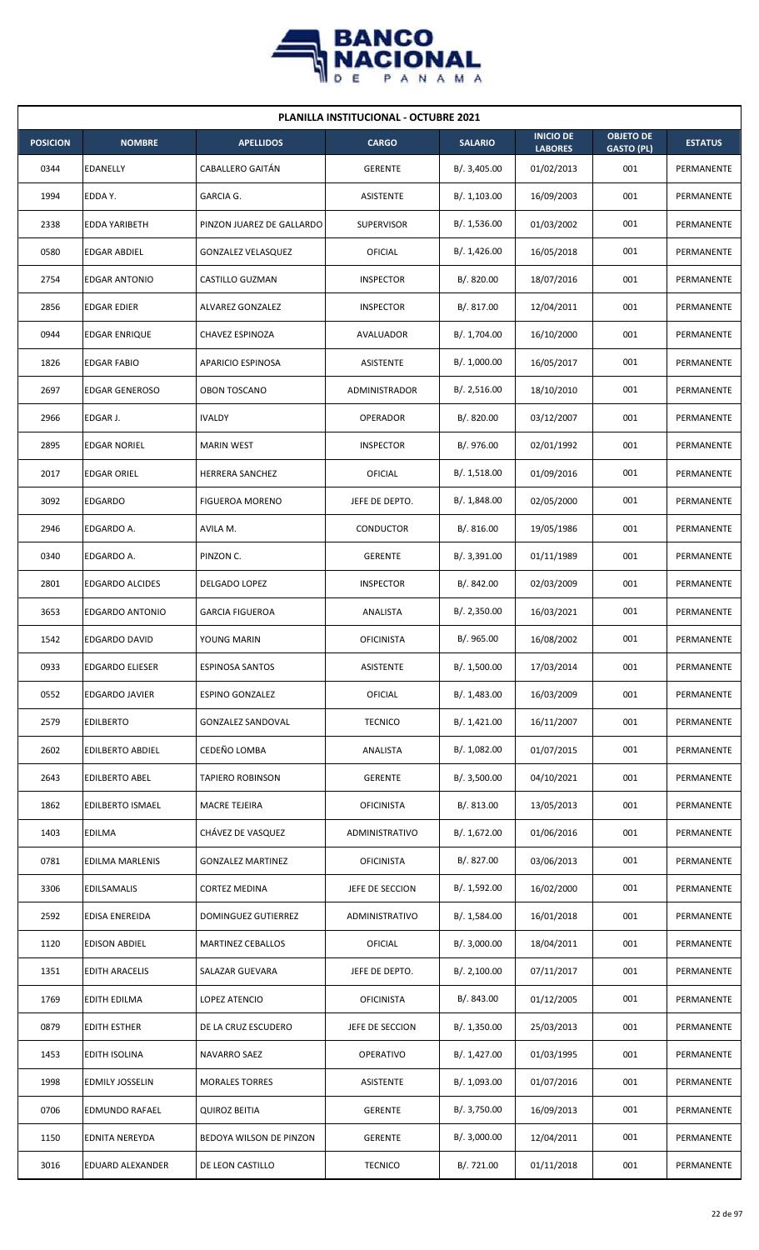

| <b>PLANILLA INSTITUCIONAL - OCTUBRE 2021</b> |                         |                           |                   |                |                                    |                                       |                |  |  |
|----------------------------------------------|-------------------------|---------------------------|-------------------|----------------|------------------------------------|---------------------------------------|----------------|--|--|
| <b>POSICION</b>                              | <b>NOMBRE</b>           | <b>APELLIDOS</b>          | <b>CARGO</b>      | <b>SALARIO</b> | <b>INICIO DE</b><br><b>LABORES</b> | <b>OBJETO DE</b><br><b>GASTO (PL)</b> | <b>ESTATUS</b> |  |  |
| 0344                                         | <b>EDANELLY</b>         | CABALLERO GAITÁN          | <b>GERENTE</b>    | B/.3,405.00    | 01/02/2013                         | 001                                   | PERMANENTE     |  |  |
| 1994                                         | EDDA Y.                 | GARCIA G.                 | ASISTENTE         | B/. 1,103.00   | 16/09/2003                         | 001                                   | PERMANENTE     |  |  |
| 2338                                         | <b>EDDA YARIBETH</b>    | PINZON JUAREZ DE GALLARDO | <b>SUPERVISOR</b> | B/. 1,536.00   | 01/03/2002                         | 001                                   | PERMANENTE     |  |  |
| 0580                                         | <b>EDGAR ABDIEL</b>     | GONZALEZ VELASQUEZ        | OFICIAL           | B/.1,426.00    | 16/05/2018                         | 001                                   | PERMANENTE     |  |  |
| 2754                                         | <b>EDGAR ANTONIO</b>    | CASTILLO GUZMAN           | <b>INSPECTOR</b>  | B/0.820.00     | 18/07/2016                         | 001                                   | PERMANENTE     |  |  |
| 2856                                         | <b>EDGAR EDIER</b>      | ALVAREZ GONZALEZ          | <b>INSPECTOR</b>  | B/.817.00      | 12/04/2011                         | 001                                   | PERMANENTE     |  |  |
| 0944                                         | EDGAR ENRIQUE           | CHAVEZ ESPINOZA           | AVALUADOR         | B/. 1,704.00   | 16/10/2000                         | 001                                   | PERMANENTE     |  |  |
| 1826                                         | <b>EDGAR FABIO</b>      | <b>APARICIO ESPINOSA</b>  | ASISTENTE         | B/. 1,000.00   | 16/05/2017                         | 001                                   | PERMANENTE     |  |  |
| 2697                                         | <b>EDGAR GENEROSO</b>   | <b>OBON TOSCANO</b>       | ADMINISTRADOR     | B/.2,516.00    | 18/10/2010                         | 001                                   | PERMANENTE     |  |  |
| 2966                                         | EDGAR J.                | <b>IVALDY</b>             | <b>OPERADOR</b>   | B/. 820.00     | 03/12/2007                         | 001                                   | PERMANENTE     |  |  |
| 2895                                         | <b>EDGAR NORIEL</b>     | <b>MARIN WEST</b>         | <b>INSPECTOR</b>  | B/. 976.00     | 02/01/1992                         | 001                                   | PERMANENTE     |  |  |
| 2017                                         | <b>EDGAR ORIEL</b>      | HERRERA SANCHEZ           | OFICIAL           | B/.1,518.00    | 01/09/2016                         | 001                                   | PERMANENTE     |  |  |
| 3092                                         | <b>EDGARDO</b>          | <b>FIGUEROA MORENO</b>    | JEFE DE DEPTO.    | B/.1,848.00    | 02/05/2000                         | 001                                   | PERMANENTE     |  |  |
| 2946                                         | EDGARDO A.              | AVILA M.                  | CONDUCTOR         | B/.816.00      | 19/05/1986                         | 001                                   | PERMANENTE     |  |  |
| 0340                                         | EDGARDO A.              | PINZON C.                 | <b>GERENTE</b>    | B/.3,391.00    | 01/11/1989                         | 001                                   | PERMANENTE     |  |  |
| 2801                                         | <b>EDGARDO ALCIDES</b>  | DELGADO LOPEZ             | <b>INSPECTOR</b>  | B/. 842.00     | 02/03/2009                         | 001                                   | PERMANENTE     |  |  |
| 3653                                         | EDGARDO ANTONIO         | <b>GARCIA FIGUEROA</b>    | ANALISTA          | B/.2,350.00    | 16/03/2021                         | 001                                   | PERMANENTE     |  |  |
| 1542                                         | <b>EDGARDO DAVID</b>    | YOUNG MARIN               | <b>OFICINISTA</b> | B/.965.00      | 16/08/2002                         | 001                                   | PERMANENTE     |  |  |
| 0933                                         | <b>EDGARDO ELIESER</b>  | <b>ESPINOSA SANTOS</b>    | ASISTENTE         | B/. 1,500.00   | 17/03/2014                         | 001                                   | PERMANENTE     |  |  |
| 0552                                         | <b>EDGARDO JAVIER</b>   | <b>ESPINO GONZALEZ</b>    | <b>OFICIAL</b>    | B/. 1,483.00   | 16/03/2009                         | 001                                   | PERMANENTE     |  |  |
| 2579                                         | <b>EDILBERTO</b>        | <b>GONZALEZ SANDOVAL</b>  | <b>TECNICO</b>    | B/.1,421.00    | 16/11/2007                         | 001                                   | PERMANENTE     |  |  |
| 2602                                         | <b>EDILBERTO ABDIEL</b> | CEDEÑO LOMBA              | ANALISTA          | B/. 1,082.00   | 01/07/2015                         | 001                                   | PERMANENTE     |  |  |
| 2643                                         | <b>EDILBERTO ABEL</b>   | <b>TAPIERO ROBINSON</b>   | <b>GERENTE</b>    | B/.3,500.00    | 04/10/2021                         | 001                                   | PERMANENTE     |  |  |
| 1862                                         | <b>EDILBERTO ISMAEL</b> | MACRE TEJEIRA             | <b>OFICINISTA</b> | B/.813.00      | 13/05/2013                         | 001                                   | PERMANENTE     |  |  |
| 1403                                         | <b>EDILMA</b>           | CHÁVEZ DE VASQUEZ         | ADMINISTRATIVO    | B/.1,672.00    | 01/06/2016                         | 001                                   | PERMANENTE     |  |  |
| 0781                                         | EDILMA MARLENIS         | <b>GONZALEZ MARTINEZ</b>  | <b>OFICINISTA</b> | B/. 827.00     | 03/06/2013                         | 001                                   | PERMANENTE     |  |  |
| 3306                                         | EDILSAMALIS             | CORTEZ MEDINA             | JEFE DE SECCION   | B/. 1,592.00   | 16/02/2000                         | 001                                   | PERMANENTE     |  |  |
| 2592                                         | EDISA ENEREIDA          | DOMINGUEZ GUTIERREZ       | ADMINISTRATIVO    | B/. 1,584.00   | 16/01/2018                         | 001                                   | PERMANENTE     |  |  |
| 1120                                         | <b>EDISON ABDIEL</b>    | <b>MARTINEZ CEBALLOS</b>  | OFICIAL           | B/.3,000.00    | 18/04/2011                         | 001                                   | PERMANENTE     |  |  |
| 1351                                         | <b>EDITH ARACELIS</b>   | SALAZAR GUEVARA           | JEFE DE DEPTO.    | B/.2,100.00    | 07/11/2017                         | 001                                   | PERMANENTE     |  |  |
| 1769                                         | EDITH EDILMA            | LOPEZ ATENCIO             | <b>OFICINISTA</b> | B/. 843.00     | 01/12/2005                         | 001                                   | PERMANENTE     |  |  |
| 0879                                         | <b>EDITH ESTHER</b>     | DE LA CRUZ ESCUDERO       | JEFE DE SECCION   | B/.1,350.00    | 25/03/2013                         | 001                                   | PERMANENTE     |  |  |
| 1453                                         | EDITH ISOLINA           | NAVARRO SAEZ              | OPERATIVO         | B/. 1,427.00   | 01/03/1995                         | 001                                   | PERMANENTE     |  |  |
| 1998                                         | <b>EDMILY JOSSELIN</b>  | <b>MORALES TORRES</b>     | ASISTENTE         | B/. 1,093.00   | 01/07/2016                         | 001                                   | PERMANENTE     |  |  |
| 0706                                         | EDMUNDO RAFAEL          | <b>QUIROZ BEITIA</b>      | <b>GERENTE</b>    | B/. 3,750.00   | 16/09/2013                         | 001                                   | PERMANENTE     |  |  |
| 1150                                         | <b>EDNITA NEREYDA</b>   | BEDOYA WILSON DE PINZON   | <b>GERENTE</b>    | B/.3,000.00    | 12/04/2011                         | 001                                   | PERMANENTE     |  |  |
| 3016                                         | EDUARD ALEXANDER        | DE LEON CASTILLO          | <b>TECNICO</b>    | B/. 721.00     | 01/11/2018                         | 001                                   | PERMANENTE     |  |  |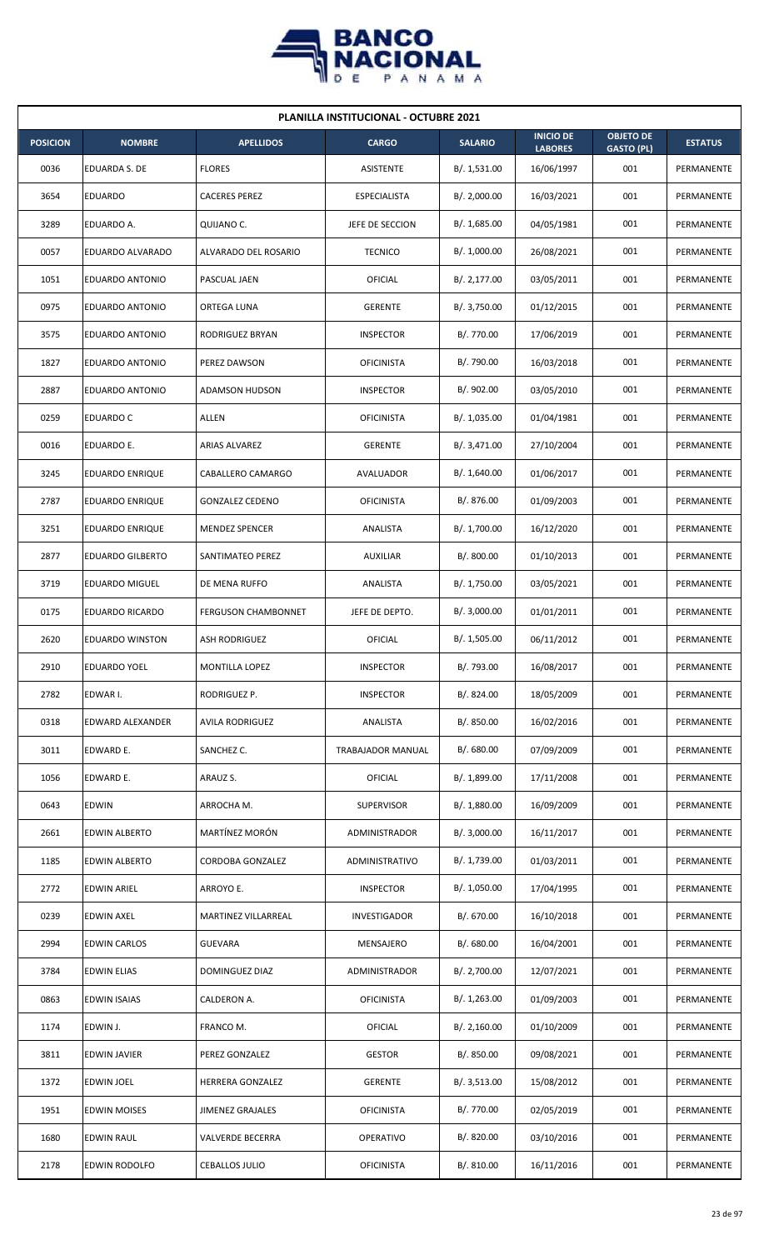

| <b>PLANILLA INSTITUCIONAL - OCTUBRE 2021</b> |                         |                            |                     |                |                                    |                                       |                |  |  |
|----------------------------------------------|-------------------------|----------------------------|---------------------|----------------|------------------------------------|---------------------------------------|----------------|--|--|
| <b>POSICION</b>                              | <b>NOMBRE</b>           | <b>APELLIDOS</b>           | <b>CARGO</b>        | <b>SALARIO</b> | <b>INICIO DE</b><br><b>LABORES</b> | <b>OBJETO DE</b><br><b>GASTO (PL)</b> | <b>ESTATUS</b> |  |  |
| 0036                                         | EDUARDA S. DE           | <b>FLORES</b>              | ASISTENTE           | B/.1,531.00    | 16/06/1997                         | 001                                   | PERMANENTE     |  |  |
| 3654                                         | <b>EDUARDO</b>          | <b>CACERES PEREZ</b>       | <b>ESPECIALISTA</b> | B/. 2,000.00   | 16/03/2021                         | 001                                   | PERMANENTE     |  |  |
| 3289                                         | EDUARDO A.              | QUIJANO C.                 | JEFE DE SECCION     | B/. 1,685.00   | 04/05/1981                         | 001                                   | PERMANENTE     |  |  |
| 0057                                         | EDUARDO ALVARADO        | ALVARADO DEL ROSARIO       | <b>TECNICO</b>      | B/. 1,000.00   | 26/08/2021                         | 001                                   | PERMANENTE     |  |  |
| 1051                                         | EDUARDO ANTONIO         | PASCUAL JAEN               | OFICIAL             | B/. 2,177.00   | 03/05/2011                         | 001                                   | PERMANENTE     |  |  |
| 0975                                         | EDUARDO ANTONIO         | ORTEGA LUNA                | <b>GERENTE</b>      | B/. 3,750.00   | 01/12/2015                         | 001                                   | PERMANENTE     |  |  |
| 3575                                         | EDUARDO ANTONIO         | RODRIGUEZ BRYAN            | <b>INSPECTOR</b>    | B/. 770.00     | 17/06/2019                         | 001                                   | PERMANENTE     |  |  |
| 1827                                         | <b>EDUARDO ANTONIO</b>  | PEREZ DAWSON               | <b>OFICINISTA</b>   | B/. 790.00     | 16/03/2018                         | 001                                   | PERMANENTE     |  |  |
| 2887                                         | EDUARDO ANTONIO         | <b>ADAMSON HUDSON</b>      | <b>INSPECTOR</b>    | B/. 902.00     | 03/05/2010                         | 001                                   | PERMANENTE     |  |  |
| 0259                                         | EDUARDO C               | ALLEN                      | <b>OFICINISTA</b>   | B/. 1,035.00   | 01/04/1981                         | 001                                   | PERMANENTE     |  |  |
| 0016                                         | EDUARDO E.              | ARIAS ALVAREZ              | <b>GERENTE</b>      | B/. 3,471.00   | 27/10/2004                         | 001                                   | PERMANENTE     |  |  |
| 3245                                         | <b>EDUARDO ENRIQUE</b>  | CABALLERO CAMARGO          | AVALUADOR           | B/. 1,640.00   | 01/06/2017                         | 001                                   | PERMANENTE     |  |  |
| 2787                                         | EDUARDO ENRIQUE         | <b>GONZALEZ CEDENO</b>     | <b>OFICINISTA</b>   | B/. 876.00     | 01/09/2003                         | 001                                   | PERMANENTE     |  |  |
| 3251                                         | <b>EDUARDO ENRIQUE</b>  | <b>MENDEZ SPENCER</b>      | ANALISTA            | B/. 1,700.00   | 16/12/2020                         | 001                                   | PERMANENTE     |  |  |
| 2877                                         | <b>EDUARDO GILBERTO</b> | SANTIMATEO PEREZ           | <b>AUXILIAR</b>     | B/. 800.00     | 01/10/2013                         | 001                                   | PERMANENTE     |  |  |
| 3719                                         | <b>EDUARDO MIGUEL</b>   | DE MENA RUFFO              | ANALISTA            | B/. 1,750.00   | 03/05/2021                         | 001                                   | PERMANENTE     |  |  |
| 0175                                         | EDUARDO RICARDO         | <b>FERGUSON CHAMBONNET</b> | JEFE DE DEPTO.      | B/.3,000.00    | 01/01/2011                         | 001                                   | PERMANENTE     |  |  |
| 2620                                         | <b>EDUARDO WINSTON</b>  | <b>ASH RODRIGUEZ</b>       | OFICIAL             | B/. 1,505.00   | 06/11/2012                         | 001                                   | PERMANENTE     |  |  |
| 2910                                         | <b>EDUARDO YOEL</b>     | <b>MONTILLA LOPEZ</b>      | <b>INSPECTOR</b>    | B/. 793.00     | 16/08/2017                         | 001                                   | PERMANENTE     |  |  |
| 2782                                         | EDWAR I.                | RODRIGUEZ P.               | <b>INSPECTOR</b>    | B/. 824.00     | 18/05/2009                         | 001                                   | PERMANENTE     |  |  |
| 0318                                         | EDWARD ALEXANDER        | <b>AVILA RODRIGUEZ</b>     | ANALISTA            | B/. 850.00     | 16/02/2016                         | 001                                   | PERMANENTE     |  |  |
| 3011                                         | EDWARD E.               | SANCHEZ C.                 | TRABAJADOR MANUAL   | B/. 680.00     | 07/09/2009                         | 001                                   | PERMANENTE     |  |  |
| 1056                                         | EDWARD E.               | ARAUZ S.                   | <b>OFICIAL</b>      | B/. 1,899.00   | 17/11/2008                         | 001                                   | PERMANENTE     |  |  |
| 0643                                         | <b>EDWIN</b>            | ARROCHA M.                 | <b>SUPERVISOR</b>   | B/. 1,880.00   | 16/09/2009                         | 001                                   | PERMANENTE     |  |  |
| 2661                                         | EDWIN ALBERTO           | MARTÍNEZ MORÓN             | ADMINISTRADOR       | B/.3,000.00    | 16/11/2017                         | 001                                   | PERMANENTE     |  |  |
| 1185                                         | EDWIN ALBERTO           | CORDOBA GONZALEZ           | ADMINISTRATIVO      | B/. 1,739.00   | 01/03/2011                         | 001                                   | PERMANENTE     |  |  |
| 2772                                         | EDWIN ARIEL             | ARROYO E.                  | <b>INSPECTOR</b>    | B/. 1,050.00   | 17/04/1995                         | 001                                   | PERMANENTE     |  |  |
| 0239                                         | <b>EDWIN AXEL</b>       | MARTINEZ VILLARREAL        | <b>INVESTIGADOR</b> | B/. 670.00     | 16/10/2018                         | 001                                   | PERMANENTE     |  |  |
| 2994                                         | <b>EDWIN CARLOS</b>     | <b>GUEVARA</b>             | MENSAJERO           | B/. 680.00     | 16/04/2001                         | 001                                   | PERMANENTE     |  |  |
| 3784                                         | <b>EDWIN ELIAS</b>      | DOMINGUEZ DIAZ             | ADMINISTRADOR       | B/. 2,700.00   | 12/07/2021                         | 001                                   | PERMANENTE     |  |  |
| 0863                                         | <b>EDWIN ISAIAS</b>     | CALDERON A.                | <b>OFICINISTA</b>   | B/. 1,263.00   | 01/09/2003                         | 001                                   | PERMANENTE     |  |  |
| 1174                                         | EDWIN J.                | FRANCO M.                  | <b>OFICIAL</b>      | B/.2,160.00    | 01/10/2009                         | 001                                   | PERMANENTE     |  |  |
| 3811                                         | <b>EDWIN JAVIER</b>     | PEREZ GONZALEZ             | <b>GESTOR</b>       | B/. 850.00     | 09/08/2021                         | 001                                   | PERMANENTE     |  |  |
| 1372                                         | EDWIN JOEL              | HERRERA GONZALEZ           | <b>GERENTE</b>      | B/.3,513.00    | 15/08/2012                         | 001                                   | PERMANENTE     |  |  |
| 1951                                         | <b>EDWIN MOISES</b>     | <b>JIMENEZ GRAJALES</b>    | <b>OFICINISTA</b>   | B/. 770.00     | 02/05/2019                         | 001                                   | PERMANENTE     |  |  |
| 1680                                         | EDWIN RAUL              | <b>VALVERDE BECERRA</b>    | OPERATIVO           | B/. 820.00     | 03/10/2016                         | 001                                   | PERMANENTE     |  |  |
| 2178                                         | <b>EDWIN RODOLFO</b>    | <b>CEBALLOS JULIO</b>      | <b>OFICINISTA</b>   | B/. 810.00     | 16/11/2016                         | 001                                   | PERMANENTE     |  |  |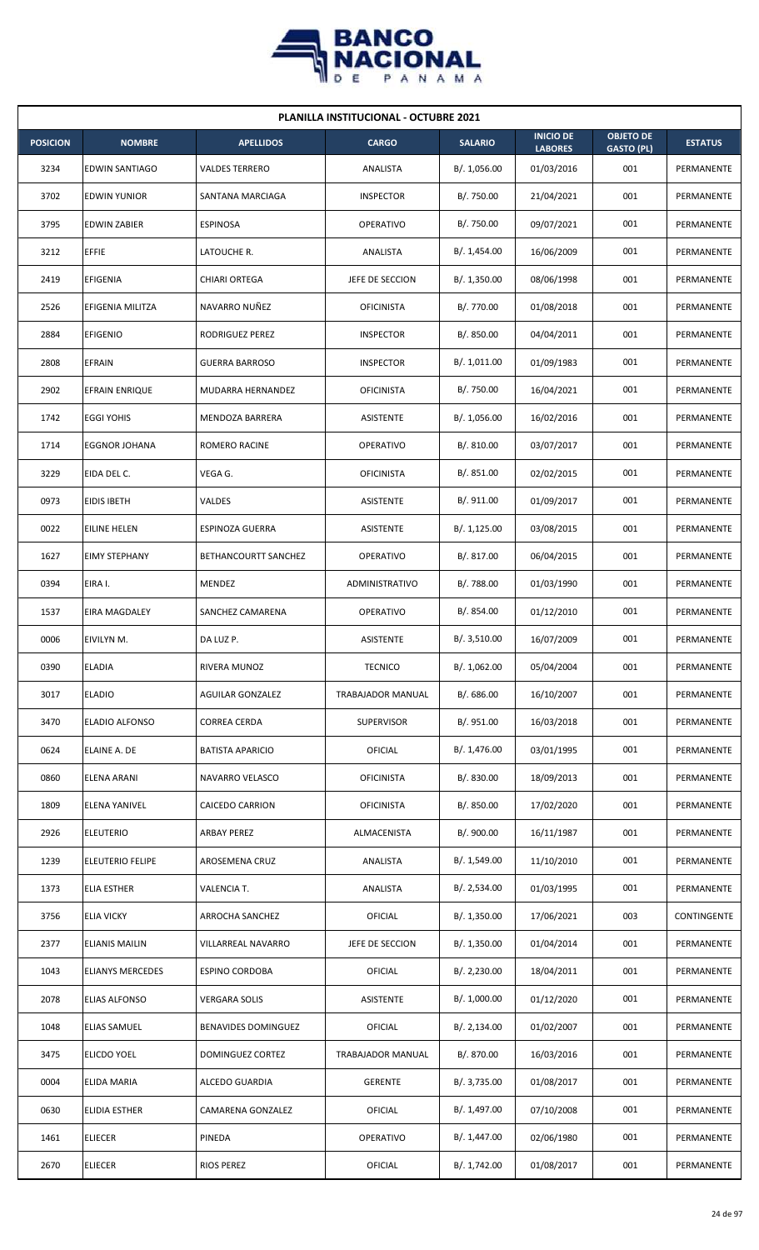

| <b>PLANILLA INSTITUCIONAL - OCTUBRE 2021</b> |                         |                            |                   |                |                                    |                                       |                |  |  |  |
|----------------------------------------------|-------------------------|----------------------------|-------------------|----------------|------------------------------------|---------------------------------------|----------------|--|--|--|
| <b>POSICION</b>                              | <b>NOMBRE</b>           | <b>APELLIDOS</b>           | <b>CARGO</b>      | <b>SALARIO</b> | <b>INICIO DE</b><br><b>LABORES</b> | <b>OBJETO DE</b><br><b>GASTO (PL)</b> | <b>ESTATUS</b> |  |  |  |
| 3234                                         | <b>EDWIN SANTIAGO</b>   | <b>VALDES TERRERO</b>      | ANALISTA          | B/. 1,056.00   | 01/03/2016                         | 001                                   | PERMANENTE     |  |  |  |
| 3702                                         | <b>EDWIN YUNIOR</b>     | SANTANA MARCIAGA           | <b>INSPECTOR</b>  | B/. 750.00     | 21/04/2021                         | 001                                   | PERMANENTE     |  |  |  |
| 3795                                         | <b>EDWIN ZABIER</b>     | <b>ESPINOSA</b>            | <b>OPERATIVO</b>  | B/. 750.00     | 09/07/2021                         | 001                                   | PERMANENTE     |  |  |  |
| 3212                                         | <b>EFFIE</b>            | LATOUCHE R.                | ANALISTA          | B/. 1,454.00   | 16/06/2009                         | 001                                   | PERMANENTE     |  |  |  |
| 2419                                         | <b>EFIGENIA</b>         | CHIARI ORTEGA              | JEFE DE SECCION   | B/. 1,350.00   | 08/06/1998                         | 001                                   | PERMANENTE     |  |  |  |
| 2526                                         | EFIGENIA MILITZA        | NAVARRO NUÑEZ              | <b>OFICINISTA</b> | B/. 770.00     | 01/08/2018                         | 001                                   | PERMANENTE     |  |  |  |
| 2884                                         | <b>EFIGENIO</b>         | RODRIGUEZ PEREZ            | <b>INSPECTOR</b>  | B/. 850.00     | 04/04/2011                         | 001                                   | PERMANENTE     |  |  |  |
| 2808                                         | <b>EFRAIN</b>           | <b>GUERRA BARROSO</b>      | <b>INSPECTOR</b>  | B/. 1,011.00   | 01/09/1983                         | 001                                   | PERMANENTE     |  |  |  |
| 2902                                         | <b>EFRAIN ENRIQUE</b>   | MUDARRA HERNANDEZ          | <b>OFICINISTA</b> | B/. 750.00     | 16/04/2021                         | 001                                   | PERMANENTE     |  |  |  |
| 1742                                         | <b>EGGI YOHIS</b>       | MENDOZA BARRERA            | ASISTENTE         | B/. 1,056.00   | 16/02/2016                         | 001                                   | PERMANENTE     |  |  |  |
| 1714                                         | <b>EGGNOR JOHANA</b>    | ROMERO RACINE              | OPERATIVO         | B/. 810.00     | 03/07/2017                         | 001                                   | PERMANENTE     |  |  |  |
| 3229                                         | EIDA DEL C.             | VEGA G.                    | <b>OFICINISTA</b> | B/. 851.00     | 02/02/2015                         | 001                                   | PERMANENTE     |  |  |  |
| 0973                                         | <b>EIDIS IBETH</b>      | VALDES                     | ASISTENTE         | B/. 911.00     | 01/09/2017                         | 001                                   | PERMANENTE     |  |  |  |
| 0022                                         | EILINE HELEN            | ESPINOZA GUERRA            | ASISTENTE         | B/. 1,125.00   | 03/08/2015                         | 001                                   | PERMANENTE     |  |  |  |
| 1627                                         | <b>EIMY STEPHANY</b>    | BETHANCOURTT SANCHEZ       | <b>OPERATIVO</b>  | B/. 817.00     | 06/04/2015                         | 001                                   | PERMANENTE     |  |  |  |
| 0394                                         | EIRA I.                 | MENDEZ                     | ADMINISTRATIVO    | B/.788.00      | 01/03/1990                         | 001                                   | PERMANENTE     |  |  |  |
| 1537                                         | EIRA MAGDALEY           | SANCHEZ CAMARENA           | <b>OPERATIVO</b>  | B/. 854.00     | 01/12/2010                         | 001                                   | PERMANENTE     |  |  |  |
| 0006                                         | EIVILYN M.              | DA LUZ P.                  | ASISTENTE         | B/.3,510.00    | 16/07/2009                         | 001                                   | PERMANENTE     |  |  |  |
| 0390                                         | <b>ELADIA</b>           | RIVERA MUNOZ               | <b>TECNICO</b>    | B/. 1,062.00   | 05/04/2004                         | 001                                   | PERMANENTE     |  |  |  |
| 3017                                         | <b>ELADIO</b>           | <b>AGUILAR GONZALEZ</b>    | TRABAJADOR MANUAL | B/. 686.00     | 16/10/2007                         | 001                                   | PERMANENTE     |  |  |  |
| 3470                                         | ELADIO ALFONSO          | CORREA CERDA               | <b>SUPERVISOR</b> | B/.951.00      | 16/03/2018                         | 001                                   | PERMANENTE     |  |  |  |
| 0624                                         | ELAINE A. DE            | <b>BATISTA APARICIO</b>    | OFICIAL           | B/. 1,476.00   | 03/01/1995                         | 001                                   | PERMANENTE     |  |  |  |
| 0860                                         | ELENA ARANI             | NAVARRO VELASCO            | <b>OFICINISTA</b> | B/. 830.00     | 18/09/2013                         | 001                                   | PERMANENTE     |  |  |  |
| 1809                                         | ELENA YANIVEL           | CAICEDO CARRION            | <b>OFICINISTA</b> | B/. 850.00     | 17/02/2020                         | 001                                   | PERMANENTE     |  |  |  |
| 2926                                         | <b>ELEUTERIO</b>        | ARBAY PEREZ                | ALMACENISTA       | B/. 900.00     | 16/11/1987                         | 001                                   | PERMANENTE     |  |  |  |
| 1239                                         | <b>ELEUTERIO FELIPE</b> | AROSEMENA CRUZ             | ANALISTA          | B/.1,549.00    | 11/10/2010                         | 001                                   | PERMANENTE     |  |  |  |
| 1373                                         | <b>ELIA ESTHER</b>      | VALENCIA T.                | ANALISTA          | B/.2,534.00    | 01/03/1995                         | 001                                   | PERMANENTE     |  |  |  |
| 3756                                         | <b>ELIA VICKY</b>       | ARROCHA SANCHEZ            | OFICIAL           | B/. 1,350.00   | 17/06/2021                         | 003                                   | CONTINGENTE    |  |  |  |
| 2377                                         | <b>ELIANIS MAILIN</b>   | VILLARREAL NAVARRO         | JEFE DE SECCION   | B/.1,350.00    | 01/04/2014                         | 001                                   | PERMANENTE     |  |  |  |
| 1043                                         | <b>ELIANYS MERCEDES</b> | ESPINO CORDOBA             | OFICIAL           | B/.2,230.00    | 18/04/2011                         | 001                                   | PERMANENTE     |  |  |  |
| 2078                                         | <b>ELIAS ALFONSO</b>    | VERGARA SOLIS              | ASISTENTE         | B/. 1,000.00   | 01/12/2020                         | 001                                   | PERMANENTE     |  |  |  |
| 1048                                         | <b>ELIAS SAMUEL</b>     | <b>BENAVIDES DOMINGUEZ</b> | OFICIAL           | B/. 2,134.00   | 01/02/2007                         | 001                                   | PERMANENTE     |  |  |  |
| 3475                                         | <b>ELICDO YOEL</b>      | DOMINGUEZ CORTEZ           | TRABAJADOR MANUAL | B/. 870.00     | 16/03/2016                         | 001                                   | PERMANENTE     |  |  |  |
| 0004                                         | ELIDA MARIA             | ALCEDO GUARDIA             | <b>GERENTE</b>    | B/. 3,735.00   | 01/08/2017                         | 001                                   | PERMANENTE     |  |  |  |
| 0630                                         | ELIDIA ESTHER           | CAMARENA GONZALEZ          | OFICIAL           | B/. 1,497.00   | 07/10/2008                         | 001                                   | PERMANENTE     |  |  |  |
| 1461                                         | <b>ELIECER</b>          | PINEDA                     | <b>OPERATIVO</b>  | B/. 1,447.00   | 02/06/1980                         | 001                                   | PERMANENTE     |  |  |  |
| 2670                                         | <b>ELIECER</b>          | <b>RIOS PEREZ</b>          | OFICIAL           | B/.1,742.00    | 01/08/2017                         | 001                                   | PERMANENTE     |  |  |  |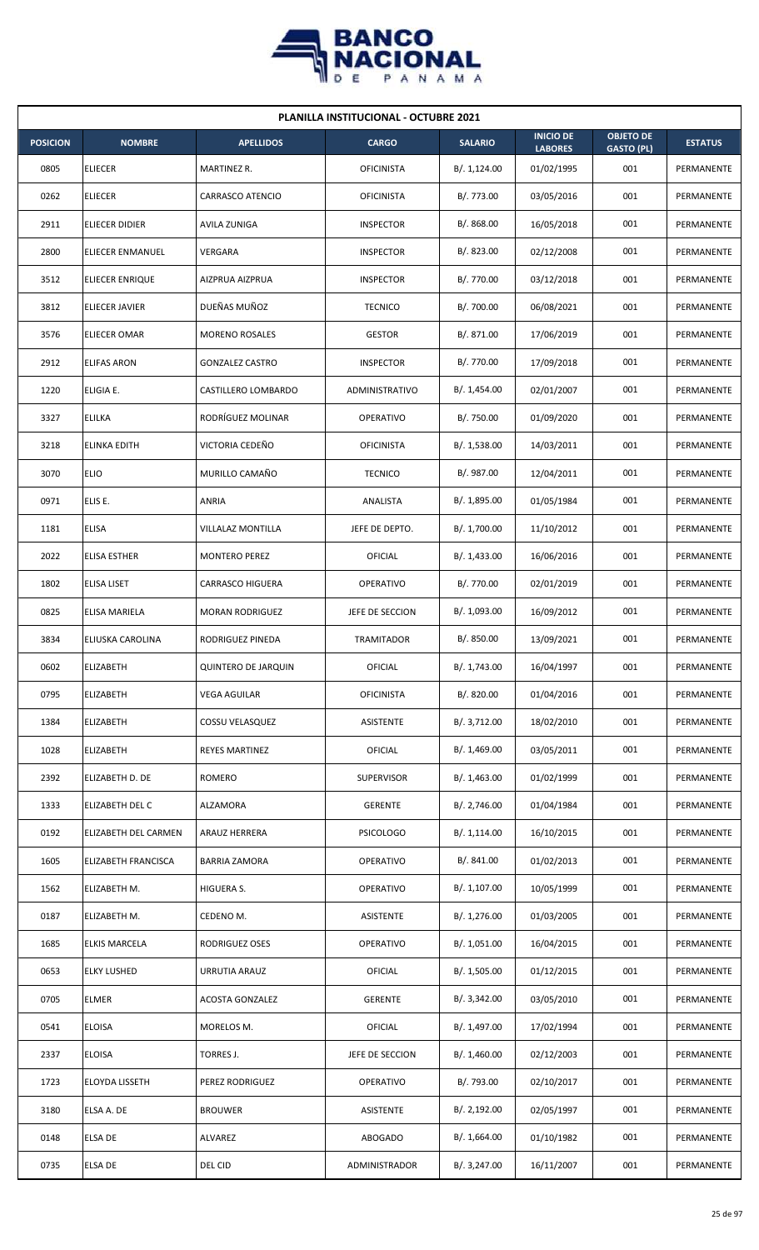

| <b>PLANILLA INSTITUCIONAL - OCTUBRE 2021</b> |                       |                            |                   |                |                                    |                                       |                |  |  |
|----------------------------------------------|-----------------------|----------------------------|-------------------|----------------|------------------------------------|---------------------------------------|----------------|--|--|
| <b>POSICION</b>                              | <b>NOMBRE</b>         | <b>APELLIDOS</b>           | <b>CARGO</b>      | <b>SALARIO</b> | <b>INICIO DE</b><br><b>LABORES</b> | <b>OBJETO DE</b><br><b>GASTO (PL)</b> | <b>ESTATUS</b> |  |  |
| 0805                                         | <b>ELIECER</b>        | MARTINEZ R.                | <b>OFICINISTA</b> | B/.1,124.00    | 01/02/1995                         | 001                                   | PERMANENTE     |  |  |
| 0262                                         | <b>ELIECER</b>        | <b>CARRASCO ATENCIO</b>    | <b>OFICINISTA</b> | B/. 773.00     | 03/05/2016                         | 001                                   | PERMANENTE     |  |  |
| 2911                                         | <b>ELIECER DIDIER</b> | AVILA ZUNIGA               | <b>INSPECTOR</b>  | B/. 868.00     | 16/05/2018                         | 001                                   | PERMANENTE     |  |  |
| 2800                                         | ELIECER ENMANUEL      | VERGARA                    | <b>INSPECTOR</b>  | B/. 823.00     | 02/12/2008                         | 001                                   | PERMANENTE     |  |  |
| 3512                                         | ELIECER ENRIQUE       | AIZPRUA AIZPRUA            | <b>INSPECTOR</b>  | B/. 770.00     | 03/12/2018                         | 001                                   | PERMANENTE     |  |  |
| 3812                                         | ELIECER JAVIER        | DUEÑAS MUÑOZ               | <b>TECNICO</b>    | B/. 700.00     | 06/08/2021                         | 001                                   | PERMANENTE     |  |  |
| 3576                                         | <b>ELIECER OMAR</b>   | <b>MORENO ROSALES</b>      | <b>GESTOR</b>     | B/. 871.00     | 17/06/2019                         | 001                                   | PERMANENTE     |  |  |
| 2912                                         | <b>ELIFAS ARON</b>    | <b>GONZALEZ CASTRO</b>     | <b>INSPECTOR</b>  | B/. 770.00     | 17/09/2018                         | 001                                   | PERMANENTE     |  |  |
| 1220                                         | ELIGIA E.             | CASTILLERO LOMBARDO        | ADMINISTRATIVO    | B/. 1,454.00   | 02/01/2007                         | 001                                   | PERMANENTE     |  |  |
| 3327                                         | ELILKA                | RODRÍGUEZ MOLINAR          | <b>OPERATIVO</b>  | B/. 750.00     | 01/09/2020                         | 001                                   | PERMANENTE     |  |  |
| 3218                                         | <b>ELINKA EDITH</b>   | VICTORIA CEDEÑO            | <b>OFICINISTA</b> | B/. 1,538.00   | 14/03/2011                         | 001                                   | PERMANENTE     |  |  |
| 3070                                         | <b>ELIO</b>           | MURILLO CAMAÑO             | <b>TECNICO</b>    | B/. 987.00     | 12/04/2011                         | 001                                   | PERMANENTE     |  |  |
| 0971                                         | ELIS E.               | <b>ANRIA</b>               | ANALISTA          | B/. 1,895.00   | 01/05/1984                         | 001                                   | PERMANENTE     |  |  |
| 1181                                         | <b>ELISA</b>          | VILLALAZ MONTILLA          | JEFE DE DEPTO.    | B/. 1,700.00   | 11/10/2012                         | 001                                   | PERMANENTE     |  |  |
| 2022                                         | <b>ELISA ESTHER</b>   | <b>MONTERO PEREZ</b>       | OFICIAL           | B/. 1,433.00   | 16/06/2016                         | 001                                   | PERMANENTE     |  |  |
| 1802                                         | ELISA LISET           | <b>CARRASCO HIGUERA</b>    | OPERATIVO         | B/. 770.00     | 02/01/2019                         | 001                                   | PERMANENTE     |  |  |
| 0825                                         | ELISA MARIELA         | <b>MORAN RODRIGUEZ</b>     | JEFE DE SECCION   | B/. 1,093.00   | 16/09/2012                         | 001                                   | PERMANENTE     |  |  |
| 3834                                         | ELIUSKA CAROLINA      | RODRIGUEZ PINEDA           | <b>TRAMITADOR</b> | B/. 850.00     | 13/09/2021                         | 001                                   | PERMANENTE     |  |  |
| 0602                                         | <b>ELIZABETH</b>      | <b>QUINTERO DE JARQUIN</b> | OFICIAL           | B/. 1,743.00   | 16/04/1997                         | 001                                   | PERMANENTE     |  |  |
| 0795                                         | ELIZABETH             | <b>VEGA AGUILAR</b>        | <b>OFICINISTA</b> | B/. 820.00     | 01/04/2016                         | 001                                   | PERMANENTE     |  |  |
| 1384                                         | <b>ELIZABETH</b>      | COSSU VELASQUEZ            | ASISTENTE         | B/. 3,712.00   | 18/02/2010                         | 001                                   | PERMANENTE     |  |  |
| 1028                                         | ELIZABETH             | REYES MARTINEZ             | <b>OFICIAL</b>    | B/. 1,469.00   | 03/05/2011                         | 001                                   | PERMANENTE     |  |  |
| 2392                                         | ELIZABETH D. DE       | <b>ROMERO</b>              | <b>SUPERVISOR</b> | B/. 1,463.00   | 01/02/1999                         | 001                                   | PERMANENTE     |  |  |
| 1333                                         | ELIZABETH DEL C       | ALZAMORA                   | <b>GERENTE</b>    | B/. 2,746.00   | 01/04/1984                         | 001                                   | PERMANENTE     |  |  |
| 0192                                         | ELIZABETH DEL CARMEN  | ARAUZ HERRERA              | <b>PSICOLOGO</b>  | B/. 1,114.00   | 16/10/2015                         | 001                                   | PERMANENTE     |  |  |
| 1605                                         | ELIZABETH FRANCISCA   | <b>BARRIA ZAMORA</b>       | OPERATIVO         | B/. 841.00     | 01/02/2013                         | 001                                   | PERMANENTE     |  |  |
| 1562                                         | ELIZABETH M.          | HIGUERA S.                 | OPERATIVO         | B/. 1,107.00   | 10/05/1999                         | 001                                   | PERMANENTE     |  |  |
| 0187                                         | ELIZABETH M.          | CEDENO M.                  | ASISTENTE         | B/. 1,276.00   | 01/03/2005                         | 001                                   | PERMANENTE     |  |  |
| 1685                                         | <b>ELKIS MARCELA</b>  | RODRIGUEZ OSES             | OPERATIVO         | B/. 1,051.00   | 16/04/2015                         | 001                                   | PERMANENTE     |  |  |
| 0653                                         | <b>ELKY LUSHED</b>    | URRUTIA ARAUZ              | <b>OFICIAL</b>    | B/. 1,505.00   | 01/12/2015                         | 001                                   | PERMANENTE     |  |  |
| 0705                                         | <b>ELMER</b>          | <b>ACOSTA GONZALEZ</b>     | <b>GERENTE</b>    | B/. 3,342.00   | 03/05/2010                         | 001                                   | PERMANENTE     |  |  |
| 0541                                         | <b>ELOISA</b>         | MORELOS M.                 | <b>OFICIAL</b>    | B/. 1,497.00   | 17/02/1994                         | 001                                   | PERMANENTE     |  |  |
| 2337                                         | <b>ELOISA</b>         | TORRES J.                  | JEFE DE SECCION   | B/.1,460.00    | 02/12/2003                         | 001                                   | PERMANENTE     |  |  |
| 1723                                         | ELOYDA LISSETH        | PEREZ RODRIGUEZ            | OPERATIVO         | B/. 793.00     | 02/10/2017                         | 001                                   | PERMANENTE     |  |  |
| 3180                                         | ELSA A. DE            | <b>BROUWER</b>             | ASISTENTE         | B/. 2,192.00   | 02/05/1997                         | 001                                   | PERMANENTE     |  |  |
| 0148                                         | ELSA DE               | ALVAREZ                    | ABOGADO           | B/. 1,664.00   | 01/10/1982                         | 001                                   | PERMANENTE     |  |  |
| 0735                                         | <b>ELSA DE</b>        | DEL CID                    | ADMINISTRADOR     | B/. 3,247.00   | 16/11/2007                         | 001                                   | PERMANENTE     |  |  |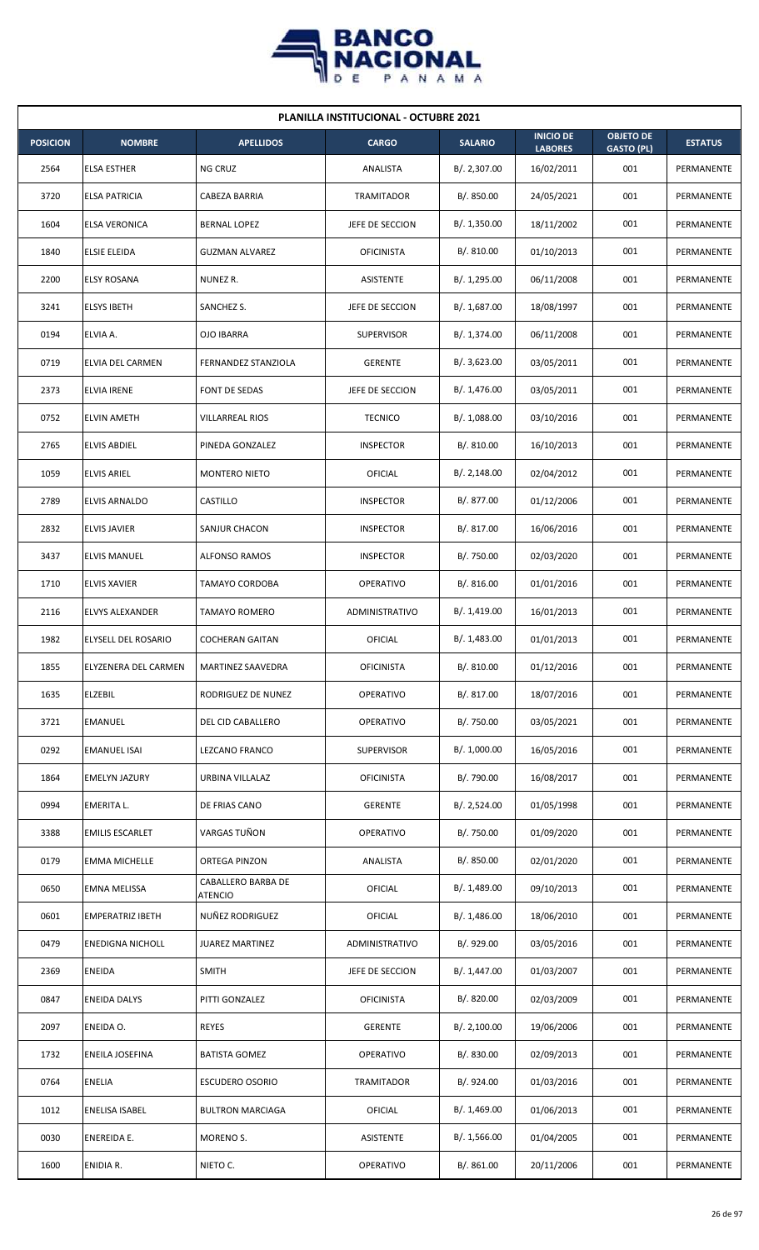

|                 | <b>PLANILLA INSTITUCIONAL - OCTUBRE 2021</b> |                                      |                   |                |                                    |                                       |                |  |  |  |
|-----------------|----------------------------------------------|--------------------------------------|-------------------|----------------|------------------------------------|---------------------------------------|----------------|--|--|--|
| <b>POSICION</b> | <b>NOMBRE</b>                                | <b>APELLIDOS</b>                     | <b>CARGO</b>      | <b>SALARIO</b> | <b>INICIO DE</b><br><b>LABORES</b> | <b>OBJETO DE</b><br><b>GASTO (PL)</b> | <b>ESTATUS</b> |  |  |  |
| 2564            | <b>ELSA ESTHER</b>                           | NG CRUZ                              | ANALISTA          | B/. 2,307.00   | 16/02/2011                         | 001                                   | PERMANENTE     |  |  |  |
| 3720            | <b>ELSA PATRICIA</b>                         | CABEZA BARRIA                        | TRAMITADOR        | B/.850.00      | 24/05/2021                         | 001                                   | PERMANENTE     |  |  |  |
| 1604            | <b>ELSA VERONICA</b>                         | BERNAL LOPEZ                         | JEFE DE SECCION   | B/.1,350.00    | 18/11/2002                         | 001                                   | PERMANENTE     |  |  |  |
| 1840            | <b>ELSIE ELEIDA</b>                          | <b>GUZMAN ALVAREZ</b>                | <b>OFICINISTA</b> | B/. 810.00     | 01/10/2013                         | 001                                   | PERMANENTE     |  |  |  |
| 2200            | <b>ELSY ROSANA</b>                           | NUNEZ R.                             | <b>ASISTENTE</b>  | B/. 1,295.00   | 06/11/2008                         | 001                                   | PERMANENTE     |  |  |  |
| 3241            | <b>ELSYS IBETH</b>                           | SANCHEZ S.                           | JEFE DE SECCION   | B/. 1,687.00   | 18/08/1997                         | 001                                   | PERMANENTE     |  |  |  |
| 0194            | ELVIA A.                                     | <b>OJO IBARRA</b>                    | <b>SUPERVISOR</b> | B/. 1,374.00   | 06/11/2008                         | 001                                   | PERMANENTE     |  |  |  |
| 0719            | ELVIA DEL CARMEN                             | <b>FERNANDEZ STANZIOLA</b>           | <b>GERENTE</b>    | B/.3,623.00    | 03/05/2011                         | 001                                   | PERMANENTE     |  |  |  |
| 2373            | <b>ELVIA IRENE</b>                           | FONT DE SEDAS                        | JEFE DE SECCION   | B/. 1,476.00   | 03/05/2011                         | 001                                   | PERMANENTE     |  |  |  |
| 0752            | <b>ELVIN AMETH</b>                           | <b>VILLARREAL RIOS</b>               | <b>TECNICO</b>    | B/.1,088.00    | 03/10/2016                         | 001                                   | PERMANENTE     |  |  |  |
| 2765            | <b>ELVIS ABDIEL</b>                          | PINEDA GONZALEZ                      | <b>INSPECTOR</b>  | B/. 810.00     | 16/10/2013                         | 001                                   | PERMANENTE     |  |  |  |
| 1059            | <b>ELVIS ARIEL</b>                           | <b>MONTERO NIETO</b>                 | OFICIAL           | B/.2,148.00    | 02/04/2012                         | 001                                   | PERMANENTE     |  |  |  |
| 2789            | ELVIS ARNALDO                                | CASTILLO                             | <b>INSPECTOR</b>  | B/. 877.00     | 01/12/2006                         | 001                                   | PERMANENTE     |  |  |  |
| 2832            | <b>ELVIS JAVIER</b>                          | SANJUR CHACON                        | <b>INSPECTOR</b>  | B/. 817.00     | 16/06/2016                         | 001                                   | PERMANENTE     |  |  |  |
| 3437            | <b>ELVIS MANUEL</b>                          | <b>ALFONSO RAMOS</b>                 | <b>INSPECTOR</b>  | B/. 750.00     | 02/03/2020                         | 001                                   | PERMANENTE     |  |  |  |
| 1710            | <b>ELVIS XAVIER</b>                          | <b>TAMAYO CORDOBA</b>                | <b>OPERATIVO</b>  | B/. 816.00     | 01/01/2016                         | 001                                   | PERMANENTE     |  |  |  |
| 2116            | <b>ELVYS ALEXANDER</b>                       | <b>TAMAYO ROMERO</b>                 | ADMINISTRATIVO    | B/.1,419.00    | 16/01/2013                         | 001                                   | PERMANENTE     |  |  |  |
| 1982            | ELYSELL DEL ROSARIO                          | <b>COCHERAN GAITAN</b>               | OFICIAL           | B/. 1,483.00   | 01/01/2013                         | 001                                   | PERMANENTE     |  |  |  |
| 1855            | <b>ELYZENERA DEL CARMEN</b>                  | MARTINEZ SAAVEDRA                    | <b>OFICINISTA</b> | B/. 810.00     | 01/12/2016                         | 001                                   | PERMANENTE     |  |  |  |
| 1635            | ELZEBIL                                      | RODRIGUEZ DE NUNEZ                   | OPERATIVO         | B/. 817.00     | 18/07/2016                         | 001                                   | PERMANENTE     |  |  |  |
| 3721            | <b>EMANUEL</b>                               | DEL CID CABALLERO                    | OPERATIVO         | B/. 750.00     | 03/05/2021                         | 001                                   | PERMANENTE     |  |  |  |
| 0292            | <b>EMANUEL ISAI</b>                          | <b>LEZCANO FRANCO</b>                | SUPERVISOR        | B/. 1,000.00   | 16/05/2016                         | 001                                   | PERMANENTE     |  |  |  |
| 1864            | <b>EMELYN JAZURY</b>                         | URBINA VILLALAZ                      | <b>OFICINISTA</b> | B/. 790.00     | 16/08/2017                         | 001                                   | PERMANENTE     |  |  |  |
| 0994            | EMERITA L.                                   | DE FRIAS CANO                        | <b>GERENTE</b>    | B/. 2,524.00   | 01/05/1998                         | 001                                   | PERMANENTE     |  |  |  |
| 3388            | <b>EMILIS ESCARLET</b>                       | VARGAS TUÑON                         | <b>OPERATIVO</b>  | B/. 750.00     | 01/09/2020                         | 001                                   | PERMANENTE     |  |  |  |
| 0179            | <b>EMMA MICHELLE</b>                         | ORTEGA PINZON                        | ANALISTA          | B/. 850.00     | 02/01/2020                         | 001                                   | PERMANENTE     |  |  |  |
| 0650            | EMNA MELISSA                                 | CABALLERO BARBA DE<br><b>ATENCIO</b> | OFICIAL           | B/. 1,489.00   | 09/10/2013                         | 001                                   | PERMANENTE     |  |  |  |
| 0601            | <b>EMPERATRIZ IBETH</b>                      | NUÑEZ RODRIGUEZ                      | OFICIAL           | B/.1,486.00    | 18/06/2010                         | 001                                   | PERMANENTE     |  |  |  |
| 0479            | <b>ENEDIGNA NICHOLL</b>                      | <b>JUAREZ MARTINEZ</b>               | ADMINISTRATIVO    | B/. 929.00     | 03/05/2016                         | 001                                   | PERMANENTE     |  |  |  |
| 2369            | ENEIDA                                       | <b>SMITH</b>                         | JEFE DE SECCION   | B/. 1,447.00   | 01/03/2007                         | 001                                   | PERMANENTE     |  |  |  |
| 0847            | <b>ENEIDA DALYS</b>                          | PITTI GONZALEZ                       | <b>OFICINISTA</b> | B/. 820.00     | 02/03/2009                         | 001                                   | PERMANENTE     |  |  |  |
| 2097            | ENEIDA O.                                    | <b>REYES</b>                         | <b>GERENTE</b>    | B/.2,100.00    | 19/06/2006                         | 001                                   | PERMANENTE     |  |  |  |
| 1732            | ENEILA JOSEFINA                              | <b>BATISTA GOMEZ</b>                 | <b>OPERATIVO</b>  | B/. 830.00     | 02/09/2013                         | 001                                   | PERMANENTE     |  |  |  |
| 0764            | ENELIA                                       | <b>ESCUDERO OSORIO</b>               | TRAMITADOR        | B/. 924.00     | 01/03/2016                         | 001                                   | PERMANENTE     |  |  |  |
| 1012            | ENELISA ISABEL                               | <b>BULTRON MARCIAGA</b>              | OFICIAL           | B/.1,469.00    | 01/06/2013                         | 001                                   | PERMANENTE     |  |  |  |
| 0030            | <b>ENEREIDA E.</b>                           | MORENO S.                            | <b>ASISTENTE</b>  | B/.1,566.00    | 01/04/2005                         | 001                                   | PERMANENTE     |  |  |  |
| 1600            | ENIDIA R.                                    | NIETO C.                             | OPERATIVO         | B/. 861.00     | 20/11/2006                         | 001                                   | PERMANENTE     |  |  |  |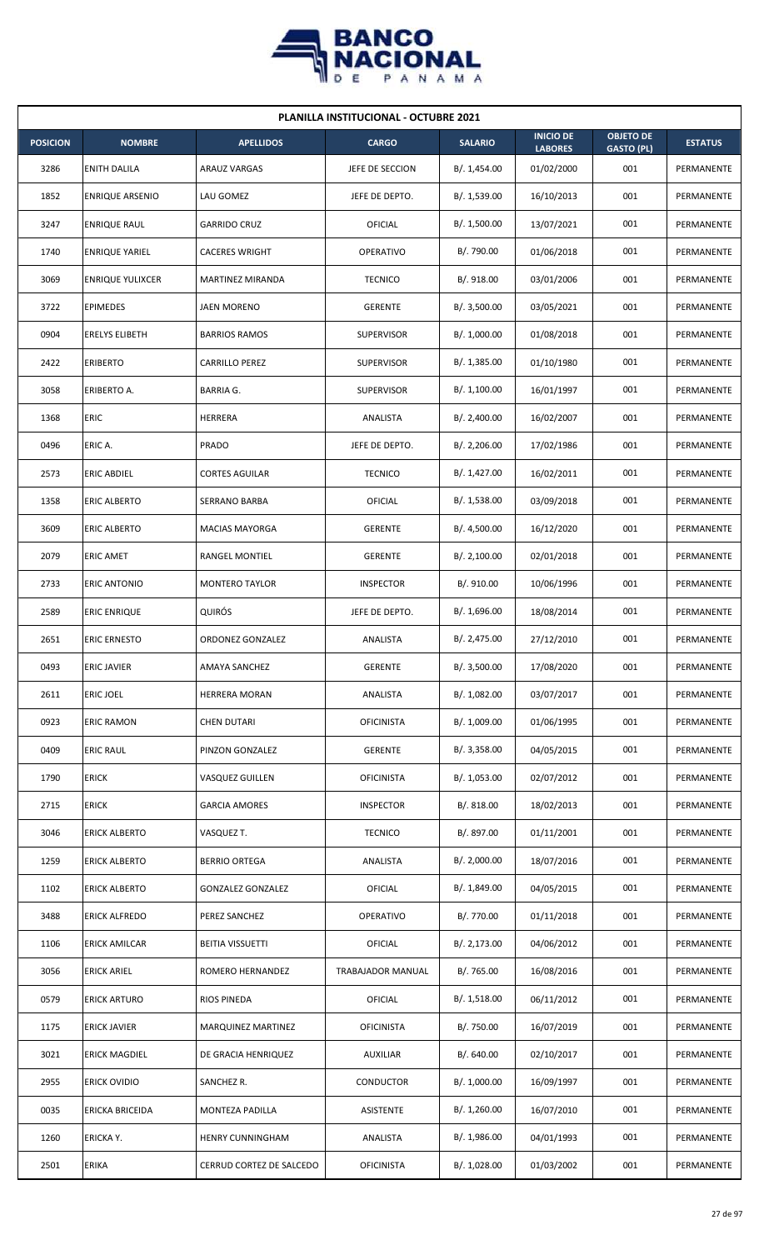

| <b>PLANILLA INSTITUCIONAL - OCTUBRE 2021</b> |                         |                           |                   |                |                                    |                                       |                |  |  |  |
|----------------------------------------------|-------------------------|---------------------------|-------------------|----------------|------------------------------------|---------------------------------------|----------------|--|--|--|
| <b>POSICION</b>                              | <b>NOMBRE</b>           | <b>APELLIDOS</b>          | <b>CARGO</b>      | <b>SALARIO</b> | <b>INICIO DE</b><br><b>LABORES</b> | <b>OBJETO DE</b><br><b>GASTO (PL)</b> | <b>ESTATUS</b> |  |  |  |
| 3286                                         | <b>ENITH DALILA</b>     | <b>ARAUZ VARGAS</b>       | JEFE DE SECCION   | B/. 1,454.00   | 01/02/2000                         | 001                                   | PERMANENTE     |  |  |  |
| 1852                                         | <b>ENRIQUE ARSENIO</b>  | LAU GOMEZ                 | JEFE DE DEPTO.    | B/. 1,539.00   | 16/10/2013                         | 001                                   | PERMANENTE     |  |  |  |
| 3247                                         | <b>ENRIQUE RAUL</b>     | <b>GARRIDO CRUZ</b>       | OFICIAL           | B/. 1,500.00   | 13/07/2021                         | 001                                   | PERMANENTE     |  |  |  |
| 1740                                         | <b>ENRIQUE YARIEL</b>   | <b>CACERES WRIGHT</b>     | OPERATIVO         | B/. 790.00     | 01/06/2018                         | 001                                   | PERMANENTE     |  |  |  |
| 3069                                         | <b>ENRIQUE YULIXCER</b> | <b>MARTINEZ MIRANDA</b>   | <b>TECNICO</b>    | B/. 918.00     | 03/01/2006                         | 001                                   | PERMANENTE     |  |  |  |
| 3722                                         | <b>EPIMEDES</b>         | JAEN MORENO               | <b>GERENTE</b>    | B/. 3,500.00   | 03/05/2021                         | 001                                   | PERMANENTE     |  |  |  |
| 0904                                         | <b>ERELYS ELIBETH</b>   | <b>BARRIOS RAMOS</b>      | <b>SUPERVISOR</b> | B/. 1,000.00   | 01/08/2018                         | 001                                   | PERMANENTE     |  |  |  |
| 2422                                         | <b>ERIBERTO</b>         | CARRILLO PEREZ            | <b>SUPERVISOR</b> | B/. 1,385.00   | 01/10/1980                         | 001                                   | PERMANENTE     |  |  |  |
| 3058                                         | ERIBERTO A.             | <b>BARRIA G.</b>          | <b>SUPERVISOR</b> | B/. 1,100.00   | 16/01/1997                         | 001                                   | PERMANENTE     |  |  |  |
| 1368                                         | <b>ERIC</b>             | <b>HERRERA</b>            | ANALISTA          | B/. 2,400.00   | 16/02/2007                         | 001                                   | PERMANENTE     |  |  |  |
| 0496                                         | ERIC A.                 | PRADO                     | JEFE DE DEPTO.    | B/.2,206.00    | 17/02/1986                         | 001                                   | PERMANENTE     |  |  |  |
| 2573                                         | <b>ERIC ABDIEL</b>      | <b>CORTES AGUILAR</b>     | <b>TECNICO</b>    | B/. 1,427.00   | 16/02/2011                         | 001                                   | PERMANENTE     |  |  |  |
| 1358                                         | ERIC ALBERTO            | SERRANO BARBA             | OFICIAL           | B/. 1,538.00   | 03/09/2018                         | 001                                   | PERMANENTE     |  |  |  |
| 3609                                         | <b>ERIC ALBERTO</b>     | <b>MACIAS MAYORGA</b>     | <b>GERENTE</b>    | B/. 4,500.00   | 16/12/2020                         | 001                                   | PERMANENTE     |  |  |  |
| 2079                                         | <b>ERIC AMET</b>        | RANGEL MONTIEL            | <b>GERENTE</b>    | B/.2,100.00    | 02/01/2018                         | 001                                   | PERMANENTE     |  |  |  |
| 2733                                         | ERIC ANTONIO            | <b>MONTERO TAYLOR</b>     | <b>INSPECTOR</b>  | B/. 910.00     | 10/06/1996                         | 001                                   | PERMANENTE     |  |  |  |
| 2589                                         | <b>ERIC ENRIQUE</b>     | QUIRÓS                    | JEFE DE DEPTO.    | B/. 1,696.00   | 18/08/2014                         | 001                                   | PERMANENTE     |  |  |  |
| 2651                                         | <b>ERIC ERNESTO</b>     | ORDONEZ GONZALEZ          | ANALISTA          | B/.2,475.00    | 27/12/2010                         | 001                                   | PERMANENTE     |  |  |  |
| 0493                                         | <b>ERIC JAVIER</b>      | AMAYA SANCHEZ             | GERENTE           | B/.3,500.00    | 17/08/2020                         | 001                                   | PERMANENTE     |  |  |  |
| 2611                                         | <b>ERIC JOEL</b>        | HERRERA MORAN             | ANALISTA          | B/. 1,082.00   | 03/07/2017                         | 001                                   | PERMANENTE     |  |  |  |
| 0923                                         | <b>ERIC RAMON</b>       | <b>CHEN DUTARI</b>        | <b>OFICINISTA</b> | B/. 1,009.00   | 01/06/1995                         | 001                                   | PERMANENTE     |  |  |  |
| 0409                                         | <b>ERIC RAUL</b>        | PINZON GONZALEZ           | <b>GERENTE</b>    | B/.3,358.00    | 04/05/2015                         | 001                                   | PERMANENTE     |  |  |  |
| 1790                                         | <b>ERICK</b>            | VASQUEZ GUILLEN           | <b>OFICINISTA</b> | B/. 1,053.00   | 02/07/2012                         | 001                                   | PERMANENTE     |  |  |  |
| 2715                                         | <b>ERICK</b>            | <b>GARCIA AMORES</b>      | <b>INSPECTOR</b>  | B/. 818.00     | 18/02/2013                         | 001                                   | PERMANENTE     |  |  |  |
| 3046                                         | <b>ERICK ALBERTO</b>    | VASQUEZ T.                | <b>TECNICO</b>    | B/. 897.00     | 01/11/2001                         | 001                                   | PERMANENTE     |  |  |  |
| 1259                                         | <b>ERICK ALBERTO</b>    | <b>BERRIO ORTEGA</b>      | ANALISTA          | B/.2,000.00    | 18/07/2016                         | 001                                   | PERMANENTE     |  |  |  |
| 1102                                         | <b>ERICK ALBERTO</b>    | <b>GONZALEZ GONZALEZ</b>  | <b>OFICIAL</b>    | B/. 1,849.00   | 04/05/2015                         | 001                                   | PERMANENTE     |  |  |  |
| 3488                                         | <b>ERICK ALFREDO</b>    | PEREZ SANCHEZ             | OPERATIVO         | B/. 770.00     | 01/11/2018                         | 001                                   | PERMANENTE     |  |  |  |
| 1106                                         | <b>ERICK AMILCAR</b>    | <b>BEITIA VISSUETTI</b>   | <b>OFICIAL</b>    | B/.2,173.00    | 04/06/2012                         | 001                                   | PERMANENTE     |  |  |  |
| 3056                                         | <b>ERICK ARIEL</b>      | ROMERO HERNANDEZ          | TRABAJADOR MANUAL | B/. 765.00     | 16/08/2016                         | 001                                   | PERMANENTE     |  |  |  |
| 0579                                         | <b>ERICK ARTURO</b>     | RIOS PINEDA               | <b>OFICIAL</b>    | B/. 1,518.00   | 06/11/2012                         | 001                                   | PERMANENTE     |  |  |  |
| 1175                                         | <b>ERICK JAVIER</b>     | <b>MARQUINEZ MARTINEZ</b> | <b>OFICINISTA</b> | B/. 750.00     | 16/07/2019                         | 001                                   | PERMANENTE     |  |  |  |
| 3021                                         | <b>ERICK MAGDIEL</b>    | DE GRACIA HENRIQUEZ       | <b>AUXILIAR</b>   | B/0.640.00     | 02/10/2017                         | 001                                   | PERMANENTE     |  |  |  |
| 2955                                         | ERICK OVIDIO            | SANCHEZ R.                | CONDUCTOR         | B/. 1,000.00   | 16/09/1997                         | 001                                   | PERMANENTE     |  |  |  |
| 0035                                         | ERICKA BRICEIDA         | MONTEZA PADILLA           | ASISTENTE         | B/. 1,260.00   | 16/07/2010                         | 001                                   | PERMANENTE     |  |  |  |
| 1260                                         | ERICKA Y.               | HENRY CUNNINGHAM          | ANALISTA          | B/. 1,986.00   | 04/01/1993                         | 001                                   | PERMANENTE     |  |  |  |
| 2501                                         | <b>ERIKA</b>            | CERRUD CORTEZ DE SALCEDO  | <b>OFICINISTA</b> | B/. 1,028.00   | 01/03/2002                         | 001                                   | PERMANENTE     |  |  |  |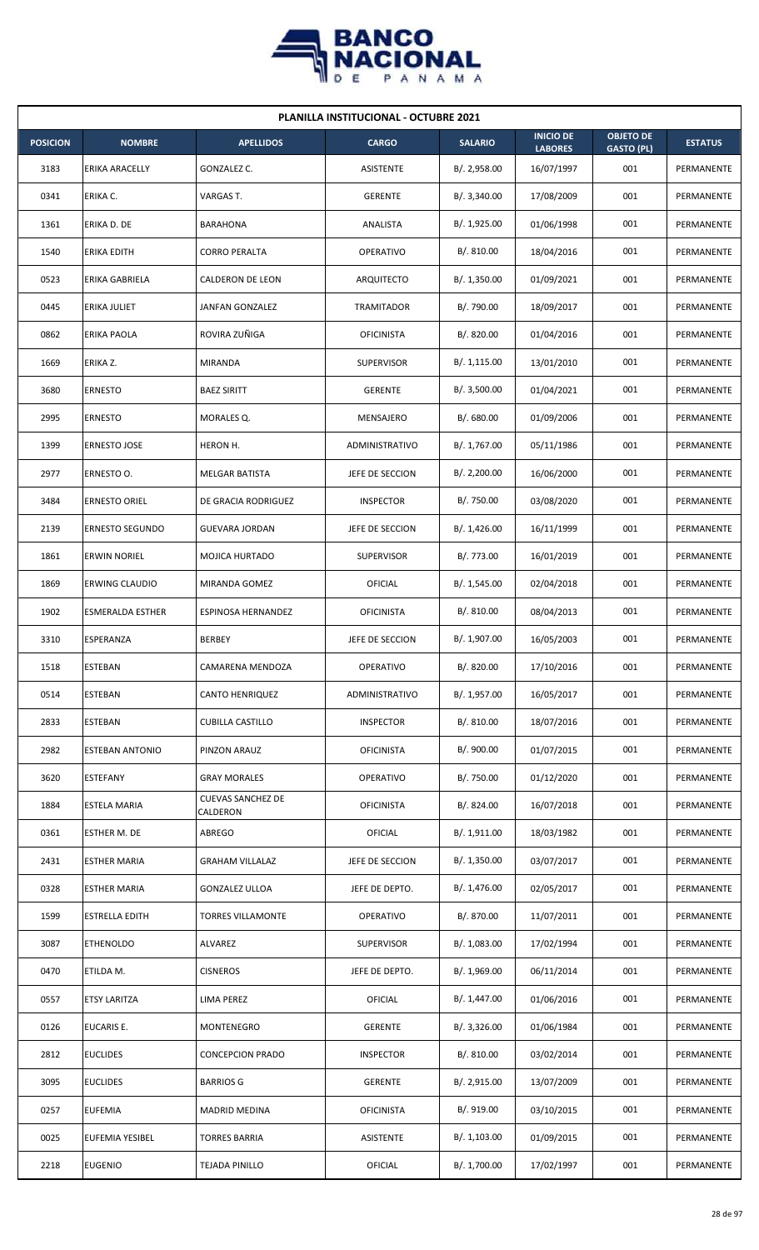

| <b>PLANILLA INSTITUCIONAL - OCTUBRE 2021</b> |                         |                                      |                       |                |                                    |                                       |                |  |  |
|----------------------------------------------|-------------------------|--------------------------------------|-----------------------|----------------|------------------------------------|---------------------------------------|----------------|--|--|
| <b>POSICION</b>                              | <b>NOMBRE</b>           | <b>APELLIDOS</b>                     | <b>CARGO</b>          | <b>SALARIO</b> | <b>INICIO DE</b><br><b>LABORES</b> | <b>OBJETO DE</b><br><b>GASTO (PL)</b> | <b>ESTATUS</b> |  |  |
| 3183                                         | <b>ERIKA ARACELLY</b>   | GONZALEZ C.                          | <b>ASISTENTE</b>      | B/.2,958.00    | 16/07/1997                         | 001                                   | PERMANENTE     |  |  |
| 0341                                         | ERIKA C.                | VARGAS T.                            | <b>GERENTE</b>        | B/. 3,340.00   | 17/08/2009                         | 001                                   | PERMANENTE     |  |  |
| 1361                                         | ERIKA D. DE             | <b>BARAHONA</b>                      | ANALISTA              | B/. 1,925.00   | 01/06/1998                         | 001                                   | PERMANENTE     |  |  |
| 1540                                         | <b>ERIKA EDITH</b>      | <b>CORRO PERALTA</b>                 | OPERATIVO             | B/. 810.00     | 18/04/2016                         | 001                                   | PERMANENTE     |  |  |
| 0523                                         | ERIKA GABRIELA          | CALDERON DE LEON                     | ARQUITECTO            | B/. 1,350.00   | 01/09/2021                         | 001                                   | PERMANENTE     |  |  |
| 0445                                         | <b>ERIKA JULIET</b>     | JANFAN GONZALEZ                      | <b>TRAMITADOR</b>     | B/. 790.00     | 18/09/2017                         | 001                                   | PERMANENTE     |  |  |
| 0862                                         | ERIKA PAOLA             | ROVIRA ZUÑIGA                        | <b>OFICINISTA</b>     | B/. 820.00     | 01/04/2016                         | 001                                   | PERMANENTE     |  |  |
| 1669                                         | ERIKA Z.                | <b>MIRANDA</b>                       | <b>SUPERVISOR</b>     | B/.1,115.00    | 13/01/2010                         | 001                                   | PERMANENTE     |  |  |
| 3680                                         | <b>ERNESTO</b>          | <b>BAEZ SIRITT</b>                   | <b>GERENTE</b>        | B/. 3,500.00   | 01/04/2021                         | 001                                   | PERMANENTE     |  |  |
| 2995                                         | <b>ERNESTO</b>          | MORALES Q.                           | MENSAJERO             | B/0.680.00     | 01/09/2006                         | 001                                   | PERMANENTE     |  |  |
| 1399                                         | <b>ERNESTO JOSE</b>     | HERON H.                             | <b>ADMINISTRATIVO</b> | B/. 1,767.00   | 05/11/1986                         | 001                                   | PERMANENTE     |  |  |
| 2977                                         | ERNESTO O.              | MELGAR BATISTA                       | JEFE DE SECCION       | B/.2,200.00    | 16/06/2000                         | 001                                   | PERMANENTE     |  |  |
| 3484                                         | ERNESTO ORIEL           | DE GRACIA RODRIGUEZ                  | <b>INSPECTOR</b>      | B/. 750.00     | 03/08/2020                         | 001                                   | PERMANENTE     |  |  |
| 2139                                         | <b>ERNESTO SEGUNDO</b>  | <b>GUEVARA JORDAN</b>                | JEFE DE SECCION       | B/.1,426.00    | 16/11/1999                         | 001                                   | PERMANENTE     |  |  |
| 1861                                         | <b>ERWIN NORIEL</b>     | MOJICA HURTADO                       | <b>SUPERVISOR</b>     | B/. 773.00     | 16/01/2019                         | 001                                   | PERMANENTE     |  |  |
| 1869                                         | ERWING CLAUDIO          | MIRANDA GOMEZ                        | OFICIAL               | B/. 1,545.00   | 02/04/2018                         | 001                                   | PERMANENTE     |  |  |
| 1902                                         | <b>ESMERALDA ESTHER</b> | ESPINOSA HERNANDEZ                   | <b>OFICINISTA</b>     | B/.810.00      | 08/04/2013                         | 001                                   | PERMANENTE     |  |  |
| 3310                                         | ESPERANZA               | <b>BERBEY</b>                        | JEFE DE SECCION       | B/. 1,907.00   | 16/05/2003                         | 001                                   | PERMANENTE     |  |  |
| 1518                                         | <b>ESTEBAN</b>          | CAMARENA MENDOZA                     | OPERATIVO             | B/. 820.00     | 17/10/2016                         | 001                                   | PERMANENTE     |  |  |
| 0514                                         | <b>ESTEBAN</b>          | CANTO HENRIQUEZ                      | ADMINISTRATIVO        | B/. 1,957.00   | 16/05/2017                         | 001                                   | PERMANENTE     |  |  |
| 2833                                         | ESTEBAN                 | <b>CUBILLA CASTILLO</b>              | <b>INSPECTOR</b>      | B/. 810.00     | 18/07/2016                         | 001                                   | PERMANENTE     |  |  |
| 2982                                         | <b>ESTEBAN ANTONIO</b>  | PINZON ARAUZ                         | <b>OFICINISTA</b>     | B/. 900.00     | 01/07/2015                         | 001                                   | PERMANENTE     |  |  |
| 3620                                         | <b>ESTEFANY</b>         | <b>GRAY MORALES</b>                  | OPERATIVO             | B/. 750.00     | 01/12/2020                         | 001                                   | PERMANENTE     |  |  |
| 1884                                         | ESTELA MARIA            | <b>CUEVAS SANCHEZ DE</b><br>CALDERON | <b>OFICINISTA</b>     | B/. 824.00     | 16/07/2018                         | 001                                   | PERMANENTE     |  |  |
| 0361                                         | <b>ESTHER M. DE</b>     | <b>ABREGO</b>                        | <b>OFICIAL</b>        | B/. 1,911.00   | 18/03/1982                         | 001                                   | PERMANENTE     |  |  |
| 2431                                         | <b>ESTHER MARIA</b>     | <b>GRAHAM VILLALAZ</b>               | JEFE DE SECCION       | B/.1,350.00    | 03/07/2017                         | 001                                   | PERMANENTE     |  |  |
| 0328                                         | <b>ESTHER MARIA</b>     | <b>GONZALEZ ULLOA</b>                | JEFE DE DEPTO.        | B/. 1,476.00   | 02/05/2017                         | 001                                   | PERMANENTE     |  |  |
| 1599                                         | <b>ESTRELLA EDITH</b>   | <b>TORRES VILLAMONTE</b>             | <b>OPERATIVO</b>      | B/. 870.00     | 11/07/2011                         | 001                                   | PERMANENTE     |  |  |
| 3087                                         | <b>ETHENOLDO</b>        | ALVAREZ                              | SUPERVISOR            | B/. 1,083.00   | 17/02/1994                         | 001                                   | PERMANENTE     |  |  |
| 0470                                         | ETILDA M.               | <b>CISNEROS</b>                      | JEFE DE DEPTO.        | B/. 1,969.00   | 06/11/2014                         | 001                                   | PERMANENTE     |  |  |
| 0557                                         | <b>ETSY LARITZA</b>     | <b>LIMA PEREZ</b>                    | <b>OFICIAL</b>        | B/. 1,447.00   | 01/06/2016                         | 001                                   | PERMANENTE     |  |  |
| 0126                                         | <b>EUCARIS E.</b>       | MONTENEGRO                           | <b>GERENTE</b>        | B/. 3,326.00   | 01/06/1984                         | 001                                   | PERMANENTE     |  |  |
| 2812                                         | <b>EUCLIDES</b>         | <b>CONCEPCION PRADO</b>              | <b>INSPECTOR</b>      | B/. 810.00     | 03/02/2014                         | 001                                   | PERMANENTE     |  |  |
| 3095                                         | <b>EUCLIDES</b>         | <b>BARRIOS G</b>                     | <b>GERENTE</b>        | B/.2,915.00    | 13/07/2009                         | 001                                   | PERMANENTE     |  |  |
| 0257                                         | <b>EUFEMIA</b>          | <b>MADRID MEDINA</b>                 | <b>OFICINISTA</b>     | B/. 919.00     | 03/10/2015                         | 001                                   | PERMANENTE     |  |  |
| 0025                                         | <b>EUFEMIA YESIBEL</b>  | <b>TORRES BARRIA</b>                 | ASISTENTE             | B/. 1,103.00   | 01/09/2015                         | 001                                   | PERMANENTE     |  |  |
| 2218                                         | <b>EUGENIO</b>          | <b>TEJADA PINILLO</b>                | <b>OFICIAL</b>        | B/. 1,700.00   | 17/02/1997                         | 001                                   | PERMANENTE     |  |  |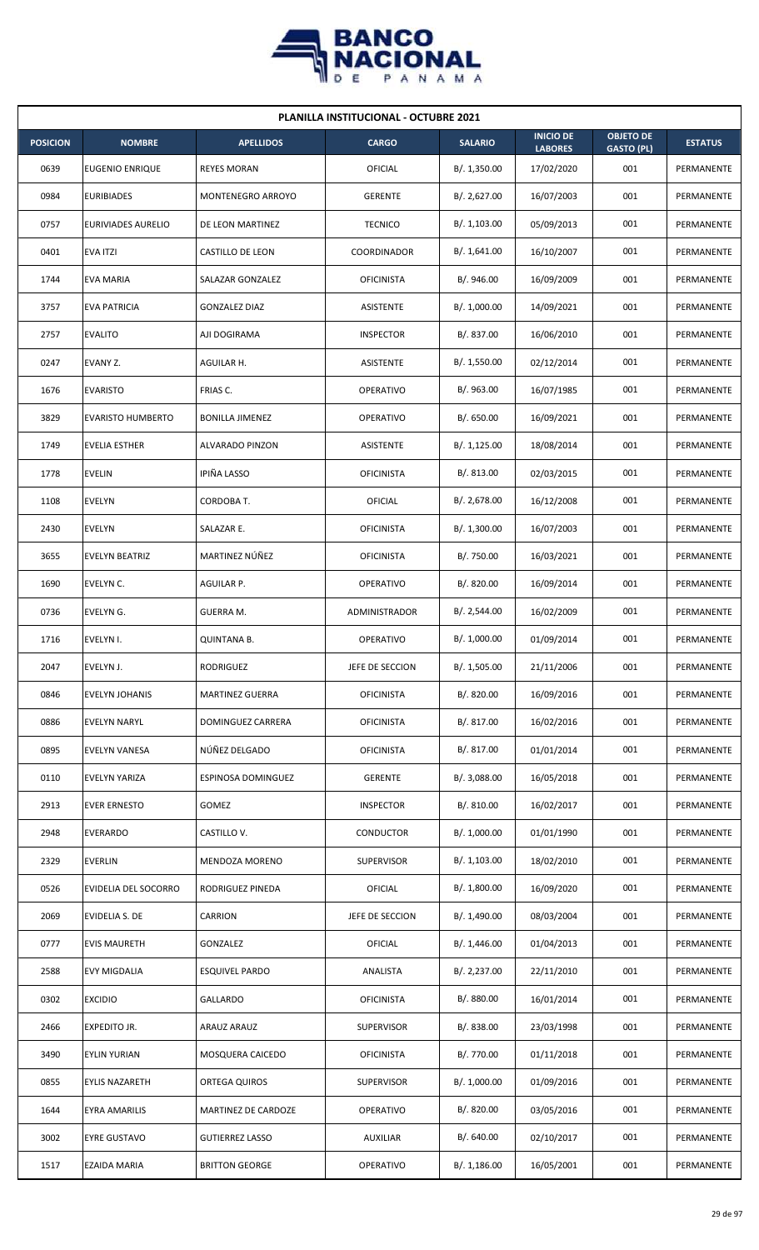

| <b>PLANILLA INSTITUCIONAL - OCTUBRE 2021</b> |                          |                        |                      |                |                                    |                                       |                |  |  |
|----------------------------------------------|--------------------------|------------------------|----------------------|----------------|------------------------------------|---------------------------------------|----------------|--|--|
| <b>POSICION</b>                              | <b>NOMBRE</b>            | <b>APELLIDOS</b>       | <b>CARGO</b>         | <b>SALARIO</b> | <b>INICIO DE</b><br><b>LABORES</b> | <b>OBJETO DE</b><br><b>GASTO (PL)</b> | <b>ESTATUS</b> |  |  |
| 0639                                         | EUGENIO ENRIQUE          | <b>REYES MORAN</b>     | OFICIAL              | B/.1,350.00    | 17/02/2020                         | 001                                   | PERMANENTE     |  |  |
| 0984                                         | <b>EURIBIADES</b>        | MONTENEGRO ARROYO      | <b>GERENTE</b>       | B/. 2,627.00   | 16/07/2003                         | 001                                   | PERMANENTE     |  |  |
| 0757                                         | EURIVIADES AURELIO       | DE LEON MARTINEZ       | <b>TECNICO</b>       | B/. 1,103.00   | 05/09/2013                         | 001                                   | PERMANENTE     |  |  |
| 0401                                         | <b>EVA ITZI</b>          | CASTILLO DE LEON       | <b>COORDINADOR</b>   | B/.1,641.00    | 16/10/2007                         | 001                                   | PERMANENTE     |  |  |
| 1744                                         | EVA MARIA                | SALAZAR GONZALEZ       | <b>OFICINISTA</b>    | B/. 946.00     | 16/09/2009                         | 001                                   | PERMANENTE     |  |  |
| 3757                                         | <b>EVA PATRICIA</b>      | <b>GONZALEZ DIAZ</b>   | ASISTENTE            | B/. 1,000.00   | 14/09/2021                         | 001                                   | PERMANENTE     |  |  |
| 2757                                         | <b>EVALITO</b>           | AJI DOGIRAMA           | <b>INSPECTOR</b>     | B/. 837.00     | 16/06/2010                         | 001                                   | PERMANENTE     |  |  |
| 0247                                         | EVANY Z.                 | AGUILAR H.             | ASISTENTE            | B/. 1,550.00   | 02/12/2014                         | 001                                   | PERMANENTE     |  |  |
| 1676                                         | <b>EVARISTO</b>          | FRIAS C.               | <b>OPERATIVO</b>     | B/.963.00      | 16/07/1985                         | 001                                   | PERMANENTE     |  |  |
| 3829                                         | <b>EVARISTO HUMBERTO</b> | <b>BONILLA JIMENEZ</b> | <b>OPERATIVO</b>     | B/0.650.00     | 16/09/2021                         | 001                                   | PERMANENTE     |  |  |
| 1749                                         | <b>EVELIA ESTHER</b>     | ALVARADO PINZON        | ASISTENTE            | B/.1,125.00    | 18/08/2014                         | 001                                   | PERMANENTE     |  |  |
| 1778                                         | <b>EVELIN</b>            | IPIÑA LASSO            | <b>OFICINISTA</b>    | B/. 813.00     | 02/03/2015                         | 001                                   | PERMANENTE     |  |  |
| 1108                                         | <b>EVELYN</b>            | CORDOBA T.             | OFICIAL              | B/. 2,678.00   | 16/12/2008                         | 001                                   | PERMANENTE     |  |  |
| 2430                                         | <b>EVELYN</b>            | SALAZAR E.             | <b>OFICINISTA</b>    | B/. 1,300.00   | 16/07/2003                         | 001                                   | PERMANENTE     |  |  |
| 3655                                         | <b>EVELYN BEATRIZ</b>    | MARTINEZ NÚÑEZ         | <b>OFICINISTA</b>    | B/. 750.00     | 16/03/2021                         | 001                                   | PERMANENTE     |  |  |
| 1690                                         | EVELYN C.                | AGUILAR P.             | OPERATIVO            | B/. 820.00     | 16/09/2014                         | 001                                   | PERMANENTE     |  |  |
| 0736                                         | EVELYN G.                | GUERRA M.              | <b>ADMINISTRADOR</b> | B/.2,544.00    | 16/02/2009                         | 001                                   | PERMANENTE     |  |  |
| 1716                                         | EVELYN I.                | <b>QUINTANA B.</b>     | <b>OPERATIVO</b>     | B/. 1,000.00   | 01/09/2014                         | 001                                   | PERMANENTE     |  |  |
| 2047                                         | EVELYN J.                | RODRIGUEZ              | JEFE DE SECCION      | B/. 1,505.00   | 21/11/2006                         | 001                                   | PERMANENTE     |  |  |
| 0846                                         | EVELYN JOHANIS           | <b>MARTINEZ GUERRA</b> | <b>OFICINISTA</b>    | B/. 820.00     | 16/09/2016                         | 001                                   | PERMANENTE     |  |  |
| 0886                                         | <b>EVELYN NARYL</b>      | DOMINGUEZ CARRERA      | <b>OFICINISTA</b>    | B/. 817.00     | 16/02/2016                         | 001                                   | PERMANENTE     |  |  |
| 0895                                         | EVELYN VANESA            | NÚÑEZ DELGADO          | <b>OFICINISTA</b>    | B/. 817.00     | 01/01/2014                         | 001                                   | PERMANENTE     |  |  |
| 0110                                         | <b>EVELYN YARIZA</b>     | ESPINOSA DOMINGUEZ     | <b>GERENTE</b>       | B/. 3,088.00   | 16/05/2018                         | 001                                   | PERMANENTE     |  |  |
| 2913                                         | <b>EVER ERNESTO</b>      | GOMEZ                  | <b>INSPECTOR</b>     | B/. 810.00     | 16/02/2017                         | 001                                   | PERMANENTE     |  |  |
| 2948                                         | <b>EVERARDO</b>          | CASTILLO V.            | CONDUCTOR            | B/. 1,000.00   | 01/01/1990                         | 001                                   | PERMANENTE     |  |  |
| 2329                                         | <b>EVERLIN</b>           | MENDOZA MORENO         | <b>SUPERVISOR</b>    | B/.1,103.00    | 18/02/2010                         | 001                                   | PERMANENTE     |  |  |
| 0526                                         | EVIDELIA DEL SOCORRO     | RODRIGUEZ PINEDA       | OFICIAL              | B/. 1,800.00   | 16/09/2020                         | 001                                   | PERMANENTE     |  |  |
| 2069                                         | EVIDELIA S. DE           | CARRION                | JEFE DE SECCION      | B/. 1,490.00   | 08/03/2004                         | 001                                   | PERMANENTE     |  |  |
| 0777                                         | <b>EVIS MAURETH</b>      | GONZALEZ               | OFICIAL              | B/.1,446.00    | 01/04/2013                         | 001                                   | PERMANENTE     |  |  |
| 2588                                         | EVY MIGDALIA             | <b>ESQUIVEL PARDO</b>  | ANALISTA             | B/. 2,237.00   | 22/11/2010                         | 001                                   | PERMANENTE     |  |  |
| 0302                                         | <b>EXCIDIO</b>           | GALLARDO               | <b>OFICINISTA</b>    | B/. 880.00     | 16/01/2014                         | 001                                   | PERMANENTE     |  |  |
| 2466                                         | <b>EXPEDITO JR.</b>      | ARAUZ ARAUZ            | <b>SUPERVISOR</b>    | B/. 838.00     | 23/03/1998                         | 001                                   | PERMANENTE     |  |  |
| 3490                                         | <b>EYLIN YURIAN</b>      | MOSQUERA CAICEDO       | <b>OFICINISTA</b>    | B/. 770.00     | 01/11/2018                         | 001                                   | PERMANENTE     |  |  |
| 0855                                         | <b>EYLIS NAZARETH</b>    | ORTEGA QUIROS          | <b>SUPERVISOR</b>    | B/. 1,000.00   | 01/09/2016                         | 001                                   | PERMANENTE     |  |  |
| 1644                                         | EYRA AMARILIS            | MARTINEZ DE CARDOZE    | <b>OPERATIVO</b>     | B/0.820.00     | 03/05/2016                         | 001                                   | PERMANENTE     |  |  |
| 3002                                         | <b>EYRE GUSTAVO</b>      | <b>GUTIERREZ LASSO</b> | <b>AUXILIAR</b>      | B/. 640.00     | 02/10/2017                         | 001                                   | PERMANENTE     |  |  |
| 1517                                         | <b>EZAIDA MARIA</b>      | <b>BRITTON GEORGE</b>  | OPERATIVO            | B/.1,186.00    | 16/05/2001                         | 001                                   | PERMANENTE     |  |  |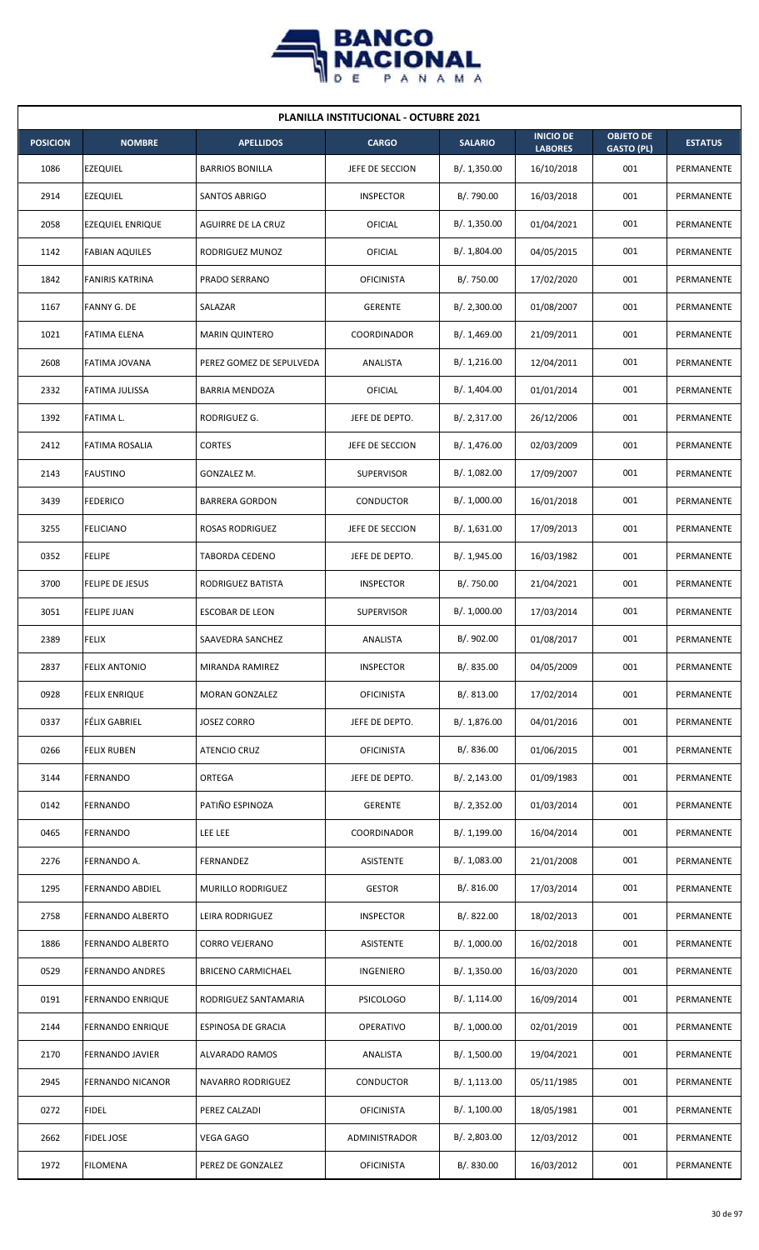

| <b>PLANILLA INSTITUCIONAL - OCTUBRE 2021</b> |                         |                           |                   |                |                                    |                                       |                |  |  |
|----------------------------------------------|-------------------------|---------------------------|-------------------|----------------|------------------------------------|---------------------------------------|----------------|--|--|
| <b>POSICION</b>                              | <b>NOMBRE</b>           | <b>APELLIDOS</b>          | <b>CARGO</b>      | <b>SALARIO</b> | <b>INICIO DE</b><br><b>LABORES</b> | <b>OBJETO DE</b><br><b>GASTO (PL)</b> | <b>ESTATUS</b> |  |  |
| 1086                                         | <b>EZEQUIEL</b>         | <b>BARRIOS BONILLA</b>    | JEFE DE SECCION   | B/.1,350.00    | 16/10/2018                         | 001                                   | PERMANENTE     |  |  |
| 2914                                         | <b>EZEQUIEL</b>         | SANTOS ABRIGO             | <b>INSPECTOR</b>  | B/. 790.00     | 16/03/2018                         | 001                                   | PERMANENTE     |  |  |
| 2058                                         | <b>EZEQUIEL ENRIQUE</b> | AGUIRRE DE LA CRUZ        | OFICIAL           | B/.1,350.00    | 01/04/2021                         | 001                                   | PERMANENTE     |  |  |
| 1142                                         | <b>FABIAN AQUILES</b>   | RODRIGUEZ MUNOZ           | OFICIAL           | B/. 1,804.00   | 04/05/2015                         | 001                                   | PERMANENTE     |  |  |
| 1842                                         | <b>FANIRIS KATRINA</b>  | PRADO SERRANO             | <b>OFICINISTA</b> | B/. 750.00     | 17/02/2020                         | 001                                   | PERMANENTE     |  |  |
| 1167                                         | FANNY G. DE             | SALAZAR                   | <b>GERENTE</b>    | B/.2,300.00    | 01/08/2007                         | 001                                   | PERMANENTE     |  |  |
| 1021                                         | <b>FATIMA ELENA</b>     | <b>MARIN QUINTERO</b>     | COORDINADOR       | B/.1,469.00    | 21/09/2011                         | 001                                   | PERMANENTE     |  |  |
| 2608                                         | FATIMA JOVANA           | PEREZ GOMEZ DE SEPULVEDA  | ANALISTA          | B/. 1,216.00   | 12/04/2011                         | 001                                   | PERMANENTE     |  |  |
| 2332                                         | FATIMA JULISSA          | <b>BARRIA MENDOZA</b>     | <b>OFICIAL</b>    | B/. 1,404.00   | 01/01/2014                         | 001                                   | PERMANENTE     |  |  |
| 1392                                         | <b>FATIMA L.</b>        | RODRIGUEZ G.              | JEFE DE DEPTO.    | B/.2,317.00    | 26/12/2006                         | 001                                   | PERMANENTE     |  |  |
| 2412                                         | FATIMA ROSALIA          | <b>CORTES</b>             | JEFE DE SECCION   | B/. 1,476.00   | 02/03/2009                         | 001                                   | PERMANENTE     |  |  |
| 2143                                         | <b>FAUSTINO</b>         | GONZALEZ M.               | <b>SUPERVISOR</b> | B/. 1,082.00   | 17/09/2007                         | 001                                   | PERMANENTE     |  |  |
| 3439                                         | <b>FEDERICO</b>         | <b>BARRERA GORDON</b>     | CONDUCTOR         | B/. 1,000.00   | 16/01/2018                         | 001                                   | PERMANENTE     |  |  |
| 3255                                         | <b>FELICIANO</b>        | <b>ROSAS RODRIGUEZ</b>    | JEFE DE SECCION   | B/.1,631.00    | 17/09/2013                         | 001                                   | PERMANENTE     |  |  |
| 0352                                         | <b>FELIPE</b>           | <b>TABORDA CEDENO</b>     | JEFE DE DEPTO.    | B/. 1,945.00   | 16/03/1982                         | 001                                   | PERMANENTE     |  |  |
| 3700                                         | FELIPE DE JESUS         | RODRIGUEZ BATISTA         | <b>INSPECTOR</b>  | B/. 750.00     | 21/04/2021                         | 001                                   | PERMANENTE     |  |  |
| 3051                                         | <b>FELIPE JUAN</b>      | ESCOBAR DE LEON           | <b>SUPERVISOR</b> | B/. 1,000.00   | 17/03/2014                         | 001                                   | PERMANENTE     |  |  |
| 2389                                         | <b>FELIX</b>            | SAAVEDRA SANCHEZ          | ANALISTA          | B/. 902.00     | 01/08/2017                         | 001                                   | PERMANENTE     |  |  |
| 2837                                         | <b>FELIX ANTONIO</b>    | MIRANDA RAMIREZ           | <b>INSPECTOR</b>  | B/. 835.00     | 04/05/2009                         | 001                                   | PERMANENTE     |  |  |
| 0928                                         | <b>FELIX ENRIQUE</b>    | <b>MORAN GONZALEZ</b>     | <b>OFICINISTA</b> | B/. 813.00     | 17/02/2014                         | 001                                   | PERMANENTE     |  |  |
| 0337                                         | <b>FÉLIX GABRIEL</b>    | <b>JOSEZ CORRO</b>        | JEFE DE DEPTO.    | B/. 1,876.00   | 04/01/2016                         | 001                                   | PERMANENTE     |  |  |
| 0266                                         | <b>FELIX RUBEN</b>      | <b>ATENCIO CRUZ</b>       | <b>OFICINISTA</b> | B/. 836.00     | 01/06/2015                         | 001                                   | PERMANENTE     |  |  |
| 3144                                         | FERNANDO                | ORTEGA                    | JEFE DE DEPTO.    | B/.2,143.00    | 01/09/1983                         | 001                                   | PERMANENTE     |  |  |
| 0142                                         | FERNANDO                | PATIÑO ESPINOZA           | <b>GERENTE</b>    | B/. 2,352.00   | 01/03/2014                         | 001                                   | PERMANENTE     |  |  |
| 0465                                         | FERNANDO                | <b>LEE LEE</b>            | COORDINADOR       | B/.1,199.00    | 16/04/2014                         | 001                                   | PERMANENTE     |  |  |
| 2276                                         | FERNANDO A.             | FERNANDEZ                 | ASISTENTE         | B/. 1,083.00   | 21/01/2008                         | 001                                   | PERMANENTE     |  |  |
| 1295                                         | FERNANDO ABDIEL         | MURILLO RODRIGUEZ         | <b>GESTOR</b>     | B/.816.00      | 17/03/2014                         | 001                                   | PERMANENTE     |  |  |
| 2758                                         | FERNANDO ALBERTO        | LEIRA RODRIGUEZ           | <b>INSPECTOR</b>  | B/. 822.00     | 18/02/2013                         | 001                                   | PERMANENTE     |  |  |
| 1886                                         | FERNANDO ALBERTO        | CORRO VEJERANO            | ASISTENTE         | B/. 1,000.00   | 16/02/2018                         | 001                                   | PERMANENTE     |  |  |
| 0529                                         | <b>FERNANDO ANDRES</b>  | <b>BRICENO CARMICHAEL</b> | INGENIERO         | B/. 1,350.00   | 16/03/2020                         | 001                                   | PERMANENTE     |  |  |
| 0191                                         | <b>FERNANDO ENRIQUE</b> | RODRIGUEZ SANTAMARIA      | <b>PSICOLOGO</b>  | B/. 1,114.00   | 16/09/2014                         | 001                                   | PERMANENTE     |  |  |
| 2144                                         | <b>FERNANDO ENRIQUE</b> | ESPINOSA DE GRACIA        | OPERATIVO         | B/. 1,000.00   | 02/01/2019                         | 001                                   | PERMANENTE     |  |  |
| 2170                                         | <b>FERNANDO JAVIER</b>  | ALVARADO RAMOS            | ANALISTA          | B/. 1,500.00   | 19/04/2021                         | 001                                   | PERMANENTE     |  |  |
| 2945                                         | FERNANDO NICANOR        | NAVARRO RODRIGUEZ         | CONDUCTOR         | B/.1,113.00    | 05/11/1985                         | 001                                   | PERMANENTE     |  |  |
| 0272                                         | <b>FIDEL</b>            | PEREZ CALZADI             | <b>OFICINISTA</b> | B/. 1,100.00   | 18/05/1981                         | 001                                   | PERMANENTE     |  |  |
| 2662                                         | <b>FIDEL JOSE</b>       | <b>VEGA GAGO</b>          | ADMINISTRADOR     | B/. 2,803.00   | 12/03/2012                         | 001                                   | PERMANENTE     |  |  |
| 1972                                         | <b>FILOMENA</b>         | PEREZ DE GONZALEZ         | <b>OFICINISTA</b> | B/. 830.00     | 16/03/2012                         | 001                                   | PERMANENTE     |  |  |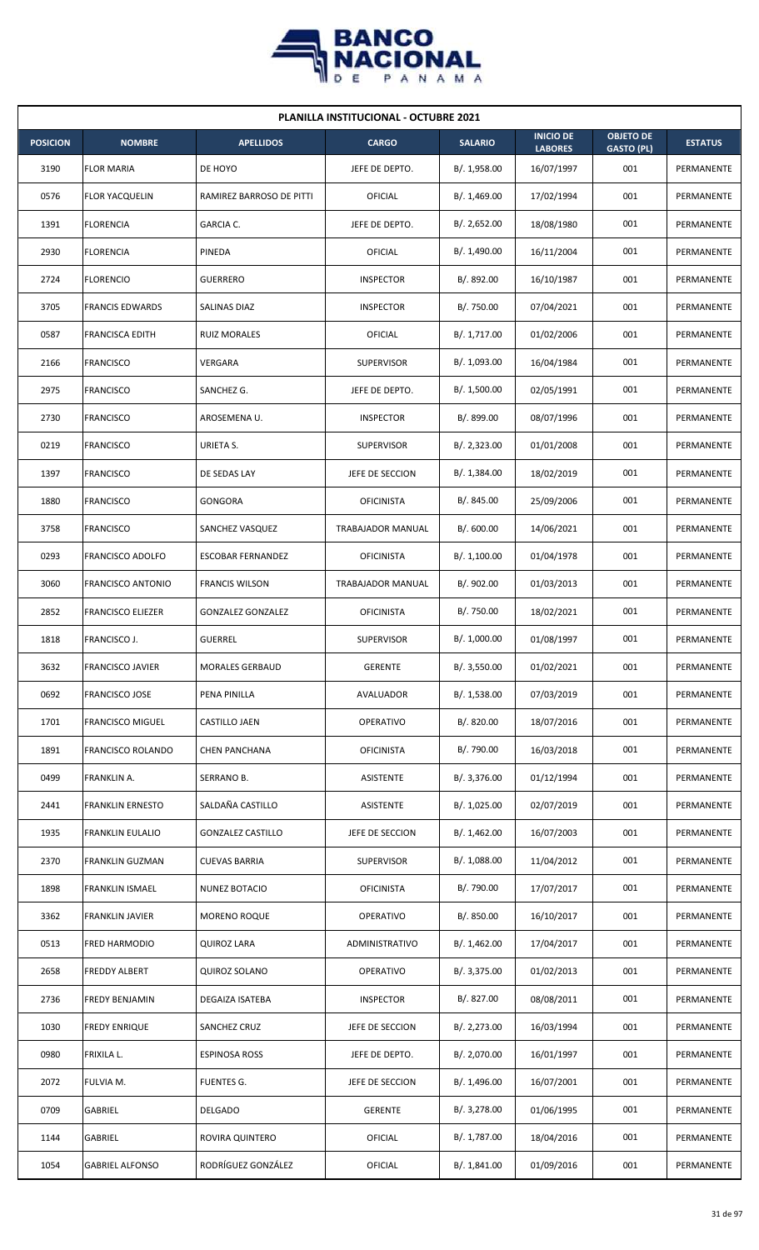

| <b>PLANILLA INSTITUCIONAL - OCTUBRE 2021</b> |                          |                          |                   |                |                                    |                                       |                |  |  |
|----------------------------------------------|--------------------------|--------------------------|-------------------|----------------|------------------------------------|---------------------------------------|----------------|--|--|
| <b>POSICION</b>                              | <b>NOMBRE</b>            | <b>APELLIDOS</b>         | <b>CARGO</b>      | <b>SALARIO</b> | <b>INICIO DE</b><br><b>LABORES</b> | <b>OBJETO DE</b><br><b>GASTO (PL)</b> | <b>ESTATUS</b> |  |  |
| 3190                                         | <b>FLOR MARIA</b>        | DE HOYO                  | JEFE DE DEPTO.    | B/.1,958.00    | 16/07/1997                         | 001                                   | PERMANENTE     |  |  |
| 0576                                         | <b>FLOR YACQUELIN</b>    | RAMIREZ BARROSO DE PITTI | <b>OFICIAL</b>    | B/. 1,469.00   | 17/02/1994                         | 001                                   | PERMANENTE     |  |  |
| 1391                                         | <b>FLORENCIA</b>         | GARCIA C.                | JEFE DE DEPTO.    | B/.2,652.00    | 18/08/1980                         | 001                                   | PERMANENTE     |  |  |
| 2930                                         | <b>FLORENCIA</b>         | PINEDA                   | OFICIAL           | B/. 1,490.00   | 16/11/2004                         | 001                                   | PERMANENTE     |  |  |
| 2724                                         | <b>FLORENCIO</b>         | <b>GUERRERO</b>          | <b>INSPECTOR</b>  | B/. 892.00     | 16/10/1987                         | 001                                   | PERMANENTE     |  |  |
| 3705                                         | <b>FRANCIS EDWARDS</b>   | SALINAS DIAZ             | <b>INSPECTOR</b>  | B/. 750.00     | 07/04/2021                         | 001                                   | PERMANENTE     |  |  |
| 0587                                         | <b>FRANCISCA EDITH</b>   | <b>RUIZ MORALES</b>      | OFICIAL           | B/. 1,717.00   | 01/02/2006                         | 001                                   | PERMANENTE     |  |  |
| 2166                                         | <b>FRANCISCO</b>         | <b>VERGARA</b>           | <b>SUPERVISOR</b> | B/. 1,093.00   | 16/04/1984                         | 001                                   | PERMANENTE     |  |  |
| 2975                                         | <b>FRANCISCO</b>         | SANCHEZ G.               | JEFE DE DEPTO.    | B/. 1,500.00   | 02/05/1991                         | 001                                   | PERMANENTE     |  |  |
| 2730                                         | <b>FRANCISCO</b>         | AROSEMENA U.             | <b>INSPECTOR</b>  | B/. 899.00     | 08/07/1996                         | 001                                   | PERMANENTE     |  |  |
| 0219                                         | <b>FRANCISCO</b>         | URIETA S.                | <b>SUPERVISOR</b> | B/. 2,323.00   | 01/01/2008                         | 001                                   | PERMANENTE     |  |  |
| 1397                                         | <b>FRANCISCO</b>         | DE SEDAS LAY             | JEFE DE SECCION   | B/. 1,384.00   | 18/02/2019                         | 001                                   | PERMANENTE     |  |  |
| 1880                                         | <b>FRANCISCO</b>         | GONGORA                  | <b>OFICINISTA</b> | B/0.845.00     | 25/09/2006                         | 001                                   | PERMANENTE     |  |  |
| 3758                                         | <b>FRANCISCO</b>         | SANCHEZ VASQUEZ          | TRABAJADOR MANUAL | B/0.600.00     | 14/06/2021                         | 001                                   | PERMANENTE     |  |  |
| 0293                                         | <b>FRANCISCO ADOLFO</b>  | <b>ESCOBAR FERNANDEZ</b> | <b>OFICINISTA</b> | B/.1,100.00    | 01/04/1978                         | 001                                   | PERMANENTE     |  |  |
| 3060                                         | FRANCISCO ANTONIO        | <b>FRANCIS WILSON</b>    | TRABAJADOR MANUAL | B/. 902.00     | 01/03/2013                         | 001                                   | PERMANENTE     |  |  |
| 2852                                         | <b>FRANCISCO ELIEZER</b> | <b>GONZALEZ GONZALEZ</b> | <b>OFICINISTA</b> | B/. 750.00     | 18/02/2021                         | 001                                   | PERMANENTE     |  |  |
| 1818                                         | FRANCISCO J.             | <b>GUERREL</b>           | <b>SUPERVISOR</b> | B/. 1,000.00   | 01/08/1997                         | 001                                   | PERMANENTE     |  |  |
| 3632                                         | <b>FRANCISCO JAVIER</b>  | <b>MORALES GERBAUD</b>   | GERENTE           | B/. 3,550.00   | 01/02/2021                         | 001                                   | PERMANENTE     |  |  |
| 0692                                         | <b>FRANCISCO JOSE</b>    | PENA PINILLA             | AVALUADOR         | B/. 1,538.00   | 07/03/2019                         | 001                                   | PERMANENTE     |  |  |
| 1701                                         | <b>FRANCISCO MIGUEL</b>  | CASTILLO JAEN            | OPERATIVO         | B/. 820.00     | 18/07/2016                         | 001                                   | PERMANENTE     |  |  |
| 1891                                         | <b>FRANCISCO ROLANDO</b> | <b>CHEN PANCHANA</b>     | <b>OFICINISTA</b> | B/. 790.00     | 16/03/2018                         | 001                                   | PERMANENTE     |  |  |
| 0499                                         | FRANKLIN A.              | SERRANO B.               | ASISTENTE         | B/. 3,376.00   | 01/12/1994                         | 001                                   | PERMANENTE     |  |  |
| 2441                                         | <b>FRANKLIN ERNESTO</b>  | SALDAÑA CASTILLO         | ASISTENTE         | B/. 1,025.00   | 02/07/2019                         | 001                                   | PERMANENTE     |  |  |
| 1935                                         | <b>FRANKLIN EULALIO</b>  | <b>GONZALEZ CASTILLO</b> | JEFE DE SECCION   | B/.1,462.00    | 16/07/2003                         | 001                                   | PERMANENTE     |  |  |
| 2370                                         | <b>FRANKLIN GUZMAN</b>   | <b>CUEVAS BARRIA</b>     | <b>SUPERVISOR</b> | B/.1,088.00    | 11/04/2012                         | 001                                   | PERMANENTE     |  |  |
| 1898                                         | <b>FRANKLIN ISMAEL</b>   | NUNEZ BOTACIO            | <b>OFICINISTA</b> | B/. 790.00     | 17/07/2017                         | 001                                   | PERMANENTE     |  |  |
| 3362                                         | <b>FRANKLIN JAVIER</b>   | <b>MORENO ROQUE</b>      | <b>OPERATIVO</b>  | B/. 850.00     | 16/10/2017                         | 001                                   | PERMANENTE     |  |  |
| 0513                                         | <b>FRED HARMODIO</b>     | <b>QUIROZ LARA</b>       | ADMINISTRATIVO    | B/. 1,462.00   | 17/04/2017                         | 001                                   | PERMANENTE     |  |  |
| 2658                                         | <b>FREDDY ALBERT</b>     | <b>QUIROZ SOLANO</b>     | OPERATIVO         | B/. 3,375.00   | 01/02/2013                         | 001                                   | PERMANENTE     |  |  |
| 2736                                         | FREDY BENJAMIN           | DEGAIZA ISATEBA          | <b>INSPECTOR</b>  | B/. 827.00     | 08/08/2011                         | 001                                   | PERMANENTE     |  |  |
| 1030                                         | <b>FREDY ENRIQUE</b>     | SANCHEZ CRUZ             | JEFE DE SECCION   | B/.2,273.00    | 16/03/1994                         | 001                                   | PERMANENTE     |  |  |
| 0980                                         | FRIXILA L.               | <b>ESPINOSA ROSS</b>     | JEFE DE DEPTO.    | B/. 2,070.00   | 16/01/1997                         | 001                                   | PERMANENTE     |  |  |
| 2072                                         | FULVIA M.                | FUENTES G.               | JEFE DE SECCION   | B/. 1,496.00   | 16/07/2001                         | 001                                   | PERMANENTE     |  |  |
| 0709                                         | GABRIEL                  | DELGADO                  | <b>GERENTE</b>    | B/. 3,278.00   | 01/06/1995                         | 001                                   | PERMANENTE     |  |  |
| 1144                                         | GABRIEL                  | ROVIRA QUINTERO          | <b>OFICIAL</b>    | B/. 1,787.00   | 18/04/2016                         | 001                                   | PERMANENTE     |  |  |
| 1054                                         | <b>GABRIEL ALFONSO</b>   | RODRÍGUEZ GONZÁLEZ       | OFICIAL           | B/. 1,841.00   | 01/09/2016                         | 001                                   | PERMANENTE     |  |  |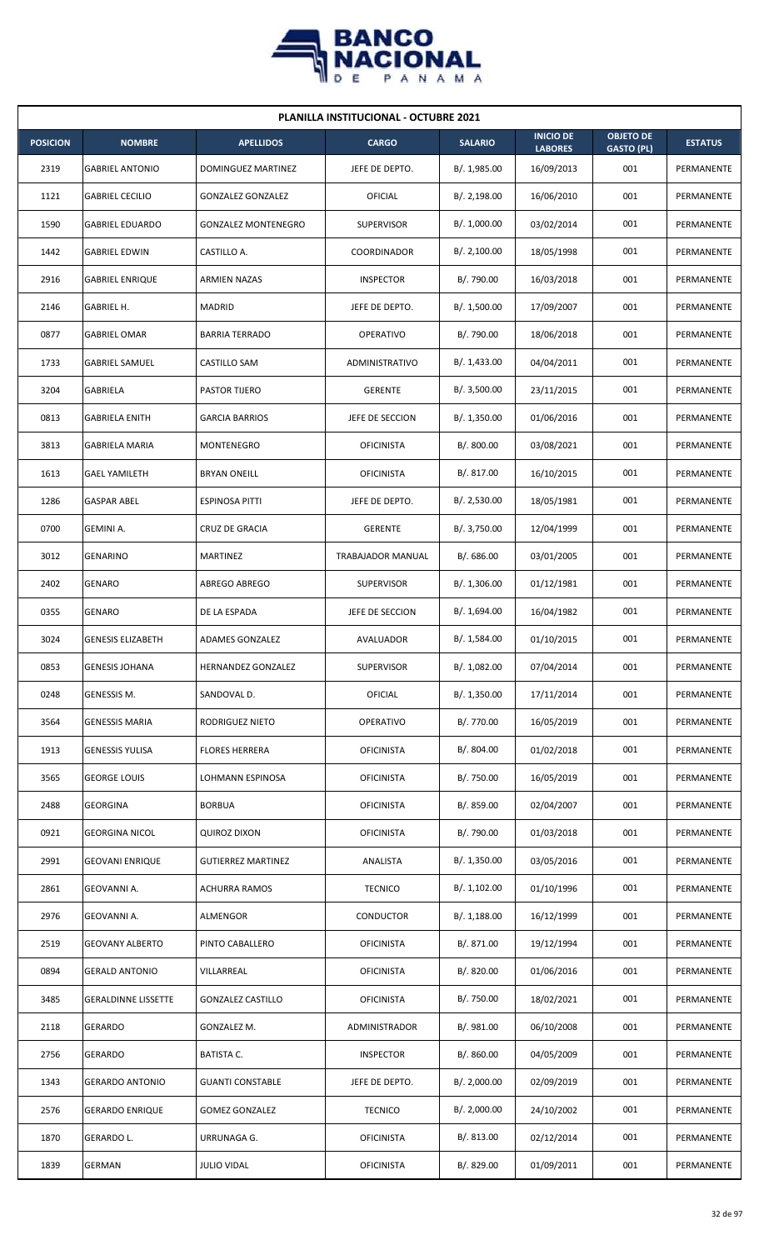

| <b>PLANILLA INSTITUCIONAL - OCTUBRE 2021</b> |                            |                            |                          |                |                                    |                                       |                |  |  |
|----------------------------------------------|----------------------------|----------------------------|--------------------------|----------------|------------------------------------|---------------------------------------|----------------|--|--|
| <b>POSICION</b>                              | <b>NOMBRE</b>              | <b>APELLIDOS</b>           | <b>CARGO</b>             | <b>SALARIO</b> | <b>INICIO DE</b><br><b>LABORES</b> | <b>OBJETO DE</b><br><b>GASTO (PL)</b> | <b>ESTATUS</b> |  |  |
| 2319                                         | <b>GABRIEL ANTONIO</b>     | DOMINGUEZ MARTINEZ         | JEFE DE DEPTO.           | B/. 1,985.00   | 16/09/2013                         | 001                                   | PERMANENTE     |  |  |
| 1121                                         | <b>GABRIEL CECILIO</b>     | <b>GONZALEZ GONZALEZ</b>   | OFICIAL                  | B/.2,198.00    | 16/06/2010                         | 001                                   | PERMANENTE     |  |  |
| 1590                                         | <b>GABRIEL EDUARDO</b>     | <b>GONZALEZ MONTENEGRO</b> | <b>SUPERVISOR</b>        | B/. 1,000.00   | 03/02/2014                         | 001                                   | PERMANENTE     |  |  |
| 1442                                         | <b>GABRIEL EDWIN</b>       | CASTILLO A.                | <b>COORDINADOR</b>       | B/.2,100.00    | 18/05/1998                         | 001                                   | PERMANENTE     |  |  |
| 2916                                         | <b>GABRIEL ENRIQUE</b>     | <b>ARMIEN NAZAS</b>        | <b>INSPECTOR</b>         | B/. 790.00     | 16/03/2018                         | 001                                   | PERMANENTE     |  |  |
| 2146                                         | GABRIEL H.                 | <b>MADRID</b>              | JEFE DE DEPTO.           | B/. 1,500.00   | 17/09/2007                         | 001                                   | PERMANENTE     |  |  |
| 0877                                         | <b>GABRIEL OMAR</b>        | <b>BARRIA TERRADO</b>      | <b>OPERATIVO</b>         | B/. 790.00     | 18/06/2018                         | 001                                   | PERMANENTE     |  |  |
| 1733                                         | <b>GABRIEL SAMUEL</b>      | CASTILLO SAM               | <b>ADMINISTRATIVO</b>    | B/. 1,433.00   | 04/04/2011                         | 001                                   | PERMANENTE     |  |  |
| 3204                                         | GABRIELA                   | PASTOR TIJERO              | <b>GERENTE</b>           | B/.3,500.00    | 23/11/2015                         | 001                                   | PERMANENTE     |  |  |
| 0813                                         | GABRIELA ENITH             | <b>GARCIA BARRIOS</b>      | JEFE DE SECCION          | B/.1,350.00    | 01/06/2016                         | 001                                   | PERMANENTE     |  |  |
| 3813                                         | <b>GABRIELA MARIA</b>      | MONTENEGRO                 | <b>OFICINISTA</b>        | B/. 800.00     | 03/08/2021                         | 001                                   | PERMANENTE     |  |  |
| 1613                                         | <b>GAEL YAMILETH</b>       | <b>BRYAN ONEILL</b>        | <b>OFICINISTA</b>        | B/. 817.00     | 16/10/2015                         | 001                                   | PERMANENTE     |  |  |
| 1286                                         | <b>GASPAR ABEL</b>         | ESPINOSA PITTI             | JEFE DE DEPTO.           | B/. 2,530.00   | 18/05/1981                         | 001                                   | PERMANENTE     |  |  |
| 0700                                         | <b>GEMINI A.</b>           | <b>CRUZ DE GRACIA</b>      | <b>GERENTE</b>           | B/. 3,750.00   | 12/04/1999                         | 001                                   | PERMANENTE     |  |  |
| 3012                                         | <b>GENARINO</b>            | <b>MARTINEZ</b>            | <b>TRABAJADOR MANUAL</b> | B/0.686.00     | 03/01/2005                         | 001                                   | PERMANENTE     |  |  |
| 2402                                         | <b>GENARO</b>              | ABREGO ABREGO              | <b>SUPERVISOR</b>        | B/.1,306.00    | 01/12/1981                         | 001                                   | PERMANENTE     |  |  |
| 0355                                         | <b>GENARO</b>              | DE LA ESPADA               | JEFE DE SECCION          | B/. 1,694.00   | 16/04/1982                         | 001                                   | PERMANENTE     |  |  |
| 3024                                         | <b>GENESIS ELIZABETH</b>   | ADAMES GONZALEZ            | AVALUADOR                | B/.1,584.00    | 01/10/2015                         | 001                                   | PERMANENTE     |  |  |
| 0853                                         | <b>GENESIS JOHANA</b>      | HERNANDEZ GONZALEZ         | <b>SUPERVISOR</b>        | B/. 1,082.00   | 07/04/2014                         | 001                                   | PERMANENTE     |  |  |
| 0248                                         | GENESSIS M.                | SANDOVAL D.                | OFICIAL                  | B/.1,350.00    | 17/11/2014                         | 001                                   | PERMANENTE     |  |  |
| 3564                                         | <b>GENESSIS MARIA</b>      | RODRIGUEZ NIETO            | <b>OPERATIVO</b>         | B/. 770.00     | 16/05/2019                         | 001                                   | PERMANENTE     |  |  |
| 1913                                         | <b>GENESSIS YULISA</b>     | <b>FLORES HERRERA</b>      | <b>OFICINISTA</b>        | B/. 804.00     | 01/02/2018                         | 001                                   | PERMANENTE     |  |  |
| 3565                                         | <b>GEORGE LOUIS</b>        | LOHMANN ESPINOSA           | <b>OFICINISTA</b>        | B/. 750.00     | 16/05/2019                         | 001                                   | PERMANENTE     |  |  |
| 2488                                         | <b>GEORGINA</b>            | <b>BORBUA</b>              | <b>OFICINISTA</b>        | B/. 859.00     | 02/04/2007                         | 001                                   | PERMANENTE     |  |  |
| 0921                                         | <b>GEORGINA NICOL</b>      | <b>QUIROZ DIXON</b>        | <b>OFICINISTA</b>        | B/. 790.00     | 01/03/2018                         | 001                                   | PERMANENTE     |  |  |
| 2991                                         | <b>GEOVANI ENRIQUE</b>     | <b>GUTIERREZ MARTINEZ</b>  | ANALISTA                 | B/. 1,350.00   | 03/05/2016                         | 001                                   | PERMANENTE     |  |  |
| 2861                                         | GEOVANNI A.                | <b>ACHURRA RAMOS</b>       | <b>TECNICO</b>           | B/. 1,102.00   | 01/10/1996                         | 001                                   | PERMANENTE     |  |  |
| 2976                                         | GEOVANNI A.                | ALMENGOR                   | CONDUCTOR                | B/.1,188.00    | 16/12/1999                         | 001                                   | PERMANENTE     |  |  |
| 2519                                         | <b>GEOVANY ALBERTO</b>     | PINTO CABALLERO            | <b>OFICINISTA</b>        | B/. 871.00     | 19/12/1994                         | 001                                   | PERMANENTE     |  |  |
| 0894                                         | <b>GERALD ANTONIO</b>      | VILLARREAL                 | <b>OFICINISTA</b>        | B/. 820.00     | 01/06/2016                         | 001                                   | PERMANENTE     |  |  |
| 3485                                         | <b>GERALDINNE LISSETTE</b> | <b>GONZALEZ CASTILLO</b>   | <b>OFICINISTA</b>        | B/. 750.00     | 18/02/2021                         | 001                                   | PERMANENTE     |  |  |
| 2118                                         | <b>GERARDO</b>             | GONZALEZ M.                | ADMINISTRADOR            | B/. 981.00     | 06/10/2008                         | 001                                   | PERMANENTE     |  |  |
| 2756                                         | <b>GERARDO</b>             | <b>BATISTA C.</b>          | <b>INSPECTOR</b>         | B/. 860.00     | 04/05/2009                         | 001                                   | PERMANENTE     |  |  |
| 1343                                         | <b>GERARDO ANTONIO</b>     | <b>GUANTI CONSTABLE</b>    | JEFE DE DEPTO.           | B/.2,000.00    | 02/09/2019                         | 001                                   | PERMANENTE     |  |  |
| 2576                                         | <b>GERARDO ENRIQUE</b>     | <b>GOMEZ GONZALEZ</b>      | <b>TECNICO</b>           | B/.2,000.00    | 24/10/2002                         | 001                                   | PERMANENTE     |  |  |
| 1870                                         | GERARDO L.                 | URRUNAGA G.                | <b>OFICINISTA</b>        | B/. 813.00     | 02/12/2014                         | 001                                   | PERMANENTE     |  |  |
| 1839                                         | GERMAN                     | <b>JULIO VIDAL</b>         | <b>OFICINISTA</b>        | B/. 829.00     | 01/09/2011                         | 001                                   | PERMANENTE     |  |  |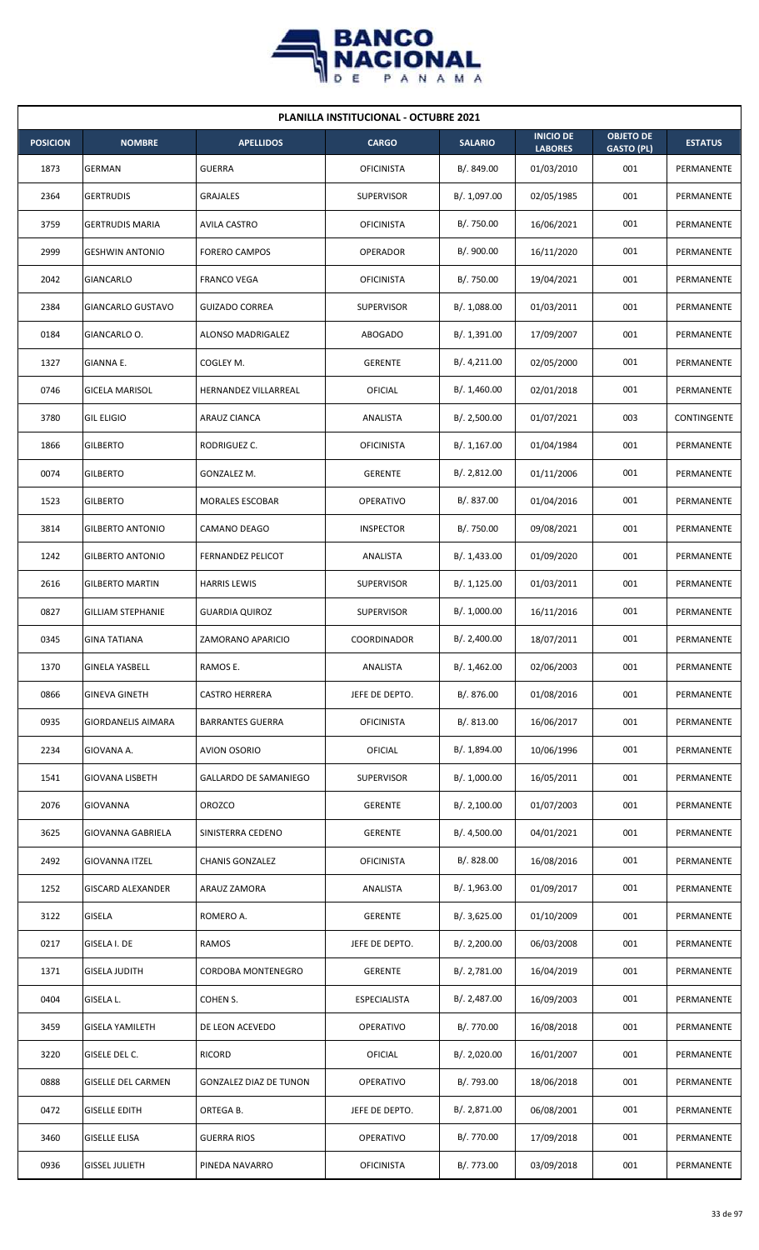

| <b>PLANILLA INSTITUCIONAL - OCTUBRE 2021</b> |                           |                               |                     |                |                                    |                                       |                |  |  |
|----------------------------------------------|---------------------------|-------------------------------|---------------------|----------------|------------------------------------|---------------------------------------|----------------|--|--|
| <b>POSICION</b>                              | <b>NOMBRE</b>             | <b>APELLIDOS</b>              | <b>CARGO</b>        | <b>SALARIO</b> | <b>INICIO DE</b><br><b>LABORES</b> | <b>OBJETO DE</b><br><b>GASTO (PL)</b> | <b>ESTATUS</b> |  |  |
| 1873                                         | <b>GERMAN</b>             | <b>GUERRA</b>                 | <b>OFICINISTA</b>   | B/. 849.00     | 01/03/2010                         | 001                                   | PERMANENTE     |  |  |
| 2364                                         | <b>GERTRUDIS</b>          | <b>GRAJALES</b>               | <b>SUPERVISOR</b>   | B/. 1,097.00   | 02/05/1985                         | 001                                   | PERMANENTE     |  |  |
| 3759                                         | <b>GERTRUDIS MARIA</b>    | <b>AVILA CASTRO</b>           | <b>OFICINISTA</b>   | B/. 750.00     | 16/06/2021                         | 001                                   | PERMANENTE     |  |  |
| 2999                                         | <b>GESHWIN ANTONIO</b>    | <b>FORERO CAMPOS</b>          | <b>OPERADOR</b>     | B/. 900.00     | 16/11/2020                         | 001                                   | PERMANENTE     |  |  |
| 2042                                         | GIANCARLO                 | <b>FRANCO VEGA</b>            | <b>OFICINISTA</b>   | B/. 750.00     | 19/04/2021                         | 001                                   | PERMANENTE     |  |  |
| 2384                                         | GIANCARLO GUSTAVO         | GUIZADO CORREA                | SUPERVISOR          | B/. 1,088.00   | 01/03/2011                         | 001                                   | PERMANENTE     |  |  |
| 0184                                         | GIANCARLO O.              | ALONSO MADRIGALEZ             | <b>ABOGADO</b>      | B/. 1,391.00   | 17/09/2007                         | 001                                   | PERMANENTE     |  |  |
| 1327                                         | GIANNA E.                 | COGLEY M.                     | <b>GERENTE</b>      | B/.4,211.00    | 02/05/2000                         | 001                                   | PERMANENTE     |  |  |
| 0746                                         | <b>GICELA MARISOL</b>     | <b>HERNANDEZ VILLARREAL</b>   | OFICIAL             | B/.1,460.00    | 02/01/2018                         | 001                                   | PERMANENTE     |  |  |
| 3780                                         | <b>GIL ELIGIO</b>         | ARAUZ CIANCA                  | ANALISTA            | B/. 2,500.00   | 01/07/2021                         | 003                                   | CONTINGENTE    |  |  |
| 1866                                         | <b>GILBERTO</b>           | RODRIGUEZ C.                  | <b>OFICINISTA</b>   | B/. 1,167.00   | 01/04/1984                         | 001                                   | PERMANENTE     |  |  |
| 0074                                         | <b>GILBERTO</b>           | GONZALEZ M.                   | <b>GERENTE</b>      | B/. 2,812.00   | 01/11/2006                         | 001                                   | PERMANENTE     |  |  |
| 1523                                         | <b>GILBERTO</b>           | MORALES ESCOBAR               | <b>OPERATIVO</b>    | B/. 837.00     | 01/04/2016                         | 001                                   | PERMANENTE     |  |  |
| 3814                                         | <b>GILBERTO ANTONIO</b>   | CAMANO DEAGO                  | <b>INSPECTOR</b>    | B/. 750.00     | 09/08/2021                         | 001                                   | PERMANENTE     |  |  |
| 1242                                         | <b>GILBERTO ANTONIO</b>   | <b>FERNANDEZ PELICOT</b>      | ANALISTA            | B/. 1,433.00   | 01/09/2020                         | 001                                   | PERMANENTE     |  |  |
| 2616                                         | <b>GILBERTO MARTIN</b>    | <b>HARRIS LEWIS</b>           | <b>SUPERVISOR</b>   | B/.1,125.00    | 01/03/2011                         | 001                                   | PERMANENTE     |  |  |
| 0827                                         | <b>GILLIAM STEPHANIE</b>  | GUARDIA QUIROZ                | <b>SUPERVISOR</b>   | B/. 1,000.00   | 16/11/2016                         | 001                                   | PERMANENTE     |  |  |
| 0345                                         | <b>GINA TATIANA</b>       | ZAMORANO APARICIO             | COORDINADOR         | B/.2,400.00    | 18/07/2011                         | 001                                   | PERMANENTE     |  |  |
| 1370                                         | <b>GINELA YASBELL</b>     | RAMOS E.                      | ANALISTA            | B/. 1,462.00   | 02/06/2003                         | 001                                   | PERMANENTE     |  |  |
| 0866                                         | <b>GINEVA GINETH</b>      | <b>CASTRO HERRERA</b>         | JEFE DE DEPTO.      | B/.876.00      | 01/08/2016                         | 001                                   | PERMANENTE     |  |  |
| 0935                                         | <b>GIORDANELIS AIMARA</b> | <b>BARRANTES GUERRA</b>       | <b>OFICINISTA</b>   | B/. 813.00     | 16/06/2017                         | 001                                   | PERMANENTE     |  |  |
| 2234                                         | GIOVANA A.                | <b>AVION OSORIO</b>           | OFICIAL             | B/. 1,894.00   | 10/06/1996                         | 001                                   | PERMANENTE     |  |  |
| 1541                                         | <b>GIOVANA LISBETH</b>    | GALLARDO DE SAMANIEGO         | <b>SUPERVISOR</b>   | B/. 1,000.00   | 16/05/2011                         | 001                                   | PERMANENTE     |  |  |
| 2076                                         | <b>GIOVANNA</b>           | OROZCO                        | <b>GERENTE</b>      | B/.2,100.00    | 01/07/2003                         | 001                                   | PERMANENTE     |  |  |
| 3625                                         | GIOVANNA GABRIELA         | SINISTERRA CEDENO             | <b>GERENTE</b>      | B/. 4,500.00   | 04/01/2021                         | 001                                   | PERMANENTE     |  |  |
| 2492                                         | <b>GIOVANNA ITZEL</b>     | <b>CHANIS GONZALEZ</b>        | <b>OFICINISTA</b>   | B/. 828.00     | 16/08/2016                         | 001                                   | PERMANENTE     |  |  |
| 1252                                         | <b>GISCARD ALEXANDER</b>  | ARAUZ ZAMORA                  | ANALISTA            | B/.1,963.00    | 01/09/2017                         | 001                                   | PERMANENTE     |  |  |
| 3122                                         | <b>GISELA</b>             | ROMERO A.                     | <b>GERENTE</b>      | B/.3,625.00    | 01/10/2009                         | 001                                   | PERMANENTE     |  |  |
| 0217                                         | GISELA I. DE              | RAMOS                         | JEFE DE DEPTO.      | B/.2,200.00    | 06/03/2008                         | 001                                   | PERMANENTE     |  |  |
| 1371                                         | <b>GISELA JUDITH</b>      | CORDOBA MONTENEGRO            | <b>GERENTE</b>      | B/. 2,781.00   | 16/04/2019                         | 001                                   | PERMANENTE     |  |  |
| 0404                                         | GISELA L.                 | COHEN S.                      | <b>ESPECIALISTA</b> | B/. 2,487.00   | 16/09/2003                         | 001                                   | PERMANENTE     |  |  |
| 3459                                         | <b>GISELA YAMILETH</b>    | DE LEON ACEVEDO               | OPERATIVO           | B/. 770.00     | 16/08/2018                         | 001                                   | PERMANENTE     |  |  |
| 3220                                         | GISELE DEL C.             | <b>RICORD</b>                 | OFICIAL             | B/.2,020.00    | 16/01/2007                         | 001                                   | PERMANENTE     |  |  |
| 0888                                         | <b>GISELLE DEL CARMEN</b> | <b>GONZALEZ DIAZ DE TUNON</b> | <b>OPERATIVO</b>    | B/. 793.00     | 18/06/2018                         | 001                                   | PERMANENTE     |  |  |
| 0472                                         | <b>GISELLE EDITH</b>      | ORTEGA B.                     | JEFE DE DEPTO.      | B/. 2,871.00   | 06/08/2001                         | 001                                   | PERMANENTE     |  |  |
| 3460                                         | <b>GISELLE ELISA</b>      | <b>GUERRA RIOS</b>            | OPERATIVO           | B/. 770.00     | 17/09/2018                         | 001                                   | PERMANENTE     |  |  |
| 0936                                         | <b>GISSEL JULIETH</b>     | PINEDA NAVARRO                | <b>OFICINISTA</b>   | B/.773.00      | 03/09/2018                         | 001                                   | PERMANENTE     |  |  |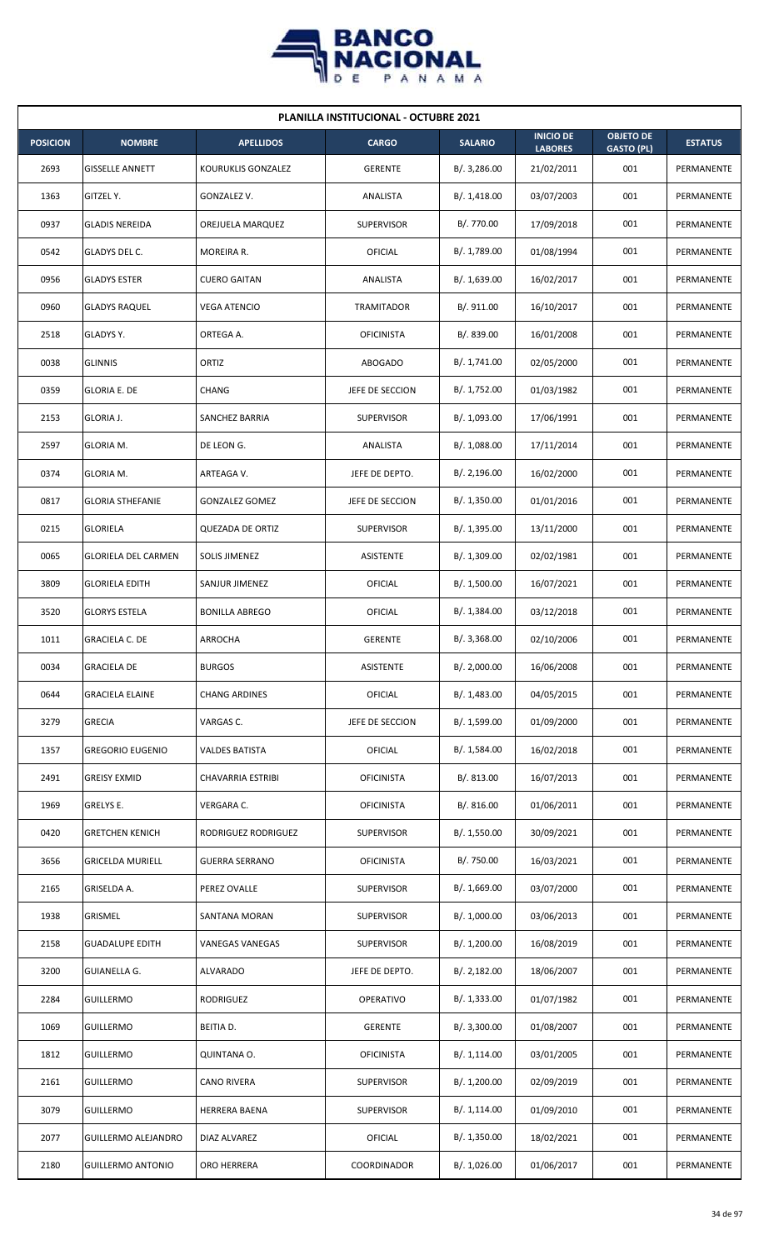

| <b>PLANILLA INSTITUCIONAL - OCTUBRE 2021</b> |                            |                         |                   |                |                                    |                                       |                |  |  |
|----------------------------------------------|----------------------------|-------------------------|-------------------|----------------|------------------------------------|---------------------------------------|----------------|--|--|
| <b>POSICION</b>                              | <b>NOMBRE</b>              | <b>APELLIDOS</b>        | <b>CARGO</b>      | <b>SALARIO</b> | <b>INICIO DE</b><br><b>LABORES</b> | <b>OBJETO DE</b><br><b>GASTO (PL)</b> | <b>ESTATUS</b> |  |  |
| 2693                                         | <b>GISSELLE ANNETT</b>     | KOURUKLIS GONZALEZ      | <b>GERENTE</b>    | B/.3,286.00    | 21/02/2011                         | 001                                   | PERMANENTE     |  |  |
| 1363                                         | GITZEL Y.                  | GONZALEZ V.             | ANALISTA          | B/.1,418.00    | 03/07/2003                         | 001                                   | PERMANENTE     |  |  |
| 0937                                         | <b>GLADIS NEREIDA</b>      | OREJUELA MARQUEZ        | <b>SUPERVISOR</b> | B/. 770.00     | 17/09/2018                         | 001                                   | PERMANENTE     |  |  |
| 0542                                         | GLADYS DEL C.              | MOREIRA R.              | OFICIAL           | B/. 1,789.00   | 01/08/1994                         | 001                                   | PERMANENTE     |  |  |
| 0956                                         | <b>GLADYS ESTER</b>        | <b>CUERO GAITAN</b>     | ANALISTA          | B/. 1,639.00   | 16/02/2017                         | 001                                   | PERMANENTE     |  |  |
| 0960                                         | <b>GLADYS RAQUEL</b>       | <b>VEGA ATENCIO</b>     | <b>TRAMITADOR</b> | B/. 911.00     | 16/10/2017                         | 001                                   | PERMANENTE     |  |  |
| 2518                                         | GLADYS Y.                  | ORTEGA A.               | <b>OFICINISTA</b> | B/. 839.00     | 16/01/2008                         | 001                                   | PERMANENTE     |  |  |
| 0038                                         | <b>GLINNIS</b>             | ORTIZ                   | <b>ABOGADO</b>    | B/. 1,741.00   | 02/05/2000                         | 001                                   | PERMANENTE     |  |  |
| 0359                                         | <b>GLORIA E. DE</b>        | CHANG                   | JEFE DE SECCION   | B/. 1,752.00   | 01/03/1982                         | 001                                   | PERMANENTE     |  |  |
| 2153                                         | GLORIA J.                  | SANCHEZ BARRIA          | <b>SUPERVISOR</b> | B/. 1,093.00   | 17/06/1991                         | 001                                   | PERMANENTE     |  |  |
| 2597                                         | GLORIA M.                  | DE LEON G.              | ANALISTA          | B/. 1,088.00   | 17/11/2014                         | 001                                   | PERMANENTE     |  |  |
| 0374                                         | GLORIA M.                  | ARTEAGA V.              | JEFE DE DEPTO.    | B/.2,196.00    | 16/02/2000                         | 001                                   | PERMANENTE     |  |  |
| 0817                                         | <b>GLORIA STHEFANIE</b>    | <b>GONZALEZ GOMEZ</b>   | JEFE DE SECCION   | B/. 1,350.00   | 01/01/2016                         | 001                                   | PERMANENTE     |  |  |
| 0215                                         | <b>GLORIELA</b>            | <b>QUEZADA DE ORTIZ</b> | <b>SUPERVISOR</b> | B/. 1,395.00   | 13/11/2000                         | 001                                   | PERMANENTE     |  |  |
| 0065                                         | <b>GLORIELA DEL CARMEN</b> | <b>SOLIS JIMENEZ</b>    | <b>ASISTENTE</b>  | B/.1,309.00    | 02/02/1981                         | 001                                   | PERMANENTE     |  |  |
| 3809                                         | <b>GLORIELA EDITH</b>      | SANJUR JIMENEZ          | <b>OFICIAL</b>    | B/. 1,500.00   | 16/07/2021                         | 001                                   | PERMANENTE     |  |  |
| 3520                                         | <b>GLORYS ESTELA</b>       | <b>BONILLA ABREGO</b>   | <b>OFICIAL</b>    | B/. 1,384.00   | 03/12/2018                         | 001                                   | PERMANENTE     |  |  |
| 1011                                         | <b>GRACIELA C. DE</b>      | ARROCHA                 | <b>GERENTE</b>    | B/.3,368.00    | 02/10/2006                         | 001                                   | PERMANENTE     |  |  |
| 0034                                         | <b>GRACIELA DE</b>         | <b>BURGOS</b>           | ASISTENTE         | B/. 2,000.00   | 16/06/2008                         | 001                                   | PERMANENTE     |  |  |
| 0644                                         | <b>GRACIELA ELAINE</b>     | <b>CHANG ARDINES</b>    | <b>OFICIAL</b>    | B/. 1,483.00   | 04/05/2015                         | 001                                   | PERMANENTE     |  |  |
| 3279                                         | <b>GRECIA</b>              | VARGAS C.               | JEFE DE SECCION   | B/. 1,599.00   | 01/09/2000                         | 001                                   | PERMANENTE     |  |  |
| 1357                                         | <b>GREGORIO EUGENIO</b>    | <b>VALDES BATISTA</b>   | OFICIAL           | B/. 1,584.00   | 16/02/2018                         | 001                                   | PERMANENTE     |  |  |
| 2491                                         | <b>GREISY EXMID</b>        | CHAVARRIA ESTRIBI       | <b>OFICINISTA</b> | B/. 813.00     | 16/07/2013                         | 001                                   | PERMANENTE     |  |  |
| 1969                                         | GRELYS E.                  | VERGARA C.              | <b>OFICINISTA</b> | B/. 816.00     | 01/06/2011                         | 001                                   | PERMANENTE     |  |  |
| 0420                                         | <b>GRETCHEN KENICH</b>     | RODRIGUEZ RODRIGUEZ     | <b>SUPERVISOR</b> | B/. 1,550.00   | 30/09/2021                         | 001                                   | PERMANENTE     |  |  |
| 3656                                         | <b>GRICELDA MURIELL</b>    | <b>GUERRA SERRANO</b>   | <b>OFICINISTA</b> | B/. 750.00     | 16/03/2021                         | 001                                   | PERMANENTE     |  |  |
| 2165                                         | GRISELDA A.                | PEREZ OVALLE            | <b>SUPERVISOR</b> | B/.1,669.00    | 03/07/2000                         | 001                                   | PERMANENTE     |  |  |
| 1938                                         | GRISMEL                    | SANTANA MORAN           | <b>SUPERVISOR</b> | B/. 1,000.00   | 03/06/2013                         | 001                                   | PERMANENTE     |  |  |
| 2158                                         | <b>GUADALUPE EDITH</b>     | VANEGAS VANEGAS         | <b>SUPERVISOR</b> | B/. 1,200.00   | 16/08/2019                         | 001                                   | PERMANENTE     |  |  |
| 3200                                         | GUIANELLA G.               | <b>ALVARADO</b>         | JEFE DE DEPTO.    | B/.2,182.00    | 18/06/2007                         | 001                                   | PERMANENTE     |  |  |
| 2284                                         | <b>GUILLERMO</b>           | RODRIGUEZ               | OPERATIVO         | B/. 1,333.00   | 01/07/1982                         | 001                                   | PERMANENTE     |  |  |
| 1069                                         | <b>GUILLERMO</b>           | BEITIA D.               | <b>GERENTE</b>    | B/. 3,300.00   | 01/08/2007                         | 001                                   | PERMANENTE     |  |  |
| 1812                                         | GUILLERMO                  | QUINTANA O.             | <b>OFICINISTA</b> | B/.1,114.00    | 03/01/2005                         | 001                                   | PERMANENTE     |  |  |
| 2161                                         | <b>GUILLERMO</b>           | CANO RIVERA             | <b>SUPERVISOR</b> | B/. 1,200.00   | 02/09/2019                         | 001                                   | PERMANENTE     |  |  |
| 3079                                         | <b>GUILLERMO</b>           | <b>HERRERA BAENA</b>    | <b>SUPERVISOR</b> | B/. 1,114.00   | 01/09/2010                         | 001                                   | PERMANENTE     |  |  |
| 2077                                         | <b>GUILLERMO ALEJANDRO</b> | DIAZ ALVAREZ            | OFICIAL           | B/. 1,350.00   | 18/02/2021                         | 001                                   | PERMANENTE     |  |  |
| 2180                                         | <b>GUILLERMO ANTONIO</b>   | ORO HERRERA             | COORDINADOR       | B/. 1,026.00   | 01/06/2017                         | 001                                   | PERMANENTE     |  |  |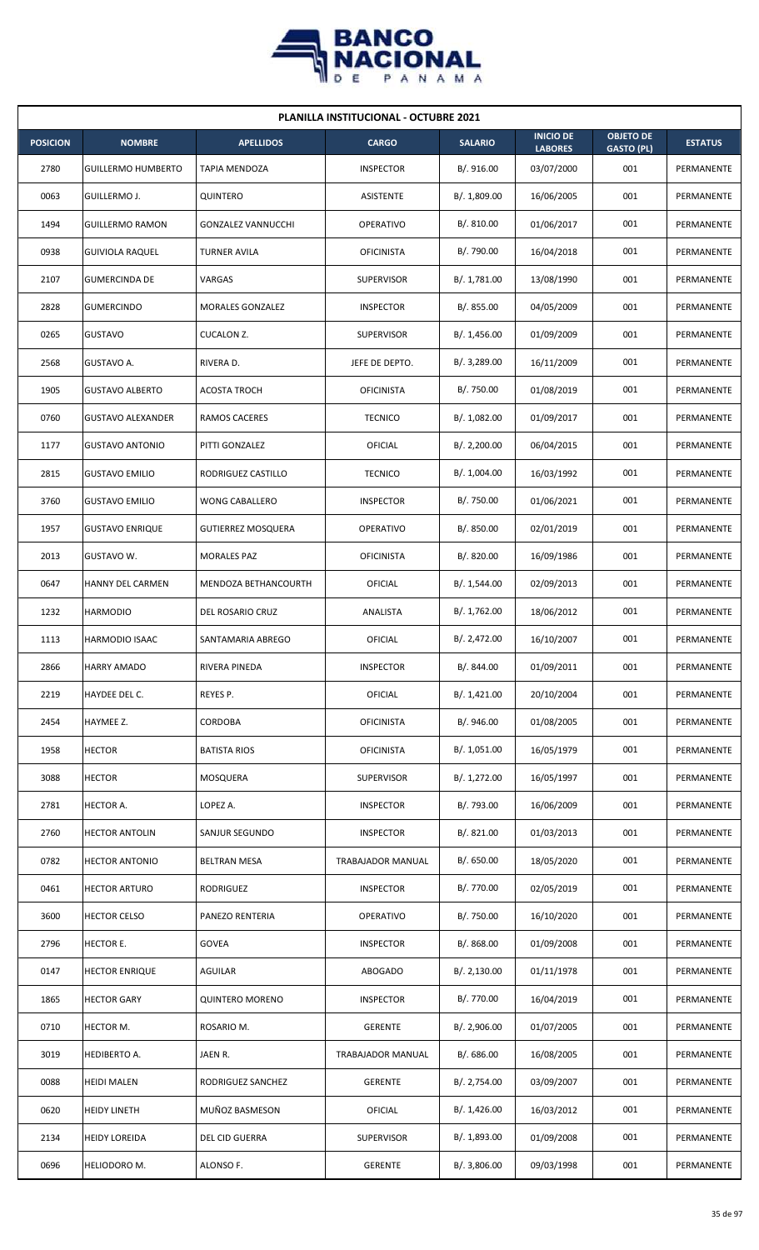

| <b>PLANILLA INSTITUCIONAL - OCTUBRE 2021</b> |                           |                           |                   |                |                                    |                                       |                |  |  |  |
|----------------------------------------------|---------------------------|---------------------------|-------------------|----------------|------------------------------------|---------------------------------------|----------------|--|--|--|
| <b>POSICION</b>                              | <b>NOMBRE</b>             | <b>APELLIDOS</b>          | <b>CARGO</b>      | <b>SALARIO</b> | <b>INICIO DE</b><br><b>LABORES</b> | <b>OBJETO DE</b><br><b>GASTO (PL)</b> | <b>ESTATUS</b> |  |  |  |
| 2780                                         | <b>GUILLERMO HUMBERTO</b> | TAPIA MENDOZA             | <b>INSPECTOR</b>  | B/. 916.00     | 03/07/2000                         | 001                                   | PERMANENTE     |  |  |  |
| 0063                                         | GUILLERMO J.              | QUINTERO                  | <b>ASISTENTE</b>  | B/. 1,809.00   | 16/06/2005                         | 001                                   | PERMANENTE     |  |  |  |
| 1494                                         | <b>GUILLERMO RAMON</b>    | <b>GONZALEZ VANNUCCHI</b> | <b>OPERATIVO</b>  | B/. 810.00     | 01/06/2017                         | 001                                   | PERMANENTE     |  |  |  |
| 0938                                         | <b>GUIVIOLA RAQUEL</b>    | <b>TURNER AVILA</b>       | <b>OFICINISTA</b> | B/. 790.00     | 16/04/2018                         | 001                                   | PERMANENTE     |  |  |  |
| 2107                                         | <b>GUMERCINDA DE</b>      | VARGAS                    | <b>SUPERVISOR</b> | B/. 1,781.00   | 13/08/1990                         | 001                                   | PERMANENTE     |  |  |  |
| 2828                                         | <b>GUMERCINDO</b>         | MORALES GONZALEZ          | <b>INSPECTOR</b>  | B/0.855.00     | 04/05/2009                         | 001                                   | PERMANENTE     |  |  |  |
| 0265                                         | <b>GUSTAVO</b>            | CUCALON Z.                | <b>SUPERVISOR</b> | B/.1,456.00    | 01/09/2009                         | 001                                   | PERMANENTE     |  |  |  |
| 2568                                         | GUSTAVO A.                | RIVERA D.                 | JEFE DE DEPTO.    | B/. 3,289.00   | 16/11/2009                         | 001                                   | PERMANENTE     |  |  |  |
| 1905                                         | <b>GUSTAVO ALBERTO</b>    | <b>ACOSTA TROCH</b>       | <b>OFICINISTA</b> | B/. 750.00     | 01/08/2019                         | 001                                   | PERMANENTE     |  |  |  |
| 0760                                         | <b>GUSTAVO ALEXANDER</b>  | RAMOS CACERES             | <b>TECNICO</b>    | B/. 1,082.00   | 01/09/2017                         | 001                                   | PERMANENTE     |  |  |  |
| 1177                                         | <b>GUSTAVO ANTONIO</b>    | PITTI GONZALEZ            | OFICIAL           | B/.2,200.00    | 06/04/2015                         | 001                                   | PERMANENTE     |  |  |  |
| 2815                                         | <b>GUSTAVO EMILIO</b>     | RODRIGUEZ CASTILLO        | <b>TECNICO</b>    | B/. 1,004.00   | 16/03/1992                         | 001                                   | PERMANENTE     |  |  |  |
| 3760                                         | <b>GUSTAVO EMILIO</b>     | <b>WONG CABALLERO</b>     | <b>INSPECTOR</b>  | B/. 750.00     | 01/06/2021                         | 001                                   | PERMANENTE     |  |  |  |
| 1957                                         | <b>GUSTAVO ENRIQUE</b>    | <b>GUTIERREZ MOSQUERA</b> | <b>OPERATIVO</b>  | B/. 850.00     | 02/01/2019                         | 001                                   | PERMANENTE     |  |  |  |
| 2013                                         | GUSTAVO W.                | <b>MORALES PAZ</b>        | <b>OFICINISTA</b> | B/. 820.00     | 16/09/1986                         | 001                                   | PERMANENTE     |  |  |  |
| 0647                                         | HANNY DEL CARMEN          | MENDOZA BETHANCOURTH      | <b>OFICIAL</b>    | B/. 1,544.00   | 02/09/2013                         | 001                                   | PERMANENTE     |  |  |  |
| 1232                                         | <b>HARMODIO</b>           | DEL ROSARIO CRUZ          | ANALISTA          | B/. 1,762.00   | 18/06/2012                         | 001                                   | PERMANENTE     |  |  |  |
| 1113                                         | <b>HARMODIO ISAAC</b>     | SANTAMARIA ABREGO         | OFICIAL           | B/.2,472.00    | 16/10/2007                         | 001                                   | PERMANENTE     |  |  |  |
| 2866                                         | <b>HARRY AMADO</b>        | RIVERA PINEDA             | <b>INSPECTOR</b>  | B/. 844.00     | 01/09/2011                         | 001                                   | PERMANENTE     |  |  |  |
| 2219                                         | HAYDEE DEL C.             | REYES P.                  | <b>OFICIAL</b>    | B/.1,421.00    | 20/10/2004                         | 001                                   | PERMANENTE     |  |  |  |
| 2454                                         | HAYMEE Z.                 | CORDOBA                   | <b>OFICINISTA</b> | B/. 946.00     | 01/08/2005                         | 001                                   | PERMANENTE     |  |  |  |
| 1958                                         | <b>HECTOR</b>             | <b>BATISTA RIOS</b>       | <b>OFICINISTA</b> | B/. 1,051.00   | 16/05/1979                         | 001                                   | PERMANENTE     |  |  |  |
| 3088                                         | <b>HECTOR</b>             | MOSQUERA                  | <b>SUPERVISOR</b> | B/. 1,272.00   | 16/05/1997                         | 001                                   | PERMANENTE     |  |  |  |
| 2781                                         | HECTOR A.                 | LOPEZ A.                  | <b>INSPECTOR</b>  | B/. 793.00     | 16/06/2009                         | 001                                   | PERMANENTE     |  |  |  |
| 2760                                         | <b>HECTOR ANTOLIN</b>     | SANJUR SEGUNDO            | <b>INSPECTOR</b>  | B/. 821.00     | 01/03/2013                         | 001                                   | PERMANENTE     |  |  |  |
| 0782                                         | <b>HECTOR ANTONIO</b>     | <b>BELTRAN MESA</b>       | TRABAJADOR MANUAL | B/0.650.00     | 18/05/2020                         | 001                                   | PERMANENTE     |  |  |  |
| 0461                                         | <b>HECTOR ARTURO</b>      | RODRIGUEZ                 | <b>INSPECTOR</b>  | B/. 770.00     | 02/05/2019                         | 001                                   | PERMANENTE     |  |  |  |
| 3600                                         | <b>HECTOR CELSO</b>       | PANEZO RENTERIA           | OPERATIVO         | B/. 750.00     | 16/10/2020                         | 001                                   | PERMANENTE     |  |  |  |
| 2796                                         | HECTOR E.                 | <b>GOVEA</b>              | <b>INSPECTOR</b>  | B/. 868.00     | 01/09/2008                         | 001                                   | PERMANENTE     |  |  |  |
| 0147                                         | <b>HECTOR ENRIQUE</b>     | AGUILAR                   | ABOGADO           | B/. 2,130.00   | 01/11/1978                         | 001                                   | PERMANENTE     |  |  |  |
| 1865                                         | <b>HECTOR GARY</b>        | <b>QUINTERO MORENO</b>    | <b>INSPECTOR</b>  | B/. 770.00     | 16/04/2019                         | 001                                   | PERMANENTE     |  |  |  |
| 0710                                         | HECTOR M.                 | ROSARIO M.                | <b>GERENTE</b>    | B/.2,906.00    | 01/07/2005                         | 001                                   | PERMANENTE     |  |  |  |
| 3019                                         | HEDIBERTO A.              | JAEN R.                   | TRABAJADOR MANUAL | B/. 686.00     | 16/08/2005                         | 001                                   | PERMANENTE     |  |  |  |
| 0088                                         | <b>HEIDI MALEN</b>        | RODRIGUEZ SANCHEZ         | <b>GERENTE</b>    | B/. 2,754.00   | 03/09/2007                         | 001                                   | PERMANENTE     |  |  |  |
| 0620                                         | <b>HEIDY LINETH</b>       | MUÑOZ BASMESON            | <b>OFICIAL</b>    | B/. 1,426.00   | 16/03/2012                         | 001                                   | PERMANENTE     |  |  |  |
| 2134                                         | <b>HEIDY LOREIDA</b>      | DEL CID GUERRA            | SUPERVISOR        | B/. 1,893.00   | 01/09/2008                         | 001                                   | PERMANENTE     |  |  |  |
| 0696                                         | HELIODORO M.              | ALONSO F.                 | GERENTE           | B/. 3,806.00   | 09/03/1998                         | 001                                   | PERMANENTE     |  |  |  |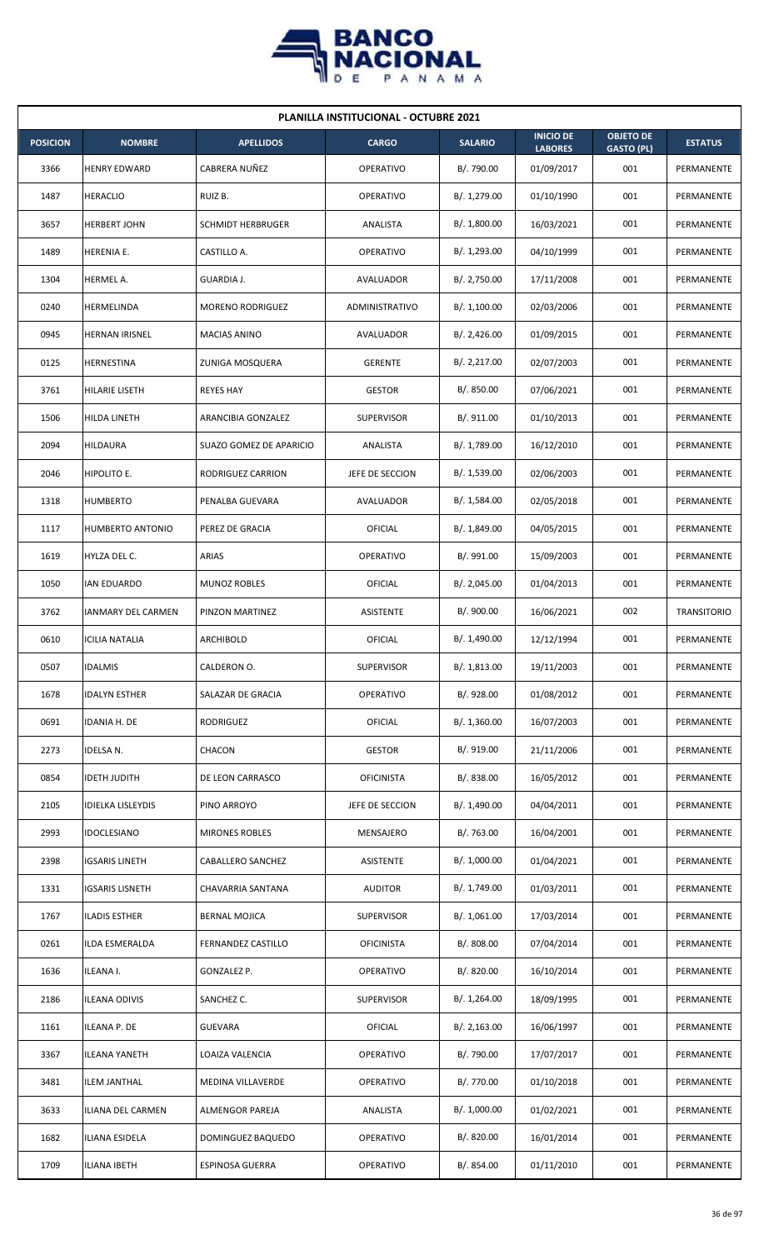

| <b>PLANILLA INSTITUCIONAL - OCTUBRE 2021</b> |                           |                          |                   |                |                                    |                                       |                    |  |  |
|----------------------------------------------|---------------------------|--------------------------|-------------------|----------------|------------------------------------|---------------------------------------|--------------------|--|--|
| <b>POSICION</b>                              | <b>NOMBRE</b>             | <b>APELLIDOS</b>         | <b>CARGO</b>      | <b>SALARIO</b> | <b>INICIO DE</b><br><b>LABORES</b> | <b>OBJETO DE</b><br><b>GASTO (PL)</b> | <b>ESTATUS</b>     |  |  |
| 3366                                         | <b>HENRY EDWARD</b>       | CABRERA NUÑEZ            | OPERATIVO         | B/. 790.00     | 01/09/2017                         | 001                                   | PERMANENTE         |  |  |
| 1487                                         | <b>HERACLIO</b>           | RUIZ B.                  | <b>OPERATIVO</b>  | B/. 1,279.00   | 01/10/1990                         | 001                                   | PERMANENTE         |  |  |
| 3657                                         | <b>HERBERT JOHN</b>       | <b>SCHMIDT HERBRUGER</b> | ANALISTA          | B/. 1,800.00   | 16/03/2021                         | 001                                   | PERMANENTE         |  |  |
| 1489                                         | <b>HERENIA E.</b>         | CASTILLO A.              | <b>OPERATIVO</b>  | B/. 1,293.00   | 04/10/1999                         | 001                                   | PERMANENTE         |  |  |
| 1304                                         | HERMEL A.                 | GUARDIA J.               | AVALUADOR         | B/. 2,750.00   | 17/11/2008                         | 001                                   | PERMANENTE         |  |  |
| 0240                                         | HERMELINDA                | <b>MORENO RODRIGUEZ</b>  | ADMINISTRATIVO    | B/.1,100.00    | 02/03/2006                         | 001                                   | PERMANENTE         |  |  |
| 0945                                         | <b>HERNAN IRISNEL</b>     | <b>MACIAS ANINO</b>      | AVALUADOR         | B/.2,426.00    | 01/09/2015                         | 001                                   | PERMANENTE         |  |  |
| 0125                                         | HERNESTINA                | ZUNIGA MOSQUERA          | <b>GERENTE</b>    | B/.2,217.00    | 02/07/2003                         | 001                                   | PERMANENTE         |  |  |
| 3761                                         | HILARIE LISETH            | <b>REYES HAY</b>         | <b>GESTOR</b>     | B/. 850.00     | 07/06/2021                         | 001                                   | PERMANENTE         |  |  |
| 1506                                         | HILDA LINETH              | ARANCIBIA GONZALEZ       | <b>SUPERVISOR</b> | B/. 911.00     | 01/10/2013                         | 001                                   | PERMANENTE         |  |  |
| 2094                                         | <b>HILDAURA</b>           | SUAZO GOMEZ DE APARICIO  | ANALISTA          | B/. 1,789.00   | 16/12/2010                         | 001                                   | PERMANENTE         |  |  |
| 2046                                         | HIPOLITO E.               | RODRIGUEZ CARRION        | JEFE DE SECCION   | B/. 1,539.00   | 02/06/2003                         | 001                                   | PERMANENTE         |  |  |
| 1318                                         | <b>HUMBERTO</b>           | PENALBA GUEVARA          | AVALUADOR         | B/. 1,584.00   | 02/05/2018                         | 001                                   | PERMANENTE         |  |  |
| 1117                                         | <b>HUMBERTO ANTONIO</b>   | PEREZ DE GRACIA          | OFICIAL           | B/. 1,849.00   | 04/05/2015                         | 001                                   | PERMANENTE         |  |  |
| 1619                                         | HYLZA DEL C.              | ARIAS                    | <b>OPERATIVO</b>  | B/. 991.00     | 15/09/2003                         | 001                                   | PERMANENTE         |  |  |
| 1050                                         | <b>IAN EDUARDO</b>        | <b>MUNOZ ROBLES</b>      | <b>OFICIAL</b>    | B/.2,045.00    | 01/04/2013                         | 001                                   | PERMANENTE         |  |  |
| 3762                                         | <b>IANMARY DEL CARMEN</b> | PINZON MARTINEZ          | ASISTENTE         | B/. 900.00     | 16/06/2021                         | 002                                   | <b>TRANSITORIO</b> |  |  |
| 0610                                         | <b>ICILIA NATALIA</b>     | ARCHIBOLD                | OFICIAL           | B/. 1,490.00   | 12/12/1994                         | 001                                   | PERMANENTE         |  |  |
| 0507                                         | <b>IDALMIS</b>            | CALDERON O.              | <b>SUPERVISOR</b> | B/. 1,813.00   | 19/11/2003                         | 001                                   | PERMANENTE         |  |  |
| 1678                                         | <b>IDALYN ESTHER</b>      | SALAZAR DE GRACIA        | OPERATIVO         | B/. 928.00     | 01/08/2012                         | 001                                   | PERMANENTE         |  |  |
| 0691                                         | IDANIA H. DE              | RODRIGUEZ                | <b>OFICIAL</b>    | B/. 1,360.00   | 16/07/2003                         | 001                                   | PERMANENTE         |  |  |
| 2273                                         | IDELSA N.                 | CHACON                   | <b>GESTOR</b>     | B/. 919.00     | 21/11/2006                         | 001                                   | PERMANENTE         |  |  |
| 0854                                         | <b>IDETH JUDITH</b>       | DE LEON CARRASCO         | <b>OFICINISTA</b> | B/. 838.00     | 16/05/2012                         | 001                                   | PERMANENTE         |  |  |
| 2105                                         | <b>IDIELKA LISLEYDIS</b>  | PINO ARROYO              | JEFE DE SECCION   | B/. 1,490.00   | 04/04/2011                         | 001                                   | PERMANENTE         |  |  |
| 2993                                         | <b>IDOCLESIANO</b>        | <b>MIRONES ROBLES</b>    | MENSAJERO         | B/. 763.00     | 16/04/2001                         | 001                                   | PERMANENTE         |  |  |
| 2398                                         | <b>IGSARIS LINETH</b>     | CABALLERO SANCHEZ        | ASISTENTE         | B/. 1,000.00   | 01/04/2021                         | 001                                   | PERMANENTE         |  |  |
| 1331                                         | <b>IGSARIS LISNETH</b>    | CHAVARRIA SANTANA        | <b>AUDITOR</b>    | B/. 1,749.00   | 01/03/2011                         | 001                                   | PERMANENTE         |  |  |
| 1767                                         | <b>ILADIS ESTHER</b>      | <b>BERNAL MOJICA</b>     | <b>SUPERVISOR</b> | B/. 1,061.00   | 17/03/2014                         | 001                                   | PERMANENTE         |  |  |
| 0261                                         | ILDA ESMERALDA            | FERNANDEZ CASTILLO       | <b>OFICINISTA</b> | B/. 808.00     | 07/04/2014                         | 001                                   | PERMANENTE         |  |  |
| 1636                                         | ILEANA I.                 | GONZALEZ P.              | <b>OPERATIVO</b>  | B/. 820.00     | 16/10/2014                         | 001                                   | PERMANENTE         |  |  |
| 2186                                         | <b>ILEANA ODIVIS</b>      | SANCHEZ C.               | <b>SUPERVISOR</b> | B/. 1,264.00   | 18/09/1995                         | 001                                   | PERMANENTE         |  |  |
| 1161                                         | ILEANA P. DE              | <b>GUEVARA</b>           | <b>OFICIAL</b>    | B/.2,163.00    | 16/06/1997                         | 001                                   | PERMANENTE         |  |  |
| 3367                                         | <b>ILEANA YANETH</b>      | LOAIZA VALENCIA          | OPERATIVO         | B/. 790.00     | 17/07/2017                         | 001                                   | PERMANENTE         |  |  |
| 3481                                         | <b>ILEM JANTHAL</b>       | MEDINA VILLAVERDE        | OPERATIVO         | B/. 770.00     | 01/10/2018                         | 001                                   | PERMANENTE         |  |  |
| 3633                                         | ILIANA DEL CARMEN         | ALMENGOR PAREJA          | ANALISTA          | B/. 1,000.00   | 01/02/2021                         | 001                                   | PERMANENTE         |  |  |
| 1682                                         | <b>ILIANA ESIDELA</b>     | DOMINGUEZ BAQUEDO        | OPERATIVO         | B/. 820.00     | 16/01/2014                         | 001                                   | PERMANENTE         |  |  |
| 1709                                         | <b>ILIANA IBETH</b>       | ESPINOSA GUERRA          | OPERATIVO         | B/. 854.00     | 01/11/2010                         | 001                                   | PERMANENTE         |  |  |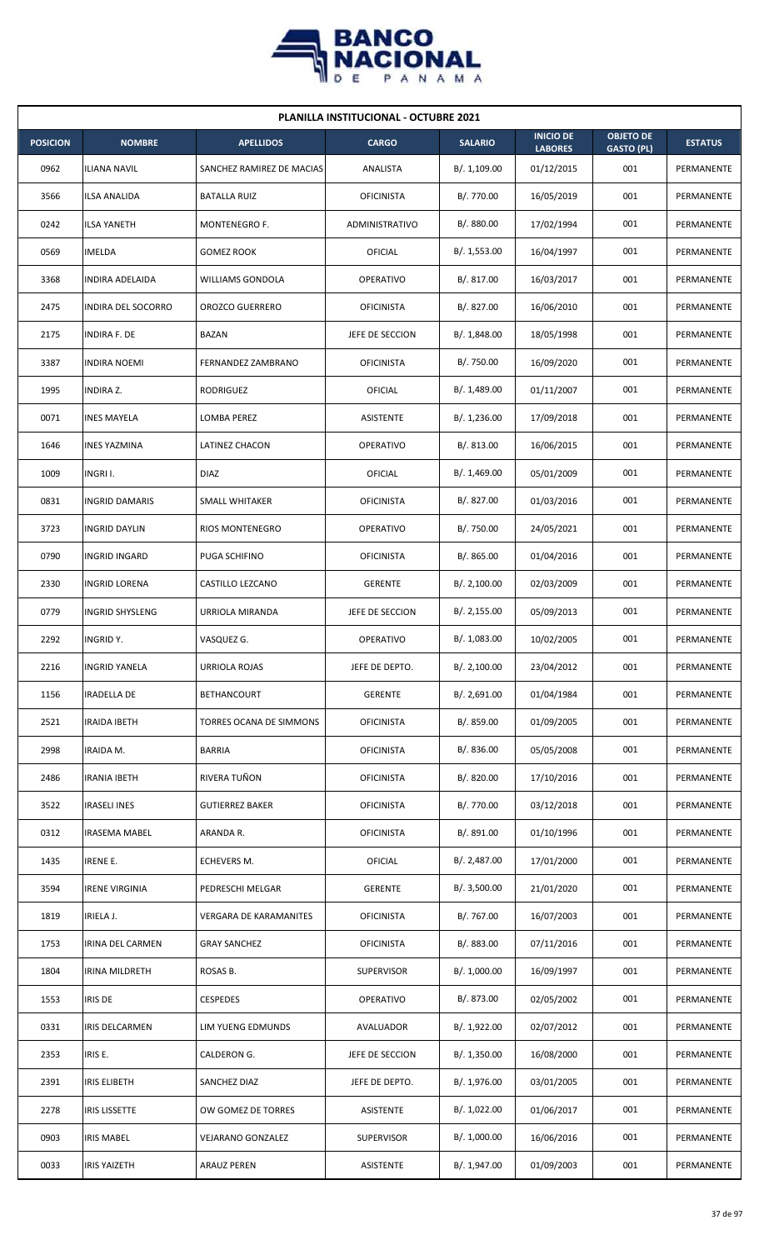

| <b>PLANILLA INSTITUCIONAL - OCTUBRE 2021</b> |                        |                               |                   |                |                                    |                                       |                |  |  |
|----------------------------------------------|------------------------|-------------------------------|-------------------|----------------|------------------------------------|---------------------------------------|----------------|--|--|
| <b>POSICION</b>                              | <b>NOMBRE</b>          | <b>APELLIDOS</b>              | <b>CARGO</b>      | <b>SALARIO</b> | <b>INICIO DE</b><br><b>LABORES</b> | <b>OBJETO DE</b><br><b>GASTO (PL)</b> | <b>ESTATUS</b> |  |  |
| 0962                                         | <b>ILIANA NAVIL</b>    | SANCHEZ RAMIREZ DE MACIAS     | ANALISTA          | B/. 1,109.00   | 01/12/2015                         | 001                                   | PERMANENTE     |  |  |
| 3566                                         | ILSA ANALIDA           | <b>BATALLA RUIZ</b>           | <b>OFICINISTA</b> | B/. 770.00     | 16/05/2019                         | 001                                   | PERMANENTE     |  |  |
| 0242                                         | <b>ILSA YANETH</b>     | MONTENEGRO F.                 | ADMINISTRATIVO    | B/. 880.00     | 17/02/1994                         | 001                                   | PERMANENTE     |  |  |
| 0569                                         | <b>IMELDA</b>          | <b>GOMEZ ROOK</b>             | OFICIAL           | B/. 1,553.00   | 16/04/1997                         | 001                                   | PERMANENTE     |  |  |
| 3368                                         | INDIRA ADELAIDA        | <b>WILLIAMS GONDOLA</b>       | <b>OPERATIVO</b>  | B/. 817.00     | 16/03/2017                         | 001                                   | PERMANENTE     |  |  |
| 2475                                         | INDIRA DEL SOCORRO     | <b>OROZCO GUERRERO</b>        | <b>OFICINISTA</b> | B/. 827.00     | 16/06/2010                         | 001                                   | PERMANENTE     |  |  |
| 2175                                         | <b>INDIRA F. DE</b>    | <b>BAZAN</b>                  | JEFE DE SECCION   | B/. 1,848.00   | 18/05/1998                         | 001                                   | PERMANENTE     |  |  |
| 3387                                         | <b>INDIRA NOEMI</b>    | FERNANDEZ ZAMBRANO            | <b>OFICINISTA</b> | B/. 750.00     | 16/09/2020                         | 001                                   | PERMANENTE     |  |  |
| 1995                                         | <b>INDIRA Z.</b>       | RODRIGUEZ                     | <b>OFICIAL</b>    | B/. 1,489.00   | 01/11/2007                         | 001                                   | PERMANENTE     |  |  |
| 0071                                         | <b>INES MAYELA</b>     | LOMBA PEREZ                   | ASISTENTE         | B/. 1,236.00   | 17/09/2018                         | 001                                   | PERMANENTE     |  |  |
| 1646                                         | <b>INES YAZMINA</b>    | <b>LATINEZ CHACON</b>         | OPERATIVO         | B/. 813.00     | 16/06/2015                         | 001                                   | PERMANENTE     |  |  |
| 1009                                         | INGRI I.               | DIAZ                          | OFICIAL           | B/. 1,469.00   | 05/01/2009                         | 001                                   | PERMANENTE     |  |  |
| 0831                                         | <b>INGRID DAMARIS</b>  | SMALL WHITAKER                | <b>OFICINISTA</b> | B/. 827.00     | 01/03/2016                         | 001                                   | PERMANENTE     |  |  |
| 3723                                         | <b>INGRID DAYLIN</b>   | RIOS MONTENEGRO               | OPERATIVO         | B/. 750.00     | 24/05/2021                         | 001                                   | PERMANENTE     |  |  |
| 0790                                         | <b>INGRID INGARD</b>   | PUGA SCHIFINO                 | <b>OFICINISTA</b> | B/. 865.00     | 01/04/2016                         | 001                                   | PERMANENTE     |  |  |
| 2330                                         | <b>INGRID LORENA</b>   | CASTILLO LEZCANO              | <b>GERENTE</b>    | B/.2,100.00    | 02/03/2009                         | 001                                   | PERMANENTE     |  |  |
| 0779                                         | <b>INGRID SHYSLENG</b> | URRIOLA MIRANDA               | JEFE DE SECCION   | B/.2,155.00    | 05/09/2013                         | 001                                   | PERMANENTE     |  |  |
| 2292                                         | <b>INGRIDY.</b>        | VASQUEZ G.                    | <b>OPERATIVO</b>  | B/. 1,083.00   | 10/02/2005                         | 001                                   | PERMANENTE     |  |  |
| 2216                                         | <b>INGRID YANELA</b>   | URRIOLA ROJAS                 | JEFE DE DEPTO.    | B/. 2,100.00   | 23/04/2012                         | 001                                   | PERMANENTE     |  |  |
| 1156                                         | <b>IRADELLA DE</b>     | <b>BETHANCOURT</b>            | <b>GERENTE</b>    | B/. 2,691.00   | 01/04/1984                         | 001                                   | PERMANENTE     |  |  |
| 2521                                         | <b>IRAIDA IBETH</b>    | TORRES OCANA DE SIMMONS       | <b>OFICINISTA</b> | B/. 859.00     | 01/09/2005                         | 001                                   | PERMANENTE     |  |  |
| 2998                                         | IRAIDA M.              | <b>BARRIA</b>                 | <b>OFICINISTA</b> | B/. 836.00     | 05/05/2008                         | 001                                   | PERMANENTE     |  |  |
| 2486                                         | <b>IRANIA IBETH</b>    | RIVERA TUÑON                  | <b>OFICINISTA</b> | B/. 820.00     | 17/10/2016                         | 001                                   | PERMANENTE     |  |  |
| 3522                                         | <b>IRASELI INES</b>    | <b>GUTIERREZ BAKER</b>        | <b>OFICINISTA</b> | B/. 770.00     | 03/12/2018                         | 001                                   | PERMANENTE     |  |  |
| 0312                                         | <b>IRASEMA MABEL</b>   | ARANDA R.                     | <b>OFICINISTA</b> | B/. 891.00     | 01/10/1996                         | 001                                   | PERMANENTE     |  |  |
| 1435                                         | <b>IRENE E.</b>        | ECHEVERS M.                   | <b>OFICIAL</b>    | B/. 2,487.00   | 17/01/2000                         | 001                                   | PERMANENTE     |  |  |
| 3594                                         | <b>IRENE VIRGINIA</b>  | PEDRESCHI MELGAR              | <b>GERENTE</b>    | B/.3,500.00    | 21/01/2020                         | 001                                   | PERMANENTE     |  |  |
| 1819                                         | IRIELA J.              | <b>VERGARA DE KARAMANITES</b> | <b>OFICINISTA</b> | B/. 767.00     | 16/07/2003                         | 001                                   | PERMANENTE     |  |  |
| 1753                                         | IRINA DEL CARMEN       | <b>GRAY SANCHEZ</b>           | <b>OFICINISTA</b> | B/. 883.00     | 07/11/2016                         | 001                                   | PERMANENTE     |  |  |
| 1804                                         | IRINA MILDRETH         | ROSAS B.                      | <b>SUPERVISOR</b> | B/. 1,000.00   | 16/09/1997                         | 001                                   | PERMANENTE     |  |  |
| 1553                                         | <b>IRIS DE</b>         | <b>CESPEDES</b>               | OPERATIVO         | B/. 873.00     | 02/05/2002                         | 001                                   | PERMANENTE     |  |  |
| 0331                                         | IRIS DELCARMEN         | LIM YUENG EDMUNDS             | AVALUADOR         | B/. 1,922.00   | 02/07/2012                         | 001                                   | PERMANENTE     |  |  |
| 2353                                         | IRIS E.                | CALDERON G.                   | JEFE DE SECCION   | B/. 1,350.00   | 16/08/2000                         | 001                                   | PERMANENTE     |  |  |
| 2391                                         | <b>IRIS ELIBETH</b>    | SANCHEZ DIAZ                  | JEFE DE DEPTO.    | B/. 1,976.00   | 03/01/2005                         | 001                                   | PERMANENTE     |  |  |
| 2278                                         | <b>IRIS LISSETTE</b>   | OW GOMEZ DE TORRES            | <b>ASISTENTE</b>  | B/. 1,022.00   | 01/06/2017                         | 001                                   | PERMANENTE     |  |  |
| 0903                                         | <b>IRIS MABEL</b>      | VEJARANO GONZALEZ             | <b>SUPERVISOR</b> | B/. 1,000.00   | 16/06/2016                         | 001                                   | PERMANENTE     |  |  |
| 0033                                         | <b>IRIS YAIZETH</b>    | <b>ARAUZ PEREN</b>            | ASISTENTE         | B/. 1,947.00   | 01/09/2003                         | 001                                   | PERMANENTE     |  |  |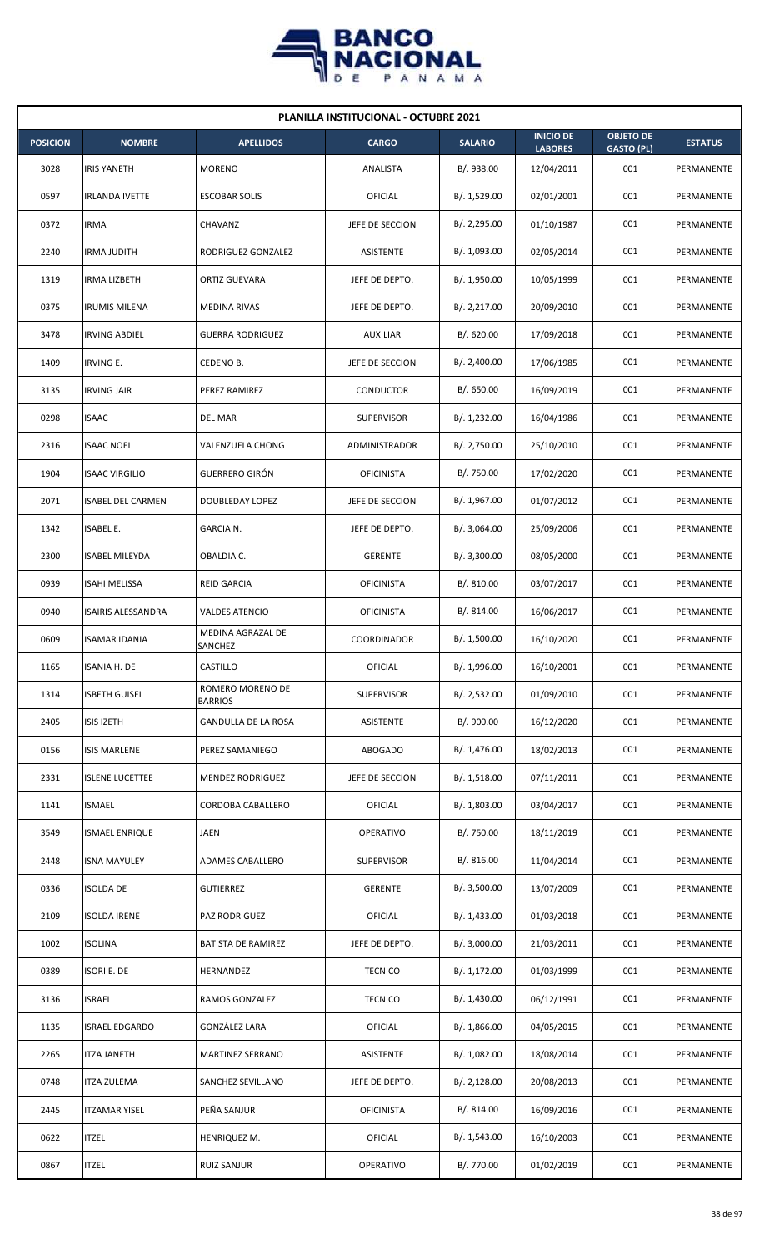

| <b>PLANILLA INSTITUCIONAL - OCTUBRE 2021</b> |                           |                                    |                   |                |                                    |                                       |                |  |  |  |
|----------------------------------------------|---------------------------|------------------------------------|-------------------|----------------|------------------------------------|---------------------------------------|----------------|--|--|--|
| <b>POSICION</b>                              | <b>NOMBRE</b>             | <b>APELLIDOS</b>                   | <b>CARGO</b>      | <b>SALARIO</b> | <b>INICIO DE</b><br><b>LABORES</b> | <b>OBJETO DE</b><br><b>GASTO (PL)</b> | <b>ESTATUS</b> |  |  |  |
| 3028                                         | <b>IRIS YANETH</b>        | <b>MORENO</b>                      | ANALISTA          | B/. 938.00     | 12/04/2011                         | 001                                   | PERMANENTE     |  |  |  |
| 0597                                         | <b>IRLANDA IVETTE</b>     | <b>ESCOBAR SOLIS</b>               | OFICIAL           | B/. 1,529.00   | 02/01/2001                         | 001                                   | PERMANENTE     |  |  |  |
| 0372                                         | IRMA                      | CHAVANZ                            | JEFE DE SECCION   | B/.2,295.00    | 01/10/1987                         | 001                                   | PERMANENTE     |  |  |  |
| 2240                                         | <b>IRMA JUDITH</b>        | RODRIGUEZ GONZALEZ                 | ASISTENTE         | B/. 1,093.00   | 02/05/2014                         | 001                                   | PERMANENTE     |  |  |  |
| 1319                                         | <b>IRMA LIZBETH</b>       | ORTIZ GUEVARA                      | JEFE DE DEPTO.    | B/. 1,950.00   | 10/05/1999                         | 001                                   | PERMANENTE     |  |  |  |
| 0375                                         | <b>IRUMIS MILENA</b>      | MEDINA RIVAS                       | JEFE DE DEPTO.    | B/.2,217.00    | 20/09/2010                         | 001                                   | PERMANENTE     |  |  |  |
| 3478                                         | <b>IRVING ABDIEL</b>      | <b>GUERRA RODRIGUEZ</b>            | <b>AUXILIAR</b>   | B/0.620.00     | 17/09/2018                         | 001                                   | PERMANENTE     |  |  |  |
| 1409                                         | <b>IRVING E.</b>          | CEDENO B.                          | JEFE DE SECCION   | B/.2,400.00    | 17/06/1985                         | 001                                   | PERMANENTE     |  |  |  |
| 3135                                         | <b>IRVING JAIR</b>        | PEREZ RAMIREZ                      | <b>CONDUCTOR</b>  | B/. 650.00     | 16/09/2019                         | 001                                   | PERMANENTE     |  |  |  |
| 0298                                         | <b>ISAAC</b>              | <b>DEL MAR</b>                     | <b>SUPERVISOR</b> | B/. 1,232.00   | 16/04/1986                         | 001                                   | PERMANENTE     |  |  |  |
| 2316                                         | <b>ISAAC NOEL</b>         | <b>VALENZUELA CHONG</b>            | ADMINISTRADOR     | B/. 2,750.00   | 25/10/2010                         | 001                                   | PERMANENTE     |  |  |  |
| 1904                                         | <b>ISAAC VIRGILIO</b>     | <b>GUERRERO GIRÓN</b>              | <b>OFICINISTA</b> | B/. 750.00     | 17/02/2020                         | 001                                   | PERMANENTE     |  |  |  |
| 2071                                         | <b>ISABEL DEL CARMEN</b>  | DOUBLEDAY LOPEZ                    | JEFE DE SECCION   | B/. 1,967.00   | 01/07/2012                         | 001                                   | PERMANENTE     |  |  |  |
| 1342                                         | <b>ISABEL E.</b>          | GARCIA N.                          | JEFE DE DEPTO.    | B/.3,064.00    | 25/09/2006                         | 001                                   | PERMANENTE     |  |  |  |
| 2300                                         | <b>ISABEL MILEYDA</b>     | OBALDIA C.                         | <b>GERENTE</b>    | B/.3,300.00    | 08/05/2000                         | 001                                   | PERMANENTE     |  |  |  |
| 0939                                         | <b>ISAHI MELISSA</b>      | <b>REID GARCIA</b>                 | <b>OFICINISTA</b> | B/.810.00      | 03/07/2017                         | 001                                   | PERMANENTE     |  |  |  |
| 0940                                         | <b>ISAIRIS ALESSANDRA</b> | <b>VALDES ATENCIO</b>              | <b>OFICINISTA</b> | B/. 814.00     | 16/06/2017                         | 001                                   | PERMANENTE     |  |  |  |
| 0609                                         | <b>ISAMAR IDANIA</b>      | MEDINA AGRAZAL DE<br>SANCHEZ       | COORDINADOR       | B/. 1,500.00   | 16/10/2020                         | 001                                   | PERMANENTE     |  |  |  |
| 1165                                         | <b>ISANIA H. DE</b>       | CASTILLO                           | <b>OFICIAL</b>    | B/. 1,996.00   | 16/10/2001                         | 001                                   | PERMANENTE     |  |  |  |
| 1314                                         | <b>ISBETH GUISEL</b>      | ROMERO MORENO DE<br><b>BARRIOS</b> | SUPERVISOR        | B/.2,532.00    | 01/09/2010                         | 001                                   | PERMANENTE     |  |  |  |
| 2405                                         | <b>ISIS IZETH</b>         | GANDULLA DE LA ROSA                | ASISTENTE         | B/. 900.00     | 16/12/2020                         | 001                                   | PERMANENTE     |  |  |  |
| 0156                                         | <b>ISIS MARLENE</b>       | PEREZ SAMANIEGO                    | ABOGADO           | B/. 1,476.00   | 18/02/2013                         | 001                                   | PERMANENTE     |  |  |  |
| 2331                                         | <b>ISLENE LUCETTEE</b>    | MENDEZ RODRIGUEZ                   | JEFE DE SECCION   | B/. 1,518.00   | 07/11/2011                         | 001                                   | PERMANENTE     |  |  |  |
| 1141                                         | <b>ISMAEL</b>             | CORDOBA CABALLERO                  | <b>OFICIAL</b>    | B/. 1,803.00   | 03/04/2017                         | 001                                   | PERMANENTE     |  |  |  |
| 3549                                         | <b>ISMAEL ENRIQUE</b>     | <b>JAEN</b>                        | OPERATIVO         | B/. 750.00     | 18/11/2019                         | 001                                   | PERMANENTE     |  |  |  |
| 2448                                         | <b>ISNA MAYULEY</b>       | ADAMES CABALLERO                   | <b>SUPERVISOR</b> | B/. 816.00     | 11/04/2014                         | 001                                   | PERMANENTE     |  |  |  |
| 0336                                         | <b>ISOLDA DE</b>          | <b>GUTIERREZ</b>                   | <b>GERENTE</b>    | B/.3,500.00    | 13/07/2009                         | 001                                   | PERMANENTE     |  |  |  |
| 2109                                         | <b>ISOLDA IRENE</b>       | PAZ RODRIGUEZ                      | <b>OFICIAL</b>    | B/.1,433.00    | 01/03/2018                         | 001                                   | PERMANENTE     |  |  |  |
| 1002                                         | <b>ISOLINA</b>            | <b>BATISTA DE RAMIREZ</b>          | JEFE DE DEPTO.    | B/.3,000.00    | 21/03/2011                         | 001                                   | PERMANENTE     |  |  |  |
| 0389                                         | <b>ISORI E. DE</b>        | HERNANDEZ                          | <b>TECNICO</b>    | B/. 1,172.00   | 01/03/1999                         | 001                                   | PERMANENTE     |  |  |  |
| 3136                                         | <b>ISRAEL</b>             | RAMOS GONZALEZ                     | <b>TECNICO</b>    | B/. 1,430.00   | 06/12/1991                         | 001                                   | PERMANENTE     |  |  |  |
| 1135                                         | <b>ISRAEL EDGARDO</b>     | GONZÁLEZ LARA                      | OFICIAL           | B/.1,866.00    | 04/05/2015                         | 001                                   | PERMANENTE     |  |  |  |
| 2265                                         | <b>ITZA JANETH</b>        | MARTINEZ SERRANO                   | ASISTENTE         | B/. 1,082.00   | 18/08/2014                         | 001                                   | PERMANENTE     |  |  |  |
| 0748                                         | ITZA ZULEMA               | SANCHEZ SEVILLANO                  | JEFE DE DEPTO.    | B/. 2,128.00   | 20/08/2013                         | 001                                   | PERMANENTE     |  |  |  |
| 2445                                         | <b>ITZAMAR YISEL</b>      | PEÑA SANJUR                        | <b>OFICINISTA</b> | B/. 814.00     | 16/09/2016                         | 001                                   | PERMANENTE     |  |  |  |
| 0622                                         | <b>ITZEL</b>              | HENRIQUEZ M.                       | <b>OFICIAL</b>    | B/. 1,543.00   | 16/10/2003                         | 001                                   | PERMANENTE     |  |  |  |
| 0867                                         | <b>ITZEL</b>              | <b>RUIZ SANJUR</b>                 | OPERATIVO         | B/. 770.00     | 01/02/2019                         | 001                                   | PERMANENTE     |  |  |  |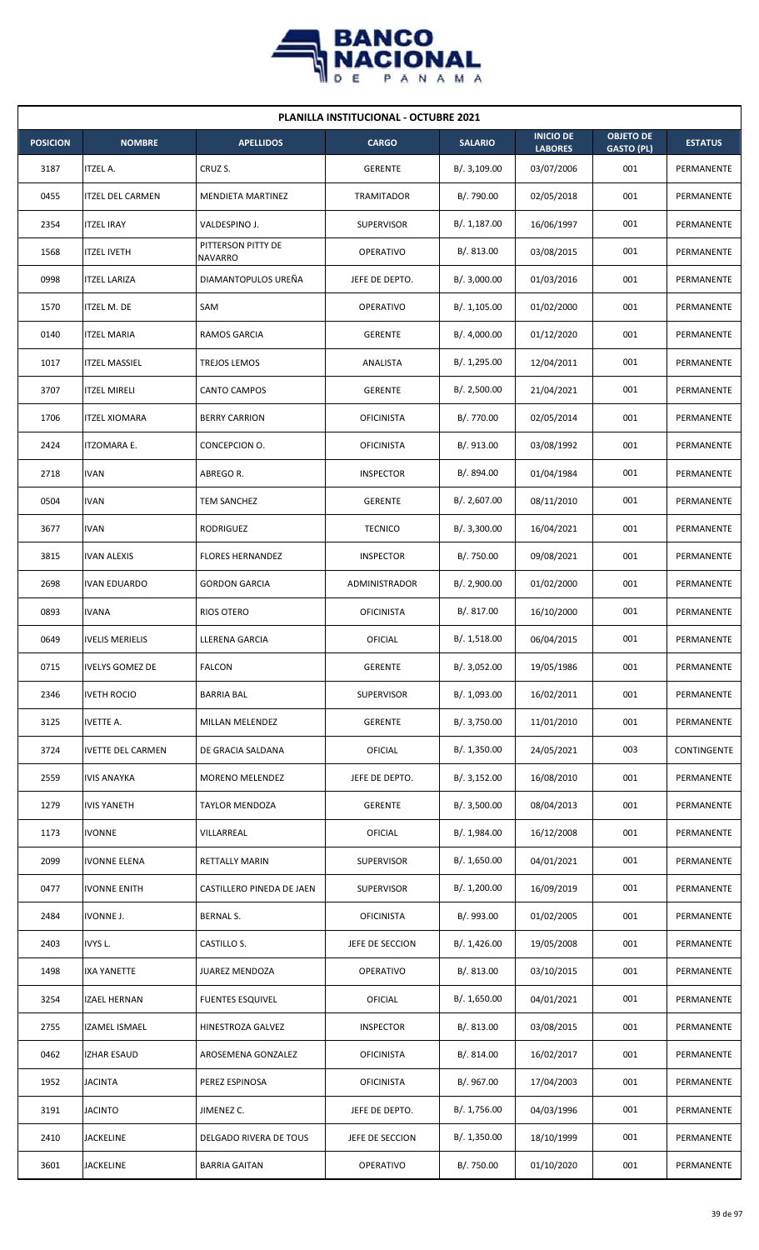

| <b>PLANILLA INSTITUCIONAL - OCTUBRE 2021</b> |                          |                                      |                   |                |                                    |                                       |                |  |  |
|----------------------------------------------|--------------------------|--------------------------------------|-------------------|----------------|------------------------------------|---------------------------------------|----------------|--|--|
| <b>POSICION</b>                              | <b>NOMBRE</b>            | <b>APELLIDOS</b>                     | <b>CARGO</b>      | <b>SALARIO</b> | <b>INICIO DE</b><br><b>LABORES</b> | <b>OBJETO DE</b><br><b>GASTO (PL)</b> | <b>ESTATUS</b> |  |  |
| 3187                                         | <b>ITZEL A.</b>          | CRUZ S.                              | <b>GERENTE</b>    | B/.3,109.00    | 03/07/2006                         | 001                                   | PERMANENTE     |  |  |
| 0455                                         | <b>ITZEL DEL CARMEN</b>  | <b>MENDIETA MARTINEZ</b>             | TRAMITADOR        | B/. 790.00     | 02/05/2018                         | 001                                   | PERMANENTE     |  |  |
| 2354                                         | <b>ITZEL IRAY</b>        | VALDESPINO J.                        | <b>SUPERVISOR</b> | B/. 1,187.00   | 16/06/1997                         | 001                                   | PERMANENTE     |  |  |
| 1568                                         | <b>ITZEL IVETH</b>       | PITTERSON PITTY DE<br><b>NAVARRO</b> | <b>OPERATIVO</b>  | B/. 813.00     | 03/08/2015                         | 001                                   | PERMANENTE     |  |  |
| 0998                                         | <b>ITZEL LARIZA</b>      | DIAMANTOPULOS UREÑA                  | JEFE DE DEPTO.    | B/. 3,000.00   | 01/03/2016                         | 001                                   | PERMANENTE     |  |  |
| 1570                                         | ITZEL M. DE              | SAM                                  | OPERATIVO         | B/.1,105.00    | 01/02/2000                         | 001                                   | PERMANENTE     |  |  |
| 0140                                         | <b>ITZEL MARIA</b>       | RAMOS GARCIA                         | <b>GERENTE</b>    | B/. 4,000.00   | 01/12/2020                         | 001                                   | PERMANENTE     |  |  |
| 1017                                         | <b>ITZEL MASSIEL</b>     | TREJOS LEMOS                         | ANALISTA          | B/. 1,295.00   | 12/04/2011                         | 001                                   | PERMANENTE     |  |  |
| 3707                                         | <b>ITZEL MIRELI</b>      | <b>CANTO CAMPOS</b>                  | <b>GERENTE</b>    | B/. 2,500.00   | 21/04/2021                         | 001                                   | PERMANENTE     |  |  |
| 1706                                         | <b>ITZEL XIOMARA</b>     | <b>BERRY CARRION</b>                 | <b>OFICINISTA</b> | B/. 770.00     | 02/05/2014                         | 001                                   | PERMANENTE     |  |  |
| 2424                                         | <b>ITZOMARA E.</b>       | CONCEPCION O.                        | <b>OFICINISTA</b> | B/. 913.00     | 03/08/1992                         | 001                                   | PERMANENTE     |  |  |
| 2718                                         | <b>IVAN</b>              | ABREGO R.                            | <b>INSPECTOR</b>  | B/. 894.00     | 01/04/1984                         | 001                                   | PERMANENTE     |  |  |
| 0504                                         | <b>IVAN</b>              | TEM SANCHEZ                          | <b>GERENTE</b>    | B/. 2,607.00   | 08/11/2010                         | 001                                   | PERMANENTE     |  |  |
| 3677                                         | <b>IVAN</b>              | RODRIGUEZ                            | <b>TECNICO</b>    | B/.3,300.00    | 16/04/2021                         | 001                                   | PERMANENTE     |  |  |
| 3815                                         | <b>IVAN ALEXIS</b>       | <b>FLORES HERNANDEZ</b>              | <b>INSPECTOR</b>  | B/. 750.00     | 09/08/2021                         | 001                                   | PERMANENTE     |  |  |
| 2698                                         | <b>IVAN EDUARDO</b>      | <b>GORDON GARCIA</b>                 | ADMINISTRADOR     | B/. 2,900.00   | 01/02/2000                         | 001                                   | PERMANENTE     |  |  |
| 0893                                         | <b>IVANA</b>             | <b>RIOS OTERO</b>                    | <b>OFICINISTA</b> | B/. 817.00     | 16/10/2000                         | 001                                   | PERMANENTE     |  |  |
| 0649                                         | <b>IVELIS MERIELIS</b>   | LLERENA GARCIA                       | OFICIAL           | B/.1,518.00    | 06/04/2015                         | 001                                   | PERMANENTE     |  |  |
| 0715                                         | <b>IVELYS GOMEZ DE</b>   | <b>FALCON</b>                        | GERENTE           | B/. 3,052.00   | 19/05/1986                         | 001                                   | PERMANENTE     |  |  |
| 2346                                         | <b>IVETH ROCIO</b>       | <b>BARRIA BAL</b>                    | SUPERVISOR        | B/. 1,093.00   | 16/02/2011                         | 001                                   | PERMANENTE     |  |  |
| 3125                                         | <b>IVETTE A.</b>         | MILLAN MELENDEZ                      | <b>GERENTE</b>    | B/. 3,750.00   | 11/01/2010                         | 001                                   | PERMANENTE     |  |  |
| 3724                                         | <b>IVETTE DEL CARMEN</b> | DE GRACIA SALDANA                    | <b>OFICIAL</b>    | B/.1,350.00    | 24/05/2021                         | 003                                   | CONTINGENTE    |  |  |
| 2559                                         | <b>IVIS ANAYKA</b>       | MORENO MELENDEZ                      | JEFE DE DEPTO.    | B/.3,152.00    | 16/08/2010                         | 001                                   | PERMANENTE     |  |  |
| 1279                                         | <b>IVIS YANETH</b>       | <b>TAYLOR MENDOZA</b>                | <b>GERENTE</b>    | B/. 3,500.00   | 08/04/2013                         | 001                                   | PERMANENTE     |  |  |
| 1173                                         | <b>IVONNE</b>            | VILLARREAL                           | OFICIAL           | B/. 1,984.00   | 16/12/2008                         | 001                                   | PERMANENTE     |  |  |
| 2099                                         | <b>IVONNE ELENA</b>      | <b>RETTALLY MARIN</b>                | <b>SUPERVISOR</b> | B/. 1,650.00   | 04/01/2021                         | 001                                   | PERMANENTE     |  |  |
| 0477                                         | <b>IVONNE ENITH</b>      | CASTILLERO PINEDA DE JAEN            | <b>SUPERVISOR</b> | B/. 1,200.00   | 16/09/2019                         | 001                                   | PERMANENTE     |  |  |
| 2484                                         | IVONNE J.                | BERNAL S.                            | <b>OFICINISTA</b> | B/. 993.00     | 01/02/2005                         | 001                                   | PERMANENTE     |  |  |
| 2403                                         | IVYS L.                  | CASTILLO S.                          | JEFE DE SECCION   | B/.1,426.00    | 19/05/2008                         | 001                                   | PERMANENTE     |  |  |
| 1498                                         | <b>IXA YANETTE</b>       | JUAREZ MENDOZA                       | OPERATIVO         | B/. 813.00     | 03/10/2015                         | 001                                   | PERMANENTE     |  |  |
| 3254                                         | <b>IZAEL HERNAN</b>      | <b>FUENTES ESQUIVEL</b>              | <b>OFICIAL</b>    | B/. 1,650.00   | 04/01/2021                         | 001                                   | PERMANENTE     |  |  |
| 2755                                         | IZAMEL ISMAEL            | HINESTROZA GALVEZ                    | <b>INSPECTOR</b>  | B/0.813.00     | 03/08/2015                         | 001                                   | PERMANENTE     |  |  |
| 0462                                         | <b>IZHAR ESAUD</b>       | AROSEMENA GONZALEZ                   | <b>OFICINISTA</b> | B/. 814.00     | 16/02/2017                         | 001                                   | PERMANENTE     |  |  |
| 1952                                         | <b>JACINTA</b>           | PEREZ ESPINOSA                       | <b>OFICINISTA</b> | B/. 967.00     | 17/04/2003                         | 001                                   | PERMANENTE     |  |  |
| 3191                                         | <b>JACINTO</b>           | JIMENEZ C.                           | JEFE DE DEPTO.    | B/. 1,756.00   | 04/03/1996                         | 001                                   | PERMANENTE     |  |  |
| 2410                                         | <b>JACKELINE</b>         | DELGADO RIVERA DE TOUS               | JEFE DE SECCION   | B/. 1,350.00   | 18/10/1999                         | 001                                   | PERMANENTE     |  |  |
| 3601                                         | <b>JACKELINE</b>         | <b>BARRIA GAITAN</b>                 | OPERATIVO         | B/. 750.00     | 01/10/2020                         | 001                                   | PERMANENTE     |  |  |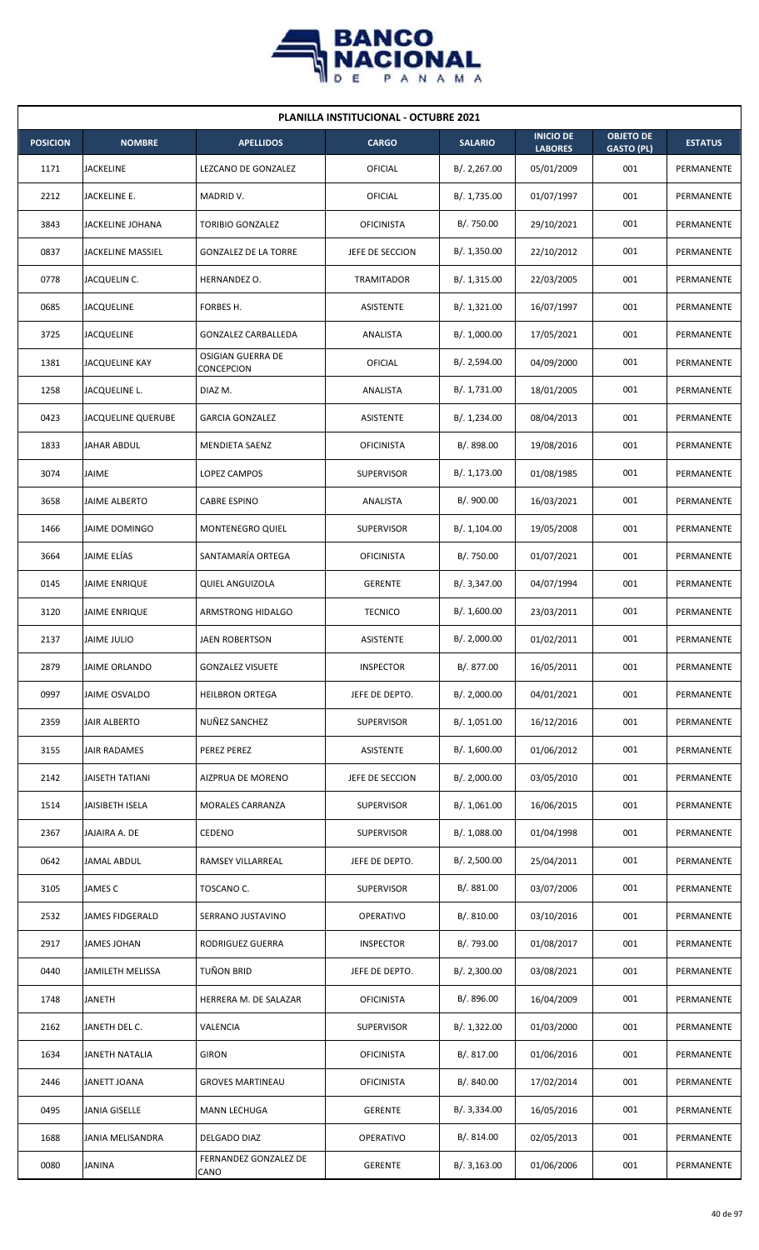

| <b>PLANILLA INSTITUCIONAL - OCTUBRE 2021</b> |                          |                                 |                   |                |                                    |                                       |                |  |  |  |
|----------------------------------------------|--------------------------|---------------------------------|-------------------|----------------|------------------------------------|---------------------------------------|----------------|--|--|--|
| <b>POSICION</b>                              | <b>NOMBRE</b>            | <b>APELLIDOS</b>                | <b>CARGO</b>      | <b>SALARIO</b> | <b>INICIO DE</b><br><b>LABORES</b> | <b>OBJETO DE</b><br><b>GASTO (PL)</b> | <b>ESTATUS</b> |  |  |  |
| 1171                                         | <b>JACKELINE</b>         | LEZCANO DE GONZALEZ             | OFICIAL           | B/.2,267.00    | 05/01/2009                         | 001                                   | PERMANENTE     |  |  |  |
| 2212                                         | JACKELINE E.             | MADRID V.                       | OFICIAL           | B/. 1,735.00   | 01/07/1997                         | 001                                   | PERMANENTE     |  |  |  |
| 3843                                         | JACKELINE JOHANA         | <b>TORIBIO GONZALEZ</b>         | <b>OFICINISTA</b> | B/. 750.00     | 29/10/2021                         | 001                                   | PERMANENTE     |  |  |  |
| 0837                                         | <b>JACKELINE MASSIEL</b> | <b>GONZALEZ DE LA TORRE</b>     | JEFE DE SECCION   | B/.1,350.00    | 22/10/2012                         | 001                                   | PERMANENTE     |  |  |  |
| 0778                                         | JACQUELIN C.             | HERNANDEZ O.                    | <b>TRAMITADOR</b> | B/.1,315.00    | 22/03/2005                         | 001                                   | PERMANENTE     |  |  |  |
| 0685                                         | <b>JACQUELINE</b>        | FORBES H.                       | ASISTENTE         | B/. 1,321.00   | 16/07/1997                         | 001                                   | PERMANENTE     |  |  |  |
| 3725                                         | <b>JACQUELINE</b>        | <b>GONZALEZ CARBALLEDA</b>      | ANALISTA          | B/. 1,000.00   | 17/05/2021                         | 001                                   | PERMANENTE     |  |  |  |
| 1381                                         | JACQUELINE KAY           | OSIGIAN GUERRA DE<br>CONCEPCION | <b>OFICIAL</b>    | B/.2,594.00    | 04/09/2000                         | 001                                   | PERMANENTE     |  |  |  |
| 1258                                         | JACQUELINE L.            | DIAZ M.                         | ANALISTA          | B/. 1,731.00   | 18/01/2005                         | 001                                   | PERMANENTE     |  |  |  |
| 0423                                         | JACQUELINE QUERUBE       | <b>GARCIA GONZALEZ</b>          | ASISTENTE         | B/. 1,234.00   | 08/04/2013                         | 001                                   | PERMANENTE     |  |  |  |
| 1833                                         | JAHAR ABDUL              | <b>MENDIETA SAENZ</b>           | <b>OFICINISTA</b> | B/. 898.00     | 19/08/2016                         | 001                                   | PERMANENTE     |  |  |  |
| 3074                                         | <b>JAIME</b>             | LOPEZ CAMPOS                    | <b>SUPERVISOR</b> | B/.1,173.00    | 01/08/1985                         | 001                                   | PERMANENTE     |  |  |  |
| 3658                                         | JAIME ALBERTO            | <b>CABRE ESPINO</b>             | ANALISTA          | B/. 900.00     | 16/03/2021                         | 001                                   | PERMANENTE     |  |  |  |
| 1466                                         | JAIME DOMINGO            | <b>MONTENEGRO QUIEL</b>         | <b>SUPERVISOR</b> | B/. 1,104.00   | 19/05/2008                         | 001                                   | PERMANENTE     |  |  |  |
| 3664                                         | JAIME ELÍAS              | SANTAMARÍA ORTEGA               | <b>OFICINISTA</b> | B/. 750.00     | 01/07/2021                         | 001                                   | PERMANENTE     |  |  |  |
| 0145                                         | <b>JAIME ENRIQUE</b>     | <b>QUIEL ANGUIZOLA</b>          | <b>GERENTE</b>    | B/.3,347.00    | 04/07/1994                         | 001                                   | PERMANENTE     |  |  |  |
| 3120                                         | <b>JAIME ENRIQUE</b>     | ARMSTRONG HIDALGO               | <b>TECNICO</b>    | B/.1,600.00    | 23/03/2011                         | 001                                   | PERMANENTE     |  |  |  |
| 2137                                         | <b>JAIME JULIO</b>       | <b>JAEN ROBERTSON</b>           | ASISTENTE         | B/. 2,000.00   | 01/02/2011                         | 001                                   | PERMANENTE     |  |  |  |
| 2879                                         | JAIME ORLANDO            | <b>GONZALEZ VISUETE</b>         | <b>INSPECTOR</b>  | B/. 877.00     | 16/05/2011                         | 001                                   | PERMANENTE     |  |  |  |
| 0997                                         | JAIME OSVALDO            | <b>HEILBRON ORTEGA</b>          | JEFE DE DEPTO.    | B/.2,000.00    | 04/01/2021                         | 001                                   | PERMANENTE     |  |  |  |
| 2359                                         | <b>JAIR ALBERTO</b>      | NUÑEZ SANCHEZ                   | <b>SUPERVISOR</b> | B/. 1,051.00   | 16/12/2016                         | 001                                   | PERMANENTE     |  |  |  |
| 3155                                         | JAIR RADAMES             | PEREZ PEREZ                     | ASISTENTE         | B/. 1,600.00   | 01/06/2012                         | 001                                   | PERMANENTE     |  |  |  |
| 2142                                         | <b>JAISETH TATIANI</b>   | AIZPRUA DE MORENO               | JEFE DE SECCION   | B/.2,000.00    | 03/05/2010                         | 001                                   | PERMANENTE     |  |  |  |
| 1514                                         | JAISIBETH ISELA          | MORALES CARRANZA                | <b>SUPERVISOR</b> | B/. 1,061.00   | 16/06/2015                         | 001                                   | PERMANENTE     |  |  |  |
| 2367                                         | JAJAIRA A. DE            | <b>CEDENO</b>                   | <b>SUPERVISOR</b> | B/. 1,088.00   | 01/04/1998                         | 001                                   | PERMANENTE     |  |  |  |
| 0642                                         | JAMAL ABDUL              | RAMSEY VILLARREAL               | JEFE DE DEPTO.    | B/.2,500.00    | 25/04/2011                         | 001                                   | PERMANENTE     |  |  |  |
| 3105                                         | JAMES C                  | TOSCANO C.                      | <b>SUPERVISOR</b> | B/. 881.00     | 03/07/2006                         | 001                                   | PERMANENTE     |  |  |  |
| 2532                                         | JAMES FIDGERALD          | SERRANO JUSTAVINO               | OPERATIVO         | B/. 810.00     | 03/10/2016                         | 001                                   | PERMANENTE     |  |  |  |
| 2917                                         | JAMES JOHAN              | RODRIGUEZ GUERRA                | <b>INSPECTOR</b>  | B/. 793.00     | 01/08/2017                         | 001                                   | PERMANENTE     |  |  |  |
| 0440                                         | JAMILETH MELISSA         | TUÑON BRID                      | JEFE DE DEPTO.    | B/.2,300.00    | 03/08/2021                         | 001                                   | PERMANENTE     |  |  |  |
| 1748                                         | <b>JANETH</b>            | HERRERA M. DE SALAZAR           | <b>OFICINISTA</b> | B/. 896.00     | 16/04/2009                         | 001                                   | PERMANENTE     |  |  |  |
| 2162                                         | JANETH DEL C.            | VALENCIA                        | SUPERVISOR        | B/. 1,322.00   | 01/03/2000                         | 001                                   | PERMANENTE     |  |  |  |
| 1634                                         | JANETH NATALIA           | <b>GIRON</b>                    | <b>OFICINISTA</b> | B/. 817.00     | 01/06/2016                         | 001                                   | PERMANENTE     |  |  |  |
| 2446                                         | JANETT JOANA             | <b>GROVES MARTINEAU</b>         | <b>OFICINISTA</b> | B/. 840.00     | 17/02/2014                         | 001                                   | PERMANENTE     |  |  |  |
| 0495                                         | JANIA GISELLE            | MANN LECHUGA                    | <b>GERENTE</b>    | B/. 3,334.00   | 16/05/2016                         | 001                                   | PERMANENTE     |  |  |  |
| 1688                                         | JANIA MELISANDRA         | DELGADO DIAZ                    | OPERATIVO         | B/. 814.00     | 02/05/2013                         | 001                                   | PERMANENTE     |  |  |  |
| 0080                                         | JANINA                   | FERNANDEZ GONZALEZ DE<br>CANO   | <b>GERENTE</b>    | B/.3,163.00    | 01/06/2006                         | 001                                   | PERMANENTE     |  |  |  |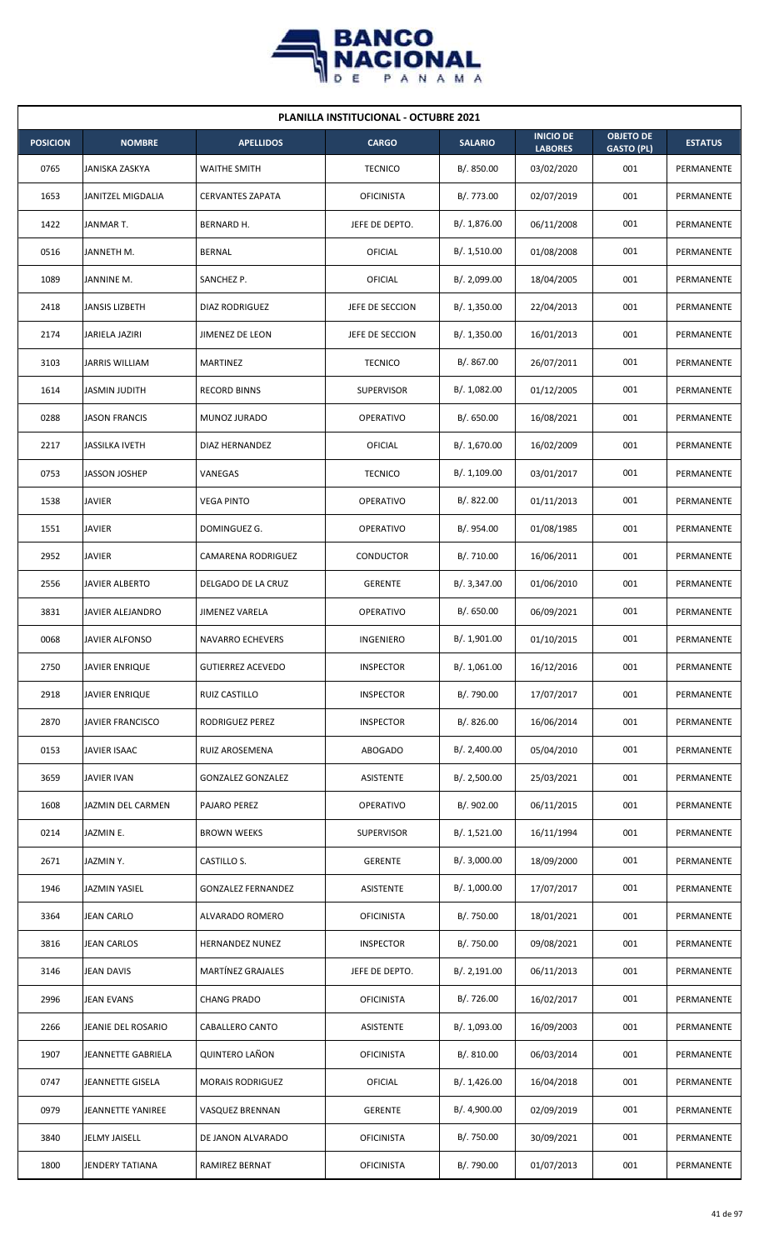

| <b>PLANILLA INSTITUCIONAL - OCTUBRE 2021</b> |                       |                           |                   |                |                                    |                                       |                |  |  |
|----------------------------------------------|-----------------------|---------------------------|-------------------|----------------|------------------------------------|---------------------------------------|----------------|--|--|
| <b>POSICION</b>                              | <b>NOMBRE</b>         | <b>APELLIDOS</b>          | <b>CARGO</b>      | <b>SALARIO</b> | <b>INICIO DE</b><br><b>LABORES</b> | <b>OBJETO DE</b><br><b>GASTO (PL)</b> | <b>ESTATUS</b> |  |  |
| 0765                                         | JANISKA ZASKYA        | <b>WAITHE SMITH</b>       | <b>TECNICO</b>    | B/. 850.00     | 03/02/2020                         | 001                                   | PERMANENTE     |  |  |
| 1653                                         | JANITZEL MIGDALIA     | <b>CERVANTES ZAPATA</b>   | <b>OFICINISTA</b> | B/. 773.00     | 02/07/2019                         | 001                                   | PERMANENTE     |  |  |
| 1422                                         | JANMAR T.             | BERNARD H.                | JEFE DE DEPTO.    | B/. 1,876.00   | 06/11/2008                         | 001                                   | PERMANENTE     |  |  |
| 0516                                         | JANNETH M.            | <b>BERNAL</b>             | <b>OFICIAL</b>    | B/. 1,510.00   | 01/08/2008                         | 001                                   | PERMANENTE     |  |  |
| 1089                                         | JANNINE M.            | SANCHEZ P.                | OFICIAL           | B/. 2,099.00   | 18/04/2005                         | 001                                   | PERMANENTE     |  |  |
| 2418                                         | JANSIS LIZBETH        | DIAZ RODRIGUEZ            | JEFE DE SECCION   | B/. 1,350.00   | 22/04/2013                         | 001                                   | PERMANENTE     |  |  |
| 2174                                         | JARIELA JAZIRI        | JIMENEZ DE LEON           | JEFE DE SECCION   | B/.1,350.00    | 16/01/2013                         | 001                                   | PERMANENTE     |  |  |
| 3103                                         | JARRIS WILLIAM        | MARTINEZ                  | <b>TECNICO</b>    | B/. 867.00     | 26/07/2011                         | 001                                   | PERMANENTE     |  |  |
| 1614                                         | JASMIN JUDITH         | <b>RECORD BINNS</b>       | <b>SUPERVISOR</b> | B/. 1,082.00   | 01/12/2005                         | 001                                   | PERMANENTE     |  |  |
| 0288                                         | <b>JASON FRANCIS</b>  | MUNOZ JURADO              | <b>OPERATIVO</b>  | B/0.650.00     | 16/08/2021                         | 001                                   | PERMANENTE     |  |  |
| 2217                                         | JASSILKA IVETH        | DIAZ HERNANDEZ            | OFICIAL           | B/. 1,670.00   | 16/02/2009                         | 001                                   | PERMANENTE     |  |  |
| 0753                                         | <b>JASSON JOSHEP</b>  | VANEGAS                   | <b>TECNICO</b>    | B/. 1,109.00   | 03/01/2017                         | 001                                   | PERMANENTE     |  |  |
| 1538                                         | <b>JAVIER</b>         | <b>VEGA PINTO</b>         | OPERATIVO         | B/0.822.00     | 01/11/2013                         | 001                                   | PERMANENTE     |  |  |
| 1551                                         | <b>JAVIER</b>         | DOMINGUEZ G.              | <b>OPERATIVO</b>  | B/. 954.00     | 01/08/1985                         | 001                                   | PERMANENTE     |  |  |
| 2952                                         | <b>JAVIER</b>         | <b>CAMARENA RODRIGUEZ</b> | <b>CONDUCTOR</b>  | B/. 710.00     | 16/06/2011                         | 001                                   | PERMANENTE     |  |  |
| 2556                                         | JAVIER ALBERTO        | DELGADO DE LA CRUZ        | <b>GERENTE</b>    | B/.3,347.00    | 01/06/2010                         | 001                                   | PERMANENTE     |  |  |
| 3831                                         | JAVIER ALEJANDRO      | JIMENEZ VARELA            | OPERATIVO         | B/0.650.00     | 06/09/2021                         | 001                                   | PERMANENTE     |  |  |
| 0068                                         | JAVIER ALFONSO        | <b>NAVARRO ECHEVERS</b>   | <b>INGENIERO</b>  | B/. 1,901.00   | 01/10/2015                         | 001                                   | PERMANENTE     |  |  |
| 2750                                         | <b>JAVIER ENRIQUE</b> | <b>GUTIERREZ ACEVEDO</b>  | <b>INSPECTOR</b>  | B/. 1,061.00   | 16/12/2016                         | 001                                   | PERMANENTE     |  |  |
| 2918                                         | <b>JAVIER ENRIQUE</b> | RUIZ CASTILLO             | <b>INSPECTOR</b>  | B/. 790.00     | 17/07/2017                         | 001                                   | PERMANENTE     |  |  |
| 2870                                         | JAVIER FRANCISCO      | RODRIGUEZ PEREZ           | <b>INSPECTOR</b>  | B/. 826.00     | 16/06/2014                         | 001                                   | PERMANENTE     |  |  |
| 0153                                         | JAVIER ISAAC          | RUIZ AROSEMENA            | ABOGADO           | B/.2,400.00    | 05/04/2010                         | 001                                   | PERMANENTE     |  |  |
| 3659                                         | JAVIER IVAN           | <b>GONZALEZ GONZALEZ</b>  | ASISTENTE         | B/.2,500.00    | 25/03/2021                         | 001                                   | PERMANENTE     |  |  |
| 1608                                         | JAZMIN DEL CARMEN     | PAJARO PEREZ              | OPERATIVO         | B/. 902.00     | 06/11/2015                         | 001                                   | PERMANENTE     |  |  |
| 0214                                         | JAZMIN E.             | <b>BROWN WEEKS</b>        | <b>SUPERVISOR</b> | B/. 1,521.00   | 16/11/1994                         | 001                                   | PERMANENTE     |  |  |
| 2671                                         | JAZMINY.              | CASTILLO S.               | <b>GERENTE</b>    | B/.3,000.00    | 18/09/2000                         | 001                                   | PERMANENTE     |  |  |
| 1946                                         | JAZMIN YASIEL         | <b>GONZALEZ FERNANDEZ</b> | ASISTENTE         | B/. 1,000.00   | 17/07/2017                         | 001                                   | PERMANENTE     |  |  |
| 3364                                         | <b>JEAN CARLO</b>     | ALVARADO ROMERO           | <b>OFICINISTA</b> | B/. 750.00     | 18/01/2021                         | 001                                   | PERMANENTE     |  |  |
| 3816                                         | <b>JEAN CARLOS</b>    | HERNANDEZ NUNEZ           | <b>INSPECTOR</b>  | B/. 750.00     | 09/08/2021                         | 001                                   | PERMANENTE     |  |  |
| 3146                                         | <b>JEAN DAVIS</b>     | MARTÍNEZ GRAJALES         | JEFE DE DEPTO.    | B/.2,191.00    | 06/11/2013                         | 001                                   | PERMANENTE     |  |  |
| 2996                                         | JEAN EVANS            | <b>CHANG PRADO</b>        | <b>OFICINISTA</b> | B/. 726.00     | 16/02/2017                         | 001                                   | PERMANENTE     |  |  |
| 2266                                         | JEANIE DEL ROSARIO    | CABALLERO CANTO           | ASISTENTE         | B/. 1,093.00   | 16/09/2003                         | 001                                   | PERMANENTE     |  |  |
| 1907                                         | JEANNETTE GABRIELA    | <b>QUINTERO LAÑON</b>     | <b>OFICINISTA</b> | B/. 810.00     | 06/03/2014                         | 001                                   | PERMANENTE     |  |  |
| 0747                                         | JEANNETTE GISELA      | <b>MORAIS RODRIGUEZ</b>   | <b>OFICIAL</b>    | B/.1,426.00    | 16/04/2018                         | 001                                   | PERMANENTE     |  |  |
| 0979                                         | JEANNETTE YANIREE     | VASQUEZ BRENNAN           | <b>GERENTE</b>    | B/. 4,900.00   | 02/09/2019                         | 001                                   | PERMANENTE     |  |  |
| 3840                                         | <b>JELMY JAISELL</b>  | DE JANON ALVARADO         | <b>OFICINISTA</b> | B/. 750.00     | 30/09/2021                         | 001                                   | PERMANENTE     |  |  |
| 1800                                         | JENDERY TATIANA       | RAMIREZ BERNAT            | <b>OFICINISTA</b> | B/. 790.00     | 01/07/2013                         | 001                                   | PERMANENTE     |  |  |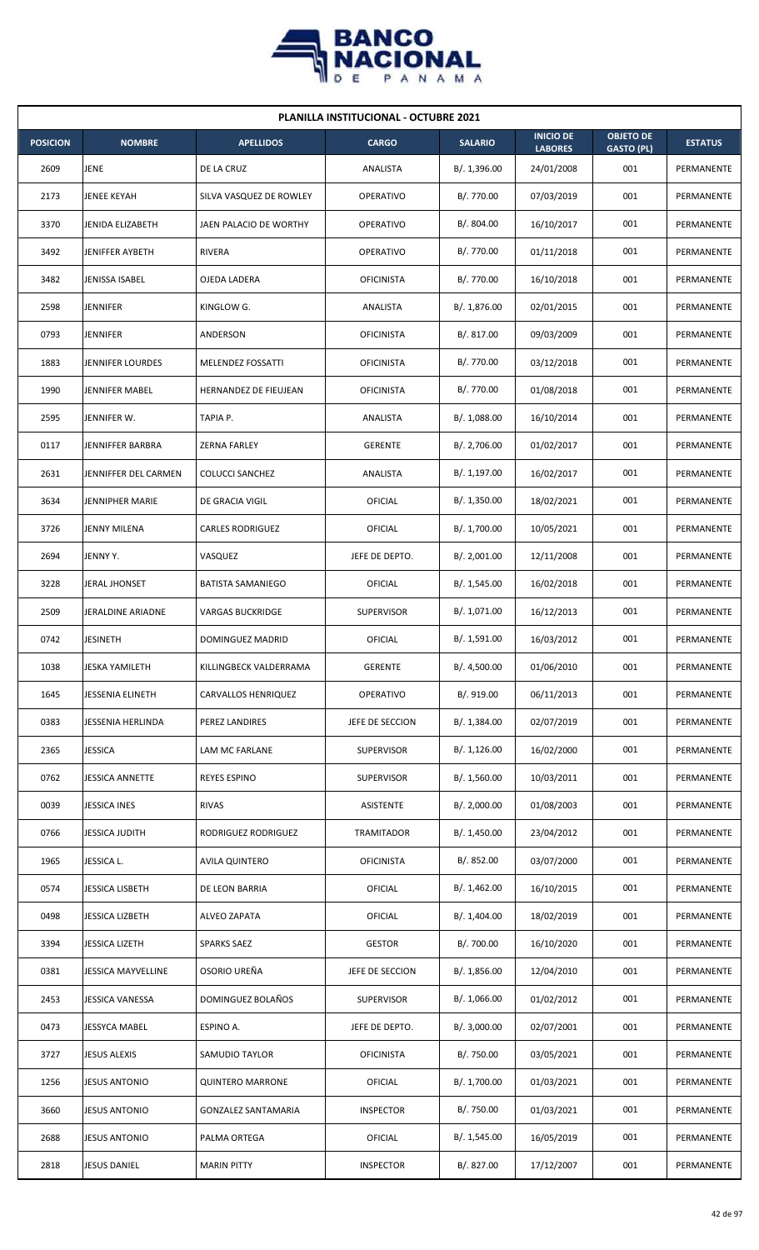

|                 | <b>PLANILLA INSTITUCIONAL - OCTUBRE 2021</b> |                              |                   |                |                                    |                                       |                |  |  |  |
|-----------------|----------------------------------------------|------------------------------|-------------------|----------------|------------------------------------|---------------------------------------|----------------|--|--|--|
| <b>POSICION</b> | <b>NOMBRE</b>                                | <b>APELLIDOS</b>             | <b>CARGO</b>      | <b>SALARIO</b> | <b>INICIO DE</b><br><b>LABORES</b> | <b>OBJETO DE</b><br><b>GASTO (PL)</b> | <b>ESTATUS</b> |  |  |  |
| 2609            | <b>JENE</b>                                  | DE LA CRUZ                   | <b>ANALISTA</b>   | B/.1,396.00    | 24/01/2008                         | 001                                   | PERMANENTE     |  |  |  |
| 2173            | JENEE KEYAH                                  | SILVA VASQUEZ DE ROWLEY      | <b>OPERATIVO</b>  | B/. 770.00     | 07/03/2019                         | 001                                   | PERMANENTE     |  |  |  |
| 3370            | JENIDA ELIZABETH                             | JAEN PALACIO DE WORTHY       | <b>OPERATIVO</b>  | B/. 804.00     | 16/10/2017                         | 001                                   | PERMANENTE     |  |  |  |
| 3492            | <b>JENIFFER AYBETH</b>                       | <b>RIVERA</b>                | <b>OPERATIVO</b>  | B/. 770.00     | 01/11/2018                         | 001                                   | PERMANENTE     |  |  |  |
| 3482            | JENISSA ISABEL                               | OJEDA LADERA                 | <b>OFICINISTA</b> | B/. 770.00     | 16/10/2018                         | 001                                   | PERMANENTE     |  |  |  |
| 2598            | <b>JENNIFER</b>                              | KINGLOW G.                   | ANALISTA          | B/. 1,876.00   | 02/01/2015                         | 001                                   | PERMANENTE     |  |  |  |
| 0793            | <b>JENNIFER</b>                              | ANDERSON                     | <b>OFICINISTA</b> | B/. 817.00     | 09/03/2009                         | 001                                   | PERMANENTE     |  |  |  |
| 1883            | <b>JENNIFER LOURDES</b>                      | MELENDEZ FOSSATTI            | <b>OFICINISTA</b> | B/. 770.00     | 03/12/2018                         | 001                                   | PERMANENTE     |  |  |  |
| 1990            | <b>JENNIFER MABEL</b>                        | <b>HERNANDEZ DE FIEUJEAN</b> | <b>OFICINISTA</b> | B/. 770.00     | 01/08/2018                         | 001                                   | PERMANENTE     |  |  |  |
| 2595            | JENNIFER W.                                  | TAPIA P.                     | ANALISTA          | B/. 1,088.00   | 16/10/2014                         | 001                                   | PERMANENTE     |  |  |  |
| 0117            | JENNIFFER BARBRA                             | <b>ZERNA FARLEY</b>          | <b>GERENTE</b>    | B/. 2,706.00   | 01/02/2017                         | 001                                   | PERMANENTE     |  |  |  |
| 2631            | JENNIFFER DEL CARMEN                         | <b>COLUCCI SANCHEZ</b>       | ANALISTA          | B/. 1,197.00   | 16/02/2017                         | 001                                   | PERMANENTE     |  |  |  |
| 3634            | <b>JENNIPHER MARIE</b>                       | DE GRACIA VIGIL              | <b>OFICIAL</b>    | B/. 1,350.00   | 18/02/2021                         | 001                                   | PERMANENTE     |  |  |  |
| 3726            | <b>JENNY MILENA</b>                          | <b>CARLES RODRIGUEZ</b>      | <b>OFICIAL</b>    | B/. 1,700.00   | 10/05/2021                         | 001                                   | PERMANENTE     |  |  |  |
| 2694            | JENNY Y.                                     | VASQUEZ                      | JEFE DE DEPTO.    | B/.2,001.00    | 12/11/2008                         | 001                                   | PERMANENTE     |  |  |  |
| 3228            | JERAL JHONSET                                | <b>BATISTA SAMANIEGO</b>     | OFICIAL           | B/. 1,545.00   | 16/02/2018                         | 001                                   | PERMANENTE     |  |  |  |
| 2509            | JERALDINE ARIADNE                            | VARGAS BUCKRIDGE             | <b>SUPERVISOR</b> | B/. 1,071.00   | 16/12/2013                         | 001                                   | PERMANENTE     |  |  |  |
| 0742            | <b>JESINETH</b>                              | <b>DOMINGUEZ MADRID</b>      | OFICIAL           | B/. 1,591.00   | 16/03/2012                         | 001                                   | PERMANENTE     |  |  |  |
| 1038            | <b>JESKA YAMILETH</b>                        | KILLINGBECK VALDERRAMA       | <b>GERENTE</b>    | B/. 4,500.00   | 01/06/2010                         | 001                                   | PERMANENTE     |  |  |  |
| 1645            | <b>JESSENIA ELINETH</b>                      | CARVALLOS HENRIQUEZ          | OPERATIVO         | B/. 919.00     | 06/11/2013                         | 001                                   | PERMANENTE     |  |  |  |
| 0383            | <b>JESSENIA HERLINDA</b>                     | PEREZ LANDIRES               | JEFE DE SECCION   | B/. 1,384.00   | 02/07/2019                         | 001                                   | PERMANENTE     |  |  |  |
| 2365            | <b>JESSICA</b>                               | LAM MC FARLANE               | SUPERVISOR        | B/.1,126.00    | 16/02/2000                         | 001                                   | PERMANENTE     |  |  |  |
| 0762            | <b>JESSICA ANNETTE</b>                       | <b>REYES ESPINO</b>          | <b>SUPERVISOR</b> | B/. 1,560.00   | 10/03/2011                         | 001                                   | PERMANENTE     |  |  |  |
| 0039            | <b>JESSICA INES</b>                          | <b>RIVAS</b>                 | <b>ASISTENTE</b>  | B/.2,000.00    | 01/08/2003                         | 001                                   | PERMANENTE     |  |  |  |
| 0766            | JESSICA JUDITH                               | RODRIGUEZ RODRIGUEZ          | TRAMITADOR        | B/.1,450.00    | 23/04/2012                         | 001                                   | PERMANENTE     |  |  |  |
| 1965            | JESSICA L.                                   | <b>AVILA QUINTERO</b>        | <b>OFICINISTA</b> | B/. 852.00     | 03/07/2000                         | 001                                   | PERMANENTE     |  |  |  |
| 0574            | JESSICA LISBETH                              | DE LEON BARRIA               | <b>OFICIAL</b>    | B/. 1,462.00   | 16/10/2015                         | 001                                   | PERMANENTE     |  |  |  |
| 0498            | <b>JESSICA LIZBETH</b>                       | <b>ALVEO ZAPATA</b>          | <b>OFICIAL</b>    | B/. 1,404.00   | 18/02/2019                         | 001                                   | PERMANENTE     |  |  |  |
| 3394            | <b>JESSICA LIZETH</b>                        | <b>SPARKS SAEZ</b>           | <b>GESTOR</b>     | B/. 700.00     | 16/10/2020                         | 001                                   | PERMANENTE     |  |  |  |
| 0381            | <b>JESSICA MAYVELLINE</b>                    | OSORIO UREÑA                 | JEFE DE SECCION   | B/.1,856.00    | 12/04/2010                         | 001                                   | PERMANENTE     |  |  |  |
| 2453            | JESSICA VANESSA                              | DOMINGUEZ BOLAÑOS            | SUPERVISOR        | B/. 1,066.00   | 01/02/2012                         | 001                                   | PERMANENTE     |  |  |  |
| 0473            | <b>JESSYCA MABEL</b>                         | ESPINO A.                    | JEFE DE DEPTO.    | B/.3,000.00    | 02/07/2001                         | 001                                   | PERMANENTE     |  |  |  |
| 3727            | <b>JESUS ALEXIS</b>                          | SAMUDIO TAYLOR               | <b>OFICINISTA</b> | B/. 750.00     | 03/05/2021                         | 001                                   | PERMANENTE     |  |  |  |
| 1256            | <b>JESUS ANTONIO</b>                         | <b>QUINTERO MARRONE</b>      | OFICIAL           | B/. 1,700.00   | 01/03/2021                         | 001                                   | PERMANENTE     |  |  |  |
| 3660            | <b>JESUS ANTONIO</b>                         | <b>GONZALEZ SANTAMARIA</b>   | <b>INSPECTOR</b>  | B/. 750.00     | 01/03/2021                         | 001                                   | PERMANENTE     |  |  |  |
| 2688            | <b>JESUS ANTONIO</b>                         | PALMA ORTEGA                 | OFICIAL           | B/.1,545.00    | 16/05/2019                         | 001                                   | PERMANENTE     |  |  |  |
| 2818            | <b>JESUS DANIEL</b>                          | <b>MARIN PITTY</b>           | <b>INSPECTOR</b>  | B/. 827.00     | 17/12/2007                         | 001                                   | PERMANENTE     |  |  |  |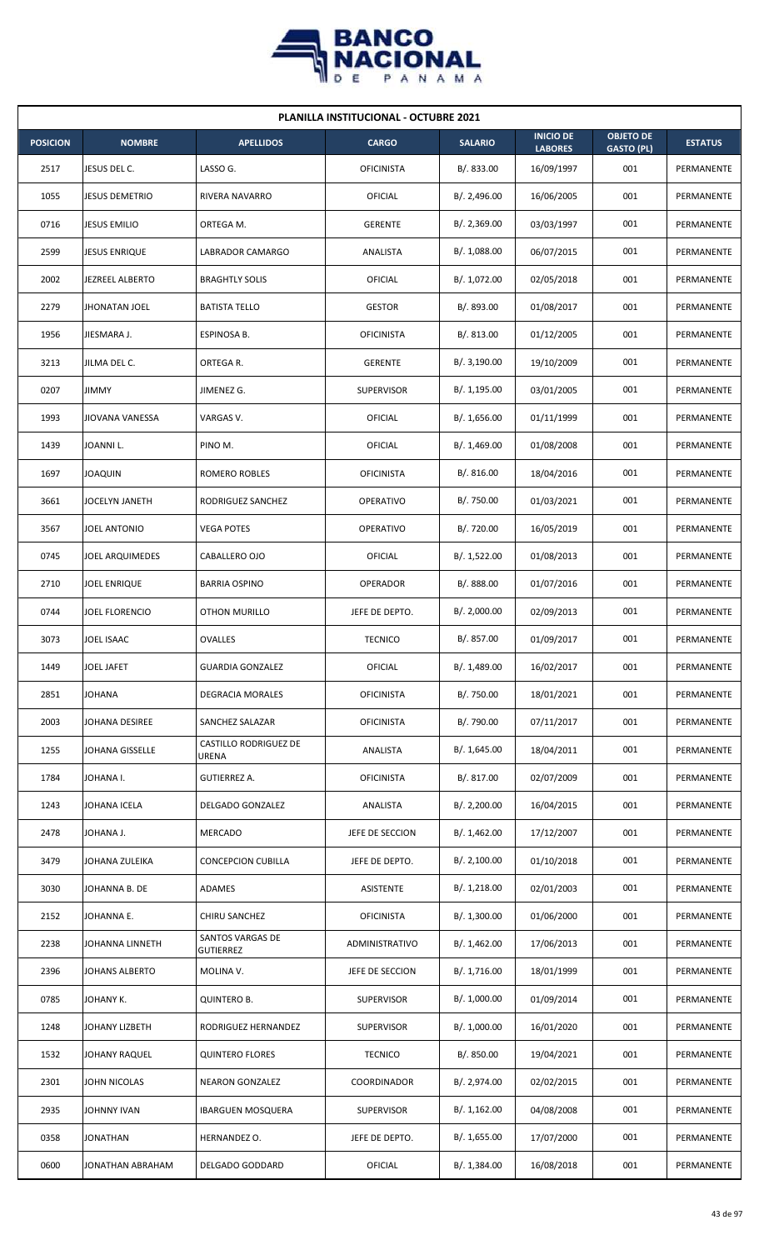

| <b>PLANILLA INSTITUCIONAL - OCTUBRE 2021</b> |                      |                                      |                   |                |                                    |                                       |                |  |  |  |
|----------------------------------------------|----------------------|--------------------------------------|-------------------|----------------|------------------------------------|---------------------------------------|----------------|--|--|--|
| <b>POSICION</b>                              | <b>NOMBRE</b>        | <b>APELLIDOS</b>                     | <b>CARGO</b>      | <b>SALARIO</b> | <b>INICIO DE</b><br><b>LABORES</b> | <b>OBJETO DE</b><br><b>GASTO (PL)</b> | <b>ESTATUS</b> |  |  |  |
| 2517                                         | JESUS DEL C.         | LASSO G.                             | <b>OFICINISTA</b> | B/. 833.00     | 16/09/1997                         | 001                                   | PERMANENTE     |  |  |  |
| 1055                                         | JESUS DEMETRIO       | <b>RIVERA NAVARRO</b>                | OFICIAL           | B/.2,496.00    | 16/06/2005                         | 001                                   | PERMANENTE     |  |  |  |
| 0716                                         | <b>JESUS EMILIO</b>  | ORTEGA M.                            | <b>GERENTE</b>    | B/.2,369.00    | 03/03/1997                         | 001                                   | PERMANENTE     |  |  |  |
| 2599                                         | <b>JESUS ENRIQUE</b> | <b>LABRADOR CAMARGO</b>              | ANALISTA          | B/. 1,088.00   | 06/07/2015                         | 001                                   | PERMANENTE     |  |  |  |
| 2002                                         | JEZREEL ALBERTO      | <b>BRAGHTLY SOLIS</b>                | OFICIAL           | B/. 1,072.00   | 02/05/2018                         | 001                                   | PERMANENTE     |  |  |  |
| 2279                                         | <b>JHONATAN JOEL</b> | <b>BATISTA TELLO</b>                 | <b>GESTOR</b>     | B/. 893.00     | 01/08/2017                         | 001                                   | PERMANENTE     |  |  |  |
| 1956                                         | JIESMARA J.          | ESPINOSA B.                          | <b>OFICINISTA</b> | B/.813.00      | 01/12/2005                         | 001                                   | PERMANENTE     |  |  |  |
| 3213                                         | JILMA DEL C.         | ORTEGA R.                            | <b>GERENTE</b>    | B/.3,190.00    | 19/10/2009                         | 001                                   | PERMANENTE     |  |  |  |
| 0207                                         | <b>JIMMY</b>         | JIMENEZ G.                           | <b>SUPERVISOR</b> | B/. 1,195.00   | 03/01/2005                         | 001                                   | PERMANENTE     |  |  |  |
| 1993                                         | JIOVANA VANESSA      | VARGAS V.                            | OFICIAL           | B/. 1,656.00   | 01/11/1999                         | 001                                   | PERMANENTE     |  |  |  |
| 1439                                         | JOANNI L.            | PINO M.                              | OFICIAL           | B/. 1,469.00   | 01/08/2008                         | 001                                   | PERMANENTE     |  |  |  |
| 1697                                         | JOAQUIN              | ROMERO ROBLES                        | <b>OFICINISTA</b> | B/. 816.00     | 18/04/2016                         | 001                                   | PERMANENTE     |  |  |  |
| 3661                                         | JOCELYN JANETH       | RODRIGUEZ SANCHEZ                    | OPERATIVO         | B/. 750.00     | 01/03/2021                         | 001                                   | PERMANENTE     |  |  |  |
| 3567                                         | <b>JOEL ANTONIO</b>  | <b>VEGA POTES</b>                    | <b>OPERATIVO</b>  | B/. 720.00     | 16/05/2019                         | 001                                   | PERMANENTE     |  |  |  |
| 0745                                         | JOEL ARQUIMEDES      | CABALLERO OJO                        | OFICIAL           | B/.1,522.00    | 01/08/2013                         | 001                                   | PERMANENTE     |  |  |  |
| 2710                                         | JOEL ENRIQUE         | <b>BARRIA OSPINO</b>                 | OPERADOR          | B/. 888.00     | 01/07/2016                         | 001                                   | PERMANENTE     |  |  |  |
| 0744                                         | JOEL FLORENCIO       | <b>OTHON MURILLO</b>                 | JEFE DE DEPTO.    | B/.2,000.00    | 02/09/2013                         | 001                                   | PERMANENTE     |  |  |  |
| 3073                                         | JOEL ISAAC           | <b>OVALLES</b>                       | <b>TECNICO</b>    | B/. 857.00     | 01/09/2017                         | 001                                   | PERMANENTE     |  |  |  |
| 1449                                         | JOEL JAFET           | <b>GUARDIA GONZALEZ</b>              | OFICIAL           | B/. 1,489.00   | 16/02/2017                         | 001                                   | PERMANENTE     |  |  |  |
| 2851                                         | JOHANA               | <b>DEGRACIA MORALES</b>              | <b>OFICINISTA</b> | B/. 750.00     | 18/01/2021                         | 001                                   | PERMANENTE     |  |  |  |
| 2003                                         | JOHANA DESIREE       | SANCHEZ SALAZAR                      | <b>OFICINISTA</b> | B/. 790.00     | 07/11/2017                         | 001                                   | PERMANENTE     |  |  |  |
| 1255                                         | JOHANA GISSELLE      | CASTILLO RODRIGUEZ DE<br>URENA       | ANALISTA          | B/. 1,645.00   | 18/04/2011                         | 001                                   | PERMANENTE     |  |  |  |
| 1784                                         | JOHANA I.            | <b>GUTIERREZ A.</b>                  | <b>OFICINISTA</b> | B/. 817.00     | 02/07/2009                         | 001                                   | PERMANENTE     |  |  |  |
| 1243                                         | JOHANA ICELA         | DELGADO GONZALEZ                     | ANALISTA          | B/.2,200.00    | 16/04/2015                         | 001                                   | PERMANENTE     |  |  |  |
| 2478                                         | JOHANA J.            | <b>MERCADO</b>                       | JEFE DE SECCION   | B/. 1,462.00   | 17/12/2007                         | 001                                   | PERMANENTE     |  |  |  |
| 3479                                         | JOHANA ZULEIKA       | <b>CONCEPCION CUBILLA</b>            | JEFE DE DEPTO.    | B/. 2,100.00   | 01/10/2018                         | 001                                   | PERMANENTE     |  |  |  |
| 3030                                         | JOHANNA B. DE        | ADAMES                               | ASISTENTE         | B/. 1,218.00   | 02/01/2003                         | 001                                   | PERMANENTE     |  |  |  |
| 2152                                         | JOHANNA E.           | CHIRU SANCHEZ                        | <b>OFICINISTA</b> | B/. 1,300.00   | 01/06/2000                         | 001                                   | PERMANENTE     |  |  |  |
| 2238                                         | JOHANNA LINNETH      | SANTOS VARGAS DE<br><b>GUTIERREZ</b> | ADMINISTRATIVO    | B/.1,462.00    | 17/06/2013                         | 001                                   | PERMANENTE     |  |  |  |
| 2396                                         | JOHANS ALBERTO       | MOLINA V.                            | JEFE DE SECCION   | B/. 1,716.00   | 18/01/1999                         | 001                                   | PERMANENTE     |  |  |  |
| 0785                                         | JOHANY K.            | QUINTERO B.                          | SUPERVISOR        | B/. 1,000.00   | 01/09/2014                         | 001                                   | PERMANENTE     |  |  |  |
| 1248                                         | JOHANY LIZBETH       | RODRIGUEZ HERNANDEZ                  | SUPERVISOR        | B/. 1,000.00   | 16/01/2020                         | 001                                   | PERMANENTE     |  |  |  |
| 1532                                         | JOHANY RAQUEL        | <b>QUINTERO FLORES</b>               | <b>TECNICO</b>    | B/. 850.00     | 19/04/2021                         | 001                                   | PERMANENTE     |  |  |  |
| 2301                                         | JOHN NICOLAS         | <b>NEARON GONZALEZ</b>               | COORDINADOR       | B/. 2,974.00   | 02/02/2015                         | 001                                   | PERMANENTE     |  |  |  |
| 2935                                         | JOHNNY IVAN          | <b>IBARGUEN MOSQUERA</b>             | SUPERVISOR        | B/. 1,162.00   | 04/08/2008                         | 001                                   | PERMANENTE     |  |  |  |
| 0358                                         | JONATHAN             | HERNANDEZ O.                         | JEFE DE DEPTO.    | B/. 1,655.00   | 17/07/2000                         | 001                                   | PERMANENTE     |  |  |  |
| 0600                                         | JONATHAN ABRAHAM     | DELGADO GODDARD                      | <b>OFICIAL</b>    | B/. 1,384.00   | 16/08/2018                         | 001                                   | PERMANENTE     |  |  |  |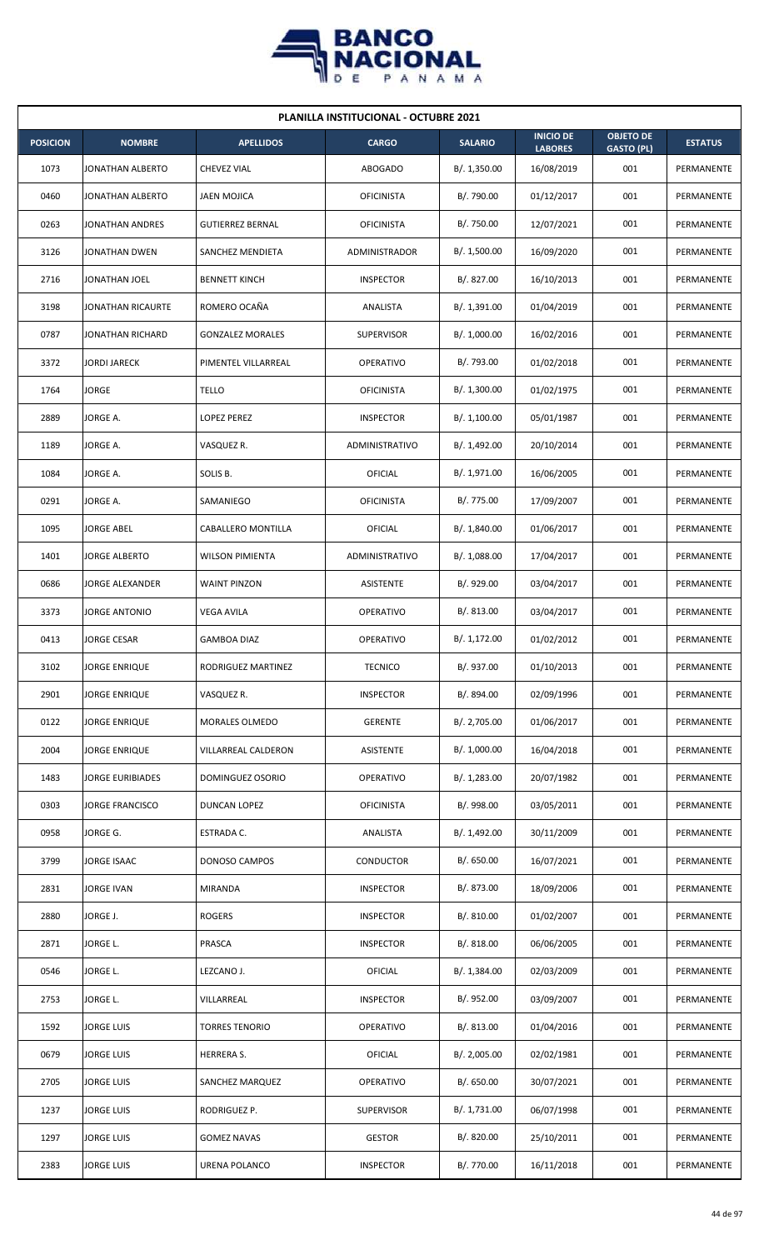

| <b>PLANILLA INSTITUCIONAL - OCTUBRE 2021</b> |                      |                         |                       |                |                                    |                                       |                |  |  |  |
|----------------------------------------------|----------------------|-------------------------|-----------------------|----------------|------------------------------------|---------------------------------------|----------------|--|--|--|
| <b>POSICION</b>                              | <b>NOMBRE</b>        | <b>APELLIDOS</b>        | <b>CARGO</b>          | <b>SALARIO</b> | <b>INICIO DE</b><br><b>LABORES</b> | <b>OBJETO DE</b><br><b>GASTO (PL)</b> | <b>ESTATUS</b> |  |  |  |
| 1073                                         | JONATHAN ALBERTO     | <b>CHEVEZ VIAL</b>      | <b>ABOGADO</b>        | B/. 1,350.00   | 16/08/2019                         | 001                                   | PERMANENTE     |  |  |  |
| 0460                                         | JONATHAN ALBERTO     | <b>JAEN MOJICA</b>      | <b>OFICINISTA</b>     | B/. 790.00     | 01/12/2017                         | 001                                   | PERMANENTE     |  |  |  |
| 0263                                         | JONATHAN ANDRES      | <b>GUTIERREZ BERNAL</b> | <b>OFICINISTA</b>     | B/. 750.00     | 12/07/2021                         | 001                                   | PERMANENTE     |  |  |  |
| 3126                                         | JONATHAN DWEN        | SANCHEZ MENDIETA        | <b>ADMINISTRADOR</b>  | B/. 1,500.00   | 16/09/2020                         | 001                                   | PERMANENTE     |  |  |  |
| 2716                                         | JONATHAN JOEL        | <b>BENNETT KINCH</b>    | <b>INSPECTOR</b>      | B/. 827.00     | 16/10/2013                         | 001                                   | PERMANENTE     |  |  |  |
| 3198                                         | JONATHAN RICAURTE    | ROMERO OCAÑA            | ANALISTA              | B/. 1,391.00   | 01/04/2019                         | 001                                   | PERMANENTE     |  |  |  |
| 0787                                         | JONATHAN RICHARD     | <b>GONZALEZ MORALES</b> | <b>SUPERVISOR</b>     | B/. 1,000.00   | 16/02/2016                         | 001                                   | PERMANENTE     |  |  |  |
| 3372                                         | <b>JORDI JARECK</b>  | PIMENTEL VILLARREAL     | <b>OPERATIVO</b>      | B/. 793.00     | 01/02/2018                         | 001                                   | PERMANENTE     |  |  |  |
| 1764                                         | JORGE                | TELLO                   | <b>OFICINISTA</b>     | B/. 1,300.00   | 01/02/1975                         | 001                                   | PERMANENTE     |  |  |  |
| 2889                                         | JORGE A.             | LOPEZ PEREZ             | <b>INSPECTOR</b>      | B/. 1,100.00   | 05/01/1987                         | 001                                   | PERMANENTE     |  |  |  |
| 1189                                         | JORGE A.             | VASQUEZ R.              | ADMINISTRATIVO        | B/. 1,492.00   | 20/10/2014                         | 001                                   | PERMANENTE     |  |  |  |
| 1084                                         | JORGE A.             | SOLIS B.                | OFICIAL               | B/. 1,971.00   | 16/06/2005                         | 001                                   | PERMANENTE     |  |  |  |
| 0291                                         | JORGE A.             | SAMANIEGO               | <b>OFICINISTA</b>     | B/. 775.00     | 17/09/2007                         | 001                                   | PERMANENTE     |  |  |  |
| 1095                                         | JORGE ABEL           | CABALLERO MONTILLA      | OFICIAL               | B/. 1,840.00   | 01/06/2017                         | 001                                   | PERMANENTE     |  |  |  |
| 1401                                         | <b>JORGE ALBERTO</b> | <b>WILSON PIMIENTA</b>  | <b>ADMINISTRATIVO</b> | B/.1,088.00    | 17/04/2017                         | 001                                   | PERMANENTE     |  |  |  |
| 0686                                         | JORGE ALEXANDER      | <b>WAINT PINZON</b>     | ASISTENTE             | B/. 929.00     | 03/04/2017                         | 001                                   | PERMANENTE     |  |  |  |
| 3373                                         | JORGE ANTONIO        | VEGA AVILA              | OPERATIVO             | B/0.813.00     | 03/04/2017                         | 001                                   | PERMANENTE     |  |  |  |
| 0413                                         | JORGE CESAR          | <b>GAMBOA DIAZ</b>      | OPERATIVO             | B/. 1,172.00   | 01/02/2012                         | 001                                   | PERMANENTE     |  |  |  |
| 3102                                         | <b>JORGE ENRIQUE</b> | RODRIGUEZ MARTINEZ      | <b>TECNICO</b>        | B/. 937.00     | 01/10/2013                         | 001                                   | PERMANENTE     |  |  |  |
| 2901                                         | JORGE ENRIQUE        | VASQUEZ R.              | <b>INSPECTOR</b>      | B/. 894.00     | 02/09/1996                         | 001                                   | PERMANENTE     |  |  |  |
| 0122                                         | JORGE ENRIQUE        | MORALES OLMEDO          | <b>GERENTE</b>        | B/. 2,705.00   | 01/06/2017                         | 001                                   | PERMANENTE     |  |  |  |
| 2004                                         | JORGE ENRIQUE        | VILLARREAL CALDERON     | ASISTENTE             | B/. 1,000.00   | 16/04/2018                         | 001                                   | PERMANENTE     |  |  |  |
| 1483                                         | JORGE EURIBIADES     | DOMINGUEZ OSORIO        | OPERATIVO             | B/. 1,283.00   | 20/07/1982                         | 001                                   | PERMANENTE     |  |  |  |
| 0303                                         | JORGE FRANCISCO      | DUNCAN LOPEZ            | <b>OFICINISTA</b>     | B/. 998.00     | 03/05/2011                         | 001                                   | PERMANENTE     |  |  |  |
| 0958                                         | JORGE G.             | ESTRADA C.              | ANALISTA              | B/. 1,492.00   | 30/11/2009                         | 001                                   | PERMANENTE     |  |  |  |
| 3799                                         | JORGE ISAAC          | DONOSO CAMPOS           | CONDUCTOR             | B/. 650.00     | 16/07/2021                         | 001                                   | PERMANENTE     |  |  |  |
| 2831                                         | JORGE IVAN           | MIRANDA                 | <b>INSPECTOR</b>      | B/. 873.00     | 18/09/2006                         | 001                                   | PERMANENTE     |  |  |  |
| 2880                                         | JORGE J.             | <b>ROGERS</b>           | <b>INSPECTOR</b>      | B/. 810.00     | 01/02/2007                         | 001                                   | PERMANENTE     |  |  |  |
| 2871                                         | JORGE L.             | PRASCA                  | <b>INSPECTOR</b>      | B/. 818.00     | 06/06/2005                         | 001                                   | PERMANENTE     |  |  |  |
| 0546                                         | JORGE L.             | LEZCANO J.              | OFICIAL               | B/. 1,384.00   | 02/03/2009                         | 001                                   | PERMANENTE     |  |  |  |
| 2753                                         | JORGE L.             | VILLARREAL              | <b>INSPECTOR</b>      | B/. 952.00     | 03/09/2007                         | 001                                   | PERMANENTE     |  |  |  |
| 1592                                         | <b>JORGE LUIS</b>    | <b>TORRES TENORIO</b>   | OPERATIVO             | B/. 813.00     | 01/04/2016                         | 001                                   | PERMANENTE     |  |  |  |
| 0679                                         | <b>JORGE LUIS</b>    | <b>HERRERA S.</b>       | OFICIAL               | B/.2,005.00    | 02/02/1981                         | 001                                   | PERMANENTE     |  |  |  |
| 2705                                         | JORGE LUIS           | SANCHEZ MARQUEZ         | OPERATIVO             | B/0.650.00     | 30/07/2021                         | 001                                   | PERMANENTE     |  |  |  |
| 1237                                         | JORGE LUIS           | RODRIGUEZ P.            | <b>SUPERVISOR</b>     | B/. 1,731.00   | 06/07/1998                         | 001                                   | PERMANENTE     |  |  |  |
| 1297                                         | <b>JORGE LUIS</b>    | <b>GOMEZ NAVAS</b>      | <b>GESTOR</b>         | B/. 820.00     | 25/10/2011                         | 001                                   | PERMANENTE     |  |  |  |
| 2383                                         | <b>JORGE LUIS</b>    | URENA POLANCO           | <b>INSPECTOR</b>      | B/. 770.00     | 16/11/2018                         | 001                                   | PERMANENTE     |  |  |  |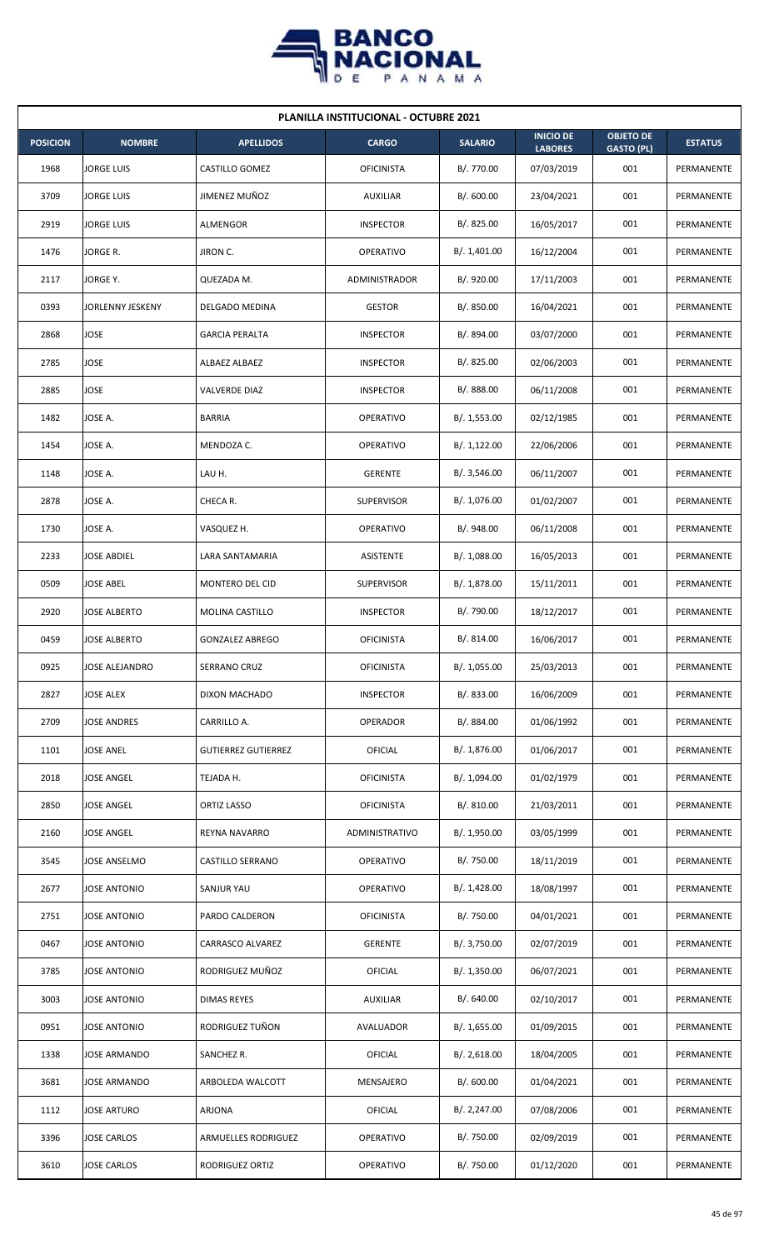

| <b>PLANILLA INSTITUCIONAL - OCTUBRE 2021</b> |                       |                            |                      |                |                                    |                                       |                |  |  |  |
|----------------------------------------------|-----------------------|----------------------------|----------------------|----------------|------------------------------------|---------------------------------------|----------------|--|--|--|
| <b>POSICION</b>                              | <b>NOMBRE</b>         | <b>APELLIDOS</b>           | <b>CARGO</b>         | <b>SALARIO</b> | <b>INICIO DE</b><br><b>LABORES</b> | <b>OBJETO DE</b><br><b>GASTO (PL)</b> | <b>ESTATUS</b> |  |  |  |
| 1968                                         | <b>JORGE LUIS</b>     | CASTILLO GOMEZ             | <b>OFICINISTA</b>    | B/. 770.00     | 07/03/2019                         | 001                                   | PERMANENTE     |  |  |  |
| 3709                                         | <b>JORGE LUIS</b>     | JIMENEZ MUÑOZ              | <b>AUXILIAR</b>      | B/. 600.00     | 23/04/2021                         | 001                                   | PERMANENTE     |  |  |  |
| 2919                                         | <b>JORGE LUIS</b>     | ALMENGOR                   | <b>INSPECTOR</b>     | B/. 825.00     | 16/05/2017                         | 001                                   | PERMANENTE     |  |  |  |
| 1476                                         | JORGE R.              | JIRON C.                   | OPERATIVO            | B/. 1,401.00   | 16/12/2004                         | 001                                   | PERMANENTE     |  |  |  |
| 2117                                         | JORGE Y.              | QUEZADA M.                 | <b>ADMINISTRADOR</b> | B/. 920.00     | 17/11/2003                         | 001                                   | PERMANENTE     |  |  |  |
| 0393                                         | JORLENNY JESKENY      | DELGADO MEDINA             | <b>GESTOR</b>        | B/. 850.00     | 16/04/2021                         | 001                                   | PERMANENTE     |  |  |  |
| 2868                                         | <b>JOSE</b>           | <b>GARCIA PERALTA</b>      | <b>INSPECTOR</b>     | B/. 894.00     | 03/07/2000                         | 001                                   | PERMANENTE     |  |  |  |
| 2785                                         | <b>JOSE</b>           | ALBAEZ ALBAEZ              | <b>INSPECTOR</b>     | B/0.825.00     | 02/06/2003                         | 001                                   | PERMANENTE     |  |  |  |
| 2885                                         | JOSE                  | VALVERDE DIAZ              | <b>INSPECTOR</b>     | B/. 888.00     | 06/11/2008                         | 001                                   | PERMANENTE     |  |  |  |
| 1482                                         | JOSE A.               | <b>BARRIA</b>              | OPERATIVO            | B/. 1,553.00   | 02/12/1985                         | 001                                   | PERMANENTE     |  |  |  |
| 1454                                         | JOSE A.               | MENDOZA C.                 | OPERATIVO            | B/.1,122.00    | 22/06/2006                         | 001                                   | PERMANENTE     |  |  |  |
| 1148                                         | JOSE A.               | LAU H.                     | <b>GERENTE</b>       | B/.3,546.00    | 06/11/2007                         | 001                                   | PERMANENTE     |  |  |  |
| 2878                                         | JOSE A.               | CHECA R.                   | <b>SUPERVISOR</b>    | B/. 1,076.00   | 01/02/2007                         | 001                                   | PERMANENTE     |  |  |  |
| 1730                                         | JOSE A.               | VASQUEZ H.                 | <b>OPERATIVO</b>     | B/. 948.00     | 06/11/2008                         | 001                                   | PERMANENTE     |  |  |  |
| 2233                                         | <b>JOSE ABDIEL</b>    | LARA SANTAMARIA            | <b>ASISTENTE</b>     | B/.1,088.00    | 16/05/2013                         | 001                                   | PERMANENTE     |  |  |  |
| 0509                                         | <b>JOSE ABEL</b>      | MONTERO DEL CID            | <b>SUPERVISOR</b>    | B/. 1,878.00   | 15/11/2011                         | 001                                   | PERMANENTE     |  |  |  |
| 2920                                         | <b>JOSE ALBERTO</b>   | MOLINA CASTILLO            | <b>INSPECTOR</b>     | B/. 790.00     | 18/12/2017                         | 001                                   | PERMANENTE     |  |  |  |
| 0459                                         | <b>JOSE ALBERTO</b>   | <b>GONZALEZ ABREGO</b>     | <b>OFICINISTA</b>    | B/. 814.00     | 16/06/2017                         | 001                                   | PERMANENTE     |  |  |  |
| 0925                                         | <b>JOSE ALEJANDRO</b> | SERRANO CRUZ               | <b>OFICINISTA</b>    | B/. 1,055.00   | 25/03/2013                         | 001                                   | PERMANENTE     |  |  |  |
| 2827                                         | <b>JOSE ALEX</b>      | DIXON MACHADO              | <b>INSPECTOR</b>     | B/. 833.00     | 16/06/2009                         | 001                                   | PERMANENTE     |  |  |  |
| 2709                                         | <b>JOSE ANDRES</b>    | CARRILLO A.                | OPERADOR             | B/. 884.00     | 01/06/1992                         | 001                                   | PERMANENTE     |  |  |  |
| 1101                                         | <b>JOSE ANEL</b>      | <b>GUTIERREZ GUTIERREZ</b> | OFICIAL              | B/. 1,876.00   | 01/06/2017                         | 001                                   | PERMANENTE     |  |  |  |
| 2018                                         | <b>JOSE ANGEL</b>     | TEJADA H.                  | <b>OFICINISTA</b>    | B/. 1,094.00   | 01/02/1979                         | 001                                   | PERMANENTE     |  |  |  |
| 2850                                         | <b>JOSE ANGEL</b>     | ORTIZ LASSO                | <b>OFICINISTA</b>    | B/. 810.00     | 21/03/2011                         | 001                                   | PERMANENTE     |  |  |  |
| 2160                                         | <b>JOSE ANGEL</b>     | REYNA NAVARRO              | ADMINISTRATIVO       | B/. 1,950.00   | 03/05/1999                         | 001                                   | PERMANENTE     |  |  |  |
| 3545                                         | JOSE ANSELMO          | CASTILLO SERRANO           | OPERATIVO            | B/. 750.00     | 18/11/2019                         | 001                                   | PERMANENTE     |  |  |  |
| 2677                                         | <b>JOSE ANTONIO</b>   | SANJUR YAU                 | OPERATIVO            | B/.1,428.00    | 18/08/1997                         | 001                                   | PERMANENTE     |  |  |  |
| 2751                                         | <b>JOSE ANTONIO</b>   | PARDO CALDERON             | <b>OFICINISTA</b>    | B/. 750.00     | 04/01/2021                         | 001                                   | PERMANENTE     |  |  |  |
| 0467                                         | <b>JOSE ANTONIO</b>   | CARRASCO ALVAREZ           | <b>GERENTE</b>       | B/. 3,750.00   | 02/07/2019                         | 001                                   | PERMANENTE     |  |  |  |
| 3785                                         | <b>JOSE ANTONIO</b>   | RODRIGUEZ MUÑOZ            | <b>OFICIAL</b>       | B/. 1,350.00   | 06/07/2021                         | 001                                   | PERMANENTE     |  |  |  |
| 3003                                         | JOSE ANTONIO          | <b>DIMAS REYES</b>         | <b>AUXILIAR</b>      | B/. 640.00     | 02/10/2017                         | 001                                   | PERMANENTE     |  |  |  |
| 0951                                         | <b>JOSE ANTONIO</b>   | RODRIGUEZ TUÑON            | AVALUADOR            | B/. 1,655.00   | 01/09/2015                         | 001                                   | PERMANENTE     |  |  |  |
| 1338                                         | JOSE ARMANDO          | SANCHEZ R.                 | <b>OFICIAL</b>       | B/.2,618.00    | 18/04/2005                         | 001                                   | PERMANENTE     |  |  |  |
| 3681                                         | JOSE ARMANDO          | ARBOLEDA WALCOTT           | MENSAJERO            | B/.600.00      | 01/04/2021                         | 001                                   | PERMANENTE     |  |  |  |
| 1112                                         | JOSE ARTURO           | ARJONA                     | OFICIAL              | B/.2,247.00    | 07/08/2006                         | 001                                   | PERMANENTE     |  |  |  |
| 3396                                         | <b>JOSE CARLOS</b>    | ARMUELLES RODRIGUEZ        | OPERATIVO            | B/. 750.00     | 02/09/2019                         | 001                                   | PERMANENTE     |  |  |  |
| 3610                                         | <b>JOSE CARLOS</b>    | RODRIGUEZ ORTIZ            | <b>OPERATIVO</b>     | B/. 750.00     | 01/12/2020                         | 001                                   | PERMANENTE     |  |  |  |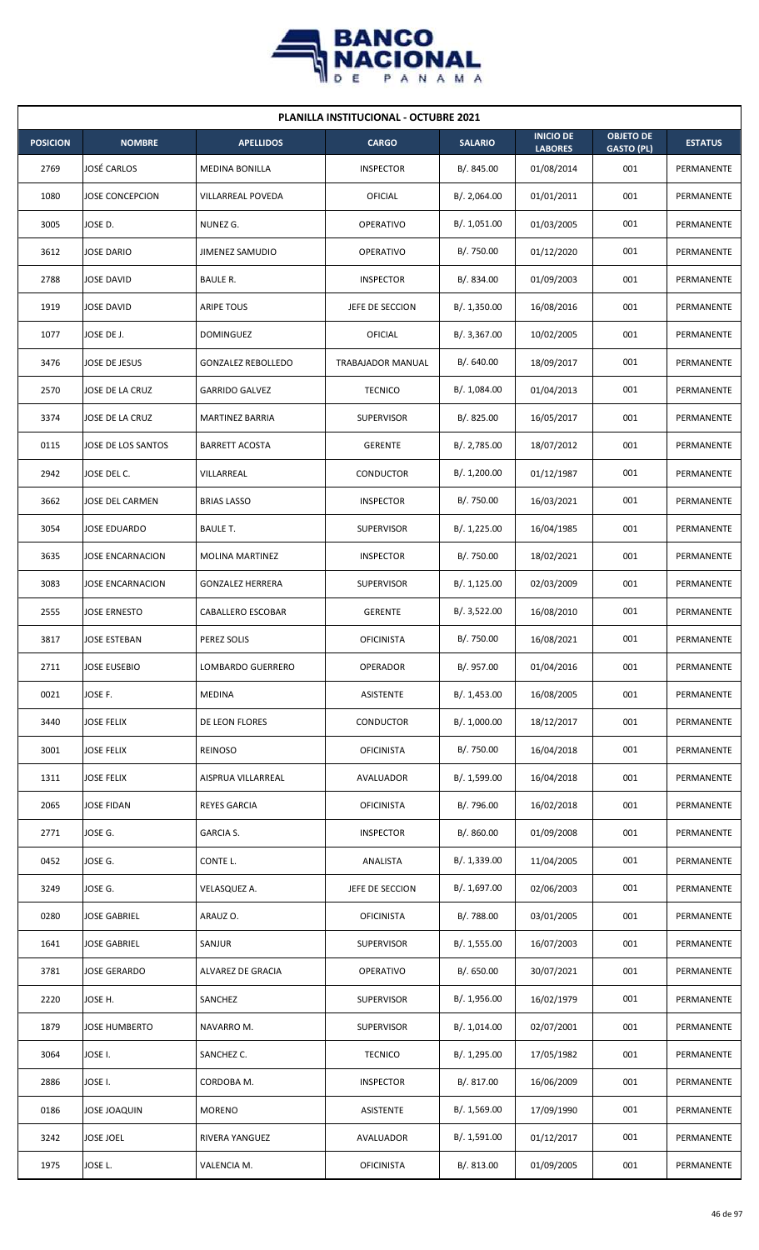

| <b>PLANILLA INSTITUCIONAL - OCTUBRE 2021</b> |                         |                           |                   |                |                                    |                                       |                |  |  |
|----------------------------------------------|-------------------------|---------------------------|-------------------|----------------|------------------------------------|---------------------------------------|----------------|--|--|
| <b>POSICION</b>                              | <b>NOMBRE</b>           | <b>APELLIDOS</b>          | <b>CARGO</b>      | <b>SALARIO</b> | <b>INICIO DE</b><br><b>LABORES</b> | <b>OBJETO DE</b><br><b>GASTO (PL)</b> | <b>ESTATUS</b> |  |  |
| 2769                                         | <b>JOSÉ CARLOS</b>      | <b>MEDINA BONILLA</b>     | <b>INSPECTOR</b>  | B/. 845.00     | 01/08/2014                         | 001                                   | PERMANENTE     |  |  |
| 1080                                         | <b>JOSE CONCEPCION</b>  | VILLARREAL POVEDA         | <b>OFICIAL</b>    | B/. 2,064.00   | 01/01/2011                         | 001                                   | PERMANENTE     |  |  |
| 3005                                         | JOSE D.                 | NUNEZ G.                  | OPERATIVO         | B/. 1,051.00   | 01/03/2005                         | 001                                   | PERMANENTE     |  |  |
| 3612                                         | <b>JOSE DARIO</b>       | JIMENEZ SAMUDIO           | <b>OPERATIVO</b>  | B/. 750.00     | 01/12/2020                         | 001                                   | PERMANENTE     |  |  |
| 2788                                         | <b>JOSE DAVID</b>       | BAULE R.                  | <b>INSPECTOR</b>  | B/. 834.00     | 01/09/2003                         | 001                                   | PERMANENTE     |  |  |
| 1919                                         | <b>JOSE DAVID</b>       | <b>ARIPE TOUS</b>         | JEFE DE SECCION   | B/. 1,350.00   | 16/08/2016                         | 001                                   | PERMANENTE     |  |  |
| 1077                                         | JOSE DE J.              | <b>DOMINGUEZ</b>          | OFICIAL           | B/. 3,367.00   | 10/02/2005                         | 001                                   | PERMANENTE     |  |  |
| 3476                                         | JOSE DE JESUS           | <b>GONZALEZ REBOLLEDO</b> | TRABAJADOR MANUAL | B/. 640.00     | 18/09/2017                         | 001                                   | PERMANENTE     |  |  |
| 2570                                         | JOSE DE LA CRUZ         | <b>GARRIDO GALVEZ</b>     | <b>TECNICO</b>    | B/. 1,084.00   | 01/04/2013                         | 001                                   | PERMANENTE     |  |  |
| 3374                                         | JOSE DE LA CRUZ         | <b>MARTINEZ BARRIA</b>    | <b>SUPERVISOR</b> | B/. 825.00     | 16/05/2017                         | 001                                   | PERMANENTE     |  |  |
| 0115                                         | JOSE DE LOS SANTOS      | <b>BARRETT ACOSTA</b>     | <b>GERENTE</b>    | B/. 2,785.00   | 18/07/2012                         | 001                                   | PERMANENTE     |  |  |
| 2942                                         | JOSE DEL C.             | VILLARREAL                | CONDUCTOR         | B/. 1,200.00   | 01/12/1987                         | 001                                   | PERMANENTE     |  |  |
| 3662                                         | JOSE DEL CARMEN         | <b>BRIAS LASSO</b>        | <b>INSPECTOR</b>  | B/. 750.00     | 16/03/2021                         | 001                                   | PERMANENTE     |  |  |
| 3054                                         | <b>JOSE EDUARDO</b>     | <b>BAULE T.</b>           | <b>SUPERVISOR</b> | B/. 1,225.00   | 16/04/1985                         | 001                                   | PERMANENTE     |  |  |
| 3635                                         | <b>JOSE ENCARNACION</b> | <b>MOLINA MARTINEZ</b>    | <b>INSPECTOR</b>  | B/. 750.00     | 18/02/2021                         | 001                                   | PERMANENTE     |  |  |
| 3083                                         | JOSE ENCARNACION        | <b>GONZALEZ HERRERA</b>   | <b>SUPERVISOR</b> | B/.1,125.00    | 02/03/2009                         | 001                                   | PERMANENTE     |  |  |
| 2555                                         | <b>JOSE ERNESTO</b>     | CABALLERO ESCOBAR         | <b>GERENTE</b>    | B/. 3,522.00   | 16/08/2010                         | 001                                   | PERMANENTE     |  |  |
| 3817                                         | <b>JOSE ESTEBAN</b>     | PEREZ SOLIS               | <b>OFICINISTA</b> | B/. 750.00     | 16/08/2021                         | 001                                   | PERMANENTE     |  |  |
| 2711                                         | JOSE EUSEBIO            | LOMBARDO GUERRERO         | OPERADOR          | B/. 957.00     | 01/04/2016                         | 001                                   | PERMANENTE     |  |  |
| 0021                                         | JOSE F.                 | <b>MEDINA</b>             | ASISTENTE         | B/. 1,453.00   | 16/08/2005                         | 001                                   | PERMANENTE     |  |  |
| 3440                                         | <b>JOSE FELIX</b>       | DE LEON FLORES            | CONDUCTOR         | B/. 1,000.00   | 18/12/2017                         | 001                                   | PERMANENTE     |  |  |
| 3001                                         | <b>JOSE FELIX</b>       | <b>REINOSO</b>            | <b>OFICINISTA</b> | B/. 750.00     | 16/04/2018                         | 001                                   | PERMANENTE     |  |  |
| 1311                                         | <b>JOSE FELIX</b>       | AISPRUA VILLARREAL        | AVALUADOR         | B/. 1,599.00   | 16/04/2018                         | 001                                   | PERMANENTE     |  |  |
| 2065                                         | JOSE FIDAN              | <b>REYES GARCIA</b>       | <b>OFICINISTA</b> | B/. 796.00     | 16/02/2018                         | 001                                   | PERMANENTE     |  |  |
| 2771                                         | JOSE G.                 | GARCIA S.                 | <b>INSPECTOR</b>  | B/. 860.00     | 01/09/2008                         | 001                                   | PERMANENTE     |  |  |
| 0452                                         | JOSE G.                 | CONTE L.                  | ANALISTA          | B/.1,339.00    | 11/04/2005                         | 001                                   | PERMANENTE     |  |  |
| 3249                                         | JOSE G.                 | VELASQUEZ A.              | JEFE DE SECCION   | B/. 1,697.00   | 02/06/2003                         | 001                                   | PERMANENTE     |  |  |
| 0280                                         | <b>JOSE GABRIEL</b>     | ARAUZ O.                  | <b>OFICINISTA</b> | B/. 788.00     | 03/01/2005                         | 001                                   | PERMANENTE     |  |  |
| 1641                                         | <b>JOSE GABRIEL</b>     | SANJUR                    | <b>SUPERVISOR</b> | B/. 1,555.00   | 16/07/2003                         | 001                                   | PERMANENTE     |  |  |
| 3781                                         | <b>JOSE GERARDO</b>     | ALVAREZ DE GRACIA         | OPERATIVO         | B/. 650.00     | 30/07/2021                         | 001                                   | PERMANENTE     |  |  |
| 2220                                         | JOSE H.                 | SANCHEZ                   | <b>SUPERVISOR</b> | B/. 1,956.00   | 16/02/1979                         | 001                                   | PERMANENTE     |  |  |
| 1879                                         | <b>JOSE HUMBERTO</b>    | NAVARRO M.                | <b>SUPERVISOR</b> | B/. 1,014.00   | 02/07/2001                         | 001                                   | PERMANENTE     |  |  |
| 3064                                         | JOSE I.                 | SANCHEZ C.                | <b>TECNICO</b>    | B/. 1,295.00   | 17/05/1982                         | 001                                   | PERMANENTE     |  |  |
| 2886                                         | JOSE I.                 | CORDOBA M.                | <b>INSPECTOR</b>  | B/. 817.00     | 16/06/2009                         | 001                                   | PERMANENTE     |  |  |
| 0186                                         | <b>JOSE JOAQUIN</b>     | <b>MORENO</b>             | <b>ASISTENTE</b>  | B/. 1,569.00   | 17/09/1990                         | 001                                   | PERMANENTE     |  |  |
| 3242                                         | <b>JOSE JOEL</b>        | RIVERA YANGUEZ            | AVALUADOR         | B/. 1,591.00   | 01/12/2017                         | 001                                   | PERMANENTE     |  |  |
| 1975                                         | JOSE L.                 | VALENCIA M.               | <b>OFICINISTA</b> | B/. 813.00     | 01/09/2005                         | 001                                   | PERMANENTE     |  |  |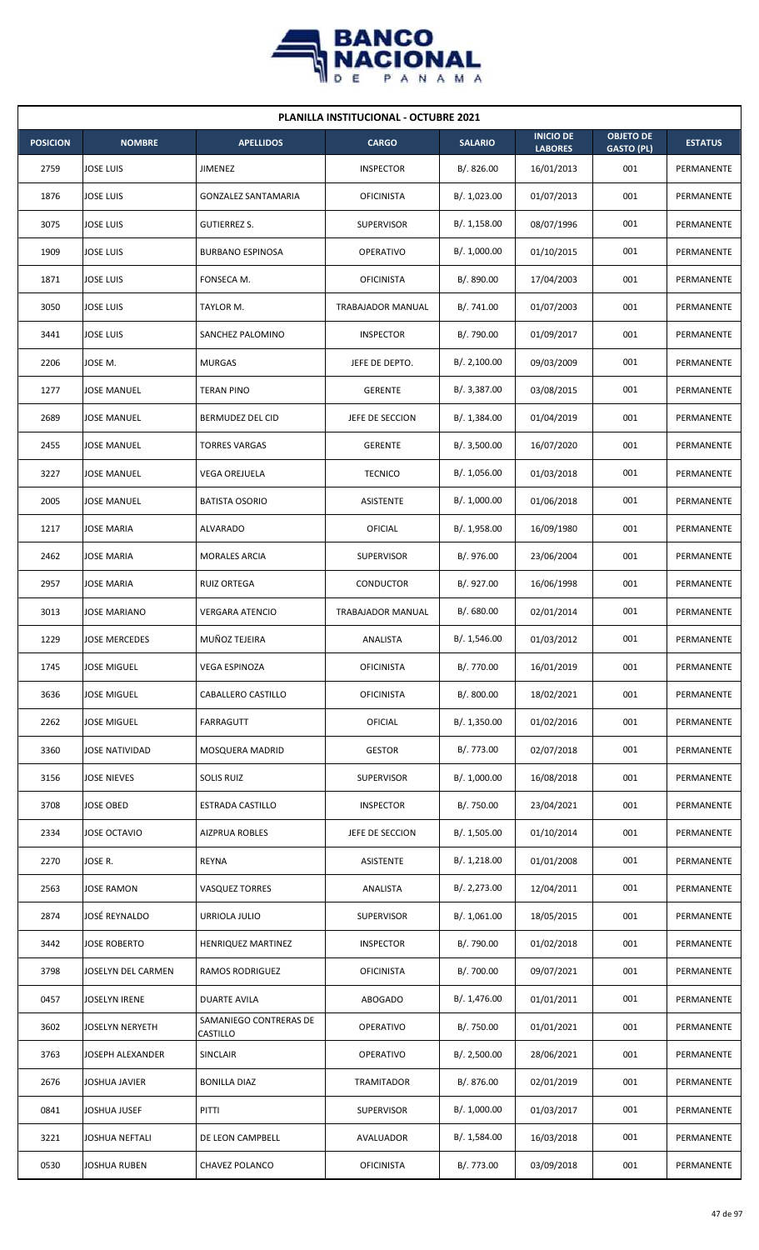

|                 | <b>PLANILLA INSTITUCIONAL - OCTUBRE 2021</b> |                                    |                   |                |                                    |                                       |                |  |  |  |
|-----------------|----------------------------------------------|------------------------------------|-------------------|----------------|------------------------------------|---------------------------------------|----------------|--|--|--|
| <b>POSICION</b> | <b>NOMBRE</b>                                | <b>APELLIDOS</b>                   | <b>CARGO</b>      | <b>SALARIO</b> | <b>INICIO DE</b><br><b>LABORES</b> | <b>OBJETO DE</b><br><b>GASTO (PL)</b> | <b>ESTATUS</b> |  |  |  |
| 2759            | <b>JOSE LUIS</b>                             | JIMENEZ                            | <b>INSPECTOR</b>  | B/. 826.00     | 16/01/2013                         | 001                                   | PERMANENTE     |  |  |  |
| 1876            | <b>JOSE LUIS</b>                             | <b>GONZALEZ SANTAMARIA</b>         | <b>OFICINISTA</b> | B/. 1,023.00   | 01/07/2013                         | 001                                   | PERMANENTE     |  |  |  |
| 3075            | <b>JOSE LUIS</b>                             | <b>GUTIERREZ S.</b>                | <b>SUPERVISOR</b> | B/.1,158.00    | 08/07/1996                         | 001                                   | PERMANENTE     |  |  |  |
| 1909            | <b>JOSE LUIS</b>                             | <b>BURBANO ESPINOSA</b>            | <b>OPERATIVO</b>  | B/. 1,000.00   | 01/10/2015                         | 001                                   | PERMANENTE     |  |  |  |
| 1871            | <b>JOSE LUIS</b>                             | FONSECA M.                         | <b>OFICINISTA</b> | B/. 890.00     | 17/04/2003                         | 001                                   | PERMANENTE     |  |  |  |
| 3050            | <b>JOSE LUIS</b>                             | TAYLOR M.                          | TRABAJADOR MANUAL | B/. 741.00     | 01/07/2003                         | 001                                   | PERMANENTE     |  |  |  |
| 3441            | <b>JOSE LUIS</b>                             | SANCHEZ PALOMINO                   | <b>INSPECTOR</b>  | B/. 790.00     | 01/09/2017                         | 001                                   | PERMANENTE     |  |  |  |
| 2206            | JOSE M.                                      | <b>MURGAS</b>                      | JEFE DE DEPTO.    | B/.2,100.00    | 09/03/2009                         | 001                                   | PERMANENTE     |  |  |  |
| 1277            | <b>JOSE MANUEL</b>                           | TERAN PINO                         | <b>GERENTE</b>    | B/. 3,387.00   | 03/08/2015                         | 001                                   | PERMANENTE     |  |  |  |
| 2689            | <b>JOSE MANUEL</b>                           | BERMUDEZ DEL CID                   | JEFE DE SECCION   | B/. 1,384.00   | 01/04/2019                         | 001                                   | PERMANENTE     |  |  |  |
| 2455            | <b>JOSE MANUEL</b>                           | <b>TORRES VARGAS</b>               | <b>GERENTE</b>    | B/.3,500.00    | 16/07/2020                         | 001                                   | PERMANENTE     |  |  |  |
| 3227            | <b>JOSE MANUEL</b>                           | <b>VEGA OREJUELA</b>               | <b>TECNICO</b>    | B/. 1,056.00   | 01/03/2018                         | 001                                   | PERMANENTE     |  |  |  |
| 2005            | JOSE MANUEL                                  | <b>BATISTA OSORIO</b>              | ASISTENTE         | B/. 1,000.00   | 01/06/2018                         | 001                                   | PERMANENTE     |  |  |  |
| 1217            | <b>JOSE MARIA</b>                            | <b>ALVARADO</b>                    | <b>OFICIAL</b>    | B/.1,958.00    | 16/09/1980                         | 001                                   | PERMANENTE     |  |  |  |
| 2462            | <b>JOSE MARIA</b>                            | <b>MORALES ARCIA</b>               | <b>SUPERVISOR</b> | B/. 976.00     | 23/06/2004                         | 001                                   | PERMANENTE     |  |  |  |
| 2957            | <b>JOSE MARIA</b>                            | <b>RUIZ ORTEGA</b>                 | CONDUCTOR         | B/. 927.00     | 16/06/1998                         | 001                                   | PERMANENTE     |  |  |  |
| 3013            | JOSE MARIANO                                 | <b>VERGARA ATENCIO</b>             | TRABAJADOR MANUAL | B/. 680.00     | 02/01/2014                         | 001                                   | PERMANENTE     |  |  |  |
| 1229            | <b>JOSE MERCEDES</b>                         | MUÑOZ TEJEIRA                      | ANALISTA          | B/. 1,546.00   | 01/03/2012                         | 001                                   | PERMANENTE     |  |  |  |
| 1745            | <b>JOSE MIGUEL</b>                           | <b>VEGA ESPINOZA</b>               | <b>OFICINISTA</b> | B/. 770.00     | 16/01/2019                         | 001                                   | PERMANENTE     |  |  |  |
| 3636            | JOSE MIGUEL                                  | CABALLERO CASTILLO                 | <b>OFICINISTA</b> | B/. 800.00     | 18/02/2021                         | 001                                   | PERMANENTE     |  |  |  |
| 2262            | <b>JOSE MIGUEL</b>                           | FARRAGUTT                          | <b>OFICIAL</b>    | B/. 1,350.00   | 01/02/2016                         | 001                                   | PERMANENTE     |  |  |  |
| 3360            | <b>JOSE NATIVIDAD</b>                        | MOSQUERA MADRID                    | <b>GESTOR</b>     | B/. 773.00     | 02/07/2018                         | 001                                   | PERMANENTE     |  |  |  |
| 3156            | <b>JOSE NIEVES</b>                           | SOLIS RUIZ                         | <b>SUPERVISOR</b> | B/. 1,000.00   | 16/08/2018                         | 001                                   | PERMANENTE     |  |  |  |
| 3708            | JOSE OBED                                    | <b>ESTRADA CASTILLO</b>            | <b>INSPECTOR</b>  | B/. 750.00     | 23/04/2021                         | 001                                   | PERMANENTE     |  |  |  |
| 2334            | JOSE OCTAVIO                                 | <b>AIZPRUA ROBLES</b>              | JEFE DE SECCION   | B/. 1,505.00   | 01/10/2014                         | 001                                   | PERMANENTE     |  |  |  |
| 2270            | JOSE R.                                      | REYNA                              | ASISTENTE         | B/. 1,218.00   | 01/01/2008                         | 001                                   | PERMANENTE     |  |  |  |
| 2563            | <b>JOSE RAMON</b>                            | <b>VASQUEZ TORRES</b>              | ANALISTA          | B/. 2,273.00   | 12/04/2011                         | 001                                   | PERMANENTE     |  |  |  |
| 2874            | JOSÉ REYNALDO                                | URRIOLA JULIO                      | <b>SUPERVISOR</b> | B/.1,061.00    | 18/05/2015                         | 001                                   | PERMANENTE     |  |  |  |
| 3442            | <b>JOSE ROBERTO</b>                          | HENRIQUEZ MARTINEZ                 | <b>INSPECTOR</b>  | B/. 790.00     | 01/02/2018                         | 001                                   | PERMANENTE     |  |  |  |
| 3798            | JOSELYN DEL CARMEN                           | <b>RAMOS RODRIGUEZ</b>             | <b>OFICINISTA</b> | B/. 700.00     | 09/07/2021                         | 001                                   | PERMANENTE     |  |  |  |
| 0457            | JOSELYN IRENE                                | <b>DUARTE AVILA</b>                | ABOGADO           | B/. 1,476.00   | 01/01/2011                         | 001                                   | PERMANENTE     |  |  |  |
| 3602            | <b>JOSELYN NERYETH</b>                       | SAMANIEGO CONTRERAS DE<br>CASTILLO | OPERATIVO         | B/. 750.00     | 01/01/2021                         | 001                                   | PERMANENTE     |  |  |  |
| 3763            | JOSEPH ALEXANDER                             | SINCLAIR                           | OPERATIVO         | B/.2,500.00    | 28/06/2021                         | 001                                   | PERMANENTE     |  |  |  |
| 2676            | JOSHUA JAVIER                                | <b>BONILLA DIAZ</b>                | TRAMITADOR        | B/. 876.00     | 02/01/2019                         | 001                                   | PERMANENTE     |  |  |  |
| 0841            | JOSHUA JUSEF                                 | PITTI                              | <b>SUPERVISOR</b> | B/. 1,000.00   | 01/03/2017                         | 001                                   | PERMANENTE     |  |  |  |
| 3221            | JOSHUA NEFTALI                               | DE LEON CAMPBELL                   | AVALUADOR         | B/. 1,584.00   | 16/03/2018                         | 001                                   | PERMANENTE     |  |  |  |
| 0530            | <b>JOSHUA RUBEN</b>                          | CHAVEZ POLANCO                     | <b>OFICINISTA</b> | B/. 773.00     | 03/09/2018                         | 001                                   | PERMANENTE     |  |  |  |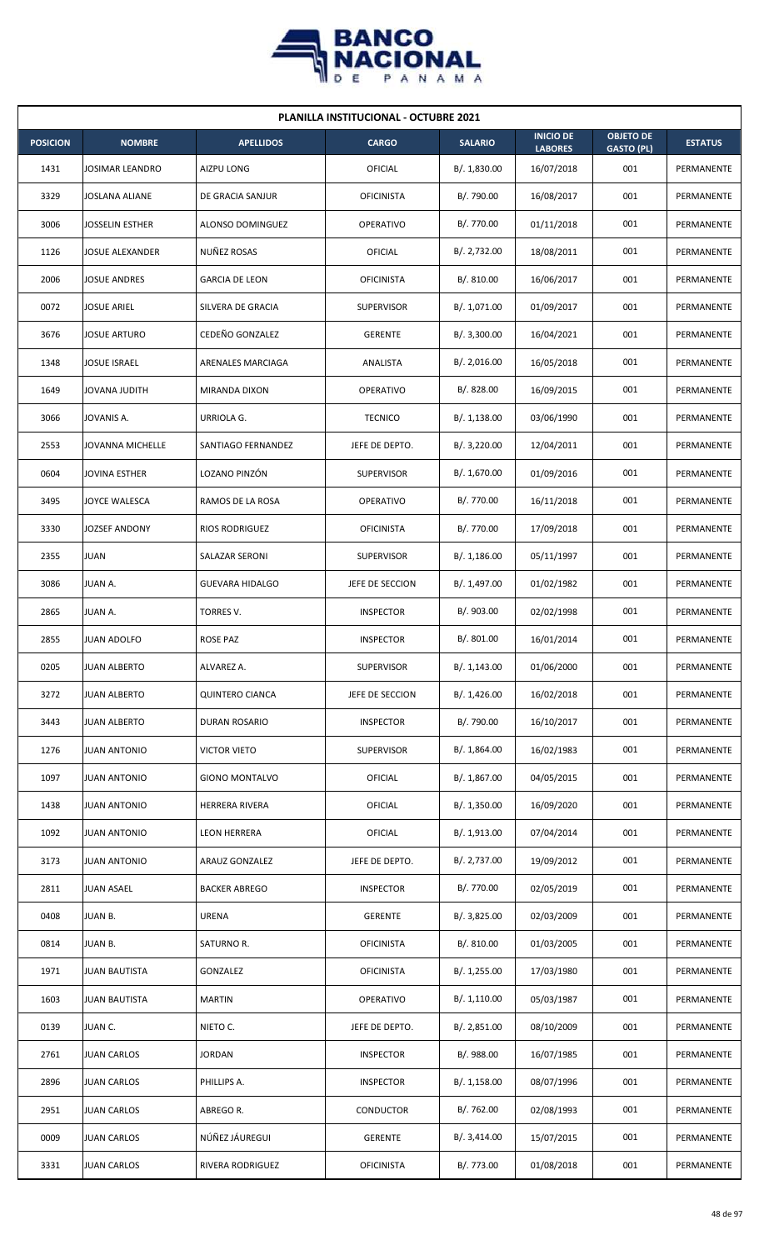

| <b>PLANILLA INSTITUCIONAL - OCTUBRE 2021</b> |                        |                        |                   |                |                                    |                                       |                   |  |  |
|----------------------------------------------|------------------------|------------------------|-------------------|----------------|------------------------------------|---------------------------------------|-------------------|--|--|
| <b>POSICION</b>                              | <b>NOMBRE</b>          | <b>APELLIDOS</b>       | <b>CARGO</b>      | <b>SALARIO</b> | <b>INICIO DE</b><br><b>LABORES</b> | <b>OBJETO DE</b><br><b>GASTO (PL)</b> | <b>ESTATUS</b>    |  |  |
| 1431                                         | <b>JOSIMAR LEANDRO</b> | AIZPU LONG             | OFICIAL           | B/. 1,830.00   | 16/07/2018                         | 001                                   | PERMANENTE        |  |  |
| 3329                                         | JOSLANA ALIANE         | DE GRACIA SANJUR       | <b>OFICINISTA</b> | B/. 790.00     | 16/08/2017                         | 001                                   | <b>PERMANENTE</b> |  |  |
| 3006                                         | JOSSELIN ESTHER        | ALONSO DOMINGUEZ       | <b>OPERATIVO</b>  | B/. 770.00     | 01/11/2018                         | 001                                   | PERMANENTE        |  |  |
| 1126                                         | JOSUE ALEXANDER        | NUÑEZ ROSAS            | OFICIAL           | B/. 2,732.00   | 18/08/2011                         | 001                                   | PERMANENTE        |  |  |
| 2006                                         | <b>JOSUE ANDRES</b>    | <b>GARCIA DE LEON</b>  | <b>OFICINISTA</b> | B/. 810.00     | 16/06/2017                         | 001                                   | PERMANENTE        |  |  |
| 0072                                         | JOSUE ARIEL            | SILVERA DE GRACIA      | <b>SUPERVISOR</b> | B/. 1,071.00   | 01/09/2017                         | 001                                   | PERMANENTE        |  |  |
| 3676                                         | JOSUE ARTURO           | CEDEÑO GONZALEZ        | <b>GERENTE</b>    | B/. 3,300.00   | 16/04/2021                         | 001                                   | PERMANENTE        |  |  |
| 1348                                         | <b>JOSUE ISRAEL</b>    | ARENALES MARCIAGA      | ANALISTA          | B/.2,016.00    | 16/05/2018                         | 001                                   | PERMANENTE        |  |  |
| 1649                                         | JOVANA JUDITH          | MIRANDA DIXON          | <b>OPERATIVO</b>  | B/. 828.00     | 16/09/2015                         | 001                                   | <b>PERMANENTE</b> |  |  |
| 3066                                         | JOVANIS A.             | URRIOLA G.             | <b>TECNICO</b>    | B/. 1,138.00   | 03/06/1990                         | 001                                   | PERMANENTE        |  |  |
| 2553                                         | JOVANNA MICHELLE       | SANTIAGO FERNANDEZ     | JEFE DE DEPTO.    | B/. 3,220.00   | 12/04/2011                         | 001                                   | PERMANENTE        |  |  |
| 0604                                         | JOVINA ESTHER          | LOZANO PINZÓN          | <b>SUPERVISOR</b> | B/. 1,670.00   | 01/09/2016                         | 001                                   | PERMANENTE        |  |  |
| 3495                                         | JOYCE WALESCA          | RAMOS DE LA ROSA       | <b>OPERATIVO</b>  | B/. 770.00     | 16/11/2018                         | 001                                   | PERMANENTE        |  |  |
| 3330                                         | JOZSEF ANDONY          | <b>RIOS RODRIGUEZ</b>  | <b>OFICINISTA</b> | B/. 770.00     | 17/09/2018                         | 001                                   | PERMANENTE        |  |  |
| 2355                                         | <b>JUAN</b>            | SALAZAR SERONI         | <b>SUPERVISOR</b> | B/.1,186.00    | 05/11/1997                         | 001                                   | PERMANENTE        |  |  |
| 3086                                         | JUAN A.                | <b>GUEVARA HIDALGO</b> | JEFE DE SECCION   | B/. 1,497.00   | 01/02/1982                         | 001                                   | PERMANENTE        |  |  |
| 2865                                         | JUAN A.                | TORRES V.              | <b>INSPECTOR</b>  | B/. 903.00     | 02/02/1998                         | 001                                   | PERMANENTE        |  |  |
| 2855                                         | <b>JUAN ADOLFO</b>     | <b>ROSE PAZ</b>        | <b>INSPECTOR</b>  | B/. 801.00     | 16/01/2014                         | 001                                   | PERMANENTE        |  |  |
| 0205                                         | <b>JUAN ALBERTO</b>    | ALVAREZ A.             | <b>SUPERVISOR</b> | B/.1,143.00    | 01/06/2000                         | 001                                   | PERMANENTE        |  |  |
| 3272                                         | <b>JUAN ALBERTO</b>    | <b>QUINTERO CIANCA</b> | JEFE DE SECCION   | B/.1,426.00    | 16/02/2018                         | 001                                   | PERMANENTE        |  |  |
| 3443                                         | JUAN ALBERTO           | DURAN ROSARIO          | <b>INSPECTOR</b>  | B/. 790.00     | 16/10/2017                         | 001                                   | PERMANENTE        |  |  |
| 1276                                         | <b>JUAN ANTONIO</b>    | <b>VICTOR VIETO</b>    | <b>SUPERVISOR</b> | B/. 1,864.00   | 16/02/1983                         | 001                                   | PERMANENTE        |  |  |
| 1097                                         | <b>JUAN ANTONIO</b>    | <b>GIONO MONTALVO</b>  | OFICIAL           | B/. 1,867.00   | 04/05/2015                         | 001                                   | PERMANENTE        |  |  |
| 1438                                         | JUAN ANTONIO           | HERRERA RIVERA         | OFICIAL           | B/. 1,350.00   | 16/09/2020                         | 001                                   | PERMANENTE        |  |  |
| 1092                                         | <b>JUAN ANTONIO</b>    | <b>LEON HERRERA</b>    | <b>OFICIAL</b>    | B/. 1,913.00   | 07/04/2014                         | 001                                   | PERMANENTE        |  |  |
| 3173                                         | <b>JUAN ANTONIO</b>    | ARAUZ GONZALEZ         | JEFE DE DEPTO.    | B/. 2,737.00   | 19/09/2012                         | 001                                   | PERMANENTE        |  |  |
| 2811                                         | JUAN ASAEL             | <b>BACKER ABREGO</b>   | <b>INSPECTOR</b>  | B/. 770.00     | 02/05/2019                         | 001                                   | PERMANENTE        |  |  |
| 0408                                         | JUAN B.                | URENA                  | <b>GERENTE</b>    | B/.3,825.00    | 02/03/2009                         | 001                                   | PERMANENTE        |  |  |
| 0814                                         | JUAN B.                | SATURNO R.             | <b>OFICINISTA</b> | B/. 810.00     | 01/03/2005                         | 001                                   | PERMANENTE        |  |  |
| 1971                                         | <b>JUAN BAUTISTA</b>   | GONZALEZ               | <b>OFICINISTA</b> | B/. 1,255.00   | 17/03/1980                         | 001                                   | PERMANENTE        |  |  |
| 1603                                         | JUAN BAUTISTA          | <b>MARTIN</b>          | OPERATIVO         | B/. 1,110.00   | 05/03/1987                         | 001                                   | PERMANENTE        |  |  |
| 0139                                         | JUAN C.                | NIETO C.               | JEFE DE DEPTO.    | B/. 2,851.00   | 08/10/2009                         | 001                                   | PERMANENTE        |  |  |
| 2761                                         | <b>JUAN CARLOS</b>     | <b>JORDAN</b>          | <b>INSPECTOR</b>  | B/. 988.00     | 16/07/1985                         | 001                                   | PERMANENTE        |  |  |
| 2896                                         | JUAN CARLOS            | PHILLIPS A.            | <b>INSPECTOR</b>  | B/. 1,158.00   | 08/07/1996                         | 001                                   | PERMANENTE        |  |  |
| 2951                                         | JUAN CARLOS            | ABREGO R.              | CONDUCTOR         | B/. 762.00     | 02/08/1993                         | 001                                   | PERMANENTE        |  |  |
| 0009                                         | JUAN CARLOS            | NÚÑEZ JÁUREGUI         | <b>GERENTE</b>    | B/. 3,414.00   | 15/07/2015                         | 001                                   | PERMANENTE        |  |  |
| 3331                                         | <b>JUAN CARLOS</b>     | RIVERA RODRIGUEZ       | <b>OFICINISTA</b> | B/. 773.00     | 01/08/2018                         | 001                                   | PERMANENTE        |  |  |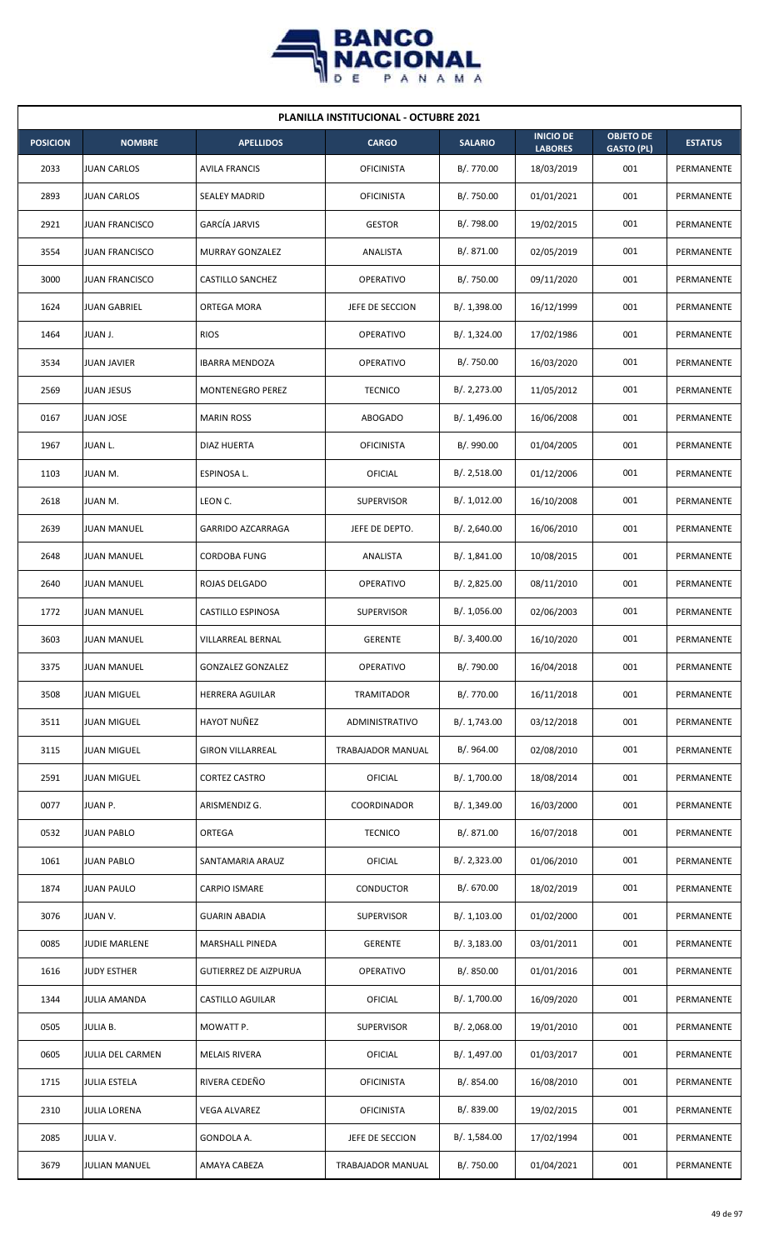

| <b>PLANILLA INSTITUCIONAL - OCTUBRE 2021</b> |                       |                              |                          |                |                                    |                                       |                   |  |  |
|----------------------------------------------|-----------------------|------------------------------|--------------------------|----------------|------------------------------------|---------------------------------------|-------------------|--|--|
| <b>POSICION</b>                              | <b>NOMBRE</b>         | <b>APELLIDOS</b>             | <b>CARGO</b>             | <b>SALARIO</b> | <b>INICIO DE</b><br><b>LABORES</b> | <b>OBJETO DE</b><br><b>GASTO (PL)</b> | <b>ESTATUS</b>    |  |  |
| 2033                                         | JUAN CARLOS           | <b>AVILA FRANCIS</b>         | <b>OFICINISTA</b>        | B/. 770.00     | 18/03/2019                         | 001                                   | PERMANENTE        |  |  |
| 2893                                         | <b>JUAN CARLOS</b>    | <b>SEALEY MADRID</b>         | <b>OFICINISTA</b>        | B/. 750.00     | 01/01/2021                         | 001                                   | PERMANENTE        |  |  |
| 2921                                         | <b>JUAN FRANCISCO</b> | <b>GARCÍA JARVIS</b>         | <b>GESTOR</b>            | B/. 798.00     | 19/02/2015                         | 001                                   | PERMANENTE        |  |  |
| 3554                                         | <b>JUAN FRANCISCO</b> | <b>MURRAY GONZALEZ</b>       | ANALISTA                 | B/. 871.00     | 02/05/2019                         | 001                                   | PERMANENTE        |  |  |
| 3000                                         | <b>JUAN FRANCISCO</b> | <b>CASTILLO SANCHEZ</b>      | <b>OPERATIVO</b>         | B/. 750.00     | 09/11/2020                         | 001                                   | <b>PERMANENTE</b> |  |  |
| 1624                                         | <b>JUAN GABRIEL</b>   | ORTEGA MORA                  | JEFE DE SECCION          | B/. 1,398.00   | 16/12/1999                         | 001                                   | PERMANENTE        |  |  |
| 1464                                         | JUAN J.               | <b>RIOS</b>                  | <b>OPERATIVO</b>         | B/.1,324.00    | 17/02/1986                         | 001                                   | PERMANENTE        |  |  |
| 3534                                         | <b>JUAN JAVIER</b>    | <b>IBARRA MENDOZA</b>        | <b>OPERATIVO</b>         | B/. 750.00     | 16/03/2020                         | 001                                   | PERMANENTE        |  |  |
| 2569                                         | <b>JUAN JESUS</b>     | MONTENEGRO PEREZ             | <b>TECNICO</b>           | B/.2,273.00    | 11/05/2012                         | 001                                   | PERMANENTE        |  |  |
| 0167                                         | JUAN JOSE             | <b>MARIN ROSS</b>            | <b>ABOGADO</b>           | B/. 1,496.00   | 16/06/2008                         | 001                                   | PERMANENTE        |  |  |
| 1967                                         | <b>JUAN L.</b>        | DIAZ HUERTA                  | <b>OFICINISTA</b>        | B/. 990.00     | 01/04/2005                         | 001                                   | PERMANENTE        |  |  |
| 1103                                         | JUAN M.               | ESPINOSA L.                  | OFICIAL                  | B/.2,518.00    | 01/12/2006                         | 001                                   | PERMANENTE        |  |  |
| 2618                                         | JUAN M.               | LEON C.                      | <b>SUPERVISOR</b>        | B/. 1,012.00   | 16/10/2008                         | 001                                   | PERMANENTE        |  |  |
| 2639                                         | <b>JUAN MANUEL</b>    | GARRIDO AZCARRAGA            | JEFE DE DEPTO.           | B/.2,640.00    | 16/06/2010                         | 001                                   | PERMANENTE        |  |  |
| 2648                                         | <b>JUAN MANUEL</b>    | <b>CORDOBA FUNG</b>          | ANALISTA                 | B/.1,841.00    | 10/08/2015                         | 001                                   | PERMANENTE        |  |  |
| 2640                                         | <b>JUAN MANUEL</b>    | ROJAS DELGADO                | <b>OPERATIVO</b>         | B/.2,825.00    | 08/11/2010                         | 001                                   | PERMANENTE        |  |  |
| 1772                                         | JUAN MANUEL           | CASTILLO ESPINOSA            | <b>SUPERVISOR</b>        | B/. 1,056.00   | 02/06/2003                         | 001                                   | PERMANENTE        |  |  |
| 3603                                         | <b>JUAN MANUEL</b>    | VILLARREAL BERNAL            | <b>GERENTE</b>           | B/.3,400.00    | 16/10/2020                         | 001                                   | PERMANENTE        |  |  |
| 3375                                         | <b>JUAN MANUEL</b>    | <b>GONZALEZ GONZALEZ</b>     | <b>OPERATIVO</b>         | B/. 790.00     | 16/04/2018                         | 001                                   | PERMANENTE        |  |  |
| 3508                                         | JUAN MIGUEL           | HERRERA AGUILAR              | TRAMITADOR               | B/. 770.00     | 16/11/2018                         | 001                                   | PERMANENTE        |  |  |
| 3511                                         | <b>JUAN MIGUEL</b>    | HAYOT NUÑEZ                  | ADMINISTRATIVO           | B/. 1,743.00   | 03/12/2018                         | 001                                   | PERMANENTE        |  |  |
| 3115                                         | <b>JUAN MIGUEL</b>    | <b>GIRON VILLARREAL</b>      | <b>TRABAJADOR MANUAL</b> | B/. 964.00     | 02/08/2010                         | 001                                   | PERMANENTE        |  |  |
| 2591                                         | <b>JUAN MIGUEL</b>    | <b>CORTEZ CASTRO</b>         | <b>OFICIAL</b>           | B/. 1,700.00   | 18/08/2014                         | 001                                   | PERMANENTE        |  |  |
| 0077                                         | JUAN P.               | ARISMENDIZ G.                | COORDINADOR              | B/. 1,349.00   | 16/03/2000                         | 001                                   | PERMANENTE        |  |  |
| 0532                                         | <b>JUAN PABLO</b>     | ORTEGA                       | <b>TECNICO</b>           | B/. 871.00     | 16/07/2018                         | 001                                   | PERMANENTE        |  |  |
| 1061                                         | <b>JUAN PABLO</b>     | SANTAMARIA ARAUZ             | OFICIAL                  | B/. 2,323.00   | 01/06/2010                         | 001                                   | PERMANENTE        |  |  |
| 1874                                         | JUAN PAULO            | CARPIO ISMARE                | CONDUCTOR                | B/. 670.00     | 18/02/2019                         | 001                                   | PERMANENTE        |  |  |
| 3076                                         | JUAN V.               | <b>GUARIN ABADIA</b>         | <b>SUPERVISOR</b>        | B/. 1,103.00   | 01/02/2000                         | 001                                   | PERMANENTE        |  |  |
| 0085                                         | <b>JUDIE MARLENE</b>  | MARSHALL PINEDA              | <b>GERENTE</b>           | B/.3,183.00    | 03/01/2011                         | 001                                   | PERMANENTE        |  |  |
| 1616                                         | <b>JUDY ESTHER</b>    | <b>GUTIERREZ DE AIZPURUA</b> | OPERATIVO                | B/. 850.00     | 01/01/2016                         | 001                                   | PERMANENTE        |  |  |
| 1344                                         | JULIA AMANDA          | <b>CASTILLO AGUILAR</b>      | <b>OFICIAL</b>           | B/. 1,700.00   | 16/09/2020                         | 001                                   | PERMANENTE        |  |  |
| 0505                                         | JULIA B.              | MOWATT P.                    | SUPERVISOR               | B/. 2,068.00   | 19/01/2010                         | 001                                   | PERMANENTE        |  |  |
| 0605                                         | JULIA DEL CARMEN      | <b>MELAIS RIVERA</b>         | OFICIAL                  | B/. 1,497.00   | 01/03/2017                         | 001                                   | PERMANENTE        |  |  |
| 1715                                         | <b>JULIA ESTELA</b>   | RIVERA CEDEÑO                | <b>OFICINISTA</b>        | B/. 854.00     | 16/08/2010                         | 001                                   | PERMANENTE        |  |  |
| 2310                                         | JULIA LORENA          | <b>VEGA ALVAREZ</b>          | <b>OFICINISTA</b>        | B/. 839.00     | 19/02/2015                         | 001                                   | PERMANENTE        |  |  |
| 2085                                         | JULIA V.              | GONDOLA A.                   | JEFE DE SECCION          | B/. 1,584.00   | 17/02/1994                         | 001                                   | PERMANENTE        |  |  |
| 3679                                         | <b>JULIAN MANUEL</b>  | AMAYA CABEZA                 | TRABAJADOR MANUAL        | B/. 750.00     | 01/04/2021                         | 001                                   | PERMANENTE        |  |  |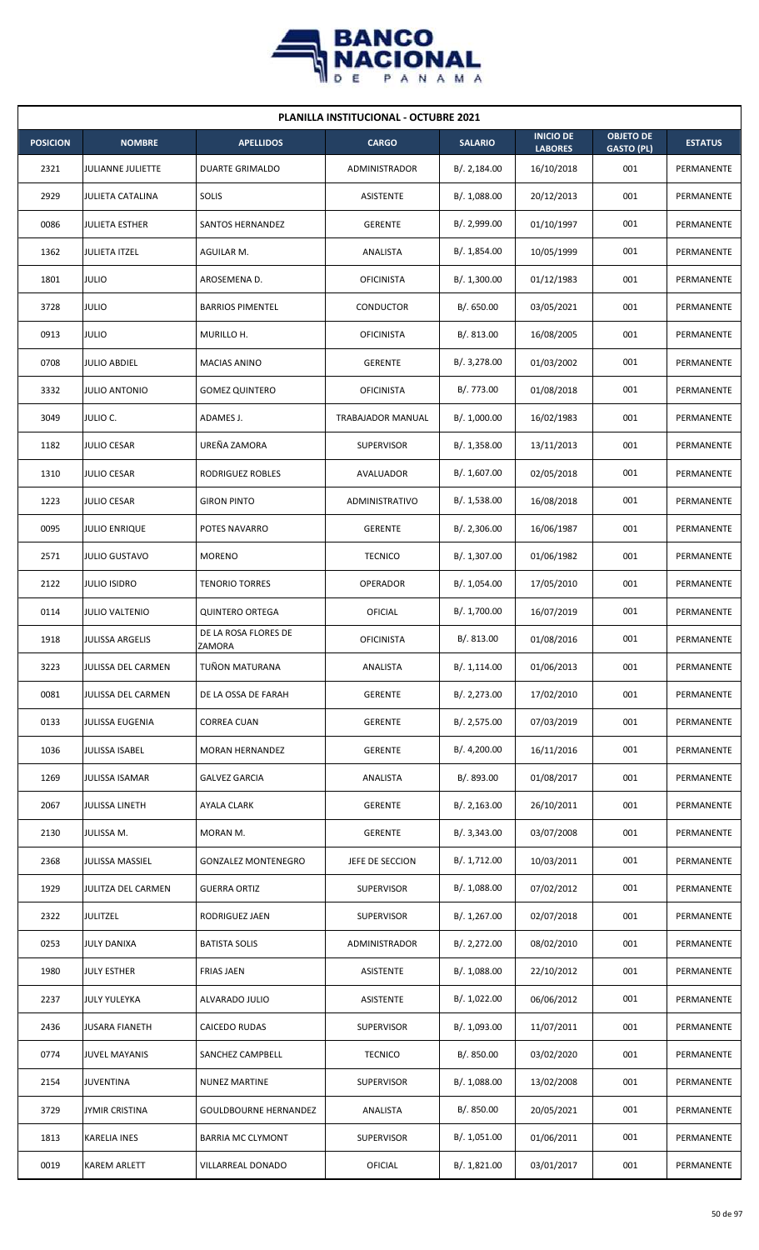

| <b>PLANILLA INSTITUCIONAL - OCTUBRE 2021</b> |                          |                                |                      |                |                                    |                                       |                   |  |  |
|----------------------------------------------|--------------------------|--------------------------------|----------------------|----------------|------------------------------------|---------------------------------------|-------------------|--|--|
| <b>POSICION</b>                              | <b>NOMBRE</b>            | <b>APELLIDOS</b>               | <b>CARGO</b>         | <b>SALARIO</b> | <b>INICIO DE</b><br><b>LABORES</b> | <b>OBJETO DE</b><br><b>GASTO (PL)</b> | <b>ESTATUS</b>    |  |  |
| 2321                                         | <b>JULIANNE JULIETTE</b> | <b>DUARTE GRIMALDO</b>         | <b>ADMINISTRADOR</b> | B/.2,184.00    | 16/10/2018                         | 001                                   | PERMANENTE        |  |  |
| 2929                                         | <b>JULIETA CATALINA</b>  | SOLIS                          | ASISTENTE            | B/. 1,088.00   | 20/12/2013                         | 001                                   | PERMANENTE        |  |  |
| 0086                                         | <b>JULIETA ESTHER</b>    | SANTOS HERNANDEZ               | <b>GERENTE</b>       | B/. 2,999.00   | 01/10/1997                         | 001                                   | PERMANENTE        |  |  |
| 1362                                         | <b>JULIETA ITZEL</b>     | AGUILAR M.                     | ANALISTA             | B/. 1,854.00   | 10/05/1999                         | 001                                   | <b>PERMANENTE</b> |  |  |
| 1801                                         | <b>JULIO</b>             | AROSEMENA D.                   | <b>OFICINISTA</b>    | B/.1,300.00    | 01/12/1983                         | 001                                   | PERMANENTE        |  |  |
| 3728                                         | <b>JULIO</b>             | <b>BARRIOS PIMENTEL</b>        | CONDUCTOR            | B/0.650.00     | 03/05/2021                         | 001                                   | PERMANENTE        |  |  |
| 0913                                         | <b>JULIO</b>             | MURILLO H.                     | <b>OFICINISTA</b>    | B/0.813.00     | 16/08/2005                         | 001                                   | PERMANENTE        |  |  |
| 0708                                         | <b>JULIO ABDIEL</b>      | <b>MACIAS ANINO</b>            | <b>GERENTE</b>       | B/. 3,278.00   | 01/03/2002                         | 001                                   | PERMANENTE        |  |  |
| 3332                                         | <b>JULIO ANTONIO</b>     | <b>GOMEZ QUINTERO</b>          | <b>OFICINISTA</b>    | B/. 773.00     | 01/08/2018                         | 001                                   | PERMANENTE        |  |  |
| 3049                                         | JULIO C.                 | ADAMES J.                      | TRABAJADOR MANUAL    | B/. 1,000.00   | 16/02/1983                         | 001                                   | PERMANENTE        |  |  |
| 1182                                         | <b>JULIO CESAR</b>       | UREÑA ZAMORA                   | <b>SUPERVISOR</b>    | B/.1,358.00    | 13/11/2013                         | 001                                   | PERMANENTE        |  |  |
| 1310                                         | <b>JULIO CESAR</b>       | RODRIGUEZ ROBLES               | AVALUADOR            | B/. 1,607.00   | 02/05/2018                         | 001                                   | PERMANENTE        |  |  |
| 1223                                         | <b>JULIO CESAR</b>       | <b>GIRON PINTO</b>             | ADMINISTRATIVO       | B/.1,538.00    | 16/08/2018                         | 001                                   | PERMANENTE        |  |  |
| 0095                                         | <b>JULIO ENRIQUE</b>     | POTES NAVARRO                  | <b>GERENTE</b>       | B/.2,306.00    | 16/06/1987                         | 001                                   | PERMANENTE        |  |  |
| 2571                                         | <b>JULIO GUSTAVO</b>     | <b>MORENO</b>                  | <b>TECNICO</b>       | B/. 1,307.00   | 01/06/1982                         | 001                                   | PERMANENTE        |  |  |
| 2122                                         | <b>JULIO ISIDRO</b>      | <b>TENORIO TORRES</b>          | OPERADOR             | B/. 1,054.00   | 17/05/2010                         | 001                                   | PERMANENTE        |  |  |
| 0114                                         | <b>JULIO VALTENIO</b>    | <b>QUINTERO ORTEGA</b>         | OFICIAL              | B/. 1,700.00   | 16/07/2019                         | 001                                   | PERMANENTE        |  |  |
| 1918                                         | <b>JULISSA ARGELIS</b>   | DE LA ROSA FLORES DE<br>ZAMORA | <b>OFICINISTA</b>    | B/. 813.00     | 01/08/2016                         | 001                                   | PERMANENTE        |  |  |
| 3223                                         | JULISSA DEL CARMEN       | TUÑON MATURANA                 | ANALISTA             | B/. 1,114.00   | 01/06/2013                         | 001                                   | PERMANENTE        |  |  |
| 0081                                         | JULISSA DEL CARMEN       | DE LA OSSA DE FARAH            | <b>GERENTE</b>       | B/.2,273.00    | 17/02/2010                         | 001                                   | PERMANENTE        |  |  |
| 0133                                         | JULISSA EUGENIA          | <b>CORREA CUAN</b>             | <b>GERENTE</b>       | B/. 2,575.00   | 07/03/2019                         | 001                                   | PERMANENTE        |  |  |
| 1036                                         | JULISSA ISABEL           | MORAN HERNANDEZ                | <b>GERENTE</b>       | B/. 4,200.00   | 16/11/2016                         | 001                                   | PERMANENTE        |  |  |
| 1269                                         | <b>JULISSA ISAMAR</b>    | <b>GALVEZ GARCIA</b>           | ANALISTA             | B/. 893.00     | 01/08/2017                         | 001                                   | PERMANENTE        |  |  |
| 2067                                         | JULISSA LINETH           | AYALA CLARK                    | <b>GERENTE</b>       | B/. 2,163.00   | 26/10/2011                         | 001                                   | PERMANENTE        |  |  |
| 2130                                         | JULISSA M.               | MORAN M.                       | <b>GERENTE</b>       | B/.3,343.00    | 03/07/2008                         | 001                                   | PERMANENTE        |  |  |
| 2368                                         | <b>JULISSA MASSIEL</b>   | <b>GONZALEZ MONTENEGRO</b>     | JEFE DE SECCION      | B/. 1,712.00   | 10/03/2011                         | 001                                   | PERMANENTE        |  |  |
| 1929                                         | JULITZA DEL CARMEN       | <b>GUERRA ORTIZ</b>            | <b>SUPERVISOR</b>    | B/. 1,088.00   | 07/02/2012                         | 001                                   | PERMANENTE        |  |  |
| 2322                                         | <b>JULITZEL</b>          | RODRIGUEZ JAEN                 | <b>SUPERVISOR</b>    | B/. 1,267.00   | 02/07/2018                         | 001                                   | PERMANENTE        |  |  |
| 0253                                         | <b>JULY DANIXA</b>       | <b>BATISTA SOLIS</b>           | ADMINISTRADOR        | B/.2,272.00    | 08/02/2010                         | 001                                   | PERMANENTE        |  |  |
| 1980                                         | <b>JULY ESTHER</b>       | <b>FRIAS JAEN</b>              | ASISTENTE            | B/. 1,088.00   | 22/10/2012                         | 001                                   | PERMANENTE        |  |  |
| 2237                                         | <b>JULY YULEYKA</b>      | ALVARADO JULIO                 | ASISTENTE            | B/. 1,022.00   | 06/06/2012                         | 001                                   | PERMANENTE        |  |  |
| 2436                                         | <b>JUSARA FIANETH</b>    | CAICEDO RUDAS                  | <b>SUPERVISOR</b>    | B/. 1,093.00   | 11/07/2011                         | 001                                   | PERMANENTE        |  |  |
| 0774                                         | <b>JUVEL MAYANIS</b>     | SANCHEZ CAMPBELL               | <b>TECNICO</b>       | B/. 850.00     | 03/02/2020                         | 001                                   | PERMANENTE        |  |  |
| 2154                                         | JUVENTINA                | <b>NUNEZ MARTINE</b>           | <b>SUPERVISOR</b>    | B/. 1,088.00   | 13/02/2008                         | 001                                   | PERMANENTE        |  |  |
| 3729                                         | <b>JYMIR CRISTINA</b>    | <b>GOULDBOURNE HERNANDEZ</b>   | ANALISTA             | B/. 850.00     | 20/05/2021                         | 001                                   | PERMANENTE        |  |  |
| 1813                                         | <b>KARELIA INES</b>      | <b>BARRIA MC CLYMONT</b>       | <b>SUPERVISOR</b>    | B/. 1,051.00   | 01/06/2011                         | 001                                   | PERMANENTE        |  |  |
| 0019                                         | <b>KAREM ARLETT</b>      | VILLARREAL DONADO              | OFICIAL              | B/. 1,821.00   | 03/01/2017                         | 001                                   | PERMANENTE        |  |  |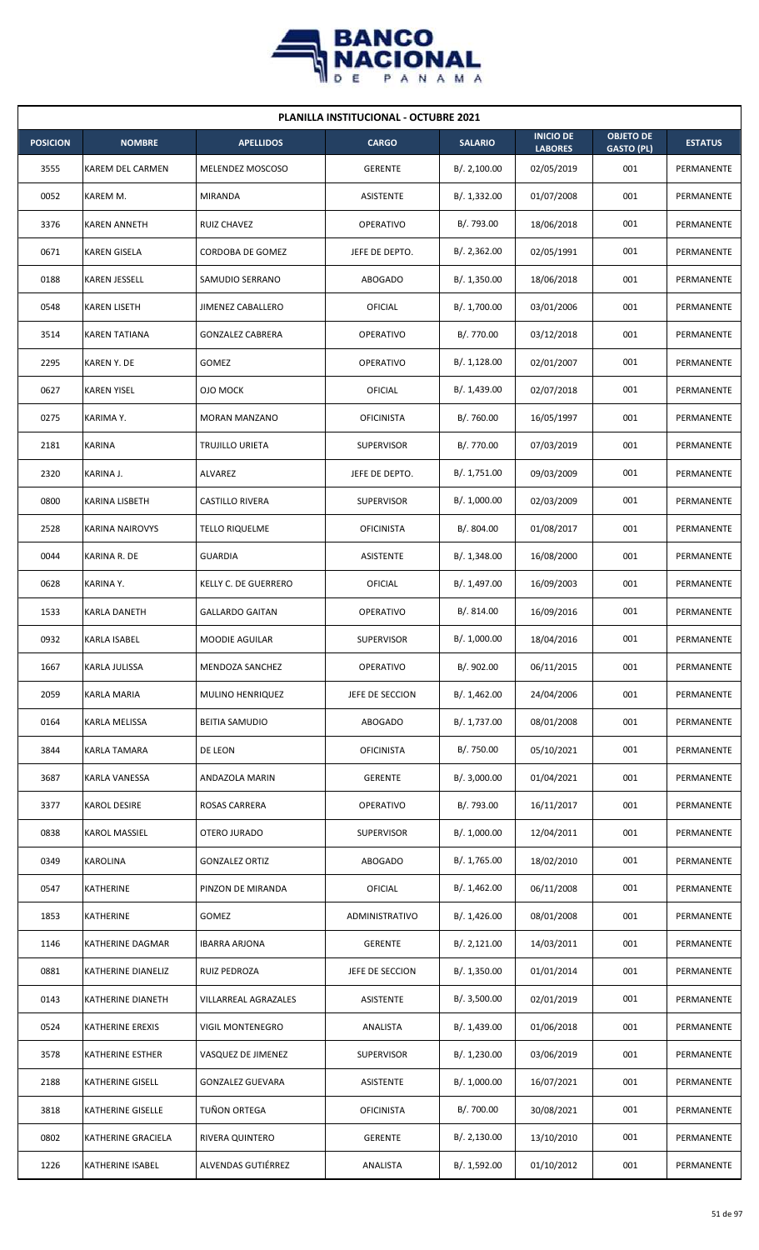

| <b>PLANILLA INSTITUCIONAL - OCTUBRE 2021</b> |                        |                          |                   |                |                                    |                                       |                |  |  |
|----------------------------------------------|------------------------|--------------------------|-------------------|----------------|------------------------------------|---------------------------------------|----------------|--|--|
| <b>POSICION</b>                              | <b>NOMBRE</b>          | <b>APELLIDOS</b>         | <b>CARGO</b>      | <b>SALARIO</b> | <b>INICIO DE</b><br><b>LABORES</b> | <b>OBJETO DE</b><br><b>GASTO (PL)</b> | <b>ESTATUS</b> |  |  |
| 3555                                         | KAREM DEL CARMEN       | MELENDEZ MOSCOSO         | <b>GERENTE</b>    | B/.2,100.00    | 02/05/2019                         | 001                                   | PERMANENTE     |  |  |
| 0052                                         | KAREM M.               | MIRANDA                  | ASISTENTE         | B/. 1,332.00   | 01/07/2008                         | 001                                   | PERMANENTE     |  |  |
| 3376                                         | <b>KAREN ANNETH</b>    | RUIZ CHAVEZ              | <b>OPERATIVO</b>  | B/. 793.00     | 18/06/2018                         | 001                                   | PERMANENTE     |  |  |
| 0671                                         | <b>KAREN GISELA</b>    | CORDOBA DE GOMEZ         | JEFE DE DEPTO.    | B/.2,362.00    | 02/05/1991                         | 001                                   | PERMANENTE     |  |  |
| 0188                                         | <b>KAREN JESSELL</b>   | SAMUDIO SERRANO          | <b>ABOGADO</b>    | B/. 1,350.00   | 18/06/2018                         | 001                                   | PERMANENTE     |  |  |
| 0548                                         | <b>KAREN LISETH</b>    | <b>JIMENEZ CABALLERO</b> | <b>OFICIAL</b>    | B/. 1,700.00   | 03/01/2006                         | 001                                   | PERMANENTE     |  |  |
| 3514                                         | <b>KAREN TATIANA</b>   | <b>GONZALEZ CABRERA</b>  | <b>OPERATIVO</b>  | B/. 770.00     | 03/12/2018                         | 001                                   | PERMANENTE     |  |  |
| 2295                                         | KAREN Y. DE            | <b>GOMEZ</b>             | <b>OPERATIVO</b>  | B/.1,128.00    | 02/01/2007                         | 001                                   | PERMANENTE     |  |  |
| 0627                                         | <b>KAREN YISEL</b>     | <b>OJO MOCK</b>          | OFICIAL           | B/. 1,439.00   | 02/07/2018                         | 001                                   | PERMANENTE     |  |  |
| 0275                                         | KARIMA Y.              | <b>MORAN MANZANO</b>     | <b>OFICINISTA</b> | B/. 760.00     | 16/05/1997                         | 001                                   | PERMANENTE     |  |  |
| 2181                                         | <b>KARINA</b>          | TRUJILLO URIETA          | <b>SUPERVISOR</b> | B/. 770.00     | 07/03/2019                         | 001                                   | PERMANENTE     |  |  |
| 2320                                         | KARINA J.              | ALVAREZ                  | JEFE DE DEPTO.    | B/. 1,751.00   | 09/03/2009                         | 001                                   | PERMANENTE     |  |  |
| 0800                                         | KARINA LISBETH         | CASTILLO RIVERA          | <b>SUPERVISOR</b> | B/. 1,000.00   | 02/03/2009                         | 001                                   | PERMANENTE     |  |  |
| 2528                                         | <b>KARINA NAIROVYS</b> | TELLO RIQUELME           | <b>OFICINISTA</b> | B/. 804.00     | 01/08/2017                         | 001                                   | PERMANENTE     |  |  |
| 0044                                         | KARINA R. DE           | <b>GUARDIA</b>           | <b>ASISTENTE</b>  | B/.1,348.00    | 16/08/2000                         | 001                                   | PERMANENTE     |  |  |
| 0628                                         | KARINA Y.              | KELLY C. DE GUERRERO     | <b>OFICIAL</b>    | B/. 1,497.00   | 16/09/2003                         | 001                                   | PERMANENTE     |  |  |
| 1533                                         | KARLA DANETH           | <b>GALLARDO GAITAN</b>   | <b>OPERATIVO</b>  | B/.814.00      | 16/09/2016                         | 001                                   | PERMANENTE     |  |  |
| 0932                                         | <b>KARLA ISABEL</b>    | <b>MOODIE AGUILAR</b>    | <b>SUPERVISOR</b> | B/. 1,000.00   | 18/04/2016                         | 001                                   | PERMANENTE     |  |  |
| 1667                                         | <b>KARLA JULISSA</b>   | MENDOZA SANCHEZ          | OPERATIVO         | B/. 902.00     | 06/11/2015                         | 001                                   | PERMANENTE     |  |  |
| 2059                                         | KARLA MARIA            | MULINO HENRIQUEZ         | JEFE DE SECCION   | B/. 1,462.00   | 24/04/2006                         | 001                                   | PERMANENTE     |  |  |
| 0164                                         | KARLA MELISSA          | <b>BEITIA SAMUDIO</b>    | ABOGADO           | B/. 1,737.00   | 08/01/2008                         | 001                                   | PERMANENTE     |  |  |
| 3844                                         | <b>KARLA TAMARA</b>    | DE LEON                  | <b>OFICINISTA</b> | B/. 750.00     | 05/10/2021                         | 001                                   | PERMANENTE     |  |  |
| 3687                                         | KARLA VANESSA          | <b>ANDAZOLA MARIN</b>    | <b>GERENTE</b>    | B/. 3,000.00   | 01/04/2021                         | 001                                   | PERMANENTE     |  |  |
| 3377                                         | <b>KAROL DESIRE</b>    | ROSAS CARRERA            | OPERATIVO         | B/. 793.00     | 16/11/2017                         | 001                                   | PERMANENTE     |  |  |
| 0838                                         | <b>KAROL MASSIEL</b>   | OTERO JURADO             | <b>SUPERVISOR</b> | B/. 1,000.00   | 12/04/2011                         | 001                                   | PERMANENTE     |  |  |
| 0349                                         | KAROLINA               | <b>GONZALEZ ORTIZ</b>    | ABOGADO           | B/. 1,765.00   | 18/02/2010                         | 001                                   | PERMANENTE     |  |  |
| 0547                                         | KATHERINE              | PINZON DE MIRANDA        | OFICIAL           | B/.1,462.00    | 06/11/2008                         | 001                                   | PERMANENTE     |  |  |
| 1853                                         | KATHERINE              | GOMEZ                    | ADMINISTRATIVO    | B/. 1,426.00   | 08/01/2008                         | 001                                   | PERMANENTE     |  |  |
| 1146                                         | KATHERINE DAGMAR       | <b>IBARRA ARJONA</b>     | <b>GERENTE</b>    | B/.2,121.00    | 14/03/2011                         | 001                                   | PERMANENTE     |  |  |
| 0881                                         | KATHERINE DIANELIZ     | RUIZ PEDROZA             | JEFE DE SECCION   | B/. 1,350.00   | 01/01/2014                         | 001                                   | PERMANENTE     |  |  |
| 0143                                         | KATHERINE DIANETH      | VILLARREAL AGRAZALES     | ASISTENTE         | B/. 3,500.00   | 02/01/2019                         | 001                                   | PERMANENTE     |  |  |
| 0524                                         | KATHERINE EREXIS       | VIGIL MONTENEGRO         | ANALISTA          | B/. 1,439.00   | 01/06/2018                         | 001                                   | PERMANENTE     |  |  |
| 3578                                         | KATHERINE ESTHER       | VASQUEZ DE JIMENEZ       | <b>SUPERVISOR</b> | B/. 1,230.00   | 03/06/2019                         | 001                                   | PERMANENTE     |  |  |
| 2188                                         | KATHERINE GISELL       | <b>GONZALEZ GUEVARA</b>  | ASISTENTE         | B/. 1,000.00   | 16/07/2021                         | 001                                   | PERMANENTE     |  |  |
| 3818                                         | KATHERINE GISELLE      | TUÑON ORTEGA             | <b>OFICINISTA</b> | B/. 700.00     | 30/08/2021                         | 001                                   | PERMANENTE     |  |  |
| 0802                                         | KATHERINE GRACIELA     | RIVERA QUINTERO          | <b>GERENTE</b>    | B/.2,130.00    | 13/10/2010                         | 001                                   | PERMANENTE     |  |  |
| 1226                                         | KATHERINE ISABEL       | ALVENDAS GUTIÉRREZ       | ANALISTA          | B/. 1,592.00   | 01/10/2012                         | 001                                   | PERMANENTE     |  |  |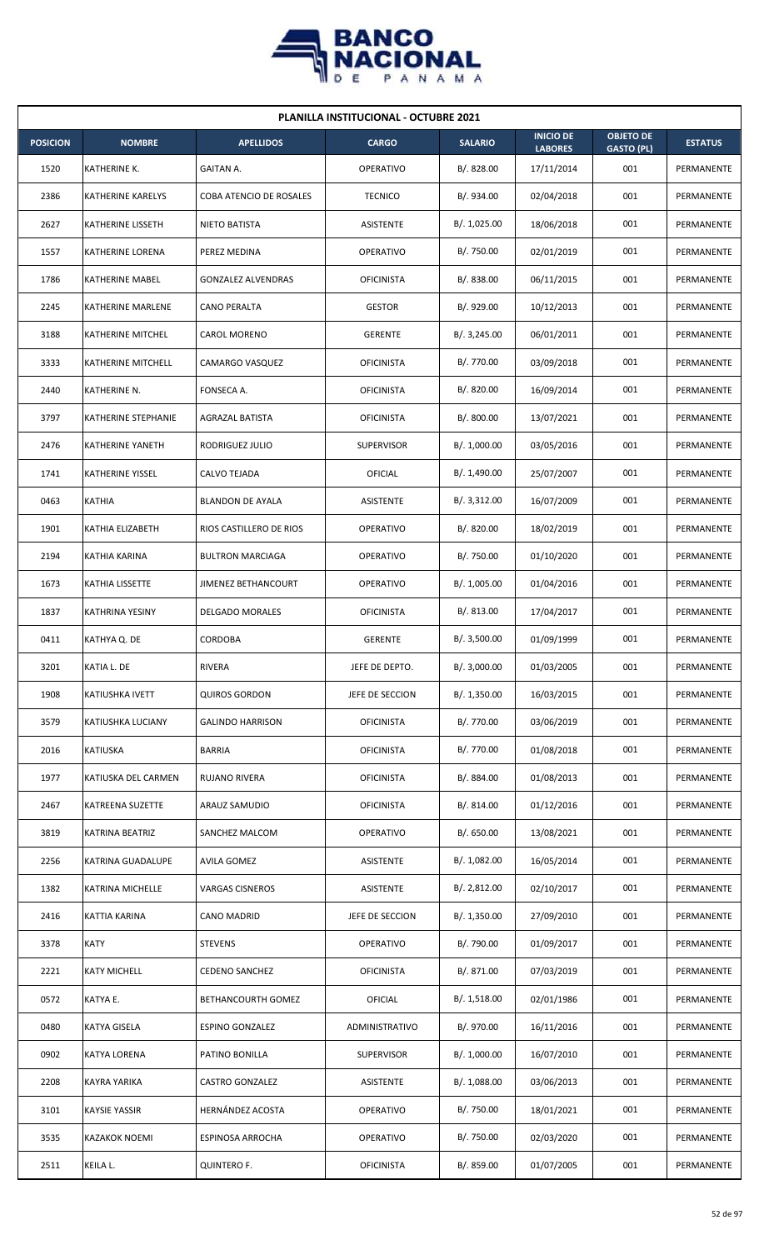

|                 | <b>PLANILLA INSTITUCIONAL - OCTUBRE 2021</b> |                            |                   |                |                                    |                                       |                |  |  |  |
|-----------------|----------------------------------------------|----------------------------|-------------------|----------------|------------------------------------|---------------------------------------|----------------|--|--|--|
| <b>POSICION</b> | <b>NOMBRE</b>                                | <b>APELLIDOS</b>           | <b>CARGO</b>      | <b>SALARIO</b> | <b>INICIO DE</b><br><b>LABORES</b> | <b>OBJETO DE</b><br><b>GASTO (PL)</b> | <b>ESTATUS</b> |  |  |  |
| 1520            | KATHERINE K.                                 | <b>GAITAN A.</b>           | <b>OPERATIVO</b>  | B/. 828.00     | 17/11/2014                         | 001                                   | PERMANENTE     |  |  |  |
| 2386            | <b>KATHERINE KARELYS</b>                     | COBA ATENCIO DE ROSALES    | <b>TECNICO</b>    | B/. 934.00     | 02/04/2018                         | 001                                   | PERMANENTE     |  |  |  |
| 2627            | KATHERINE LISSETH                            | NIETO BATISTA              | ASISTENTE         | B/. 1,025.00   | 18/06/2018                         | 001                                   | PERMANENTE     |  |  |  |
| 1557            | <b>KATHERINE LORENA</b>                      | PEREZ MEDINA               | <b>OPERATIVO</b>  | B/. 750.00     | 02/01/2019                         | 001                                   | PERMANENTE     |  |  |  |
| 1786            | KATHERINE MABEL                              | <b>GONZALEZ ALVENDRAS</b>  | <b>OFICINISTA</b> | B/. 838.00     | 06/11/2015                         | 001                                   | PERMANENTE     |  |  |  |
| 2245            | KATHERINE MARLENE                            | CANO PERALTA               | <b>GESTOR</b>     | B/. 929.00     | 10/12/2013                         | 001                                   | PERMANENTE     |  |  |  |
| 3188            | KATHERINE MITCHEL                            | <b>CAROL MORENO</b>        | <b>GERENTE</b>    | B/. 3,245.00   | 06/01/2011                         | 001                                   | PERMANENTE     |  |  |  |
| 3333            | KATHERINE MITCHELL                           | CAMARGO VASQUEZ            | <b>OFICINISTA</b> | B/. 770.00     | 03/09/2018                         | 001                                   | PERMANENTE     |  |  |  |
| 2440            | KATHERINE N.                                 | FONSECA A.                 | <b>OFICINISTA</b> | B/. 820.00     | 16/09/2014                         | 001                                   | PERMANENTE     |  |  |  |
| 3797            | KATHERINE STEPHANIE                          | AGRAZAL BATISTA            | <b>OFICINISTA</b> | B/. 800.00     | 13/07/2021                         | 001                                   | PERMANENTE     |  |  |  |
| 2476            | <b>KATHERINE YANETH</b>                      | RODRIGUEZ JULIO            | <b>SUPERVISOR</b> | B/. 1,000.00   | 03/05/2016                         | 001                                   | PERMANENTE     |  |  |  |
| 1741            | KATHERINE YISSEL                             | CALVO TEJADA               | OFICIAL           | B/. 1,490.00   | 25/07/2007                         | 001                                   | PERMANENTE     |  |  |  |
| 0463            | <b>KATHIA</b>                                | <b>BLANDON DE AYALA</b>    | ASISTENTE         | B/. 3,312.00   | 16/07/2009                         | 001                                   | PERMANENTE     |  |  |  |
| 1901            | KATHIA ELIZABETH                             | RIOS CASTILLERO DE RIOS    | <b>OPERATIVO</b>  | B/0.820.00     | 18/02/2019                         | 001                                   | PERMANENTE     |  |  |  |
| 2194            | <b>KATHIA KARINA</b>                         | <b>BULTRON MARCIAGA</b>    | <b>OPERATIVO</b>  | B/. 750.00     | 01/10/2020                         | 001                                   | PERMANENTE     |  |  |  |
| 1673            | KATHIA LISSETTE                              | <b>JIMENEZ BETHANCOURT</b> | <b>OPERATIVO</b>  | B/. 1,005.00   | 01/04/2016                         | 001                                   | PERMANENTE     |  |  |  |
| 1837            | <b>KATHRINA YESINY</b>                       | <b>DELGADO MORALES</b>     | <b>OFICINISTA</b> | B/. 813.00     | 17/04/2017                         | 001                                   | PERMANENTE     |  |  |  |
| 0411            | KATHYA Q. DE                                 | CORDOBA                    | <b>GERENTE</b>    | B/.3,500.00    | 01/09/1999                         | 001                                   | PERMANENTE     |  |  |  |
| 3201            | KATIA L. DE                                  | <b>RIVERA</b>              | JEFE DE DEPTO.    | B/. 3,000.00   | 01/03/2005                         | 001                                   | PERMANENTE     |  |  |  |
| 1908            | KATIUSHKA IVETT                              | <b>QUIROS GORDON</b>       | JEFE DE SECCION   | B/. 1,350.00   | 16/03/2015                         | 001                                   | PERMANENTE     |  |  |  |
| 3579            | KATIUSHKA LUCIANY                            | <b>GALINDO HARRISON</b>    | <b>OFICINISTA</b> | B/. 770.00     | 03/06/2019                         | 001                                   | PERMANENTE     |  |  |  |
| 2016            | KATIUSKA                                     | <b>BARRIA</b>              | <b>OFICINISTA</b> | B/. 770.00     | 01/08/2018                         | 001                                   | PERMANENTE     |  |  |  |
| 1977            | KATIUSKA DEL CARMEN                          | RUJANO RIVERA              | <b>OFICINISTA</b> | B/. 884.00     | 01/08/2013                         | 001                                   | PERMANENTE     |  |  |  |
| 2467            | KATREENA SUZETTE                             | ARAUZ SAMUDIO              | <b>OFICINISTA</b> | B/. 814.00     | 01/12/2016                         | 001                                   | PERMANENTE     |  |  |  |
| 3819            | KATRINA BEATRIZ                              | SANCHEZ MALCOM             | <b>OPERATIVO</b>  | B/0.650.00     | 13/08/2021                         | 001                                   | PERMANENTE     |  |  |  |
| 2256            | KATRINA GUADALUPE                            | <b>AVILA GOMEZ</b>         | <b>ASISTENTE</b>  | B/. 1,082.00   | 16/05/2014                         | 001                                   | PERMANENTE     |  |  |  |
| 1382            | <b>KATRINA MICHELLE</b>                      | <b>VARGAS CISNEROS</b>     | <b>ASISTENTE</b>  | B/. 2,812.00   | 02/10/2017                         | 001                                   | PERMANENTE     |  |  |  |
| 2416            | KATTIA KARINA                                | CANO MADRID                | JEFE DE SECCION   | B/.1,350.00    | 27/09/2010                         | 001                                   | PERMANENTE     |  |  |  |
| 3378            | <b>KATY</b>                                  | <b>STEVENS</b>             | OPERATIVO         | B/. 790.00     | 01/09/2017                         | 001                                   | PERMANENTE     |  |  |  |
| 2221            | <b>KATY MICHELL</b>                          | <b>CEDENO SANCHEZ</b>      | <b>OFICINISTA</b> | B/. 871.00     | 07/03/2019                         | 001                                   | PERMANENTE     |  |  |  |
| 0572            | KATYA E.                                     | <b>BETHANCOURTH GOMEZ</b>  | OFICIAL           | B/. 1,518.00   | 02/01/1986                         | 001                                   | PERMANENTE     |  |  |  |
| 0480            | KATYA GISELA                                 | <b>ESPINO GONZALEZ</b>     | ADMINISTRATIVO    | B/. 970.00     | 16/11/2016                         | 001                                   | PERMANENTE     |  |  |  |
| 0902            | <b>KATYA LORENA</b>                          | PATINO BONILLA             | <b>SUPERVISOR</b> | B/. 1,000.00   | 16/07/2010                         | 001                                   | PERMANENTE     |  |  |  |
| 2208            | KAYRA YARIKA                                 | <b>CASTRO GONZALEZ</b>     | ASISTENTE         | B/. 1,088.00   | 03/06/2013                         | 001                                   | PERMANENTE     |  |  |  |
| 3101            | <b>KAYSIE YASSIR</b>                         | HERNÁNDEZ ACOSTA           | OPERATIVO         | B/. 750.00     | 18/01/2021                         | 001                                   | PERMANENTE     |  |  |  |
| 3535            | <b>KAZAKOK NOEMI</b>                         | ESPINOSA ARROCHA           | OPERATIVO         | B/. 750.00     | 02/03/2020                         | 001                                   | PERMANENTE     |  |  |  |
| 2511            | KEILA L.                                     | QUINTERO F.                | <b>OFICINISTA</b> | B/. 859.00     | 01/07/2005                         | 001                                   | PERMANENTE     |  |  |  |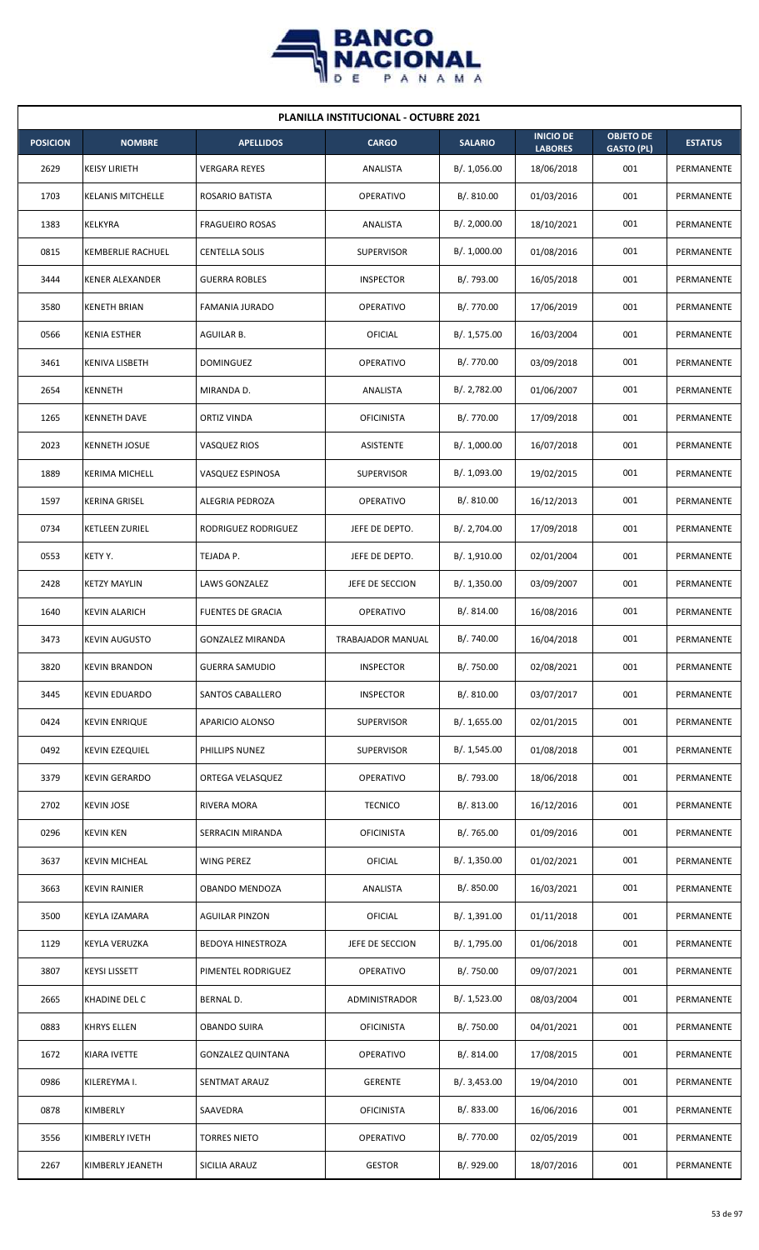

| <b>PLANILLA INSTITUCIONAL - OCTUBRE 2021</b> |                          |                          |                          |                |                                    |                                       |                |  |  |  |
|----------------------------------------------|--------------------------|--------------------------|--------------------------|----------------|------------------------------------|---------------------------------------|----------------|--|--|--|
| <b>POSICION</b>                              | <b>NOMBRE</b>            | <b>APELLIDOS</b>         | <b>CARGO</b>             | <b>SALARIO</b> | <b>INICIO DE</b><br><b>LABORES</b> | <b>OBJETO DE</b><br><b>GASTO (PL)</b> | <b>ESTATUS</b> |  |  |  |
| 2629                                         | <b>KEISY LIRIETH</b>     | <b>VERGARA REYES</b>     | ANALISTA                 | B/. 1,056.00   | 18/06/2018                         | 001                                   | PERMANENTE     |  |  |  |
| 1703                                         | <b>KELANIS MITCHELLE</b> | ROSARIO BATISTA          | <b>OPERATIVO</b>         | B/.810.00      | 01/03/2016                         | 001                                   | PERMANENTE     |  |  |  |
| 1383                                         | KELKYRA                  | <b>FRAGUEIRO ROSAS</b>   | ANALISTA                 | B/.2,000.00    | 18/10/2021                         | 001                                   | PERMANENTE     |  |  |  |
| 0815                                         | <b>KEMBERLIE RACHUEL</b> | <b>CENTELLA SOLIS</b>    | <b>SUPERVISOR</b>        | B/. 1,000.00   | 01/08/2016                         | 001                                   | PERMANENTE     |  |  |  |
| 3444                                         | <b>KENER ALEXANDER</b>   | <b>GUERRA ROBLES</b>     | <b>INSPECTOR</b>         | B/. 793.00     | 16/05/2018                         | 001                                   | PERMANENTE     |  |  |  |
| 3580                                         | <b>KENETH BRIAN</b>      | FAMANIA JURADO           | <b>OPERATIVO</b>         | B/. 770.00     | 17/06/2019                         | 001                                   | PERMANENTE     |  |  |  |
| 0566                                         | <b>KENIA ESTHER</b>      | AGUILAR B.               | <b>OFICIAL</b>           | B/. 1,575.00   | 16/03/2004                         | 001                                   | PERMANENTE     |  |  |  |
| 3461                                         | KENIVA LISBETH           | <b>DOMINGUEZ</b>         | <b>OPERATIVO</b>         | B/. 770.00     | 03/09/2018                         | 001                                   | PERMANENTE     |  |  |  |
| 2654                                         | KENNETH                  | MIRANDA D.               | ANALISTA                 | B/. 2,782.00   | 01/06/2007                         | 001                                   | PERMANENTE     |  |  |  |
| 1265                                         | <b>KENNETH DAVE</b>      | ORTIZ VINDA              | <b>OFICINISTA</b>        | B/. 770.00     | 17/09/2018                         | 001                                   | PERMANENTE     |  |  |  |
| 2023                                         | <b>KENNETH JOSUE</b>     | <b>VASQUEZ RIOS</b>      | ASISTENTE                | B/. 1,000.00   | 16/07/2018                         | 001                                   | PERMANENTE     |  |  |  |
| 1889                                         | <b>KERIMA MICHELL</b>    | VASQUEZ ESPINOSA         | <b>SUPERVISOR</b>        | B/. 1,093.00   | 19/02/2015                         | 001                                   | PERMANENTE     |  |  |  |
| 1597                                         | <b>KERINA GRISEL</b>     | ALEGRIA PEDROZA          | <b>OPERATIVO</b>         | B/.810.00      | 16/12/2013                         | 001                                   | PERMANENTE     |  |  |  |
| 0734                                         | KETLEEN ZURIEL           | RODRIGUEZ RODRIGUEZ      | JEFE DE DEPTO.           | B/. 2,704.00   | 17/09/2018                         | 001                                   | PERMANENTE     |  |  |  |
| 0553                                         | KETY Y.                  | TEJADA P.                | JEFE DE DEPTO.           | B/.1,910.00    | 02/01/2004                         | 001                                   | PERMANENTE     |  |  |  |
| 2428                                         | KETZY MAYLIN             | LAWS GONZALEZ            | JEFE DE SECCION          | B/. 1,350.00   | 03/09/2007                         | 001                                   | PERMANENTE     |  |  |  |
| 1640                                         | <b>KEVIN ALARICH</b>     | <b>FUENTES DE GRACIA</b> | <b>OPERATIVO</b>         | B/. 814.00     | 16/08/2016                         | 001                                   | PERMANENTE     |  |  |  |
| 3473                                         | <b>KEVIN AUGUSTO</b>     | <b>GONZALEZ MIRANDA</b>  | <b>TRABAJADOR MANUAL</b> | B/. 740.00     | 16/04/2018                         | 001                                   | PERMANENTE     |  |  |  |
| 3820                                         | <b>KEVIN BRANDON</b>     | <b>GUERRA SAMUDIO</b>    | <b>INSPECTOR</b>         | B/. 750.00     | 02/08/2021                         | 001                                   | PERMANENTE     |  |  |  |
| 3445                                         | <b>KEVIN EDUARDO</b>     | SANTOS CABALLERO         | <b>INSPECTOR</b>         | B/. 810.00     | 03/07/2017                         | 001                                   | PERMANENTE     |  |  |  |
| 0424                                         | <b>KEVIN ENRIQUE</b>     | APARICIO ALONSO          | SUPERVISOR               | B/. 1,655.00   | 02/01/2015                         | 001                                   | PERMANENTE     |  |  |  |
| 0492                                         | <b>KEVIN EZEQUIEL</b>    | PHILLIPS NUNEZ           | <b>SUPERVISOR</b>        | B/. 1,545.00   | 01/08/2018                         | 001                                   | PERMANENTE     |  |  |  |
| 3379                                         | <b>KEVIN GERARDO</b>     | ORTEGA VELASQUEZ         | OPERATIVO                | B/. 793.00     | 18/06/2018                         | 001                                   | PERMANENTE     |  |  |  |
| 2702                                         | <b>KEVIN JOSE</b>        | RIVERA MORA              | <b>TECNICO</b>           | B/. 813.00     | 16/12/2016                         | 001                                   | PERMANENTE     |  |  |  |
| 0296                                         | <b>KEVIN KEN</b>         | SERRACIN MIRANDA         | <b>OFICINISTA</b>        | B/. 765.00     | 01/09/2016                         | 001                                   | PERMANENTE     |  |  |  |
| 3637                                         | <b>KEVIN MICHEAL</b>     | <b>WING PEREZ</b>        | <b>OFICIAL</b>           | B/. 1,350.00   | 01/02/2021                         | 001                                   | PERMANENTE     |  |  |  |
| 3663                                         | <b>KEVIN RAINIER</b>     | OBANDO MENDOZA           | ANALISTA                 | B/. 850.00     | 16/03/2021                         | 001                                   | PERMANENTE     |  |  |  |
| 3500                                         | KEYLA IZAMARA            | <b>AGUILAR PINZON</b>    | <b>OFICIAL</b>           | B/. 1,391.00   | 01/11/2018                         | 001                                   | PERMANENTE     |  |  |  |
| 1129                                         | KEYLA VERUZKA            | <b>BEDOYA HINESTROZA</b> | JEFE DE SECCION          | B/. 1,795.00   | 01/06/2018                         | 001                                   | PERMANENTE     |  |  |  |
| 3807                                         | <b>KEYSI LISSETT</b>     | PIMENTEL RODRIGUEZ       | OPERATIVO                | B/. 750.00     | 09/07/2021                         | 001                                   | PERMANENTE     |  |  |  |
| 2665                                         | KHADINE DEL C            | BERNAL D.                | ADMINISTRADOR            | B/. 1,523.00   | 08/03/2004                         | 001                                   | PERMANENTE     |  |  |  |
| 0883                                         | <b>KHRYS ELLEN</b>       | <b>OBANDO SUIRA</b>      | <b>OFICINISTA</b>        | B/. 750.00     | 04/01/2021                         | 001                                   | PERMANENTE     |  |  |  |
| 1672                                         | KIARA IVETTE             | <b>GONZALEZ QUINTANA</b> | <b>OPERATIVO</b>         | B/. 814.00     | 17/08/2015                         | 001                                   | PERMANENTE     |  |  |  |
| 0986                                         | KILEREYMA I.             | SENTMAT ARAUZ            | <b>GERENTE</b>           | B/. 3,453.00   | 19/04/2010                         | 001                                   | PERMANENTE     |  |  |  |
| 0878                                         | KIMBERLY                 | SAAVEDRA                 | <b>OFICINISTA</b>        | B/. 833.00     | 16/06/2016                         | 001                                   | PERMANENTE     |  |  |  |
| 3556                                         | KIMBERLY IVETH           | <b>TORRES NIETO</b>      | OPERATIVO                | B/. 770.00     | 02/05/2019                         | 001                                   | PERMANENTE     |  |  |  |
| 2267                                         | KIMBERLY JEANETH         | SICILIA ARAUZ            | <b>GESTOR</b>            | B/. 929.00     | 18/07/2016                         | 001                                   | PERMANENTE     |  |  |  |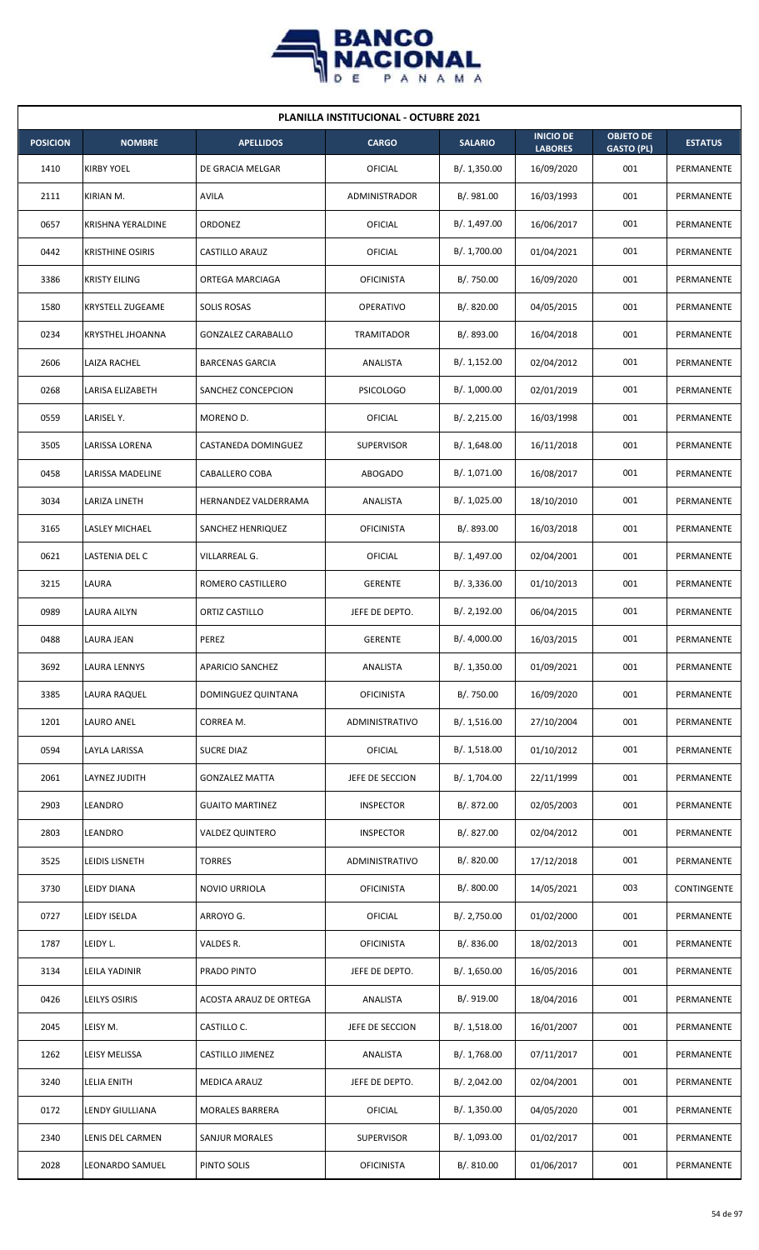

| <b>PLANILLA INSTITUCIONAL - OCTUBRE 2021</b> |                         |                           |                   |                |                                    |                                       |                |  |  |
|----------------------------------------------|-------------------------|---------------------------|-------------------|----------------|------------------------------------|---------------------------------------|----------------|--|--|
| <b>POSICION</b>                              | <b>NOMBRE</b>           | <b>APELLIDOS</b>          | <b>CARGO</b>      | <b>SALARIO</b> | <b>INICIO DE</b><br><b>LABORES</b> | <b>OBJETO DE</b><br><b>GASTO (PL)</b> | <b>ESTATUS</b> |  |  |
| 1410                                         | <b>KIRBY YOEL</b>       | DE GRACIA MELGAR          | OFICIAL           | B/.1,350.00    | 16/09/2020                         | 001                                   | PERMANENTE     |  |  |
| 2111                                         | KIRIAN M.               | AVILA                     | ADMINISTRADOR     | B/. 981.00     | 16/03/1993                         | 001                                   | PERMANENTE     |  |  |
| 0657                                         | KRISHNA YERALDINE       | ORDONEZ                   | <b>OFICIAL</b>    | B/. 1,497.00   | 16/06/2017                         | 001                                   | PERMANENTE     |  |  |
| 0442                                         | <b>KRISTHINE OSIRIS</b> | CASTILLO ARAUZ            | OFICIAL           | B/. 1,700.00   | 01/04/2021                         | 001                                   | PERMANENTE     |  |  |
| 3386                                         | <b>KRISTY EILING</b>    | ORTEGA MARCIAGA           | <b>OFICINISTA</b> | B/. 750.00     | 16/09/2020                         | 001                                   | PERMANENTE     |  |  |
| 1580                                         | <b>KRYSTELL ZUGEAME</b> | <b>SOLIS ROSAS</b>        | <b>OPERATIVO</b>  | B/. 820.00     | 04/05/2015                         | 001                                   | PERMANENTE     |  |  |
| 0234                                         | <b>KRYSTHEL JHOANNA</b> | <b>GONZALEZ CARABALLO</b> | TRAMITADOR        | B/. 893.00     | 16/04/2018                         | 001                                   | PERMANENTE     |  |  |
| 2606                                         | LAIZA RACHEL            | <b>BARCENAS GARCIA</b>    | ANALISTA          | B/.1,152.00    | 02/04/2012                         | 001                                   | PERMANENTE     |  |  |
| 0268                                         | LARISA ELIZABETH        | SANCHEZ CONCEPCION        | <b>PSICOLOGO</b>  | B/. 1,000.00   | 02/01/2019                         | 001                                   | PERMANENTE     |  |  |
| 0559                                         | LARISEL Y.              | MORENO D.                 | OFICIAL           | B/. 2,215.00   | 16/03/1998                         | 001                                   | PERMANENTE     |  |  |
| 3505                                         | LARISSA LORENA          | CASTANEDA DOMINGUEZ       | <b>SUPERVISOR</b> | B/.1,648.00    | 16/11/2018                         | 001                                   | PERMANENTE     |  |  |
| 0458                                         | LARISSA MADELINE        | CABALLERO COBA            | <b>ABOGADO</b>    | B/. 1,071.00   | 16/08/2017                         | 001                                   | PERMANENTE     |  |  |
| 3034                                         | LARIZA LINETH           | HERNANDEZ VALDERRAMA      | ANALISTA          | B/. 1,025.00   | 18/10/2010                         | 001                                   | PERMANENTE     |  |  |
| 3165                                         | LASLEY MICHAEL          | SANCHEZ HENRIQUEZ         | <b>OFICINISTA</b> | B/. 893.00     | 16/03/2018                         | 001                                   | PERMANENTE     |  |  |
| 0621                                         | LASTENIA DEL C          | VILLARREAL G.             | OFICIAL           | B/. 1,497.00   | 02/04/2001                         | 001                                   | PERMANENTE     |  |  |
| 3215                                         | LAURA                   | ROMERO CASTILLERO         | <b>GERENTE</b>    | B/.3,336.00    | 01/10/2013                         | 001                                   | PERMANENTE     |  |  |
| 0989                                         | LAURA AILYN             | ORTIZ CASTILLO            | JEFE DE DEPTO.    | B/.2,192.00    | 06/04/2015                         | 001                                   | PERMANENTE     |  |  |
| 0488                                         | LAURA JEAN              | PEREZ                     | <b>GERENTE</b>    | B/. 4,000.00   | 16/03/2015                         | 001                                   | PERMANENTE     |  |  |
| 3692                                         | <b>LAURA LENNYS</b>     | APARICIO SANCHEZ          | ANALISTA          | B/. 1,350.00   | 01/09/2021                         | 001                                   | PERMANENTE     |  |  |
| 3385                                         | LAURA RAQUEL            | DOMINGUEZ QUINTANA        | <b>OFICINISTA</b> | B/. 750.00     | 16/09/2020                         | 001                                   | PERMANENTE     |  |  |
| 1201                                         | LAURO ANEL              | CORREA M.                 | ADMINISTRATIVO    | B/. 1,516.00   | 27/10/2004                         | 001                                   | PERMANENTE     |  |  |
| 0594                                         | LAYLA LARISSA           | <b>SUCRE DIAZ</b>         | OFICIAL           | B/.1,518.00    | 01/10/2012                         | 001                                   | PERMANENTE     |  |  |
| 2061                                         | LAYNEZ JUDITH           | <b>GONZALEZ MATTA</b>     | JEFE DE SECCION   | B/. 1,704.00   | 22/11/1999                         | 001                                   | PERMANENTE     |  |  |
| 2903                                         | LEANDRO                 | <b>GUAITO MARTINEZ</b>    | <b>INSPECTOR</b>  | B/. 872.00     | 02/05/2003                         | 001                                   | PERMANENTE     |  |  |
| 2803                                         | LEANDRO                 | <b>VALDEZ QUINTERO</b>    | <b>INSPECTOR</b>  | B/. 827.00     | 02/04/2012                         | 001                                   | PERMANENTE     |  |  |
| 3525                                         | LEIDIS LISNETH          | <b>TORRES</b>             | ADMINISTRATIVO    | B/. 820.00     | 17/12/2018                         | 001                                   | PERMANENTE     |  |  |
| 3730                                         | LEIDY DIANA             | NOVIO URRIOLA             | <b>OFICINISTA</b> | B/. 800.00     | 14/05/2021                         | 003                                   | CONTINGENTE    |  |  |
| 0727                                         | LEIDY ISELDA            | ARROYO G.                 | OFICIAL           | B/. 2,750.00   | 01/02/2000                         | 001                                   | PERMANENTE     |  |  |
| 1787                                         | LEIDY L.                | VALDES R.                 | <b>OFICINISTA</b> | B/. 836.00     | 18/02/2013                         | 001                                   | PERMANENTE     |  |  |
| 3134                                         | LEILA YADINIR           | PRADO PINTO               | JEFE DE DEPTO.    | B/. 1,650.00   | 16/05/2016                         | 001                                   | PERMANENTE     |  |  |
| 0426                                         | LEILYS OSIRIS           | ACOSTA ARAUZ DE ORTEGA    | ANALISTA          | B/. 919.00     | 18/04/2016                         | 001                                   | PERMANENTE     |  |  |
| 2045                                         | LEISY M.                | CASTILLO C.               | JEFE DE SECCION   | B/. 1,518.00   | 16/01/2007                         | 001                                   | PERMANENTE     |  |  |
| 1262                                         | LEISY MELISSA           | CASTILLO JIMENEZ          | ANALISTA          | B/. 1,768.00   | 07/11/2017                         | 001                                   | PERMANENTE     |  |  |
| 3240                                         | <b>LELIA ENITH</b>      | <b>MEDICA ARAUZ</b>       | JEFE DE DEPTO.    | B/. 2,042.00   | 02/04/2001                         | 001                                   | PERMANENTE     |  |  |
| 0172                                         | LENDY GIULLIANA         | <b>MORALES BARRERA</b>    | OFICIAL           | B/. 1,350.00   | 04/05/2020                         | 001                                   | PERMANENTE     |  |  |
| 2340                                         | LENIS DEL CARMEN        | SANJUR MORALES            | <b>SUPERVISOR</b> | B/. 1,093.00   | 01/02/2017                         | 001                                   | PERMANENTE     |  |  |
| 2028                                         | LEONARDO SAMUEL         | PINTO SOLIS               | <b>OFICINISTA</b> | B/. 810.00     | 01/06/2017                         | 001                                   | PERMANENTE     |  |  |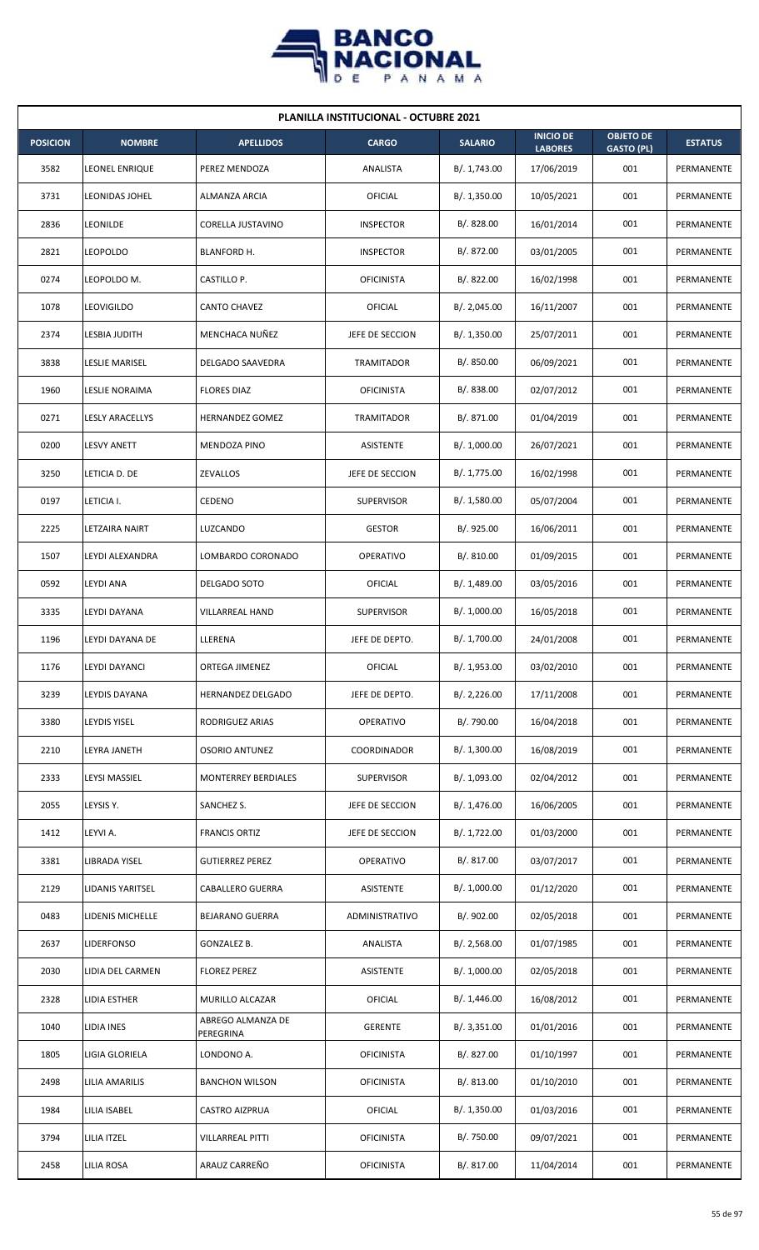

| <b>PLANILLA INSTITUCIONAL - OCTUBRE 2021</b> |                        |                                |                   |                |                                    |                                       |                |  |  |  |
|----------------------------------------------|------------------------|--------------------------------|-------------------|----------------|------------------------------------|---------------------------------------|----------------|--|--|--|
| <b>POSICION</b>                              | <b>NOMBRE</b>          | <b>APELLIDOS</b>               | <b>CARGO</b>      | <b>SALARIO</b> | <b>INICIO DE</b><br><b>LABORES</b> | <b>OBJETO DE</b><br><b>GASTO (PL)</b> | <b>ESTATUS</b> |  |  |  |
| 3582                                         | <b>LEONEL ENRIQUE</b>  | PEREZ MENDOZA                  | ANALISTA          | B/. 1,743.00   | 17/06/2019                         | 001                                   | PERMANENTE     |  |  |  |
| 3731                                         | <b>LEONIDAS JOHEL</b>  | ALMANZA ARCIA                  | <b>OFICIAL</b>    | B/. 1,350.00   | 10/05/2021                         | 001                                   | PERMANENTE     |  |  |  |
| 2836                                         | LEONILDE               | CORELLA JUSTAVINO              | <b>INSPECTOR</b>  | B/0.828.00     | 16/01/2014                         | 001                                   | PERMANENTE     |  |  |  |
| 2821                                         | <b>LEOPOLDO</b>        | BLANFORD H.                    | <b>INSPECTOR</b>  | B/. 872.00     | 03/01/2005                         | 001                                   | PERMANENTE     |  |  |  |
| 0274                                         | LEOPOLDO M.            | CASTILLO P.                    | <b>OFICINISTA</b> | B/. 822.00     | 16/02/1998                         | 001                                   | PERMANENTE     |  |  |  |
| 1078                                         | leovigildo             | <b>CANTO CHAVEZ</b>            | OFICIAL           | B/.2,045.00    | 16/11/2007                         | 001                                   | PERMANENTE     |  |  |  |
| 2374                                         | LESBIA JUDITH          | MENCHACA NUÑEZ                 | JEFE DE SECCION   | B/. 1,350.00   | 25/07/2011                         | 001                                   | PERMANENTE     |  |  |  |
| 3838                                         | LESLIE MARISEL         | DELGADO SAAVEDRA               | TRAMITADOR        | B/. 850.00     | 06/09/2021                         | 001                                   | PERMANENTE     |  |  |  |
| 1960                                         | LESLIE NORAIMA         | <b>FLORES DIAZ</b>             | <b>OFICINISTA</b> | B/. 838.00     | 02/07/2012                         | 001                                   | PERMANENTE     |  |  |  |
| 0271                                         | <b>LESLY ARACELLYS</b> | <b>HERNANDEZ GOMEZ</b>         | TRAMITADOR        | B/. 871.00     | 01/04/2019                         | 001                                   | PERMANENTE     |  |  |  |
| 0200                                         | <b>LESVY ANETT</b>     | <b>MENDOZA PINO</b>            | ASISTENTE         | B/. 1,000.00   | 26/07/2021                         | 001                                   | PERMANENTE     |  |  |  |
| 3250                                         | LETICIA D. DE          | ZEVALLOS                       | JEFE DE SECCION   | B/. 1,775.00   | 16/02/1998                         | 001                                   | PERMANENTE     |  |  |  |
| 0197                                         | LETICIA I.             | CEDENO                         | <b>SUPERVISOR</b> | B/. 1,580.00   | 05/07/2004                         | 001                                   | PERMANENTE     |  |  |  |
| 2225                                         | LETZAIRA NAIRT         | LUZCANDO                       | <b>GESTOR</b>     | B/. 925.00     | 16/06/2011                         | 001                                   | PERMANENTE     |  |  |  |
| 1507                                         | LEYDI ALEXANDRA        | LOMBARDO CORONADO              | <b>OPERATIVO</b>  | B/. 810.00     | 01/09/2015                         | 001                                   | PERMANENTE     |  |  |  |
| 0592                                         | LEYDI ANA              | DELGADO SOTO                   | OFICIAL           | B/. 1,489.00   | 03/05/2016                         | 001                                   | PERMANENTE     |  |  |  |
| 3335                                         | LEYDI DAYANA           | VILLARREAL HAND                | <b>SUPERVISOR</b> | B/. 1,000.00   | 16/05/2018                         | 001                                   | PERMANENTE     |  |  |  |
| 1196                                         | LEYDI DAYANA DE        | LLERENA                        | JEFE DE DEPTO.    | B/. 1,700.00   | 24/01/2008                         | 001                                   | PERMANENTE     |  |  |  |
| 1176                                         | <b>LEYDI DAYANCI</b>   | ORTEGA JIMENEZ                 | OFICIAL           | B/. 1,953.00   | 03/02/2010                         | 001                                   | PERMANENTE     |  |  |  |
| 3239                                         | LEYDIS DAYANA          | HERNANDEZ DELGADO              | JEFE DE DEPTO.    | B/.2,226.00    | 17/11/2008                         | 001                                   | PERMANENTE     |  |  |  |
| 3380                                         | LEYDIS YISEL           | RODRIGUEZ ARIAS                | OPERATIVO         | B/. 790.00     | 16/04/2018                         | 001                                   | PERMANENTE     |  |  |  |
| 2210                                         | LEYRA JANETH           | <b>OSORIO ANTUNEZ</b>          | COORDINADOR       | B/. 1,300.00   | 16/08/2019                         | 001                                   | PERMANENTE     |  |  |  |
| 2333                                         | LEYSI MASSIEL          | <b>MONTERREY BERDIALES</b>     | SUPERVISOR        | B/. 1,093.00   | 02/04/2012                         | 001                                   | PERMANENTE     |  |  |  |
| 2055                                         | LEYSIS Y.              | SANCHEZ S.                     | JEFE DE SECCION   | B/. 1,476.00   | 16/06/2005                         | 001                                   | PERMANENTE     |  |  |  |
| 1412                                         | LEYVI A.               | <b>FRANCIS ORTIZ</b>           | JEFE DE SECCION   | B/. 1,722.00   | 01/03/2000                         | 001                                   | PERMANENTE     |  |  |  |
| 3381                                         | LIBRADA YISEL          | <b>GUTIERREZ PEREZ</b>         | <b>OPERATIVO</b>  | B/. 817.00     | 03/07/2017                         | 001                                   | PERMANENTE     |  |  |  |
| 2129                                         | LIDANIS YARITSEL       | <b>CABALLERO GUERRA</b>        | ASISTENTE         | B/. 1,000.00   | 01/12/2020                         | 001                                   | PERMANENTE     |  |  |  |
| 0483                                         | LIDENIS MICHELLE       | <b>BEJARANO GUERRA</b>         | ADMINISTRATIVO    | B/. 902.00     | 02/05/2018                         | 001                                   | PERMANENTE     |  |  |  |
| 2637                                         | <b>LIDERFONSO</b>      | GONZALEZ B.                    | ANALISTA          | B/.2,568.00    | 01/07/1985                         | 001                                   | PERMANENTE     |  |  |  |
| 2030                                         | LIDIA DEL CARMEN       | <b>FLOREZ PEREZ</b>            | ASISTENTE         | B/. 1,000.00   | 02/05/2018                         | 001                                   | PERMANENTE     |  |  |  |
| 2328                                         | LIDIA ESTHER           | MURILLO ALCAZAR                | OFICIAL           | B/.1,446.00    | 16/08/2012                         | 001                                   | PERMANENTE     |  |  |  |
| 1040                                         | LIDIA INES             | ABREGO ALMANZA DE<br>PEREGRINA | <b>GERENTE</b>    | B/.3,351.00    | 01/01/2016                         | 001                                   | PERMANENTE     |  |  |  |
| 1805                                         | LIGIA GLORIELA         | LONDONO A.                     | <b>OFICINISTA</b> | B/. 827.00     | 01/10/1997                         | 001                                   | PERMANENTE     |  |  |  |
| 2498                                         | LILIA AMARILIS         | <b>BANCHON WILSON</b>          | <b>OFICINISTA</b> | B/. 813.00     | 01/10/2010                         | 001                                   | PERMANENTE     |  |  |  |
| 1984                                         | LILIA ISABEL           | <b>CASTRO AIZPRUA</b>          | <b>OFICIAL</b>    | B/. 1,350.00   | 01/03/2016                         | 001                                   | PERMANENTE     |  |  |  |
| 3794                                         | LILIA ITZEL            | <b>VILLARREAL PITTI</b>        | <b>OFICINISTA</b> | B/. 750.00     | 09/07/2021                         | 001                                   | PERMANENTE     |  |  |  |
| 2458                                         | LILIA ROSA             | ARAUZ CARREÑO                  | <b>OFICINISTA</b> | B/. 817.00     | 11/04/2014                         | 001                                   | PERMANENTE     |  |  |  |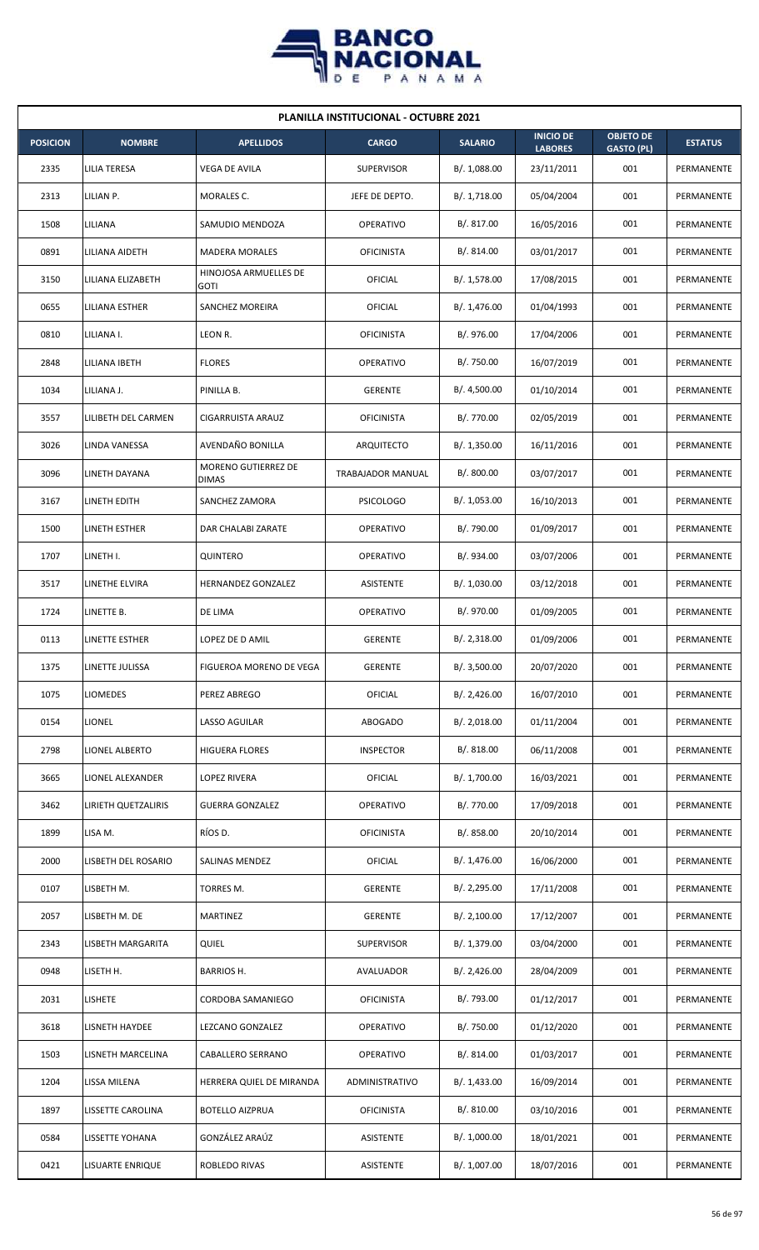

|                 | <b>PLANILLA INSTITUCIONAL - OCTUBRE 2021</b> |                                      |                   |                |                                    |                                       |                |  |  |  |
|-----------------|----------------------------------------------|--------------------------------------|-------------------|----------------|------------------------------------|---------------------------------------|----------------|--|--|--|
| <b>POSICION</b> | <b>NOMBRE</b>                                | <b>APELLIDOS</b>                     | <b>CARGO</b>      | <b>SALARIO</b> | <b>INICIO DE</b><br><b>LABORES</b> | <b>OBJETO DE</b><br><b>GASTO (PL)</b> | <b>ESTATUS</b> |  |  |  |
| 2335            | <b>LILIA TERESA</b>                          | VEGA DE AVILA                        | <b>SUPERVISOR</b> | B/. 1,088.00   | 23/11/2011                         | 001                                   | PERMANENTE     |  |  |  |
| 2313            | LILIAN P.                                    | MORALES C.                           | JEFE DE DEPTO.    | B/.1,718.00    | 05/04/2004                         | 001                                   | PERMANENTE     |  |  |  |
| 1508            | LILIANA                                      | SAMUDIO MENDOZA                      | <b>OPERATIVO</b>  | B/. 817.00     | 16/05/2016                         | 001                                   | PERMANENTE     |  |  |  |
| 0891            | LILIANA AIDETH                               | <b>MADERA MORALES</b>                | <b>OFICINISTA</b> | B/. 814.00     | 03/01/2017                         | 001                                   | PERMANENTE     |  |  |  |
| 3150            | LILIANA ELIZABETH                            | HINOJOSA ARMUELLES DE<br><b>GOTI</b> | OFICIAL           | B/.1,578.00    | 17/08/2015                         | 001                                   | PERMANENTE     |  |  |  |
| 0655            | LILIANA ESTHER                               | SANCHEZ MOREIRA                      | OFICIAL           | B/. 1,476.00   | 01/04/1993                         | 001                                   | PERMANENTE     |  |  |  |
| 0810            | LILIANA I.                                   | LEON R.                              | <b>OFICINISTA</b> | B/. 976.00     | 17/04/2006                         | 001                                   | PERMANENTE     |  |  |  |
| 2848            | LILIANA IBETH                                | <b>FLORES</b>                        | <b>OPERATIVO</b>  | B/. 750.00     | 16/07/2019                         | 001                                   | PERMANENTE     |  |  |  |
| 1034            | LILIANA J.                                   | PINILLA B.                           | <b>GERENTE</b>    | B/. 4,500.00   | 01/10/2014                         | 001                                   | PERMANENTE     |  |  |  |
| 3557            | LILIBETH DEL CARMEN                          | CIGARRUISTA ARAUZ                    | <b>OFICINISTA</b> | B/. 770.00     | 02/05/2019                         | 001                                   | PERMANENTE     |  |  |  |
| 3026            | LINDA VANESSA                                | AVENDAÑO BONILLA                     | <b>ARQUITECTO</b> | B/.1,350.00    | 16/11/2016                         | 001                                   | PERMANENTE     |  |  |  |
| 3096            | LINETH DAYANA                                | MORENO GUTIERREZ DE<br><b>DIMAS</b>  | TRABAJADOR MANUAL | B/. 800.00     | 03/07/2017                         | 001                                   | PERMANENTE     |  |  |  |
| 3167            | LINETH EDITH                                 | SANCHEZ ZAMORA                       | <b>PSICOLOGO</b>  | B/. 1,053.00   | 16/10/2013                         | 001                                   | PERMANENTE     |  |  |  |
| 1500            | LINETH ESTHER                                | DAR CHALABI ZARATE                   | <b>OPERATIVO</b>  | B/. 790.00     | 01/09/2017                         | 001                                   | PERMANENTE     |  |  |  |
| 1707            | LINETH I.                                    | QUINTERO                             | <b>OPERATIVO</b>  | B/. 934.00     | 03/07/2006                         | 001                                   | PERMANENTE     |  |  |  |
| 3517            | LINETHE ELVIRA                               | HERNANDEZ GONZALEZ                   | <b>ASISTENTE</b>  | B/. 1,030.00   | 03/12/2018                         | 001                                   | PERMANENTE     |  |  |  |
| 1724            | LINETTE B.                                   | DE LIMA                              | <b>OPERATIVO</b>  | B/. 970.00     | 01/09/2005                         | 001                                   | PERMANENTE     |  |  |  |
| 0113            | LINETTE ESTHER                               | LOPEZ DE D AMIL                      | <b>GERENTE</b>    | B/.2,318.00    | 01/09/2006                         | 001                                   | PERMANENTE     |  |  |  |
| 1375            | LINETTE JULISSA                              | FIGUEROA MORENO DE VEGA              | <b>GERENTE</b>    | B/. 3,500.00   | 20/07/2020                         | 001                                   | PERMANENTE     |  |  |  |
| 1075            | <b>LIOMEDES</b>                              | PEREZ ABREGO                         | <b>OFICIAL</b>    | B/.2,426.00    | 16/07/2010                         | 001                                   | PERMANENTE     |  |  |  |
| 0154            | <b>LIONEL</b>                                | LASSO AGUILAR                        | <b>ABOGADO</b>    | B/.2,018.00    | 01/11/2004                         | 001                                   | PERMANENTE     |  |  |  |
| 2798            | LIONEL ALBERTO                               | <b>HIGUERA FLORES</b>                | <b>INSPECTOR</b>  | B/. 818.00     | 06/11/2008                         | 001                                   | PERMANENTE     |  |  |  |
| 3665            | LIONEL ALEXANDER                             | LOPEZ RIVERA                         | <b>OFICIAL</b>    | B/. 1,700.00   | 16/03/2021                         | 001                                   | PERMANENTE     |  |  |  |
| 3462            | <b>LIRIETH QUETZALIRIS</b>                   | GUERRA GONZALEZ                      | OPERATIVO         | B/. 770.00     | 17/09/2018                         | 001                                   | PERMANENTE     |  |  |  |
| 1899            | LISA M.                                      | RÍOS D.                              | <b>OFICINISTA</b> | B/. 858.00     | 20/10/2014                         | 001                                   | PERMANENTE     |  |  |  |
| 2000            | LISBETH DEL ROSARIO                          | SALINAS MENDEZ                       | <b>OFICIAL</b>    | B/. 1,476.00   | 16/06/2000                         | 001                                   | PERMANENTE     |  |  |  |
| 0107            | LISBETH M.                                   | TORRES M.                            | <b>GERENTE</b>    | B/.2,295.00    | 17/11/2008                         | 001                                   | PERMANENTE     |  |  |  |
| 2057            | LISBETH M. DE                                | <b>MARTINEZ</b>                      | <b>GERENTE</b>    | B/.2,100.00    | 17/12/2007                         | 001                                   | PERMANENTE     |  |  |  |
| 2343            | LISBETH MARGARITA                            | <b>QUIEL</b>                         | <b>SUPERVISOR</b> | B/. 1,379.00   | 03/04/2000                         | 001                                   | PERMANENTE     |  |  |  |
| 0948            | LISETH H.                                    | <b>BARRIOS H.</b>                    | AVALUADOR         | B/.2,426.00    | 28/04/2009                         | 001                                   | PERMANENTE     |  |  |  |
| 2031            | LISHETE                                      | CORDOBA SAMANIEGO                    | <b>OFICINISTA</b> | B/. 793.00     | 01/12/2017                         | 001                                   | PERMANENTE     |  |  |  |
| 3618            | <b>LISNETH HAYDEE</b>                        | LEZCANO GONZALEZ                     | <b>OPERATIVO</b>  | B/. 750.00     | 01/12/2020                         | 001                                   | PERMANENTE     |  |  |  |
| 1503            | LISNETH MARCELINA                            | CABALLERO SERRANO                    | <b>OPERATIVO</b>  | B/. 814.00     | 01/03/2017                         | 001                                   | PERMANENTE     |  |  |  |
| 1204            | LISSA MILENA                                 | HERRERA QUIEL DE MIRANDA             | ADMINISTRATIVO    | B/. 1,433.00   | 16/09/2014                         | 001                                   | PERMANENTE     |  |  |  |
| 1897            | LISSETTE CAROLINA                            | <b>BOTELLO AIZPRUA</b>               | <b>OFICINISTA</b> | B/. 810.00     | 03/10/2016                         | 001                                   | PERMANENTE     |  |  |  |
| 0584            | LISSETTE YOHANA                              | GONZÁLEZ ARAÚZ                       | ASISTENTE         | B/. 1,000.00   | 18/01/2021                         | 001                                   | PERMANENTE     |  |  |  |
| 0421            | LISUARTE ENRIQUE                             | ROBLEDO RIVAS                        | ASISTENTE         | B/. 1,007.00   | 18/07/2016                         | 001                                   | PERMANENTE     |  |  |  |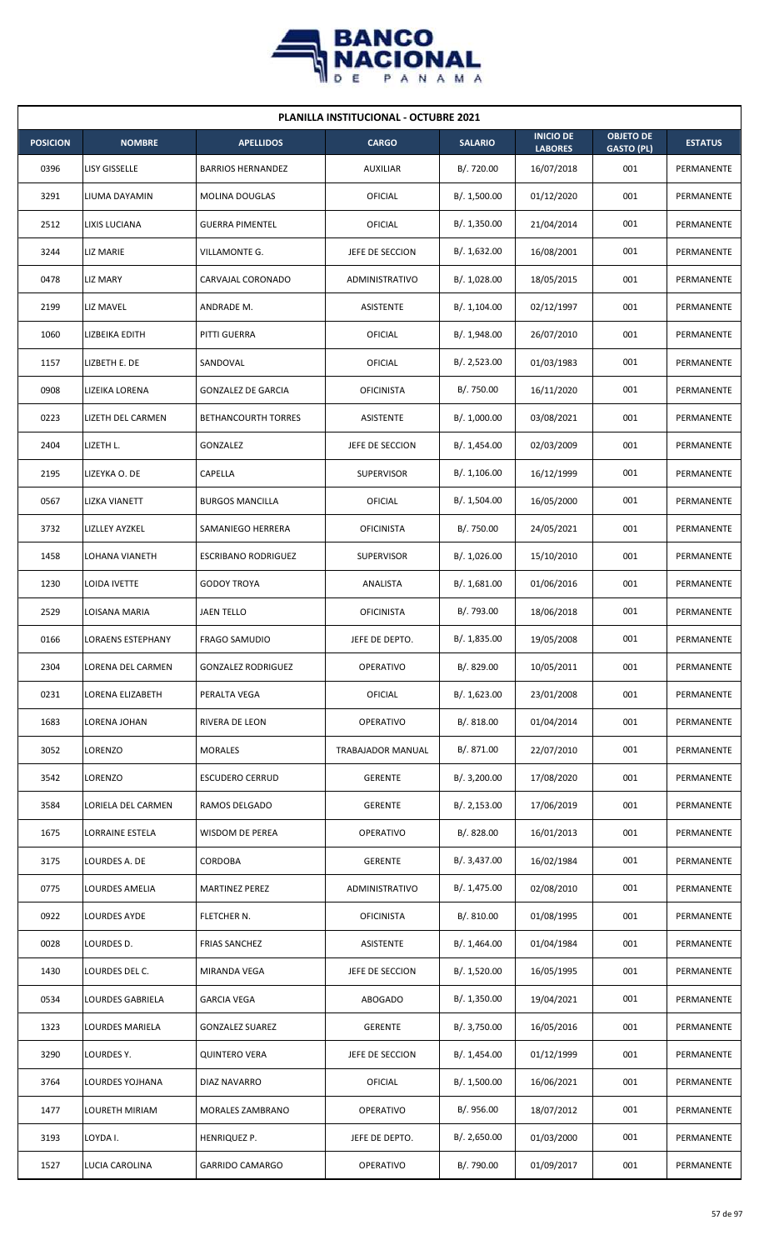

| <b>PLANILLA INSTITUCIONAL - OCTUBRE 2021</b> |                          |                            |                   |                |                                    |                                       |                |  |  |
|----------------------------------------------|--------------------------|----------------------------|-------------------|----------------|------------------------------------|---------------------------------------|----------------|--|--|
| <b>POSICION</b>                              | <b>NOMBRE</b>            | <b>APELLIDOS</b>           | <b>CARGO</b>      | <b>SALARIO</b> | <b>INICIO DE</b><br><b>LABORES</b> | <b>OBJETO DE</b><br><b>GASTO (PL)</b> | <b>ESTATUS</b> |  |  |
| 0396                                         | LISY GISSELLE            | <b>BARRIOS HERNANDEZ</b>   | <b>AUXILIAR</b>   | B/. 720.00     | 16/07/2018                         | 001                                   | PERMANENTE     |  |  |
| 3291                                         | LIUMA DAYAMIN            | MOLINA DOUGLAS             | <b>OFICIAL</b>    | B/. 1,500.00   | 01/12/2020                         | 001                                   | PERMANENTE     |  |  |
| 2512                                         | LIXIS LUCIANA            | <b>GUERRA PIMENTEL</b>     | OFICIAL           | B/.1,350.00    | 21/04/2014                         | 001                                   | PERMANENTE     |  |  |
| 3244                                         | LIZ MARIE                | VILLAMONTE G.              | JEFE DE SECCION   | B/.1,632.00    | 16/08/2001                         | 001                                   | PERMANENTE     |  |  |
| 0478                                         | LIZ MARY                 | CARVAJAL CORONADO          | ADMINISTRATIVO    | B/. 1,028.00   | 18/05/2015                         | 001                                   | PERMANENTE     |  |  |
| 2199                                         | LIZ MAVEL                | ANDRADE M.                 | ASISTENTE         | B/. 1,104.00   | 02/12/1997                         | 001                                   | PERMANENTE     |  |  |
| 1060                                         | LIZBEIKA EDITH           | PITTI GUERRA               | OFICIAL           | B/.1,948.00    | 26/07/2010                         | 001                                   | PERMANENTE     |  |  |
| 1157                                         | LIZBETH E. DE            | SANDOVAL                   | OFICIAL           | B/.2,523.00    | 01/03/1983                         | 001                                   | PERMANENTE     |  |  |
| 0908                                         | LIZEIKA LORENA           | <b>GONZALEZ DE GARCIA</b>  | <b>OFICINISTA</b> | B/. 750.00     | 16/11/2020                         | 001                                   | PERMANENTE     |  |  |
| 0223                                         | LIZETH DEL CARMEN        | <b>BETHANCOURTH TORRES</b> | <b>ASISTENTE</b>  | B/. 1,000.00   | 03/08/2021                         | 001                                   | PERMANENTE     |  |  |
| 2404                                         | LIZETH L.                | GONZALEZ                   | JEFE DE SECCION   | B/. 1,454.00   | 02/03/2009                         | 001                                   | PERMANENTE     |  |  |
| 2195                                         | LIZEYKA O. DE            | CAPELLA                    | <b>SUPERVISOR</b> | B/.1,106.00    | 16/12/1999                         | 001                                   | PERMANENTE     |  |  |
| 0567                                         | LIZKA VIANETT            | <b>BURGOS MANCILLA</b>     | OFICIAL           | B/. 1,504.00   | 16/05/2000                         | 001                                   | PERMANENTE     |  |  |
| 3732                                         | LIZLLEY AYZKEL           | SAMANIEGO HERRERA          | <b>OFICINISTA</b> | B/. 750.00     | 24/05/2021                         | 001                                   | PERMANENTE     |  |  |
| 1458                                         | LOHANA VIANETH           | <b>ESCRIBANO RODRIGUEZ</b> | <b>SUPERVISOR</b> | B/. 1,026.00   | 15/10/2010                         | 001                                   | PERMANENTE     |  |  |
| 1230                                         | LOIDA IVETTE             | <b>GODOY TROYA</b>         | ANALISTA          | B/.1,681.00    | 01/06/2016                         | 001                                   | PERMANENTE     |  |  |
| 2529                                         | LOISANA MARIA            | JAEN TELLO                 | <b>OFICINISTA</b> | B/. 793.00     | 18/06/2018                         | 001                                   | PERMANENTE     |  |  |
| 0166                                         | <b>LORAENS ESTEPHANY</b> | <b>FRAGO SAMUDIO</b>       | JEFE DE DEPTO.    | B/. 1,835.00   | 19/05/2008                         | 001                                   | PERMANENTE     |  |  |
| 2304                                         | <b>LORENA DEL CARMEN</b> | <b>GONZALEZ RODRIGUEZ</b>  | OPERATIVO         | B/. 829.00     | 10/05/2011                         | 001                                   | PERMANENTE     |  |  |
| 0231                                         | LORENA ELIZABETH         | PERALTA VEGA               | <b>OFICIAL</b>    | B/. 1,623.00   | 23/01/2008                         | 001                                   | PERMANENTE     |  |  |
| 1683                                         | LORENA JOHAN             | RIVERA DE LEON             | OPERATIVO         | B/. 818.00     | 01/04/2014                         | 001                                   | PERMANENTE     |  |  |
| 3052                                         | LORENZO                  | <b>MORALES</b>             | TRABAJADOR MANUAL | B/. 871.00     | 22/07/2010                         | 001                                   | PERMANENTE     |  |  |
| 3542                                         | LORENZO                  | <b>ESCUDERO CERRUD</b>     | <b>GERENTE</b>    | B/. 3,200.00   | 17/08/2020                         | 001                                   | PERMANENTE     |  |  |
| 3584                                         | LORIELA DEL CARMEN       | RAMOS DELGADO              | <b>GERENTE</b>    | B/.2,153.00    | 17/06/2019                         | 001                                   | PERMANENTE     |  |  |
| 1675                                         | LORRAINE ESTELA          | WISDOM DE PEREA            | OPERATIVO         | B/0.828.00     | 16/01/2013                         | 001                                   | PERMANENTE     |  |  |
| 3175                                         | LOURDES A. DE            | <b>CORDOBA</b>             | <b>GERENTE</b>    | B/. 3,437.00   | 16/02/1984                         | 001                                   | PERMANENTE     |  |  |
| 0775                                         | LOURDES AMELIA           | <b>MARTINEZ PEREZ</b>      | ADMINISTRATIVO    | B/. 1,475.00   | 02/08/2010                         | 001                                   | PERMANENTE     |  |  |
| 0922                                         | LOURDES AYDE             | FLETCHER N.                | <b>OFICINISTA</b> | B/. 810.00     | 01/08/1995                         | 001                                   | PERMANENTE     |  |  |
| 0028                                         | LOURDES D.               | <b>FRIAS SANCHEZ</b>       | ASISTENTE         | B/.1,464.00    | 01/04/1984                         | 001                                   | PERMANENTE     |  |  |
| 1430                                         | LOURDES DEL C.           | MIRANDA VEGA               | JEFE DE SECCION   | B/.1,520.00    | 16/05/1995                         | 001                                   | PERMANENTE     |  |  |
| 0534                                         | LOURDES GABRIELA         | <b>GARCIA VEGA</b>         | ABOGADO           | B/. 1,350.00   | 19/04/2021                         | 001                                   | PERMANENTE     |  |  |
| 1323                                         | LOURDES MARIELA          | <b>GONZALEZ SUAREZ</b>     | <b>GERENTE</b>    | B/. 3,750.00   | 16/05/2016                         | 001                                   | PERMANENTE     |  |  |
| 3290                                         | LOURDES Y.               | <b>QUINTERO VERA</b>       | JEFE DE SECCION   | B/.1,454.00    | 01/12/1999                         | 001                                   | PERMANENTE     |  |  |
| 3764                                         | LOURDES YOJHANA          | DIAZ NAVARRO               | OFICIAL           | B/. 1,500.00   | 16/06/2021                         | 001                                   | PERMANENTE     |  |  |
| 1477                                         | LOURETH MIRIAM           | MORALES ZAMBRANO           | OPERATIVO         | B/. 956.00     | 18/07/2012                         | 001                                   | PERMANENTE     |  |  |
| 3193                                         | LOYDA I.                 | HENRIQUEZ P.               | JEFE DE DEPTO.    | B/.2,650.00    | 01/03/2000                         | 001                                   | PERMANENTE     |  |  |
| 1527                                         | LUCIA CAROLINA           | <b>GARRIDO CAMARGO</b>     | OPERATIVO         | B/. 790.00     | 01/09/2017                         | 001                                   | PERMANENTE     |  |  |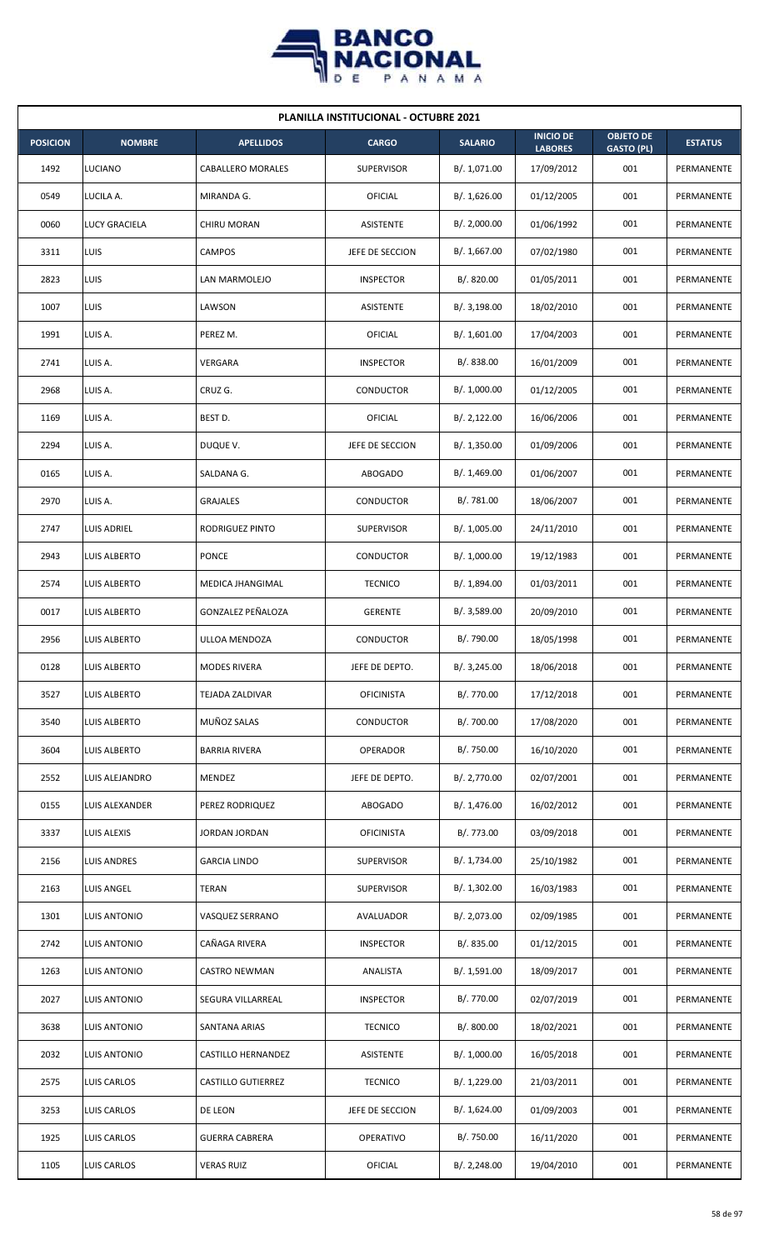

| <b>PLANILLA INSTITUCIONAL - OCTUBRE 2021</b> |                      |                       |                   |                |                                    |                                       |                |  |  |
|----------------------------------------------|----------------------|-----------------------|-------------------|----------------|------------------------------------|---------------------------------------|----------------|--|--|
| <b>POSICION</b>                              | <b>NOMBRE</b>        | <b>APELLIDOS</b>      | <b>CARGO</b>      | <b>SALARIO</b> | <b>INICIO DE</b><br><b>LABORES</b> | <b>OBJETO DE</b><br><b>GASTO (PL)</b> | <b>ESTATUS</b> |  |  |
| 1492                                         | LUCIANO              | CABALLERO MORALES     | <b>SUPERVISOR</b> | B/. 1,071.00   | 17/09/2012                         | 001                                   | PERMANENTE     |  |  |
| 0549                                         | LUCILA A.            | MIRANDA G.            | <b>OFICIAL</b>    | B/. 1,626.00   | 01/12/2005                         | 001                                   | PERMANENTE     |  |  |
| 0060                                         | <b>LUCY GRACIELA</b> | <b>CHIRU MORAN</b>    | ASISTENTE         | B/.2,000.00    | 01/06/1992                         | 001                                   | PERMANENTE     |  |  |
| 3311                                         | <b>LUIS</b>          | <b>CAMPOS</b>         | JEFE DE SECCION   | B/. 1,667.00   | 07/02/1980                         | 001                                   | PERMANENTE     |  |  |
| 2823                                         | LUIS                 | LAN MARMOLEJO         | <b>INSPECTOR</b>  | B/. 820.00     | 01/05/2011                         | 001                                   | PERMANENTE     |  |  |
| 1007                                         | LUIS                 | LAWSON                | ASISTENTE         | B/.3,198.00    | 18/02/2010                         | 001                                   | PERMANENTE     |  |  |
| 1991                                         | LUIS A.              | PEREZ M.              | OFICIAL           | B/. 1,601.00   | 17/04/2003                         | 001                                   | PERMANENTE     |  |  |
| 2741                                         | LUIS A.              | <b>VERGARA</b>        | <b>INSPECTOR</b>  | B/0.838.00     | 16/01/2009                         | 001                                   | PERMANENTE     |  |  |
| 2968                                         | LUIS A.              | CRUZ G.               | CONDUCTOR         | B/. 1,000.00   | 01/12/2005                         | 001                                   | PERMANENTE     |  |  |
| 1169                                         | LUIS A.              | BEST D.               | <b>OFICIAL</b>    | B/. 2,122.00   | 16/06/2006                         | 001                                   | PERMANENTE     |  |  |
| 2294                                         | LUIS A.              | DUQUE V.              | JEFE DE SECCION   | B/.1,350.00    | 01/09/2006                         | 001                                   | PERMANENTE     |  |  |
| 0165                                         | LUIS A.              | SALDANA G.            | <b>ABOGADO</b>    | B/. 1,469.00   | 01/06/2007                         | 001                                   | PERMANENTE     |  |  |
| 2970                                         | LUIS A.              | <b>GRAJALES</b>       | CONDUCTOR         | B/.781.00      | 18/06/2007                         | 001                                   | PERMANENTE     |  |  |
| 2747                                         | <b>LUIS ADRIEL</b>   | RODRIGUEZ PINTO       | <b>SUPERVISOR</b> | B/. 1,005.00   | 24/11/2010                         | 001                                   | PERMANENTE     |  |  |
| 2943                                         | LUIS ALBERTO         | <b>PONCE</b>          | CONDUCTOR         | B/. 1,000.00   | 19/12/1983                         | 001                                   | PERMANENTE     |  |  |
| 2574                                         | LUIS ALBERTO         | MEDICA JHANGIMAL      | <b>TECNICO</b>    | B/. 1,894.00   | 01/03/2011                         | 001                                   | PERMANENTE     |  |  |
| 0017                                         | LUIS ALBERTO         | GONZALEZ PEÑALOZA     | <b>GERENTE</b>    | B/.3,589.00    | 20/09/2010                         | 001                                   | PERMANENTE     |  |  |
| 2956                                         | LUIS ALBERTO         | ULLOA MENDOZA         | <b>CONDUCTOR</b>  | B/. 790.00     | 18/05/1998                         | 001                                   | PERMANENTE     |  |  |
| 0128                                         | LUIS ALBERTO         | <b>MODES RIVERA</b>   | JEFE DE DEPTO.    | B/. 3,245.00   | 18/06/2018                         | 001                                   | PERMANENTE     |  |  |
| 3527                                         | <b>LUIS ALBERTO</b>  | TEJADA ZALDIVAR       | <b>OFICINISTA</b> | B/. 770.00     | 17/12/2018                         | 001                                   | PERMANENTE     |  |  |
| 3540                                         | <b>LUIS ALBERTO</b>  | MUÑOZ SALAS           | CONDUCTOR         | B/. 700.00     | 17/08/2020                         | 001                                   | PERMANENTE     |  |  |
| 3604                                         | LUIS ALBERTO         | <b>BARRIA RIVERA</b>  | OPERADOR          | B/. 750.00     | 16/10/2020                         | 001                                   | PERMANENTE     |  |  |
| 2552                                         | LUIS ALEJANDRO       | MENDEZ                | JEFE DE DEPTO.    | B/. 2,770.00   | 02/07/2001                         | 001                                   | PERMANENTE     |  |  |
| 0155                                         | LUIS ALEXANDER       | PEREZ RODRIQUEZ       | ABOGADO           | B/. 1,476.00   | 16/02/2012                         | 001                                   | PERMANENTE     |  |  |
| 3337                                         | LUIS ALEXIS          | JORDAN JORDAN         | <b>OFICINISTA</b> | B/. 773.00     | 03/09/2018                         | 001                                   | PERMANENTE     |  |  |
| 2156                                         | LUIS ANDRES          | <b>GARCIA LINDO</b>   | <b>SUPERVISOR</b> | B/. 1,734.00   | 25/10/1982                         | 001                                   | PERMANENTE     |  |  |
| 2163                                         | LUIS ANGEL           | TERAN                 | <b>SUPERVISOR</b> | B/. 1,302.00   | 16/03/1983                         | 001                                   | PERMANENTE     |  |  |
| 1301                                         | LUIS ANTONIO         | VASQUEZ SERRANO       | AVALUADOR         | B/. 2,073.00   | 02/09/1985                         | 001                                   | PERMANENTE     |  |  |
| 2742                                         | LUIS ANTONIO         | CAÑAGA RIVERA         | <b>INSPECTOR</b>  | B/. 835.00     | 01/12/2015                         | 001                                   | PERMANENTE     |  |  |
| 1263                                         | <b>LUIS ANTONIO</b>  | <b>CASTRO NEWMAN</b>  | ANALISTA          | B/. 1,591.00   | 18/09/2017                         | 001                                   | PERMANENTE     |  |  |
| 2027                                         | LUIS ANTONIO         | SEGURA VILLARREAL     | <b>INSPECTOR</b>  | B/. 770.00     | 02/07/2019                         | 001                                   | PERMANENTE     |  |  |
| 3638                                         | LUIS ANTONIO         | SANTANA ARIAS         | <b>TECNICO</b>    | B/. 800.00     | 18/02/2021                         | 001                                   | PERMANENTE     |  |  |
| 2032                                         | LUIS ANTONIO         | CASTILLO HERNANDEZ    | ASISTENTE         | B/. 1,000.00   | 16/05/2018                         | 001                                   | PERMANENTE     |  |  |
| 2575                                         | LUIS CARLOS          | CASTILLO GUTIERREZ    | <b>TECNICO</b>    | B/. 1,229.00   | 21/03/2011                         | 001                                   | PERMANENTE     |  |  |
| 3253                                         | LUIS CARLOS          | DE LEON               | JEFE DE SECCION   | B/. 1,624.00   | 01/09/2003                         | 001                                   | PERMANENTE     |  |  |
| 1925                                         | LUIS CARLOS          | <b>GUERRA CABRERA</b> | OPERATIVO         | B/. 750.00     | 16/11/2020                         | 001                                   | PERMANENTE     |  |  |
| 1105                                         | <b>LUIS CARLOS</b>   | <b>VERAS RUIZ</b>     | OFICIAL           | B/. 2,248.00   | 19/04/2010                         | 001                                   | PERMANENTE     |  |  |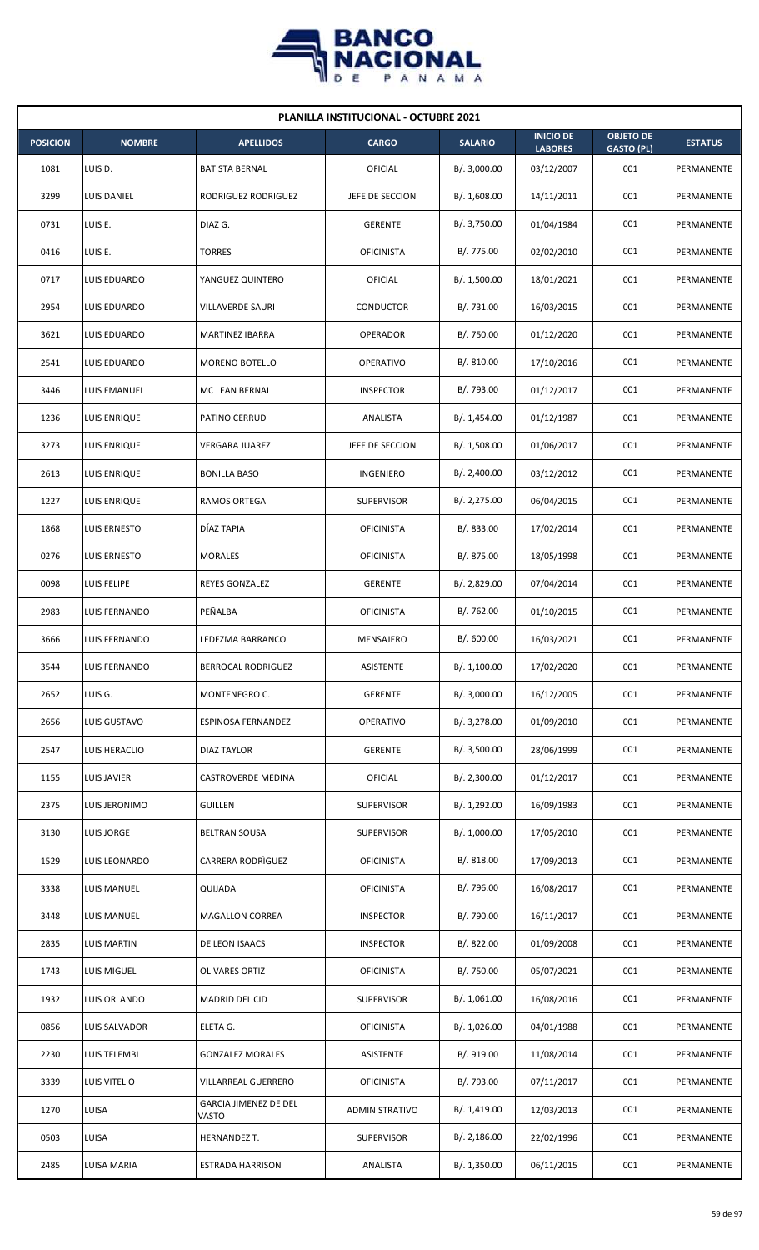

| <b>PLANILLA INSTITUCIONAL - OCTUBRE 2021</b> |                      |                                       |                   |                |                                    |                                       |                |  |  |  |
|----------------------------------------------|----------------------|---------------------------------------|-------------------|----------------|------------------------------------|---------------------------------------|----------------|--|--|--|
| <b>POSICION</b>                              | <b>NOMBRE</b>        | <b>APELLIDOS</b>                      | <b>CARGO</b>      | <b>SALARIO</b> | <b>INICIO DE</b><br><b>LABORES</b> | <b>OBJETO DE</b><br><b>GASTO (PL)</b> | <b>ESTATUS</b> |  |  |  |
| 1081                                         | LUIS D.              | <b>BATISTA BERNAL</b>                 | OFICIAL           | B/.3,000.00    | 03/12/2007                         | 001                                   | PERMANENTE     |  |  |  |
| 3299                                         | LUIS DANIEL          | RODRIGUEZ RODRIGUEZ                   | JEFE DE SECCION   | B/.1,608.00    | 14/11/2011                         | 001                                   | PERMANENTE     |  |  |  |
| 0731                                         | LUIS E.              | DIAZ G.                               | <b>GERENTE</b>    | B/. 3,750.00   | 01/04/1984                         | 001                                   | PERMANENTE     |  |  |  |
| 0416                                         | LUIS E.              | <b>TORRES</b>                         | <b>OFICINISTA</b> | B/. 775.00     | 02/02/2010                         | 001                                   | PERMANENTE     |  |  |  |
| 0717                                         | LUIS EDUARDO         | YANGUEZ QUINTERO                      | OFICIAL           | B/. 1,500.00   | 18/01/2021                         | 001                                   | PERMANENTE     |  |  |  |
| 2954                                         | LUIS EDUARDO         | VILLAVERDE SAURI                      | <b>CONDUCTOR</b>  | B/. 731.00     | 16/03/2015                         | 001                                   | PERMANENTE     |  |  |  |
| 3621                                         | LUIS EDUARDO         | MARTINEZ IBARRA                       | <b>OPERADOR</b>   | B/. 750.00     | 01/12/2020                         | 001                                   | PERMANENTE     |  |  |  |
| 2541                                         | LUIS EDUARDO         | <b>MORENO BOTELLO</b>                 | <b>OPERATIVO</b>  | B/. 810.00     | 17/10/2016                         | 001                                   | PERMANENTE     |  |  |  |
| 3446                                         | LUIS EMANUEL         | MC LEAN BERNAL                        | <b>INSPECTOR</b>  | B/. 793.00     | 01/12/2017                         | 001                                   | PERMANENTE     |  |  |  |
| 1236                                         | LUIS ENRIQUE         | PATINO CERRUD                         | ANALISTA          | B/. 1,454.00   | 01/12/1987                         | 001                                   | PERMANENTE     |  |  |  |
| 3273                                         | <b>LUIS ENRIQUE</b>  | <b>VERGARA JUAREZ</b>                 | JEFE DE SECCION   | B/.1,508.00    | 01/06/2017                         | 001                                   | PERMANENTE     |  |  |  |
| 2613                                         | LUIS ENRIQUE         | <b>BONILLA BASO</b>                   | INGENIERO         | B/. 2,400.00   | 03/12/2012                         | 001                                   | PERMANENTE     |  |  |  |
| 1227                                         | LUIS ENRIQUE         | RAMOS ORTEGA                          | <b>SUPERVISOR</b> | B/.2,275.00    | 06/04/2015                         | 001                                   | PERMANENTE     |  |  |  |
| 1868                                         | LUIS ERNESTO         | DÍAZ TAPIA                            | <b>OFICINISTA</b> | B/0.833.00     | 17/02/2014                         | 001                                   | PERMANENTE     |  |  |  |
| 0276                                         | LUIS ERNESTO         | <b>MORALES</b>                        | <b>OFICINISTA</b> | B/. 875.00     | 18/05/1998                         | 001                                   | PERMANENTE     |  |  |  |
| 0098                                         | LUIS FELIPE          | REYES GONZALEZ                        | <b>GERENTE</b>    | B/.2,829.00    | 07/04/2014                         | 001                                   | PERMANENTE     |  |  |  |
| 2983                                         | LUIS FERNANDO        | PEÑALBA                               | <b>OFICINISTA</b> | B/. 762.00     | 01/10/2015                         | 001                                   | PERMANENTE     |  |  |  |
| 3666                                         | LUIS FERNANDO        | LEDEZMA BARRANCO                      | MENSAJERO         | B/. 600.00     | 16/03/2021                         | 001                                   | PERMANENTE     |  |  |  |
| 3544                                         | <b>LUIS FERNANDO</b> | BERROCAL RODRIGUEZ                    | ASISTENTE         | B/. 1,100.00   | 17/02/2020                         | 001                                   | PERMANENTE     |  |  |  |
| 2652                                         | LUIS G.              | MONTENEGRO C.                         | <b>GERENTE</b>    | B/.3,000.00    | 16/12/2005                         | 001                                   | PERMANENTE     |  |  |  |
| 2656                                         | LUIS GUSTAVO         | ESPINOSA FERNANDEZ                    | OPERATIVO         | B/. 3,278.00   | 01/09/2010                         | 001                                   | PERMANENTE     |  |  |  |
| 2547                                         | LUIS HERACLIO        | <b>DIAZ TAYLOR</b>                    | <b>GERENTE</b>    | B/.3,500.00    | 28/06/1999                         | 001                                   | PERMANENTE     |  |  |  |
| 1155                                         | LUIS JAVIER          | CASTROVERDE MEDINA                    | OFICIAL           | B/. 2,300.00   | 01/12/2017                         | 001                                   | PERMANENTE     |  |  |  |
| 2375                                         | LUIS JERONIMO        | <b>GUILLEN</b>                        | <b>SUPERVISOR</b> | B/. 1,292.00   | 16/09/1983                         | 001                                   | PERMANENTE     |  |  |  |
| 3130                                         | LUIS JORGE           | <b>BELTRAN SOUSA</b>                  | <b>SUPERVISOR</b> | B/. 1,000.00   | 17/05/2010                         | 001                                   | PERMANENTE     |  |  |  |
| 1529                                         | LUIS LEONARDO        | CARRERA RODRIGUEZ                     | <b>OFICINISTA</b> | B/. 818.00     | 17/09/2013                         | 001                                   | PERMANENTE     |  |  |  |
| 3338                                         | LUIS MANUEL          | QUIJADA                               | <b>OFICINISTA</b> | B/. 796.00     | 16/08/2017                         | 001                                   | PERMANENTE     |  |  |  |
| 3448                                         | LUIS MANUEL          | <b>MAGALLON CORREA</b>                | <b>INSPECTOR</b>  | B/. 790.00     | 16/11/2017                         | 001                                   | PERMANENTE     |  |  |  |
| 2835                                         | LUIS MARTIN          | DE LEON ISAACS                        | <b>INSPECTOR</b>  | B/. 822.00     | 01/09/2008                         | 001                                   | PERMANENTE     |  |  |  |
| 1743                                         | LUIS MIGUEL          | <b>OLIVARES ORTIZ</b>                 | <b>OFICINISTA</b> | B/. 750.00     | 05/07/2021                         | 001                                   | PERMANENTE     |  |  |  |
| 1932                                         | LUIS ORLANDO         | MADRID DEL CID                        | <b>SUPERVISOR</b> | B/. 1,061.00   | 16/08/2016                         | 001                                   | PERMANENTE     |  |  |  |
| 0856                                         | LUIS SALVADOR        | ELETA G.                              | <b>OFICINISTA</b> | B/. 1,026.00   | 04/01/1988                         | 001                                   | PERMANENTE     |  |  |  |
| 2230                                         | LUIS TELEMBI         | <b>GONZALEZ MORALES</b>               | ASISTENTE         | B/. 919.00     | 11/08/2014                         | 001                                   | PERMANENTE     |  |  |  |
| 3339                                         | LUIS VITELIO         | VILLARREAL GUERRERO                   | <b>OFICINISTA</b> | B/. 793.00     | 07/11/2017                         | 001                                   | PERMANENTE     |  |  |  |
| 1270                                         | LUISA                | <b>GARCIA JIMENEZ DE DEL</b><br>VASTO | ADMINISTRATIVO    | B/. 1,419.00   | 12/03/2013                         | 001                                   | PERMANENTE     |  |  |  |
| 0503                                         | LUISA                | HERNANDEZ T.                          | <b>SUPERVISOR</b> | B/.2,186.00    | 22/02/1996                         | 001                                   | PERMANENTE     |  |  |  |
| 2485                                         | LUISA MARIA          | <b>ESTRADA HARRISON</b>               | ANALISTA          | B/. 1,350.00   | 06/11/2015                         | 001                                   | PERMANENTE     |  |  |  |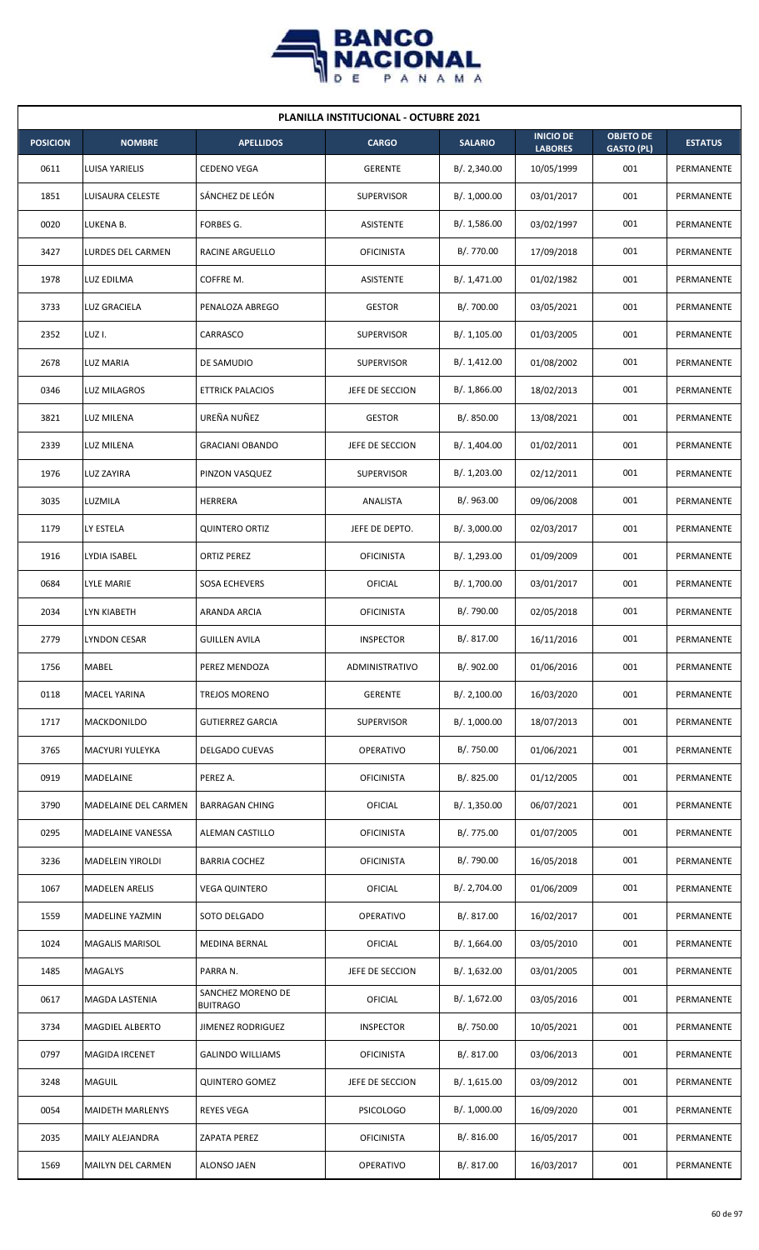

| <b>PLANILLA INSTITUCIONAL - OCTUBRE 2021</b> |                          |                                      |                   |                |                                    |                                       |                |  |  |  |
|----------------------------------------------|--------------------------|--------------------------------------|-------------------|----------------|------------------------------------|---------------------------------------|----------------|--|--|--|
| <b>POSICION</b>                              | <b>NOMBRE</b>            | <b>APELLIDOS</b>                     | <b>CARGO</b>      | <b>SALARIO</b> | <b>INICIO DE</b><br><b>LABORES</b> | <b>OBJETO DE</b><br><b>GASTO (PL)</b> | <b>ESTATUS</b> |  |  |  |
| 0611                                         | LUISA YARIELIS           | <b>CEDENO VEGA</b>                   | <b>GERENTE</b>    | B/.2,340.00    | 10/05/1999                         | 001                                   | PERMANENTE     |  |  |  |
| 1851                                         | LUISAURA CELESTE         | SÁNCHEZ DE LEÓN                      | <b>SUPERVISOR</b> | B/. 1,000.00   | 03/01/2017                         | 001                                   | PERMANENTE     |  |  |  |
| 0020                                         | LUKENA B.                | FORBES G.                            | ASISTENTE         | B/. 1,586.00   | 03/02/1997                         | 001                                   | PERMANENTE     |  |  |  |
| 3427                                         | <b>LURDES DEL CARMEN</b> | RACINE ARGUELLO                      | <b>OFICINISTA</b> | B/. 770.00     | 17/09/2018                         | 001                                   | PERMANENTE     |  |  |  |
| 1978                                         | <b>LUZ EDILMA</b>        | COFFRE M.                            | <b>ASISTENTE</b>  | B/. 1,471.00   | 01/02/1982                         | 001                                   | PERMANENTE     |  |  |  |
| 3733                                         | LUZ GRACIELA             | PENALOZA ABREGO                      | <b>GESTOR</b>     | B/. 700.00     | 03/05/2021                         | 001                                   | PERMANENTE     |  |  |  |
| 2352                                         | LUZ I.                   | CARRASCO                             | <b>SUPERVISOR</b> | B/. 1,105.00   | 01/03/2005                         | 001                                   | PERMANENTE     |  |  |  |
| 2678                                         | LUZ MARIA                | DE SAMUDIO                           | <b>SUPERVISOR</b> | B/. 1,412.00   | 01/08/2002                         | 001                                   | PERMANENTE     |  |  |  |
| 0346                                         | LUZ MILAGROS             | <b>ETTRICK PALACIOS</b>              | JEFE DE SECCION   | B/. 1,866.00   | 18/02/2013                         | 001                                   | PERMANENTE     |  |  |  |
| 3821                                         | LUZ MILENA               | UREÑA NUÑEZ                          | <b>GESTOR</b>     | B/. 850.00     | 13/08/2021                         | 001                                   | PERMANENTE     |  |  |  |
| 2339                                         | <b>LUZ MILENA</b>        | <b>GRACIANI OBANDO</b>               | JEFE DE SECCION   | B/. 1,404.00   | 01/02/2011                         | 001                                   | PERMANENTE     |  |  |  |
| 1976                                         | LUZ ZAYIRA               | PINZON VASQUEZ                       | <b>SUPERVISOR</b> | B/. 1,203.00   | 02/12/2011                         | 001                                   | PERMANENTE     |  |  |  |
| 3035                                         | LUZMILA                  | HERRERA                              | ANALISTA          | B/.963.00      | 09/06/2008                         | 001                                   | PERMANENTE     |  |  |  |
| 1179                                         | LY ESTELA                | <b>QUINTERO ORTIZ</b>                | JEFE DE DEPTO.    | B/.3,000.00    | 02/03/2017                         | 001                                   | PERMANENTE     |  |  |  |
| 1916                                         | LYDIA ISABEL             | <b>ORTIZ PEREZ</b>                   | <b>OFICINISTA</b> | B/. 1,293.00   | 01/09/2009                         | 001                                   | PERMANENTE     |  |  |  |
| 0684                                         | LYLE MARIE               | SOSA ECHEVERS                        | OFICIAL           | B/. 1,700.00   | 03/01/2017                         | 001                                   | PERMANENTE     |  |  |  |
| 2034                                         | LYN KIABETH              | ARANDA ARCIA                         | <b>OFICINISTA</b> | B/. 790.00     | 02/05/2018                         | 001                                   | PERMANENTE     |  |  |  |
| 2779                                         | <b>LYNDON CESAR</b>      | <b>GUILLEN AVILA</b>                 | <b>INSPECTOR</b>  | B/. 817.00     | 16/11/2016                         | 001                                   | PERMANENTE     |  |  |  |
| 1756                                         | <b>MABEL</b>             | PEREZ MENDOZA                        | ADMINISTRATIVO    | B/. 902.00     | 01/06/2016                         | 001                                   | PERMANENTE     |  |  |  |
| 0118                                         | MACEL YARINA             | <b>TREJOS MORENO</b>                 | <b>GERENTE</b>    | B/.2,100.00    | 16/03/2020                         | 001                                   | PERMANENTE     |  |  |  |
| 1717                                         | MACKDONILDO              | <b>GUTIERREZ GARCIA</b>              | <b>SUPERVISOR</b> | B/. 1,000.00   | 18/07/2013                         | 001                                   | PERMANENTE     |  |  |  |
| 3765                                         | MACYURI YULEYKA          | <b>DELGADO CUEVAS</b>                | <b>OPERATIVO</b>  | B/. 750.00     | 01/06/2021                         | 001                                   | PERMANENTE     |  |  |  |
| 0919                                         | MADELAINE                | PEREZ A.                             | <b>OFICINISTA</b> | B/. 825.00     | 01/12/2005                         | 001                                   | PERMANENTE     |  |  |  |
| 3790                                         | MADELAINE DEL CARMEN     | <b>BARRAGAN CHING</b>                | OFICIAL           | B/. 1,350.00   | 06/07/2021                         | 001                                   | PERMANENTE     |  |  |  |
| 0295                                         | MADELAINE VANESSA        | ALEMAN CASTILLO                      | <b>OFICINISTA</b> | B/. 775.00     | 01/07/2005                         | 001                                   | PERMANENTE     |  |  |  |
| 3236                                         | MADELEIN YIROLDI         | <b>BARRIA COCHEZ</b>                 | <b>OFICINISTA</b> | B/. 790.00     | 16/05/2018                         | 001                                   | PERMANENTE     |  |  |  |
| 1067                                         | <b>MADELEN ARELIS</b>    | <b>VEGA QUINTERO</b>                 | OFICIAL           | B/. 2,704.00   | 01/06/2009                         | 001                                   | PERMANENTE     |  |  |  |
| 1559                                         | MADELINE YAZMIN          | SOTO DELGADO                         | OPERATIVO         | B/. 817.00     | 16/02/2017                         | 001                                   | PERMANENTE     |  |  |  |
| 1024                                         | <b>MAGALIS MARISOL</b>   | MEDINA BERNAL                        | OFICIAL           | B/. 1,664.00   | 03/05/2010                         | 001                                   | PERMANENTE     |  |  |  |
| 1485                                         | <b>MAGALYS</b>           | PARRA N.                             | JEFE DE SECCION   | B/. 1,632.00   | 03/01/2005                         | 001                                   | PERMANENTE     |  |  |  |
| 0617                                         | MAGDA LASTENIA           | SANCHEZ MORENO DE<br><b>BUITRAGO</b> | OFICIAL           | B/. 1,672.00   | 03/05/2016                         | 001                                   | PERMANENTE     |  |  |  |
| 3734                                         | <b>MAGDIEL ALBERTO</b>   | JIMENEZ RODRIGUEZ                    | <b>INSPECTOR</b>  | B/. 750.00     | 10/05/2021                         | 001                                   | PERMANENTE     |  |  |  |
| 0797                                         | MAGIDA IRCENET           | <b>GALINDO WILLIAMS</b>              | <b>OFICINISTA</b> | B/. 817.00     | 03/06/2013                         | 001                                   | PERMANENTE     |  |  |  |
| 3248                                         | MAGUIL                   | <b>QUINTERO GOMEZ</b>                | JEFE DE SECCION   | B/. 1,615.00   | 03/09/2012                         | 001                                   | PERMANENTE     |  |  |  |
| 0054                                         | <b>MAIDETH MARLENYS</b>  | <b>REYES VEGA</b>                    | <b>PSICOLOGO</b>  | B/. 1,000.00   | 16/09/2020                         | 001                                   | PERMANENTE     |  |  |  |
| 2035                                         | MAILY ALEJANDRA          | ZAPATA PEREZ                         | <b>OFICINISTA</b> | B/. 816.00     | 16/05/2017                         | 001                                   | PERMANENTE     |  |  |  |
| 1569                                         | MAILYN DEL CARMEN        | ALONSO JAEN                          | OPERATIVO         | B/. 817.00     | 16/03/2017                         | 001                                   | PERMANENTE     |  |  |  |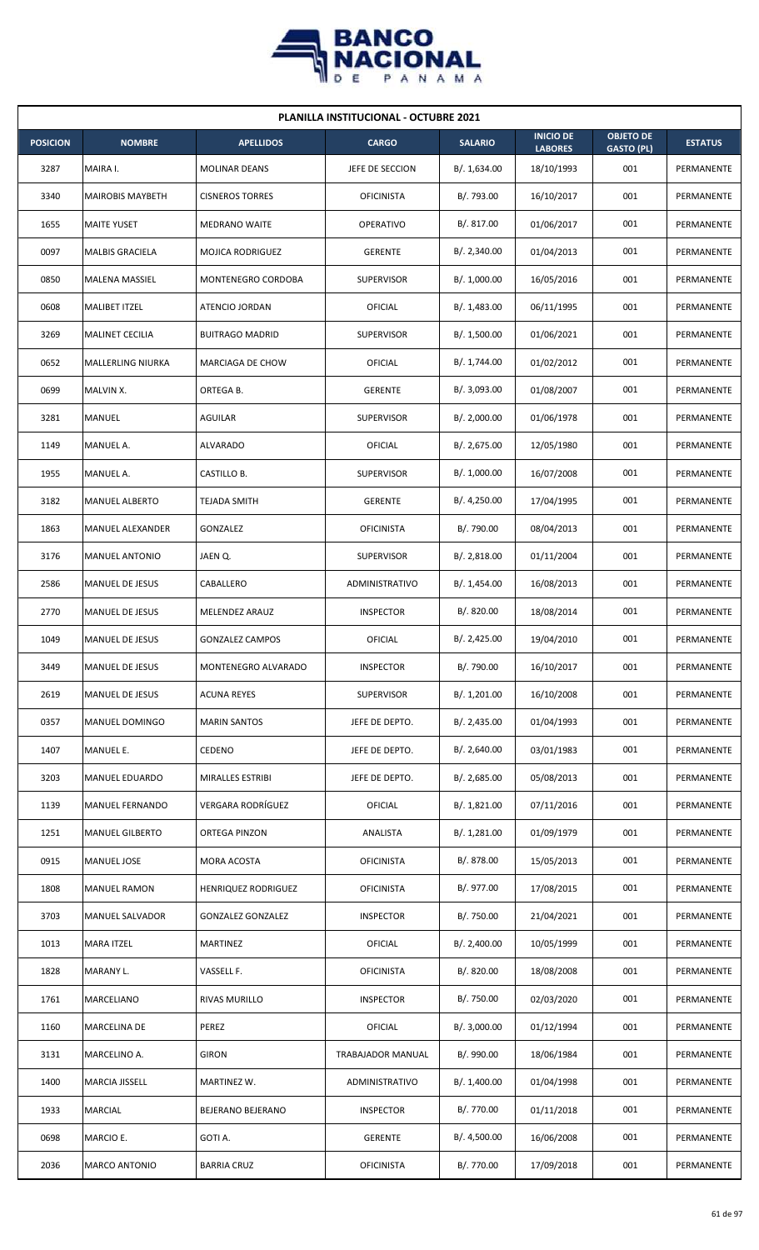

| <b>PLANILLA INSTITUCIONAL - OCTUBRE 2021</b> |                         |                          |                   |                |                                    |                                       |                |  |  |  |
|----------------------------------------------|-------------------------|--------------------------|-------------------|----------------|------------------------------------|---------------------------------------|----------------|--|--|--|
| <b>POSICION</b>                              | <b>NOMBRE</b>           | <b>APELLIDOS</b>         | <b>CARGO</b>      | <b>SALARIO</b> | <b>INICIO DE</b><br><b>LABORES</b> | <b>OBJETO DE</b><br><b>GASTO (PL)</b> | <b>ESTATUS</b> |  |  |  |
| 3287                                         | MAIRA I.                | <b>MOLINAR DEANS</b>     | JEFE DE SECCION   | B/. 1,634.00   | 18/10/1993                         | 001                                   | PERMANENTE     |  |  |  |
| 3340                                         | <b>MAIROBIS MAYBETH</b> | <b>CISNEROS TORRES</b>   | <b>OFICINISTA</b> | B/. 793.00     | 16/10/2017                         | 001                                   | PERMANENTE     |  |  |  |
| 1655                                         | <b>MAITE YUSET</b>      | <b>MEDRANO WAITE</b>     | <b>OPERATIVO</b>  | B/. 817.00     | 01/06/2017                         | 001                                   | PERMANENTE     |  |  |  |
| 0097                                         | <b>MALBIS GRACIELA</b>  | <b>MOJICA RODRIGUEZ</b>  | <b>GERENTE</b>    | B/.2,340.00    | 01/04/2013                         | 001                                   | PERMANENTE     |  |  |  |
| 0850                                         | MALENA MASSIEL          | MONTENEGRO CORDOBA       | <b>SUPERVISOR</b> | B/. 1,000.00   | 16/05/2016                         | 001                                   | PERMANENTE     |  |  |  |
| 0608                                         | MALIBET ITZEL           | ATENCIO JORDAN           | OFICIAL           | B/.1,483.00    | 06/11/1995                         | 001                                   | PERMANENTE     |  |  |  |
| 3269                                         | <b>MALINET CECILIA</b>  | <b>BUITRAGO MADRID</b>   | <b>SUPERVISOR</b> | B/. 1,500.00   | 01/06/2021                         | 001                                   | PERMANENTE     |  |  |  |
| 0652                                         | MALLERLING NIURKA       | MARCIAGA DE CHOW         | OFICIAL           | B/. 1,744.00   | 01/02/2012                         | 001                                   | PERMANENTE     |  |  |  |
| 0699                                         | MALVIN X.               | ORTEGA B.                | <b>GERENTE</b>    | B/. 3,093.00   | 01/08/2007                         | 001                                   | PERMANENTE     |  |  |  |
| 3281                                         | MANUEL                  | AGUILAR                  | <b>SUPERVISOR</b> | B/.2,000.00    | 01/06/1978                         | 001                                   | PERMANENTE     |  |  |  |
| 1149                                         | MANUEL A.               | <b>ALVARADO</b>          | OFICIAL           | B/.2,675.00    | 12/05/1980                         | 001                                   | PERMANENTE     |  |  |  |
| 1955                                         | MANUEL A.               | CASTILLO B.              | <b>SUPERVISOR</b> | B/. 1,000.00   | 16/07/2008                         | 001                                   | PERMANENTE     |  |  |  |
| 3182                                         | <b>MANUEL ALBERTO</b>   | TEJADA SMITH             | <b>GERENTE</b>    | B/.4,250.00    | 17/04/1995                         | 001                                   | PERMANENTE     |  |  |  |
| 1863                                         | <b>MANUEL ALEXANDER</b> | GONZALEZ                 | <b>OFICINISTA</b> | B/. 790.00     | 08/04/2013                         | 001                                   | PERMANENTE     |  |  |  |
| 3176                                         | <b>MANUEL ANTONIO</b>   | JAEN Q.                  | <b>SUPERVISOR</b> | B/.2,818.00    | 01/11/2004                         | 001                                   | PERMANENTE     |  |  |  |
| 2586                                         | MANUEL DE JESUS         | CABALLERO                | ADMINISTRATIVO    | B/.1,454.00    | 16/08/2013                         | 001                                   | PERMANENTE     |  |  |  |
| 2770                                         | MANUEL DE JESUS         | MELENDEZ ARAUZ           | <b>INSPECTOR</b>  | B/0.820.00     | 18/08/2014                         | 001                                   | PERMANENTE     |  |  |  |
| 1049                                         | <b>MANUEL DE JESUS</b>  | <b>GONZALEZ CAMPOS</b>   | OFICIAL           | B/.2,425.00    | 19/04/2010                         | 001                                   | PERMANENTE     |  |  |  |
| 3449                                         | <b>MANUEL DE JESUS</b>  | MONTENEGRO ALVARADO      | <b>INSPECTOR</b>  | B/. 790.00     | 16/10/2017                         | 001                                   | PERMANENTE     |  |  |  |
| 2619                                         | MANUEL DE JESUS         | <b>ACUNA REYES</b>       | SUPERVISOR        | B/. 1,201.00   | 16/10/2008                         | 001                                   | PERMANENTE     |  |  |  |
| 0357                                         | MANUEL DOMINGO          | <b>MARIN SANTOS</b>      | JEFE DE DEPTO.    | B/.2,435.00    | 01/04/1993                         | 001                                   | PERMANENTE     |  |  |  |
| 1407                                         | MANUEL E.               | CEDENO                   | JEFE DE DEPTO.    | B/.2,640.00    | 03/01/1983                         | 001                                   | PERMANENTE     |  |  |  |
| 3203                                         | <b>MANUEL EDUARDO</b>   | MIRALLES ESTRIBI         | JEFE DE DEPTO.    | B/.2,685.00    | 05/08/2013                         | 001                                   | PERMANENTE     |  |  |  |
| 1139                                         | MANUEL FERNANDO         | VERGARA RODRÍGUEZ        | OFICIAL           | B/. 1,821.00   | 07/11/2016                         | 001                                   | PERMANENTE     |  |  |  |
| 1251                                         | <b>MANUEL GILBERTO</b>  | ORTEGA PINZON            | ANALISTA          | B/.1,281.00    | 01/09/1979                         | 001                                   | PERMANENTE     |  |  |  |
| 0915                                         | MANUEL JOSE             | MORA ACOSTA              | <b>OFICINISTA</b> | B/. 878.00     | 15/05/2013                         | 001                                   | PERMANENTE     |  |  |  |
| 1808                                         | <b>MANUEL RAMON</b>     | HENRIQUEZ RODRIGUEZ      | <b>OFICINISTA</b> | B/. 977.00     | 17/08/2015                         | 001                                   | PERMANENTE     |  |  |  |
| 3703                                         | MANUEL SALVADOR         | <b>GONZALEZ GONZALEZ</b> | <b>INSPECTOR</b>  | B/. 750.00     | 21/04/2021                         | 001                                   | PERMANENTE     |  |  |  |
| 1013                                         | <b>MARA ITZEL</b>       | MARTINEZ                 | OFICIAL           | B/.2,400.00    | 10/05/1999                         | 001                                   | PERMANENTE     |  |  |  |
| 1828                                         | MARANY L.               | VASSELL F.               | <b>OFICINISTA</b> | B/. 820.00     | 18/08/2008                         | 001                                   | PERMANENTE     |  |  |  |
| 1761                                         | MARCELIANO              | RIVAS MURILLO            | <b>INSPECTOR</b>  | B/. 750.00     | 02/03/2020                         | 001                                   | PERMANENTE     |  |  |  |
| 1160                                         | <b>MARCELINA DE</b>     | PEREZ                    | <b>OFICIAL</b>    | B/.3,000.00    | 01/12/1994                         | 001                                   | PERMANENTE     |  |  |  |
| 3131                                         | MARCELINO A.            | <b>GIRON</b>             | TRABAJADOR MANUAL | B/. 990.00     | 18/06/1984                         | 001                                   | PERMANENTE     |  |  |  |
| 1400                                         | MARCIA JISSELL          | MARTINEZ W.              | ADMINISTRATIVO    | B/. 1,400.00   | 01/04/1998                         | 001                                   | PERMANENTE     |  |  |  |
| 1933                                         | <b>MARCIAL</b>          | BEJERANO BEJERANO        | <b>INSPECTOR</b>  | B/. 770.00     | 01/11/2018                         | 001                                   | PERMANENTE     |  |  |  |
| 0698                                         | MARCIO E.               | GOTI A.                  | <b>GERENTE</b>    | B/. 4,500.00   | 16/06/2008                         | 001                                   | PERMANENTE     |  |  |  |
| 2036                                         | <b>MARCO ANTONIO</b>    | <b>BARRIA CRUZ</b>       | <b>OFICINISTA</b> | B/. 770.00     | 17/09/2018                         | 001                                   | PERMANENTE     |  |  |  |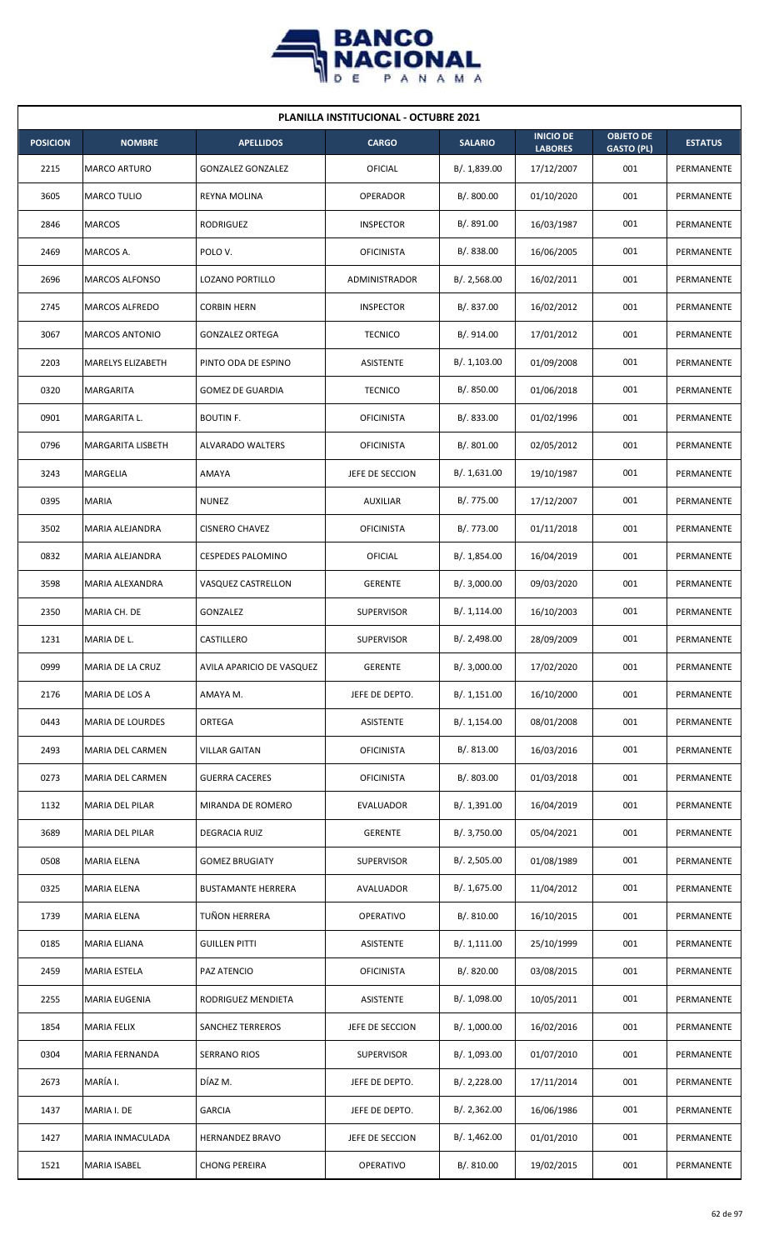

| <b>PLANILLA INSTITUCIONAL - OCTUBRE 2021</b> |                          |                           |                   |                |                                    |                                       |                |  |  |  |
|----------------------------------------------|--------------------------|---------------------------|-------------------|----------------|------------------------------------|---------------------------------------|----------------|--|--|--|
| <b>POSICION</b>                              | <b>NOMBRE</b>            | <b>APELLIDOS</b>          | <b>CARGO</b>      | <b>SALARIO</b> | <b>INICIO DE</b><br><b>LABORES</b> | <b>OBJETO DE</b><br><b>GASTO (PL)</b> | <b>ESTATUS</b> |  |  |  |
| 2215                                         | <b>MARCO ARTURO</b>      | <b>GONZALEZ GONZALEZ</b>  | <b>OFICIAL</b>    | B/. 1,839.00   | 17/12/2007                         | 001                                   | PERMANENTE     |  |  |  |
| 3605                                         | MARCO TULIO              | REYNA MOLINA              | <b>OPERADOR</b>   | B/. 800.00     | 01/10/2020                         | 001                                   | PERMANENTE     |  |  |  |
| 2846                                         | <b>MARCOS</b>            | RODRIGUEZ                 | <b>INSPECTOR</b>  | B/. 891.00     | 16/03/1987                         | 001                                   | PERMANENTE     |  |  |  |
| 2469                                         | MARCOS A.                | POLO V.                   | <b>OFICINISTA</b> | B/0.838.00     | 16/06/2005                         | 001                                   | PERMANENTE     |  |  |  |
| 2696                                         | <b>MARCOS ALFONSO</b>    | LOZANO PORTILLO           | ADMINISTRADOR     | B/.2,568.00    | 16/02/2011                         | 001                                   | PERMANENTE     |  |  |  |
| 2745                                         | MARCOS ALFREDO           | CORBIN HERN               | <b>INSPECTOR</b>  | B/. 837.00     | 16/02/2012                         | 001                                   | PERMANENTE     |  |  |  |
| 3067                                         | <b>MARCOS ANTONIO</b>    | <b>GONZALEZ ORTEGA</b>    | <b>TECNICO</b>    | B/. 914.00     | 17/01/2012                         | 001                                   | PERMANENTE     |  |  |  |
| 2203                                         | <b>MARELYS ELIZABETH</b> | PINTO ODA DE ESPINO       | <b>ASISTENTE</b>  | B/. 1,103.00   | 01/09/2008                         | 001                                   | PERMANENTE     |  |  |  |
| 0320                                         | <b>MARGARITA</b>         | <b>GOMEZ DE GUARDIA</b>   | <b>TECNICO</b>    | B/. 850.00     | 01/06/2018                         | 001                                   | PERMANENTE     |  |  |  |
| 0901                                         | MARGARITA L.             | <b>BOUTIN F.</b>          | <b>OFICINISTA</b> | B/. 833.00     | 01/02/1996                         | 001                                   | PERMANENTE     |  |  |  |
| 0796                                         | MARGARITA LISBETH        | <b>ALVARADO WALTERS</b>   | <b>OFICINISTA</b> | B/. 801.00     | 02/05/2012                         | 001                                   | PERMANENTE     |  |  |  |
| 3243                                         | MARGELIA                 | AMAYA                     | JEFE DE SECCION   | B/.1,631.00    | 19/10/1987                         | 001                                   | PERMANENTE     |  |  |  |
| 0395                                         | <b>MARIA</b>             | <b>NUNEZ</b>              | <b>AUXILIAR</b>   | B/. 775.00     | 17/12/2007                         | 001                                   | PERMANENTE     |  |  |  |
| 3502                                         | MARIA ALEJANDRA          | <b>CISNERO CHAVEZ</b>     | <b>OFICINISTA</b> | B/. 773.00     | 01/11/2018                         | 001                                   | PERMANENTE     |  |  |  |
| 0832                                         | MARIA ALEJANDRA          | <b>CESPEDES PALOMINO</b>  | OFICIAL           | B/. 1,854.00   | 16/04/2019                         | 001                                   | PERMANENTE     |  |  |  |
| 3598                                         | MARIA ALEXANDRA          | VASQUEZ CASTRELLON        | <b>GERENTE</b>    | B/.3,000.00    | 09/03/2020                         | 001                                   | PERMANENTE     |  |  |  |
| 2350                                         | MARIA CH. DE             | GONZALEZ                  | <b>SUPERVISOR</b> | B/. 1,114.00   | 16/10/2003                         | 001                                   | PERMANENTE     |  |  |  |
| 1231                                         | MARIA DE L.              | CASTILLERO                | <b>SUPERVISOR</b> | B/. 2,498.00   | 28/09/2009                         | 001                                   | PERMANENTE     |  |  |  |
| 0999                                         | MARIA DE LA CRUZ         | AVILA APARICIO DE VASQUEZ | <b>GERENTE</b>    | B/.3,000.00    | 17/02/2020                         | 001                                   | PERMANENTE     |  |  |  |
| 2176                                         | MARIA DE LOS A           | AMAYA M.                  | JEFE DE DEPTO.    | B/. 1,151.00   | 16/10/2000                         | 001                                   | PERMANENTE     |  |  |  |
| 0443                                         | <b>MARIA DE LOURDES</b>  | ORTEGA                    | ASISTENTE         | B/.1,154.00    | 08/01/2008                         | 001                                   | PERMANENTE     |  |  |  |
| 2493                                         | MARIA DEL CARMEN         | <b>VILLAR GAITAN</b>      | <b>OFICINISTA</b> | B/. 813.00     | 16/03/2016                         | 001                                   | PERMANENTE     |  |  |  |
| 0273                                         | <b>MARIA DEL CARMEN</b>  | <b>GUERRA CACERES</b>     | <b>OFICINISTA</b> | B/. 803.00     | 01/03/2018                         | 001                                   | PERMANENTE     |  |  |  |
| 1132                                         | MARIA DEL PILAR          | MIRANDA DE ROMERO         | EVALUADOR         | B/. 1,391.00   | 16/04/2019                         | 001                                   | PERMANENTE     |  |  |  |
| 3689                                         | MARIA DEL PILAR          | DEGRACIA RUIZ             | <b>GERENTE</b>    | B/. 3,750.00   | 05/04/2021                         | 001                                   | PERMANENTE     |  |  |  |
| 0508                                         | <b>MARIA ELENA</b>       | <b>GOMEZ BRUGIATY</b>     | <b>SUPERVISOR</b> | B/.2,505.00    | 01/08/1989                         | 001                                   | PERMANENTE     |  |  |  |
| 0325                                         | MARIA ELENA              | <b>BUSTAMANTE HERRERA</b> | AVALUADOR         | B/. 1,675.00   | 11/04/2012                         | 001                                   | PERMANENTE     |  |  |  |
| 1739                                         | MARIA ELENA              | TUÑON HERRERA             | OPERATIVO         | B/. 810.00     | 16/10/2015                         | 001                                   | PERMANENTE     |  |  |  |
| 0185                                         | MARIA ELIANA             | <b>GUILLEN PITTI</b>      | ASISTENTE         | B/.1,111.00    | 25/10/1999                         | 001                                   | PERMANENTE     |  |  |  |
| 2459                                         | <b>MARIA ESTELA</b>      | PAZ ATENCIO               | <b>OFICINISTA</b> | B/. 820.00     | 03/08/2015                         | 001                                   | PERMANENTE     |  |  |  |
| 2255                                         | MARIA EUGENIA            | RODRIGUEZ MENDIETA        | ASISTENTE         | B/. 1,098.00   | 10/05/2011                         | 001                                   | PERMANENTE     |  |  |  |
| 1854                                         | <b>MARIA FELIX</b>       | SANCHEZ TERREROS          | JEFE DE SECCION   | B/. 1,000.00   | 16/02/2016                         | 001                                   | PERMANENTE     |  |  |  |
| 0304                                         | MARIA FERNANDA           | SERRANO RIOS              | <b>SUPERVISOR</b> | B/. 1,093.00   | 01/07/2010                         | 001                                   | PERMANENTE     |  |  |  |
| 2673                                         | MARÍA I.                 | DÍAZ M.                   | JEFE DE DEPTO.    | B/. 2,228.00   | 17/11/2014                         | 001                                   | PERMANENTE     |  |  |  |
| 1437                                         | MARIA I. DE              | <b>GARCIA</b>             | JEFE DE DEPTO.    | B/.2,362.00    | 16/06/1986                         | 001                                   | PERMANENTE     |  |  |  |
| 1427                                         | MARIA INMACULADA         | <b>HERNANDEZ BRAVO</b>    | JEFE DE SECCION   | B/. 1,462.00   | 01/01/2010                         | 001                                   | PERMANENTE     |  |  |  |
| 1521                                         | <b>MARIA ISABEL</b>      | <b>CHONG PEREIRA</b>      | OPERATIVO         | B/. 810.00     | 19/02/2015                         | 001                                   | PERMANENTE     |  |  |  |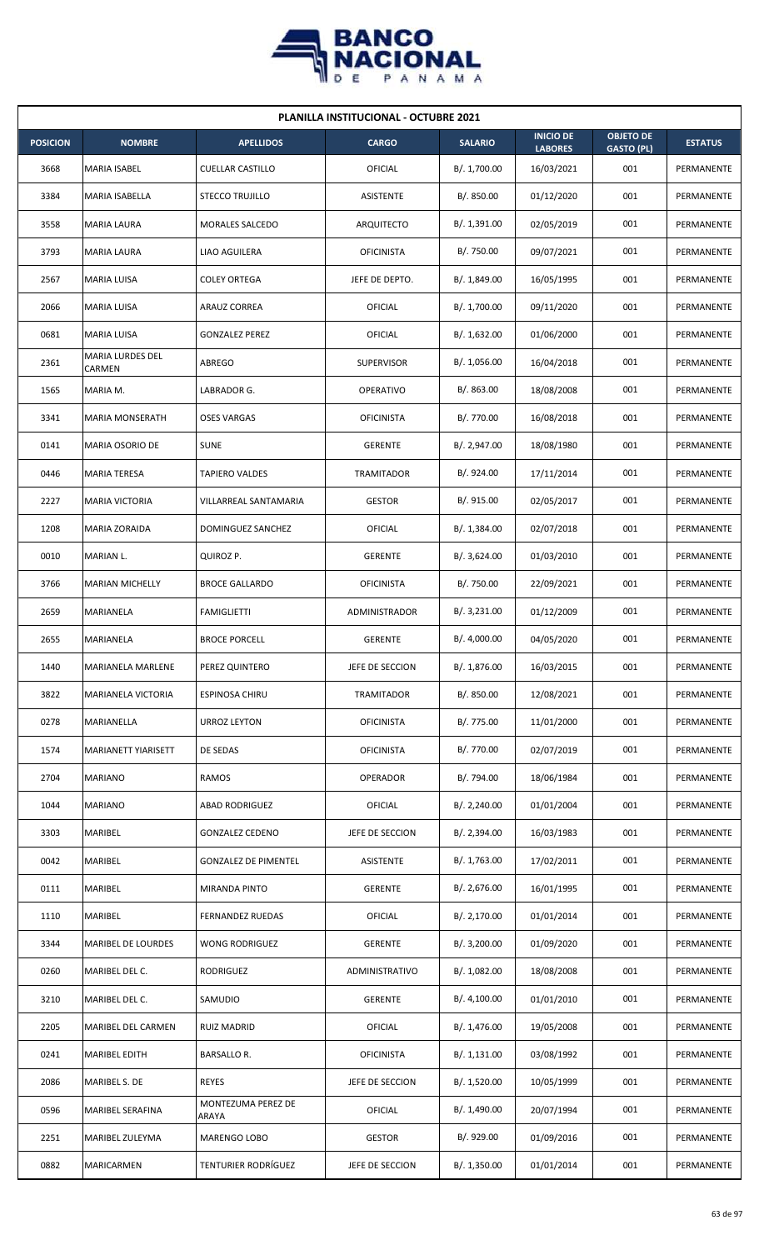

| <b>PLANILLA INSTITUCIONAL - OCTUBRE 2021</b> |                            |                             |                   |                |                                    |                                       |                |  |  |  |
|----------------------------------------------|----------------------------|-----------------------------|-------------------|----------------|------------------------------------|---------------------------------------|----------------|--|--|--|
| <b>POSICION</b>                              | <b>NOMBRE</b>              | <b>APELLIDOS</b>            | <b>CARGO</b>      | <b>SALARIO</b> | <b>INICIO DE</b><br><b>LABORES</b> | <b>OBJETO DE</b><br><b>GASTO (PL)</b> | <b>ESTATUS</b> |  |  |  |
| 3668                                         | MARIA ISABEL               | <b>CUELLAR CASTILLO</b>     | OFICIAL           | B/. 1,700.00   | 16/03/2021                         | 001                                   | PERMANENTE     |  |  |  |
| 3384                                         | MARIA ISABELLA             | <b>STECCO TRUJILLO</b>      | ASISTENTE         | B/. 850.00     | 01/12/2020                         | 001                                   | PERMANENTE     |  |  |  |
| 3558                                         | <b>MARIA LAURA</b>         | MORALES SALCEDO             | ARQUITECTO        | B/. 1,391.00   | 02/05/2019                         | 001                                   | PERMANENTE     |  |  |  |
| 3793                                         | <b>MARIA LAURA</b>         | LIAO AGUILERA               | <b>OFICINISTA</b> | B/. 750.00     | 09/07/2021                         | 001                                   | PERMANENTE     |  |  |  |
| 2567                                         | <b>MARIA LUISA</b>         | <b>COLEY ORTEGA</b>         | JEFE DE DEPTO.    | B/. 1,849.00   | 16/05/1995                         | 001                                   | PERMANENTE     |  |  |  |
| 2066                                         | MARIA LUISA                | ARAUZ CORREA                | OFICIAL           | B/. 1,700.00   | 09/11/2020                         | 001                                   | PERMANENTE     |  |  |  |
| 0681                                         | <b>MARIA LUISA</b>         | <b>GONZALEZ PEREZ</b>       | OFICIAL           | B/.1,632.00    | 01/06/2000                         | 001                                   | PERMANENTE     |  |  |  |
| 2361                                         | MARIA LURDES DEL<br>CARMEN | <b>ABREGO</b>               | <b>SUPERVISOR</b> | B/. 1,056.00   | 16/04/2018                         | 001                                   | PERMANENTE     |  |  |  |
| 1565                                         | MARIA M.                   | LABRADOR G.                 | OPERATIVO         | B/. 863.00     | 18/08/2008                         | 001                                   | PERMANENTE     |  |  |  |
| 3341                                         | <b>MARIA MONSERATH</b>     | <b>OSES VARGAS</b>          | <b>OFICINISTA</b> | B/. 770.00     | 16/08/2018                         | 001                                   | PERMANENTE     |  |  |  |
| 0141                                         | <b>MARIA OSORIO DE</b>     | <b>SUNE</b>                 | <b>GERENTE</b>    | B/.2,947.00    | 18/08/1980                         | 001                                   | PERMANENTE     |  |  |  |
| 0446                                         | <b>MARIA TERESA</b>        | <b>TAPIERO VALDES</b>       | <b>TRAMITADOR</b> | B/. 924.00     | 17/11/2014                         | 001                                   | PERMANENTE     |  |  |  |
| 2227                                         | <b>MARIA VICTORIA</b>      | VILLARREAL SANTAMARIA       | <b>GESTOR</b>     | B/. 915.00     | 02/05/2017                         | 001                                   | PERMANENTE     |  |  |  |
| 1208                                         | <b>MARIA ZORAIDA</b>       | DOMINGUEZ SANCHEZ           | OFICIAL           | B/.1,384.00    | 02/07/2018                         | 001                                   | PERMANENTE     |  |  |  |
| 0010                                         | MARIAN L.                  | QUIROZ P.                   | <b>GERENTE</b>    | B/.3,624.00    | 01/03/2010                         | 001                                   | PERMANENTE     |  |  |  |
| 3766                                         | <b>MARIAN MICHELLY</b>     | <b>BROCE GALLARDO</b>       | <b>OFICINISTA</b> | B/. 750.00     | 22/09/2021                         | 001                                   | PERMANENTE     |  |  |  |
| 2659                                         | MARIANELA                  | <b>FAMIGLIETTI</b>          | ADMINISTRADOR     | B/.3,231.00    | 01/12/2009                         | 001                                   | PERMANENTE     |  |  |  |
| 2655                                         | MARIANELA                  | <b>BROCE PORCELL</b>        | <b>GERENTE</b>    | B/. 4,000.00   | 04/05/2020                         | 001                                   | PERMANENTE     |  |  |  |
| 1440                                         | <b>MARIANELA MARLENE</b>   | PEREZ QUINTERO              | JEFE DE SECCION   | B/. 1,876.00   | 16/03/2015                         | 001                                   | PERMANENTE     |  |  |  |
| 3822                                         | MARIANELA VICTORIA         | <b>ESPINOSA CHIRU</b>       | <b>TRAMITADOR</b> | B/. 850.00     | 12/08/2021                         | 001                                   | PERMANENTE     |  |  |  |
| 0278                                         | MARIANELLA                 | URROZ LEYTON                | <b>OFICINISTA</b> | B/. 775.00     | 11/01/2000                         | 001                                   | PERMANENTE     |  |  |  |
| 1574                                         | MARIANETT YIARISETT        | DE SEDAS                    | <b>OFICINISTA</b> | B/. 770.00     | 02/07/2019                         | 001                                   | PERMANENTE     |  |  |  |
| 2704                                         | <b>MARIANO</b>             | RAMOS                       | OPERADOR          | B/. 794.00     | 18/06/1984                         | 001                                   | PERMANENTE     |  |  |  |
| 1044                                         | <b>MARIANO</b>             | <b>ABAD RODRIGUEZ</b>       | OFICIAL           | B/. 2,240.00   | 01/01/2004                         | 001                                   | PERMANENTE     |  |  |  |
| 3303                                         | MARIBEL                    | <b>GONZALEZ CEDENO</b>      | JEFE DE SECCION   | B/.2,394.00    | 16/03/1983                         | 001                                   | PERMANENTE     |  |  |  |
| 0042                                         | MARIBEL                    | <b>GONZALEZ DE PIMENTEL</b> | ASISTENTE         | B/. 1,763.00   | 17/02/2011                         | 001                                   | PERMANENTE     |  |  |  |
| 0111                                         | MARIBEL                    | MIRANDA PINTO               | <b>GERENTE</b>    | B/.2,676.00    | 16/01/1995                         | 001                                   | PERMANENTE     |  |  |  |
| 1110                                         | MARIBEL                    | <b>FERNANDEZ RUEDAS</b>     | OFICIAL           | B/. 2,170.00   | 01/01/2014                         | 001                                   | PERMANENTE     |  |  |  |
| 3344                                         | MARIBEL DE LOURDES         | WONG RODRIGUEZ              | <b>GERENTE</b>    | B/.3,200.00    | 01/09/2020                         | 001                                   | PERMANENTE     |  |  |  |
| 0260                                         | MARIBEL DEL C.             | RODRIGUEZ                   | ADMINISTRATIVO    | B/. 1,082.00   | 18/08/2008                         | 001                                   | PERMANENTE     |  |  |  |
| 3210                                         | MARIBEL DEL C.             | SAMUDIO                     | <b>GERENTE</b>    | B/. 4,100.00   | 01/01/2010                         | 001                                   | PERMANENTE     |  |  |  |
| 2205                                         | MARIBEL DEL CARMEN         | <b>RUIZ MADRID</b>          | OFICIAL           | B/.1,476.00    | 19/05/2008                         | 001                                   | PERMANENTE     |  |  |  |
| 0241                                         | MARIBEL EDITH              | <b>BARSALLO R.</b>          | <b>OFICINISTA</b> | B/.1,131.00    | 03/08/1992                         | 001                                   | PERMANENTE     |  |  |  |
| 2086                                         | MARIBEL S. DE              | <b>REYES</b>                | JEFE DE SECCION   | B/. 1,520.00   | 10/05/1999                         | 001                                   | PERMANENTE     |  |  |  |
| 0596                                         | MARIBEL SERAFINA           | MONTEZUMA PEREZ DE<br>ARAYA | OFICIAL           | B/. 1,490.00   | 20/07/1994                         | 001                                   | PERMANENTE     |  |  |  |
| 2251                                         | MARIBEL ZULEYMA            | MARENGO LOBO                | <b>GESTOR</b>     | B/. 929.00     | 01/09/2016                         | 001                                   | PERMANENTE     |  |  |  |
| 0882                                         | <b>MARICARMEN</b>          | TENTURIER RODRÍGUEZ         | JEFE DE SECCION   | B/. 1,350.00   | 01/01/2014                         | 001                                   | PERMANENTE     |  |  |  |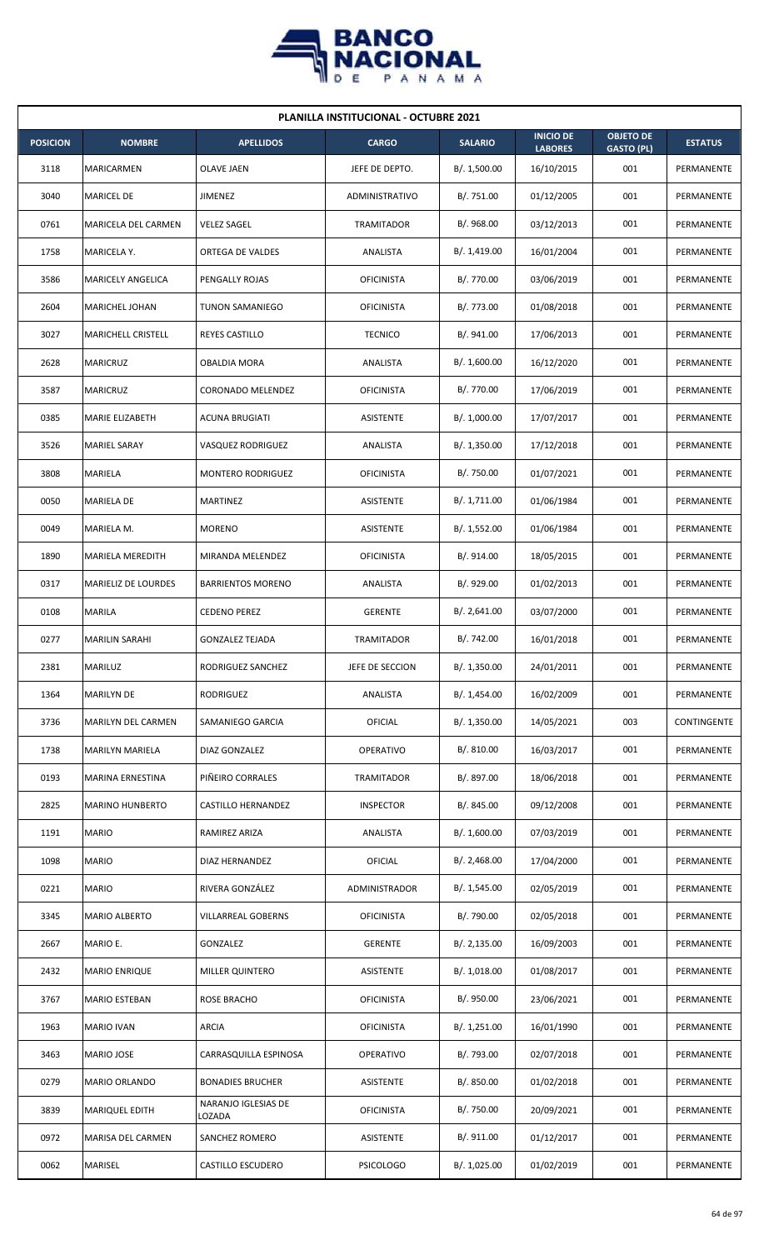

|                 | <b>PLANILLA INSTITUCIONAL - OCTUBRE 2021</b> |                               |                   |                |                                    |                                       |                |  |  |  |  |
|-----------------|----------------------------------------------|-------------------------------|-------------------|----------------|------------------------------------|---------------------------------------|----------------|--|--|--|--|
| <b>POSICION</b> | <b>NOMBRE</b>                                | <b>APELLIDOS</b>              | <b>CARGO</b>      | <b>SALARIO</b> | <b>INICIO DE</b><br><b>LABORES</b> | <b>OBJETO DE</b><br><b>GASTO (PL)</b> | <b>ESTATUS</b> |  |  |  |  |
| 3118            | MARICARMEN                                   | OLAVE JAEN                    | JEFE DE DEPTO.    | B/. 1,500.00   | 16/10/2015                         | 001                                   | PERMANENTE     |  |  |  |  |
| 3040            | <b>MARICEL DE</b>                            | JIMENEZ                       | ADMINISTRATIVO    | B/. 751.00     | 01/12/2005                         | 001                                   | PERMANENTE     |  |  |  |  |
| 0761            | MARICELA DEL CARMEN                          | <b>VELEZ SAGEL</b>            | TRAMITADOR        | B/. 968.00     | 03/12/2013                         | 001                                   | PERMANENTE     |  |  |  |  |
| 1758            | MARICELA Y.                                  | <b>ORTEGA DE VALDES</b>       | ANALISTA          | B/.1,419.00    | 16/01/2004                         | 001                                   | PERMANENTE     |  |  |  |  |
| 3586            | MARICELY ANGELICA                            | PENGALLY ROJAS                | <b>OFICINISTA</b> | B/. 770.00     | 03/06/2019                         | 001                                   | PERMANENTE     |  |  |  |  |
| 2604            | MARICHEL JOHAN                               | TUNON SAMANIEGO               | <b>OFICINISTA</b> | B/. 773.00     | 01/08/2018                         | 001                                   | PERMANENTE     |  |  |  |  |
| 3027            | <b>MARICHELL CRISTELL</b>                    | <b>REYES CASTILLO</b>         | <b>TECNICO</b>    | B/. 941.00     | 17/06/2013                         | 001                                   | PERMANENTE     |  |  |  |  |
| 2628            | <b>MARICRUZ</b>                              | <b>OBALDIA MORA</b>           | ANALISTA          | B/. 1,600.00   | 16/12/2020                         | 001                                   | PERMANENTE     |  |  |  |  |
| 3587            | <b>MARICRUZ</b>                              | <b>CORONADO MELENDEZ</b>      | <b>OFICINISTA</b> | B/. 770.00     | 17/06/2019                         | 001                                   | PERMANENTE     |  |  |  |  |
| 0385            | MARIE ELIZABETH                              | <b>ACUNA BRUGIATI</b>         | ASISTENTE         | B/. 1,000.00   | 17/07/2017                         | 001                                   | PERMANENTE     |  |  |  |  |
| 3526            | <b>MARIEL SARAY</b>                          | <b>VASQUEZ RODRIGUEZ</b>      | ANALISTA          | B/.1,350.00    | 17/12/2018                         | 001                                   | PERMANENTE     |  |  |  |  |
| 3808            | MARIELA                                      | MONTERO RODRIGUEZ             | <b>OFICINISTA</b> | B/. 750.00     | 01/07/2021                         | 001                                   | PERMANENTE     |  |  |  |  |
| 0050            | MARIELA DE                                   | MARTINEZ                      | ASISTENTE         | B/. 1,711.00   | 01/06/1984                         | 001                                   | PERMANENTE     |  |  |  |  |
| 0049            | MARIELA M.                                   | <b>MORENO</b>                 | ASISTENTE         | B/.1,552.00    | 01/06/1984                         | 001                                   | PERMANENTE     |  |  |  |  |
| 1890            | MARIELA MEREDITH                             | MIRANDA MELENDEZ              | <b>OFICINISTA</b> | B/. 914.00     | 18/05/2015                         | 001                                   | PERMANENTE     |  |  |  |  |
| 0317            | MARIELIZ DE LOURDES                          | <b>BARRIENTOS MORENO</b>      | ANALISTA          | B/. 929.00     | 01/02/2013                         | 001                                   | PERMANENTE     |  |  |  |  |
| 0108            | MARILA                                       | <b>CEDENO PEREZ</b>           | <b>GERENTE</b>    | B/. 2,641.00   | 03/07/2000                         | 001                                   | PERMANENTE     |  |  |  |  |
| 0277            | <b>MARILIN SARAHI</b>                        | <b>GONZALEZ TEJADA</b>        | <b>TRAMITADOR</b> | B/. 742.00     | 16/01/2018                         | 001                                   | PERMANENTE     |  |  |  |  |
| 2381            | MARILUZ                                      | RODRIGUEZ SANCHEZ             | JEFE DE SECCION   | B/. 1,350.00   | 24/01/2011                         | 001                                   | PERMANENTE     |  |  |  |  |
| 1364            | <b>MARILYN DE</b>                            | RODRIGUEZ                     | ANALISTA          | B/.1,454.00    | 16/02/2009                         | 001                                   | PERMANENTE     |  |  |  |  |
| 3736            | MARILYN DEL CARMEN                           | SAMANIEGO GARCIA              | <b>OFICIAL</b>    | B/.1,350.00    | 14/05/2021                         | 003                                   | CONTINGENTE    |  |  |  |  |
| 1738            | MARILYN MARIELA                              | DIAZ GONZALEZ                 | <b>OPERATIVO</b>  | B/. 810.00     | 16/03/2017                         | 001                                   | PERMANENTE     |  |  |  |  |
| 0193            | MARINA ERNESTINA                             | PIÑEIRO CORRALES              | TRAMITADOR        | B/. 897.00     | 18/06/2018                         | 001                                   | PERMANENTE     |  |  |  |  |
| 2825            | <b>MARINO HUNBERTO</b>                       | CASTILLO HERNANDEZ            | <b>INSPECTOR</b>  | B/. 845.00     | 09/12/2008                         | 001                                   | PERMANENTE     |  |  |  |  |
| 1191            | <b>MARIO</b>                                 | RAMIREZ ARIZA                 | ANALISTA          | B/. 1,600.00   | 07/03/2019                         | 001                                   | PERMANENTE     |  |  |  |  |
| 1098            | <b>MARIO</b>                                 | DIAZ HERNANDEZ                | <b>OFICIAL</b>    | B/.2,468.00    | 17/04/2000                         | 001                                   | PERMANENTE     |  |  |  |  |
| 0221            | <b>MARIO</b>                                 | RIVERA GONZÁLEZ               | ADMINISTRADOR     | B/. 1,545.00   | 02/05/2019                         | 001                                   | PERMANENTE     |  |  |  |  |
| 3345            | <b>MARIO ALBERTO</b>                         | VILLARREAL GOBERNS            | <b>OFICINISTA</b> | B/. 790.00     | 02/05/2018                         | 001                                   | PERMANENTE     |  |  |  |  |
| 2667            | MARIO E.                                     | GONZALEZ                      | <b>GERENTE</b>    | B/.2,135.00    | 16/09/2003                         | 001                                   | PERMANENTE     |  |  |  |  |
| 2432            | <b>MARIO ENRIQUE</b>                         | MILLER QUINTERO               | ASISTENTE         | B/. 1,018.00   | 01/08/2017                         | 001                                   | PERMANENTE     |  |  |  |  |
| 3767            | MARIO ESTEBAN                                | ROSE BRACHO                   | <b>OFICINISTA</b> | B/. 950.00     | 23/06/2021                         | 001                                   | PERMANENTE     |  |  |  |  |
| 1963            | <b>MARIO IVAN</b>                            | <b>ARCIA</b>                  | <b>OFICINISTA</b> | B/. 1,251.00   | 16/01/1990                         | 001                                   | PERMANENTE     |  |  |  |  |
| 3463            | MARIO JOSE                                   | CARRASQUILLA ESPINOSA         | <b>OPERATIVO</b>  | B/. 793.00     | 02/07/2018                         | 001                                   | PERMANENTE     |  |  |  |  |
| 0279            | MARIO ORLANDO                                | <b>BONADIES BRUCHER</b>       | ASISTENTE         | B/. 850.00     | 01/02/2018                         | 001                                   | PERMANENTE     |  |  |  |  |
| 3839            | MARIQUEL EDITH                               | NARANJO IGLESIAS DE<br>LOZADA | <b>OFICINISTA</b> | B/. 750.00     | 20/09/2021                         | 001                                   | PERMANENTE     |  |  |  |  |
| 0972            | MARISA DEL CARMEN                            | SANCHEZ ROMERO                | ASISTENTE         | B/. 911.00     | 01/12/2017                         | 001                                   | PERMANENTE     |  |  |  |  |
| 0062            | MARISEL                                      | CASTILLO ESCUDERO             | <b>PSICOLOGO</b>  | B/. 1,025.00   | 01/02/2019                         | 001                                   | PERMANENTE     |  |  |  |  |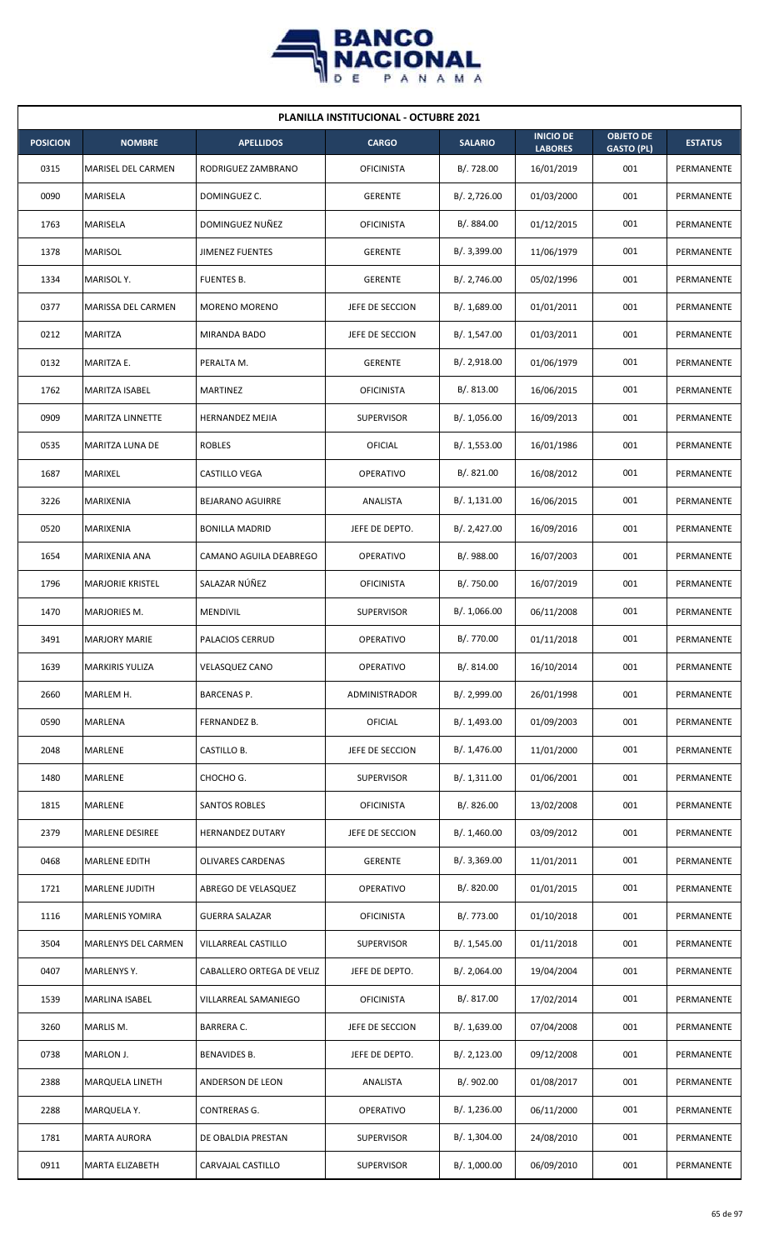

| <b>PLANILLA INSTITUCIONAL - OCTUBRE 2021</b> |                           |                           |                   |                |                                    |                                       |                |  |  |
|----------------------------------------------|---------------------------|---------------------------|-------------------|----------------|------------------------------------|---------------------------------------|----------------|--|--|
| <b>POSICION</b>                              | <b>NOMBRE</b>             | <b>APELLIDOS</b>          | <b>CARGO</b>      | <b>SALARIO</b> | <b>INICIO DE</b><br><b>LABORES</b> | <b>OBJETO DE</b><br><b>GASTO (PL)</b> | <b>ESTATUS</b> |  |  |
| 0315                                         | <b>MARISEL DEL CARMEN</b> | RODRIGUEZ ZAMBRANO        | <b>OFICINISTA</b> | B/. 728.00     | 16/01/2019                         | 001                                   | PERMANENTE     |  |  |
| 0090                                         | MARISELA                  | DOMINGUEZ C.              | <b>GERENTE</b>    | B/.2,726.00    | 01/03/2000                         | 001                                   | PERMANENTE     |  |  |
| 1763                                         | <b>MARISELA</b>           | DOMINGUEZ NUÑEZ           | <b>OFICINISTA</b> | B/. 884.00     | 01/12/2015                         | 001                                   | PERMANENTE     |  |  |
| 1378                                         | <b>MARISOL</b>            | <b>JIMENEZ FUENTES</b>    | <b>GERENTE</b>    | B/. 3,399.00   | 11/06/1979                         | 001                                   | PERMANENTE     |  |  |
| 1334                                         | MARISOL Y.                | <b>FUENTES B.</b>         | <b>GERENTE</b>    | B/.2,746.00    | 05/02/1996                         | 001                                   | PERMANENTE     |  |  |
| 0377                                         | MARISSA DEL CARMEN        | <b>MORENO MORENO</b>      | JEFE DE SECCION   | B/.1,689.00    | 01/01/2011                         | 001                                   | PERMANENTE     |  |  |
| 0212                                         | MARITZA                   | MIRANDA BADO              | JEFE DE SECCION   | B/.1,547.00    | 01/03/2011                         | 001                                   | PERMANENTE     |  |  |
| 0132                                         | MARITZA E.                | PERALTA M.                | <b>GERENTE</b>    | B/.2,918.00    | 01/06/1979                         | 001                                   | PERMANENTE     |  |  |
| 1762                                         | MARITZA ISABEL            | MARTINEZ                  | <b>OFICINISTA</b> | B/0.813.00     | 16/06/2015                         | 001                                   | PERMANENTE     |  |  |
| 0909                                         | <b>MARITZA LINNETTE</b>   | <b>HERNANDEZ MEJIA</b>    | <b>SUPERVISOR</b> | B/. 1,056.00   | 16/09/2013                         | 001                                   | PERMANENTE     |  |  |
| 0535                                         | <b>MARITZA LUNA DE</b>    | <b>ROBLES</b>             | OFICIAL           | B/. 1,553.00   | 16/01/1986                         | 001                                   | PERMANENTE     |  |  |
| 1687                                         | MARIXEL                   | CASTILLO VEGA             | <b>OPERATIVO</b>  | B/. 821.00     | 16/08/2012                         | 001                                   | PERMANENTE     |  |  |
| 3226                                         | MARIXENIA                 | <b>BEJARANO AGUIRRE</b>   | ANALISTA          | B/. 1,131.00   | 16/06/2015                         | 001                                   | PERMANENTE     |  |  |
| 0520                                         | MARIXENIA                 | <b>BONILLA MADRID</b>     | JEFE DE DEPTO.    | B/.2,427.00    | 16/09/2016                         | 001                                   | PERMANENTE     |  |  |
| 1654                                         | MARIXENIA ANA             | CAMANO AGUILA DEABREGO    | <b>OPERATIVO</b>  | B/. 988.00     | 16/07/2003                         | 001                                   | PERMANENTE     |  |  |
| 1796                                         | <b>MARJORIE KRISTEL</b>   | SALAZAR NÚÑEZ             | <b>OFICINISTA</b> | B/. 750.00     | 16/07/2019                         | 001                                   | PERMANENTE     |  |  |
| 1470                                         | MARJORIES M.              | MENDIVIL                  | <b>SUPERVISOR</b> | B/. 1,066.00   | 06/11/2008                         | 001                                   | PERMANENTE     |  |  |
| 3491                                         | <b>MARJORY MARIE</b>      | <b>PALACIOS CERRUD</b>    | OPERATIVO         | B/. 770.00     | 01/11/2018                         | 001                                   | PERMANENTE     |  |  |
| 1639                                         | <b>MARKIRIS YULIZA</b>    | <b>VELASQUEZ CANO</b>     | <b>OPERATIVO</b>  | B/. 814.00     | 16/10/2014                         | 001                                   | PERMANENTE     |  |  |
| 2660                                         | MARLEM H.                 | <b>BARCENAS P.</b>        | ADMINISTRADOR     | B/. 2,999.00   | 26/01/1998                         | 001                                   | PERMANENTE     |  |  |
| 0590                                         | MARLENA                   | FERNANDEZ B.              | <b>OFICIAL</b>    | B/. 1,493.00   | 01/09/2003                         | 001                                   | PERMANENTE     |  |  |
| 2048                                         | MARLENE                   | CASTILLO B.               | JEFE DE SECCION   | B/. 1,476.00   | 11/01/2000                         | 001                                   | PERMANENTE     |  |  |
| 1480                                         | MARLENE                   | CHOCHO G.                 | <b>SUPERVISOR</b> | B/.1,311.00    | 01/06/2001                         | 001                                   | PERMANENTE     |  |  |
| 1815                                         | MARLENE                   | SANTOS ROBLES             | <b>OFICINISTA</b> | B/0.826.00     | 13/02/2008                         | 001                                   | PERMANENTE     |  |  |
| 2379                                         | <b>MARLENE DESIREE</b>    | HERNANDEZ DUTARY          | JEFE DE SECCION   | B/.1,460.00    | 03/09/2012                         | 001                                   | PERMANENTE     |  |  |
| 0468                                         | <b>MARLENE EDITH</b>      | <b>OLIVARES CARDENAS</b>  | <b>GERENTE</b>    | B/. 3,369.00   | 11/01/2011                         | 001                                   | PERMANENTE     |  |  |
| 1721                                         | MARLENE JUDITH            | ABREGO DE VELASQUEZ       | OPERATIVO         | B/. 820.00     | 01/01/2015                         | 001                                   | PERMANENTE     |  |  |
| 1116                                         | MARLENIS YOMIRA           | <b>GUERRA SALAZAR</b>     | <b>OFICINISTA</b> | B/. 773.00     | 01/10/2018                         | 001                                   | PERMANENTE     |  |  |
| 3504                                         | MARLENYS DEL CARMEN       | VILLARREAL CASTILLO       | SUPERVISOR        | B/. 1,545.00   | 01/11/2018                         | 001                                   | PERMANENTE     |  |  |
| 0407                                         | MARLENYS Y.               | CABALLERO ORTEGA DE VELIZ | JEFE DE DEPTO.    | B/. 2,064.00   | 19/04/2004                         | 001                                   | PERMANENTE     |  |  |
| 1539                                         | MARLINA ISABEL            | VILLARREAL SAMANIEGO      | <b>OFICINISTA</b> | B/. 817.00     | 17/02/2014                         | 001                                   | PERMANENTE     |  |  |
| 3260                                         | MARLIS M.                 | <b>BARRERA C.</b>         | JEFE DE SECCION   | B/.1,639.00    | 07/04/2008                         | 001                                   | PERMANENTE     |  |  |
| 0738                                         | MARLON J.                 | BENAVIDES B.              | JEFE DE DEPTO.    | B/.2,123.00    | 09/12/2008                         | 001                                   | PERMANENTE     |  |  |
| 2388                                         | <b>MARQUELA LINETH</b>    | ANDERSON DE LEON          | ANALISTA          | B/. 902.00     | 01/08/2017                         | 001                                   | PERMANENTE     |  |  |
| 2288                                         | MARQUELA Y.               | CONTRERAS G.              | <b>OPERATIVO</b>  | B/. 1,236.00   | 06/11/2000                         | 001                                   | PERMANENTE     |  |  |
| 1781                                         | <b>MARTA AURORA</b>       | DE OBALDIA PRESTAN        | <b>SUPERVISOR</b> | B/. 1,304.00   | 24/08/2010                         | 001                                   | PERMANENTE     |  |  |
| 0911                                         | <b>MARTA ELIZABETH</b>    | CARVAJAL CASTILLO         | <b>SUPERVISOR</b> | B/. 1,000.00   | 06/09/2010                         | 001                                   | PERMANENTE     |  |  |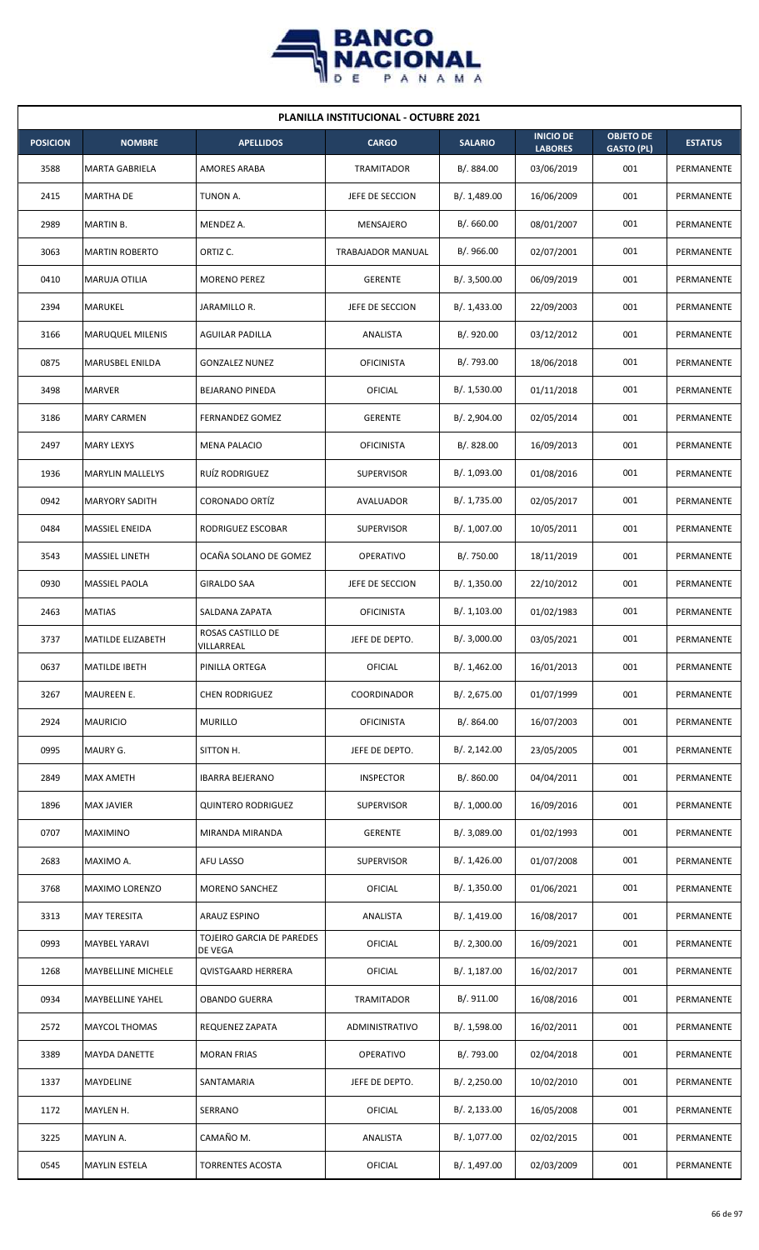

| <b>PLANILLA INSTITUCIONAL - OCTUBRE 2021</b> |                         |                                      |                          |                |                                    |                                       |                |  |  |
|----------------------------------------------|-------------------------|--------------------------------------|--------------------------|----------------|------------------------------------|---------------------------------------|----------------|--|--|
| <b>POSICION</b>                              | <b>NOMBRE</b>           | <b>APELLIDOS</b>                     | <b>CARGO</b>             | <b>SALARIO</b> | <b>INICIO DE</b><br><b>LABORES</b> | <b>OBJETO DE</b><br><b>GASTO (PL)</b> | <b>ESTATUS</b> |  |  |
| 3588                                         | <b>MARTA GABRIELA</b>   | AMORES ARABA                         | TRAMITADOR               | B/. 884.00     | 03/06/2019                         | 001                                   | PERMANENTE     |  |  |
| 2415                                         | <b>MARTHA DE</b>        | TUNON A.                             | JEFE DE SECCION          | B/. 1,489.00   | 16/06/2009                         | 001                                   | PERMANENTE     |  |  |
| 2989                                         | <b>MARTIN B.</b>        | MENDEZ A.                            | MENSAJERO                | B/.660.00      | 08/01/2007                         | 001                                   | PERMANENTE     |  |  |
| 3063                                         | <b>MARTIN ROBERTO</b>   | ORTIZ C.                             | <b>TRABAJADOR MANUAL</b> | B/.966.00      | 02/07/2001                         | 001                                   | PERMANENTE     |  |  |
| 0410                                         | <b>MARUJA OTILIA</b>    | <b>MORENO PEREZ</b>                  | <b>GERENTE</b>           | B/.3,500.00    | 06/09/2019                         | 001                                   | PERMANENTE     |  |  |
| 2394                                         | MARUKEL                 | JARAMILLO R.                         | JEFE DE SECCION          | B/. 1,433.00   | 22/09/2003                         | 001                                   | PERMANENTE     |  |  |
| 3166                                         | <b>MARUQUEL MILENIS</b> | <b>AGUILAR PADILLA</b>               | ANALISTA                 | B/. 920.00     | 03/12/2012                         | 001                                   | PERMANENTE     |  |  |
| 0875                                         | MARUSBEL ENILDA         | <b>GONZALEZ NUNEZ</b>                | <b>OFICINISTA</b>        | B/. 793.00     | 18/06/2018                         | 001                                   | PERMANENTE     |  |  |
| 3498                                         | <b>MARVER</b>           | BEJARANO PINEDA                      | OFICIAL                  | B/. 1,530.00   | 01/11/2018                         | 001                                   | PERMANENTE     |  |  |
| 3186                                         | <b>MARY CARMEN</b>      | <b>FERNANDEZ GOMEZ</b>               | <b>GERENTE</b>           | B/. 2,904.00   | 02/05/2014                         | 001                                   | PERMANENTE     |  |  |
| 2497                                         | <b>MARY LEXYS</b>       | <b>MENA PALACIO</b>                  | <b>OFICINISTA</b>        | B/. 828.00     | 16/09/2013                         | 001                                   | PERMANENTE     |  |  |
| 1936                                         | <b>MARYLIN MALLELYS</b> | RUÍZ RODRIGUEZ                       | <b>SUPERVISOR</b>        | B/. 1,093.00   | 01/08/2016                         | 001                                   | PERMANENTE     |  |  |
| 0942                                         | <b>MARYORY SADITH</b>   | <b>CORONADO ORTÍZ</b>                | AVALUADOR                | B/. 1,735.00   | 02/05/2017                         | 001                                   | PERMANENTE     |  |  |
| 0484                                         | MASSIEL ENEIDA          | RODRIGUEZ ESCOBAR                    | <b>SUPERVISOR</b>        | B/. 1,007.00   | 10/05/2011                         | 001                                   | PERMANENTE     |  |  |
| 3543                                         | <b>MASSIEL LINETH</b>   | OCAÑA SOLANO DE GOMEZ                | <b>OPERATIVO</b>         | B/. 750.00     | 18/11/2019                         | 001                                   | PERMANENTE     |  |  |
| 0930                                         | MASSIEL PAOLA           | <b>GIRALDO SAA</b>                   | JEFE DE SECCION          | B/. 1,350.00   | 22/10/2012                         | 001                                   | PERMANENTE     |  |  |
| 2463                                         | <b>MATIAS</b>           | SALDANA ZAPATA                       | <b>OFICINISTA</b>        | B/. 1,103.00   | 01/02/1983                         | 001                                   | PERMANENTE     |  |  |
| 3737                                         | MATILDE ELIZABETH       | ROSAS CASTILLO DE<br>VILLARREAL      | JEFE DE DEPTO.           | B/.3,000.00    | 03/05/2021                         | 001                                   | PERMANENTE     |  |  |
| 0637                                         | <b>MATILDE IBETH</b>    | PINILLA ORTEGA                       | OFICIAL                  | B/. 1,462.00   | 16/01/2013                         | 001                                   | PERMANENTE     |  |  |
| 3267                                         | MAUREEN E.              | <b>CHEN RODRIGUEZ</b>                | COORDINADOR              | B/. 2,675.00   | 01/07/1999                         | 001                                   | PERMANENTE     |  |  |
| 2924                                         | <b>MAURICIO</b>         | <b>MURILLO</b>                       | <b>OFICINISTA</b>        | B/. 864.00     | 16/07/2003                         | 001                                   | PERMANENTE     |  |  |
| 0995                                         | MAURY G.                | SITTON H.                            | JEFE DE DEPTO.           | B/.2,142.00    | 23/05/2005                         | 001                                   | PERMANENTE     |  |  |
| 2849                                         | <b>MAX AMETH</b>        | <b>IBARRA BEJERANO</b>               | <b>INSPECTOR</b>         | B/. 860.00     | 04/04/2011                         | 001                                   | PERMANENTE     |  |  |
| 1896                                         | <b>MAX JAVIER</b>       | <b>QUINTERO RODRIGUEZ</b>            | <b>SUPERVISOR</b>        | B/. 1,000.00   | 16/09/2016                         | 001                                   | PERMANENTE     |  |  |
| 0707                                         | <b>MAXIMINO</b>         | MIRANDA MIRANDA                      | <b>GERENTE</b>           | B/. 3,089.00   | 01/02/1993                         | 001                                   | PERMANENTE     |  |  |
| 2683                                         | MAXIMO A.               | AFU LASSO                            | <b>SUPERVISOR</b>        | B/.1,426.00    | 01/07/2008                         | 001                                   | PERMANENTE     |  |  |
| 3768                                         | MAXIMO LORENZO          | MORENO SANCHEZ                       | <b>OFICIAL</b>           | B/. 1,350.00   | 01/06/2021                         | 001                                   | PERMANENTE     |  |  |
| 3313                                         | <b>MAY TERESITA</b>     | ARAUZ ESPINO                         | ANALISTA                 | B/. 1,419.00   | 16/08/2017                         | 001                                   | PERMANENTE     |  |  |
| 0993                                         | <b>MAYBEL YARAVI</b>    | TOJEIRO GARCIA DE PAREDES<br>DE VEGA | <b>OFICIAL</b>           | B/.2,300.00    | 16/09/2021                         | 001                                   | PERMANENTE     |  |  |
| 1268                                         | MAYBELLINE MICHELE      | <b>QVISTGAARD HERRERA</b>            | <b>OFICIAL</b>           | B/. 1,187.00   | 16/02/2017                         | 001                                   | PERMANENTE     |  |  |
| 0934                                         | MAYBELLINE YAHEL        | <b>OBANDO GUERRA</b>                 | TRAMITADOR               | B/. 911.00     | 16/08/2016                         | 001                                   | PERMANENTE     |  |  |
| 2572                                         | <b>MAYCOL THOMAS</b>    | REQUENEZ ZAPATA                      | ADMINISTRATIVO           | B/.1,598.00    | 16/02/2011                         | 001                                   | PERMANENTE     |  |  |
| 3389                                         | <b>MAYDA DANETTE</b>    | <b>MORAN FRIAS</b>                   | <b>OPERATIVO</b>         | B/. 793.00     | 02/04/2018                         | 001                                   | PERMANENTE     |  |  |
| 1337                                         | MAYDELINE               | SANTAMARIA                           | JEFE DE DEPTO.           | B/.2,250.00    | 10/02/2010                         | 001                                   | PERMANENTE     |  |  |
| 1172                                         | MAYLEN H.               | SERRANO                              | <b>OFICIAL</b>           | B/.2,133.00    | 16/05/2008                         | 001                                   | PERMANENTE     |  |  |
| 3225                                         | MAYLIN A.               | CAMAÑO M.                            | ANALISTA                 | B/. 1,077.00   | 02/02/2015                         | 001                                   | PERMANENTE     |  |  |
| 0545                                         | <b>MAYLIN ESTELA</b>    | <b>TORRENTES ACOSTA</b>              | OFICIAL                  | B/. 1,497.00   | 02/03/2009                         | 001                                   | PERMANENTE     |  |  |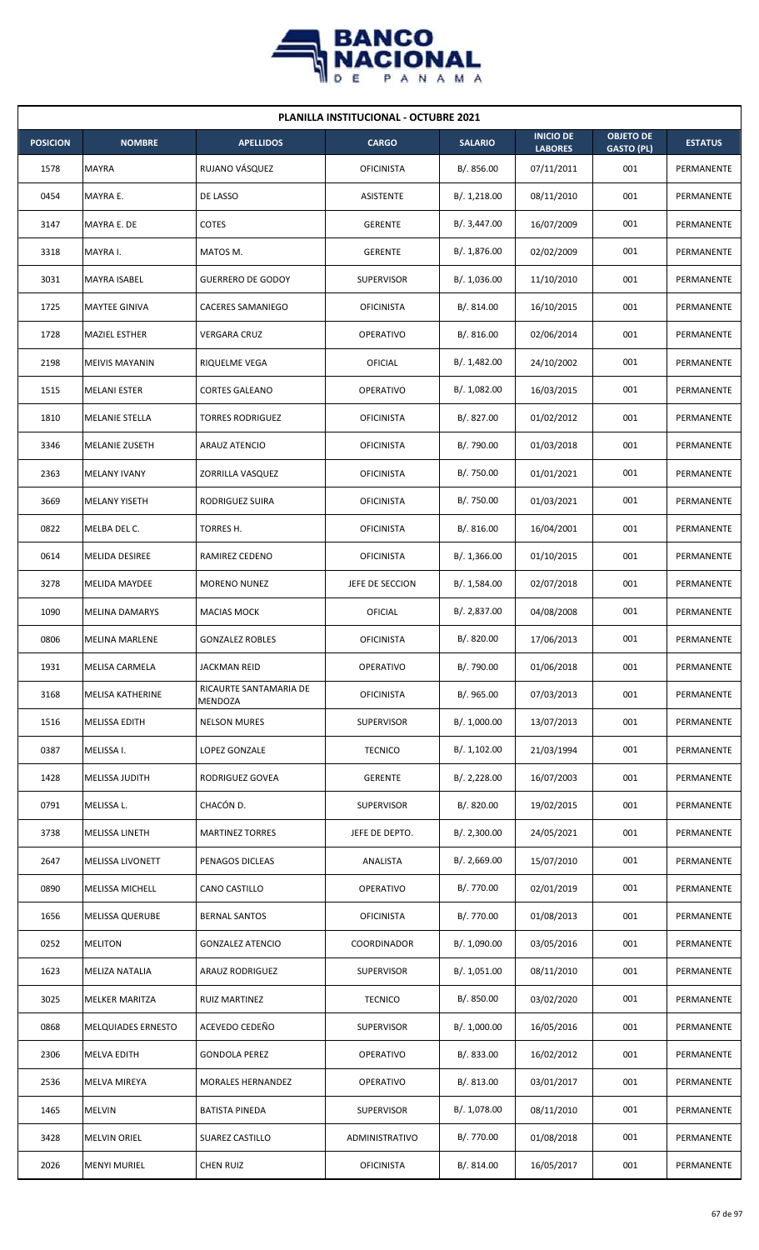

| <b>PLANILLA INSTITUCIONAL - OCTUBRE 2021</b> |                           |                                   |                   |                |                                    |                                       |                |  |  |  |
|----------------------------------------------|---------------------------|-----------------------------------|-------------------|----------------|------------------------------------|---------------------------------------|----------------|--|--|--|
| <b>POSICION</b>                              | <b>NOMBRE</b>             | <b>APELLIDOS</b>                  | <b>CARGO</b>      | <b>SALARIO</b> | <b>INICIO DE</b><br><b>LABORES</b> | <b>OBJETO DE</b><br><b>GASTO (PL)</b> | <b>ESTATUS</b> |  |  |  |
| 1578                                         | <b>MAYRA</b>              | RUJANO VÁSQUEZ                    | <b>OFICINISTA</b> | B/. 856.00     | 07/11/2011                         | 001                                   | PERMANENTE     |  |  |  |
| 0454                                         | MAYRA E.                  | DE LASSO                          | <b>ASISTENTE</b>  | B/. 1,218.00   | 08/11/2010                         | 001                                   | PERMANENTE     |  |  |  |
| 3147                                         | MAYRA E. DE               | <b>COTES</b>                      | <b>GERENTE</b>    | B/. 3,447.00   | 16/07/2009                         | 001                                   | PERMANENTE     |  |  |  |
| 3318                                         | MAYRA I.                  | MATOS M.                          | <b>GERENTE</b>    | B/. 1,876.00   | 02/02/2009                         | 001                                   | PERMANENTE     |  |  |  |
| 3031                                         | MAYRA ISABEL              | <b>GUERRERO DE GODOY</b>          | <b>SUPERVISOR</b> | B/. 1,036.00   | 11/10/2010                         | 001                                   | PERMANENTE     |  |  |  |
| 1725                                         | MAYTEE GINIVA             | CACERES SAMANIEGO                 | <b>OFICINISTA</b> | B/. 814.00     | 16/10/2015                         | 001                                   | PERMANENTE     |  |  |  |
| 1728                                         | <b>MAZIEL ESTHER</b>      | <b>VERGARA CRUZ</b>               | <b>OPERATIVO</b>  | B/.816.00      | 02/06/2014                         | 001                                   | PERMANENTE     |  |  |  |
| 2198                                         | <b>MEIVIS MAYANIN</b>     | RIQUELME VEGA                     | <b>OFICIAL</b>    | B/. 1,482.00   | 24/10/2002                         | 001                                   | PERMANENTE     |  |  |  |
| 1515                                         | <b>MELANI ESTER</b>       | <b>CORTES GALEANO</b>             | OPERATIVO         | B/. 1,082.00   | 16/03/2015                         | 001                                   | PERMANENTE     |  |  |  |
| 1810                                         | <b>MELANIE STELLA</b>     | <b>TORRES RODRIGUEZ</b>           | <b>OFICINISTA</b> | B/. 827.00     | 01/02/2012                         | 001                                   | PERMANENTE     |  |  |  |
| 3346                                         | <b>MELANIE ZUSETH</b>     | <b>ARAUZ ATENCIO</b>              | <b>OFICINISTA</b> | B/. 790.00     | 01/03/2018                         | 001                                   | PERMANENTE     |  |  |  |
| 2363                                         | <b>MELANY IVANY</b>       | ZORRILLA VASQUEZ                  | <b>OFICINISTA</b> | B/. 750.00     | 01/01/2021                         | 001                                   | PERMANENTE     |  |  |  |
| 3669                                         | <b>MELANY YISETH</b>      | RODRIGUEZ SUIRA                   | <b>OFICINISTA</b> | B/. 750.00     | 01/03/2021                         | 001                                   | PERMANENTE     |  |  |  |
| 0822                                         | MELBA DEL C.              | TORRES H.                         | <b>OFICINISTA</b> | B/.816.00      | 16/04/2001                         | 001                                   | PERMANENTE     |  |  |  |
| 0614                                         | MELIDA DESIREE            | RAMIREZ CEDENO                    | <b>OFICINISTA</b> | B/.1,366.00    | 01/10/2015                         | 001                                   | PERMANENTE     |  |  |  |
| 3278                                         | <b>MELIDA MAYDEE</b>      | <b>MORENO NUNEZ</b>               | JEFE DE SECCION   | B/. 1,584.00   | 02/07/2018                         | 001                                   | PERMANENTE     |  |  |  |
| 1090                                         | <b>MELINA DAMARYS</b>     | MACIAS MOCK                       | <b>OFICIAL</b>    | B/. 2,837.00   | 04/08/2008                         | 001                                   | PERMANENTE     |  |  |  |
| 0806                                         | <b>MELINA MARLENE</b>     | <b>GONZALEZ ROBLES</b>            | <b>OFICINISTA</b> | B/. 820.00     | 17/06/2013                         | 001                                   | PERMANENTE     |  |  |  |
| 1931                                         | <b>MELISA CARMELA</b>     | JACKMAN REID                      | OPERATIVO         | B/. 790.00     | 01/06/2018                         | 001                                   | PERMANENTE     |  |  |  |
| 3168                                         | MELISA KATHERINE          | RICAURTE SANTAMARIA DE<br>MENDOZA | <b>OFICINISTA</b> | B/. 965.00     | 07/03/2013                         | 001                                   | PERMANENTE     |  |  |  |
| 1516                                         | MELISSA EDITH             | <b>NELSON MURES</b>               | SUPERVISOR        | B/. 1,000.00   | 13/07/2013                         | 001                                   | PERMANENTE     |  |  |  |
| 0387                                         | MELISSA I.                | LOPEZ GONZALE                     | <b>TECNICO</b>    | B/. 1,102.00   | 21/03/1994                         | 001                                   | PERMANENTE     |  |  |  |
| 1428                                         | MELISSA JUDITH            | RODRIGUEZ GOVEA                   | <b>GERENTE</b>    | B/.2,228.00    | 16/07/2003                         | 001                                   | PERMANENTE     |  |  |  |
| 0791                                         | MELISSA L.                | CHACÓN D.                         | <b>SUPERVISOR</b> | B/. 820.00     | 19/02/2015                         | 001                                   | PERMANENTE     |  |  |  |
| 3738                                         | <b>MELISSA LINETH</b>     | <b>MARTINEZ TORRES</b>            | JEFE DE DEPTO.    | B/.2,300.00    | 24/05/2021                         | 001                                   | PERMANENTE     |  |  |  |
| 2647                                         | MELISSA LIVONETT          | PENAGOS DICLEAS                   | ANALISTA          | B/.2,669.00    | 15/07/2010                         | 001                                   | PERMANENTE     |  |  |  |
| 0890                                         | MELISSA MICHELL           | CANO CASTILLO                     | OPERATIVO         | B/. 770.00     | 02/01/2019                         | 001                                   | PERMANENTE     |  |  |  |
| 1656                                         | <b>MELISSA QUERUBE</b>    | <b>BERNAL SANTOS</b>              | <b>OFICINISTA</b> | B/. 770.00     | 01/08/2013                         | 001                                   | PERMANENTE     |  |  |  |
| 0252                                         | <b>MELITON</b>            | <b>GONZALEZ ATENCIO</b>           | COORDINADOR       | B/. 1,090.00   | 03/05/2016                         | 001                                   | PERMANENTE     |  |  |  |
| 1623                                         | MELIZA NATALIA            | <b>ARAUZ RODRIGUEZ</b>            | <b>SUPERVISOR</b> | B/. 1,051.00   | 08/11/2010                         | 001                                   | PERMANENTE     |  |  |  |
| 3025                                         | MELKER MARITZA            | <b>RUIZ MARTINEZ</b>              | <b>TECNICO</b>    | B/. 850.00     | 03/02/2020                         | 001                                   | PERMANENTE     |  |  |  |
| 0868                                         | <b>MELQUIADES ERNESTO</b> | ACEVEDO CEDEÑO                    | <b>SUPERVISOR</b> | B/. 1,000.00   | 16/05/2016                         | 001                                   | PERMANENTE     |  |  |  |
| 2306                                         | <b>MELVA EDITH</b>        | <b>GONDOLA PEREZ</b>              | <b>OPERATIVO</b>  | B/. 833.00     | 16/02/2012                         | 001                                   | PERMANENTE     |  |  |  |
| 2536                                         | MELVA MIREYA              | MORALES HERNANDEZ                 | <b>OPERATIVO</b>  | B/. 813.00     | 03/01/2017                         | 001                                   | PERMANENTE     |  |  |  |
| 1465                                         | <b>MELVIN</b>             | <b>BATISTA PINEDA</b>             | SUPERVISOR        | B/. 1,078.00   | 08/11/2010                         | 001                                   | PERMANENTE     |  |  |  |
| 3428                                         | <b>MELVIN ORIEL</b>       | <b>SUAREZ CASTILLO</b>            | ADMINISTRATIVO    | B/. 770.00     | 01/08/2018                         | 001                                   | PERMANENTE     |  |  |  |
| 2026                                         | <b>MENYI MURIEL</b>       | <b>CHEN RUIZ</b>                  | <b>OFICINISTA</b> | B/. 814.00     | 16/05/2017                         | 001                                   | PERMANENTE     |  |  |  |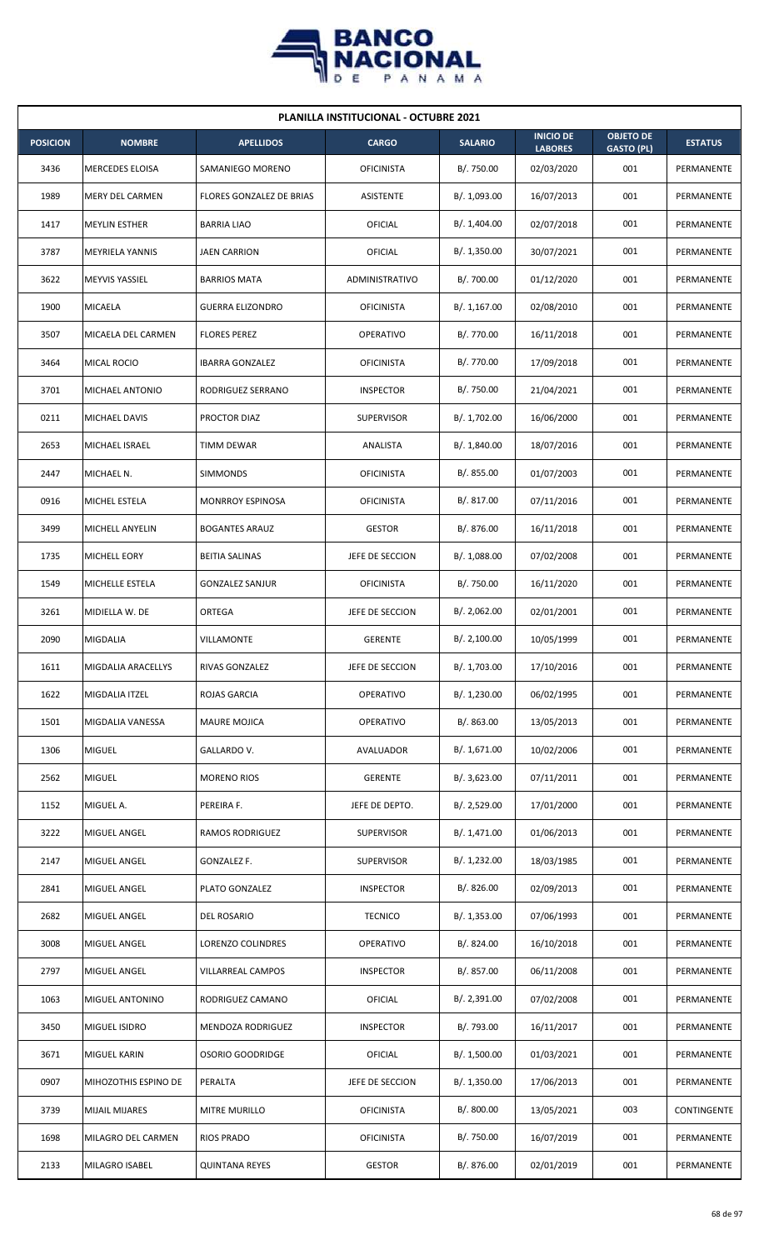

| <b>PLANILLA INSTITUCIONAL - OCTUBRE 2021</b> |                        |                          |                   |                |                                    |                                       |                |  |  |  |
|----------------------------------------------|------------------------|--------------------------|-------------------|----------------|------------------------------------|---------------------------------------|----------------|--|--|--|
| <b>POSICION</b>                              | <b>NOMBRE</b>          | <b>APELLIDOS</b>         | <b>CARGO</b>      | <b>SALARIO</b> | <b>INICIO DE</b><br><b>LABORES</b> | <b>OBJETO DE</b><br><b>GASTO (PL)</b> | <b>ESTATUS</b> |  |  |  |
| 3436                                         | <b>MERCEDES ELOISA</b> | SAMANIEGO MORENO         | <b>OFICINISTA</b> | B/. 750.00     | 02/03/2020                         | 001                                   | PERMANENTE     |  |  |  |
| 1989                                         | <b>MERY DEL CARMEN</b> | FLORES GONZALEZ DE BRIAS | ASISTENTE         | B/. 1,093.00   | 16/07/2013                         | 001                                   | PERMANENTE     |  |  |  |
| 1417                                         | <b>MEYLIN ESTHER</b>   | <b>BARRIA LIAO</b>       | <b>OFICIAL</b>    | B/. 1,404.00   | 02/07/2018                         | 001                                   | PERMANENTE     |  |  |  |
| 3787                                         | <b>MEYRIELA YANNIS</b> | <b>JAEN CARRION</b>      | OFICIAL           | B/. 1,350.00   | 30/07/2021                         | 001                                   | PERMANENTE     |  |  |  |
| 3622                                         | <b>MEYVIS YASSIEL</b>  | <b>BARRIOS MATA</b>      | ADMINISTRATIVO    | B/. 700.00     | 01/12/2020                         | 001                                   | PERMANENTE     |  |  |  |
| 1900                                         | <b>MICAELA</b>         | <b>GUERRA ELIZONDRO</b>  | <b>OFICINISTA</b> | B/. 1,167.00   | 02/08/2010                         | 001                                   | PERMANENTE     |  |  |  |
| 3507                                         | MICAELA DEL CARMEN     | <b>FLORES PEREZ</b>      | <b>OPERATIVO</b>  | B/. 770.00     | 16/11/2018                         | 001                                   | PERMANENTE     |  |  |  |
| 3464                                         | MICAL ROCIO            | <b>IBARRA GONZALEZ</b>   | <b>OFICINISTA</b> | B/. 770.00     | 17/09/2018                         | 001                                   | PERMANENTE     |  |  |  |
| 3701                                         | MICHAEL ANTONIO        | RODRIGUEZ SERRANO        | <b>INSPECTOR</b>  | B/. 750.00     | 21/04/2021                         | 001                                   | PERMANENTE     |  |  |  |
| 0211                                         | MICHAEL DAVIS          | PROCTOR DIAZ             | <b>SUPERVISOR</b> | B/. 1,702.00   | 16/06/2000                         | 001                                   | PERMANENTE     |  |  |  |
| 2653                                         | <b>MICHAEL ISRAEL</b>  | <b>TIMM DEWAR</b>        | ANALISTA          | B/. 1,840.00   | 18/07/2016                         | 001                                   | PERMANENTE     |  |  |  |
| 2447                                         | MICHAEL N.             | <b>SIMMONDS</b>          | <b>OFICINISTA</b> | B/0.855.00     | 01/07/2003                         | 001                                   | PERMANENTE     |  |  |  |
| 0916                                         | MICHEL ESTELA          | <b>MONRROY ESPINOSA</b>  | <b>OFICINISTA</b> | B/. 817.00     | 07/11/2016                         | 001                                   | PERMANENTE     |  |  |  |
| 3499                                         | <b>MICHELL ANYELIN</b> | <b>BOGANTES ARAUZ</b>    | <b>GESTOR</b>     | B/. 876.00     | 16/11/2018                         | 001                                   | PERMANENTE     |  |  |  |
| 1735                                         | <b>MICHELL EORY</b>    | <b>BEITIA SALINAS</b>    | JEFE DE SECCION   | B/. 1,088.00   | 07/02/2008                         | 001                                   | PERMANENTE     |  |  |  |
| 1549                                         | MICHELLE ESTELA        | <b>GONZALEZ SANJUR</b>   | <b>OFICINISTA</b> | B/. 750.00     | 16/11/2020                         | 001                                   | PERMANENTE     |  |  |  |
| 3261                                         | MIDIELLA W. DE         | ORTEGA                   | JEFE DE SECCION   | B/. 2,062.00   | 02/01/2001                         | 001                                   | PERMANENTE     |  |  |  |
| 2090                                         | <b>MIGDALIA</b>        | VILLAMONTE               | <b>GERENTE</b>    | B/.2,100.00    | 10/05/1999                         | 001                                   | PERMANENTE     |  |  |  |
| 1611                                         | MIGDALIA ARACELLYS     | RIVAS GONZALEZ           | JEFE DE SECCION   | B/. 1,703.00   | 17/10/2016                         | 001                                   | PERMANENTE     |  |  |  |
| 1622                                         | MIGDALIA ITZEL         | ROJAS GARCIA             | <b>OPERATIVO</b>  | B/. 1,230.00   | 06/02/1995                         | 001                                   | PERMANENTE     |  |  |  |
| 1501                                         | MIGDALIA VANESSA       | <b>MAURE MOJICA</b>      | OPERATIVO         | B/0.863.00     | 13/05/2013                         | 001                                   | PERMANENTE     |  |  |  |
| 1306                                         | <b>MIGUEL</b>          | GALLARDO V.              | AVALUADOR         | B/. 1,671.00   | 10/02/2006                         | 001                                   | PERMANENTE     |  |  |  |
| 2562                                         | <b>MIGUEL</b>          | <b>MORENO RIOS</b>       | <b>GERENTE</b>    | B/.3,623.00    | 07/11/2011                         | 001                                   | PERMANENTE     |  |  |  |
| 1152                                         | MIGUEL A.              | PEREIRA F.               | JEFE DE DEPTO.    | B/.2,529.00    | 17/01/2000                         | 001                                   | PERMANENTE     |  |  |  |
| 3222                                         | MIGUEL ANGEL           | RAMOS RODRIGUEZ          | SUPERVISOR        | B/. 1,471.00   | 01/06/2013                         | 001                                   | PERMANENTE     |  |  |  |
| 2147                                         | MIGUEL ANGEL           | GONZALEZ F.              | SUPERVISOR        | B/. 1,232.00   | 18/03/1985                         | 001                                   | PERMANENTE     |  |  |  |
| 2841                                         | MIGUEL ANGEL           | PLATO GONZALEZ           | <b>INSPECTOR</b>  | B/.826.00      | 02/09/2013                         | 001                                   | PERMANENTE     |  |  |  |
| 2682                                         | MIGUEL ANGEL           | DEL ROSARIO              | <b>TECNICO</b>    | B/. 1,353.00   | 07/06/1993                         | 001                                   | PERMANENTE     |  |  |  |
| 3008                                         | MIGUEL ANGEL           | LORENZO COLINDRES        | OPERATIVO         | B/. 824.00     | 16/10/2018                         | 001                                   | PERMANENTE     |  |  |  |
| 2797                                         | MIGUEL ANGEL           | VILLARREAL CAMPOS        | <b>INSPECTOR</b>  | B/. 857.00     | 06/11/2008                         | 001                                   | PERMANENTE     |  |  |  |
| 1063                                         | MIGUEL ANTONINO        | RODRIGUEZ CAMANO         | OFICIAL           | B/.2,391.00    | 07/02/2008                         | 001                                   | PERMANENTE     |  |  |  |
| 3450                                         | <b>MIGUEL ISIDRO</b>   | MENDOZA RODRIGUEZ        | <b>INSPECTOR</b>  | B/. 793.00     | 16/11/2017                         | 001                                   | PERMANENTE     |  |  |  |
| 3671                                         | <b>MIGUEL KARIN</b>    | OSORIO GOODRIDGE         | OFICIAL           | B/. 1,500.00   | 01/03/2021                         | 001                                   | PERMANENTE     |  |  |  |
| 0907                                         | MIHOZOTHIS ESPINO DE   | PERALTA                  | JEFE DE SECCION   | B/. 1,350.00   | 17/06/2013                         | 001                                   | PERMANENTE     |  |  |  |
| 3739                                         | <b>MIJAIL MIJARES</b>  | MITRE MURILLO            | <b>OFICINISTA</b> | B/. 800.00     | 13/05/2021                         | 003                                   | CONTINGENTE    |  |  |  |
| 1698                                         | MILAGRO DEL CARMEN     | RIOS PRADO               | <b>OFICINISTA</b> | B/. 750.00     | 16/07/2019                         | 001                                   | PERMANENTE     |  |  |  |
| 2133                                         | MILAGRO ISABEL         | <b>QUINTANA REYES</b>    | <b>GESTOR</b>     | B/. 876.00     | 02/01/2019                         | 001                                   | PERMANENTE     |  |  |  |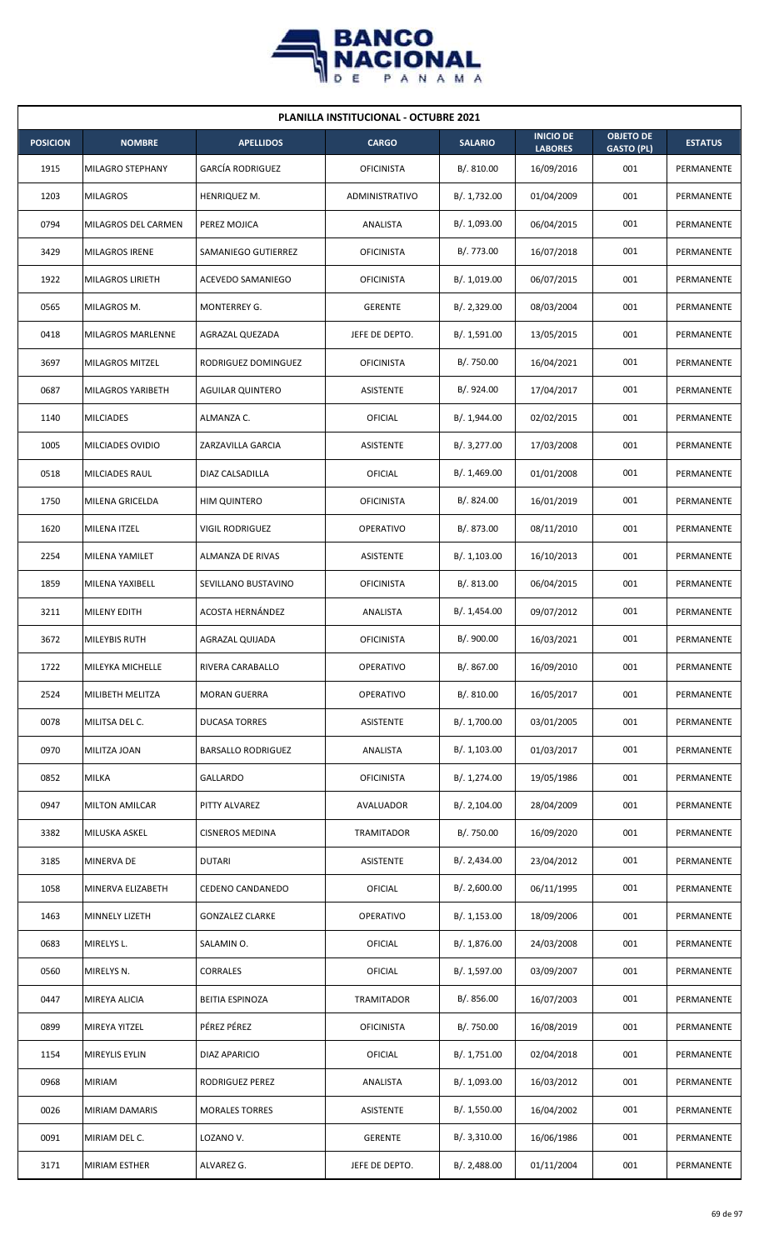

| <b>PLANILLA INSTITUCIONAL - OCTUBRE 2021</b> |                         |                           |                   |                |                                    |                                       |                |  |  |
|----------------------------------------------|-------------------------|---------------------------|-------------------|----------------|------------------------------------|---------------------------------------|----------------|--|--|
| <b>POSICION</b>                              | <b>NOMBRE</b>           | <b>APELLIDOS</b>          | <b>CARGO</b>      | <b>SALARIO</b> | <b>INICIO DE</b><br><b>LABORES</b> | <b>OBJETO DE</b><br><b>GASTO (PL)</b> | <b>ESTATUS</b> |  |  |
| 1915                                         | MILAGRO STEPHANY        | <b>GARCÍA RODRIGUEZ</b>   | <b>OFICINISTA</b> | B/. 810.00     | 16/09/2016                         | 001                                   | PERMANENTE     |  |  |
| 1203                                         | <b>MILAGROS</b>         | HENRIQUEZ M.              | ADMINISTRATIVO    | B/. 1,732.00   | 01/04/2009                         | 001                                   | PERMANENTE     |  |  |
| 0794                                         | MILAGROS DEL CARMEN     | PEREZ MOJICA              | ANALISTA          | B/. 1,093.00   | 06/04/2015                         | 001                                   | PERMANENTE     |  |  |
| 3429                                         | <b>MILAGROS IRENE</b>   | SAMANIEGO GUTIERREZ       | <b>OFICINISTA</b> | B/. 773.00     | 16/07/2018                         | 001                                   | PERMANENTE     |  |  |
| 1922                                         | <b>MILAGROS LIRIETH</b> | ACEVEDO SAMANIEGO         | <b>OFICINISTA</b> | B/. 1,019.00   | 06/07/2015                         | 001                                   | PERMANENTE     |  |  |
| 0565                                         | MILAGROS M.             | MONTERREY G.              | <b>GERENTE</b>    | B/. 2,329.00   | 08/03/2004                         | 001                                   | PERMANENTE     |  |  |
| 0418                                         | MILAGROS MARLENNE       | AGRAZAL QUEZADA           | JEFE DE DEPTO.    | B/. 1,591.00   | 13/05/2015                         | 001                                   | PERMANENTE     |  |  |
| 3697                                         | MILAGROS MITZEL         | RODRIGUEZ DOMINGUEZ       | <b>OFICINISTA</b> | B/. 750.00     | 16/04/2021                         | 001                                   | PERMANENTE     |  |  |
| 0687                                         | MILAGROS YARIBETH       | <b>AGUILAR QUINTERO</b>   | ASISTENTE         | B/. 924.00     | 17/04/2017                         | 001                                   | PERMANENTE     |  |  |
| 1140                                         | <b>MILCIADES</b>        | ALMANZA C.                | OFICIAL           | B/. 1,944.00   | 02/02/2015                         | 001                                   | PERMANENTE     |  |  |
| 1005                                         | MILCIADES OVIDIO        | ZARZAVILLA GARCIA         | ASISTENTE         | B/. 3,277.00   | 17/03/2008                         | 001                                   | PERMANENTE     |  |  |
| 0518                                         | MILCIADES RAUL          | DIAZ CALSADILLA           | OFICIAL           | B/. 1,469.00   | 01/01/2008                         | 001                                   | PERMANENTE     |  |  |
| 1750                                         | MILENA GRICELDA         | <b>HIM QUINTERO</b>       | <b>OFICINISTA</b> | B/. 824.00     | 16/01/2019                         | 001                                   | PERMANENTE     |  |  |
| 1620                                         | <b>MILENA ITZEL</b>     | <b>VIGIL RODRIGUEZ</b>    | <b>OPERATIVO</b>  | B/. 873.00     | 08/11/2010                         | 001                                   | PERMANENTE     |  |  |
| 2254                                         | MILENA YAMILET          | ALMANZA DE RIVAS          | <b>ASISTENTE</b>  | B/.1,103.00    | 16/10/2013                         | 001                                   | PERMANENTE     |  |  |
| 1859                                         | MILENA YAXIBELL         | SEVILLANO BUSTAVINO       | <b>OFICINISTA</b> | B/. 813.00     | 06/04/2015                         | 001                                   | PERMANENTE     |  |  |
| 3211                                         | MILENY EDITH            | ACOSTA HERNÁNDEZ          | ANALISTA          | B/.1,454.00    | 09/07/2012                         | 001                                   | PERMANENTE     |  |  |
| 3672                                         | <b>MILEYBIS RUTH</b>    | AGRAZAL QUIJADA           | <b>OFICINISTA</b> | B/. 900.00     | 16/03/2021                         | 001                                   | PERMANENTE     |  |  |
| 1722                                         | MILEYKA MICHELLE        | RIVERA CARABALLO          | OPERATIVO         | B/. 867.00     | 16/09/2010                         | 001                                   | PERMANENTE     |  |  |
| 2524                                         | MILIBETH MELITZA        | <b>MORAN GUERRA</b>       | OPERATIVO         | B/. 810.00     | 16/05/2017                         | 001                                   | PERMANENTE     |  |  |
| 0078                                         | MILITSA DEL C.          | DUCASA TORRES             | ASISTENTE         | B/. 1,700.00   | 03/01/2005                         | 001                                   | PERMANENTE     |  |  |
| 0970                                         | MILITZA JOAN            | <b>BARSALLO RODRIGUEZ</b> | ANALISTA          | B/. 1,103.00   | 01/03/2017                         | 001                                   | PERMANENTE     |  |  |
| 0852                                         | <b>MILKA</b>            | <b>GALLARDO</b>           | <b>OFICINISTA</b> | B/. 1,274.00   | 19/05/1986                         | 001                                   | PERMANENTE     |  |  |
| 0947                                         | <b>MILTON AMILCAR</b>   | PITTY ALVAREZ             | AVALUADOR         | B/. 2,104.00   | 28/04/2009                         | 001                                   | PERMANENTE     |  |  |
| 3382                                         | MILUSKA ASKEL           | <b>CISNEROS MEDINA</b>    | TRAMITADOR        | B/. 750.00     | 16/09/2020                         | 001                                   | PERMANENTE     |  |  |
| 3185                                         | MINERVA DE              | <b>DUTARI</b>             | ASISTENTE         | B/.2,434.00    | 23/04/2012                         | 001                                   | PERMANENTE     |  |  |
| 1058                                         | MINERVA ELIZABETH       | CEDENO CANDANEDO          | OFICIAL           | B/.2,600.00    | 06/11/1995                         | 001                                   | PERMANENTE     |  |  |
| 1463                                         | MINNELY LIZETH          | <b>GONZALEZ CLARKE</b>    | <b>OPERATIVO</b>  | B/.1,153.00    | 18/09/2006                         | 001                                   | PERMANENTE     |  |  |
| 0683                                         | MIRELYS L.              | SALAMIN O.                | <b>OFICIAL</b>    | B/. 1,876.00   | 24/03/2008                         | 001                                   | PERMANENTE     |  |  |
| 0560                                         | MIRELYS N.              | CORRALES                  | <b>OFICIAL</b>    | B/. 1,597.00   | 03/09/2007                         | 001                                   | PERMANENTE     |  |  |
| 0447                                         | MIREYA ALICIA           | BEITIA ESPINOZA           | <b>TRAMITADOR</b> | B/. 856.00     | 16/07/2003                         | 001                                   | PERMANENTE     |  |  |
| 0899                                         | MIREYA YITZEL           | PÉREZ PÉREZ               | <b>OFICINISTA</b> | B/. 750.00     | 16/08/2019                         | 001                                   | PERMANENTE     |  |  |
| 1154                                         | MIREYLIS EYLIN          | DIAZ APARICIO             | <b>OFICIAL</b>    | B/. 1,751.00   | 02/04/2018                         | 001                                   | PERMANENTE     |  |  |
| 0968                                         | MIRIAM                  | RODRIGUEZ PEREZ           | ANALISTA          | B/. 1,093.00   | 16/03/2012                         | 001                                   | PERMANENTE     |  |  |
| 0026                                         | MIRIAM DAMARIS          | <b>MORALES TORRES</b>     | <b>ASISTENTE</b>  | B/. 1,550.00   | 16/04/2002                         | 001                                   | PERMANENTE     |  |  |
| 0091                                         | MIRIAM DEL C.           | LOZANO V.                 | <b>GERENTE</b>    | B/.3,310.00    | 16/06/1986                         | 001                                   | PERMANENTE     |  |  |
| 3171                                         | MIRIAM ESTHER           | ALVAREZ G.                | JEFE DE DEPTO.    | B/.2,488.00    | 01/11/2004                         | 001                                   | PERMANENTE     |  |  |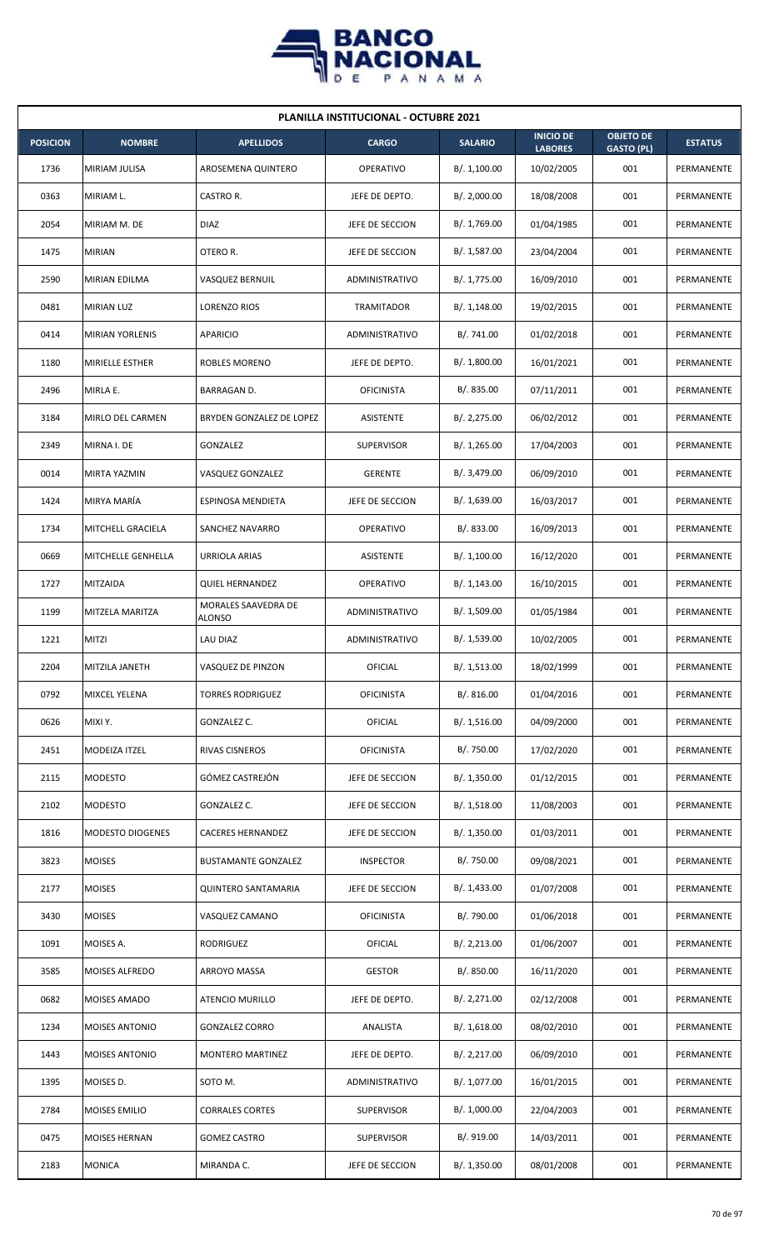

| <b>PLANILLA INSTITUCIONAL - OCTUBRE 2021</b> |                          |                                      |                       |                |                                    |                                       |                |  |  |
|----------------------------------------------|--------------------------|--------------------------------------|-----------------------|----------------|------------------------------------|---------------------------------------|----------------|--|--|
| <b>POSICION</b>                              | <b>NOMBRE</b>            | <b>APELLIDOS</b>                     | <b>CARGO</b>          | <b>SALARIO</b> | <b>INICIO DE</b><br><b>LABORES</b> | <b>OBJETO DE</b><br><b>GASTO (PL)</b> | <b>ESTATUS</b> |  |  |
| 1736                                         | <b>MIRIAM JULISA</b>     | AROSEMENA QUINTERO                   | <b>OPERATIVO</b>      | B/.1,100.00    | 10/02/2005                         | 001                                   | PERMANENTE     |  |  |
| 0363                                         | MIRIAM L.                | CASTRO R.                            | JEFE DE DEPTO.        | B/. 2,000.00   | 18/08/2008                         | 001                                   | PERMANENTE     |  |  |
| 2054                                         | MIRIAM M. DE             | <b>DIAZ</b>                          | JEFE DE SECCION       | B/. 1,769.00   | 01/04/1985                         | 001                                   | PERMANENTE     |  |  |
| 1475                                         | <b>MIRIAN</b>            | OTERO R.                             | JEFE DE SECCION       | B/. 1,587.00   | 23/04/2004                         | 001                                   | PERMANENTE     |  |  |
| 2590                                         | <b>MIRIAN EDILMA</b>     | VASQUEZ BERNUIL                      | <b>ADMINISTRATIVO</b> | B/. 1,775.00   | 16/09/2010                         | 001                                   | PERMANENTE     |  |  |
| 0481                                         | <b>MIRIAN LUZ</b>        | LORENZO RIOS                         | <b>TRAMITADOR</b>     | B/.1,148.00    | 19/02/2015                         | 001                                   | PERMANENTE     |  |  |
| 0414                                         | <b>MIRIAN YORLENIS</b>   | APARICIO                             | ADMINISTRATIVO        | B/. 741.00     | 01/02/2018                         | 001                                   | PERMANENTE     |  |  |
| 1180                                         | <b>MIRIELLE ESTHER</b>   | <b>ROBLES MORENO</b>                 | JEFE DE DEPTO.        | B/.1,800.00    | 16/01/2021                         | 001                                   | PERMANENTE     |  |  |
| 2496                                         | MIRLA E.                 | <b>BARRAGAN D.</b>                   | <b>OFICINISTA</b>     | B/0.835.00     | 07/11/2011                         | 001                                   | PERMANENTE     |  |  |
| 3184                                         | MIRLO DEL CARMEN         | BRYDEN GONZALEZ DE LOPEZ             | <b>ASISTENTE</b>      | B/.2,275.00    | 06/02/2012                         | 001                                   | PERMANENTE     |  |  |
| 2349                                         | MIRNA I. DE              | GONZALEZ                             | <b>SUPERVISOR</b>     | B/. 1,265.00   | 17/04/2003                         | 001                                   | PERMANENTE     |  |  |
| 0014                                         | MIRTA YAZMIN             | VASQUEZ GONZALEZ                     | <b>GERENTE</b>        | B/. 3,479.00   | 06/09/2010                         | 001                                   | PERMANENTE     |  |  |
| 1424                                         | MIRYA MARÍA              | ESPINOSA MENDIETA                    | JEFE DE SECCION       | B/. 1,639.00   | 16/03/2017                         | 001                                   | PERMANENTE     |  |  |
| 1734                                         | <b>MITCHELL GRACIELA</b> | SANCHEZ NAVARRO                      | <b>OPERATIVO</b>      | B/. 833.00     | 16/09/2013                         | 001                                   | PERMANENTE     |  |  |
| 0669                                         | MITCHELLE GENHELLA       | <b>URRIOLA ARIAS</b>                 | ASISTENTE             | B/.1,100.00    | 16/12/2020                         | 001                                   | PERMANENTE     |  |  |
| 1727                                         | <b>MITZAIDA</b>          | <b>QUIEL HERNANDEZ</b>               | <b>OPERATIVO</b>      | B/.1,143.00    | 16/10/2015                         | 001                                   | PERMANENTE     |  |  |
| 1199                                         | MITZELA MARITZA          | MORALES SAAVEDRA DE<br><b>ALONSO</b> | ADMINISTRATIVO        | B/. 1,509.00   | 01/05/1984                         | 001                                   | PERMANENTE     |  |  |
| 1221                                         | <b>MITZI</b>             | LAU DIAZ                             | ADMINISTRATIVO        | B/. 1,539.00   | 10/02/2005                         | 001                                   | PERMANENTE     |  |  |
| 2204                                         | MITZILA JANETH           | VASQUEZ DE PINZON                    | OFICIAL               | B/. 1,513.00   | 18/02/1999                         | 001                                   | PERMANENTE     |  |  |
| 0792                                         | MIXCEL YELENA            | TORRES RODRIGUEZ                     | <b>OFICINISTA</b>     | B/. 816.00     | 01/04/2016                         | 001                                   | PERMANENTE     |  |  |
| 0626                                         | MIXI Y.                  | GONZALEZ C.                          | <b>OFICIAL</b>        | B/. 1,516.00   | 04/09/2000                         | 001                                   | PERMANENTE     |  |  |
| 2451                                         | MODEIZA ITZEL            | <b>RIVAS CISNEROS</b>                | <b>OFICINISTA</b>     | B/. 750.00     | 17/02/2020                         | 001                                   | PERMANENTE     |  |  |
| 2115                                         | <b>MODESTO</b>           | GÓMEZ CASTREJÓN                      | JEFE DE SECCION       | B/.1,350.00    | 01/12/2015                         | 001                                   | PERMANENTE     |  |  |
| 2102                                         | <b>MODESTO</b>           | GONZALEZ C.                          | JEFE DE SECCION       | B/. 1,518.00   | 11/08/2003                         | 001                                   | PERMANENTE     |  |  |
| 1816                                         | <b>MODESTO DIOGENES</b>  | <b>CACERES HERNANDEZ</b>             | JEFE DE SECCION       | B/.1,350.00    | 01/03/2011                         | 001                                   | PERMANENTE     |  |  |
| 3823                                         | <b>MOISES</b>            | <b>BUSTAMANTE GONZALEZ</b>           | <b>INSPECTOR</b>      | B/. 750.00     | 09/08/2021                         | 001                                   | PERMANENTE     |  |  |
| 2177                                         | <b>MOISES</b>            | <b>QUINTERO SANTAMARIA</b>           | JEFE DE SECCION       | B/.1,433.00    | 01/07/2008                         | 001                                   | PERMANENTE     |  |  |
| 3430                                         | <b>MOISES</b>            | VASQUEZ CAMANO                       | <b>OFICINISTA</b>     | B/. 790.00     | 01/06/2018                         | 001                                   | PERMANENTE     |  |  |
| 1091                                         | MOISES A.                | RODRIGUEZ                            | OFICIAL               | B/.2,213.00    | 01/06/2007                         | 001                                   | PERMANENTE     |  |  |
| 3585                                         | MOISES ALFREDO           | ARROYO MASSA                         | <b>GESTOR</b>         | B/. 850.00     | 16/11/2020                         | 001                                   | PERMANENTE     |  |  |
| 0682                                         | <b>MOISES AMADO</b>      | ATENCIO MURILLO                      | JEFE DE DEPTO.        | B/. 2,271.00   | 02/12/2008                         | 001                                   | PERMANENTE     |  |  |
| 1234                                         | <b>MOISES ANTONIO</b>    | <b>GONZALEZ CORRO</b>                | ANALISTA              | B/. 1,618.00   | 08/02/2010                         | 001                                   | PERMANENTE     |  |  |
| 1443                                         | <b>MOISES ANTONIO</b>    | MONTERO MARTINEZ                     | JEFE DE DEPTO.        | B/.2,217.00    | 06/09/2010                         | 001                                   | PERMANENTE     |  |  |
| 1395                                         | MOISES D.                | SOTO M.                              | ADMINISTRATIVO        | B/. 1,077.00   | 16/01/2015                         | 001                                   | PERMANENTE     |  |  |
| 2784                                         | MOISES EMILIO            | <b>CORRALES CORTES</b>               | <b>SUPERVISOR</b>     | B/. 1,000.00   | 22/04/2003                         | 001                                   | PERMANENTE     |  |  |
| 0475                                         | <b>MOISES HERNAN</b>     | <b>GOMEZ CASTRO</b>                  | <b>SUPERVISOR</b>     | B/. 919.00     | 14/03/2011                         | 001                                   | PERMANENTE     |  |  |
| 2183                                         | <b>MONICA</b>            | MIRANDA C.                           | JEFE DE SECCION       | B/.1,350.00    | 08/01/2008                         | 001                                   | PERMANENTE     |  |  |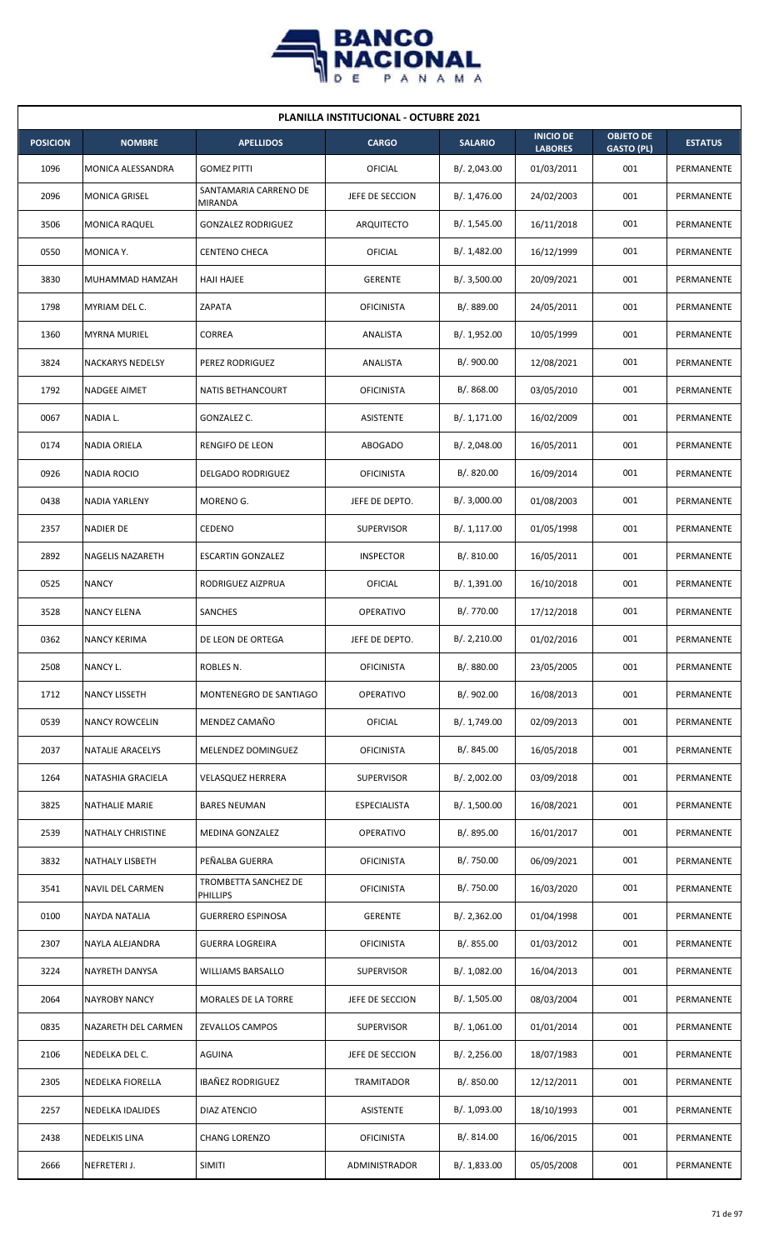

| <b>PLANILLA INSTITUCIONAL - OCTUBRE 2021</b> |                          |                                  |                   |                |                                    |                                       |                |  |  |  |
|----------------------------------------------|--------------------------|----------------------------------|-------------------|----------------|------------------------------------|---------------------------------------|----------------|--|--|--|
| <b>POSICION</b>                              | <b>NOMBRE</b>            | <b>APELLIDOS</b>                 | <b>CARGO</b>      | <b>SALARIO</b> | <b>INICIO DE</b><br><b>LABORES</b> | <b>OBJETO DE</b><br><b>GASTO (PL)</b> | <b>ESTATUS</b> |  |  |  |
| 1096                                         | MONICA ALESSANDRA        | <b>GOMEZ PITTI</b>               | OFICIAL           | B/. 2,043.00   | 01/03/2011                         | 001                                   | PERMANENTE     |  |  |  |
| 2096                                         | <b>MONICA GRISEL</b>     | SANTAMARIA CARRENO DE<br>MIRANDA | JEFE DE SECCION   | B/. 1,476.00   | 24/02/2003                         | 001                                   | PERMANENTE     |  |  |  |
| 3506                                         | <b>MONICA RAQUEL</b>     | <b>GONZALEZ RODRIGUEZ</b>        | ARQUITECTO        | B/. 1,545.00   | 16/11/2018                         | 001                                   | PERMANENTE     |  |  |  |
| 0550                                         | MONICA Y.                | <b>CENTENO CHECA</b>             | OFICIAL           | B/.1,482.00    | 16/12/1999                         | 001                                   | PERMANENTE     |  |  |  |
| 3830                                         | MUHAMMAD HAMZAH          | <b>HAJI HAJEE</b>                | <b>GERENTE</b>    | B/.3,500.00    | 20/09/2021                         | 001                                   | PERMANENTE     |  |  |  |
| 1798                                         | MYRIAM DEL C.            | ZAPATA                           | <b>OFICINISTA</b> | B/. 889.00     | 24/05/2011                         | 001                                   | PERMANENTE     |  |  |  |
| 1360                                         | <b>MYRNA MURIEL</b>      | <b>CORREA</b>                    | ANALISTA          | B/. 1,952.00   | 10/05/1999                         | 001                                   | PERMANENTE     |  |  |  |
| 3824                                         | <b>NACKARYS NEDELSY</b>  | PEREZ RODRIGUEZ                  | ANALISTA          | B/. 900.00     | 12/08/2021                         | 001                                   | PERMANENTE     |  |  |  |
| 1792                                         | <b>NADGEE AIMET</b>      | <b>NATIS BETHANCOURT</b>         | <b>OFICINISTA</b> | B/. 868.00     | 03/05/2010                         | 001                                   | PERMANENTE     |  |  |  |
| 0067                                         | NADIA L.                 | GONZALEZ C.                      | ASISTENTE         | B/. 1,171.00   | 16/02/2009                         | 001                                   | PERMANENTE     |  |  |  |
| 0174                                         | <b>NADIA ORIELA</b>      | <b>RENGIFO DE LEON</b>           | <b>ABOGADO</b>    | B/. 2,048.00   | 16/05/2011                         | 001                                   | PERMANENTE     |  |  |  |
| 0926                                         | <b>NADIA ROCIO</b>       | <b>DELGADO RODRIGUEZ</b>         | <b>OFICINISTA</b> | B/0.820.00     | 16/09/2014                         | 001                                   | PERMANENTE     |  |  |  |
| 0438                                         | NADIA YARLENY            | MORENO G.                        | JEFE DE DEPTO.    | B/.3,000.00    | 01/08/2003                         | 001                                   | PERMANENTE     |  |  |  |
| 2357                                         | <b>NADIER DE</b>         | CEDENO                           | <b>SUPERVISOR</b> | B/.1,117.00    | 01/05/1998                         | 001                                   | PERMANENTE     |  |  |  |
| 2892                                         | NAGELIS NAZARETH         | <b>ESCARTIN GONZALEZ</b>         | <b>INSPECTOR</b>  | B/.810.00      | 16/05/2011                         | 001                                   | PERMANENTE     |  |  |  |
| 0525                                         | <b>NANCY</b>             | RODRIGUEZ AIZPRUA                | OFICIAL           | B/. 1,391.00   | 16/10/2018                         | 001                                   | PERMANENTE     |  |  |  |
| 3528                                         | <b>NANCY ELENA</b>       | SANCHES                          | OPERATIVO         | B/. 770.00     | 17/12/2018                         | 001                                   | PERMANENTE     |  |  |  |
| 0362                                         | <b>NANCY KERIMA</b>      | DE LEON DE ORTEGA                | JEFE DE DEPTO.    | B/.2,210.00    | 01/02/2016                         | 001                                   | PERMANENTE     |  |  |  |
| 2508                                         | NANCY L.                 | ROBLES N.                        | <b>OFICINISTA</b> | B/. 880.00     | 23/05/2005                         | 001                                   | PERMANENTE     |  |  |  |
| 1712                                         | <b>NANCY LISSETH</b>     | MONTENEGRO DE SANTIAGO           | OPERATIVO         | B/. 902.00     | 16/08/2013                         | 001                                   | PERMANENTE     |  |  |  |
| 0539                                         | <b>NANCY ROWCELIN</b>    | MENDEZ CAMAÑO                    | <b>OFICIAL</b>    | B/. 1,749.00   | 02/09/2013                         | 001                                   | PERMANENTE     |  |  |  |
| 2037                                         | NATALIE ARACELYS         | MELENDEZ DOMINGUEZ               | <b>OFICINISTA</b> | B/. 845.00     | 16/05/2018                         | 001                                   | PERMANENTE     |  |  |  |
| 1264                                         | NATASHIA GRACIELA        | <b>VELASQUEZ HERRERA</b>         | <b>SUPERVISOR</b> | B/. 2,002.00   | 03/09/2018                         | 001                                   | PERMANENTE     |  |  |  |
| 3825                                         | NATHALIE MARIE           | <b>BARES NEUMAN</b>              | ESPECIALISTA      | B/. 1,500.00   | 16/08/2021                         | 001                                   | PERMANENTE     |  |  |  |
| 2539                                         | <b>NATHALY CHRISTINE</b> | MEDINA GONZALEZ                  | OPERATIVO         | B/. 895.00     | 16/01/2017                         | 001                                   | PERMANENTE     |  |  |  |
| 3832                                         | <b>NATHALY LISBETH</b>   | PEÑALBA GUERRA                   | <b>OFICINISTA</b> | B/. 750.00     | 06/09/2021                         | 001                                   | PERMANENTE     |  |  |  |
| 3541                                         | NAVIL DEL CARMEN         | TROMBETTA SANCHEZ DE<br>PHILLIPS | <b>OFICINISTA</b> | B/. 750.00     | 16/03/2020                         | 001                                   | PERMANENTE     |  |  |  |
| 0100                                         | NAYDA NATALIA            | <b>GUERRERO ESPINOSA</b>         | <b>GERENTE</b>    | B/.2,362.00    | 01/04/1998                         | 001                                   | PERMANENTE     |  |  |  |
| 2307                                         | NAYLA ALEJANDRA          | <b>GUERRA LOGREIRA</b>           | <b>OFICINISTA</b> | B/. 855.00     | 01/03/2012                         | 001                                   | PERMANENTE     |  |  |  |
| 3224                                         | NAYRETH DANYSA           | WILLIAMS BARSALLO                | <b>SUPERVISOR</b> | B/. 1,082.00   | 16/04/2013                         | 001                                   | PERMANENTE     |  |  |  |
| 2064                                         | <b>NAYROBY NANCY</b>     | MORALES DE LA TORRE              | JEFE DE SECCION   | B/. 1,505.00   | 08/03/2004                         | 001                                   | PERMANENTE     |  |  |  |
| 0835                                         | NAZARETH DEL CARMEN      | <b>ZEVALLOS CAMPOS</b>           | <b>SUPERVISOR</b> | B/. 1,061.00   | 01/01/2014                         | 001                                   | PERMANENTE     |  |  |  |
| 2106                                         | NEDELKA DEL C.           | AGUINA                           | JEFE DE SECCION   | B/.2,256.00    | 18/07/1983                         | 001                                   | PERMANENTE     |  |  |  |
| 2305                                         | NEDELKA FIORELLA         | IBAÑEZ RODRIGUEZ                 | TRAMITADOR        | B/. 850.00     | 12/12/2011                         | 001                                   | PERMANENTE     |  |  |  |
| 2257                                         | NEDELKA IDALIDES         | DIAZ ATENCIO                     | ASISTENTE         | B/. 1,093.00   | 18/10/1993                         | 001                                   | PERMANENTE     |  |  |  |
| 2438                                         | <b>NEDELKIS LINA</b>     | <b>CHANG LORENZO</b>             | <b>OFICINISTA</b> | B/. 814.00     | 16/06/2015                         | 001                                   | PERMANENTE     |  |  |  |
| 2666                                         | NEFRETERI J.             | <b>SIMITI</b>                    | ADMINISTRADOR     | B/. 1,833.00   | 05/05/2008                         | 001                                   | PERMANENTE     |  |  |  |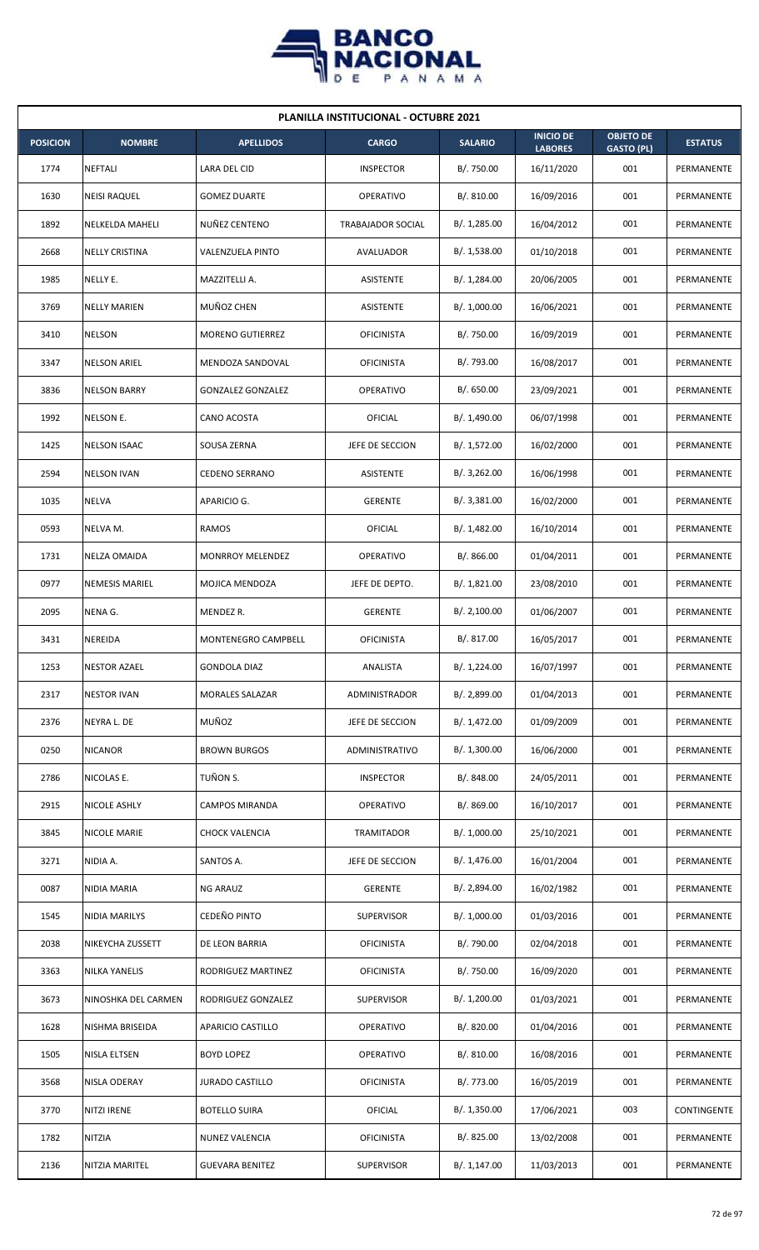

| <b>PLANILLA INSTITUCIONAL - OCTUBRE 2021</b> |                        |                          |                      |                |                                    |                                       |                |  |  |
|----------------------------------------------|------------------------|--------------------------|----------------------|----------------|------------------------------------|---------------------------------------|----------------|--|--|
| <b>POSICION</b>                              | <b>NOMBRE</b>          | <b>APELLIDOS</b>         | <b>CARGO</b>         | <b>SALARIO</b> | <b>INICIO DE</b><br><b>LABORES</b> | <b>OBJETO DE</b><br><b>GASTO (PL)</b> | <b>ESTATUS</b> |  |  |
| 1774                                         | <b>NEFTALI</b>         | LARA DEL CID             | <b>INSPECTOR</b>     | B/. 750.00     | 16/11/2020                         | 001                                   | PERMANENTE     |  |  |
| 1630                                         | <b>NEISI RAQUEL</b>    | <b>GOMEZ DUARTE</b>      | <b>OPERATIVO</b>     | B/.810.00      | 16/09/2016                         | 001                                   | PERMANENTE     |  |  |
| 1892                                         | <b>NELKELDA MAHELI</b> | NUÑEZ CENTENO            | TRABAJADOR SOCIAL    | B/. 1,285.00   | 16/04/2012                         | 001                                   | PERMANENTE     |  |  |
| 2668                                         | <b>NELLY CRISTINA</b>  | VALENZUELA PINTO         | AVALUADOR            | B/. 1,538.00   | 01/10/2018                         | 001                                   | PERMANENTE     |  |  |
| 1985                                         | NELLY E.               | MAZZITELLI A.            | <b>ASISTENTE</b>     | B/. 1,284.00   | 20/06/2005                         | 001                                   | PERMANENTE     |  |  |
| 3769                                         | <b>NELLY MARIEN</b>    | MUÑOZ CHEN               | <b>ASISTENTE</b>     | B/. 1,000.00   | 16/06/2021                         | 001                                   | PERMANENTE     |  |  |
| 3410                                         | <b>NELSON</b>          | <b>MORENO GUTIERREZ</b>  | <b>OFICINISTA</b>    | B/. 750.00     | 16/09/2019                         | 001                                   | PERMANENTE     |  |  |
| 3347                                         | <b>NELSON ARIEL</b>    | MENDOZA SANDOVAL         | <b>OFICINISTA</b>    | B/. 793.00     | 16/08/2017                         | 001                                   | PERMANENTE     |  |  |
| 3836                                         | <b>NELSON BARRY</b>    | <b>GONZALEZ GONZALEZ</b> | <b>OPERATIVO</b>     | B/. 650.00     | 23/09/2021                         | 001                                   | PERMANENTE     |  |  |
| 1992                                         | NELSON E.              | CANO ACOSTA              | OFICIAL              | B/. 1,490.00   | 06/07/1998                         | 001                                   | PERMANENTE     |  |  |
| 1425                                         | <b>NELSON ISAAC</b>    | SOUSA ZERNA              | JEFE DE SECCION      | B/. 1,572.00   | 16/02/2000                         | 001                                   | PERMANENTE     |  |  |
| 2594                                         | <b>NELSON IVAN</b>     | <b>CEDENO SERRANO</b>    | <b>ASISTENTE</b>     | B/.3,262.00    | 16/06/1998                         | 001                                   | PERMANENTE     |  |  |
| 1035                                         | NELVA                  | APARICIO G.              | <b>GERENTE</b>       | B/.3,381.00    | 16/02/2000                         | 001                                   | PERMANENTE     |  |  |
| 0593                                         | NELVA M.               | <b>RAMOS</b>             | OFICIAL              | B/. 1,482.00   | 16/10/2014                         | 001                                   | PERMANENTE     |  |  |
| 1731                                         | <b>NELZA OMAIDA</b>    | <b>MONRROY MELENDEZ</b>  | <b>OPERATIVO</b>     | B/.866.00      | 01/04/2011                         | 001                                   | PERMANENTE     |  |  |
| 0977                                         | <b>NEMESIS MARIEL</b>  | MOJICA MENDOZA           | JEFE DE DEPTO.       | B/.1,821.00    | 23/08/2010                         | 001                                   | PERMANENTE     |  |  |
| 2095                                         | NENA G.                | MENDEZ R.                | <b>GERENTE</b>       | B/.2,100.00    | 01/06/2007                         | 001                                   | PERMANENTE     |  |  |
| 3431                                         | <b>NEREIDA</b>         | MONTENEGRO CAMPBELL      | <b>OFICINISTA</b>    | B/. 817.00     | 16/05/2017                         | 001                                   | PERMANENTE     |  |  |
| 1253                                         | <b>NESTOR AZAEL</b>    | <b>GONDOLA DIAZ</b>      | ANALISTA             | B/. 1,224.00   | 16/07/1997                         | 001                                   | PERMANENTE     |  |  |
| 2317                                         | <b>NESTOR IVAN</b>     | MORALES SALAZAR          | <b>ADMINISTRADOR</b> | B/. 2,899.00   | 01/04/2013                         | 001                                   | PERMANENTE     |  |  |
| 2376                                         | NEYRA L. DE            | MUÑOZ                    | JEFE DE SECCION      | B/. 1,472.00   | 01/09/2009                         | 001                                   | PERMANENTE     |  |  |
| 0250                                         | <b>NICANOR</b>         | <b>BROWN BURGOS</b>      | ADMINISTRATIVO       | B/. 1,300.00   | 16/06/2000                         | 001                                   | PERMANENTE     |  |  |
| 2786                                         | NICOLAS E.             | TUÑON S.                 | <b>INSPECTOR</b>     | B/. 848.00     | 24/05/2011                         | 001                                   | PERMANENTE     |  |  |
| 2915                                         | NICOLE ASHLY           | CAMPOS MIRANDA           | <b>OPERATIVO</b>     | B/. 869.00     | 16/10/2017                         | 001                                   | PERMANENTE     |  |  |
| 3845                                         | <b>NICOLE MARIE</b>    | CHOCK VALENCIA           | TRAMITADOR           | B/. 1,000.00   | 25/10/2021                         | 001                                   | PERMANENTE     |  |  |
| 3271                                         | NIDIA A.               | SANTOS A.                | JEFE DE SECCION      | B/. 1,476.00   | 16/01/2004                         | 001                                   | PERMANENTE     |  |  |
| 0087                                         | NIDIA MARIA            | NG ARAUZ                 | <b>GERENTE</b>       | B/. 2,894.00   | 16/02/1982                         | 001                                   | PERMANENTE     |  |  |
| 1545                                         | <b>NIDIA MARILYS</b>   | CEDEÑO PINTO             | <b>SUPERVISOR</b>    | B/. 1,000.00   | 01/03/2016                         | 001                                   | PERMANENTE     |  |  |
| 2038                                         | NIKEYCHA ZUSSETT       | DE LEON BARRIA           | <b>OFICINISTA</b>    | B/. 790.00     | 02/04/2018                         | 001                                   | PERMANENTE     |  |  |
| 3363                                         | <b>NILKA YANELIS</b>   | RODRIGUEZ MARTINEZ       | <b>OFICINISTA</b>    | B/. 750.00     | 16/09/2020                         | 001                                   | PERMANENTE     |  |  |
| 3673                                         | NINOSHKA DEL CARMEN    | RODRIGUEZ GONZALEZ       | <b>SUPERVISOR</b>    | B/. 1,200.00   | 01/03/2021                         | 001                                   | PERMANENTE     |  |  |
| 1628                                         | NISHMA BRISEIDA        | APARICIO CASTILLO        | <b>OPERATIVO</b>     | B/. 820.00     | 01/04/2016                         | 001                                   | PERMANENTE     |  |  |
| 1505                                         | <b>NISLA ELTSEN</b>    | <b>BOYD LOPEZ</b>        | <b>OPERATIVO</b>     | B/. 810.00     | 16/08/2016                         | 001                                   | PERMANENTE     |  |  |
| 3568                                         | NISLA ODERAY           | <b>JURADO CASTILLO</b>   | <b>OFICINISTA</b>    | B/. 773.00     | 16/05/2019                         | 001                                   | PERMANENTE     |  |  |
| 3770                                         | <b>NITZI IRENE</b>     | <b>BOTELLO SUIRA</b>     | OFICIAL              | B/.1,350.00    | 17/06/2021                         | 003                                   | CONTINGENTE    |  |  |
| 1782                                         | <b>NITZIA</b>          | NUNEZ VALENCIA           | <b>OFICINISTA</b>    | B/. 825.00     | 13/02/2008                         | 001                                   | PERMANENTE     |  |  |
| 2136                                         | NITZIA MARITEL         | <b>GUEVARA BENITEZ</b>   | <b>SUPERVISOR</b>    | B/.1,147.00    | 11/03/2013                         | 001                                   | PERMANENTE     |  |  |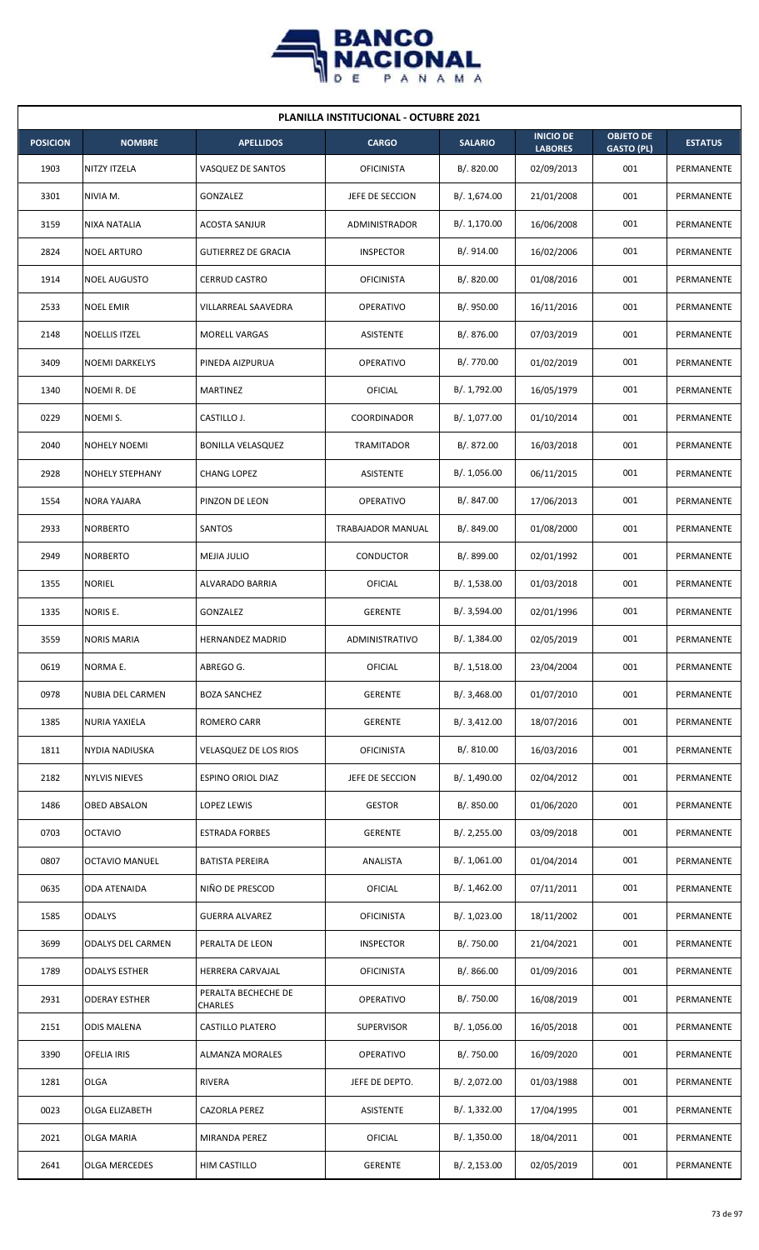

| <b>PLANILLA INSTITUCIONAL - OCTUBRE 2021</b> |                       |                                |                   |                |                                    |                                       |                |  |  |  |
|----------------------------------------------|-----------------------|--------------------------------|-------------------|----------------|------------------------------------|---------------------------------------|----------------|--|--|--|
| <b>POSICION</b>                              | <b>NOMBRE</b>         | <b>APELLIDOS</b>               | <b>CARGO</b>      | <b>SALARIO</b> | <b>INICIO DE</b><br><b>LABORES</b> | <b>OBJETO DE</b><br><b>GASTO (PL)</b> | <b>ESTATUS</b> |  |  |  |
| 1903                                         | NITZY ITZELA          | VASQUEZ DE SANTOS              | <b>OFICINISTA</b> | B/. 820.00     | 02/09/2013                         | 001                                   | PERMANENTE     |  |  |  |
| 3301                                         | NIVIA M.              | GONZALEZ                       | JEFE DE SECCION   | B/. 1,674.00   | 21/01/2008                         | 001                                   | PERMANENTE     |  |  |  |
| 3159                                         | <b>NIXA NATALIA</b>   | <b>ACOSTA SANJUR</b>           | ADMINISTRADOR     | B/. 1,170.00   | 16/06/2008                         | 001                                   | PERMANENTE     |  |  |  |
| 2824                                         | <b>NOEL ARTURO</b>    | <b>GUTIERREZ DE GRACIA</b>     | <b>INSPECTOR</b>  | B/. 914.00     | 16/02/2006                         | 001                                   | PERMANENTE     |  |  |  |
| 1914                                         | <b>NOEL AUGUSTO</b>   | <b>CERRUD CASTRO</b>           | <b>OFICINISTA</b> | B/0.820.00     | 01/08/2016                         | 001                                   | PERMANENTE     |  |  |  |
| 2533                                         | <b>NOEL EMIR</b>      | VILLARREAL SAAVEDRA            | <b>OPERATIVO</b>  | B/. 950.00     | 16/11/2016                         | 001                                   | PERMANENTE     |  |  |  |
| 2148                                         | <b>NOELLIS ITZEL</b>  | <b>MORELL VARGAS</b>           | ASISTENTE         | B/. 876.00     | 07/03/2019                         | 001                                   | PERMANENTE     |  |  |  |
| 3409                                         | <b>NOEMI DARKELYS</b> | PINEDA AIZPURUA                | <b>OPERATIVO</b>  | B/. 770.00     | 01/02/2019                         | 001                                   | PERMANENTE     |  |  |  |
| 1340                                         | NOEMIR. DE            | <b>MARTINEZ</b>                | OFICIAL           | B/. 1,792.00   | 16/05/1979                         | 001                                   | PERMANENTE     |  |  |  |
| 0229                                         | NOEMI S.              | CASTILLO J.                    | COORDINADOR       | B/. 1,077.00   | 01/10/2014                         | 001                                   | PERMANENTE     |  |  |  |
| 2040                                         | <b>NOHELY NOEMI</b>   | <b>BONILLA VELASQUEZ</b>       | TRAMITADOR        | B/. 872.00     | 16/03/2018                         | 001                                   | PERMANENTE     |  |  |  |
| 2928                                         | NOHELY STEPHANY       | CHANG LOPEZ                    | ASISTENTE         | B/. 1,056.00   | 06/11/2015                         | 001                                   | PERMANENTE     |  |  |  |
| 1554                                         | <b>NORA YAJARA</b>    | PINZON DE LEON                 | <b>OPERATIVO</b>  | B/. 847.00     | 17/06/2013                         | 001                                   | PERMANENTE     |  |  |  |
| 2933                                         | <b>NORBERTO</b>       | SANTOS                         | TRABAJADOR MANUAL | B/. 849.00     | 01/08/2000                         | 001                                   | PERMANENTE     |  |  |  |
| 2949                                         | <b>NORBERTO</b>       | MEJIA JULIO                    | CONDUCTOR         | B/. 899.00     | 02/01/1992                         | 001                                   | PERMANENTE     |  |  |  |
| 1355                                         | <b>NORIEL</b>         | ALVARADO BARRIA                | OFICIAL           | B/. 1,538.00   | 01/03/2018                         | 001                                   | PERMANENTE     |  |  |  |
| 1335                                         | NORIS E.              | GONZALEZ                       | <b>GERENTE</b>    | B/. 3,594.00   | 02/01/1996                         | 001                                   | PERMANENTE     |  |  |  |
| 3559                                         | <b>NORIS MARIA</b>    | <b>HERNANDEZ MADRID</b>        | ADMINISTRATIVO    | B/. 1,384.00   | 02/05/2019                         | 001                                   | PERMANENTE     |  |  |  |
| 0619                                         | NORMA E.              | ABREGO G.                      | <b>OFICIAL</b>    | B/.1,518.00    | 23/04/2004                         | 001                                   | PERMANENTE     |  |  |  |
| 0978                                         | NUBIA DEL CARMEN      | <b>BOZA SANCHEZ</b>            | <b>GERENTE</b>    | B/.3,468.00    | 01/07/2010                         | 001                                   | PERMANENTE     |  |  |  |
| 1385                                         | NURIA YAXIELA         | <b>ROMERO CARR</b>             | <b>GERENTE</b>    | B/. 3,412.00   | 18/07/2016                         | 001                                   | PERMANENTE     |  |  |  |
| 1811                                         | <b>NYDIA NADIUSKA</b> | <b>VELASQUEZ DE LOS RIOS</b>   | OFICINISTA        | B/. 810.00     | 16/03/2016                         | 001                                   | PERMANENTE     |  |  |  |
| 2182                                         | <b>NYLVIS NIEVES</b>  | ESPINO ORIOL DIAZ              | JEFE DE SECCION   | B/. 1,490.00   | 02/04/2012                         | 001                                   | PERMANENTE     |  |  |  |
| 1486                                         | OBED ABSALON          | LOPEZ LEWIS                    | <b>GESTOR</b>     | B/. 850.00     | 01/06/2020                         | 001                                   | PERMANENTE     |  |  |  |
| 0703                                         | <b>OCTAVIO</b>        | <b>ESTRADA FORBES</b>          | <b>GERENTE</b>    | B/.2,255.00    | 03/09/2018                         | 001                                   | PERMANENTE     |  |  |  |
| 0807                                         | <b>OCTAVIO MANUEL</b> | <b>BATISTA PEREIRA</b>         | ANALISTA          | B/.1,061.00    | 01/04/2014                         | 001                                   | PERMANENTE     |  |  |  |
| 0635                                         | ODA ATENAIDA          | NIÑO DE PRESCOD                | <b>OFICIAL</b>    | B/.1,462.00    | 07/11/2011                         | 001                                   | PERMANENTE     |  |  |  |
| 1585                                         | <b>ODALYS</b>         | <b>GUERRA ALVAREZ</b>          | <b>OFICINISTA</b> | B/. 1,023.00   | 18/11/2002                         | 001                                   | PERMANENTE     |  |  |  |
| 3699                                         | ODALYS DEL CARMEN     | PERALTA DE LEON                | <b>INSPECTOR</b>  | B/. 750.00     | 21/04/2021                         | 001                                   | PERMANENTE     |  |  |  |
| 1789                                         | <b>ODALYS ESTHER</b>  | HERRERA CARVAJAL               | <b>OFICINISTA</b> | B/. 866.00     | 01/09/2016                         | 001                                   | PERMANENTE     |  |  |  |
| 2931                                         | <b>ODERAY ESTHER</b>  | PERALTA BECHECHE DE<br>CHARLES | OPERATIVO         | B/. 750.00     | 16/08/2019                         | 001                                   | PERMANENTE     |  |  |  |
| 2151                                         | <b>ODIS MALENA</b>    | <b>CASTILLO PLATERO</b>        | <b>SUPERVISOR</b> | B/. 1,056.00   | 16/05/2018                         | 001                                   | PERMANENTE     |  |  |  |
| 3390                                         | <b>OFELIA IRIS</b>    | ALMANZA MORALES                | <b>OPERATIVO</b>  | B/. 750.00     | 16/09/2020                         | 001                                   | PERMANENTE     |  |  |  |
| 1281                                         | OLGA                  | RIVERA                         | JEFE DE DEPTO.    | B/. 2,072.00   | 01/03/1988                         | 001                                   | PERMANENTE     |  |  |  |
| 0023                                         | OLGA ELIZABETH        | CAZORLA PEREZ                  | ASISTENTE         | B/.1,332.00    | 17/04/1995                         | 001                                   | PERMANENTE     |  |  |  |
| 2021                                         | <b>OLGA MARIA</b>     | MIRANDA PEREZ                  | <b>OFICIAL</b>    | B/.1,350.00    | 18/04/2011                         | 001                                   | PERMANENTE     |  |  |  |
| 2641                                         | OLGA MERCEDES         | HIM CASTILLO                   | GERENTE           | B/. 2,153.00   | 02/05/2019                         | 001                                   | PERMANENTE     |  |  |  |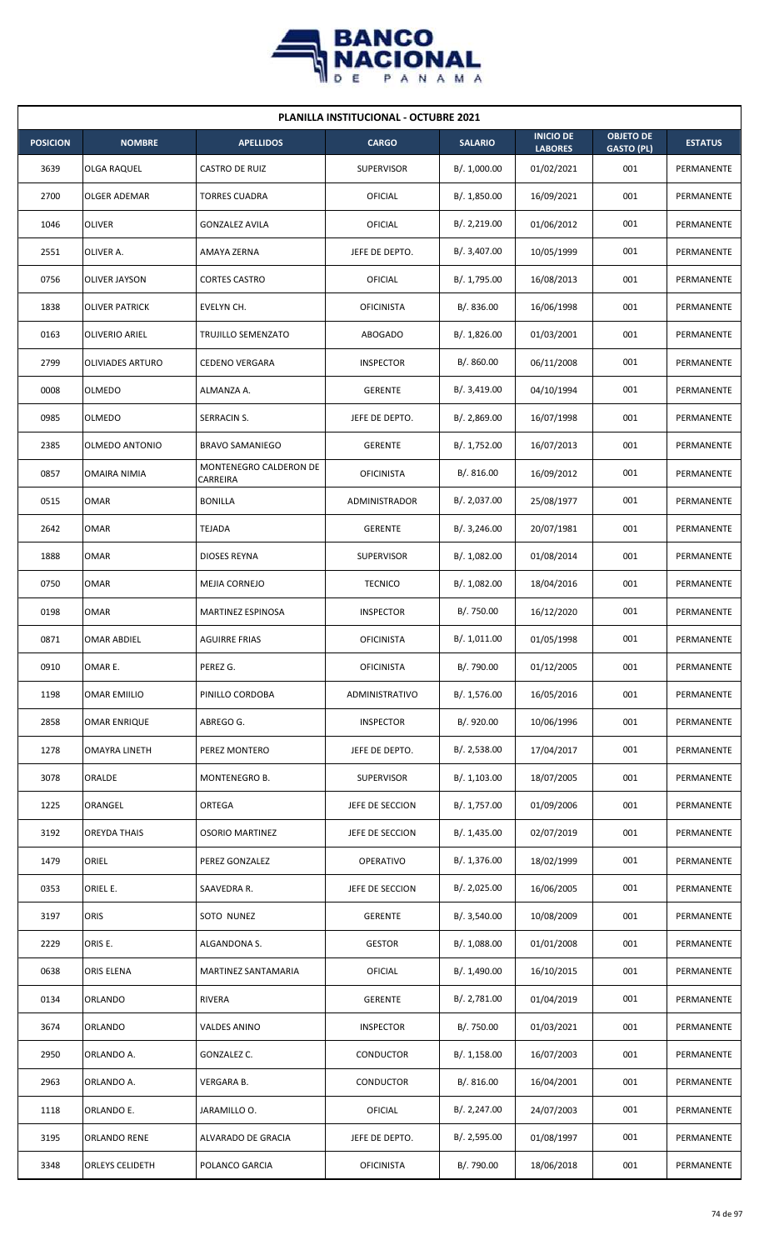

| <b>PLANILLA INSTITUCIONAL - OCTUBRE 2021</b> |                         |                                    |                   |                |                                    |                                       |                |  |  |
|----------------------------------------------|-------------------------|------------------------------------|-------------------|----------------|------------------------------------|---------------------------------------|----------------|--|--|
| <b>POSICION</b>                              | <b>NOMBRE</b>           | <b>APELLIDOS</b>                   | <b>CARGO</b>      | <b>SALARIO</b> | <b>INICIO DE</b><br><b>LABORES</b> | <b>OBJETO DE</b><br><b>GASTO (PL)</b> | <b>ESTATUS</b> |  |  |
| 3639                                         | OLGA RAQUEL             | <b>CASTRO DE RUIZ</b>              | <b>SUPERVISOR</b> | B/. 1,000.00   | 01/02/2021                         | 001                                   | PERMANENTE     |  |  |
| 2700                                         | OLGER ADEMAR            | <b>TORRES CUADRA</b>               | <b>OFICIAL</b>    | B/. 1,850.00   | 16/09/2021                         | 001                                   | PERMANENTE     |  |  |
| 1046                                         | <b>OLIVER</b>           | <b>GONZALEZ AVILA</b>              | OFICIAL           | B/.2,219.00    | 01/06/2012                         | 001                                   | PERMANENTE     |  |  |
| 2551                                         | OLIVER A.               | <b>AMAYA ZERNA</b>                 | JEFE DE DEPTO.    | B/. 3,407.00   | 10/05/1999                         | 001                                   | PERMANENTE     |  |  |
| 0756                                         | OLIVER JAYSON           | <b>CORTES CASTRO</b>               | OFICIAL           | B/. 1,795.00   | 16/08/2013                         | 001                                   | PERMANENTE     |  |  |
| 1838                                         | <b>OLIVER PATRICK</b>   | EVELYN CH.                         | <b>OFICINISTA</b> | B/0.836.00     | 16/06/1998                         | 001                                   | PERMANENTE     |  |  |
| 0163                                         | OLIVERIO ARIEL          | TRUJILLO SEMENZATO                 | ABOGADO           | B/.1,826.00    | 01/03/2001                         | 001                                   | PERMANENTE     |  |  |
| 2799                                         | <b>OLIVIADES ARTURO</b> | <b>CEDENO VERGARA</b>              | <b>INSPECTOR</b>  | B/. 860.00     | 06/11/2008                         | 001                                   | PERMANENTE     |  |  |
| 0008                                         | OLMEDO                  | ALMANZA A.                         | <b>GERENTE</b>    | B/.3,419.00    | 04/10/1994                         | 001                                   | PERMANENTE     |  |  |
| 0985                                         | OLMEDO                  | SERRACIN S.                        | JEFE DE DEPTO.    | B/. 2,869.00   | 16/07/1998                         | 001                                   | PERMANENTE     |  |  |
| 2385                                         | OLMEDO ANTONIO          | <b>BRAVO SAMANIEGO</b>             | <b>GERENTE</b>    | B/. 1,752.00   | 16/07/2013                         | 001                                   | PERMANENTE     |  |  |
| 0857                                         | <b>OMAIRA NIMIA</b>     | MONTENEGRO CALDERON DE<br>CARREIRA | <b>OFICINISTA</b> | B/. 816.00     | 16/09/2012                         | 001                                   | PERMANENTE     |  |  |
| 0515                                         | <b>OMAR</b>             | <b>BONILLA</b>                     | ADMINISTRADOR     | B/. 2,037.00   | 25/08/1977                         | 001                                   | PERMANENTE     |  |  |
| 2642                                         | <b>OMAR</b>             | <b>TEJADA</b>                      | <b>GERENTE</b>    | B/.3,246.00    | 20/07/1981                         | 001                                   | PERMANENTE     |  |  |
| 1888                                         | <b>OMAR</b>             | <b>DIOSES REYNA</b>                | <b>SUPERVISOR</b> | B/.1,082.00    | 01/08/2014                         | 001                                   | PERMANENTE     |  |  |
| 0750                                         | <b>OMAR</b>             | MEJIA CORNEJO                      | <b>TECNICO</b>    | B/. 1,082.00   | 18/04/2016                         | 001                                   | PERMANENTE     |  |  |
| 0198                                         | <b>OMAR</b>             | MARTINEZ ESPINOSA                  | <b>INSPECTOR</b>  | B/. 750.00     | 16/12/2020                         | 001                                   | PERMANENTE     |  |  |
| 0871                                         | <b>OMAR ABDIEL</b>      | <b>AGUIRRE FRIAS</b>               | <b>OFICINISTA</b> | B/. 1,011.00   | 01/05/1998                         | 001                                   | PERMANENTE     |  |  |
| 0910                                         | OMAR E.                 | PEREZ G.                           | <b>OFICINISTA</b> | B/. 790.00     | 01/12/2005                         | 001                                   | PERMANENTE     |  |  |
| 1198                                         | <b>OMAR EMIILIO</b>     | PINILLO CORDOBA                    | ADMINISTRATIVO    | B/. 1,576.00   | 16/05/2016                         | 001                                   | PERMANENTE     |  |  |
| 2858                                         | <b>OMAR ENRIQUE</b>     | ABREGO G.                          | <b>INSPECTOR</b>  | B/. 920.00     | 10/06/1996                         | 001                                   | PERMANENTE     |  |  |
| 1278                                         | OMAYRA LINETH           | PEREZ MONTERO                      | JEFE DE DEPTO.    | B/. 2,538.00   | 17/04/2017                         | 001                                   | PERMANENTE     |  |  |
| 3078                                         | ORALDE                  | MONTENEGRO B.                      | <b>SUPERVISOR</b> | B/. 1,103.00   | 18/07/2005                         | 001                                   | PERMANENTE     |  |  |
| 1225                                         | ORANGEL                 | ORTEGA                             | JEFE DE SECCION   | B/. 1,757.00   | 01/09/2006                         | 001                                   | PERMANENTE     |  |  |
| 3192                                         | OREYDA THAIS            | <b>OSORIO MARTINEZ</b>             | JEFE DE SECCION   | B/.1,435.00    | 02/07/2019                         | 001                                   | PERMANENTE     |  |  |
| 1479                                         | ORIEL                   | PEREZ GONZALEZ                     | <b>OPERATIVO</b>  | B/. 1,376.00   | 18/02/1999                         | 001                                   | PERMANENTE     |  |  |
| 0353                                         | ORIEL E.                | SAAVEDRA R.                        | JEFE DE SECCION   | B/.2,025.00    | 16/06/2005                         | 001                                   | PERMANENTE     |  |  |
| 3197                                         | ORIS                    | SOTO NUNEZ                         | <b>GERENTE</b>    | B/.3,540.00    | 10/08/2009                         | 001                                   | PERMANENTE     |  |  |
| 2229                                         | ORIS E.                 | ALGANDONA S.                       | <b>GESTOR</b>     | B/. 1,088.00   | 01/01/2008                         | 001                                   | PERMANENTE     |  |  |
| 0638                                         | ORIS ELENA              | MARTINEZ SANTAMARIA                | <b>OFICIAL</b>    | B/. 1,490.00   | 16/10/2015                         | 001                                   | PERMANENTE     |  |  |
| 0134                                         | ORLANDO                 | <b>RIVERA</b>                      | <b>GERENTE</b>    | B/. 2,781.00   | 01/04/2019                         | 001                                   | PERMANENTE     |  |  |
| 3674                                         | ORLANDO                 | VALDES ANINO                       | <b>INSPECTOR</b>  | B/. 750.00     | 01/03/2021                         | 001                                   | PERMANENTE     |  |  |
| 2950                                         | ORLANDO A.              | GONZALEZ C.                        | CONDUCTOR         | B/.1,158.00    | 16/07/2003                         | 001                                   | PERMANENTE     |  |  |
| 2963                                         | ORLANDO A.              | VERGARA B.                         | CONDUCTOR         | B/.816.00      | 16/04/2001                         | 001                                   | PERMANENTE     |  |  |
| 1118                                         | ORLANDO E.              | JARAMILLO O.                       | <b>OFICIAL</b>    | B/.2,247.00    | 24/07/2003                         | 001                                   | PERMANENTE     |  |  |
| 3195                                         | ORLANDO RENE            | ALVARADO DE GRACIA                 | JEFE DE DEPTO.    | B/.2,595.00    | 01/08/1997                         | 001                                   | PERMANENTE     |  |  |
| 3348                                         | ORLEYS CELIDETH         | POLANCO GARCIA                     | <b>OFICINISTA</b> | B/. 790.00     | 18/06/2018                         | 001                                   | PERMANENTE     |  |  |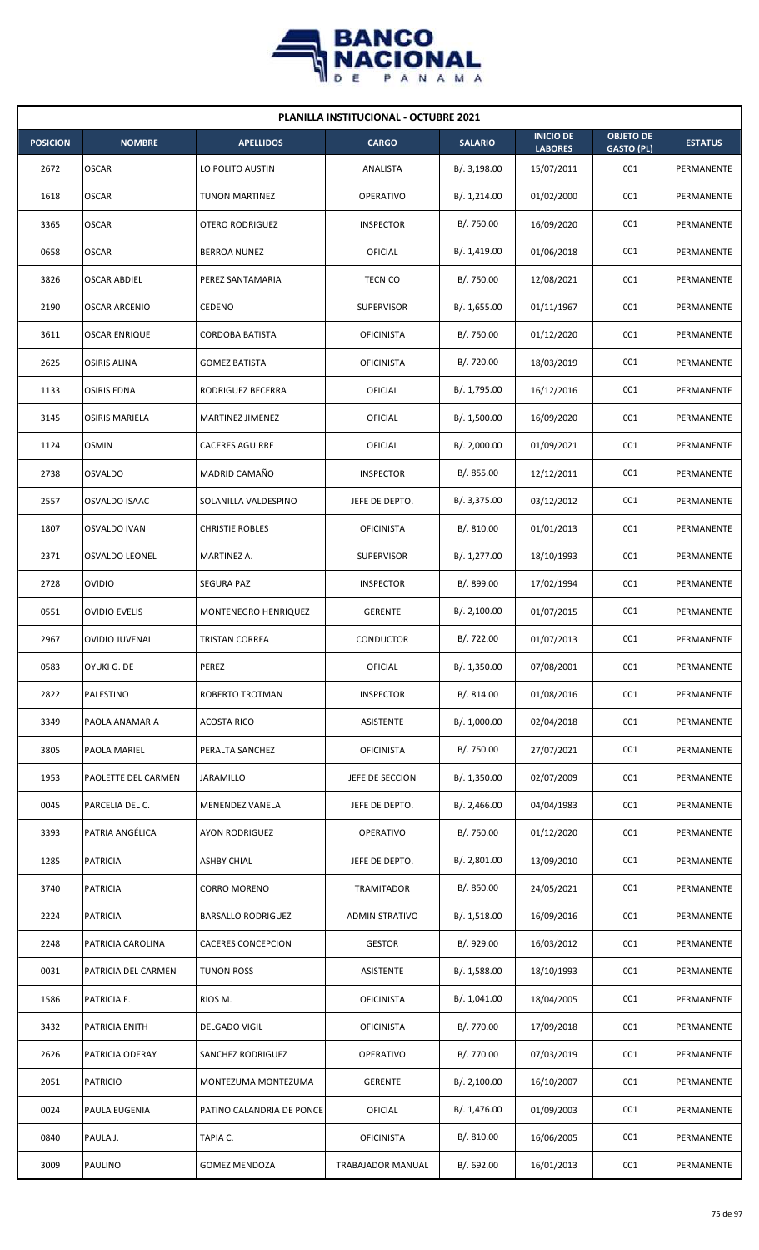

| <b>PLANILLA INSTITUCIONAL - OCTUBRE 2021</b> |                       |                           |                   |                |                                    |                                       |                |  |  |
|----------------------------------------------|-----------------------|---------------------------|-------------------|----------------|------------------------------------|---------------------------------------|----------------|--|--|
| <b>POSICION</b>                              | <b>NOMBRE</b>         | <b>APELLIDOS</b>          | <b>CARGO</b>      | <b>SALARIO</b> | <b>INICIO DE</b><br><b>LABORES</b> | <b>OBJETO DE</b><br><b>GASTO (PL)</b> | <b>ESTATUS</b> |  |  |
| 2672                                         | <b>OSCAR</b>          | LO POLITO AUSTIN          | ANALISTA          | B/.3,198.00    | 15/07/2011                         | 001                                   | PERMANENTE     |  |  |
| 1618                                         | <b>OSCAR</b>          | <b>TUNON MARTINEZ</b>     | <b>OPERATIVO</b>  | B/. 1,214.00   | 01/02/2000                         | 001                                   | PERMANENTE     |  |  |
| 3365                                         | <b>OSCAR</b>          | <b>OTERO RODRIGUEZ</b>    | <b>INSPECTOR</b>  | B/. 750.00     | 16/09/2020                         | 001                                   | PERMANENTE     |  |  |
| 0658                                         | <b>OSCAR</b>          | <b>BERROA NUNEZ</b>       | OFICIAL           | B/. 1,419.00   | 01/06/2018                         | 001                                   | PERMANENTE     |  |  |
| 3826                                         | <b>OSCAR ABDIEL</b>   | PEREZ SANTAMARIA          | <b>TECNICO</b>    | B/. 750.00     | 12/08/2021                         | 001                                   | PERMANENTE     |  |  |
| 2190                                         | <b>OSCAR ARCENIO</b>  | <b>CEDENO</b>             | <b>SUPERVISOR</b> | B/. 1,655.00   | 01/11/1967                         | 001                                   | PERMANENTE     |  |  |
| 3611                                         | <b>OSCAR ENRIQUE</b>  | CORDOBA BATISTA           | <b>OFICINISTA</b> | B/. 750.00     | 01/12/2020                         | 001                                   | PERMANENTE     |  |  |
| 2625                                         | <b>OSIRIS ALINA</b>   | <b>GOMEZ BATISTA</b>      | <b>OFICINISTA</b> | B/. 720.00     | 18/03/2019                         | 001                                   | PERMANENTE     |  |  |
| 1133                                         | <b>OSIRIS EDNA</b>    | RODRIGUEZ BECERRA         | OFICIAL           | B/. 1,795.00   | 16/12/2016                         | 001                                   | PERMANENTE     |  |  |
| 3145                                         | <b>OSIRIS MARIELA</b> | <b>MARTINEZ JIMENEZ</b>   | <b>OFICIAL</b>    | B/. 1,500.00   | 16/09/2020                         | 001                                   | PERMANENTE     |  |  |
| 1124                                         | <b>OSMIN</b>          | <b>CACERES AGUIRRE</b>    | OFICIAL           | B/.2,000.00    | 01/09/2021                         | 001                                   | PERMANENTE     |  |  |
| 2738                                         | <b>OSVALDO</b>        | MADRID CAMAÑO             | <b>INSPECTOR</b>  | B/. 855.00     | 12/12/2011                         | 001                                   | PERMANENTE     |  |  |
| 2557                                         | OSVALDO ISAAC         | SOLANILLA VALDESPINO      | JEFE DE DEPTO.    | B/.3,375.00    | 03/12/2012                         | 001                                   | PERMANENTE     |  |  |
| 1807                                         | <b>OSVALDO IVAN</b>   | <b>CHRISTIE ROBLES</b>    | <b>OFICINISTA</b> | B/.810.00      | 01/01/2013                         | 001                                   | PERMANENTE     |  |  |
| 2371                                         | <b>OSVALDO LEONEL</b> | MARTINEZ A.               | <b>SUPERVISOR</b> | B/. 1,277.00   | 18/10/1993                         | 001                                   | PERMANENTE     |  |  |
| 2728                                         | <b>OVIDIO</b>         | SEGURA PAZ                | <b>INSPECTOR</b>  | B/. 899.00     | 17/02/1994                         | 001                                   | PERMANENTE     |  |  |
| 0551                                         | <b>OVIDIO EVELIS</b>  | MONTENEGRO HENRIQUEZ      | <b>GERENTE</b>    | B/.2,100.00    | 01/07/2015                         | 001                                   | PERMANENTE     |  |  |
| 2967                                         | <b>OVIDIO JUVENAL</b> | <b>TRISTAN CORREA</b>     | CONDUCTOR         | B/. 722.00     | 01/07/2013                         | 001                                   | PERMANENTE     |  |  |
| 0583                                         | OYUKI G. DE           | PEREZ                     | OFICIAL           | B/. 1,350.00   | 07/08/2001                         | 001                                   | PERMANENTE     |  |  |
| 2822                                         | PALESTINO             | ROBERTO TROTMAN           | <b>INSPECTOR</b>  | B/. 814.00     | 01/08/2016                         | 001                                   | PERMANENTE     |  |  |
| 3349                                         | PAOLA ANAMARIA        | <b>ACOSTA RICO</b>        | <b>ASISTENTE</b>  | B/. 1,000.00   | 02/04/2018                         | 001                                   | PERMANENTE     |  |  |
| 3805                                         | PAOLA MARIEL          | PERALTA SANCHEZ           | <b>OFICINISTA</b> | B/. 750.00     | 27/07/2021                         | 001                                   | PERMANENTE     |  |  |
| 1953                                         | PAOLETTE DEL CARMEN   | JARAMILLO                 | JEFE DE SECCION   | B/. 1,350.00   | 02/07/2009                         | 001                                   | PERMANENTE     |  |  |
| 0045                                         | PARCELIA DEL C.       | MENENDEZ VANELA           | JEFE DE DEPTO.    | B/.2,466.00    | 04/04/1983                         | 001                                   | PERMANENTE     |  |  |
| 3393                                         | PATRIA ANGÉLICA       | AYON RODRIGUEZ            | <b>OPERATIVO</b>  | B/. 750.00     | 01/12/2020                         | 001                                   | PERMANENTE     |  |  |
| 1285                                         | <b>PATRICIA</b>       | <b>ASHBY CHIAL</b>        | JEFE DE DEPTO.    | B/.2,801.00    | 13/09/2010                         | 001                                   | PERMANENTE     |  |  |
| 3740                                         | <b>PATRICIA</b>       | CORRO MORENO              | TRAMITADOR        | B/. 850.00     | 24/05/2021                         | 001                                   | PERMANENTE     |  |  |
| 2224                                         | <b>PATRICIA</b>       | <b>BARSALLO RODRIGUEZ</b> | ADMINISTRATIVO    | B/.1,518.00    | 16/09/2016                         | 001                                   | PERMANENTE     |  |  |
| 2248                                         | PATRICIA CAROLINA     | <b>CACERES CONCEPCION</b> | <b>GESTOR</b>     | B/. 929.00     | 16/03/2012                         | 001                                   | PERMANENTE     |  |  |
| 0031                                         | PATRICIA DEL CARMEN   | <b>TUNON ROSS</b>         | <b>ASISTENTE</b>  | B/.1,588.00    | 18/10/1993                         | 001                                   | PERMANENTE     |  |  |
| 1586                                         | PATRICIA E.           | RIOS M.                   | <b>OFICINISTA</b> | B/. 1,041.00   | 18/04/2005                         | 001                                   | PERMANENTE     |  |  |
| 3432                                         | PATRICIA ENITH        | DELGADO VIGIL             | <b>OFICINISTA</b> | B/. 770.00     | 17/09/2018                         | 001                                   | PERMANENTE     |  |  |
| 2626                                         | PATRICIA ODERAY       | SANCHEZ RODRIGUEZ         | <b>OPERATIVO</b>  | B/. 770.00     | 07/03/2019                         | 001                                   | PERMANENTE     |  |  |
| 2051                                         | <b>PATRICIO</b>       | MONTEZUMA MONTEZUMA       | <b>GERENTE</b>    | B/.2,100.00    | 16/10/2007                         | 001                                   | PERMANENTE     |  |  |
| 0024                                         | <b>PAULA EUGENIA</b>  | PATINO CALANDRIA DE PONCE | OFICIAL           | B/. 1,476.00   | 01/09/2003                         | 001                                   | PERMANENTE     |  |  |
| 0840                                         | PAULA J.              | TAPIA C.                  | <b>OFICINISTA</b> | B/. 810.00     | 16/06/2005                         | 001                                   | PERMANENTE     |  |  |
| 3009                                         | <b>PAULINO</b>        | <b>GOMEZ MENDOZA</b>      | TRABAJADOR MANUAL | B/. 692.00     | 16/01/2013                         | 001                                   | PERMANENTE     |  |  |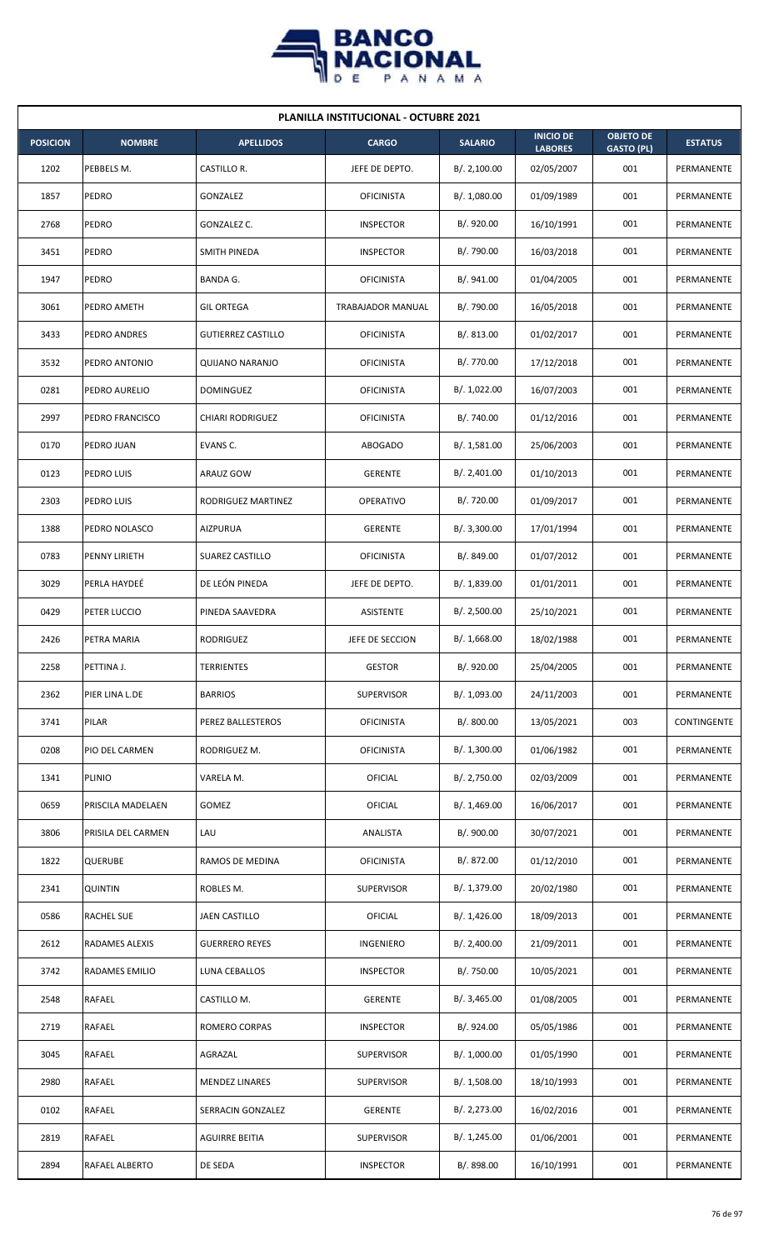

|                 | <b>PLANILLA INSTITUCIONAL - OCTUBRE 2021</b> |                           |                   |                |                                    |                                       |                |  |  |  |
|-----------------|----------------------------------------------|---------------------------|-------------------|----------------|------------------------------------|---------------------------------------|----------------|--|--|--|
| <b>POSICION</b> | <b>NOMBRE</b>                                | <b>APELLIDOS</b>          | <b>CARGO</b>      | <b>SALARIO</b> | <b>INICIO DE</b><br><b>LABORES</b> | <b>OBJETO DE</b><br><b>GASTO (PL)</b> | <b>ESTATUS</b> |  |  |  |
| 1202            | PEBBELS M.                                   | CASTILLO R.               | JEFE DE DEPTO.    | B/.2,100.00    | 02/05/2007                         | 001                                   | PERMANENTE     |  |  |  |
| 1857            | PEDRO                                        | <b>GONZALEZ</b>           | <b>OFICINISTA</b> | B/. 1,080.00   | 01/09/1989                         | 001                                   | PERMANENTE     |  |  |  |
| 2768            | <b>PEDRO</b>                                 | GONZALEZ C.               | <b>INSPECTOR</b>  | B/. 920.00     | 16/10/1991                         | 001                                   | PERMANENTE     |  |  |  |
| 3451            | <b>PEDRO</b>                                 | SMITH PINEDA              | <b>INSPECTOR</b>  | B/. 790.00     | 16/03/2018                         | 001                                   | PERMANENTE     |  |  |  |
| 1947            | PEDRO                                        | <b>BANDA G.</b>           | <b>OFICINISTA</b> | B/. 941.00     | 01/04/2005                         | 001                                   | PERMANENTE     |  |  |  |
| 3061            | PEDRO AMETH                                  | <b>GIL ORTEGA</b>         | TRABAJADOR MANUAL | B/. 790.00     | 16/05/2018                         | 001                                   | PERMANENTE     |  |  |  |
| 3433            | PEDRO ANDRES                                 | <b>GUTIERREZ CASTILLO</b> | <b>OFICINISTA</b> | B/. 813.00     | 01/02/2017                         | 001                                   | PERMANENTE     |  |  |  |
| 3532            | PEDRO ANTONIO                                | QUIJANO NARANJO           | <b>OFICINISTA</b> | B/. 770.00     | 17/12/2018                         | 001                                   | PERMANENTE     |  |  |  |
| 0281            | PEDRO AURELIO                                | DOMINGUEZ                 | <b>OFICINISTA</b> | B/. 1,022.00   | 16/07/2003                         | 001                                   | PERMANENTE     |  |  |  |
| 2997            | PEDRO FRANCISCO                              | <b>CHIARI RODRIGUEZ</b>   | <b>OFICINISTA</b> | B/. 740.00     | 01/12/2016                         | 001                                   | PERMANENTE     |  |  |  |
| 0170            | PEDRO JUAN                                   | EVANS C.                  | ABOGADO           | B/. 1,581.00   | 25/06/2003                         | 001                                   | PERMANENTE     |  |  |  |
| 0123            | PEDRO LUIS                                   | ARAUZ GOW                 | <b>GERENTE</b>    | B/. 2,401.00   | 01/10/2013                         | 001                                   | PERMANENTE     |  |  |  |
| 2303            | PEDRO LUIS                                   | RODRIGUEZ MARTINEZ        | OPERATIVO         | B/. 720.00     | 01/09/2017                         | 001                                   | PERMANENTE     |  |  |  |
| 1388            | PEDRO NOLASCO                                | <b>AIZPURUA</b>           | <b>GERENTE</b>    | B/.3,300.00    | 17/01/1994                         | 001                                   | PERMANENTE     |  |  |  |
| 0783            | PENNY LIRIETH                                | <b>SUAREZ CASTILLO</b>    | <b>OFICINISTA</b> | B/. 849.00     | 01/07/2012                         | 001                                   | PERMANENTE     |  |  |  |
| 3029            | PERLA HAYDEÉ                                 | DE LEÓN PINEDA            | JEFE DE DEPTO.    | B/. 1,839.00   | 01/01/2011                         | 001                                   | PERMANENTE     |  |  |  |
| 0429            | PETER LUCCIO                                 | PINEDA SAAVEDRA           | ASISTENTE         | B/.2,500.00    | 25/10/2021                         | 001                                   | PERMANENTE     |  |  |  |
| 2426            | PETRA MARIA                                  | RODRIGUEZ                 | JEFE DE SECCION   | B/. 1,668.00   | 18/02/1988                         | 001                                   | PERMANENTE     |  |  |  |
| 2258            | PETTINA J.                                   | <b>TERRIENTES</b>         | <b>GESTOR</b>     | B/. 920.00     | 25/04/2005                         | 001                                   | PERMANENTE     |  |  |  |
| 2362            | PIER LINA L.DE                               | <b>BARRIOS</b>            | <b>SUPERVISOR</b> | B/. 1,093.00   | 24/11/2003                         | 001                                   | PERMANENTE     |  |  |  |
| 3741            | PILAR                                        | PEREZ BALLESTEROS         | <b>OFICINISTA</b> | B/. 800.00     | 13/05/2021                         | 003                                   | CONTINGENTE    |  |  |  |
| 0208            | PIO DEL CARMEN                               | RODRIGUEZ M.              | <b>OFICINISTA</b> | B/. 1,300.00   | 01/06/1982                         | 001                                   | PERMANENTE     |  |  |  |
| 1341            | <b>PLINIO</b>                                | VARELA M.                 | OFICIAL           | B/. 2,750.00   | 02/03/2009                         | 001                                   | PERMANENTE     |  |  |  |
| 0659            | PRISCILA MADELAEN                            | GOMEZ                     | OFICIAL           | B/. 1,469.00   | 16/06/2017                         | 001                                   | PERMANENTE     |  |  |  |
| 3806            | PRISILA DEL CARMEN                           | LAU                       | ANALISTA          | B/. 900.00     | 30/07/2021                         | 001                                   | PERMANENTE     |  |  |  |
| 1822            | <b>QUERUBE</b>                               | RAMOS DE MEDINA           | <b>OFICINISTA</b> | B/. 872.00     | 01/12/2010                         | 001                                   | PERMANENTE     |  |  |  |
| 2341            | <b>QUINTIN</b>                               | ROBLES M.                 | <b>SUPERVISOR</b> | B/. 1,379.00   | 20/02/1980                         | 001                                   | PERMANENTE     |  |  |  |
| 0586            | RACHEL SUE                                   | JAEN CASTILLO             | <b>OFICIAL</b>    | B/. 1,426.00   | 18/09/2013                         | 001                                   | PERMANENTE     |  |  |  |
| 2612            | RADAMES ALEXIS                               | <b>GUERRERO REYES</b>     | INGENIERO         | B/. 2,400.00   | 21/09/2011                         | 001                                   | PERMANENTE     |  |  |  |
| 3742            | RADAMES EMILIO                               | LUNA CEBALLOS             | <b>INSPECTOR</b>  | B/. 750.00     | 10/05/2021                         | 001                                   | PERMANENTE     |  |  |  |
| 2548            | RAFAEL                                       | CASTILLO M.               | <b>GERENTE</b>    | B/. 3,465.00   | 01/08/2005                         | 001                                   | PERMANENTE     |  |  |  |
| 2719            | RAFAEL                                       | ROMERO CORPAS             | <b>INSPECTOR</b>  | B/. 924.00     | 05/05/1986                         | 001                                   | PERMANENTE     |  |  |  |
| 3045            | RAFAEL                                       | AGRAZAL                   | <b>SUPERVISOR</b> | B/. 1,000.00   | 01/05/1990                         | 001                                   | PERMANENTE     |  |  |  |
| 2980            | RAFAEL                                       | <b>MENDEZ LINARES</b>     | <b>SUPERVISOR</b> | B/. 1,508.00   | 18/10/1993                         | 001                                   | PERMANENTE     |  |  |  |
| 0102            | RAFAEL                                       | SERRACIN GONZALEZ         | <b>GERENTE</b>    | B/. 2,273.00   | 16/02/2016                         | 001                                   | PERMANENTE     |  |  |  |
| 2819            | RAFAEL                                       | <b>AGUIRRE BEITIA</b>     | <b>SUPERVISOR</b> | B/. 1,245.00   | 01/06/2001                         | 001                                   | PERMANENTE     |  |  |  |
| 2894            | RAFAEL ALBERTO                               | DE SEDA                   | <b>INSPECTOR</b>  | B/. 898.00     | 16/10/1991                         | 001                                   | PERMANENTE     |  |  |  |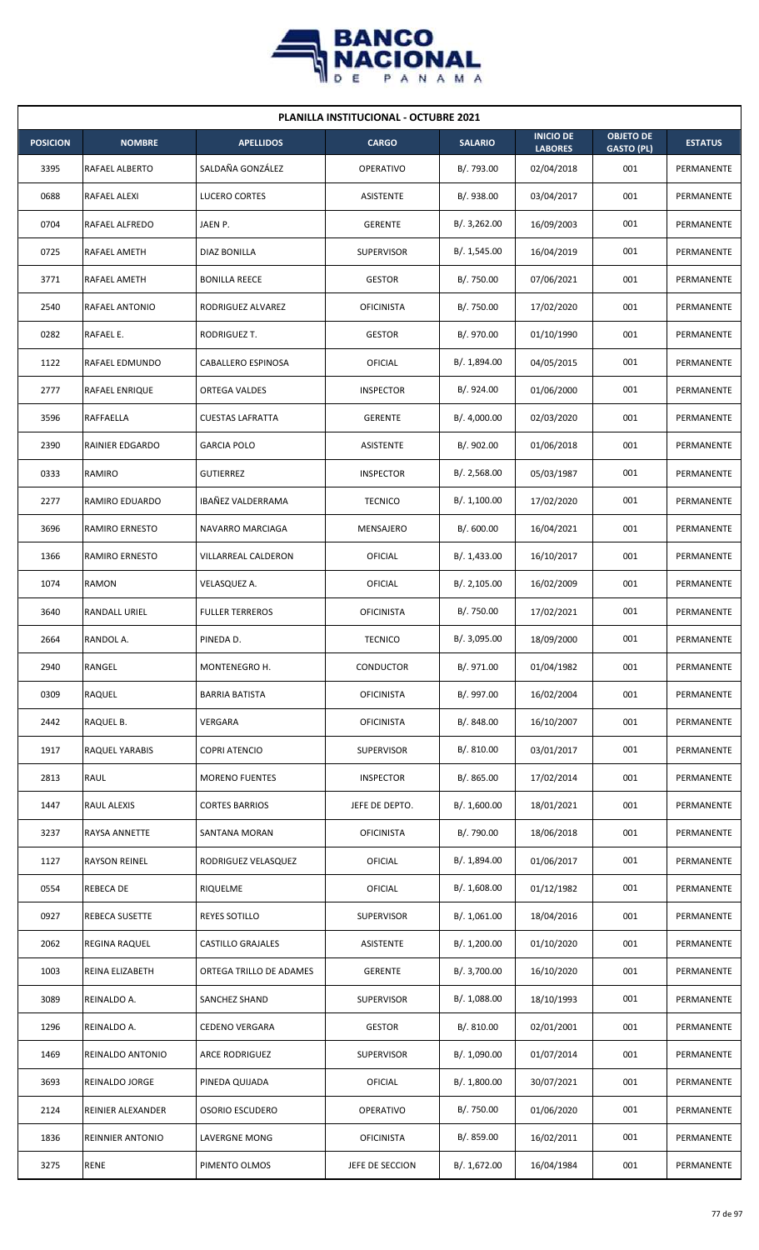

| <b>PLANILLA INSTITUCIONAL - OCTUBRE 2021</b> |                         |                          |                   |                |                                    |                                       |                |  |  |  |
|----------------------------------------------|-------------------------|--------------------------|-------------------|----------------|------------------------------------|---------------------------------------|----------------|--|--|--|
| <b>POSICION</b>                              | <b>NOMBRE</b>           | <b>APELLIDOS</b>         | <b>CARGO</b>      | <b>SALARIO</b> | <b>INICIO DE</b><br><b>LABORES</b> | <b>OBJETO DE</b><br><b>GASTO (PL)</b> | <b>ESTATUS</b> |  |  |  |
| 3395                                         | RAFAEL ALBERTO          | SALDAÑA GONZÁLEZ         | <b>OPERATIVO</b>  | B/. 793.00     | 02/04/2018                         | 001                                   | PERMANENTE     |  |  |  |
| 0688                                         | RAFAEL ALEXI            | LUCERO CORTES            | <b>ASISTENTE</b>  | B/. 938.00     | 03/04/2017                         | 001                                   | PERMANENTE     |  |  |  |
| 0704                                         | <b>RAFAEL ALFREDO</b>   | JAEN P.                  | <b>GERENTE</b>    | B/.3,262.00    | 16/09/2003                         | 001                                   | PERMANENTE     |  |  |  |
| 0725                                         | <b>RAFAEL AMETH</b>     | <b>DIAZ BONILLA</b>      | <b>SUPERVISOR</b> | B/. 1,545.00   | 16/04/2019                         | 001                                   | PERMANENTE     |  |  |  |
| 3771                                         | RAFAEL AMETH            | <b>BONILLA REECE</b>     | <b>GESTOR</b>     | B/. 750.00     | 07/06/2021                         | 001                                   | PERMANENTE     |  |  |  |
| 2540                                         | RAFAEL ANTONIO          | RODRIGUEZ ALVAREZ        | <b>OFICINISTA</b> | B/. 750.00     | 17/02/2020                         | 001                                   | PERMANENTE     |  |  |  |
| 0282                                         | RAFAEL E.               | RODRIGUEZ T.             | <b>GESTOR</b>     | B/. 970.00     | 01/10/1990                         | 001                                   | PERMANENTE     |  |  |  |
| 1122                                         | RAFAEL EDMUNDO          | CABALLERO ESPINOSA       | <b>OFICIAL</b>    | B/. 1,894.00   | 04/05/2015                         | 001                                   | PERMANENTE     |  |  |  |
| 2777                                         | RAFAEL ENRIQUE          | ORTEGA VALDES            | <b>INSPECTOR</b>  | B/. 924.00     | 01/06/2000                         | 001                                   | PERMANENTE     |  |  |  |
| 3596                                         | RAFFAELLA               | <b>CUESTAS LAFRATTA</b>  | <b>GERENTE</b>    | B/. 4,000.00   | 02/03/2020                         | 001                                   | PERMANENTE     |  |  |  |
| 2390                                         | RAINIER EDGARDO         | <b>GARCIA POLO</b>       | ASISTENTE         | B/. 902.00     | 01/06/2018                         | 001                                   | PERMANENTE     |  |  |  |
| 0333                                         | RAMIRO                  | <b>GUTIERREZ</b>         | <b>INSPECTOR</b>  | B/.2,568.00    | 05/03/1987                         | 001                                   | PERMANENTE     |  |  |  |
| 2277                                         | RAMIRO EDUARDO          | IBAÑEZ VALDERRAMA        | <b>TECNICO</b>    | B/. 1,100.00   | 17/02/2020                         | 001                                   | PERMANENTE     |  |  |  |
| 3696                                         | <b>RAMIRO ERNESTO</b>   | NAVARRO MARCIAGA         | MENSAJERO         | B/.600.00      | 16/04/2021                         | 001                                   | PERMANENTE     |  |  |  |
| 1366                                         | RAMIRO ERNESTO          | VILLARREAL CALDERON      | OFICIAL           | B/.1,433.00    | 16/10/2017                         | 001                                   | PERMANENTE     |  |  |  |
| 1074                                         | RAMON                   | VELASQUEZ A.             | OFICIAL           | B/.2,105.00    | 16/02/2009                         | 001                                   | PERMANENTE     |  |  |  |
| 3640                                         | RANDALL URIEL           | <b>FULLER TERREROS</b>   | <b>OFICINISTA</b> | B/. 750.00     | 17/02/2021                         | 001                                   | PERMANENTE     |  |  |  |
| 2664                                         | RANDOL A.               | PINEDA D.                | <b>TECNICO</b>    | B/. 3,095.00   | 18/09/2000                         | 001                                   | PERMANENTE     |  |  |  |
| 2940                                         | RANGEL                  | MONTENEGRO H.            | <b>CONDUCTOR</b>  | B/. 971.00     | 01/04/1982                         | 001                                   | PERMANENTE     |  |  |  |
| 0309                                         | RAQUEL                  | <b>BARRIA BATISTA</b>    | <b>OFICINISTA</b> | B/. 997.00     | 16/02/2004                         | 001                                   | PERMANENTE     |  |  |  |
| 2442                                         | RAQUEL B.               | VERGARA                  | <b>OFICINISTA</b> | B/. 848.00     | 16/10/2007                         | 001                                   | PERMANENTE     |  |  |  |
| 1917                                         | RAQUEL YARABIS          | <b>COPRI ATENCIO</b>     | <b>SUPERVISOR</b> | B/. 810.00     | 03/01/2017                         | 001                                   | PERMANENTE     |  |  |  |
| 2813                                         | <b>RAUL</b>             | <b>MORENO FUENTES</b>    | <b>INSPECTOR</b>  | B/. 865.00     | 17/02/2014                         | 001                                   | PERMANENTE     |  |  |  |
| 1447                                         | RAUL ALEXIS             | <b>CORTES BARRIOS</b>    | JEFE DE DEPTO.    | B/. 1,600.00   | 18/01/2021                         | 001                                   | PERMANENTE     |  |  |  |
| 3237                                         | RAYSA ANNETTE           | SANTANA MORAN            | <b>OFICINISTA</b> | B/. 790.00     | 18/06/2018                         | 001                                   | PERMANENTE     |  |  |  |
| 1127                                         | <b>RAYSON REINEL</b>    | RODRIGUEZ VELASQUEZ      | OFICIAL           | B/. 1,894.00   | 01/06/2017                         | 001                                   | PERMANENTE     |  |  |  |
| 0554                                         | REBECA DE               | RIQUELME                 | <b>OFICIAL</b>    | B/. 1,608.00   | 01/12/1982                         | 001                                   | PERMANENTE     |  |  |  |
| 0927                                         | REBECA SUSETTE          | REYES SOTILLO            | <b>SUPERVISOR</b> | B/. 1,061.00   | 18/04/2016                         | 001                                   | PERMANENTE     |  |  |  |
| 2062                                         | REGINA RAQUEL           | <b>CASTILLO GRAJALES</b> | ASISTENTE         | B/. 1,200.00   | 01/10/2020                         | 001                                   | PERMANENTE     |  |  |  |
| 1003                                         | REINA ELIZABETH         | ORTEGA TRILLO DE ADAMES  | <b>GERENTE</b>    | B/. 3,700.00   | 16/10/2020                         | 001                                   | PERMANENTE     |  |  |  |
| 3089                                         | REINALDO A.             | SANCHEZ SHAND            | <b>SUPERVISOR</b> | B/. 1,088.00   | 18/10/1993                         | 001                                   | PERMANENTE     |  |  |  |
| 1296                                         | REINALDO A.             | <b>CEDENO VERGARA</b>    | <b>GESTOR</b>     | B/. 810.00     | 02/01/2001                         | 001                                   | PERMANENTE     |  |  |  |
| 1469                                         | REINALDO ANTONIO        | <b>ARCE RODRIGUEZ</b>    | <b>SUPERVISOR</b> | B/. 1,090.00   | 01/07/2014                         | 001                                   | PERMANENTE     |  |  |  |
| 3693                                         | REINALDO JORGE          | PINEDA QUIJADA           | OFICIAL           | B/. 1,800.00   | 30/07/2021                         | 001                                   | PERMANENTE     |  |  |  |
| 2124                                         | REINIER ALEXANDER       | <b>OSORIO ESCUDERO</b>   | OPERATIVO         | B/. 750.00     | 01/06/2020                         | 001                                   | PERMANENTE     |  |  |  |
| 1836                                         | <b>REINNIER ANTONIO</b> | LAVERGNE MONG            | <b>OFICINISTA</b> | B/. 859.00     | 16/02/2011                         | 001                                   | PERMANENTE     |  |  |  |
| 3275                                         | <b>RENE</b>             | PIMENTO OLMOS            | JEFE DE SECCION   | B/. 1,672.00   | 16/04/1984                         | 001                                   | PERMANENTE     |  |  |  |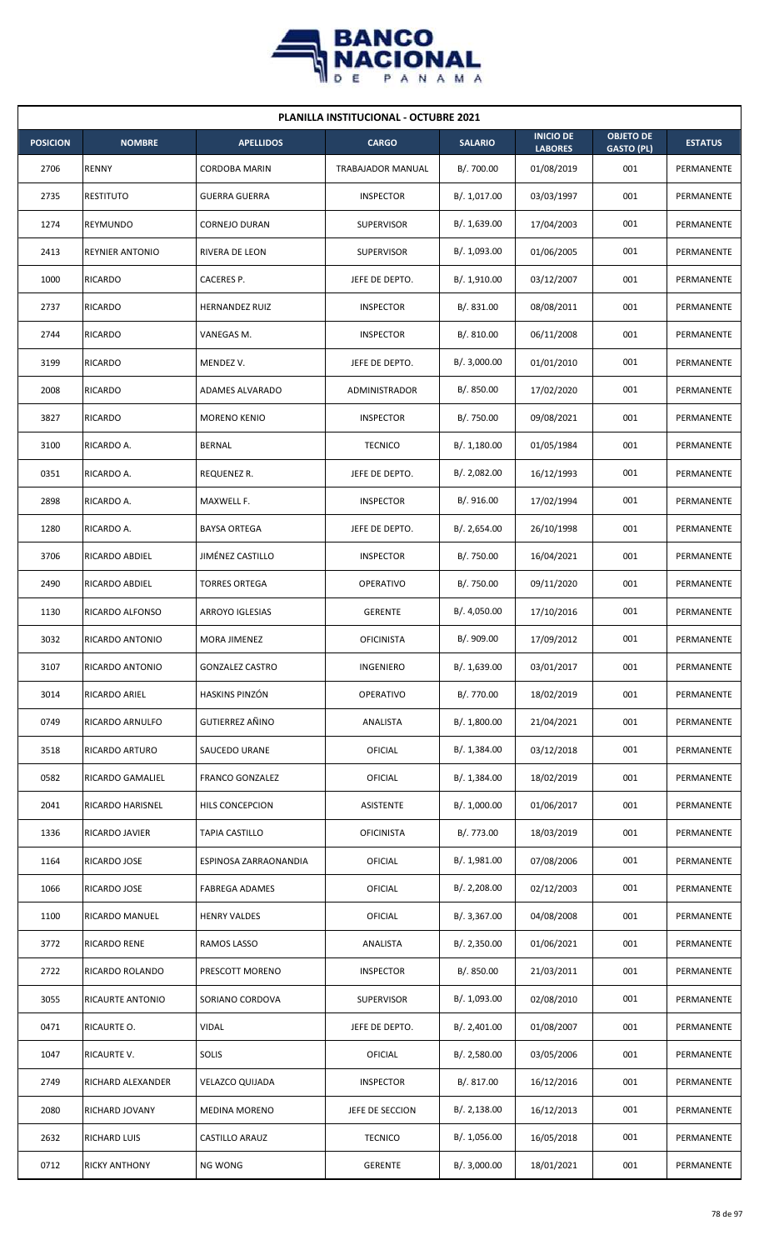

| <b>PLANILLA INSTITUCIONAL - OCTUBRE 2021</b> |                        |                        |                   |                |                                    |                                       |                |  |  |
|----------------------------------------------|------------------------|------------------------|-------------------|----------------|------------------------------------|---------------------------------------|----------------|--|--|
| <b>POSICION</b>                              | <b>NOMBRE</b>          | <b>APELLIDOS</b>       | <b>CARGO</b>      | <b>SALARIO</b> | <b>INICIO DE</b><br><b>LABORES</b> | <b>OBJETO DE</b><br><b>GASTO (PL)</b> | <b>ESTATUS</b> |  |  |
| 2706                                         | RENNY                  | <b>CORDOBA MARIN</b>   | TRABAJADOR MANUAL | B/. 700.00     | 01/08/2019                         | 001                                   | PERMANENTE     |  |  |
| 2735                                         | <b>RESTITUTO</b>       | <b>GUERRA GUERRA</b>   | <b>INSPECTOR</b>  | B/. 1,017.00   | 03/03/1997                         | 001                                   | PERMANENTE     |  |  |
| 1274                                         | REYMUNDO               | <b>CORNEJO DURAN</b>   | <b>SUPERVISOR</b> | B/. 1,639.00   | 17/04/2003                         | 001                                   | PERMANENTE     |  |  |
| 2413                                         | <b>REYNIER ANTONIO</b> | RIVERA DE LEON         | <b>SUPERVISOR</b> | B/. 1,093.00   | 01/06/2005                         | 001                                   | PERMANENTE     |  |  |
| 1000                                         | <b>RICARDO</b>         | CACERES P.             | JEFE DE DEPTO.    | B/. 1,910.00   | 03/12/2007                         | 001                                   | PERMANENTE     |  |  |
| 2737                                         | <b>RICARDO</b>         | <b>HERNANDEZ RUIZ</b>  | <b>INSPECTOR</b>  | B/. 831.00     | 08/08/2011                         | 001                                   | PERMANENTE     |  |  |
| 2744                                         | <b>RICARDO</b>         | VANEGAS M.             | <b>INSPECTOR</b>  | B/. 810.00     | 06/11/2008                         | 001                                   | PERMANENTE     |  |  |
| 3199                                         | <b>RICARDO</b>         | MENDEZ V.              | JEFE DE DEPTO.    | B/. 3,000.00   | 01/01/2010                         | 001                                   | PERMANENTE     |  |  |
| 2008                                         | RICARDO                | ADAMES ALVARADO        | ADMINISTRADOR     | B/. 850.00     | 17/02/2020                         | 001                                   | PERMANENTE     |  |  |
| 3827                                         | RICARDO                | <b>MORENO KENIO</b>    | <b>INSPECTOR</b>  | B/. 750.00     | 09/08/2021                         | 001                                   | PERMANENTE     |  |  |
| 3100                                         | RICARDO A.             | <b>BERNAL</b>          | <b>TECNICO</b>    | B/. 1,180.00   | 01/05/1984                         | 001                                   | PERMANENTE     |  |  |
| 0351                                         | RICARDO A.             | REQUENEZ R.            | JEFE DE DEPTO.    | B/. 2,082.00   | 16/12/1993                         | 001                                   | PERMANENTE     |  |  |
| 2898                                         | RICARDO A.             | MAXWELL F.             | <b>INSPECTOR</b>  | B/. 916.00     | 17/02/1994                         | 001                                   | PERMANENTE     |  |  |
| 1280                                         | RICARDO A.             | <b>BAYSA ORTEGA</b>    | JEFE DE DEPTO.    | B/.2,654.00    | 26/10/1998                         | 001                                   | PERMANENTE     |  |  |
| 3706                                         | RICARDO ABDIEL         | JIMÉNEZ CASTILLO       | <b>INSPECTOR</b>  | B/. 750.00     | 16/04/2021                         | 001                                   | PERMANENTE     |  |  |
| 2490                                         | RICARDO ABDIEL         | <b>TORRES ORTEGA</b>   | <b>OPERATIVO</b>  | B/. 750.00     | 09/11/2020                         | 001                                   | PERMANENTE     |  |  |
| 1130                                         | RICARDO ALFONSO        | ARROYO IGLESIAS        | <b>GERENTE</b>    | B/. 4,050.00   | 17/10/2016                         | 001                                   | PERMANENTE     |  |  |
| 3032                                         | RICARDO ANTONIO        | MORA JIMENEZ           | <b>OFICINISTA</b> | B/. 909.00     | 17/09/2012                         | 001                                   | PERMANENTE     |  |  |
| 3107                                         | RICARDO ANTONIO        | <b>GONZALEZ CASTRO</b> | INGENIERO         | B/. 1,639.00   | 03/01/2017                         | 001                                   | PERMANENTE     |  |  |
| 3014                                         | RICARDO ARIEL          | HASKINS PINZÓN         | OPERATIVO         | B/. 770.00     | 18/02/2019                         | 001                                   | PERMANENTE     |  |  |
| 0749                                         | RICARDO ARNULFO        | GUTIERREZ AÑINO        | ANALISTA          | B/. 1,800.00   | 21/04/2021                         | 001                                   | PERMANENTE     |  |  |
| 3518                                         | RICARDO ARTURO         | SAUCEDO URANE          | OFICIAL           | B/. 1,384.00   | 03/12/2018                         | 001                                   | PERMANENTE     |  |  |
| 0582                                         | RICARDO GAMALIEL       | <b>FRANCO GONZALEZ</b> | <b>OFICIAL</b>    | B/. 1,384.00   | 18/02/2019                         | 001                                   | PERMANENTE     |  |  |
| 2041                                         | RICARDO HARISNEL       | HILS CONCEPCION        | <b>ASISTENTE</b>  | B/. 1,000.00   | 01/06/2017                         | 001                                   | PERMANENTE     |  |  |
| 1336                                         | RICARDO JAVIER         | <b>TAPIA CASTILLO</b>  | <b>OFICINISTA</b> | B/. 773.00     | 18/03/2019                         | 001                                   | PERMANENTE     |  |  |
| 1164                                         | RICARDO JOSE           | ESPINOSA ZARRAONANDIA  | OFICIAL           | B/.1,981.00    | 07/08/2006                         | 001                                   | PERMANENTE     |  |  |
| 1066                                         | RICARDO JOSE           | <b>FABREGA ADAMES</b>  | OFICIAL           | B/. 2,208.00   | 02/12/2003                         | 001                                   | PERMANENTE     |  |  |
| 1100                                         | RICARDO MANUEL         | <b>HENRY VALDES</b>    | OFICIAL           | B/. 3,367.00   | 04/08/2008                         | 001                                   | PERMANENTE     |  |  |
| 3772                                         | RICARDO RENE           | RAMOS LASSO            | ANALISTA          | B/.2,350.00    | 01/06/2021                         | 001                                   | PERMANENTE     |  |  |
| 2722                                         | RICARDO ROLANDO        | PRESCOTT MORENO        | <b>INSPECTOR</b>  | B/. 850.00     | 21/03/2011                         | 001                                   | PERMANENTE     |  |  |
| 3055                                         | RICAURTE ANTONIO       | SORIANO CORDOVA        | <b>SUPERVISOR</b> | B/. 1,093.00   | 02/08/2010                         | 001                                   | PERMANENTE     |  |  |
| 0471                                         | RICAURTE O.            | <b>VIDAL</b>           | JEFE DE DEPTO.    | B/. 2,401.00   | 01/08/2007                         | 001                                   | PERMANENTE     |  |  |
| 1047                                         | RICAURTE V.            | <b>SOLIS</b>           | <b>OFICIAL</b>    | B/.2,580.00    | 03/05/2006                         | 001                                   | PERMANENTE     |  |  |
| 2749                                         | RICHARD ALEXANDER      | <b>VELAZCO QUIJADA</b> | <b>INSPECTOR</b>  | B/. 817.00     | 16/12/2016                         | 001                                   | PERMANENTE     |  |  |
| 2080                                         | RICHARD JOVANY         | MEDINA MORENO          | JEFE DE SECCION   | B/.2,138.00    | 16/12/2013                         | 001                                   | PERMANENTE     |  |  |
| 2632                                         | RICHARD LUIS           | CASTILLO ARAUZ         | <b>TECNICO</b>    | B/. 1,056.00   | 16/05/2018                         | 001                                   | PERMANENTE     |  |  |
| 0712                                         | <b>RICKY ANTHONY</b>   | <b>NG WONG</b>         | <b>GERENTE</b>    | B/. 3,000.00   | 18/01/2021                         | 001                                   | PERMANENTE     |  |  |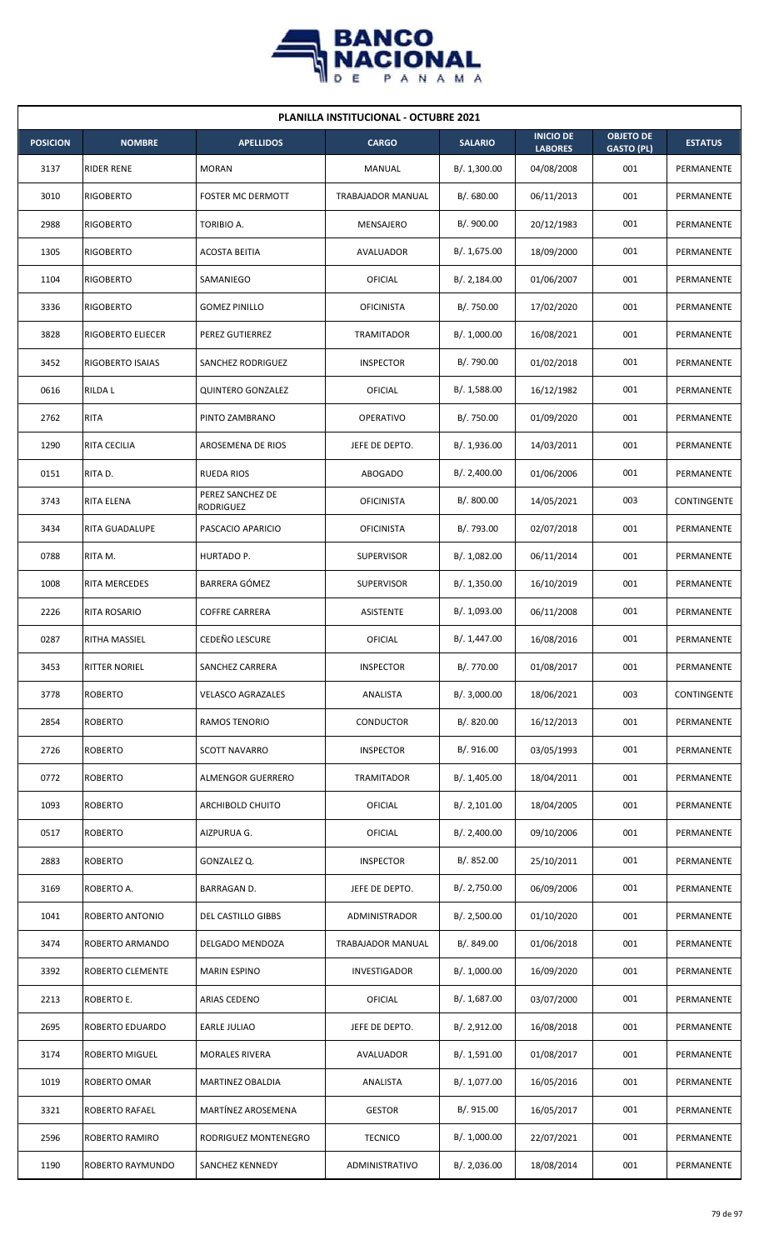

|                 | <b>PLANILLA INSTITUCIONAL - OCTUBRE 2021</b> |                               |                          |                |                                    |                                       |                |  |  |  |  |
|-----------------|----------------------------------------------|-------------------------------|--------------------------|----------------|------------------------------------|---------------------------------------|----------------|--|--|--|--|
| <b>POSICION</b> | <b>NOMBRE</b>                                | <b>APELLIDOS</b>              | <b>CARGO</b>             | <b>SALARIO</b> | <b>INICIO DE</b><br><b>LABORES</b> | <b>OBJETO DE</b><br><b>GASTO (PL)</b> | <b>ESTATUS</b> |  |  |  |  |
| 3137            | <b>RIDER RENE</b>                            | <b>MORAN</b>                  | MANUAL                   | B/. 1,300.00   | 04/08/2008                         | 001                                   | PERMANENTE     |  |  |  |  |
| 3010            | <b>RIGOBERTO</b>                             | <b>FOSTER MC DERMOTT</b>      | <b>TRABAJADOR MANUAL</b> | B/. 680.00     | 06/11/2013                         | 001                                   | PERMANENTE     |  |  |  |  |
| 2988            | <b>RIGOBERTO</b>                             | TORIBIO A.                    | MENSAJERO                | B/. 900.00     | 20/12/1983                         | 001                                   | PERMANENTE     |  |  |  |  |
| 1305            | <b>RIGOBERTO</b>                             | <b>ACOSTA BEITIA</b>          | AVALUADOR                | B/. 1,675.00   | 18/09/2000                         | 001                                   | PERMANENTE     |  |  |  |  |
| 1104            | <b>RIGOBERTO</b>                             | SAMANIEGO                     | OFICIAL                  | B/.2,184.00    | 01/06/2007                         | 001                                   | PERMANENTE     |  |  |  |  |
| 3336            | <b>RIGOBERTO</b>                             | <b>GOMEZ PINILLO</b>          | <b>OFICINISTA</b>        | B/. 750.00     | 17/02/2020                         | 001                                   | PERMANENTE     |  |  |  |  |
| 3828            | RIGOBERTO ELIECER                            | PEREZ GUTIERREZ               | TRAMITADOR               | B/. 1,000.00   | 16/08/2021                         | 001                                   | PERMANENTE     |  |  |  |  |
| 3452            | RIGOBERTO ISAIAS                             | SANCHEZ RODRIGUEZ             | <b>INSPECTOR</b>         | B/. 790.00     | 01/02/2018                         | 001                                   | PERMANENTE     |  |  |  |  |
| 0616            | <b>RILDAL</b>                                | <b>QUINTERO GONZALEZ</b>      | OFICIAL                  | B/. 1,588.00   | 16/12/1982                         | 001                                   | PERMANENTE     |  |  |  |  |
| 2762            | <b>RITA</b>                                  | PINTO ZAMBRANO                | OPERATIVO                | B/. 750.00     | 01/09/2020                         | 001                                   | PERMANENTE     |  |  |  |  |
| 1290            | RITA CECILIA                                 | <b>AROSEMENA DE RIOS</b>      | JEFE DE DEPTO.           | B/.1,936.00    | 14/03/2011                         | 001                                   | PERMANENTE     |  |  |  |  |
| 0151            | RITA D.                                      | <b>RUEDA RIOS</b>             | <b>ABOGADO</b>           | B/.2,400.00    | 01/06/2006                         | 001                                   | PERMANENTE     |  |  |  |  |
| 3743            | RITA ELENA                                   | PEREZ SANCHEZ DE<br>RODRIGUEZ | <b>OFICINISTA</b>        | B/.800.00      | 14/05/2021                         | 003                                   | CONTINGENTE    |  |  |  |  |
| 3434            | RITA GUADALUPE                               | PASCACIO APARICIO             | <b>OFICINISTA</b>        | B/. 793.00     | 02/07/2018                         | 001                                   | PERMANENTE     |  |  |  |  |
| 0788            | RITA M.                                      | HURTADO P.                    | <b>SUPERVISOR</b>        | B/. 1,082.00   | 06/11/2014                         | 001                                   | PERMANENTE     |  |  |  |  |
| 1008            | RITA MERCEDES                                | BARRERA GÓMEZ                 | <b>SUPERVISOR</b>        | B/. 1,350.00   | 16/10/2019                         | 001                                   | PERMANENTE     |  |  |  |  |
| 2226            | RITA ROSARIO                                 | <b>COFFRE CARRERA</b>         | ASISTENTE                | B/. 1,093.00   | 06/11/2008                         | 001                                   | PERMANENTE     |  |  |  |  |
| 0287            | RITHA MASSIEL                                | <b>CEDEÑO LESCURE</b>         | OFICIAL                  | B/. 1,447.00   | 16/08/2016                         | 001                                   | PERMANENTE     |  |  |  |  |
| 3453            | <b>RITTER NORIEL</b>                         | SANCHEZ CARRERA               | <b>INSPECTOR</b>         | B/. 770.00     | 01/08/2017                         | 001                                   | PERMANENTE     |  |  |  |  |
| 3778            | <b>ROBERTO</b>                               | <b>VELASCO AGRAZALES</b>      | ANALISTA                 | B/. 3,000.00   | 18/06/2021                         | 003                                   | CONTINGENTE    |  |  |  |  |
| 2854            | <b>ROBERTO</b>                               | RAMOS TENORIO                 | CONDUCTOR                | B/. 820.00     | 16/12/2013                         | 001                                   | PERMANENTE     |  |  |  |  |
| 2726            | <b>ROBERTO</b>                               | <b>SCOTT NAVARRO</b>          | <b>INSPECTOR</b>         | B/. 916.00     | 03/05/1993                         | 001                                   | PERMANENTE     |  |  |  |  |
| 0772            | <b>ROBERTO</b>                               | ALMENGOR GUERRERO             | TRAMITADOR               | B/. 1,405.00   | 18/04/2011                         | 001                                   | PERMANENTE     |  |  |  |  |
| 1093            | <b>ROBERTO</b>                               | <b>ARCHIBOLD CHUITO</b>       | <b>OFICIAL</b>           | B/. 2,101.00   | 18/04/2005                         | 001                                   | PERMANENTE     |  |  |  |  |
| 0517            | <b>ROBERTO</b>                               | AIZPURUA G.                   | <b>OFICIAL</b>           | B/.2,400.00    | 09/10/2006                         | 001                                   | PERMANENTE     |  |  |  |  |
| 2883            | <b>ROBERTO</b>                               | GONZALEZ Q.                   | <b>INSPECTOR</b>         | B/. 852.00     | 25/10/2011                         | 001                                   | PERMANENTE     |  |  |  |  |
| 3169            | ROBERTO A.                                   | BARRAGAN D.                   | JEFE DE DEPTO.           | B/. 2,750.00   | 06/09/2006                         | 001                                   | PERMANENTE     |  |  |  |  |
| 1041            | ROBERTO ANTONIO                              | <b>DEL CASTILLO GIBBS</b>     | ADMINISTRADOR            | B/.2,500.00    | 01/10/2020                         | 001                                   | PERMANENTE     |  |  |  |  |
| 3474            | ROBERTO ARMANDO                              | DELGADO MENDOZA               | TRABAJADOR MANUAL        | B/. 849.00     | 01/06/2018                         | 001                                   | PERMANENTE     |  |  |  |  |
| 3392            | ROBERTO CLEMENTE                             | <b>MARIN ESPINO</b>           | INVESTIGADOR             | B/. 1,000.00   | 16/09/2020                         | 001                                   | PERMANENTE     |  |  |  |  |
| 2213            | ROBERTO E.                                   | ARIAS CEDENO                  | OFICIAL                  | B/. 1,687.00   | 03/07/2000                         | 001                                   | PERMANENTE     |  |  |  |  |
| 2695            | ROBERTO EDUARDO                              | EARLE JULIAO                  | JEFE DE DEPTO.           | B/.2,912.00    | 16/08/2018                         | 001                                   | PERMANENTE     |  |  |  |  |
| 3174            | ROBERTO MIGUEL                               | <b>MORALES RIVERA</b>         | AVALUADOR                | B/. 1,591.00   | 01/08/2017                         | 001                                   | PERMANENTE     |  |  |  |  |
| 1019            | ROBERTO OMAR                                 | MARTINEZ OBALDIA              | ANALISTA                 | B/. 1,077.00   | 16/05/2016                         | 001                                   | PERMANENTE     |  |  |  |  |
| 3321            | ROBERTO RAFAEL                               | MARTÍNEZ AROSEMENA            | <b>GESTOR</b>            | B/. 915.00     | 16/05/2017                         | 001                                   | PERMANENTE     |  |  |  |  |
| 2596            | ROBERTO RAMIRO                               | RODRIGUEZ MONTENEGRO          | <b>TECNICO</b>           | B/. 1,000.00   | 22/07/2021                         | 001                                   | PERMANENTE     |  |  |  |  |
| 1190            | ROBERTO RAYMUNDO                             | SANCHEZ KENNEDY               | ADMINISTRATIVO           | B/. 2,036.00   | 18/08/2014                         | 001                                   | PERMANENTE     |  |  |  |  |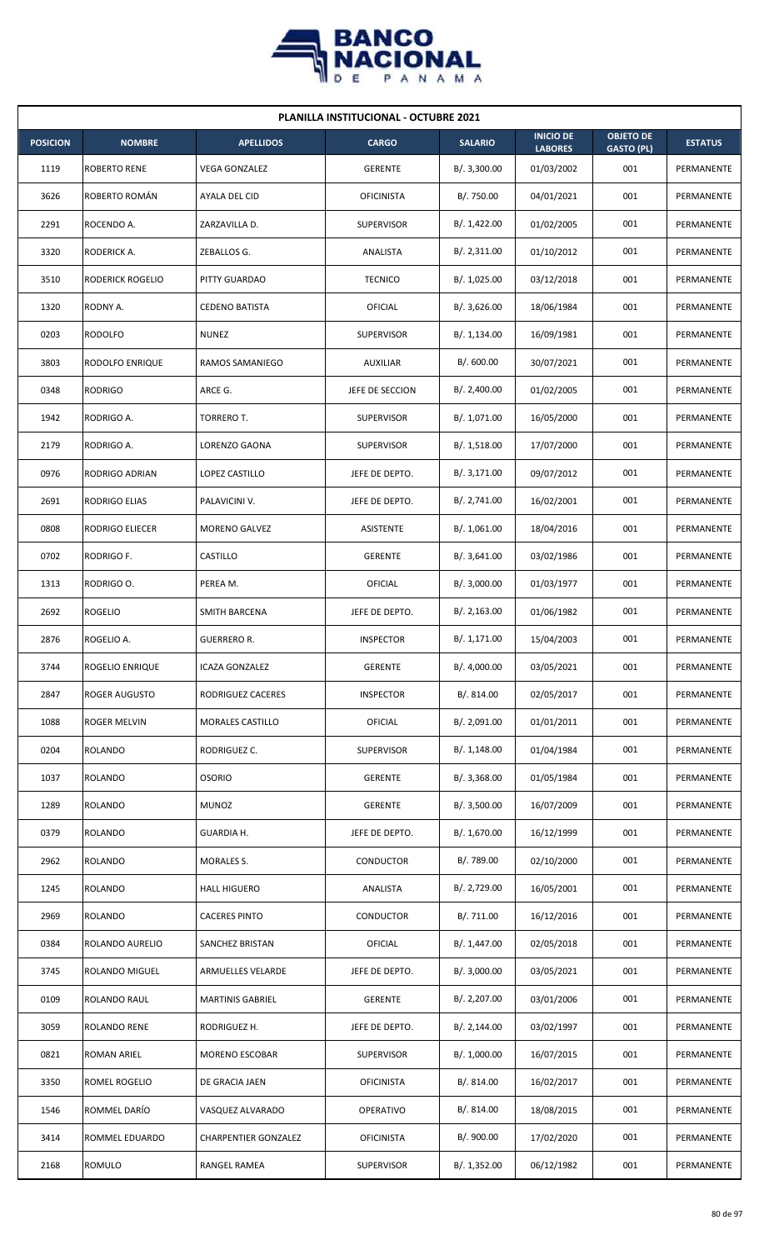

| <b>PLANILLA INSTITUCIONAL - OCTUBRE 2021</b> |                      |                             |                   |                |                                    |                                       |                |  |  |
|----------------------------------------------|----------------------|-----------------------------|-------------------|----------------|------------------------------------|---------------------------------------|----------------|--|--|
| <b>POSICION</b>                              | <b>NOMBRE</b>        | <b>APELLIDOS</b>            | <b>CARGO</b>      | <b>SALARIO</b> | <b>INICIO DE</b><br><b>LABORES</b> | <b>OBJETO DE</b><br><b>GASTO (PL)</b> | <b>ESTATUS</b> |  |  |
| 1119                                         | <b>ROBERTO RENE</b>  | <b>VEGA GONZALEZ</b>        | <b>GERENTE</b>    | B/.3,300.00    | 01/03/2002                         | 001                                   | PERMANENTE     |  |  |
| 3626                                         | ROBERTO ROMÁN        | AYALA DEL CID               | <b>OFICINISTA</b> | B/. 750.00     | 04/01/2021                         | 001                                   | PERMANENTE     |  |  |
| 2291                                         | ROCENDO A.           | ZARZAVILLA D.               | <b>SUPERVISOR</b> | B/. 1,422.00   | 01/02/2005                         | 001                                   | PERMANENTE     |  |  |
| 3320                                         | RODERICK A.          | ZEBALLOS G.                 | <b>ANALISTA</b>   | B/.2,311.00    | 01/10/2012                         | 001                                   | PERMANENTE     |  |  |
| 3510                                         | RODERICK ROGELIO     | PITTY GUARDAO               | <b>TECNICO</b>    | B/. 1,025.00   | 03/12/2018                         | 001                                   | PERMANENTE     |  |  |
| 1320                                         | RODNY A.             | <b>CEDENO BATISTA</b>       | OFICIAL           | B/.3,626.00    | 18/06/1984                         | 001                                   | PERMANENTE     |  |  |
| 0203                                         | <b>RODOLFO</b>       | <b>NUNEZ</b>                | <b>SUPERVISOR</b> | B/.1,134.00    | 16/09/1981                         | 001                                   | PERMANENTE     |  |  |
| 3803                                         | RODOLFO ENRIQUE      | RAMOS SAMANIEGO             | <b>AUXILIAR</b>   | B/.600.00      | 30/07/2021                         | 001                                   | PERMANENTE     |  |  |
| 0348                                         | <b>RODRIGO</b>       | ARCE G.                     | JEFE DE SECCION   | B/.2,400.00    | 01/02/2005                         | 001                                   | PERMANENTE     |  |  |
| 1942                                         | RODRIGO A.           | TORRERO T.                  | <b>SUPERVISOR</b> | B/. 1,071.00   | 16/05/2000                         | 001                                   | PERMANENTE     |  |  |
| 2179                                         | RODRIGO A.           | LORENZO GAONA               | <b>SUPERVISOR</b> | B/.1,518.00    | 17/07/2000                         | 001                                   | PERMANENTE     |  |  |
| 0976                                         | RODRIGO ADRIAN       | LOPEZ CASTILLO              | JEFE DE DEPTO.    | B/. 3, 171.00  | 09/07/2012                         | 001                                   | PERMANENTE     |  |  |
| 2691                                         | RODRIGO ELIAS        | PALAVICINI V.               | JEFE DE DEPTO.    | B/.2,741.00    | 16/02/2001                         | 001                                   | PERMANENTE     |  |  |
| 0808                                         | RODRIGO ELIECER      | <b>MORENO GALVEZ</b>        | ASISTENTE         | B/. 1,061.00   | 18/04/2016                         | 001                                   | PERMANENTE     |  |  |
| 0702                                         | RODRIGO F.           | CASTILLO                    | <b>GERENTE</b>    | B/.3,641.00    | 03/02/1986                         | 001                                   | PERMANENTE     |  |  |
| 1313                                         | RODRIGO O.           | PEREA M.                    | OFICIAL           | B/. 3,000.00   | 01/03/1977                         | 001                                   | PERMANENTE     |  |  |
| 2692                                         | <b>ROGELIO</b>       | <b>SMITH BARCENA</b>        | JEFE DE DEPTO.    | B/.2,163.00    | 01/06/1982                         | 001                                   | PERMANENTE     |  |  |
| 2876                                         | ROGELIO A.           | <b>GUERRERO R.</b>          | <b>INSPECTOR</b>  | B/.1,171.00    | 15/04/2003                         | 001                                   | PERMANENTE     |  |  |
| 3744                                         | ROGELIO ENRIQUE      | <b>ICAZA GONZALEZ</b>       | GERENTE           | B/. 4,000.00   | 03/05/2021                         | 001                                   | PERMANENTE     |  |  |
| 2847                                         | <b>ROGER AUGUSTO</b> | RODRIGUEZ CACERES           | <b>INSPECTOR</b>  | B/. 814.00     | 02/05/2017                         | 001                                   | PERMANENTE     |  |  |
| 1088                                         | <b>ROGER MELVIN</b>  | MORALES CASTILLO            | <b>OFICIAL</b>    | B/. 2,091.00   | 01/01/2011                         | 001                                   | PERMANENTE     |  |  |
| 0204                                         | <b>ROLANDO</b>       | RODRIGUEZ C.                | <b>SUPERVISOR</b> | B/.1,148.00    | 01/04/1984                         | 001                                   | PERMANENTE     |  |  |
| 1037                                         | <b>ROLANDO</b>       | <b>OSORIO</b>               | <b>GERENTE</b>    | B/.3,368.00    | 01/05/1984                         | 001                                   | PERMANENTE     |  |  |
| 1289                                         | ROLANDO              | <b>MUNOZ</b>                | <b>GERENTE</b>    | B/. 3,500.00   | 16/07/2009                         | 001                                   | PERMANENTE     |  |  |
| 0379                                         | <b>ROLANDO</b>       | GUARDIA H.                  | JEFE DE DEPTO.    | B/. 1,670.00   | 16/12/1999                         | 001                                   | PERMANENTE     |  |  |
| 2962                                         | <b>ROLANDO</b>       | <b>MORALES S.</b>           | CONDUCTOR         | B/. 789.00     | 02/10/2000                         | 001                                   | PERMANENTE     |  |  |
| 1245                                         | ROLANDO              | <b>HALL HIGUERO</b>         | ANALISTA          | B/. 2,729.00   | 16/05/2001                         | 001                                   | PERMANENTE     |  |  |
| 2969                                         | <b>ROLANDO</b>       | <b>CACERES PINTO</b>        | CONDUCTOR         | B/. 711.00     | 16/12/2016                         | 001                                   | PERMANENTE     |  |  |
| 0384                                         | ROLANDO AURELIO      | SANCHEZ BRISTAN             | OFICIAL           | B/. 1,447.00   | 02/05/2018                         | 001                                   | PERMANENTE     |  |  |
| 3745                                         | ROLANDO MIGUEL       | ARMUELLES VELARDE           | JEFE DE DEPTO.    | B/.3,000.00    | 03/05/2021                         | 001                                   | PERMANENTE     |  |  |
| 0109                                         | ROLANDO RAUL         | <b>MARTINIS GABRIEL</b>     | <b>GERENTE</b>    | B/. 2,207.00   | 03/01/2006                         | 001                                   | PERMANENTE     |  |  |
| 3059                                         | ROLANDO RENE         | RODRIGUEZ H.                | JEFE DE DEPTO.    | B/.2,144.00    | 03/02/1997                         | 001                                   | PERMANENTE     |  |  |
| 0821                                         | ROMAN ARIEL          | MORENO ESCOBAR              | <b>SUPERVISOR</b> | B/. 1,000.00   | 16/07/2015                         | 001                                   | PERMANENTE     |  |  |
| 3350                                         | ROMEL ROGELIO        | DE GRACIA JAEN              | <b>OFICINISTA</b> | B/. 814.00     | 16/02/2017                         | 001                                   | PERMANENTE     |  |  |
| 1546                                         | ROMMEL DARÍO         | VASQUEZ ALVARADO            | OPERATIVO         | B/. 814.00     | 18/08/2015                         | 001                                   | PERMANENTE     |  |  |
| 3414                                         | ROMMEL EDUARDO       | <b>CHARPENTIER GONZALEZ</b> | <b>OFICINISTA</b> | B/. 900.00     | 17/02/2020                         | 001                                   | PERMANENTE     |  |  |
| 2168                                         | <b>ROMULO</b>        | RANGEL RAMEA                | <b>SUPERVISOR</b> | B/. 1,352.00   | 06/12/1982                         | 001                                   | PERMANENTE     |  |  |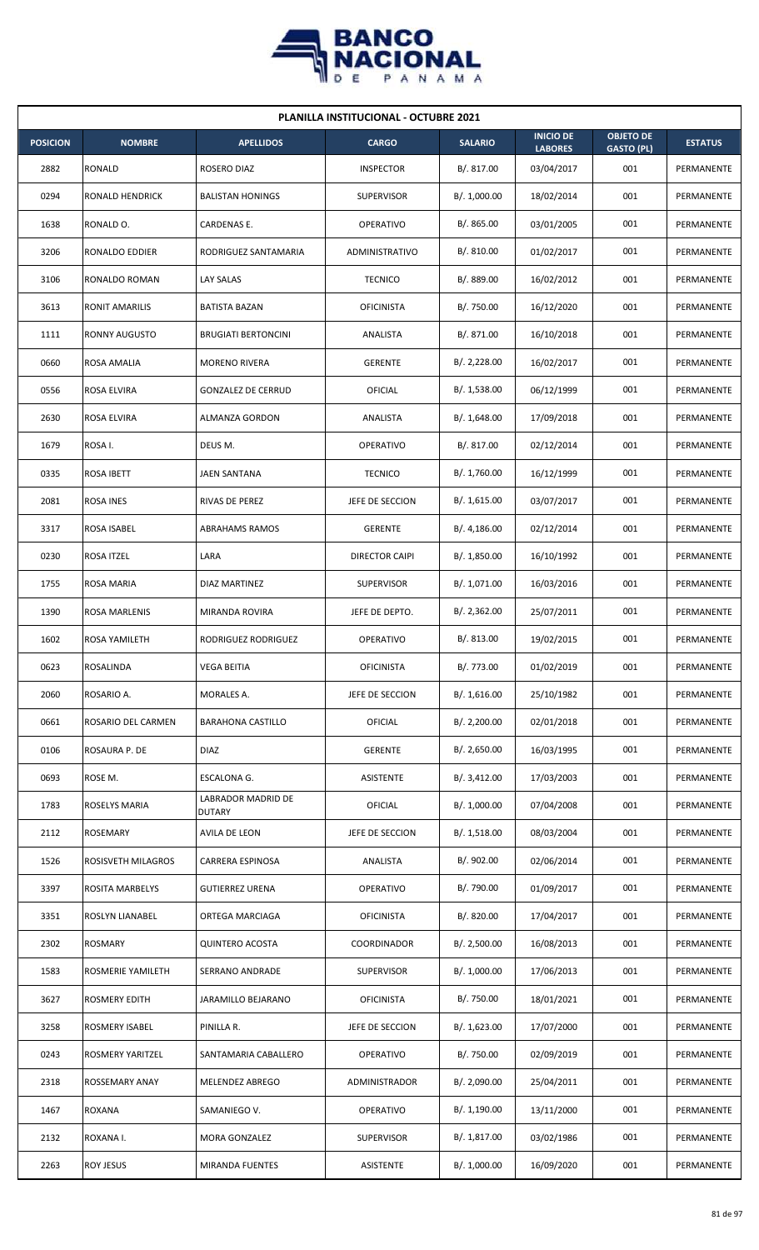

| <b>PLANILLA INSTITUCIONAL - OCTUBRE 2021</b> |                        |                                     |                      |                |                                    |                                       |                |  |  |  |
|----------------------------------------------|------------------------|-------------------------------------|----------------------|----------------|------------------------------------|---------------------------------------|----------------|--|--|--|
| <b>POSICION</b>                              | <b>NOMBRE</b>          | <b>APELLIDOS</b>                    | <b>CARGO</b>         | <b>SALARIO</b> | <b>INICIO DE</b><br><b>LABORES</b> | <b>OBJETO DE</b><br><b>GASTO (PL)</b> | <b>ESTATUS</b> |  |  |  |
| 2882                                         | <b>RONALD</b>          | ROSERO DIAZ                         | <b>INSPECTOR</b>     | B/. 817.00     | 03/04/2017                         | 001                                   | PERMANENTE     |  |  |  |
| 0294                                         | <b>RONALD HENDRICK</b> | <b>BALISTAN HONINGS</b>             | <b>SUPERVISOR</b>    | B/. 1,000.00   | 18/02/2014                         | 001                                   | PERMANENTE     |  |  |  |
| 1638                                         | RONALD O.              | CARDENAS E.                         | <b>OPERATIVO</b>     | B/. 865.00     | 03/01/2005                         | 001                                   | PERMANENTE     |  |  |  |
| 3206                                         | RONALDO EDDIER         | RODRIGUEZ SANTAMARIA                | ADMINISTRATIVO       | B/. 810.00     | 01/02/2017                         | 001                                   | PERMANENTE     |  |  |  |
| 3106                                         | RONALDO ROMAN          | LAY SALAS                           | <b>TECNICO</b>       | B/. 889.00     | 16/02/2012                         | 001                                   | PERMANENTE     |  |  |  |
| 3613                                         | <b>RONIT AMARILIS</b>  | BATISTA BAZAN                       | <b>OFICINISTA</b>    | B/. 750.00     | 16/12/2020                         | 001                                   | PERMANENTE     |  |  |  |
| 1111                                         | <b>RONNY AUGUSTO</b>   | <b>BRUGIATI BERTONCINI</b>          | ANALISTA             | B/. 871.00     | 16/10/2018                         | 001                                   | PERMANENTE     |  |  |  |
| 0660                                         | ROSA AMALIA            | <b>MORENO RIVERA</b>                | <b>GERENTE</b>       | B/.2,228.00    | 16/02/2017                         | 001                                   | PERMANENTE     |  |  |  |
| 0556                                         | ROSA ELVIRA            | <b>GONZALEZ DE CERRUD</b>           | OFICIAL              | B/. 1,538.00   | 06/12/1999                         | 001                                   | PERMANENTE     |  |  |  |
| 2630                                         | ROSA ELVIRA            | <b>ALMANZA GORDON</b>               | ANALISTA             | B/.1,648.00    | 17/09/2018                         | 001                                   | PERMANENTE     |  |  |  |
| 1679                                         | ROSA I.                | DEUS M.                             | OPERATIVO            | B/. 817.00     | 02/12/2014                         | 001                                   | PERMANENTE     |  |  |  |
| 0335                                         | ROSA IBETT             | JAEN SANTANA                        | <b>TECNICO</b>       | B/. 1,760.00   | 16/12/1999                         | 001                                   | PERMANENTE     |  |  |  |
| 2081                                         | ROSA INES              | RIVAS DE PEREZ                      | JEFE DE SECCION      | B/. 1,615.00   | 03/07/2017                         | 001                                   | PERMANENTE     |  |  |  |
| 3317                                         | ROSA ISABEL            | <b>ABRAHAMS RAMOS</b>               | <b>GERENTE</b>       | B/.4,186.00    | 02/12/2014                         | 001                                   | PERMANENTE     |  |  |  |
| 0230                                         | ROSA ITZEL             | LARA                                | DIRECTOR CAIPI       | B/. 1,850.00   | 16/10/1992                         | 001                                   | PERMANENTE     |  |  |  |
| 1755                                         | ROSA MARIA             | DIAZ MARTINEZ                       | <b>SUPERVISOR</b>    | B/. 1,071.00   | 16/03/2016                         | 001                                   | PERMANENTE     |  |  |  |
| 1390                                         | ROSA MARLENIS          | MIRANDA ROVIRA                      | JEFE DE DEPTO.       | B/. 2,362.00   | 25/07/2011                         | 001                                   | PERMANENTE     |  |  |  |
| 1602                                         | <b>ROSA YAMILETH</b>   | RODRIGUEZ RODRIGUEZ                 | <b>OPERATIVO</b>     | B/. 813.00     | 19/02/2015                         | 001                                   | PERMANENTE     |  |  |  |
| 0623                                         | <b>ROSALINDA</b>       | VEGA BEITIA                         | <b>OFICINISTA</b>    | B/. 773.00     | 01/02/2019                         | 001                                   | PERMANENTE     |  |  |  |
| 2060                                         | ROSARIO A.             | MORALES A.                          | JEFE DE SECCION      | B/.1,616.00    | 25/10/1982                         | 001                                   | PERMANENTE     |  |  |  |
| 0661                                         | ROSARIO DEL CARMEN     | <b>BARAHONA CASTILLO</b>            | <b>OFICIAL</b>       | B/.2,200.00    | 02/01/2018                         | 001                                   | PERMANENTE     |  |  |  |
| 0106                                         | ROSAURA P. DE          | DIAZ                                | <b>GERENTE</b>       | B/.2,650.00    | 16/03/1995                         | 001                                   | PERMANENTE     |  |  |  |
| 0693                                         | ROSE M.                | ESCALONA G.                         | ASISTENTE            | B/. 3,412.00   | 17/03/2003                         | 001                                   | PERMANENTE     |  |  |  |
| 1783                                         | ROSELYS MARIA          | LABRADOR MADRID DE<br><b>DUTARY</b> | <b>OFICIAL</b>       | B/. 1,000.00   | 07/04/2008                         | 001                                   | PERMANENTE     |  |  |  |
| 2112                                         | <b>ROSEMARY</b>        | AVILA DE LEON                       | JEFE DE SECCION      | B/.1,518.00    | 08/03/2004                         | 001                                   | PERMANENTE     |  |  |  |
| 1526                                         | ROSISVETH MILAGROS     | CARRERA ESPINOSA                    | ANALISTA             | B/. 902.00     | 02/06/2014                         | 001                                   | PERMANENTE     |  |  |  |
| 3397                                         | ROSITA MARBELYS        | <b>GUTIERREZ URENA</b>              | OPERATIVO            | B/. 790.00     | 01/09/2017                         | 001                                   | PERMANENTE     |  |  |  |
| 3351                                         | ROSLYN LIANABEL        | ORTEGA MARCIAGA                     | <b>OFICINISTA</b>    | B/. 820.00     | 17/04/2017                         | 001                                   | PERMANENTE     |  |  |  |
| 2302                                         | <b>ROSMARY</b>         | <b>QUINTERO ACOSTA</b>              | COORDINADOR          | B/.2,500.00    | 16/08/2013                         | 001                                   | PERMANENTE     |  |  |  |
| 1583                                         | ROSMERIE YAMILETH      | SERRANO ANDRADE                     | <b>SUPERVISOR</b>    | B/. 1,000.00   | 17/06/2013                         | 001                                   | PERMANENTE     |  |  |  |
| 3627                                         | <b>ROSMERY EDITH</b>   | JARAMILLO BEJARANO                  | <b>OFICINISTA</b>    | B/. 750.00     | 18/01/2021                         | 001                                   | PERMANENTE     |  |  |  |
| 3258                                         | <b>ROSMERY ISABEL</b>  | PINILLA R.                          | JEFE DE SECCION      | B/. 1,623.00   | 17/07/2000                         | 001                                   | PERMANENTE     |  |  |  |
| 0243                                         | ROSMERY YARITZEL       | SANTAMARIA CABALLERO                | <b>OPERATIVO</b>     | B/. 750.00     | 02/09/2019                         | 001                                   | PERMANENTE     |  |  |  |
| 2318                                         | <b>ROSSEMARY ANAY</b>  | MELENDEZ ABREGO                     | <b>ADMINISTRADOR</b> | B/. 2,090.00   | 25/04/2011                         | 001                                   | PERMANENTE     |  |  |  |
| 1467                                         | <b>ROXANA</b>          | SAMANIEGO V.                        | OPERATIVO            | B/. 1,190.00   | 13/11/2000                         | 001                                   | PERMANENTE     |  |  |  |
| 2132                                         | ROXANA I.              | MORA GONZALEZ                       | SUPERVISOR           | B/. 1,817.00   | 03/02/1986                         | 001                                   | PERMANENTE     |  |  |  |
| 2263                                         | <b>ROY JESUS</b>       | MIRANDA FUENTES                     | ASISTENTE            | B/. 1,000.00   | 16/09/2020                         | 001                                   | PERMANENTE     |  |  |  |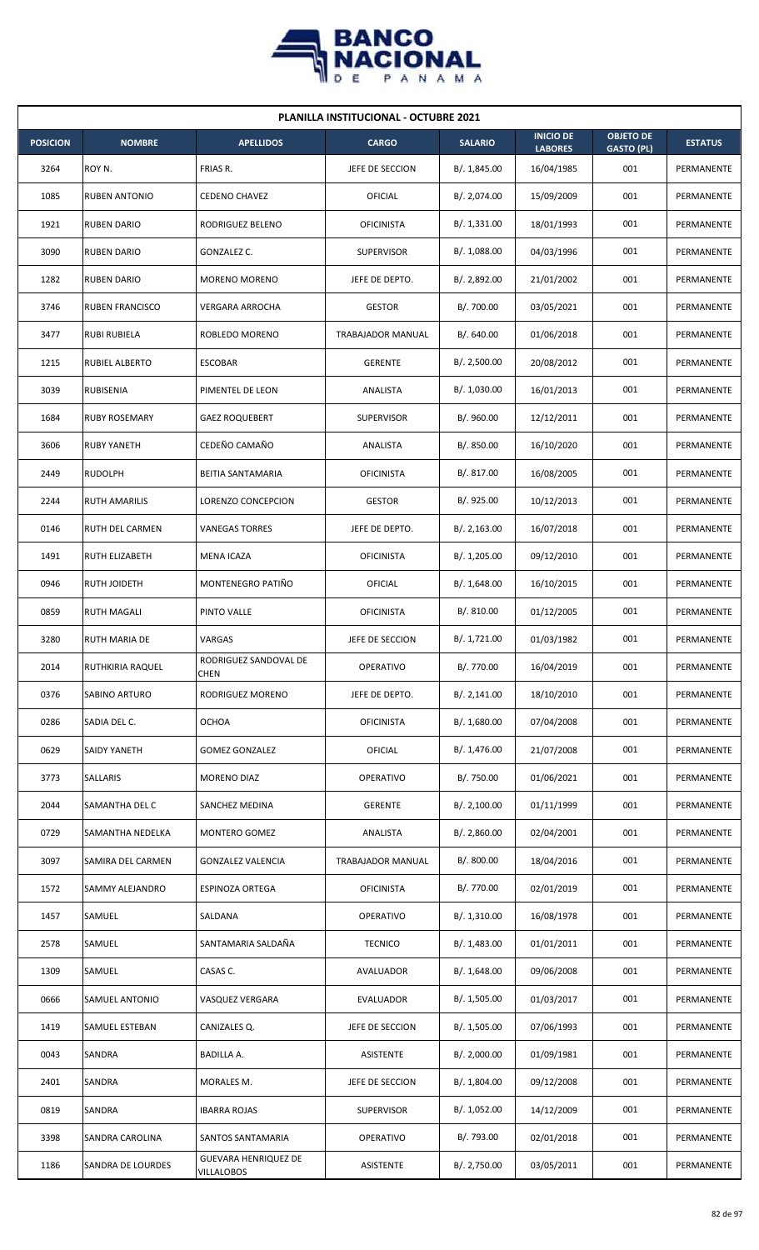

|                 | <b>PLANILLA INSTITUCIONAL - OCTUBRE 2021</b> |                                           |                   |                |                                    |                                       |                |  |  |  |
|-----------------|----------------------------------------------|-------------------------------------------|-------------------|----------------|------------------------------------|---------------------------------------|----------------|--|--|--|
| <b>POSICION</b> | <b>NOMBRE</b>                                | <b>APELLIDOS</b>                          | <b>CARGO</b>      | <b>SALARIO</b> | <b>INICIO DE</b><br><b>LABORES</b> | <b>OBJETO DE</b><br><b>GASTO (PL)</b> | <b>ESTATUS</b> |  |  |  |
| 3264            | ROY N.                                       | FRIAS R.                                  | JEFE DE SECCION   | B/. 1,845.00   | 16/04/1985                         | 001                                   | PERMANENTE     |  |  |  |
| 1085            | <b>RUBEN ANTONIO</b>                         | <b>CEDENO CHAVEZ</b>                      | OFICIAL           | B/. 2,074.00   | 15/09/2009                         | 001                                   | PERMANENTE     |  |  |  |
| 1921            | <b>RUBEN DARIO</b>                           | RODRIGUEZ BELENO                          | <b>OFICINISTA</b> | B/.1,331.00    | 18/01/1993                         | 001                                   | PERMANENTE     |  |  |  |
| 3090            | <b>RUBEN DARIO</b>                           | GONZALEZ C.                               | <b>SUPERVISOR</b> | B/. 1,088.00   | 04/03/1996                         | 001                                   | PERMANENTE     |  |  |  |
| 1282            | <b>RUBEN DARIO</b>                           | MORENO MORENO                             | JEFE DE DEPTO.    | B/. 2,892.00   | 21/01/2002                         | 001                                   | PERMANENTE     |  |  |  |
| 3746            | <b>RUBEN FRANCISCO</b>                       | VERGARA ARROCHA                           | <b>GESTOR</b>     | B/. 700.00     | 03/05/2021                         | 001                                   | PERMANENTE     |  |  |  |
| 3477            | <b>RUBI RUBIELA</b>                          | ROBLEDO MORENO                            | TRABAJADOR MANUAL | B/0.640.00     | 01/06/2018                         | 001                                   | PERMANENTE     |  |  |  |
| 1215            | RUBIEL ALBERTO                               | <b>ESCOBAR</b>                            | <b>GERENTE</b>    | B/.2,500.00    | 20/08/2012                         | 001                                   | PERMANENTE     |  |  |  |
| 3039            | RUBISENIA                                    | PIMENTEL DE LEON                          | ANALISTA          | B/. 1,030.00   | 16/01/2013                         | 001                                   | PERMANENTE     |  |  |  |
| 1684            | <b>RUBY ROSEMARY</b>                         | <b>GAEZ ROQUEBERT</b>                     | <b>SUPERVISOR</b> | B/. 960.00     | 12/12/2011                         | 001                                   | PERMANENTE     |  |  |  |
| 3606            | <b>RUBY YANETH</b>                           | CEDEÑO CAMAÑO                             | ANALISTA          | B/. 850.00     | 16/10/2020                         | 001                                   | PERMANENTE     |  |  |  |
| 2449            | <b>RUDOLPH</b>                               | BEITIA SANTAMARIA                         | OFICINISTA        | B/. 817.00     | 16/08/2005                         | 001                                   | PERMANENTE     |  |  |  |
| 2244            | RUTH AMARILIS                                | LORENZO CONCEPCION                        | <b>GESTOR</b>     | B/. 925.00     | 10/12/2013                         | 001                                   | PERMANENTE     |  |  |  |
| 0146            | RUTH DEL CARMEN                              | <b>VANEGAS TORRES</b>                     | JEFE DE DEPTO.    | B/.2,163.00    | 16/07/2018                         | 001                                   | PERMANENTE     |  |  |  |
| 1491            | <b>RUTH ELIZABETH</b>                        | MENA ICAZA                                | <b>OFICINISTA</b> | B/. 1,205.00   | 09/12/2010                         | 001                                   | PERMANENTE     |  |  |  |
| 0946            | RUTH JOIDETH                                 | MONTENEGRO PATIÑO                         | OFICIAL           | B/.1,648.00    | 16/10/2015                         | 001                                   | PERMANENTE     |  |  |  |
| 0859            | <b>RUTH MAGALI</b>                           | PINTO VALLE                               | <b>OFICINISTA</b> | B/. 810.00     | 01/12/2005                         | 001                                   | PERMANENTE     |  |  |  |
| 3280            | <b>RUTH MARIA DE</b>                         | VARGAS                                    | JEFE DE SECCION   | B/. 1,721.00   | 01/03/1982                         | 001                                   | PERMANENTE     |  |  |  |
| 2014            | RUTHKIRIA RAQUEL                             | RODRIGUEZ SANDOVAL DE<br>CHEN             | OPERATIVO         | B/. 770.00     | 16/04/2019                         | 001                                   | PERMANENTE     |  |  |  |
| 0376            | SABINO ARTURO                                | RODRIGUEZ MORENO                          | JEFE DE DEPTO.    | B/. 2,141.00   | 18/10/2010                         | 001                                   | PERMANENTE     |  |  |  |
| 0286            | SADIA DEL C.                                 | <b>OCHOA</b>                              | <b>OFICINISTA</b> | B/. 1,680.00   | 07/04/2008                         | 001                                   | PERMANENTE     |  |  |  |
| 0629            | SAIDY YANETH                                 | <b>GOMEZ GONZALEZ</b>                     | <b>OFICIAL</b>    | B/. 1,476.00   | 21/07/2008                         | 001                                   | PERMANENTE     |  |  |  |
| 3773            | SALLARIS                                     | MORENO DIAZ                               | OPERATIVO         | B/. 750.00     | 01/06/2021                         | 001                                   | PERMANENTE     |  |  |  |
| 2044            | SAMANTHA DEL C                               | SANCHEZ MEDINA                            | <b>GERENTE</b>    | B/. 2,100.00   | 01/11/1999                         | 001                                   | PERMANENTE     |  |  |  |
| 0729            | SAMANTHA NEDELKA                             | MONTERO GOMEZ                             | ANALISTA          | B/.2,860.00    | 02/04/2001                         | 001                                   | PERMANENTE     |  |  |  |
| 3097            | SAMIRA DEL CARMEN                            | <b>GONZALEZ VALENCIA</b>                  | TRABAJADOR MANUAL | B/. 800.00     | 18/04/2016                         | 001                                   | PERMANENTE     |  |  |  |
| 1572            | SAMMY ALEJANDRO                              | ESPINOZA ORTEGA                           | <b>OFICINISTA</b> | B/. 770.00     | 02/01/2019                         | 001                                   | PERMANENTE     |  |  |  |
| 1457            | SAMUEL                                       | SALDANA                                   | <b>OPERATIVO</b>  | B/.1,310.00    | 16/08/1978                         | 001                                   | PERMANENTE     |  |  |  |
| 2578            | SAMUEL                                       | SANTAMARIA SALDAÑA                        | <b>TECNICO</b>    | B/. 1,483.00   | 01/01/2011                         | 001                                   | PERMANENTE     |  |  |  |
| 1309            | SAMUEL                                       | CASAS C.                                  | AVALUADOR         | B/.1,648.00    | 09/06/2008                         | 001                                   | PERMANENTE     |  |  |  |
| 0666            | SAMUEL ANTONIO                               | VASQUEZ VERGARA                           | EVALUADOR         | B/. 1,505.00   | 01/03/2017                         | 001                                   | PERMANENTE     |  |  |  |
| 1419            | SAMUEL ESTEBAN                               | CANIZALES Q.                              | JEFE DE SECCION   | B/. 1,505.00   | 07/06/1993                         | 001                                   | PERMANENTE     |  |  |  |
| 0043            | SANDRA                                       | BADILLA A.                                | ASISTENTE         | B/.2,000.00    | 01/09/1981                         | 001                                   | PERMANENTE     |  |  |  |
| 2401            | SANDRA                                       | MORALES M.                                | JEFE DE SECCION   | B/. 1,804.00   | 09/12/2008                         | 001                                   | PERMANENTE     |  |  |  |
| 0819            | SANDRA                                       | <b>IBARRA ROJAS</b>                       | <b>SUPERVISOR</b> | B/. 1,052.00   | 14/12/2009                         | 001                                   | PERMANENTE     |  |  |  |
| 3398            | SANDRA CAROLINA                              | SANTOS SANTAMARIA                         | OPERATIVO         | B/. 793.00     | 02/01/2018                         | 001                                   | PERMANENTE     |  |  |  |
| 1186            | SANDRA DE LOURDES                            | <b>GUEVARA HENRIQUEZ DE</b><br>VILLALOBOS | ASISTENTE         | B/. 2,750.00   | 03/05/2011                         | 001                                   | PERMANENTE     |  |  |  |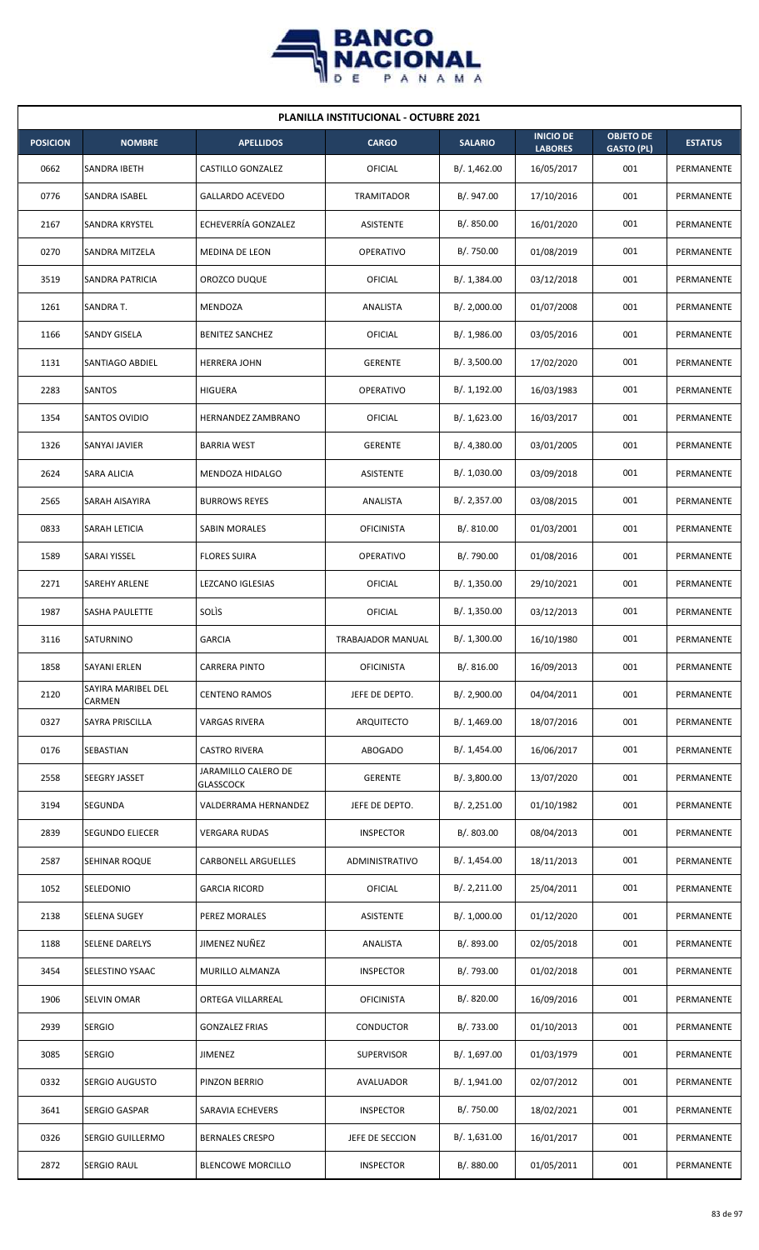

| <b>PLANILLA INSTITUCIONAL - OCTUBRE 2021</b> |                              |                                         |                          |                |                                    |                                       |                   |  |  |  |
|----------------------------------------------|------------------------------|-----------------------------------------|--------------------------|----------------|------------------------------------|---------------------------------------|-------------------|--|--|--|
| <b>POSICION</b>                              | <b>NOMBRE</b>                | <b>APELLIDOS</b>                        | <b>CARGO</b>             | <b>SALARIO</b> | <b>INICIO DE</b><br><b>LABORES</b> | <b>OBJETO DE</b><br><b>GASTO (PL)</b> | <b>ESTATUS</b>    |  |  |  |
| 0662                                         | SANDRA IBETH                 | <b>CASTILLO GONZALEZ</b>                | OFICIAL                  | B/. 1,462.00   | 16/05/2017                         | 001                                   | PERMANENTE        |  |  |  |
| 0776                                         | SANDRA ISABEL                | GALLARDO ACEVEDO                        | TRAMITADOR               | B/. 947.00     | 17/10/2016                         | 001                                   | PERMANENTE        |  |  |  |
| 2167                                         | SANDRA KRYSTEL               | ECHEVERRÍA GONZALEZ                     | ASISTENTE                | B/. 850.00     | 16/01/2020                         | 001                                   | PERMANENTE        |  |  |  |
| 0270                                         | SANDRA MITZELA               | MEDINA DE LEON                          | <b>OPERATIVO</b>         | B/. 750.00     | 01/08/2019                         | 001                                   | PERMANENTE        |  |  |  |
| 3519                                         | SANDRA PATRICIA              | OROZCO DUQUE                            | OFICIAL                  | B/. 1,384.00   | 03/12/2018                         | 001                                   | PERMANENTE        |  |  |  |
| 1261                                         | SANDRA T.                    | MENDOZA                                 | ANALISTA                 | B/.2,000.00    | 01/07/2008                         | 001                                   | PERMANENTE        |  |  |  |
| 1166                                         | SANDY GISELA                 | <b>BENITEZ SANCHEZ</b>                  | OFICIAL                  | B/.1,986.00    | 03/05/2016                         | 001                                   | PERMANENTE        |  |  |  |
| 1131                                         | SANTIAGO ABDIEL              | <b>HERRERA JOHN</b>                     | <b>GERENTE</b>           | B/. 3,500.00   | 17/02/2020                         | 001                                   | PERMANENTE        |  |  |  |
| 2283                                         | SANTOS                       | <b>HIGUERA</b>                          | OPERATIVO                | B/. 1,192.00   | 16/03/1983                         | 001                                   | PERMANENTE        |  |  |  |
| 1354                                         | SANTOS OVIDIO                | <b>HERNANDEZ ZAMBRANO</b>               | OFICIAL                  | B/. 1,623.00   | 16/03/2017                         | 001                                   | PERMANENTE        |  |  |  |
| 1326                                         | SANYAI JAVIER                | <b>BARRIA WEST</b>                      | <b>GERENTE</b>           | B/. 4,380.00   | 03/01/2005                         | 001                                   | PERMANENTE        |  |  |  |
| 2624                                         | SARA ALICIA                  | MENDOZA HIDALGO                         | ASISTENTE                | B/. 1,030.00   | 03/09/2018                         | 001                                   | PERMANENTE        |  |  |  |
| 2565                                         | SARAH AISAYIRA               | <b>BURROWS REYES</b>                    | ANALISTA                 | B/.2,357.00    | 03/08/2015                         | 001                                   | PERMANENTE        |  |  |  |
| 0833                                         | <b>SARAH LETICIA</b>         | SABIN MORALES                           | <b>OFICINISTA</b>        | B/. 810.00     | 01/03/2001                         | 001                                   | PERMANENTE        |  |  |  |
| 1589                                         | SARAI YISSEL                 | <b>FLORES SUIRA</b>                     | <b>OPERATIVO</b>         | B/. 790.00     | 01/08/2016                         | 001                                   | PERMANENTE        |  |  |  |
| 2271                                         | SAREHY ARLENE                | LEZCANO IGLESIAS                        | OFICIAL                  | B/. 1,350.00   | 29/10/2021                         | 001                                   | PERMANENTE        |  |  |  |
| 1987                                         | SASHA PAULETTE               | SOLIS                                   | OFICIAL                  | B/. 1,350.00   | 03/12/2013                         | 001                                   | PERMANENTE        |  |  |  |
| 3116                                         | SATURNINO                    | <b>GARCIA</b>                           | <b>TRABAJADOR MANUAL</b> | B/. 1,300.00   | 16/10/1980                         | 001                                   | PERMANENTE        |  |  |  |
| 1858                                         | <b>SAYANI ERLEN</b>          | <b>CARRERA PINTO</b>                    | <b>OFICINISTA</b>        | B/. 816.00     | 16/09/2013                         | 001                                   | PERMANENTE        |  |  |  |
| 2120                                         | SAYIRA MARIBEL DEL<br>CARMEN | <b>CENTENO RAMOS</b>                    | JEFE DE DEPTO.           | B/.2,900.00    | 04/04/2011                         | 001                                   | PERMANENTE        |  |  |  |
| 0327                                         | SAYRA PRISCILLA              | <b>VARGAS RIVERA</b>                    | <b>ARQUITECTO</b>        | B/.1,469.00    | 18/07/2016                         | 001                                   | <b>PERMANENTE</b> |  |  |  |
| 0176                                         | SEBASTIAN                    | <b>CASTRO RIVERA</b>                    | ABOGADO                  | B/. 1,454.00   | 16/06/2017                         | 001                                   | PERMANENTE        |  |  |  |
| 2558                                         | SEEGRY JASSET                | JARAMILLO CALERO DE<br><b>GLASSCOCK</b> | <b>GERENTE</b>           | B/.3,800.00    | 13/07/2020                         | 001                                   | PERMANENTE        |  |  |  |
| 3194                                         | SEGUNDA                      | VALDERRAMA HERNANDEZ                    | JEFE DE DEPTO.           | B/. 2,251.00   | 01/10/1982                         | 001                                   | PERMANENTE        |  |  |  |
| 2839                                         | SEGUNDO ELIECER              | <b>VERGARA RUDAS</b>                    | <b>INSPECTOR</b>         | B/. 803.00     | 08/04/2013                         | 001                                   | PERMANENTE        |  |  |  |
| 2587                                         | SEHINAR ROQUE                | <b>CARBONELL ARGUELLES</b>              | ADMINISTRATIVO           | B/. 1,454.00   | 18/11/2013                         | 001                                   | PERMANENTE        |  |  |  |
| 1052                                         | SELEDONIO                    | <b>GARCIA RICORD</b>                    | <b>OFICIAL</b>           | B/. 2,211.00   | 25/04/2011                         | 001                                   | PERMANENTE        |  |  |  |
| 2138                                         | SELENA SUGEY                 | PEREZ MORALES                           | ASISTENTE                | B/. 1,000.00   | 01/12/2020                         | 001                                   | PERMANENTE        |  |  |  |
| 1188                                         | SELENE DARELYS               | JIMENEZ NUÑEZ                           | ANALISTA                 | B/. 893.00     | 02/05/2018                         | 001                                   | PERMANENTE        |  |  |  |
| 3454                                         | SELESTINO YSAAC              | MURILLO ALMANZA                         | <b>INSPECTOR</b>         | B/. 793.00     | 01/02/2018                         | 001                                   | PERMANENTE        |  |  |  |
| 1906                                         | SELVIN OMAR                  | ORTEGA VILLARREAL                       | <b>OFICINISTA</b>        | B/. 820.00     | 16/09/2016                         | 001                                   | PERMANENTE        |  |  |  |
| 2939                                         | <b>SERGIO</b>                | <b>GONZALEZ FRIAS</b>                   | CONDUCTOR                | B/. 733.00     | 01/10/2013                         | 001                                   | PERMANENTE        |  |  |  |
| 3085                                         | <b>SERGIO</b>                | JIMENEZ                                 | <b>SUPERVISOR</b>        | B/. 1,697.00   | 01/03/1979                         | 001                                   | PERMANENTE        |  |  |  |
| 0332                                         | SERGIO AUGUSTO               | PINZON BERRIO                           | AVALUADOR                | B/. 1,941.00   | 02/07/2012                         | 001                                   | PERMANENTE        |  |  |  |
| 3641                                         | SERGIO GASPAR                | SARAVIA ECHEVERS                        | <b>INSPECTOR</b>         | B/. 750.00     | 18/02/2021                         | 001                                   | PERMANENTE        |  |  |  |
| 0326                                         | SERGIO GUILLERMO             | <b>BERNALES CRESPO</b>                  | JEFE DE SECCION          | B/. 1,631.00   | 16/01/2017                         | 001                                   | PERMANENTE        |  |  |  |
| 2872                                         | <b>SERGIO RAUL</b>           | <b>BLENCOWE MORCILLO</b>                | <b>INSPECTOR</b>         | B/. 880.00     | 01/05/2011                         | 001                                   | PERMANENTE        |  |  |  |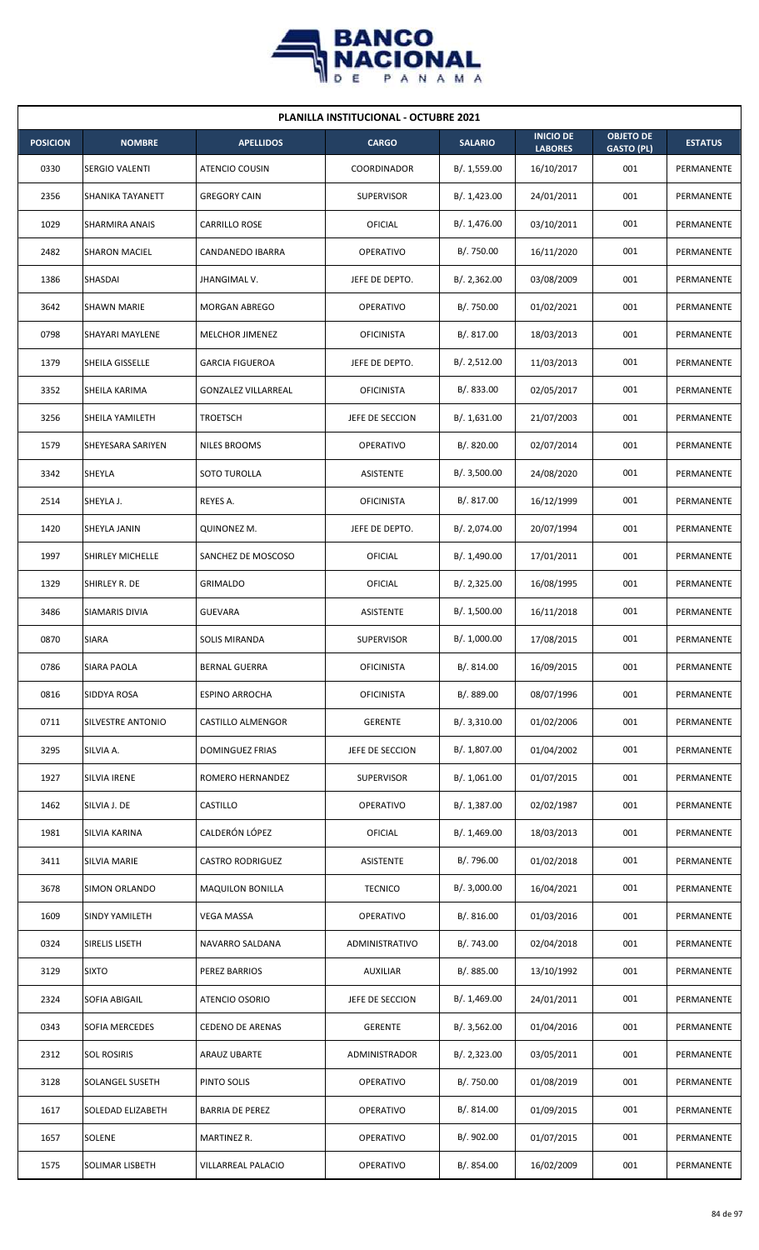

| <b>PLANILLA INSTITUCIONAL - OCTUBRE 2021</b> |                       |                            |                   |                |                                    |                                       |                |  |  |
|----------------------------------------------|-----------------------|----------------------------|-------------------|----------------|------------------------------------|---------------------------------------|----------------|--|--|
| <b>POSICION</b>                              | <b>NOMBRE</b>         | <b>APELLIDOS</b>           | <b>CARGO</b>      | <b>SALARIO</b> | <b>INICIO DE</b><br><b>LABORES</b> | <b>OBJETO DE</b><br><b>GASTO (PL)</b> | <b>ESTATUS</b> |  |  |
| 0330                                         | <b>SERGIO VALENTI</b> | ATENCIO COUSIN             | COORDINADOR       | B/. 1,559.00   | 16/10/2017                         | 001                                   | PERMANENTE     |  |  |
| 2356                                         | SHANIKA TAYANETT      | <b>GREGORY CAIN</b>        | <b>SUPERVISOR</b> | B/.1,423.00    | 24/01/2011                         | 001                                   | PERMANENTE     |  |  |
| 1029                                         | SHARMIRA ANAIS        | <b>CARRILLO ROSE</b>       | OFICIAL           | B/. 1,476.00   | 03/10/2011                         | 001                                   | PERMANENTE     |  |  |
| 2482                                         | <b>SHARON MACIEL</b>  | CANDANEDO IBARRA           | OPERATIVO         | B/. 750.00     | 16/11/2020                         | 001                                   | PERMANENTE     |  |  |
| 1386                                         | SHASDAI               | JHANGIMAL V.               | JEFE DE DEPTO.    | B/.2,362.00    | 03/08/2009                         | 001                                   | PERMANENTE     |  |  |
| 3642                                         | <b>SHAWN MARIE</b>    | <b>MORGAN ABREGO</b>       | <b>OPERATIVO</b>  | B/. 750.00     | 01/02/2021                         | 001                                   | PERMANENTE     |  |  |
| 0798                                         | SHAYARI MAYLENE       | MELCHOR JIMENEZ            | <b>OFICINISTA</b> | B/. 817.00     | 18/03/2013                         | 001                                   | PERMANENTE     |  |  |
| 1379                                         | SHEILA GISSELLE       | <b>GARCIA FIGUEROA</b>     | JEFE DE DEPTO.    | B/.2,512.00    | 11/03/2013                         | 001                                   | PERMANENTE     |  |  |
| 3352                                         | SHEILA KARIMA         | <b>GONZALEZ VILLARREAL</b> | <b>OFICINISTA</b> | B/. 833.00     | 02/05/2017                         | 001                                   | PERMANENTE     |  |  |
| 3256                                         | SHEILA YAMILETH       | <b>TROETSCH</b>            | JEFE DE SECCION   | B/.1,631.00    | 21/07/2003                         | 001                                   | PERMANENTE     |  |  |
| 1579                                         | SHEYESARA SARIYEN     | <b>NILES BROOMS</b>        | <b>OPERATIVO</b>  | B/. 820.00     | 02/07/2014                         | 001                                   | PERMANENTE     |  |  |
| 3342                                         | SHEYLA                | SOTO TUROLLA               | <b>ASISTENTE</b>  | B/.3,500.00    | 24/08/2020                         | 001                                   | PERMANENTE     |  |  |
| 2514                                         | SHEYLA J.             | REYES A.                   | <b>OFICINISTA</b> | B/. 817.00     | 16/12/1999                         | 001                                   | PERMANENTE     |  |  |
| 1420                                         | SHEYLA JANIN          | QUINONEZ M.                | JEFE DE DEPTO.    | B/. 2,074.00   | 20/07/1994                         | 001                                   | PERMANENTE     |  |  |
| 1997                                         | SHIRLEY MICHELLE      | SANCHEZ DE MOSCOSO         | OFICIAL           | B/. 1,490.00   | 17/01/2011                         | 001                                   | PERMANENTE     |  |  |
| 1329                                         | SHIRLEY R. DE         | <b>GRIMALDO</b>            | <b>OFICIAL</b>    | B/.2,325.00    | 16/08/1995                         | 001                                   | PERMANENTE     |  |  |
| 3486                                         | SIAMARIS DIVIA        | <b>GUEVARA</b>             | ASISTENTE         | B/. 1,500.00   | 16/11/2018                         | 001                                   | PERMANENTE     |  |  |
| 0870                                         | <b>SIARA</b>          | <b>SOLIS MIRANDA</b>       | <b>SUPERVISOR</b> | B/. 1,000.00   | 17/08/2015                         | 001                                   | PERMANENTE     |  |  |
| 0786                                         | SIARA PAOLA           | BERNAL GUERRA              | <b>OFICINISTA</b> | B/. 814.00     | 16/09/2015                         | 001                                   | PERMANENTE     |  |  |
| 0816                                         | SIDDYA ROSA           | <b>ESPINO ARROCHA</b>      | <b>OFICINISTA</b> | B/. 889.00     | 08/07/1996                         | 001                                   | PERMANENTE     |  |  |
| 0711                                         | SILVESTRE ANTONIO     | CASTILLO ALMENGOR          | <b>GERENTE</b>    | B/.3,310.00    | 01/02/2006                         | 001                                   | PERMANENTE     |  |  |
| 3295                                         | SILVIA A.             | <b>DOMINGUEZ FRIAS</b>     | JEFE DE SECCION   | B/. 1,807.00   | 01/04/2002                         | 001                                   | PERMANENTE     |  |  |
| 1927                                         | SILVIA IRENE          | ROMERO HERNANDEZ           | <b>SUPERVISOR</b> | B/. 1,061.00   | 01/07/2015                         | 001                                   | PERMANENTE     |  |  |
| 1462                                         | SILVIA J. DE          | CASTILLO                   | OPERATIVO         | B/. 1,387.00   | 02/02/1987                         | 001                                   | PERMANENTE     |  |  |
| 1981                                         | SILVIA KARINA         | CALDERÓN LÓPEZ             | <b>OFICIAL</b>    | B/. 1,469.00   | 18/03/2013                         | 001                                   | PERMANENTE     |  |  |
| 3411                                         | SILVIA MARIE          | <b>CASTRO RODRIGUEZ</b>    | ASISTENTE         | B/. 796.00     | 01/02/2018                         | 001                                   | PERMANENTE     |  |  |
| 3678                                         | SIMON ORLANDO         | <b>MAQUILON BONILLA</b>    | <b>TECNICO</b>    | B/.3,000.00    | 16/04/2021                         | 001                                   | PERMANENTE     |  |  |
| 1609                                         | SINDY YAMILETH        | <b>VEGA MASSA</b>          | OPERATIVO         | B/.816.00      | 01/03/2016                         | 001                                   | PERMANENTE     |  |  |
| 0324                                         | SIRELIS LISETH        | NAVARRO SALDANA            | ADMINISTRATIVO    | B/. 743.00     | 02/04/2018                         | 001                                   | PERMANENTE     |  |  |
| 3129                                         | <b>SIXTO</b>          | PEREZ BARRIOS              | <b>AUXILIAR</b>   | B/. 885.00     | 13/10/1992                         | 001                                   | PERMANENTE     |  |  |
| 2324                                         | SOFIA ABIGAIL         | ATENCIO OSORIO             | JEFE DE SECCION   | B/. 1,469.00   | 24/01/2011                         | 001                                   | PERMANENTE     |  |  |
| 0343                                         | SOFIA MERCEDES        | <b>CEDENO DE ARENAS</b>    | <b>GERENTE</b>    | B/. 3,562.00   | 01/04/2016                         | 001                                   | PERMANENTE     |  |  |
| 2312                                         | <b>SOL ROSIRIS</b>    | ARAUZ UBARTE               | ADMINISTRADOR     | B/.2,323.00    | 03/05/2011                         | 001                                   | PERMANENTE     |  |  |
| 3128                                         | SOLANGEL SUSETH       | PINTO SOLIS                | OPERATIVO         | B/. 750.00     | 01/08/2019                         | 001                                   | PERMANENTE     |  |  |
| 1617                                         | SOLEDAD ELIZABETH     | <b>BARRIA DE PEREZ</b>     | OPERATIVO         | B/.814.00      | 01/09/2015                         | 001                                   | PERMANENTE     |  |  |
| 1657                                         | SOLENE                | MARTINEZ R.                | OPERATIVO         | B/. 902.00     | 01/07/2015                         | 001                                   | PERMANENTE     |  |  |
| 1575                                         | SOLIMAR LISBETH       | VILLARREAL PALACIO         | OPERATIVO         | B/. 854.00     | 16/02/2009                         | 001                                   | PERMANENTE     |  |  |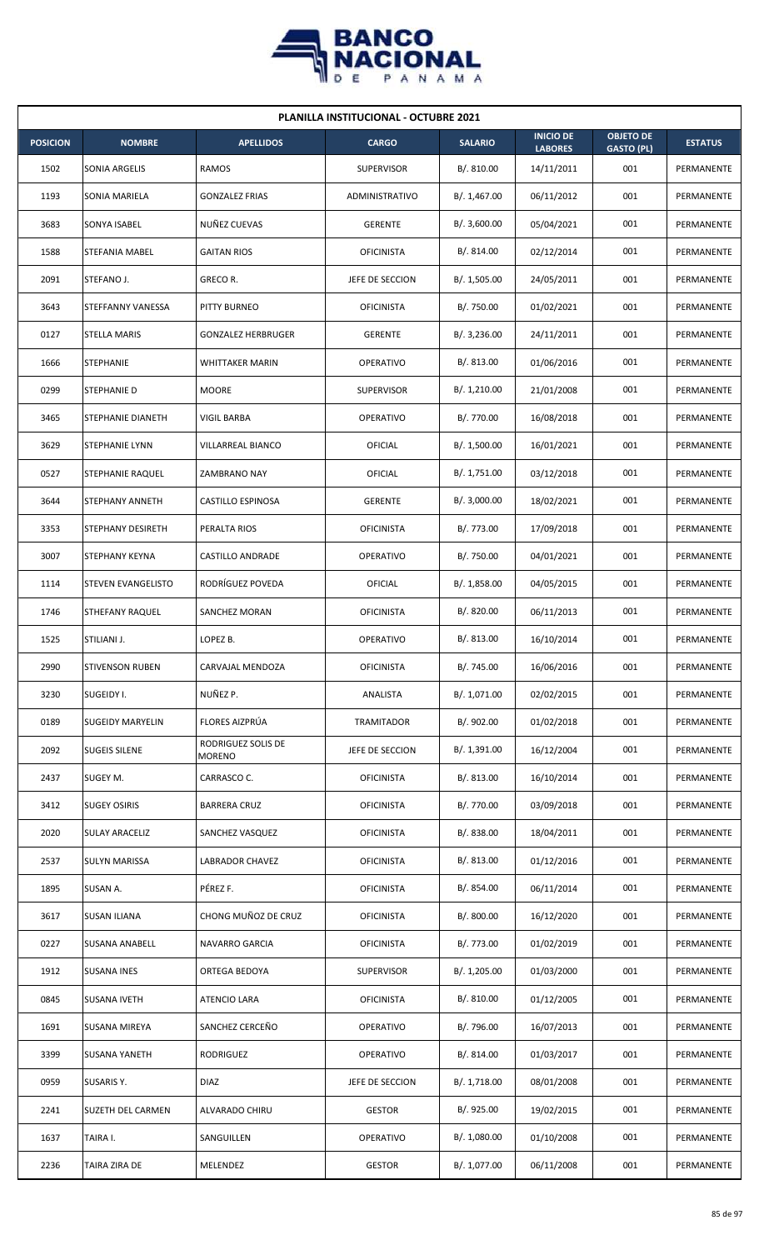

| <b>PLANILLA INSTITUCIONAL - OCTUBRE 2021</b> |                        |                                     |                   |                |                                    |                                       |                |  |  |
|----------------------------------------------|------------------------|-------------------------------------|-------------------|----------------|------------------------------------|---------------------------------------|----------------|--|--|
| <b>POSICION</b>                              | <b>NOMBRE</b>          | <b>APELLIDOS</b>                    | <b>CARGO</b>      | <b>SALARIO</b> | <b>INICIO DE</b><br><b>LABORES</b> | <b>OBJETO DE</b><br><b>GASTO (PL)</b> | <b>ESTATUS</b> |  |  |
| 1502                                         | SONIA ARGELIS          | <b>RAMOS</b>                        | <b>SUPERVISOR</b> | B/.810.00      | 14/11/2011                         | 001                                   | PERMANENTE     |  |  |
| 1193                                         | SONIA MARIELA          | <b>GONZALEZ FRIAS</b>               | ADMINISTRATIVO    | B/. 1,467.00   | 06/11/2012                         | 001                                   | PERMANENTE     |  |  |
| 3683                                         | SONYA ISABEL           | NUÑEZ CUEVAS                        | <b>GERENTE</b>    | B/.3,600.00    | 05/04/2021                         | 001                                   | PERMANENTE     |  |  |
| 1588                                         | STEFANIA MABEL         | <b>GAITAN RIOS</b>                  | <b>OFICINISTA</b> | B/. 814.00     | 02/12/2014                         | 001                                   | PERMANENTE     |  |  |
| 2091                                         | STEFANO J.             | GRECO R.                            | JEFE DE SECCION   | B/. 1,505.00   | 24/05/2011                         | 001                                   | PERMANENTE     |  |  |
| 3643                                         | STEFFANNY VANESSA      | PITTY BURNEO                        | <b>OFICINISTA</b> | B/. 750.00     | 01/02/2021                         | 001                                   | PERMANENTE     |  |  |
| 0127                                         | <b>STELLA MARIS</b>    | <b>GONZALEZ HERBRUGER</b>           | <b>GERENTE</b>    | B/.3,236.00    | 24/11/2011                         | 001                                   | PERMANENTE     |  |  |
| 1666                                         | <b>STEPHANIE</b>       | <b>WHITTAKER MARIN</b>              | <b>OPERATIVO</b>  | B/0.813.00     | 01/06/2016                         | 001                                   | PERMANENTE     |  |  |
| 0299                                         | STEPHANIE D            | <b>MOORE</b>                        | <b>SUPERVISOR</b> | B/. 1,210.00   | 21/01/2008                         | 001                                   | PERMANENTE     |  |  |
| 3465                                         | STEPHANIE DIANETH      | VIGIL BARBA                         | OPERATIVO         | B/. 770.00     | 16/08/2018                         | 001                                   | PERMANENTE     |  |  |
| 3629                                         | STEPHANIE LYNN         | VILLARREAL BIANCO                   | OFICIAL           | B/. 1,500.00   | 16/01/2021                         | 001                                   | PERMANENTE     |  |  |
| 0527                                         | STEPHANIE RAQUEL       | ZAMBRANO NAY                        | OFICIAL           | B/. 1,751.00   | 03/12/2018                         | 001                                   | PERMANENTE     |  |  |
| 3644                                         | STEPHANY ANNETH        | CASTILLO ESPINOSA                   | <b>GERENTE</b>    | B/.3,000.00    | 18/02/2021                         | 001                                   | PERMANENTE     |  |  |
| 3353                                         | STEPHANY DESIRETH      | PERALTA RIOS                        | <b>OFICINISTA</b> | B/. 773.00     | 17/09/2018                         | 001                                   | PERMANENTE     |  |  |
| 3007                                         | STEPHANY KEYNA         | CASTILLO ANDRADE                    | <b>OPERATIVO</b>  | B/. 750.00     | 04/01/2021                         | 001                                   | PERMANENTE     |  |  |
| 1114                                         | STEVEN EVANGELISTO     | RODRÍGUEZ POVEDA                    | OFICIAL           | B/.1,858.00    | 04/05/2015                         | 001                                   | PERMANENTE     |  |  |
| 1746                                         | STHEFANY RAQUEL        | <b>SANCHEZ MORAN</b>                | <b>OFICINISTA</b> | B/0.820.00     | 06/11/2013                         | 001                                   | PERMANENTE     |  |  |
| 1525                                         | STILIANI J.            | LOPEZ B.                            | <b>OPERATIVO</b>  | B/. 813.00     | 16/10/2014                         | 001                                   | PERMANENTE     |  |  |
| 2990                                         | <b>STIVENSON RUBEN</b> | CARVAJAL MENDOZA                    | <b>OFICINISTA</b> | B/. 745.00     | 16/06/2016                         | 001                                   | PERMANENTE     |  |  |
| 3230                                         | SUGEIDY I.             | NUÑEZ P.                            | ANALISTA          | B/. 1,071.00   | 02/02/2015                         | 001                                   | PERMANENTE     |  |  |
| 0189                                         | SUGEIDY MARYELIN       | FLORES AIZPRÚA                      | TRAMITADOR        | B/. 902.00     | 01/02/2018                         | 001                                   | PERMANENTE     |  |  |
| 2092                                         | <b>SUGEIS SILENE</b>   | RODRIGUEZ SOLIS DE<br><b>MORENO</b> | JEFE DE SECCION   | B/. 1,391.00   | 16/12/2004                         | 001                                   | PERMANENTE     |  |  |
| 2437                                         | SUGEY M.               | CARRASCO C.                         | <b>OFICINISTA</b> | B/. 813.00     | 16/10/2014                         | 001                                   | PERMANENTE     |  |  |
| 3412                                         | <b>SUGEY OSIRIS</b>    | <b>BARRERA CRUZ</b>                 | <b>OFICINISTA</b> | B/. 770.00     | 03/09/2018                         | 001                                   | PERMANENTE     |  |  |
| 2020                                         | <b>SULAY ARACELIZ</b>  | SANCHEZ VASQUEZ                     | <b>OFICINISTA</b> | B/0.838.00     | 18/04/2011                         | 001                                   | PERMANENTE     |  |  |
| 2537                                         | SULYN MARISSA          | LABRADOR CHAVEZ                     | <b>OFICINISTA</b> | B/. 813.00     | 01/12/2016                         | 001                                   | PERMANENTE     |  |  |
| 1895                                         | SUSAN A.               | PÉREZ F.                            | <b>OFICINISTA</b> | B/. 854.00     | 06/11/2014                         | 001                                   | PERMANENTE     |  |  |
| 3617                                         | <b>SUSAN ILIANA</b>    | CHONG MUÑOZ DE CRUZ                 | <b>OFICINISTA</b> | B/. 800.00     | 16/12/2020                         | 001                                   | PERMANENTE     |  |  |
| 0227                                         | SUSANA ANABELL         | NAVARRO GARCIA                      | <b>OFICINISTA</b> | B/. 773.00     | 01/02/2019                         | 001                                   | PERMANENTE     |  |  |
| 1912                                         | <b>SUSANA INES</b>     | ORTEGA BEDOYA                       | <b>SUPERVISOR</b> | B/. 1,205.00   | 01/03/2000                         | 001                                   | PERMANENTE     |  |  |
| 0845                                         | SUSANA IVETH           | ATENCIO LARA                        | <b>OFICINISTA</b> | B/. 810.00     | 01/12/2005                         | 001                                   | PERMANENTE     |  |  |
| 1691                                         | SUSANA MIREYA          | SANCHEZ CERCEÑO                     | <b>OPERATIVO</b>  | B/. 796.00     | 16/07/2013                         | 001                                   | PERMANENTE     |  |  |
| 3399                                         | <b>SUSANA YANETH</b>   | RODRIGUEZ                           | OPERATIVO         | B/. 814.00     | 01/03/2017                         | 001                                   | PERMANENTE     |  |  |
| 0959                                         | SUSARIS Y.             | <b>DIAZ</b>                         | JEFE DE SECCION   | B/.1,718.00    | 08/01/2008                         | 001                                   | PERMANENTE     |  |  |
| 2241                                         | SUZETH DEL CARMEN      | ALVARADO CHIRU                      | <b>GESTOR</b>     | B/. 925.00     | 19/02/2015                         | 001                                   | PERMANENTE     |  |  |
| 1637                                         | TAIRA I.               | SANGUILLEN                          | <b>OPERATIVO</b>  | B/. 1,080.00   | 01/10/2008                         | 001                                   | PERMANENTE     |  |  |
| 2236                                         | TAIRA ZIRA DE          | MELENDEZ                            | <b>GESTOR</b>     | B/. 1,077.00   | 06/11/2008                         | 001                                   | PERMANENTE     |  |  |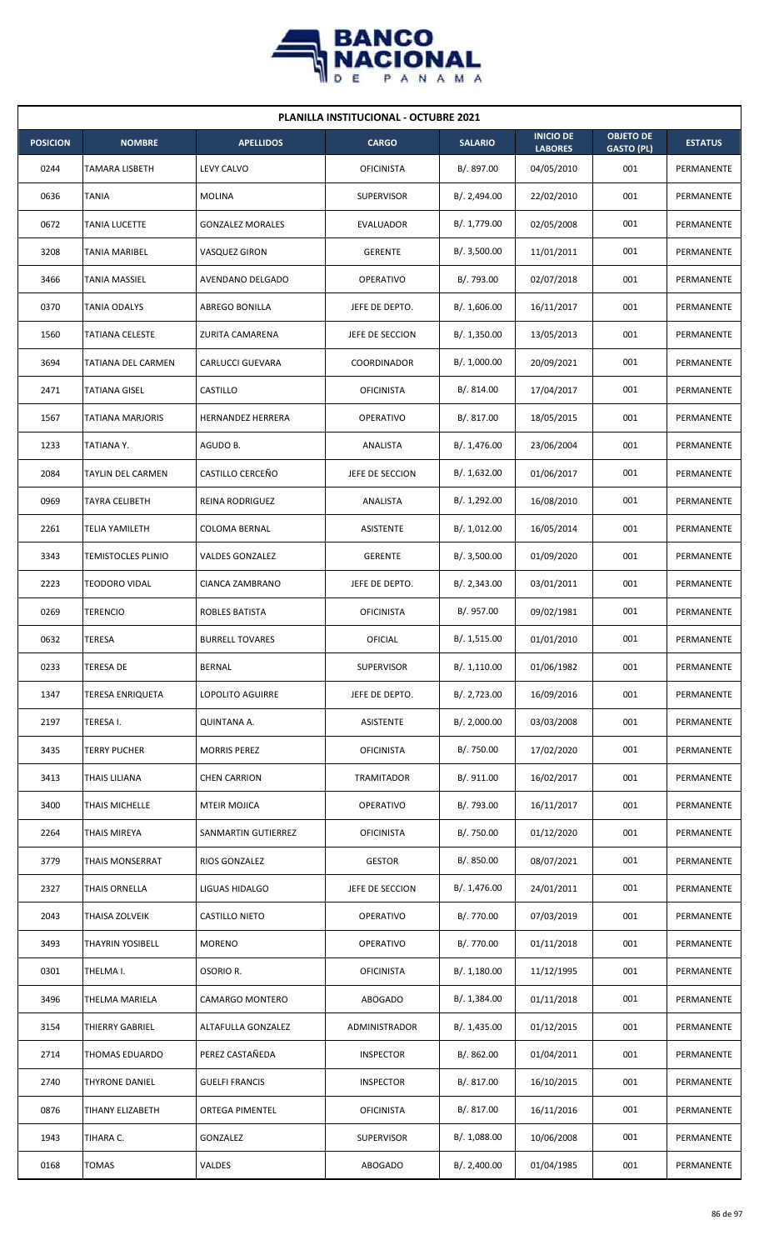

| <b>PLANILLA INSTITUCIONAL - OCTUBRE 2021</b> |                           |                         |                   |                |                                    |                                       |                |  |  |
|----------------------------------------------|---------------------------|-------------------------|-------------------|----------------|------------------------------------|---------------------------------------|----------------|--|--|
| <b>POSICION</b>                              | <b>NOMBRE</b>             | <b>APELLIDOS</b>        | <b>CARGO</b>      | <b>SALARIO</b> | <b>INICIO DE</b><br><b>LABORES</b> | <b>OBJETO DE</b><br><b>GASTO (PL)</b> | <b>ESTATUS</b> |  |  |
| 0244                                         | <b>TAMARA LISBETH</b>     | <b>LEVY CALVO</b>       | <b>OFICINISTA</b> | B/. 897.00     | 04/05/2010                         | 001                                   | PERMANENTE     |  |  |
| 0636                                         | TANIA                     | MOLINA                  | <b>SUPERVISOR</b> | B/. 2,494.00   | 22/02/2010                         | 001                                   | PERMANENTE     |  |  |
| 0672                                         | <b>TANIA LUCETTE</b>      | <b>GONZALEZ MORALES</b> | <b>EVALUADOR</b>  | B/. 1,779.00   | 02/05/2008                         | 001                                   | PERMANENTE     |  |  |
| 3208                                         | <b>TANIA MARIBEL</b>      | VASQUEZ GIRON           | <b>GERENTE</b>    | B/.3,500.00    | 11/01/2011                         | 001                                   | PERMANENTE     |  |  |
| 3466                                         | <b>TANIA MASSIEL</b>      | AVENDANO DELGADO        | <b>OPERATIVO</b>  | B/. 793.00     | 02/07/2018                         | 001                                   | PERMANENTE     |  |  |
| 0370                                         | TANIA ODALYS              | ABREGO BONILLA          | JEFE DE DEPTO.    | B/. 1,606.00   | 16/11/2017                         | 001                                   | PERMANENTE     |  |  |
| 1560                                         | <b>TATIANA CELESTE</b>    | ZURITA CAMARENA         | JEFE DE SECCION   | B/.1,350.00    | 13/05/2013                         | 001                                   | PERMANENTE     |  |  |
| 3694                                         | TATIANA DEL CARMEN        | <b>CARLUCCI GUEVARA</b> | COORDINADOR       | B/. 1,000.00   | 20/09/2021                         | 001                                   | PERMANENTE     |  |  |
| 2471                                         | TATIANA GISEL             | CASTILLO                | <b>OFICINISTA</b> | B/.814.00      | 17/04/2017                         | 001                                   | PERMANENTE     |  |  |
| 1567                                         | TATIANA MARJORIS          | HERNANDEZ HERRERA       | <b>OPERATIVO</b>  | B/.817.00      | 18/05/2015                         | 001                                   | PERMANENTE     |  |  |
| 1233                                         | TATIANA Y.                | AGUDO B.                | ANALISTA          | B/. 1,476.00   | 23/06/2004                         | 001                                   | PERMANENTE     |  |  |
| 2084                                         | <b>TAYLIN DEL CARMEN</b>  | CASTILLO CERCEÑO        | JEFE DE SECCION   | B/. 1,632.00   | 01/06/2017                         | 001                                   | PERMANENTE     |  |  |
| 0969                                         | TAYRA CELIBETH            | REINA RODRIGUEZ         | ANALISTA          | B/. 1,292.00   | 16/08/2010                         | 001                                   | PERMANENTE     |  |  |
| 2261                                         | <b>TELIA YAMILETH</b>     | <b>COLOMA BERNAL</b>    | <b>ASISTENTE</b>  | B/. 1,012.00   | 16/05/2014                         | 001                                   | PERMANENTE     |  |  |
| 3343                                         | <b>TEMISTOCLES PLINIO</b> | <b>VALDES GONZALEZ</b>  | <b>GERENTE</b>    | B/.3,500.00    | 01/09/2020                         | 001                                   | PERMANENTE     |  |  |
| 2223                                         | <b>TEODORO VIDAL</b>      | CIANCA ZAMBRANO         | JEFE DE DEPTO.    | B/.2,343.00    | 03/01/2011                         | 001                                   | PERMANENTE     |  |  |
| 0269                                         | <b>TERENCIO</b>           | ROBLES BATISTA          | <b>OFICINISTA</b> | B/. 957.00     | 09/02/1981                         | 001                                   | PERMANENTE     |  |  |
| 0632                                         | TERESA                    | <b>BURRELL TOVARES</b>  | OFICIAL           | B/.1,515.00    | 01/01/2010                         | 001                                   | PERMANENTE     |  |  |
| 0233                                         | <b>TERESA DE</b>          | <b>BERNAL</b>           | <b>SUPERVISOR</b> | B/. 1,110.00   | 01/06/1982                         | 001                                   | PERMANENTE     |  |  |
| 1347                                         | <b>TERESA ENRIQUETA</b>   | <b>LOPOLITO AGUIRRE</b> | JEFE DE DEPTO.    | B/. 2,723.00   | 16/09/2016                         | 001                                   | PERMANENTE     |  |  |
| 2197                                         | TERESA I.                 | QUINTANA A.             | ASISTENTE         | B/.2,000.00    | 03/03/2008                         | 001                                   | PERMANENTE     |  |  |
| 3435                                         | <b>TERRY PUCHER</b>       | <b>MORRIS PEREZ</b>     | <b>OFICINISTA</b> | B/. 750.00     | 17/02/2020                         | 001                                   | PERMANENTE     |  |  |
| 3413                                         | THAIS LILIANA             | <b>CHEN CARRION</b>     | <b>TRAMITADOR</b> | B/. 911.00     | 16/02/2017                         | 001                                   | PERMANENTE     |  |  |
| 3400                                         | THAIS MICHELLE            | <b>MTEIR MOJICA</b>     | OPERATIVO         | B/. 793.00     | 16/11/2017                         | 001                                   | PERMANENTE     |  |  |
| 2264                                         | <b>THAIS MIREYA</b>       | SANMARTIN GUTIERREZ     | <b>OFICINISTA</b> | B/. 750.00     | 01/12/2020                         | 001                                   | PERMANENTE     |  |  |
| 3779                                         | <b>THAIS MONSERRAT</b>    | RIOS GONZALEZ           | <b>GESTOR</b>     | B/. 850.00     | 08/07/2021                         | 001                                   | PERMANENTE     |  |  |
| 2327                                         | THAIS ORNELLA             | LIGUAS HIDALGO          | JEFE DE SECCION   | B/. 1,476.00   | 24/01/2011                         | 001                                   | PERMANENTE     |  |  |
| 2043                                         | THAISA ZOLVEIK            | CASTILLO NIETO          | OPERATIVO         | B/. 770.00     | 07/03/2019                         | 001                                   | PERMANENTE     |  |  |
| 3493                                         | <b>THAYRIN YOSIBELL</b>   | <b>MORENO</b>           | OPERATIVO         | B/. 770.00     | 01/11/2018                         | 001                                   | PERMANENTE     |  |  |
| 0301                                         | THELMA I.                 | OSORIO R.               | <b>OFICINISTA</b> | B/.1,180.00    | 11/12/1995                         | 001                                   | PERMANENTE     |  |  |
| 3496                                         | THELMA MARIELA            | CAMARGO MONTERO         | ABOGADO           | B/. 1,384.00   | 01/11/2018                         | 001                                   | PERMANENTE     |  |  |
| 3154                                         | THIERRY GABRIEL           | ALTAFULLA GONZALEZ      | ADMINISTRADOR     | B/. 1,435.00   | 01/12/2015                         | 001                                   | PERMANENTE     |  |  |
| 2714                                         | THOMAS EDUARDO            | PEREZ CASTAÑEDA         | <b>INSPECTOR</b>  | B/. 862.00     | 01/04/2011                         | 001                                   | PERMANENTE     |  |  |
| 2740                                         | <b>THYRONE DANIEL</b>     | <b>GUELFI FRANCIS</b>   | <b>INSPECTOR</b>  | B/. 817.00     | 16/10/2015                         | 001                                   | PERMANENTE     |  |  |
| 0876                                         | TIHANY ELIZABETH          | ORTEGA PIMENTEL         | <b>OFICINISTA</b> | B/. 817.00     | 16/11/2016                         | 001                                   | PERMANENTE     |  |  |
| 1943                                         | TIHARA C.                 | GONZALEZ                | <b>SUPERVISOR</b> | B/. 1,088.00   | 10/06/2008                         | 001                                   | PERMANENTE     |  |  |
| 0168                                         | <b>TOMAS</b>              | VALDES                  | <b>ABOGADO</b>    | B/.2,400.00    | 01/04/1985                         | 001                                   | PERMANENTE     |  |  |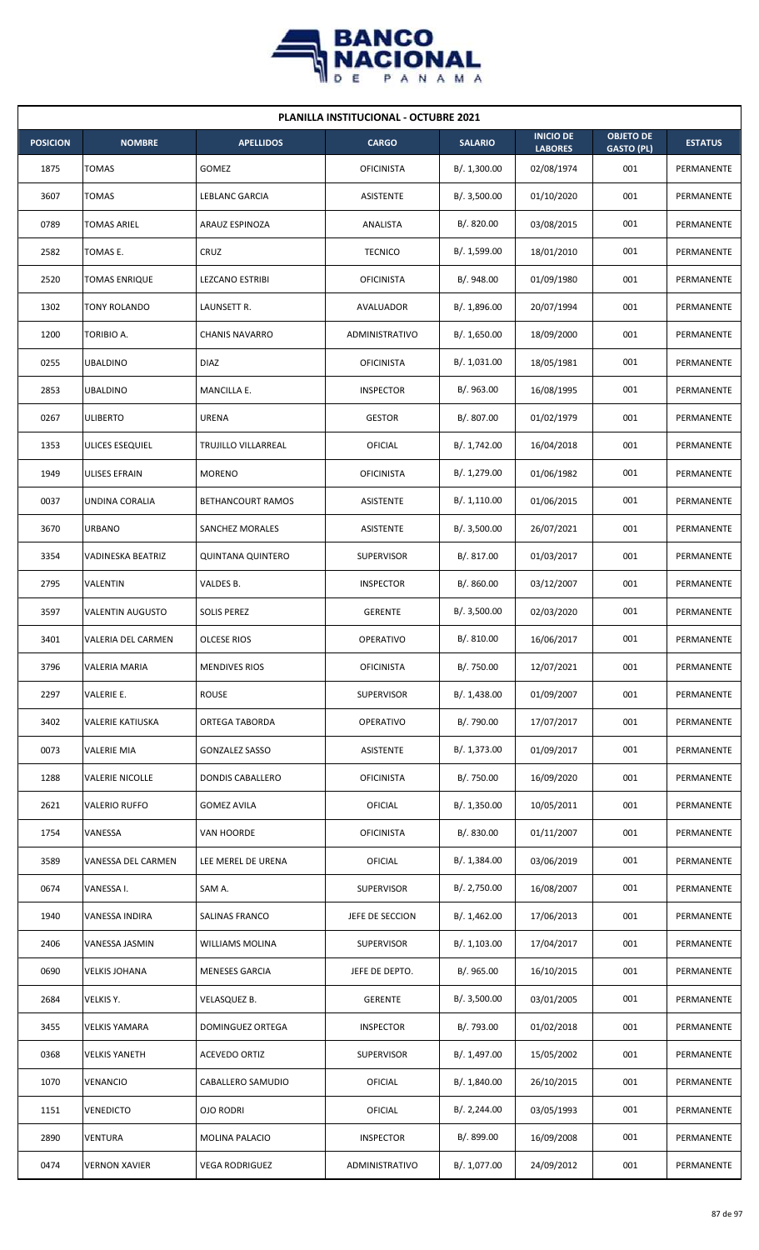

| <b>PLANILLA INSTITUCIONAL - OCTUBRE 2021</b> |                           |                          |                   |                |                                    |                                       |                |  |  |
|----------------------------------------------|---------------------------|--------------------------|-------------------|----------------|------------------------------------|---------------------------------------|----------------|--|--|
| <b>POSICION</b>                              | <b>NOMBRE</b>             | <b>APELLIDOS</b>         | <b>CARGO</b>      | <b>SALARIO</b> | <b>INICIO DE</b><br><b>LABORES</b> | <b>OBJETO DE</b><br><b>GASTO (PL)</b> | <b>ESTATUS</b> |  |  |
| 1875                                         | TOMAS                     | GOMEZ                    | <b>OFICINISTA</b> | B/.1,300.00    | 02/08/1974                         | 001                                   | PERMANENTE     |  |  |
| 3607                                         | TOMAS                     | LEBLANC GARCIA           | ASISTENTE         | B/.3,500.00    | 01/10/2020                         | 001                                   | PERMANENTE     |  |  |
| 0789                                         | TOMAS ARIEL               | ARAUZ ESPINOZA           | ANALISTA          | B/. 820.00     | 03/08/2015                         | 001                                   | PERMANENTE     |  |  |
| 2582                                         | TOMAS E.                  | CRUZ                     | <b>TECNICO</b>    | B/. 1,599.00   | 18/01/2010                         | 001                                   | PERMANENTE     |  |  |
| 2520                                         | <b>TOMAS ENRIQUE</b>      | <b>LEZCANO ESTRIBI</b>   | <b>OFICINISTA</b> | B/. 948.00     | 01/09/1980                         | 001                                   | PERMANENTE     |  |  |
| 1302                                         | TONY ROLANDO              | LAUNSETT R.              | AVALUADOR         | B/. 1,896.00   | 20/07/1994                         | 001                                   | PERMANENTE     |  |  |
| 1200                                         | TORIBIO A.                | <b>CHANIS NAVARRO</b>    | ADMINISTRATIVO    | B/. 1,650.00   | 18/09/2000                         | 001                                   | PERMANENTE     |  |  |
| 0255                                         | <b>UBALDINO</b>           | <b>DIAZ</b>              | <b>OFICINISTA</b> | B/. 1,031.00   | 18/05/1981                         | 001                                   | PERMANENTE     |  |  |
| 2853                                         | <b>UBALDINO</b>           | MANCILLA E.              | <b>INSPECTOR</b>  | B/.963.00      | 16/08/1995                         | 001                                   | PERMANENTE     |  |  |
| 0267                                         | ULIBERTO                  | <b>URENA</b>             | <b>GESTOR</b>     | B/. 807.00     | 01/02/1979                         | 001                                   | PERMANENTE     |  |  |
| 1353                                         | ULICES ESEQUIEL           | TRUJILLO VILLARREAL      | OFICIAL           | B/. 1,742.00   | 16/04/2018                         | 001                                   | PERMANENTE     |  |  |
| 1949                                         | ULISES EFRAIN             | <b>MORENO</b>            | <b>OFICINISTA</b> | B/. 1,279.00   | 01/06/1982                         | 001                                   | PERMANENTE     |  |  |
| 0037                                         | UNDINA CORALIA            | BETHANCOURT RAMOS        | ASISTENTE         | B/.1,110.00    | 01/06/2015                         | 001                                   | PERMANENTE     |  |  |
| 3670                                         | <b>URBANO</b>             | SANCHEZ MORALES          | ASISTENTE         | B/.3,500.00    | 26/07/2021                         | 001                                   | PERMANENTE     |  |  |
| 3354                                         | VADINESKA BEATRIZ         | <b>QUINTANA QUINTERO</b> | <b>SUPERVISOR</b> | B/. 817.00     | 01/03/2017                         | 001                                   | PERMANENTE     |  |  |
| 2795                                         | VALENTIN                  | VALDES B.                | <b>INSPECTOR</b>  | B/. 860.00     | 03/12/2007                         | 001                                   | PERMANENTE     |  |  |
| 3597                                         | <b>VALENTIN AUGUSTO</b>   | <b>SOLIS PEREZ</b>       | <b>GERENTE</b>    | B/.3,500.00    | 02/03/2020                         | 001                                   | PERMANENTE     |  |  |
| 3401                                         | <b>VALERIA DEL CARMEN</b> | <b>OLCESE RIOS</b>       | <b>OPERATIVO</b>  | B/. 810.00     | 16/06/2017                         | 001                                   | PERMANENTE     |  |  |
| 3796                                         | <b>VALERIA MARIA</b>      | <b>MENDIVES RIOS</b>     | <b>OFICINISTA</b> | B/. 750.00     | 12/07/2021                         | 001                                   | PERMANENTE     |  |  |
| 2297                                         | VALERIE E.                | ROUSE                    | <b>SUPERVISOR</b> | B/. 1,438.00   | 01/09/2007                         | 001                                   | PERMANENTE     |  |  |
| 3402                                         | VALERIE KATIUSKA          | ORTEGA TABORDA           | OPERATIVO         | B/.790.00      | 17/07/2017                         | 001                                   | PERMANENTE     |  |  |
| 0073                                         | <b>VALERIE MIA</b>        | <b>GONZALEZ SASSO</b>    | ASISTENTE         | B/. 1,373.00   | 01/09/2017                         | 001                                   | PERMANENTE     |  |  |
| 1288                                         | <b>VALERIE NICOLLE</b>    | <b>DONDIS CABALLERO</b>  | <b>OFICINISTA</b> | B/. 750.00     | 16/09/2020                         | 001                                   | PERMANENTE     |  |  |
| 2621                                         | <b>VALERIO RUFFO</b>      | <b>GOMEZ AVILA</b>       | OFICIAL           | B/. 1,350.00   | 10/05/2011                         | 001                                   | PERMANENTE     |  |  |
| 1754                                         | VANESSA                   | VAN HOORDE               | <b>OFICINISTA</b> | B/. 830.00     | 01/11/2007                         | 001                                   | PERMANENTE     |  |  |
| 3589                                         | VANESSA DEL CARMEN        | LEE MEREL DE URENA       | OFICIAL           | B/. 1,384.00   | 03/06/2019                         | 001                                   | PERMANENTE     |  |  |
| 0674                                         | VANESSA I.                | SAM A.                   | <b>SUPERVISOR</b> | B/. 2,750.00   | 16/08/2007                         | 001                                   | PERMANENTE     |  |  |
| 1940                                         | VANESSA INDIRA            | SALINAS FRANCO           | JEFE DE SECCION   | B/. 1,462.00   | 17/06/2013                         | 001                                   | PERMANENTE     |  |  |
| 2406                                         | VANESSA JASMIN            | WILLIAMS MOLINA          | SUPERVISOR        | B/. 1,103.00   | 17/04/2017                         | 001                                   | PERMANENTE     |  |  |
| 0690                                         | <b>VELKIS JOHANA</b>      | <b>MENESES GARCIA</b>    | JEFE DE DEPTO.    | B/. 965.00     | 16/10/2015                         | 001                                   | PERMANENTE     |  |  |
| 2684                                         | VELKIS Y.                 | VELASQUEZ B.             | <b>GERENTE</b>    | B/. 3,500.00   | 03/01/2005                         | 001                                   | PERMANENTE     |  |  |
| 3455                                         | <b>VELKIS YAMARA</b>      | DOMINGUEZ ORTEGA         | <b>INSPECTOR</b>  | B/. 793.00     | 01/02/2018                         | 001                                   | PERMANENTE     |  |  |
| 0368                                         | <b>VELKIS YANETH</b>      | ACEVEDO ORTIZ            | <b>SUPERVISOR</b> | B/. 1,497.00   | 15/05/2002                         | 001                                   | PERMANENTE     |  |  |
| 1070                                         | VENANCIO                  | CABALLERO SAMUDIO        | OFICIAL           | B/. 1,840.00   | 26/10/2015                         | 001                                   | PERMANENTE     |  |  |
| 1151                                         | <b>VENEDICTO</b>          | OJO RODRI                | OFICIAL           | B/.2,244.00    | 03/05/1993                         | 001                                   | PERMANENTE     |  |  |
| 2890                                         | VENTURA                   | <b>MOLINA PALACIO</b>    | <b>INSPECTOR</b>  | B/. 899.00     | 16/09/2008                         | 001                                   | PERMANENTE     |  |  |
| 0474                                         | <b>VERNON XAVIER</b>      | <b>VEGA RODRIGUEZ</b>    | ADMINISTRATIVO    | B/. 1,077.00   | 24/09/2012                         | 001                                   | PERMANENTE     |  |  |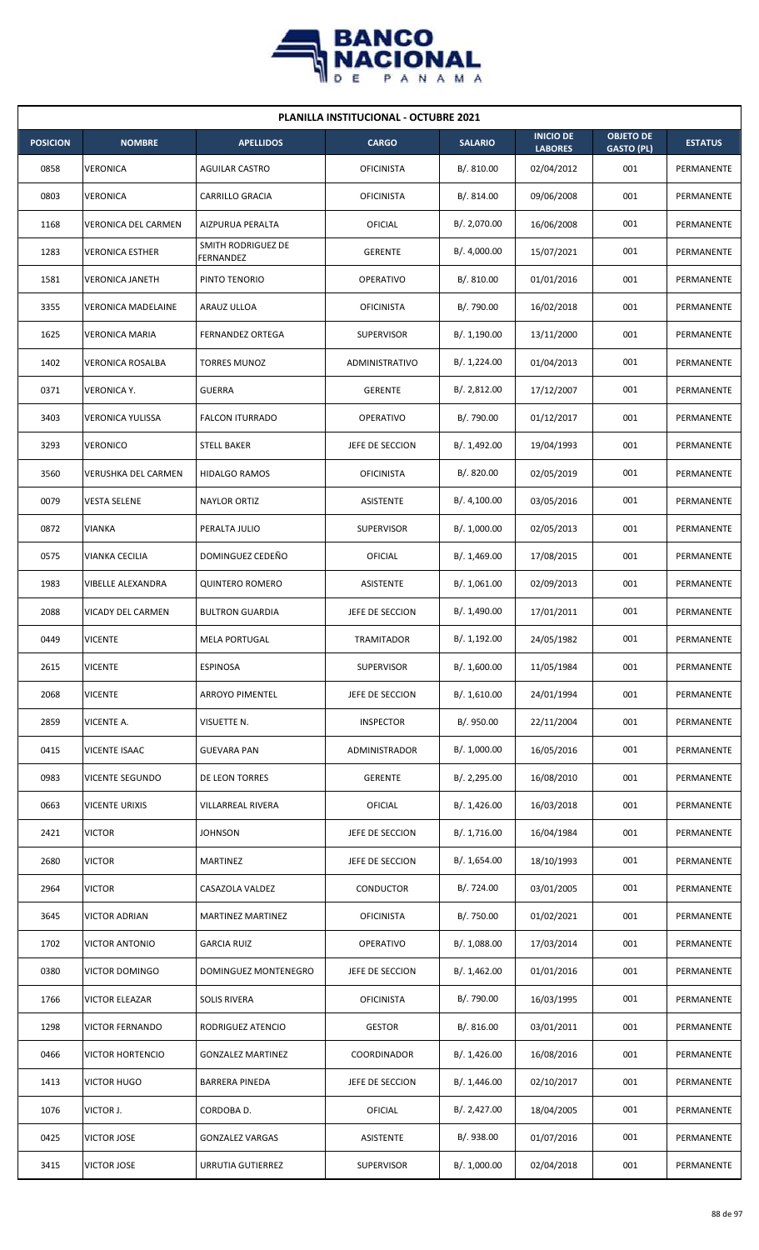

|                 | <b>PLANILLA INSTITUCIONAL - OCTUBRE 2021</b> |                                 |                   |                |                                    |                                       |                   |  |  |  |  |
|-----------------|----------------------------------------------|---------------------------------|-------------------|----------------|------------------------------------|---------------------------------------|-------------------|--|--|--|--|
| <b>POSICION</b> | <b>NOMBRE</b>                                | <b>APELLIDOS</b>                | <b>CARGO</b>      | <b>SALARIO</b> | <b>INICIO DE</b><br><b>LABORES</b> | <b>OBJETO DE</b><br><b>GASTO (PL)</b> | <b>ESTATUS</b>    |  |  |  |  |
| 0858            | <b>VERONICA</b>                              | <b>AGUILAR CASTRO</b>           | <b>OFICINISTA</b> | B/. 810.00     | 02/04/2012                         | 001                                   | PERMANENTE        |  |  |  |  |
| 0803            | VERONICA                                     | CARRILLO GRACIA                 | <b>OFICINISTA</b> | B/.814.00      | 09/06/2008                         | 001                                   | PERMANENTE        |  |  |  |  |
| 1168            | VERONICA DEL CARMEN                          | AIZPURUA PERALTA                | OFICIAL           | B/. 2,070.00   | 16/06/2008                         | 001                                   | PERMANENTE        |  |  |  |  |
| 1283            | <b>VERONICA ESTHER</b>                       | SMITH RODRIGUEZ DE<br>FERNANDEZ | <b>GERENTE</b>    | B/.4,000.00    | 15/07/2021                         | 001                                   | PERMANENTE        |  |  |  |  |
| 1581            | <b>VERONICA JANETH</b>                       | PINTO TENORIO                   | OPERATIVO         | B/.810.00      | 01/01/2016                         | 001                                   | PERMANENTE        |  |  |  |  |
| 3355            | <b>VERONICA MADELAINE</b>                    | ARAUZ ULLOA                     | <b>OFICINISTA</b> | B/. 790.00     | 16/02/2018                         | 001                                   | PERMANENTE        |  |  |  |  |
| 1625            | <b>VERONICA MARIA</b>                        | <b>FERNANDEZ ORTEGA</b>         | <b>SUPERVISOR</b> | B/. 1,190.00   | 13/11/2000                         | 001                                   | PERMANENTE        |  |  |  |  |
| 1402            | <b>VERONICA ROSALBA</b>                      | <b>TORRES MUNOZ</b>             | ADMINISTRATIVO    | B/. 1,224.00   | 01/04/2013                         | 001                                   | PERMANENTE        |  |  |  |  |
| 0371            | <b>VERONICA Y.</b>                           | <b>GUERRA</b>                   | <b>GERENTE</b>    | B/. 2,812.00   | 17/12/2007                         | 001                                   | PERMANENTE        |  |  |  |  |
| 3403            | <b>VERONICA YULISSA</b>                      | <b>FALCON ITURRADO</b>          | OPERATIVO         | B/. 790.00     | 01/12/2017                         | 001                                   | PERMANENTE        |  |  |  |  |
| 3293            | VERONICO                                     | <b>STELL BAKER</b>              | JEFE DE SECCION   | B/. 1,492.00   | 19/04/1993                         | 001                                   | <b>PERMANENTE</b> |  |  |  |  |
| 3560            | VERUSHKA DEL CARMEN                          | <b>HIDALGO RAMOS</b>            | <b>OFICINISTA</b> | B/. 820.00     | 02/05/2019                         | 001                                   | PERMANENTE        |  |  |  |  |
| 0079            | <b>VESTA SELENE</b>                          | <b>NAYLOR ORTIZ</b>             | ASISTENTE         | B/. 4,100.00   | 03/05/2016                         | 001                                   | PERMANENTE        |  |  |  |  |
| 0872            | VIANKA                                       | PERALTA JULIO                   | <b>SUPERVISOR</b> | B/. 1,000.00   | 02/05/2013                         | 001                                   | PERMANENTE        |  |  |  |  |
| 0575            | VIANKA CECILIA                               | DOMINGUEZ CEDEÑO                | OFICIAL           | B/.1,469.00    | 17/08/2015                         | 001                                   | PERMANENTE        |  |  |  |  |
| 1983            | VIBELLE ALEXANDRA                            | <b>QUINTERO ROMERO</b>          | ASISTENTE         | B/. 1,061.00   | 02/09/2013                         | 001                                   | PERMANENTE        |  |  |  |  |
| 2088            | VICADY DEL CARMEN                            | <b>BULTRON GUARDIA</b>          | JEFE DE SECCION   | B/. 1,490.00   | 17/01/2011                         | 001                                   | PERMANENTE        |  |  |  |  |
| 0449            | <b>VICENTE</b>                               | <b>MELA PORTUGAL</b>            | <b>TRAMITADOR</b> | B/. 1,192.00   | 24/05/1982                         | 001                                   | PERMANENTE        |  |  |  |  |
| 2615            | <b>VICENTE</b>                               | <b>ESPINOSA</b>                 | <b>SUPERVISOR</b> | B/. 1,600.00   | 11/05/1984                         | 001                                   | PERMANENTE        |  |  |  |  |
| 2068            | <b>VICENTE</b>                               | <b>ARROYO PIMENTEL</b>          | JEFE DE SECCION   | B/.1,610.00    | 24/01/1994                         | 001                                   | PERMANENTE        |  |  |  |  |
| 2859            | VICENTE A.                                   | VISUETTE N.                     | <b>INSPECTOR</b>  | B/. 950.00     | 22/11/2004                         | 001                                   | PERMANENTE        |  |  |  |  |
| 0415            | VICENTE ISAAC                                | <b>GUEVARA PAN</b>              | ADMINISTRADOR     | B/. 1,000.00   | 16/05/2016                         | 001                                   | PERMANENTE        |  |  |  |  |
| 0983            | VICENTE SEGUNDO                              | DE LEON TORRES                  | <b>GERENTE</b>    | B/. 2,295.00   | 16/08/2010                         | 001                                   | PERMANENTE        |  |  |  |  |
| 0663            | <b>VICENTE URIXIS</b>                        | VILLARREAL RIVERA               | <b>OFICIAL</b>    | B/. 1,426.00   | 16/03/2018                         | 001                                   | PERMANENTE        |  |  |  |  |
| 2421            | <b>VICTOR</b>                                | <b>JOHNSON</b>                  | JEFE DE SECCION   | B/. 1,716.00   | 16/04/1984                         | 001                                   | PERMANENTE        |  |  |  |  |
| 2680            | <b>VICTOR</b>                                | <b>MARTINEZ</b>                 | JEFE DE SECCION   | B/. 1,654.00   | 18/10/1993                         | 001                                   | PERMANENTE        |  |  |  |  |
| 2964            | <b>VICTOR</b>                                | CASAZOLA VALDEZ                 | CONDUCTOR         | B/. 724.00     | 03/01/2005                         | 001                                   | PERMANENTE        |  |  |  |  |
| 3645            | <b>VICTOR ADRIAN</b>                         | <b>MARTINEZ MARTINEZ</b>        | <b>OFICINISTA</b> | B/. 750.00     | 01/02/2021                         | 001                                   | PERMANENTE        |  |  |  |  |
| 1702            | <b>VICTOR ANTONIO</b>                        | <b>GARCIA RUIZ</b>              | OPERATIVO         | B/.1,088.00    | 17/03/2014                         | 001                                   | PERMANENTE        |  |  |  |  |
| 0380            | VICTOR DOMINGO                               | DOMINGUEZ MONTENEGRO            | JEFE DE SECCION   | B/. 1,462.00   | 01/01/2016                         | 001                                   | PERMANENTE        |  |  |  |  |
| 1766            | VICTOR ELEAZAR                               | <b>SOLIS RIVERA</b>             | <b>OFICINISTA</b> | B/. 790.00     | 16/03/1995                         | 001                                   | PERMANENTE        |  |  |  |  |
| 1298            | <b>VICTOR FERNANDO</b>                       | RODRIGUEZ ATENCIO               | <b>GESTOR</b>     | B/.816.00      | 03/01/2011                         | 001                                   | PERMANENTE        |  |  |  |  |
| 0466            | <b>VICTOR HORTENCIO</b>                      | <b>GONZALEZ MARTINEZ</b>        | COORDINADOR       | B/.1,426.00    | 16/08/2016                         | 001                                   | PERMANENTE        |  |  |  |  |
| 1413            | <b>VICTOR HUGO</b>                           | <b>BARRERA PINEDA</b>           | JEFE DE SECCION   | B/.1,446.00    | 02/10/2017                         | 001                                   | PERMANENTE        |  |  |  |  |
| 1076            | VICTOR J.                                    | CORDOBA D.                      | <b>OFICIAL</b>    | B/.2,427.00    | 18/04/2005                         | 001                                   | PERMANENTE        |  |  |  |  |
| 0425            | <b>VICTOR JOSE</b>                           | <b>GONZALEZ VARGAS</b>          | ASISTENTE         | B/. 938.00     | 01/07/2016                         | 001                                   | PERMANENTE        |  |  |  |  |
| 3415            | VICTOR JOSE                                  | URRUTIA GUTIERREZ               | <b>SUPERVISOR</b> | B/. 1,000.00   | 02/04/2018                         | 001                                   | PERMANENTE        |  |  |  |  |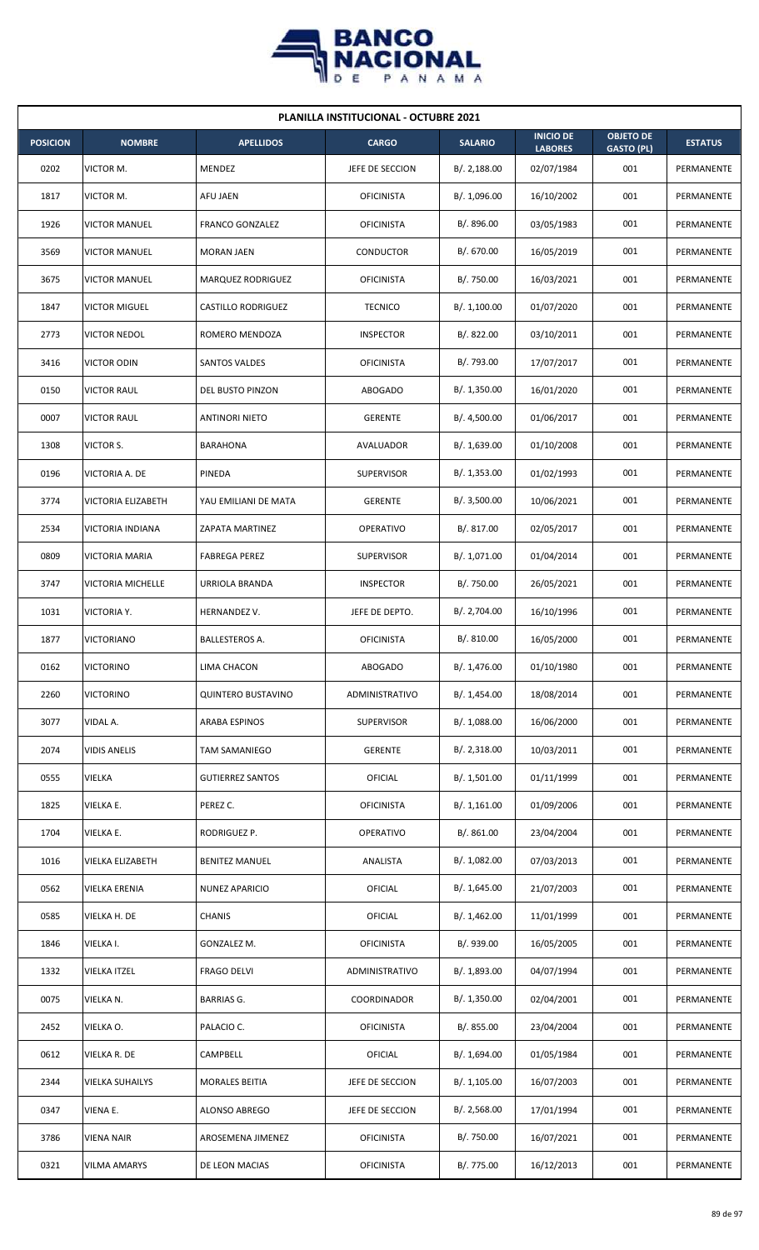

| <b>PLANILLA INSTITUCIONAL - OCTUBRE 2021</b> |                        |                           |                   |                |                                    |                                       |                |  |  |
|----------------------------------------------|------------------------|---------------------------|-------------------|----------------|------------------------------------|---------------------------------------|----------------|--|--|
| <b>POSICION</b>                              | <b>NOMBRE</b>          | <b>APELLIDOS</b>          | <b>CARGO</b>      | <b>SALARIO</b> | <b>INICIO DE</b><br><b>LABORES</b> | <b>OBJETO DE</b><br><b>GASTO (PL)</b> | <b>ESTATUS</b> |  |  |
| 0202                                         | VICTOR M.              | MENDEZ                    | JEFE DE SECCION   | B/.2,188.00    | 02/07/1984                         | 001                                   | PERMANENTE     |  |  |
| 1817                                         | VICTOR M.              | AFU JAEN                  | <b>OFICINISTA</b> | B/. 1,096.00   | 16/10/2002                         | 001                                   | PERMANENTE     |  |  |
| 1926                                         | <b>VICTOR MANUEL</b>   | <b>FRANCO GONZALEZ</b>    | <b>OFICINISTA</b> | B/. 896.00     | 03/05/1983                         | 001                                   | PERMANENTE     |  |  |
| 3569                                         | <b>VICTOR MANUEL</b>   | <b>MORAN JAEN</b>         | CONDUCTOR         | B/. 670.00     | 16/05/2019                         | 001                                   | PERMANENTE     |  |  |
| 3675                                         | <b>VICTOR MANUEL</b>   | MARQUEZ RODRIGUEZ         | <b>OFICINISTA</b> | B/. 750.00     | 16/03/2021                         | 001                                   | PERMANENTE     |  |  |
| 1847                                         | <b>VICTOR MIGUEL</b>   | <b>CASTILLO RODRIGUEZ</b> | <b>TECNICO</b>    | B/. 1,100.00   | 01/07/2020                         | 001                                   | PERMANENTE     |  |  |
| 2773                                         | <b>VICTOR NEDOL</b>    | ROMERO MENDOZA            | <b>INSPECTOR</b>  | B/. 822.00     | 03/10/2011                         | 001                                   | PERMANENTE     |  |  |
| 3416                                         | <b>VICTOR ODIN</b>     | SANTOS VALDES             | <b>OFICINISTA</b> | B/. 793.00     | 17/07/2017                         | 001                                   | PERMANENTE     |  |  |
| 0150                                         | <b>VICTOR RAUL</b>     | DEL BUSTO PINZON          | <b>ABOGADO</b>    | B/.1,350.00    | 16/01/2020                         | 001                                   | PERMANENTE     |  |  |
| 0007                                         | <b>VICTOR RAUL</b>     | <b>ANTINORI NIETO</b>     | <b>GERENTE</b>    | B/. 4,500.00   | 01/06/2017                         | 001                                   | PERMANENTE     |  |  |
| 1308                                         | VICTOR S.              | <b>BARAHONA</b>           | AVALUADOR         | B/. 1,639.00   | 01/10/2008                         | 001                                   | PERMANENTE     |  |  |
| 0196                                         | VICTORIA A. DE         | PINEDA                    | <b>SUPERVISOR</b> | B/. 1,353.00   | 01/02/1993                         | 001                                   | PERMANENTE     |  |  |
| 3774                                         | VICTORIA ELIZABETH     | YAU EMILIANI DE MATA      | <b>GERENTE</b>    | B/. 3,500.00   | 10/06/2021                         | 001                                   | PERMANENTE     |  |  |
| 2534                                         | VICTORIA INDIANA       | <b>ZAPATA MARTINEZ</b>    | <b>OPERATIVO</b>  | B/. 817.00     | 02/05/2017                         | 001                                   | PERMANENTE     |  |  |
| 0809                                         | <b>VICTORIA MARIA</b>  | <b>FABREGA PEREZ</b>      | <b>SUPERVISOR</b> | B/. 1,071.00   | 01/04/2014                         | 001                                   | PERMANENTE     |  |  |
| 3747                                         | VICTORIA MICHELLE      | URRIOLA BRANDA            | <b>INSPECTOR</b>  | B/. 750.00     | 26/05/2021                         | 001                                   | PERMANENTE     |  |  |
| 1031                                         | VICTORIA Y.            | HERNANDEZ V.              | JEFE DE DEPTO.    | B/. 2,704.00   | 16/10/1996                         | 001                                   | PERMANENTE     |  |  |
| 1877                                         | <b>VICTORIANO</b>      | BALLESTEROS A.            | <b>OFICINISTA</b> | B/. 810.00     | 16/05/2000                         | 001                                   | PERMANENTE     |  |  |
| 0162                                         | <b>VICTORINO</b>       | LIMA CHACON               | ABOGADO           | B/. 1,476.00   | 01/10/1980                         | 001                                   | PERMANENTE     |  |  |
| 2260                                         | <b>VICTORINO</b>       | <b>QUINTERO BUSTAVINO</b> | ADMINISTRATIVO    | B/. 1,454.00   | 18/08/2014                         | 001                                   | PERMANENTE     |  |  |
| 3077                                         | VIDAL A.               | <b>ARABA ESPINOS</b>      | <b>SUPERVISOR</b> | B/. 1,088.00   | 16/06/2000                         | 001                                   | PERMANENTE     |  |  |
| 2074                                         | <b>VIDIS ANELIS</b>    | TAM SAMANIEGO             | <b>GERENTE</b>    | B/.2,318.00    | 10/03/2011                         | 001                                   | PERMANENTE     |  |  |
| 0555                                         | VIELKA                 | <b>GUTIERREZ SANTOS</b>   | <b>OFICIAL</b>    | B/. 1,501.00   | 01/11/1999                         | 001                                   | PERMANENTE     |  |  |
| 1825                                         | VIELKA E.              | PEREZ C.                  | <b>OFICINISTA</b> | B/. 1,161.00   | 01/09/2006                         | 001                                   | PERMANENTE     |  |  |
| 1704                                         | VIELKA E.              | RODRIGUEZ P.              | OPERATIVO         | B/. 861.00     | 23/04/2004                         | 001                                   | PERMANENTE     |  |  |
| 1016                                         | VIELKA ELIZABETH       | <b>BENITEZ MANUEL</b>     | ANALISTA          | B/. 1,082.00   | 07/03/2013                         | 001                                   | PERMANENTE     |  |  |
| 0562                                         | VIELKA ERENIA          | <b>NUNEZ APARICIO</b>     | OFICIAL           | B/. 1,645.00   | 21/07/2003                         | 001                                   | PERMANENTE     |  |  |
| 0585                                         | VIELKA H. DE           | CHANIS                    | OFICIAL           | B/. 1,462.00   | 11/01/1999                         | 001                                   | PERMANENTE     |  |  |
| 1846                                         | VIELKA I.              | GONZALEZ M.               | <b>OFICINISTA</b> | B/. 939.00     | 16/05/2005                         | 001                                   | PERMANENTE     |  |  |
| 1332                                         | VIELKA ITZEL           | <b>FRAGO DELVI</b>        | ADMINISTRATIVO    | B/. 1,893.00   | 04/07/1994                         | 001                                   | PERMANENTE     |  |  |
| 0075                                         | VIELKA N.              | <b>BARRIAS G.</b>         | COORDINADOR       | B/. 1,350.00   | 02/04/2001                         | 001                                   | PERMANENTE     |  |  |
| 2452                                         | VIELKA O.              | PALACIO C.                | <b>OFICINISTA</b> | B/. 855.00     | 23/04/2004                         | 001                                   | PERMANENTE     |  |  |
| 0612                                         | VIELKA R. DE           | CAMPBELL                  | <b>OFICIAL</b>    | B/. 1,694.00   | 01/05/1984                         | 001                                   | PERMANENTE     |  |  |
| 2344                                         | <b>VIELKA SUHAILYS</b> | <b>MORALES BEITIA</b>     | JEFE DE SECCION   | B/.1,105.00    | 16/07/2003                         | 001                                   | PERMANENTE     |  |  |
| 0347                                         | VIENA E.               | ALONSO ABREGO             | JEFE DE SECCION   | B/.2,568.00    | 17/01/1994                         | 001                                   | PERMANENTE     |  |  |
| 3786                                         | <b>VIENA NAIR</b>      | AROSEMENA JIMENEZ         | <b>OFICINISTA</b> | B/. 750.00     | 16/07/2021                         | 001                                   | PERMANENTE     |  |  |
| 0321                                         | <b>VILMA AMARYS</b>    | DE LEON MACIAS            | <b>OFICINISTA</b> | B/. 775.00     | 16/12/2013                         | 001                                   | PERMANENTE     |  |  |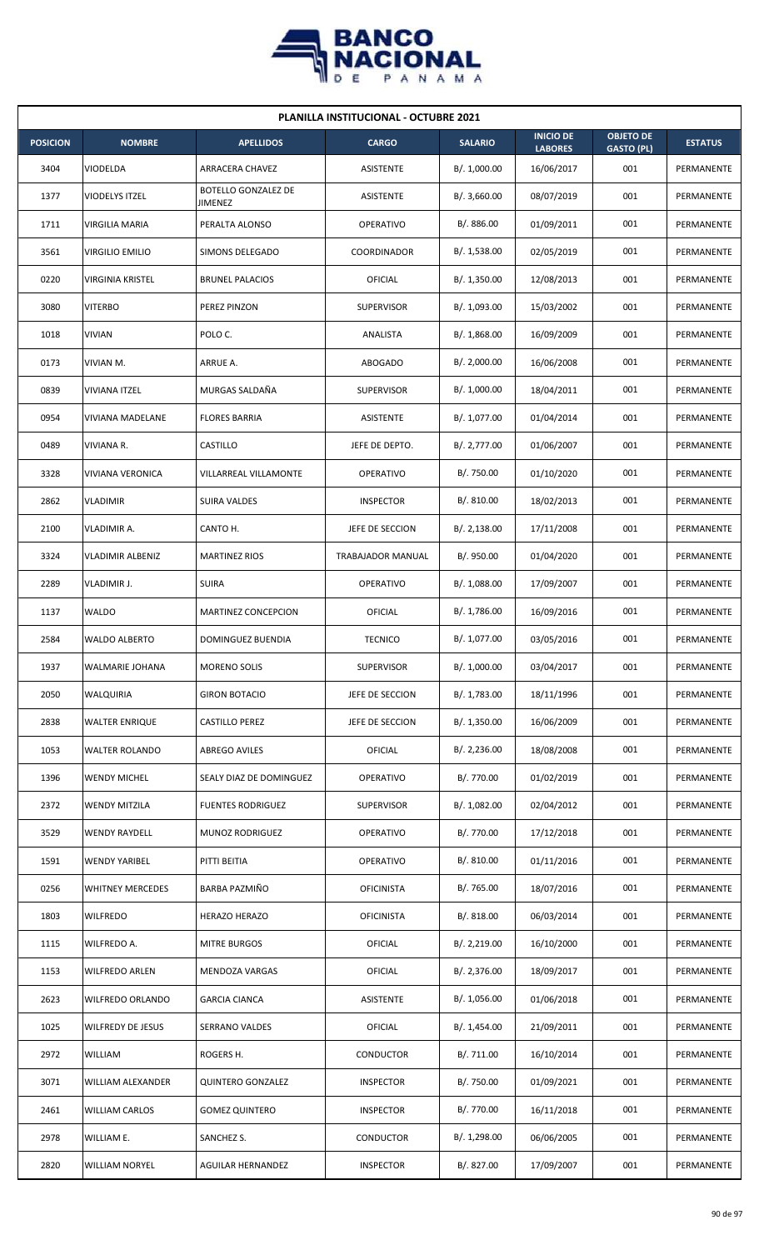

| <b>PLANILLA INSTITUCIONAL - OCTUBRE 2021</b> |                          |                                       |                   |                |                                    |                                       |                |  |  |
|----------------------------------------------|--------------------------|---------------------------------------|-------------------|----------------|------------------------------------|---------------------------------------|----------------|--|--|
| <b>POSICION</b>                              | <b>NOMBRE</b>            | <b>APELLIDOS</b>                      | <b>CARGO</b>      | <b>SALARIO</b> | <b>INICIO DE</b><br><b>LABORES</b> | <b>OBJETO DE</b><br><b>GASTO (PL)</b> | <b>ESTATUS</b> |  |  |
| 3404                                         | VIODELDA                 | ARRACERA CHAVEZ                       | ASISTENTE         | B/. 1,000.00   | 16/06/2017                         | 001                                   | PERMANENTE     |  |  |
| 1377                                         | VIODELYS ITZEL           | <b>BOTELLO GONZALEZ DE</b><br>JIMENEZ | ASISTENTE         | B/. 3,660.00   | 08/07/2019                         | 001                                   | PERMANENTE     |  |  |
| 1711                                         | VIRGILIA MARIA           | PERALTA ALONSO                        | <b>OPERATIVO</b>  | B/. 886.00     | 01/09/2011                         | 001                                   | PERMANENTE     |  |  |
| 3561                                         | <b>VIRGILIO EMILIO</b>   | SIMONS DELEGADO                       | COORDINADOR       | B/. 1,538.00   | 02/05/2019                         | 001                                   | PERMANENTE     |  |  |
| 0220                                         | <b>VIRGINIA KRISTEL</b>  | <b>BRUNEL PALACIOS</b>                | OFICIAL           | B/.1,350.00    | 12/08/2013                         | 001                                   | PERMANENTE     |  |  |
| 3080                                         | <b>VITERBO</b>           | PEREZ PINZON                          | <b>SUPERVISOR</b> | B/. 1,093.00   | 15/03/2002                         | 001                                   | PERMANENTE     |  |  |
| 1018                                         | <b>VIVIAN</b>            | POLO C.                               | ANALISTA          | B/.1,868.00    | 16/09/2009                         | 001                                   | PERMANENTE     |  |  |
| 0173                                         | VIVIAN M.                | ARRUE A.                              | ABOGADO           | B/.2,000.00    | 16/06/2008                         | 001                                   | PERMANENTE     |  |  |
| 0839                                         | <b>VIVIANA ITZEL</b>     | MURGAS SALDAÑA                        | <b>SUPERVISOR</b> | B/. 1,000.00   | 18/04/2011                         | 001                                   | PERMANENTE     |  |  |
| 0954                                         | <b>VIVIANA MADELANE</b>  | <b>FLORES BARRIA</b>                  | <b>ASISTENTE</b>  | B/. 1,077.00   | 01/04/2014                         | 001                                   | PERMANENTE     |  |  |
| 0489                                         | <b>VIVIANA R.</b>        | CASTILLO                              | JEFE DE DEPTO.    | B/. 2,777.00   | 01/06/2007                         | 001                                   | PERMANENTE     |  |  |
| 3328                                         | VIVIANA VERONICA         | VILLARREAL VILLAMONTE                 | <b>OPERATIVO</b>  | B/. 750.00     | 01/10/2020                         | 001                                   | PERMANENTE     |  |  |
| 2862                                         | <b>VLADIMIR</b>          | SUIRA VALDES                          | <b>INSPECTOR</b>  | B/. 810.00     | 18/02/2013                         | 001                                   | PERMANENTE     |  |  |
| 2100                                         | VLADIMIR A.              | CANTO H.                              | JEFE DE SECCION   | B/.2,138.00    | 17/11/2008                         | 001                                   | PERMANENTE     |  |  |
| 3324                                         | <b>VLADIMIR ALBENIZ</b>  | <b>MARTINEZ RIOS</b>                  | TRABAJADOR MANUAL | B/. 950.00     | 01/04/2020                         | 001                                   | PERMANENTE     |  |  |
| 2289                                         | VLADIMIR J.              | <b>SUIRA</b>                          | OPERATIVO         | B/. 1,088.00   | 17/09/2007                         | 001                                   | PERMANENTE     |  |  |
| 1137                                         | WALDO                    | MARTINEZ CONCEPCION                   | OFICIAL           | B/. 1,786.00   | 16/09/2016                         | 001                                   | PERMANENTE     |  |  |
| 2584                                         | <b>WALDO ALBERTO</b>     | DOMINGUEZ BUENDIA                     | <b>TECNICO</b>    | B/. 1,077.00   | 03/05/2016                         | 001                                   | PERMANENTE     |  |  |
| 1937                                         | WALMARIE JOHANA          | <b>MORENO SOLIS</b>                   | SUPERVISOR        | B/. 1,000.00   | 03/04/2017                         | 001                                   | PERMANENTE     |  |  |
| 2050                                         | WALQUIRIA                | <b>GIRON BOTACIO</b>                  | JEFE DE SECCION   | B/. 1,783.00   | 18/11/1996                         | 001                                   | PERMANENTE     |  |  |
| 2838                                         | <b>WALTER ENRIQUE</b>    | CASTILLO PEREZ                        | JEFE DE SECCION   | B/.1,350.00    | 16/06/2009                         | 001                                   | PERMANENTE     |  |  |
| 1053                                         | <b>WALTER ROLANDO</b>    | <b>ABREGO AVILES</b>                  | <b>OFICIAL</b>    | B/.2,236.00    | 18/08/2008                         | 001                                   | PERMANENTE     |  |  |
| 1396                                         | <b>WENDY MICHEL</b>      | SEALY DIAZ DE DOMINGUEZ               | OPERATIVO         | B/. 770.00     | 01/02/2019                         | 001                                   | PERMANENTE     |  |  |
| 2372                                         | <b>WENDY MITZILA</b>     | <b>FUENTES RODRIGUEZ</b>              | <b>SUPERVISOR</b> | B/. 1,082.00   | 02/04/2012                         | 001                                   | PERMANENTE     |  |  |
| 3529                                         | <b>WENDY RAYDELL</b>     | MUNOZ RODRIGUEZ                       | OPERATIVO         | B/. 770.00     | 17/12/2018                         | 001                                   | PERMANENTE     |  |  |
| 1591                                         | <b>WENDY YARIBEL</b>     | PITTI BEITIA                          | OPERATIVO         | B/. 810.00     | 01/11/2016                         | 001                                   | PERMANENTE     |  |  |
| 0256                                         | <b>WHITNEY MERCEDES</b>  | BARBA PAZMIÑO                         | <b>OFICINISTA</b> | B/. 765.00     | 18/07/2016                         | 001                                   | PERMANENTE     |  |  |
| 1803                                         | <b>WILFREDO</b>          | HERAZO HERAZO                         | <b>OFICINISTA</b> | B/. 818.00     | 06/03/2014                         | 001                                   | PERMANENTE     |  |  |
| 1115                                         | <b>WILFREDO A.</b>       | <b>MITRE BURGOS</b>                   | OFICIAL           | B/. 2,219.00   | 16/10/2000                         | 001                                   | PERMANENTE     |  |  |
| 1153                                         | <b>WILFREDO ARLEN</b>    | MENDOZA VARGAS                        | <b>OFICIAL</b>    | B/.2,376.00    | 18/09/2017                         | 001                                   | PERMANENTE     |  |  |
| 2623                                         | WILFREDO ORLANDO         | <b>GARCIA CIANCA</b>                  | ASISTENTE         | B/. 1,056.00   | 01/06/2018                         | 001                                   | PERMANENTE     |  |  |
| 1025                                         | <b>WILFREDY DE JESUS</b> | SERRANO VALDES                        | <b>OFICIAL</b>    | B/. 1,454.00   | 21/09/2011                         | 001                                   | PERMANENTE     |  |  |
| 2972                                         | WILLIAM                  | ROGERS H.                             | CONDUCTOR         | B/. 711.00     | 16/10/2014                         | 001                                   | PERMANENTE     |  |  |
| 3071                                         | WILLIAM ALEXANDER        | <b>QUINTERO GONZALEZ</b>              | <b>INSPECTOR</b>  | B/. 750.00     | 01/09/2021                         | 001                                   | PERMANENTE     |  |  |
| 2461                                         | <b>WILLIAM CARLOS</b>    | <b>GOMEZ QUINTERO</b>                 | <b>INSPECTOR</b>  | B/. 770.00     | 16/11/2018                         | 001                                   | PERMANENTE     |  |  |
| 2978                                         | WILLIAM E.               | SANCHEZ S.                            | CONDUCTOR         | B/. 1,298.00   | 06/06/2005                         | 001                                   | PERMANENTE     |  |  |
| 2820                                         | <b>WILLIAM NORYEL</b>    | <b>AGUILAR HERNANDEZ</b>              | <b>INSPECTOR</b>  | B/. 827.00     | 17/09/2007                         | 001                                   | PERMANENTE     |  |  |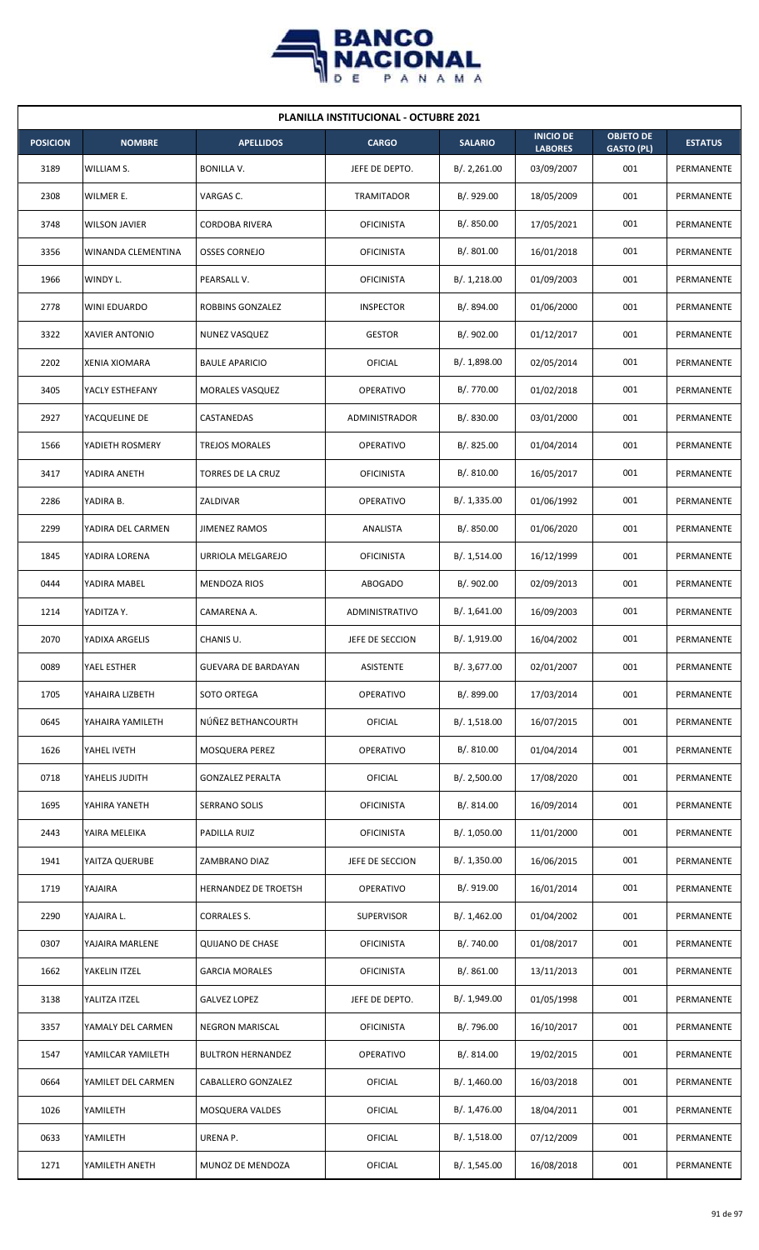

| <b>PLANILLA INSTITUCIONAL - OCTUBRE 2021</b> |                      |                          |                   |                |                                    |                                       |                   |  |  |
|----------------------------------------------|----------------------|--------------------------|-------------------|----------------|------------------------------------|---------------------------------------|-------------------|--|--|
| <b>POSICION</b>                              | <b>NOMBRE</b>        | <b>APELLIDOS</b>         | <b>CARGO</b>      | <b>SALARIO</b> | <b>INICIO DE</b><br><b>LABORES</b> | <b>OBJETO DE</b><br><b>GASTO (PL)</b> | <b>ESTATUS</b>    |  |  |
| 3189                                         | WILLIAM S.           | <b>BONILLA V.</b>        | JEFE DE DEPTO.    | B/.2,261.00    | 03/09/2007                         | 001                                   | PERMANENTE        |  |  |
| 2308                                         | WILMER E.            | VARGAS C.                | TRAMITADOR        | B/. 929.00     | 18/05/2009                         | 001                                   | PERMANENTE        |  |  |
| 3748                                         | <b>WILSON JAVIER</b> | <b>CORDOBA RIVERA</b>    | <b>OFICINISTA</b> | B/. 850.00     | 17/05/2021                         | 001                                   | PERMANENTE        |  |  |
| 3356                                         | WINANDA CLEMENTINA   | <b>OSSES CORNEJO</b>     | <b>OFICINISTA</b> | B/. 801.00     | 16/01/2018                         | 001                                   | <b>PERMANENTE</b> |  |  |
| 1966                                         | WINDY L.             | PEARSALL V.              | <b>OFICINISTA</b> | B/.1,218.00    | 01/09/2003                         | 001                                   | PERMANENTE        |  |  |
| 2778                                         | WINI EDUARDO         | ROBBINS GONZALEZ         | <b>INSPECTOR</b>  | B/. 894.00     | 01/06/2000                         | 001                                   | PERMANENTE        |  |  |
| 3322                                         | XAVIER ANTONIO       | <b>NUNEZ VASQUEZ</b>     | <b>GESTOR</b>     | B/. 902.00     | 01/12/2017                         | 001                                   | PERMANENTE        |  |  |
| 2202                                         | <b>XENIA XIOMARA</b> | <b>BAULE APARICIO</b>    | OFICIAL           | B/. 1,898.00   | 02/05/2014                         | 001                                   | PERMANENTE        |  |  |
| 3405                                         | YACLY ESTHEFANY      | MORALES VASQUEZ          | OPERATIVO         | B/. 770.00     | 01/02/2018                         | 001                                   | PERMANENTE        |  |  |
| 2927                                         | YACQUELINE DE        | CASTANEDAS               | ADMINISTRADOR     | B/. 830.00     | 03/01/2000                         | 001                                   | PERMANENTE        |  |  |
| 1566                                         | YADIETH ROSMERY      | <b>TREJOS MORALES</b>    | OPERATIVO         | B/. 825.00     | 01/04/2014                         | 001                                   | PERMANENTE        |  |  |
| 3417                                         | YADIRA ANETH         | TORRES DE LA CRUZ        | <b>OFICINISTA</b> | B/. 810.00     | 16/05/2017                         | 001                                   | PERMANENTE        |  |  |
| 2286                                         | YADIRA B.            | ZALDIVAR                 | OPERATIVO         | B/. 1,335.00   | 01/06/1992                         | 001                                   | PERMANENTE        |  |  |
| 2299                                         | YADIRA DEL CARMEN    | <b>JIMENEZ RAMOS</b>     | ANALISTA          | B/. 850.00     | 01/06/2020                         | 001                                   | PERMANENTE        |  |  |
| 1845                                         | YADIRA LORENA        | URRIOLA MELGAREJO        | <b>OFICINISTA</b> | B/. 1,514.00   | 16/12/1999                         | 001                                   | PERMANENTE        |  |  |
| 0444                                         | YADIRA MABEL         | <b>MENDOZA RIOS</b>      | <b>ABOGADO</b>    | B/. 902.00     | 02/09/2013                         | 001                                   | PERMANENTE        |  |  |
| 1214                                         | YADITZA Y.           | CAMARENA A.              | ADMINISTRATIVO    | B/.1,641.00    | 16/09/2003                         | 001                                   | PERMANENTE        |  |  |
| 2070                                         | YADIXA ARGELIS       | CHANIS U.                | JEFE DE SECCION   | B/. 1,919.00   | 16/04/2002                         | 001                                   | PERMANENTE        |  |  |
| 0089                                         | YAEL ESTHER          | GUEVARA DE BARDAYAN      | ASISTENTE         | B/. 3,677.00   | 02/01/2007                         | 001                                   | PERMANENTE        |  |  |
| 1705                                         | YAHAIRA LIZBETH      | SOTO ORTEGA              | OPERATIVO         | B/. 899.00     | 17/03/2014                         | 001                                   | PERMANENTE        |  |  |
| 0645                                         | YAHAIRA YAMILETH     | NÚÑEZ BETHANCOURTH       | <b>OFICIAL</b>    | B/.1,518.00    | 16/07/2015                         | 001                                   | PERMANENTE        |  |  |
| 1626                                         | YAHEL IVETH          | MOSQUERA PEREZ           | OPERATIVO         | B/. 810.00     | 01/04/2014                         | 001                                   | PERMANENTE        |  |  |
| 0718                                         | YAHELIS JUDITH       | <b>GONZALEZ PERALTA</b>  | <b>OFICIAL</b>    | B/. 2,500.00   | 17/08/2020                         | 001                                   | PERMANENTE        |  |  |
| 1695                                         | YAHIRA YANETH        | SERRANO SOLIS            | <b>OFICINISTA</b> | B/. 814.00     | 16/09/2014                         | 001                                   | PERMANENTE        |  |  |
| 2443                                         | YAIRA MELEIKA        | PADILLA RUIZ             | <b>OFICINISTA</b> | B/. 1,050.00   | 11/01/2000                         | 001                                   | PERMANENTE        |  |  |
| 1941                                         | YAITZA QUERUBE       | ZAMBRANO DIAZ            | JEFE DE SECCION   | B/.1,350.00    | 16/06/2015                         | 001                                   | PERMANENTE        |  |  |
| 1719                                         | YAJAIRA              | HERNANDEZ DE TROETSH     | OPERATIVO         | B/. 919.00     | 16/01/2014                         | 001                                   | PERMANENTE        |  |  |
| 2290                                         | YAJAIRA L.           | CORRALES S.              | <b>SUPERVISOR</b> | B/. 1,462.00   | 01/04/2002                         | 001                                   | PERMANENTE        |  |  |
| 0307                                         | YAJAIRA MARLENE      | <b>QUIJANO DE CHASE</b>  | <b>OFICINISTA</b> | B/. 740.00     | 01/08/2017                         | 001                                   | PERMANENTE        |  |  |
| 1662                                         | YAKELIN ITZEL        | <b>GARCIA MORALES</b>    | <b>OFICINISTA</b> | B/. 861.00     | 13/11/2013                         | 001                                   | PERMANENTE        |  |  |
| 3138                                         | YALITZA ITZEL        | <b>GALVEZ LOPEZ</b>      | JEFE DE DEPTO.    | B/. 1,949.00   | 01/05/1998                         | 001                                   | PERMANENTE        |  |  |
| 3357                                         | YAMALY DEL CARMEN    | NEGRON MARISCAL          | <b>OFICINISTA</b> | B/. 796.00     | 16/10/2017                         | 001                                   | PERMANENTE        |  |  |
| 1547                                         | YAMILCAR YAMILETH    | <b>BULTRON HERNANDEZ</b> | OPERATIVO         | B/. 814.00     | 19/02/2015                         | 001                                   | PERMANENTE        |  |  |
| 0664                                         | YAMILET DEL CARMEN   | CABALLERO GONZALEZ       | OFICIAL           | B/.1,460.00    | 16/03/2018                         | 001                                   | PERMANENTE        |  |  |
| 1026                                         | YAMILETH             | MOSQUERA VALDES          | OFICIAL           | B/. 1,476.00   | 18/04/2011                         | 001                                   | PERMANENTE        |  |  |
| 0633                                         | YAMILETH             | URENA P.                 | <b>OFICIAL</b>    | B/.1,518.00    | 07/12/2009                         | 001                                   | PERMANENTE        |  |  |
| 1271                                         | YAMILETH ANETH       | MUNOZ DE MENDOZA         | OFICIAL           | B/.1,545.00    | 16/08/2018                         | 001                                   | PERMANENTE        |  |  |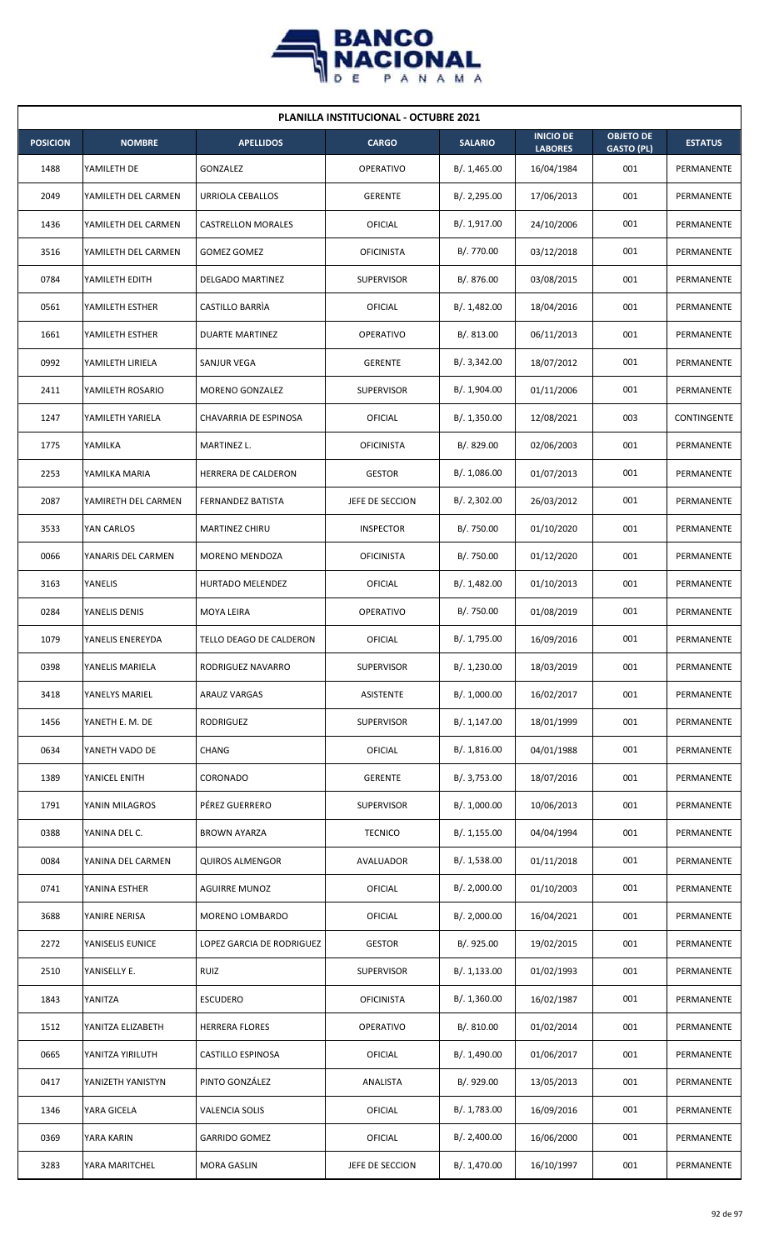

| <b>PLANILLA INSTITUCIONAL - OCTUBRE 2021</b> |                     |                           |                   |                |                                    |                                       |                    |  |  |
|----------------------------------------------|---------------------|---------------------------|-------------------|----------------|------------------------------------|---------------------------------------|--------------------|--|--|
| <b>POSICION</b>                              | <b>NOMBRE</b>       | <b>APELLIDOS</b>          | <b>CARGO</b>      | <b>SALARIO</b> | <b>INICIO DE</b><br><b>LABORES</b> | <b>OBJETO DE</b><br><b>GASTO (PL)</b> | <b>ESTATUS</b>     |  |  |
| 1488                                         | YAMILETH DE         | <b>GONZALEZ</b>           | <b>OPERATIVO</b>  | B/. 1,465.00   | 16/04/1984                         | 001                                   | PERMANENTE         |  |  |
| 2049                                         | YAMILETH DEL CARMEN | URRIOLA CEBALLOS          | <b>GERENTE</b>    | B/.2,295.00    | 17/06/2013                         | 001                                   | <b>PERMANENTE</b>  |  |  |
| 1436                                         | YAMILETH DEL CARMEN | <b>CASTRELLON MORALES</b> | OFICIAL           | B/. 1,917.00   | 24/10/2006                         | 001                                   | PERMANENTE         |  |  |
| 3516                                         | YAMILETH DEL CARMEN | <b>GOMEZ GOMEZ</b>        | <b>OFICINISTA</b> | B/. 770.00     | 03/12/2018                         | 001                                   | PERMANENTE         |  |  |
| 0784                                         | YAMILETH EDITH      | DELGADO MARTINEZ          | <b>SUPERVISOR</b> | B/. 876.00     | 03/08/2015                         | 001                                   | PERMANENTE         |  |  |
| 0561                                         | YAMILETH ESTHER     | CASTILLO BARRIA           | OFICIAL           | B/. 1,482.00   | 18/04/2016                         | 001                                   | PERMANENTE         |  |  |
| 1661                                         | YAMILETH ESTHER     | <b>DUARTE MARTINEZ</b>    | <b>OPERATIVO</b>  | B/0.813.00     | 06/11/2013                         | 001                                   | PERMANENTE         |  |  |
| 0992                                         | YAMILETH LIRIELA    | SANJUR VEGA               | <b>GERENTE</b>    | B/. 3,342.00   | 18/07/2012                         | 001                                   | PERMANENTE         |  |  |
| 2411                                         | YAMILETH ROSARIO    | <b>MORENO GONZALEZ</b>    | <b>SUPERVISOR</b> | B/. 1,904.00   | 01/11/2006                         | 001                                   | PERMANENTE         |  |  |
| 1247                                         | YAMILETH YARIELA    | CHAVARRIA DE ESPINOSA     | OFICIAL           | B/. 1,350.00   | 12/08/2021                         | 003                                   | <b>CONTINGENTE</b> |  |  |
| 1775                                         | YAMILKA             | MARTINEZ L.               | <b>OFICINISTA</b> | B/. 829.00     | 02/06/2003                         | 001                                   | PERMANENTE         |  |  |
| 2253                                         | YAMILKA MARIA       | HERRERA DE CALDERON       | <b>GESTOR</b>     | B/.1,086.00    | 01/07/2013                         | 001                                   | PERMANENTE         |  |  |
| 2087                                         | YAMIRETH DEL CARMEN | FERNANDEZ BATISTA         | JEFE DE SECCION   | B/.2,302.00    | 26/03/2012                         | 001                                   | PERMANENTE         |  |  |
| 3533                                         | YAN CARLOS          | MARTINEZ CHIRU            | <b>INSPECTOR</b>  | B/. 750.00     | 01/10/2020                         | 001                                   | PERMANENTE         |  |  |
| 0066                                         | YANARIS DEL CARMEN  | MORENO MENDOZA            | <b>OFICINISTA</b> | B/. 750.00     | 01/12/2020                         | 001                                   | PERMANENTE         |  |  |
| 3163                                         | YANELIS             | HURTADO MELENDEZ          | OFICIAL           | B/.1,482.00    | 01/10/2013                         | 001                                   | PERMANENTE         |  |  |
| 0284                                         | YANELIS DENIS       | <b>MOYA LEIRA</b>         | <b>OPERATIVO</b>  | B/. 750.00     | 01/08/2019                         | 001                                   | PERMANENTE         |  |  |
| 1079                                         | YANELIS ENEREYDA    | TELLO DEAGO DE CALDERON   | OFICIAL           | B/. 1,795.00   | 16/09/2016                         | 001                                   | PERMANENTE         |  |  |
| 0398                                         | YANELIS MARIELA     | RODRIGUEZ NAVARRO         | <b>SUPERVISOR</b> | B/. 1,230.00   | 18/03/2019                         | 001                                   | PERMANENTE         |  |  |
| 3418                                         | YANELYS MARIEL      | ARAUZ VARGAS              | ASISTENTE         | B/. 1,000.00   | 16/02/2017                         | 001                                   | PERMANENTE         |  |  |
| 1456                                         | YANETH E. M. DE     | RODRIGUEZ                 | <b>SUPERVISOR</b> | B/. 1,147.00   | 18/01/1999                         | 001                                   | PERMANENTE         |  |  |
| 0634                                         | YANETH VADO DE      | CHANG                     | OFICIAL           | B/.1,816.00    | 04/01/1988                         | 001                                   | PERMANENTE         |  |  |
| 1389                                         | YANICEL ENITH       | CORONADO                  | <b>GERENTE</b>    | B/. 3,753.00   | 18/07/2016                         | 001                                   | PERMANENTE         |  |  |
| 1791                                         | YANIN MILAGROS      | PÉREZ GUERRERO            | <b>SUPERVISOR</b> | B/. 1,000.00   | 10/06/2013                         | 001                                   | PERMANENTE         |  |  |
| 0388                                         | YANINA DEL C.       | <b>BROWN AYARZA</b>       | <b>TECNICO</b>    | B/. 1,155.00   | 04/04/1994                         | 001                                   | PERMANENTE         |  |  |
| 0084                                         | YANINA DEL CARMEN   | <b>QUIROS ALMENGOR</b>    | AVALUADOR         | B/. 1,538.00   | 01/11/2018                         | 001                                   | PERMANENTE         |  |  |
| 0741                                         | YANINA ESTHER       | <b>AGUIRRE MUNOZ</b>      | OFICIAL           | B/.2,000.00    | 01/10/2003                         | 001                                   | PERMANENTE         |  |  |
| 3688                                         | YANIRE NERISA       | MORENO LOMBARDO           | OFICIAL           | B/.2,000.00    | 16/04/2021                         | 001                                   | PERMANENTE         |  |  |
| 2272                                         | YANISELIS EUNICE    | LOPEZ GARCIA DE RODRIGUEZ | <b>GESTOR</b>     | B/. 925.00     | 19/02/2015                         | 001                                   | PERMANENTE         |  |  |
| 2510                                         | YANISELLY E.        | <b>RUIZ</b>               | <b>SUPERVISOR</b> | B/. 1,133.00   | 01/02/1993                         | 001                                   | PERMANENTE         |  |  |
| 1843                                         | YANITZA             | <b>ESCUDERO</b>           | <b>OFICINISTA</b> | B/.1,360.00    | 16/02/1987                         | 001                                   | PERMANENTE         |  |  |
| 1512                                         | YANITZA ELIZABETH   | <b>HERRERA FLORES</b>     | <b>OPERATIVO</b>  | B/. 810.00     | 01/02/2014                         | 001                                   | PERMANENTE         |  |  |
| 0665                                         | YANITZA YIRILUTH    | CASTILLO ESPINOSA         | OFICIAL           | B/. 1,490.00   | 01/06/2017                         | 001                                   | PERMANENTE         |  |  |
| 0417                                         | YANIZETH YANISTYN   | PINTO GONZÁLEZ            | ANALISTA          | B/. 929.00     | 13/05/2013                         | 001                                   | PERMANENTE         |  |  |
| 1346                                         | YARA GICELA         | <b>VALENCIA SOLIS</b>     | OFICIAL           | B/. 1,783.00   | 16/09/2016                         | 001                                   | PERMANENTE         |  |  |
| 0369                                         | YARA KARIN          | <b>GARRIDO GOMEZ</b>      | OFICIAL           | B/.2,400.00    | 16/06/2000                         | 001                                   | PERMANENTE         |  |  |
| 3283                                         | YARA MARITCHEL      | <b>MORA GASLIN</b>        | JEFE DE SECCION   | B/. 1,470.00   | 16/10/1997                         | 001                                   | PERMANENTE         |  |  |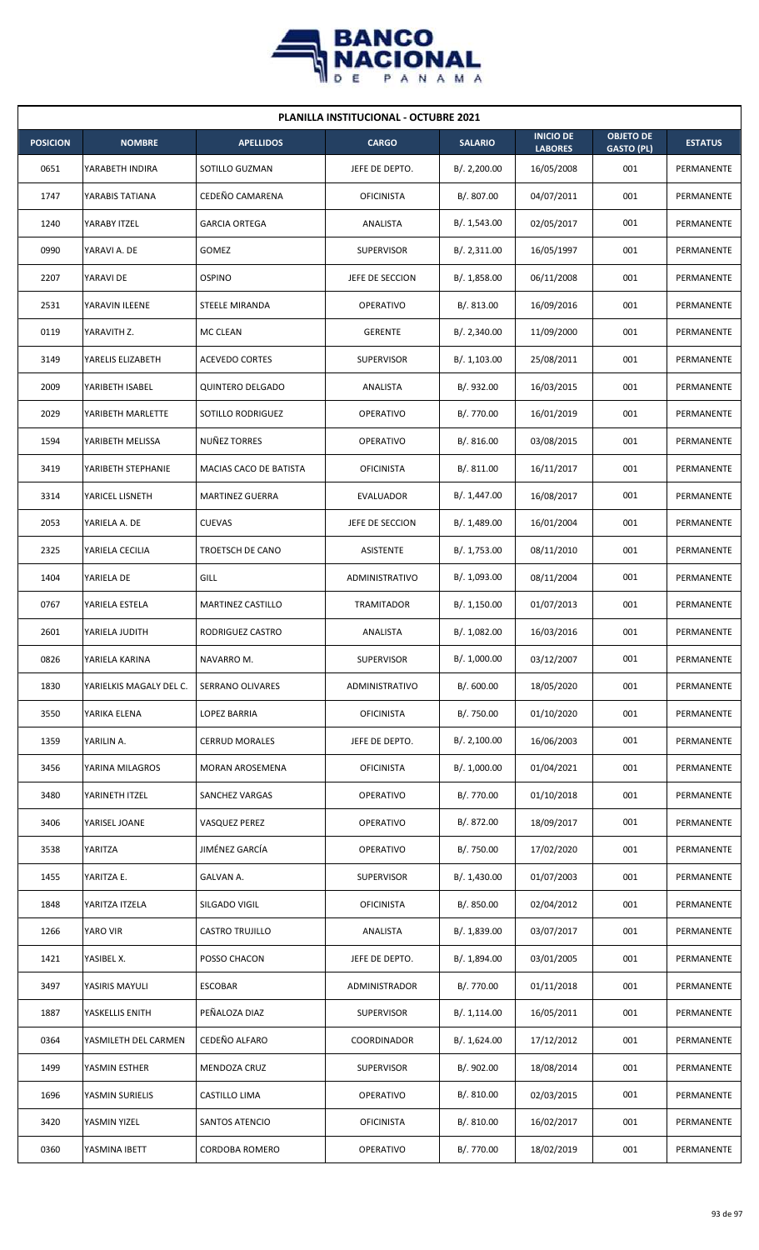

| <b>PLANILLA INSTITUCIONAL - OCTUBRE 2021</b> |                         |                          |                   |                |                                    |                                       |                |  |  |
|----------------------------------------------|-------------------------|--------------------------|-------------------|----------------|------------------------------------|---------------------------------------|----------------|--|--|
| <b>POSICION</b>                              | <b>NOMBRE</b>           | <b>APELLIDOS</b>         | <b>CARGO</b>      | <b>SALARIO</b> | <b>INICIO DE</b><br><b>LABORES</b> | <b>OBJETO DE</b><br><b>GASTO (PL)</b> | <b>ESTATUS</b> |  |  |
| 0651                                         | YARABETH INDIRA         | SOTILLO GUZMAN           | JEFE DE DEPTO.    | B/. 2,200.00   | 16/05/2008                         | 001                                   | PERMANENTE     |  |  |
| 1747                                         | YARABIS TATIANA         | CEDEÑO CAMARENA          | <b>OFICINISTA</b> | B/. 807.00     | 04/07/2011                         | 001                                   | PERMANENTE     |  |  |
| 1240                                         | YARABY ITZEL            | <b>GARCIA ORTEGA</b>     | ANALISTA          | B/. 1,543.00   | 02/05/2017                         | 001                                   | PERMANENTE     |  |  |
| 0990                                         | YARAVI A. DE            | GOMEZ                    | <b>SUPERVISOR</b> | B/.2,311.00    | 16/05/1997                         | 001                                   | PERMANENTE     |  |  |
| 2207                                         | YARAVI DE               | <b>OSPINO</b>            | JEFE DE SECCION   | B/.1,858.00    | 06/11/2008                         | 001                                   | PERMANENTE     |  |  |
| 2531                                         | YARAVIN ILEENE          | STEELE MIRANDA           | <b>OPERATIVO</b>  | B/. 813.00     | 16/09/2016                         | 001                                   | PERMANENTE     |  |  |
| 0119                                         | YARAVITH Z.             | <b>MC CLEAN</b>          | <b>GERENTE</b>    | B/.2,340.00    | 11/09/2000                         | 001                                   | PERMANENTE     |  |  |
| 3149                                         | YARELIS ELIZABETH       | <b>ACEVEDO CORTES</b>    | <b>SUPERVISOR</b> | B/. 1,103.00   | 25/08/2011                         | 001                                   | PERMANENTE     |  |  |
| 2009                                         | YARIBETH ISABEL         | <b>QUINTERO DELGADO</b>  | ANALISTA          | B/. 932.00     | 16/03/2015                         | 001                                   | PERMANENTE     |  |  |
| 2029                                         | YARIBETH MARLETTE       | SOTILLO RODRIGUEZ        | <b>OPERATIVO</b>  | B/. 770.00     | 16/01/2019                         | 001                                   | PERMANENTE     |  |  |
| 1594                                         | YARIBETH MELISSA        | NUÑEZ TORRES             | OPERATIVO         | B/. 816.00     | 03/08/2015                         | 001                                   | PERMANENTE     |  |  |
| 3419                                         | YARIBETH STEPHANIE      | MACIAS CACO DE BATISTA   | OFICINISTA        | B/. 811.00     | 16/11/2017                         | 001                                   | PERMANENTE     |  |  |
| 3314                                         | YARICEL LISNETH         | <b>MARTINEZ GUERRA</b>   | EVALUADOR         | B/. 1,447.00   | 16/08/2017                         | 001                                   | PERMANENTE     |  |  |
| 2053                                         | YARIELA A. DE           | <b>CUEVAS</b>            | JEFE DE SECCION   | B/. 1,489.00   | 16/01/2004                         | 001                                   | PERMANENTE     |  |  |
| 2325                                         | YARIELA CECILIA         | TROETSCH DE CANO         | ASISTENTE         | B/. 1,753.00   | 08/11/2010                         | 001                                   | PERMANENTE     |  |  |
| 1404                                         | YARIELA DE              | GILL                     | ADMINISTRATIVO    | B/. 1,093.00   | 08/11/2004                         | 001                                   | PERMANENTE     |  |  |
| 0767                                         | YARIELA ESTELA          | <b>MARTINEZ CASTILLO</b> | TRAMITADOR        | B/.1,150.00    | 01/07/2013                         | 001                                   | PERMANENTE     |  |  |
| 2601                                         | YARIELA JUDITH          | RODRIGUEZ CASTRO         | ANALISTA          | B/. 1,082.00   | 16/03/2016                         | 001                                   | PERMANENTE     |  |  |
| 0826                                         | YARIELA KARINA          | NAVARRO M.               | SUPERVISOR        | B/. 1,000.00   | 03/12/2007                         | 001                                   | PERMANENTE     |  |  |
| 1830                                         | YARIELKIS MAGALY DEL C. | SERRANO OLIVARES         | ADMINISTRATIVO    | B/.600.00      | 18/05/2020                         | 001                                   | PERMANENTE     |  |  |
| 3550                                         | YARIKA ELENA            | <b>LOPEZ BARRIA</b>      | <b>OFICINISTA</b> | B/. 750.00     | 01/10/2020                         | 001                                   | PERMANENTE     |  |  |
| 1359                                         | YARILIN A.              | <b>CERRUD MORALES</b>    | JEFE DE DEPTO.    | B/.2,100.00    | 16/06/2003                         | 001                                   | PERMANENTE     |  |  |
| 3456                                         | YARINA MILAGROS         | MORAN AROSEMENA          | <b>OFICINISTA</b> | B/. 1,000.00   | 01/04/2021                         | 001                                   | PERMANENTE     |  |  |
| 3480                                         | YARINETH ITZEL          | SANCHEZ VARGAS           | OPERATIVO         | B/. 770.00     | 01/10/2018                         | 001                                   | PERMANENTE     |  |  |
| 3406                                         | YARISEL JOANE           | VASQUEZ PEREZ            | OPERATIVO         | B/. 872.00     | 18/09/2017                         | 001                                   | PERMANENTE     |  |  |
| 3538                                         | YARITZA                 | JIMÉNEZ GARCÍA           | OPERATIVO         | B/. 750.00     | 17/02/2020                         | 001                                   | PERMANENTE     |  |  |
| 1455                                         | YARITZA E.              | GALVAN A.                | <b>SUPERVISOR</b> | B/. 1,430.00   | 01/07/2003                         | 001                                   | PERMANENTE     |  |  |
| 1848                                         | YARITZA ITZELA          | SILGADO VIGIL            | <b>OFICINISTA</b> | B/. 850.00     | 02/04/2012                         | 001                                   | PERMANENTE     |  |  |
| 1266                                         | YARO VIR                | <b>CASTRO TRUJILLO</b>   | ANALISTA          | B/. 1,839.00   | 03/07/2017                         | 001                                   | PERMANENTE     |  |  |
| 1421                                         | YASIBEL X.              | POSSO CHACON             | JEFE DE DEPTO.    | B/. 1,894.00   | 03/01/2005                         | 001                                   | PERMANENTE     |  |  |
| 3497                                         | YASIRIS MAYULI          | <b>ESCOBAR</b>           | ADMINISTRADOR     | B/. 770.00     | 01/11/2018                         | 001                                   | PERMANENTE     |  |  |
| 1887                                         | YASKELLIS ENITH         | PEÑALOZA DIAZ            | <b>SUPERVISOR</b> | B/. 1,114.00   | 16/05/2011                         | 001                                   | PERMANENTE     |  |  |
| 0364                                         | YASMILETH DEL CARMEN    | CEDEÑO ALFARO            | COORDINADOR       | B/. 1,624.00   | 17/12/2012                         | 001                                   | PERMANENTE     |  |  |
| 1499                                         | YASMIN ESTHER           | MENDOZA CRUZ             | <b>SUPERVISOR</b> | B/. 902.00     | 18/08/2014                         | 001                                   | PERMANENTE     |  |  |
| 1696                                         | YASMIN SURIELIS         | CASTILLO LIMA            | OPERATIVO         | B/. 810.00     | 02/03/2015                         | 001                                   | PERMANENTE     |  |  |
| 3420                                         | YASMIN YIZEL            | SANTOS ATENCIO           | <b>OFICINISTA</b> | B/. 810.00     | 16/02/2017                         | 001                                   | PERMANENTE     |  |  |
| 0360                                         | YASMINA IBETT           | <b>CORDOBA ROMERO</b>    | OPERATIVO         | B/. 770.00     | 18/02/2019                         | 001                                   | PERMANENTE     |  |  |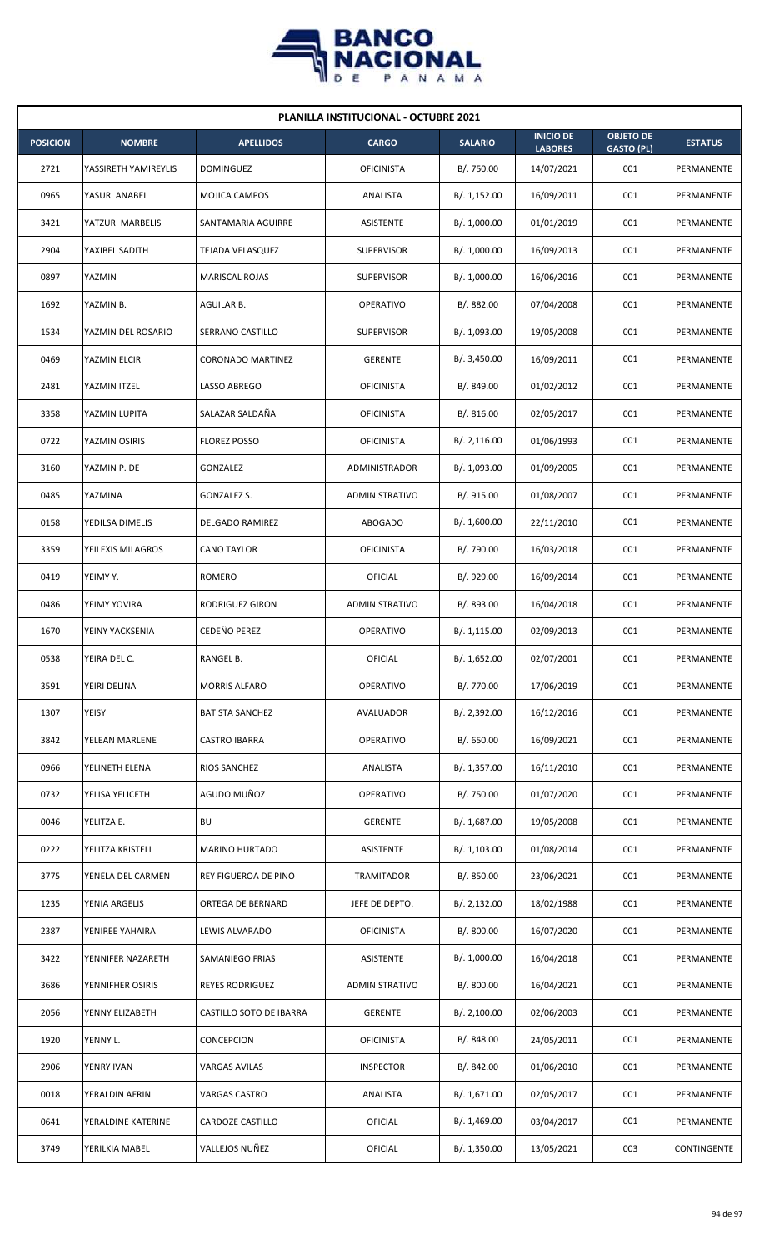

| <b>PLANILLA INSTITUCIONAL - OCTUBRE 2021</b> |                      |                         |                   |                |                                    |                                       |                |  |  |
|----------------------------------------------|----------------------|-------------------------|-------------------|----------------|------------------------------------|---------------------------------------|----------------|--|--|
| <b>POSICION</b>                              | <b>NOMBRE</b>        | <b>APELLIDOS</b>        | <b>CARGO</b>      | <b>SALARIO</b> | <b>INICIO DE</b><br><b>LABORES</b> | <b>OBJETO DE</b><br><b>GASTO (PL)</b> | <b>ESTATUS</b> |  |  |
| 2721                                         | YASSIRETH YAMIREYLIS | <b>DOMINGUEZ</b>        | <b>OFICINISTA</b> | B/. 750.00     | 14/07/2021                         | 001                                   | PERMANENTE     |  |  |
| 0965                                         | YASURI ANABEL        | MOJICA CAMPOS           | ANALISTA          | B/. 1,152.00   | 16/09/2011                         | 001                                   | PERMANENTE     |  |  |
| 3421                                         | YATZURI MARBELIS     | SANTAMARIA AGUIRRE      | <b>ASISTENTE</b>  | B/. 1,000.00   | 01/01/2019                         | 001                                   | PERMANENTE     |  |  |
| 2904                                         | YAXIBEL SADITH       | <b>TEJADA VELASQUEZ</b> | <b>SUPERVISOR</b> | B/. 1,000.00   | 16/09/2013                         | 001                                   | PERMANENTE     |  |  |
| 0897                                         | YAZMIN               | MARISCAL ROJAS          | <b>SUPERVISOR</b> | B/. 1,000.00   | 16/06/2016                         | 001                                   | PERMANENTE     |  |  |
| 1692                                         | YAZMIN B.            | AGUILAR B.              | <b>OPERATIVO</b>  | B/. 882.00     | 07/04/2008                         | 001                                   | PERMANENTE     |  |  |
| 1534                                         | YAZMIN DEL ROSARIO   | SERRANO CASTILLO        | <b>SUPERVISOR</b> | B/. 1,093.00   | 19/05/2008                         | 001                                   | PERMANENTE     |  |  |
| 0469                                         | YAZMIN ELCIRI        | CORONADO MARTINEZ       | <b>GERENTE</b>    | B/.3,450.00    | 16/09/2011                         | 001                                   | PERMANENTE     |  |  |
| 2481                                         | YAZMIN ITZEL         | LASSO ABREGO            | <b>OFICINISTA</b> | B/. 849.00     | 01/02/2012                         | 001                                   | PERMANENTE     |  |  |
| 3358                                         | YAZMIN LUPITA        | SALAZAR SALDAÑA         | <b>OFICINISTA</b> | B/. 816.00     | 02/05/2017                         | 001                                   | PERMANENTE     |  |  |
| 0722                                         | YAZMIN OSIRIS        | <b>FLOREZ POSSO</b>     | <b>OFICINISTA</b> | B/.2,116.00    | 01/06/1993                         | 001                                   | PERMANENTE     |  |  |
| 3160                                         | YAZMIN P. DE         | <b>GONZALEZ</b>         | ADMINISTRADOR     | B/. 1,093.00   | 01/09/2005                         | 001                                   | PERMANENTE     |  |  |
| 0485                                         | YAZMINA              | GONZALEZ S.             | ADMINISTRATIVO    | B/. 915.00     | 01/08/2007                         | 001                                   | PERMANENTE     |  |  |
| 0158                                         | YEDILSA DIMELIS      | DELGADO RAMIREZ         | ABOGADO           | B/. 1,600.00   | 22/11/2010                         | 001                                   | PERMANENTE     |  |  |
| 3359                                         | YEILEXIS MILAGROS    | <b>CANO TAYLOR</b>      | <b>OFICINISTA</b> | B/. 790.00     | 16/03/2018                         | 001                                   | PERMANENTE     |  |  |
| 0419                                         | YEIMY Y.             | ROMERO                  | OFICIAL           | B/. 929.00     | 16/09/2014                         | 001                                   | PERMANENTE     |  |  |
| 0486                                         | YEIMY YOVIRA         | RODRIGUEZ GIRON         | ADMINISTRATIVO    | B/. 893.00     | 16/04/2018                         | 001                                   | PERMANENTE     |  |  |
| 1670                                         | YEINY YACKSENIA      | CEDEÑO PEREZ            | OPERATIVO         | B/. 1,115.00   | 02/09/2013                         | 001                                   | PERMANENTE     |  |  |
| 0538                                         | YEIRA DEL C.         | RANGEL B.               | OFICIAL           | B/. 1,652.00   | 02/07/2001                         | 001                                   | PERMANENTE     |  |  |
| 3591                                         | YEIRI DELINA         | <b>MORRIS ALFARO</b>    | OPERATIVO         | B/. 770.00     | 17/06/2019                         | 001                                   | PERMANENTE     |  |  |
| 1307                                         | YEISY                | <b>BATISTA SANCHEZ</b>  | AVALUADOR         | B/. 2,392.00   | 16/12/2016                         | 001                                   | PERMANENTE     |  |  |
| 3842                                         | YELEAN MARLENE       | CASTRO IBARRA           | OPERATIVO         | B/. 650.00     | 16/09/2021                         | 001                                   | PERMANENTE     |  |  |
| 0966                                         | YELINETH ELENA       | RIOS SANCHEZ            | ANALISTA          | B/. 1,357.00   | 16/11/2010                         | 001                                   | PERMANENTE     |  |  |
| 0732                                         | YELISA YELICETH      | AGUDO MUÑOZ             | <b>OPERATIVO</b>  | B/. 750.00     | 01/07/2020                         | 001                                   | PERMANENTE     |  |  |
| 0046                                         | YELITZA E.           | <b>BU</b>               | <b>GERENTE</b>    | B/. 1,687.00   | 19/05/2008                         | 001                                   | PERMANENTE     |  |  |
| 0222                                         | YELITZA KRISTELL     | MARINO HURTADO          | ASISTENTE         | B/. 1,103.00   | 01/08/2014                         | 001                                   | PERMANENTE     |  |  |
| 3775                                         | YENELA DEL CARMEN    | REY FIGUEROA DE PINO    | TRAMITADOR        | B/. 850.00     | 23/06/2021                         | 001                                   | PERMANENTE     |  |  |
| 1235                                         | YENIA ARGELIS        | ORTEGA DE BERNARD       | JEFE DE DEPTO.    | B/. 2,132.00   | 18/02/1988                         | 001                                   | PERMANENTE     |  |  |
| 2387                                         | YENIREE YAHAIRA      | LEWIS ALVARADO          | <b>OFICINISTA</b> | B/. 800.00     | 16/07/2020                         | 001                                   | PERMANENTE     |  |  |
| 3422                                         | YENNIFER NAZARETH    | SAMANIEGO FRIAS         | ASISTENTE         | B/. 1,000.00   | 16/04/2018                         | 001                                   | PERMANENTE     |  |  |
| 3686                                         | YENNIFHER OSIRIS     | REYES RODRIGUEZ         | ADMINISTRATIVO    | B/. 800.00     | 16/04/2021                         | 001                                   | PERMANENTE     |  |  |
| 2056                                         | YENNY ELIZABETH      | CASTILLO SOTO DE IBARRA | <b>GERENTE</b>    | B/. 2,100.00   | 02/06/2003                         | 001                                   | PERMANENTE     |  |  |
| 1920                                         | YENNY L.             | CONCEPCION              | <b>OFICINISTA</b> | B/. 848.00     | 24/05/2011                         | 001                                   | PERMANENTE     |  |  |
| 2906                                         | YENRY IVAN           | VARGAS AVILAS           | <b>INSPECTOR</b>  | B/. 842.00     | 01/06/2010                         | 001                                   | PERMANENTE     |  |  |
| 0018                                         | YERALDIN AERIN       | VARGAS CASTRO           | ANALISTA          | B/. 1,671.00   | 02/05/2017                         | 001                                   | PERMANENTE     |  |  |
| 0641                                         | YERALDINE KATERINE   | CARDOZE CASTILLO        | <b>OFICIAL</b>    | B/. 1,469.00   | 03/04/2017                         | 001                                   | PERMANENTE     |  |  |
| 3749                                         | YERILKIA MABEL       | VALLEJOS NUÑEZ          | <b>OFICIAL</b>    | B/. 1,350.00   | 13/05/2021                         | 003                                   | CONTINGENTE    |  |  |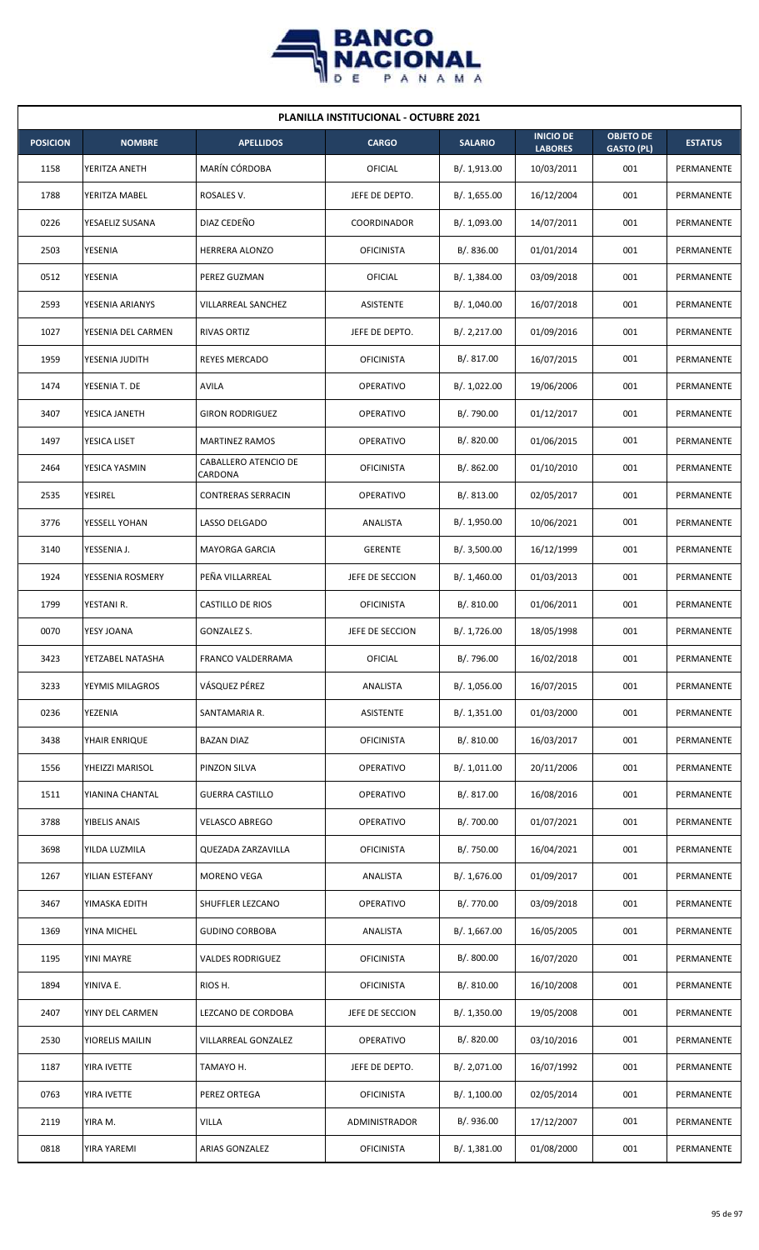

|                 | <b>PLANILLA INSTITUCIONAL - OCTUBRE 2021</b> |                                 |                   |                |                                    |                                       |                |  |  |  |
|-----------------|----------------------------------------------|---------------------------------|-------------------|----------------|------------------------------------|---------------------------------------|----------------|--|--|--|
| <b>POSICION</b> | <b>NOMBRE</b>                                | <b>APELLIDOS</b>                | <b>CARGO</b>      | <b>SALARIO</b> | <b>INICIO DE</b><br><b>LABORES</b> | <b>OBJETO DE</b><br><b>GASTO (PL)</b> | <b>ESTATUS</b> |  |  |  |
| 1158            | YERITZA ANETH                                | MARÍN CÓRDOBA                   | OFICIAL           | B/. 1,913.00   | 10/03/2011                         | 001                                   | PERMANENTE     |  |  |  |
| 1788            | YERITZA MABEL                                | ROSALES V.                      | JEFE DE DEPTO.    | B/. 1,655.00   | 16/12/2004                         | 001                                   | PERMANENTE     |  |  |  |
| 0226            | YESAELIZ SUSANA                              | DIAZ CEDEÑO                     | COORDINADOR       | B/. 1,093.00   | 14/07/2011                         | 001                                   | PERMANENTE     |  |  |  |
| 2503            | YESENIA                                      | HERRERA ALONZO                  | <b>OFICINISTA</b> | B/. 836.00     | 01/01/2014                         | 001                                   | PERMANENTE     |  |  |  |
| 0512            | YESENIA                                      | PEREZ GUZMAN                    | OFICIAL           | B/. 1,384.00   | 03/09/2018                         | 001                                   | PERMANENTE     |  |  |  |
| 2593            | YESENIA ARIANYS                              | VILLARREAL SANCHEZ              | ASISTENTE         | B/. 1,040.00   | 16/07/2018                         | 001                                   | PERMANENTE     |  |  |  |
| 1027            | YESENIA DEL CARMEN                           | <b>RIVAS ORTIZ</b>              | JEFE DE DEPTO.    | B/. 2,217.00   | 01/09/2016                         | 001                                   | PERMANENTE     |  |  |  |
| 1959            | YESENIA JUDITH                               | REYES MERCADO                   | <b>OFICINISTA</b> | B/. 817.00     | 16/07/2015                         | 001                                   | PERMANENTE     |  |  |  |
| 1474            | YESENIA T. DE                                | <b>AVILA</b>                    | <b>OPERATIVO</b>  | B/. 1,022.00   | 19/06/2006                         | 001                                   | PERMANENTE     |  |  |  |
| 3407            | YESICA JANETH                                | <b>GIRON RODRIGUEZ</b>          | <b>OPERATIVO</b>  | B/. 790.00     | 01/12/2017                         | 001                                   | PERMANENTE     |  |  |  |
| 1497            | YESICA LISET                                 | <b>MARTINEZ RAMOS</b>           | <b>OPERATIVO</b>  | B/. 820.00     | 01/06/2015                         | 001                                   | PERMANENTE     |  |  |  |
| 2464            | YESICA YASMIN                                | CABALLERO ATENCIO DE<br>CARDONA | <b>OFICINISTA</b> | B/0.862.00     | 01/10/2010                         | 001                                   | PERMANENTE     |  |  |  |
| 2535            | <b>YESIREL</b>                               | <b>CONTRERAS SERRACIN</b>       | <b>OPERATIVO</b>  | B/. 813.00     | 02/05/2017                         | 001                                   | PERMANENTE     |  |  |  |
| 3776            | YESSELL YOHAN                                | LASSO DELGADO                   | ANALISTA          | B/.1,950.00    | 10/06/2021                         | 001                                   | PERMANENTE     |  |  |  |
| 3140            | YESSENIA J.                                  | <b>MAYORGA GARCIA</b>           | <b>GERENTE</b>    | B/.3,500.00    | 16/12/1999                         | 001                                   | PERMANENTE     |  |  |  |
| 1924            | YESSENIA ROSMERY                             | PEÑA VILLARREAL                 | JEFE DE SECCION   | B/. 1,460.00   | 01/03/2013                         | 001                                   | PERMANENTE     |  |  |  |
| 1799            | YESTANI R.                                   | CASTILLO DE RIOS                | <b>OFICINISTA</b> | B/.810.00      | 01/06/2011                         | 001                                   | PERMANENTE     |  |  |  |
| 0070            | YESY JOANA                                   | <b>GONZALEZ S.</b>              | JEFE DE SECCION   | B/. 1,726.00   | 18/05/1998                         | 001                                   | PERMANENTE     |  |  |  |
| 3423            | YETZABEL NATASHA                             | FRANCO VALDERRAMA               | OFICIAL           | B/. 796.00     | 16/02/2018                         | 001                                   | PERMANENTE     |  |  |  |
| 3233            | YEYMIS MILAGROS                              | VÁSQUEZ PÉREZ                   | ANALISTA          | B/. 1,056.00   | 16/07/2015                         | 001                                   | PERMANENTE     |  |  |  |
| 0236            | YEZENIA                                      | SANTAMARIA R.                   | ASISTENTE         | B/. 1,351.00   | 01/03/2000                         | 001                                   | PERMANENTE     |  |  |  |
| 3438            | YHAIR ENRIQUE                                | <b>BAZAN DIAZ</b>               | <b>OFICINISTA</b> | B/. 810.00     | 16/03/2017                         | 001                                   | PERMANENTE     |  |  |  |
| 1556            | YHEIZZI MARISOL                              | PINZON SILVA                    | <b>OPERATIVO</b>  | B/. 1,011.00   | 20/11/2006                         | 001                                   | PERMANENTE     |  |  |  |
| 1511            | YIANINA CHANTAL                              | <b>GUERRA CASTILLO</b>          | <b>OPERATIVO</b>  | B/. 817.00     | 16/08/2016                         | 001                                   | PERMANENTE     |  |  |  |
| 3788            | YIBELIS ANAIS                                | <b>VELASCO ABREGO</b>           | <b>OPERATIVO</b>  | B/. 700.00     | 01/07/2021                         | 001                                   | PERMANENTE     |  |  |  |
| 3698            | YILDA LUZMILA                                | QUEZADA ZARZAVILLA              | <b>OFICINISTA</b> | B/. 750.00     | 16/04/2021                         | 001                                   | PERMANENTE     |  |  |  |
| 1267            | YILIAN ESTEFANY                              | <b>MORENO VEGA</b>              | ANALISTA          | B/. 1,676.00   | 01/09/2017                         | 001                                   | PERMANENTE     |  |  |  |
| 3467            | YIMASKA EDITH                                | SHUFFLER LEZCANO                | <b>OPERATIVO</b>  | B/. 770.00     | 03/09/2018                         | 001                                   | PERMANENTE     |  |  |  |
| 1369            | YINA MICHEL                                  | <b>GUDINO CORBOBA</b>           | ANALISTA          | B/.1,667.00    | 16/05/2005                         | 001                                   | PERMANENTE     |  |  |  |
| 1195            | YINI MAYRE                                   | <b>VALDES RODRIGUEZ</b>         | <b>OFICINISTA</b> | B/. 800.00     | 16/07/2020                         | 001                                   | PERMANENTE     |  |  |  |
| 1894            | YINIVA E.                                    | RIOS H.                         | <b>OFICINISTA</b> | B/. 810.00     | 16/10/2008                         | 001                                   | PERMANENTE     |  |  |  |
| 2407            | YINY DEL CARMEN                              | LEZCANO DE CORDOBA              | JEFE DE SECCION   | B/. 1,350.00   | 19/05/2008                         | 001                                   | PERMANENTE     |  |  |  |
| 2530            | YIORELIS MAILIN                              | VILLARREAL GONZALEZ             | <b>OPERATIVO</b>  | B/. 820.00     | 03/10/2016                         | 001                                   | PERMANENTE     |  |  |  |
| 1187            | YIRA IVETTE                                  | TAMAYO H.                       | JEFE DE DEPTO.    | B/. 2,071.00   | 16/07/1992                         | 001                                   | PERMANENTE     |  |  |  |
| 0763            | YIRA IVETTE                                  | PEREZ ORTEGA                    | <b>OFICINISTA</b> | B/.1,100.00    | 02/05/2014                         | 001                                   | PERMANENTE     |  |  |  |
| 2119            | YIRA M.                                      | <b>VILLA</b>                    | ADMINISTRADOR     | B/. 936.00     | 17/12/2007                         | 001                                   | PERMANENTE     |  |  |  |
| 0818            | YIRA YAREMI                                  | ARIAS GONZALEZ                  | <b>OFICINISTA</b> | B/. 1,381.00   | 01/08/2000                         | 001                                   | PERMANENTE     |  |  |  |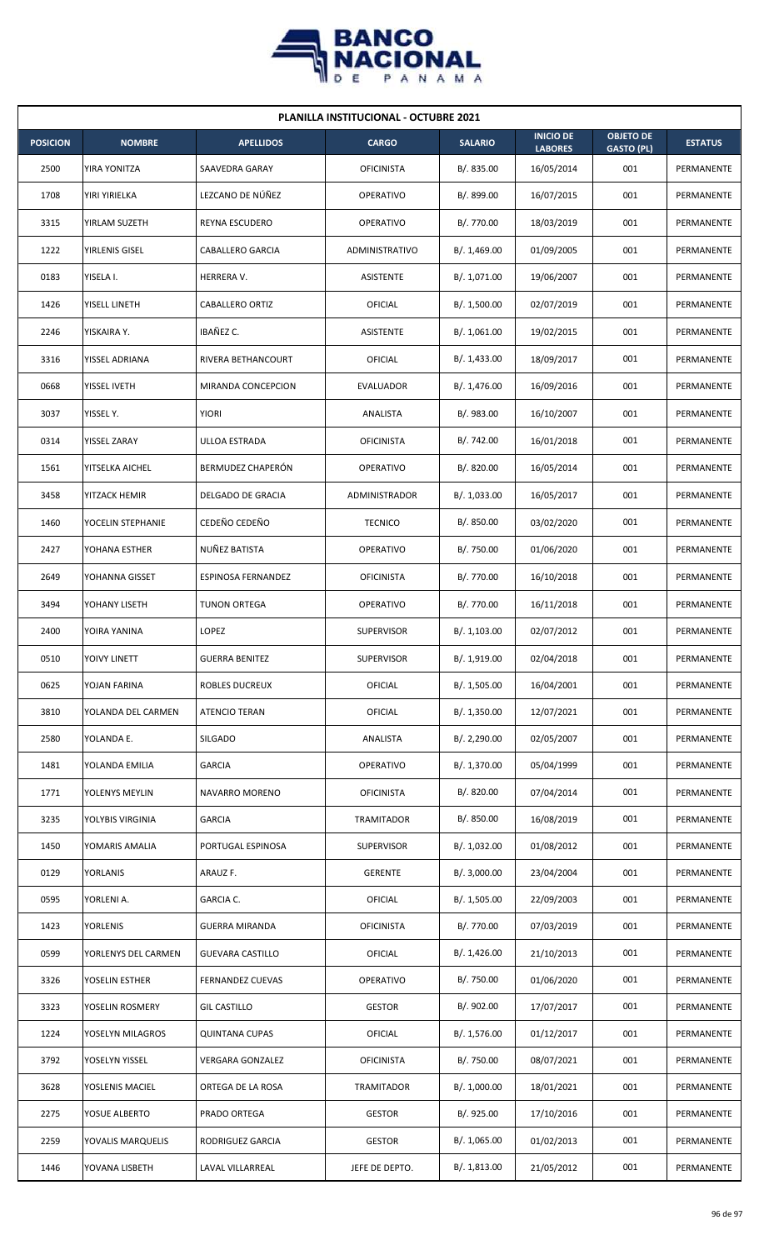

| <b>PLANILLA INSTITUCIONAL - OCTUBRE 2021</b> |                     |                           |                       |                |                                    |                                       |                |  |  |
|----------------------------------------------|---------------------|---------------------------|-----------------------|----------------|------------------------------------|---------------------------------------|----------------|--|--|
| <b>POSICION</b>                              | <b>NOMBRE</b>       | <b>APELLIDOS</b>          | <b>CARGO</b>          | <b>SALARIO</b> | <b>INICIO DE</b><br><b>LABORES</b> | <b>OBJETO DE</b><br><b>GASTO (PL)</b> | <b>ESTATUS</b> |  |  |
| 2500                                         | YIRA YONITZA        | SAAVEDRA GARAY            | <b>OFICINISTA</b>     | B/. 835.00     | 16/05/2014                         | 001                                   | PERMANENTE     |  |  |
| 1708                                         | YIRI YIRIELKA       | LEZCANO DE NÚÑEZ          | <b>OPERATIVO</b>      | B/. 899.00     | 16/07/2015                         | 001                                   | PERMANENTE     |  |  |
| 3315                                         | YIRLAM SUZETH       | REYNA ESCUDERO            | <b>OPERATIVO</b>      | B/. 770.00     | 18/03/2019                         | 001                                   | PERMANENTE     |  |  |
| 1222                                         | YIRLENIS GISEL      | CABALLERO GARCIA          | <b>ADMINISTRATIVO</b> | B/. 1,469.00   | 01/09/2005                         | 001                                   | PERMANENTE     |  |  |
| 0183                                         | YISELA I.           | HERRERA V.                | <b>ASISTENTE</b>      | B/. 1,071.00   | 19/06/2007                         | 001                                   | PERMANENTE     |  |  |
| 1426                                         | YISELL LINETH       | CABALLERO ORTIZ           | OFICIAL               | B/. 1,500.00   | 02/07/2019                         | 001                                   | PERMANENTE     |  |  |
| 2246                                         | YISKAIRA Y.         | IBAÑEZ C.                 | <b>ASISTENTE</b>      | B/. 1,061.00   | 19/02/2015                         | 001                                   | PERMANENTE     |  |  |
| 3316                                         | YISSEL ADRIANA      | RIVERA BETHANCOURT        | <b>OFICIAL</b>        | B/.1,433.00    | 18/09/2017                         | 001                                   | PERMANENTE     |  |  |
| 0668                                         | YISSEL IVETH        | MIRANDA CONCEPCION        | <b>EVALUADOR</b>      | B/. 1,476.00   | 16/09/2016                         | 001                                   | PERMANENTE     |  |  |
| 3037                                         | YISSEL Y.           | <b>YIORI</b>              | ANALISTA              | B/. 983.00     | 16/10/2007                         | 001                                   | PERMANENTE     |  |  |
| 0314                                         | YISSEL ZARAY        | ULLOA ESTRADA             | <b>OFICINISTA</b>     | B/. 742.00     | 16/01/2018                         | 001                                   | PERMANENTE     |  |  |
| 1561                                         | YITSELKA AICHEL     | BERMUDEZ CHAPERÓN         | OPERATIVO             | B/. 820.00     | 16/05/2014                         | 001                                   | PERMANENTE     |  |  |
| 3458                                         | YITZACK HEMIR       | DELGADO DE GRACIA         | ADMINISTRADOR         | B/. 1,033.00   | 16/05/2017                         | 001                                   | PERMANENTE     |  |  |
| 1460                                         | YOCELIN STEPHANIE   | CEDEÑO CEDEÑO             | <b>TECNICO</b>        | B/. 850.00     | 03/02/2020                         | 001                                   | PERMANENTE     |  |  |
| 2427                                         | YOHANA ESTHER       | NUÑEZ BATISTA             | <b>OPERATIVO</b>      | B/. 750.00     | 01/06/2020                         | 001                                   | PERMANENTE     |  |  |
| 2649                                         | YOHANNA GISSET      | <b>ESPINOSA FERNANDEZ</b> | <b>OFICINISTA</b>     | B/. 770.00     | 16/10/2018                         | 001                                   | PERMANENTE     |  |  |
| 3494                                         | YOHANY LISETH       | TUNON ORTEGA              | <b>OPERATIVO</b>      | B/. 770.00     | 16/11/2018                         | 001                                   | PERMANENTE     |  |  |
| 2400                                         | YOIRA YANINA        | LOPEZ                     | <b>SUPERVISOR</b>     | B/.1,103.00    | 02/07/2012                         | 001                                   | PERMANENTE     |  |  |
| 0510                                         | YOIVY LINETT        | <b>GUERRA BENITEZ</b>     | <b>SUPERVISOR</b>     | B/. 1,919.00   | 02/04/2018                         | 001                                   | PERMANENTE     |  |  |
| 0625                                         | YOJAN FARINA        | ROBLES DUCREUX            | <b>OFICIAL</b>        | B/. 1,505.00   | 16/04/2001                         | 001                                   | PERMANENTE     |  |  |
| 3810                                         | YOLANDA DEL CARMEN  | ATENCIO TERAN             | <b>OFICIAL</b>        | B/.1,350.00    | 12/07/2021                         | 001                                   | PERMANENTE     |  |  |
| 2580                                         | YOLANDA E.          | SILGADO                   | ANALISTA              | B/. 2,290.00   | 02/05/2007                         | 001                                   | PERMANENTE     |  |  |
| 1481                                         | YOLANDA EMILIA      | <b>GARCIA</b>             | <b>OPERATIVO</b>      | B/. 1,370.00   | 05/04/1999                         | 001                                   | PERMANENTE     |  |  |
| 1771                                         | YOLENYS MEYLIN      | <b>NAVARRO MORENO</b>     | <b>OFICINISTA</b>     | B/. 820.00     | 07/04/2014                         | 001                                   | PERMANENTE     |  |  |
| 3235                                         | YOLYBIS VIRGINIA    | <b>GARCIA</b>             | TRAMITADOR            | B/. 850.00     | 16/08/2019                         | 001                                   | PERMANENTE     |  |  |
| 1450                                         | YOMARIS AMALIA      | PORTUGAL ESPINOSA         | <b>SUPERVISOR</b>     | B/. 1,032.00   | 01/08/2012                         | 001                                   | PERMANENTE     |  |  |
| 0129                                         | YORLANIS            | ARAUZ F.                  | <b>GERENTE</b>        | B/. 3,000.00   | 23/04/2004                         | 001                                   | PERMANENTE     |  |  |
| 0595                                         | YORLENI A.          | GARCIA C.                 | OFICIAL               | B/. 1,505.00   | 22/09/2003                         | 001                                   | PERMANENTE     |  |  |
| 1423                                         | <b>YORLENIS</b>     | <b>GUERRA MIRANDA</b>     | <b>OFICINISTA</b>     | B/. 770.00     | 07/03/2019                         | 001                                   | PERMANENTE     |  |  |
| 0599                                         | YORLENYS DEL CARMEN | <b>GUEVARA CASTILLO</b>   | OFICIAL               | B/. 1,426.00   | 21/10/2013                         | 001                                   | PERMANENTE     |  |  |
| 3326                                         | YOSELIN ESTHER      | <b>FERNANDEZ CUEVAS</b>   | OPERATIVO             | B/. 750.00     | 01/06/2020                         | 001                                   | PERMANENTE     |  |  |
| 3323                                         | YOSELIN ROSMERY     | <b>GIL CASTILLO</b>       | <b>GESTOR</b>         | B/. 902.00     | 17/07/2017                         | 001                                   | PERMANENTE     |  |  |
| 1224                                         | YOSELYN MILAGROS    | <b>QUINTANA CUPAS</b>     | OFICIAL               | B/. 1,576.00   | 01/12/2017                         | 001                                   | PERMANENTE     |  |  |
| 3792                                         | YOSELYN YISSEL      | <b>VERGARA GONZALEZ</b>   | <b>OFICINISTA</b>     | B/. 750.00     | 08/07/2021                         | 001                                   | PERMANENTE     |  |  |
| 3628                                         | YOSLENIS MACIEL     | ORTEGA DE LA ROSA         | TRAMITADOR            | B/. 1,000.00   | 18/01/2021                         | 001                                   | PERMANENTE     |  |  |
| 2275                                         | YOSUE ALBERTO       | PRADO ORTEGA              | <b>GESTOR</b>         | B/. 925.00     | 17/10/2016                         | 001                                   | PERMANENTE     |  |  |
| 2259                                         | YOVALIS MARQUELIS   | RODRIGUEZ GARCIA          | <b>GESTOR</b>         | B/. 1,065.00   | 01/02/2013                         | 001                                   | PERMANENTE     |  |  |
| 1446                                         | YOVANA LISBETH      | LAVAL VILLARREAL          | JEFE DE DEPTO.        | B/.1,813.00    | 21/05/2012                         | 001                                   | PERMANENTE     |  |  |